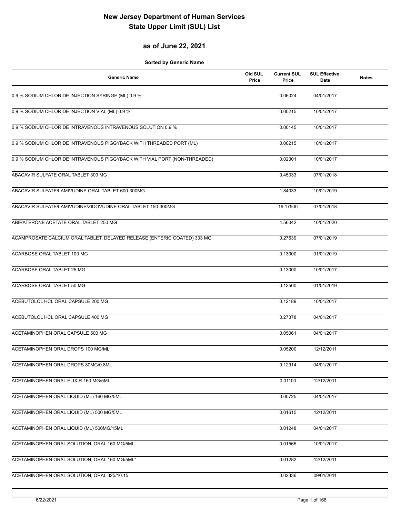#### **as of June 22, 2021**

| <b>Generic Name</b>                                                       | Old SUL<br>Price | <b>Current SUL</b><br>Price | <b>SUL Effective</b><br>Date | <b>Notes</b> |
|---------------------------------------------------------------------------|------------------|-----------------------------|------------------------------|--------------|
| 0.9 % SODIUM CHLORIDE INJECTION SYRINGE (ML) 0.9 %                        |                  | 0.06024                     | 04/01/2017                   |              |
| 0.9 % SODIUM CHLORIDE INJECTION VIAL (ML) 0.9 %                           |                  | 0.00215                     | 10/01/2017                   |              |
| 0.9 % SODIUM CHLORIDE INTRAVENOUS INTRAVENOUS SOLUTION 0.9 %              |                  | 0.00145                     | 10/01/2017                   |              |
| 0.9 % SODIUM CHLORIDE INTRAVENOUS PIGGYBACK WITH THREADED PORT (ML)       |                  | 0.00215                     | 10/01/2017                   |              |
| 0.9 % SODIUM CHLORIDE INTRAVENOUS PIGGYBACK WITH VIAL PORT (NON-THREADED) |                  | 0.02301                     | 10/01/2017                   |              |
| ABACAVIR SULFATE ORAL TABLET 300 MG                                       |                  | 0.45333                     | 07/01/2018                   |              |
| ABACAVIR SULFATE/LAMIVUDINE ORAL TABLET 600-300MG                         |                  | 1.84033                     | 10/01/2019                   |              |
| ABACAVIR SULFATE/LAMIVUDINE/ZIDOVUDINE ORAL TABLET 150-300MG              |                  | 19.17500                    | 07/01/2018                   |              |
| ABIRATERONE ACETATE ORAL TABLET 250 MG                                    |                  | 4.56042                     | 10/01/2020                   |              |
| ACAMPROSATE CALCIUM ORAL TABLET, DELAYED RELEASE (ENTERIC COATED) 333 MG  |                  | 0.27639                     | 07/01/2019                   |              |
| ACARBOSE ORAL TABLET 100 MG                                               |                  | 0.13000                     | 01/01/2019                   |              |
| ACARBOSE ORAL TABLET 25 MG                                                |                  | 0.13000                     | 10/01/2017                   |              |
| ACARBOSE ORAL TABLET 50 MG                                                |                  | 0.12500                     | 01/01/2019                   |              |
| ACEBUTOLOL HCL ORAL CAPSULE 200 MG                                        |                  | 0.12189                     | 10/01/2017                   |              |
| ACEBUTOLOL HCL ORAL CAPSULE 400 MG                                        |                  | 0.27378                     | 04/01/2017                   |              |
| ACETAMINOPHEN ORAL CAPSULE 500 MG                                         |                  | 0.05061                     | 04/01/2017                   |              |
| ACETAMINOPHEN ORAL DROPS 100 MG/ML                                        |                  | 0.05200                     | 12/12/2011                   |              |
| ACETAMINOPHEN ORAL DROPS 80MG/0.8ML                                       |                  | 0.12914                     | 04/01/2017                   |              |
| ACETAMINOPHEN ORAL ELIXIR 160 MG/5ML                                      |                  | 0.01100                     | 12/12/2011                   |              |
| ACETAMINOPHEN ORAL LIQUID (ML) 160 MG/5ML                                 |                  | 0.00725                     | 04/01/2017                   |              |
| ACETAMINOPHEN ORAL LIQUID (ML) 500 MG/5ML                                 |                  | 0.01615                     | 12/12/2011                   |              |
| ACETAMINOPHEN ORAL LIQUID (ML) 500MG/15ML                                 |                  | 0.01248                     | 04/01/2017                   |              |
| ACETAMINOPHEN ORAL SOLUTION, ORAL 160 MG/5ML                              |                  | 0.01565                     | 10/01/2017                   |              |
| ACETAMINOPHEN ORAL SOLUTION, ORAL 160 MG/5ML"                             |                  | 0.01282                     | 12/12/2011                   |              |
| ACETAMINOPHEN ORAL SOLUTION, ORAL 325/10.15                               |                  | 0.02336                     | 09/01/2011                   |              |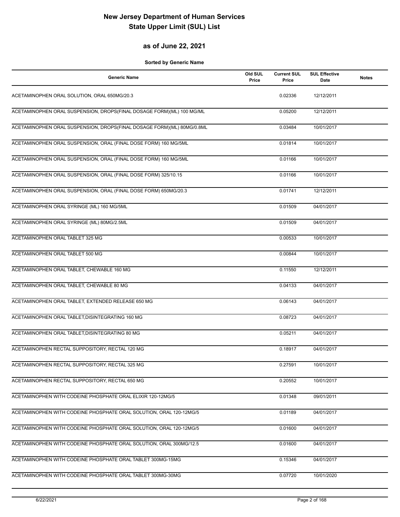#### **as of June 22, 2021**

| <b>Generic Name</b>                                                    | Old SUL<br>Price | <b>Current SUL</b><br>Price | <b>SUL Effective</b><br>Date | <b>Notes</b> |
|------------------------------------------------------------------------|------------------|-----------------------------|------------------------------|--------------|
| ACETAMINOPHEN ORAL SOLUTION, ORAL 650MG/20.3                           |                  | 0.02336                     | 12/12/2011                   |              |
| ACETAMINOPHEN ORAL SUSPENSION, DROPS(FINAL DOSAGE FORM)(ML) 100 MG/ML  |                  | 0.05200                     | 12/12/2011                   |              |
| ACETAMINOPHEN ORAL SUSPENSION, DROPS(FINAL DOSAGE FORM)(ML) 80MG/0.8ML |                  | 0.03484                     | 10/01/2017                   |              |
| ACETAMINOPHEN ORAL SUSPENSION, ORAL (FINAL DOSE FORM) 160 MG/5ML       |                  | 0.01814                     | 10/01/2017                   |              |
| ACETAMINOPHEN ORAL SUSPENSION, ORAL (FINAL DOSE FORM) 160 MG/5ML       |                  | 0.01166                     | 10/01/2017                   |              |
| ACETAMINOPHEN ORAL SUSPENSION, ORAL (FINAL DOSE FORM) 325/10.15        |                  | 0.01166                     | 10/01/2017                   |              |
| ACETAMINOPHEN ORAL SUSPENSION, ORAL (FINAL DOSE FORM) 650MG/20.3       |                  | 0.01741                     | 12/12/2011                   |              |
| ACETAMINOPHEN ORAL SYRINGE (ML) 160 MG/5ML                             |                  | 0.01509                     | 04/01/2017                   |              |
| ACETAMINOPHEN ORAL SYRINGE (ML) 80MG/2.5ML                             |                  | 0.01509                     | 04/01/2017                   |              |
| ACETAMINOPHEN ORAL TABLET 325 MG                                       |                  | 0.00533                     | 10/01/2017                   |              |
| ACETAMINOPHEN ORAL TABLET 500 MG                                       |                  | 0.00844                     | 10/01/2017                   |              |
| ACETAMINOPHEN ORAL TABLET, CHEWABLE 160 MG                             |                  | 0.11550                     | 12/12/2011                   |              |
| ACETAMINOPHEN ORAL TABLET, CHEWABLE 80 MG                              |                  | 0.04133                     | 04/01/2017                   |              |
| ACETAMINOPHEN ORAL TABLET, EXTENDED RELEASE 650 MG                     |                  | 0.06143                     | 04/01/2017                   |              |
| ACETAMINOPHEN ORAL TABLET, DISINTEGRATING 160 MG                       |                  | 0.08723                     | 04/01/2017                   |              |
| ACETAMINOPHEN ORAL TABLET, DISINTEGRATING 80 MG                        |                  | 0.05211                     | 04/01/2017                   |              |
| ACETAMINOPHEN RECTAL SUPPOSITORY, RECTAL 120 MG                        |                  | 0.18917                     | 04/01/2017                   |              |
| ACETAMINOPHEN RECTAL SUPPOSITORY, RECTAL 325 MG                        |                  | 0.27591                     | 10/01/2017                   |              |
| ACETAMINOPHEN RECTAL SUPPOSITORY, RECTAL 650 MG                        |                  | 0.20552                     | 10/01/2017                   |              |
| ACETAMINOPHEN WITH CODEINE PHOSPHATE ORAL ELIXIR 120-12MG/5            |                  | 0.01348                     | 09/01/2011                   |              |
| ACETAMINOPHEN WITH CODEINE PHOSPHATE ORAL SOLUTION, ORAL 120-12MG/5    |                  | 0.01189                     | 04/01/2017                   |              |
| ACETAMINOPHEN WITH CODEINE PHOSPHATE ORAL SOLUTION, ORAL 120-12MG/5    |                  | 0.01600                     | 04/01/2017                   |              |
| ACETAMINOPHEN WITH CODEINE PHOSPHATE ORAL SOLUTION, ORAL 300MG/12.5    |                  | 0.01600                     | 04/01/2017                   |              |
| ACETAMINOPHEN WITH CODEINE PHOSPHATE ORAL TABLET 300MG-15MG            |                  | 0.15346                     | 04/01/2017                   |              |
| ACETAMINOPHEN WITH CODEINE PHOSPHATE ORAL TABLET 300MG-30MG            |                  | 0.07720                     | 10/01/2020                   |              |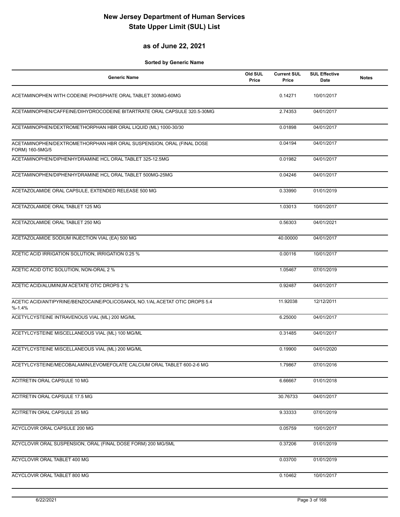#### **as of June 22, 2021**

| <b>Generic Name</b>                                                                      | Old SUL<br>Price | <b>Current SUL</b><br>Price | <b>SUL Effective</b><br>Date | <b>Notes</b> |
|------------------------------------------------------------------------------------------|------------------|-----------------------------|------------------------------|--------------|
| ACETAMINOPHEN WITH CODEINE PHOSPHATE ORAL TABLET 300MG-60MG                              |                  | 0.14271                     | 10/01/2017                   |              |
| ACETAMINOPHEN/CAFFEINE/DIHYDROCODEINE BITARTRATE ORAL CAPSULE 320.5-30MG                 |                  | 2.74353                     | 04/01/2017                   |              |
| ACETAMINOPHEN/DEXTROMETHORPHAN HBR ORAL LIQUID (ML) 1000-30/30                           |                  | 0.01898                     | 04/01/2017                   |              |
| ACETAMINOPHEN/DEXTROMETHORPHAN HBR ORAL SUSPENSION, ORAL (FINAL DOSE<br>FORM) 160-5MG/5  |                  | 0.04194                     | 04/01/2017                   |              |
| ACETAMINOPHEN/DIPHENHYDRAMINE HCL ORAL TABLET 325-12.5MG                                 |                  | 0.01982                     | 04/01/2017                   |              |
| ACETAMINOPHEN/DIPHENHYDRAMINE HCL ORAL TABLET 500MG-25MG                                 |                  | 0.04246                     | 04/01/2017                   |              |
| ACETAZOLAMIDE ORAL CAPSULE, EXTENDED RELEASE 500 MG                                      |                  | 0.33990                     | 01/01/2019                   |              |
| ACETAZOLAMIDE ORAL TABLET 125 MG                                                         |                  | 1.03013                     | 10/01/2017                   |              |
| ACETAZOLAMIDE ORAL TABLET 250 MG                                                         |                  | 0.56303                     | 04/01/2021                   |              |
| ACETAZOLAMIDE SODIUM INJECTION VIAL (EA) 500 MG                                          |                  | 40.00000                    | 04/01/2017                   |              |
| ACETIC ACID IRRIGATION SOLUTION, IRRIGATION 0.25 %                                       |                  | 0.00116                     | 10/01/2017                   |              |
| ACETIC ACID OTIC SOLUTION, NON-ORAL 2 %                                                  |                  | 1.05467                     | 07/01/2019                   |              |
| ACETIC ACID/ALUMINUM ACETATE OTIC DROPS 2 %                                              |                  | 0.92487                     | 04/01/2017                   |              |
| ACETIC ACID/ANTIPYRINE/BENZOCAINE/POLICOSANOL NO.1/AL ACETAT OTIC DROPS 5.4<br>$% -1.4%$ |                  | 11.92038                    | 12/12/2011                   |              |
| ACETYLCYSTEINE INTRAVENOUS VIAL (ML) 200 MG/ML                                           |                  | 6.25000                     | 04/01/2017                   |              |
| ACETYLCYSTEINE MISCELLANEOUS VIAL (ML) 100 MG/ML                                         |                  | 0.31485                     | 04/01/2017                   |              |
| ACETYLCYSTEINE MISCELLANEOUS VIAL (ML) 200 MG/ML                                         |                  | 0.19900                     | 04/01/2020                   |              |
| ACETYLCYSTEINE/MECOBALAMIN/LEVOMEFOLATE CALCIUM ORAL TABLET 600-2-6 MG                   |                  | 1.79867                     | 07/01/2016                   |              |
| ACITRETIN ORAL CAPSULE 10 MG                                                             |                  | 6.66667                     | 01/01/2018                   |              |
| ACITRETIN ORAL CAPSULE 17.5 MG                                                           |                  | 30.76733                    | 04/01/2017                   |              |
| ACITRETIN ORAL CAPSULE 25 MG                                                             |                  | 9.33333                     | 07/01/2019                   |              |
| ACYCLOVIR ORAL CAPSULE 200 MG                                                            |                  | 0.05759                     | 10/01/2017                   |              |
| ACYCLOVIR ORAL SUSPENSION, ORAL (FINAL DOSE FORM) 200 MG/5ML                             |                  | 0.37206                     | 01/01/2019                   |              |
| ACYCLOVIR ORAL TABLET 400 MG                                                             |                  | 0.03700                     | 01/01/2019                   |              |
| ACYCLOVIR ORAL TABLET 800 MG                                                             |                  | 0.10462                     | 10/01/2017                   |              |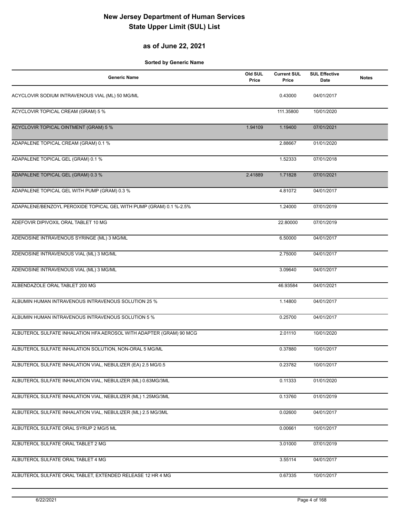### **as of June 22, 2021**

| <b>Generic Name</b>                                                 | Old SUL<br>Price | <b>Current SUL</b><br>Price | <b>SUL Effective</b><br>Date | <b>Notes</b> |
|---------------------------------------------------------------------|------------------|-----------------------------|------------------------------|--------------|
| ACYCLOVIR SODIUM INTRAVENOUS VIAL (ML) 50 MG/ML                     |                  | 0.43000                     | 04/01/2017                   |              |
| ACYCLOVIR TOPICAL CREAM (GRAM) 5 %                                  |                  | 111.35800                   | 10/01/2020                   |              |
| <b>ACYCLOVIR TOPICAL OINTMENT (GRAM) 5 %</b>                        | 1.94109          | 1.19400                     | 07/01/2021                   |              |
| ADAPALENE TOPICAL CREAM (GRAM) 0.1 %                                |                  | 2.88667                     | 01/01/2020                   |              |
| ADAPALENE TOPICAL GEL (GRAM) 0.1 %                                  |                  | 1.52333                     | 07/01/2018                   |              |
| ADAPALENE TOPICAL GEL (GRAM) 0.3 %                                  | 2.41889          | 1.71828                     | 07/01/2021                   |              |
| ADAPALENE TOPICAL GEL WITH PUMP (GRAM) 0.3 %                        |                  | 4.81072                     | 04/01/2017                   |              |
| ADAPALENE/BENZOYL PEROXIDE TOPICAL GEL WITH PUMP (GRAM) 0.1 %-2.5%  |                  | 1.24000                     | 07/01/2019                   |              |
| ADEFOVIR DIPIVOXIL ORAL TABLET 10 MG                                |                  | 22.80000                    | 07/01/2019                   |              |
| ADENOSINE INTRAVENOUS SYRINGE (ML) 3 MG/ML                          |                  | 6.50000                     | 04/01/2017                   |              |
| ADENOSINE INTRAVENOUS VIAL (ML) 3 MG/ML                             |                  | 2.75000                     | 04/01/2017                   |              |
| ADENOSINE INTRAVENOUS VIAL (ML) 3 MG/ML                             |                  | 3.09640                     | 04/01/2017                   |              |
| ALBENDAZOLE ORAL TABLET 200 MG                                      |                  | 46.93584                    | 04/01/2021                   |              |
| ALBUMIN HUMAN INTRAVENOUS INTRAVENOUS SOLUTION 25 %                 |                  | 1.14800                     | 04/01/2017                   |              |
| ALBUMIN HUMAN INTRAVENOUS INTRAVENOUS SOLUTION 5 %                  |                  | 0.25700                     | 04/01/2017                   |              |
| ALBUTEROL SULFATE INHALATION HFA AEROSOL WITH ADAPTER (GRAM) 90 MCG |                  | 2.01110                     | 10/01/2020                   |              |
| ALBUTEROL SULFATE INHALATION SOLUTION, NON-ORAL 5 MG/ML             |                  | 0.37880                     | 10/01/2017                   |              |
| ALBUTEROL SULFATE INHALATION VIAL, NEBULIZER (EA) 2.5 MG/0.5        |                  | 0.23782                     | 10/01/2017                   |              |
| ALBUTEROL SULFATE INHALATION VIAL, NEBULIZER (ML) 0.63MG/3ML        |                  | 0.11333                     | 01/01/2020                   |              |
| ALBUTEROL SULFATE INHALATION VIAL, NEBULIZER (ML) 1.25MG/3ML        |                  | 0.13760                     | 01/01/2019                   |              |
| ALBUTEROL SULFATE INHALATION VIAL, NEBULIZER (ML) 2.5 MG/3ML        |                  | 0.02600                     | 04/01/2017                   |              |
| ALBUTEROL SULFATE ORAL SYRUP 2 MG/5 ML                              |                  | 0.00661                     | 10/01/2017                   |              |
| ALBUTEROL SULFATE ORAL TABLET 2 MG                                  |                  | 3.01000                     | 07/01/2019                   |              |
| ALBUTEROL SULFATE ORAL TABLET 4 MG                                  |                  | 3.55114                     | 04/01/2017                   |              |
| ALBUTEROL SULFATE ORAL TABLET, EXTENDED RELEASE 12 HR 4 MG          |                  | 0.67335                     | 10/01/2017                   |              |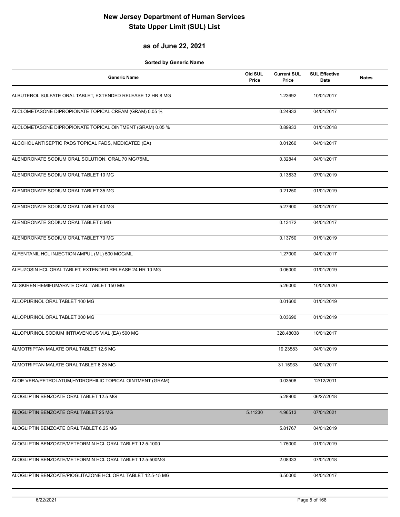#### **as of June 22, 2021**

| <b>Generic Name</b>                                         | Old SUL<br>Price | <b>Current SUL</b><br>Price | <b>SUL Effective</b><br>Date | <b>Notes</b> |
|-------------------------------------------------------------|------------------|-----------------------------|------------------------------|--------------|
| ALBUTEROL SULFATE ORAL TABLET, EXTENDED RELEASE 12 HR 8 MG  |                  | 1.23692                     | 10/01/2017                   |              |
| ALCLOMETASONE DIPROPIONATE TOPICAL CREAM (GRAM) 0.05 %      |                  | 0.24933                     | 04/01/2017                   |              |
| ALCLOMETASONE DIPROPIONATE TOPICAL OINTMENT (GRAM) 0.05 %   |                  | 0.89933                     | 01/01/2018                   |              |
| ALCOHOL ANTISEPTIC PADS TOPICAL PADS, MEDICATED (EA)        |                  | 0.01260                     | 04/01/2017                   |              |
| ALENDRONATE SODIUM ORAL SOLUTION, ORAL 70 MG/75ML           |                  | 0.32844                     | 04/01/2017                   |              |
| ALENDRONATE SODIUM ORAL TABLET 10 MG                        |                  | 0.13833                     | 07/01/2019                   |              |
| ALENDRONATE SODIUM ORAL TABLET 35 MG                        |                  | 0.21250                     | 01/01/2019                   |              |
| ALENDRONATE SODIUM ORAL TABLET 40 MG                        |                  | 5.27900                     | 04/01/2017                   |              |
| ALENDRONATE SODIUM ORAL TABLET 5 MG                         |                  | 0.13472                     | 04/01/2017                   |              |
| ALENDRONATE SODIUM ORAL TABLET 70 MG                        |                  | 0.13750                     | 01/01/2019                   |              |
| ALFENTANIL HCL INJECTION AMPUL (ML) 500 MCG/ML              |                  | 1.27000                     | 04/01/2017                   |              |
| ALFUZOSIN HCL ORAL TABLET, EXTENDED RELEASE 24 HR 10 MG     |                  | 0.06000                     | 01/01/2019                   |              |
| ALISKIREN HEMIFUMARATE ORAL TABLET 150 MG                   |                  | 5.26000                     | 10/01/2020                   |              |
| ALLOPURINOL ORAL TABLET 100 MG                              |                  | 0.01600                     | 01/01/2019                   |              |
| ALLOPURINOL ORAL TABLET 300 MG                              |                  | 0.03690                     | 01/01/2019                   |              |
| ALLOPURINOL SODIUM INTRAVENOUS VIAL (EA) 500 MG             |                  | 328.48038                   | 10/01/2017                   |              |
| ALMOTRIPTAN MALATE ORAL TABLET 12.5 MG                      |                  | 19.23583                    | 04/01/2019                   |              |
| ALMOTRIPTAN MALATE ORAL TABLET 6.25 MG                      |                  | 31.15933                    | 04/01/2017                   |              |
| ALOE VERA/PETROLATUM, HYDROPHILIC TOPICAL OINTMENT (GRAM)   |                  | 0.03508                     | 12/12/2011                   |              |
| ALOGLIPTIN BENZOATE ORAL TABLET 12.5 MG                     |                  | 5.28900                     | 06/27/2018                   |              |
| ALOGLIPTIN BENZOATE ORAL TABLET 25 MG                       | 5.11230          | 4.96513                     | 07/01/2021                   |              |
| ALOGLIPTIN BENZOATE ORAL TABLET 6.25 MG                     |                  | 5.81767                     | 04/01/2019                   |              |
| ALOGLIPTIN BENZOATE/METFORMIN HCL ORAL TABLET 12.5-1000     |                  | 1.75000                     | 01/01/2019                   |              |
| ALOGLIPTIN BENZOATE/METFORMIN HCL ORAL TABLET 12.5-500MG    |                  | 2.08333                     | 07/01/2018                   |              |
| ALOGLIPTIN BENZOATE/PIOGLITAZONE HCL ORAL TABLET 12.5-15 MG |                  | 6.50000                     | 04/01/2017                   |              |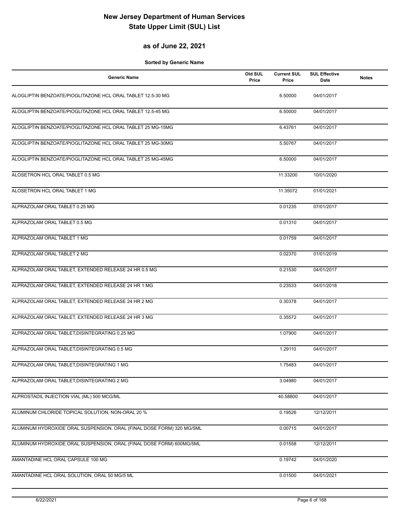#### **as of June 22, 2021**

| <b>Generic Name</b>                                                   | Old SUL<br>Price | <b>Current SUL</b><br>Price | <b>SUL Effective</b><br>Date | <b>Notes</b> |
|-----------------------------------------------------------------------|------------------|-----------------------------|------------------------------|--------------|
| ALOGLIPTIN BENZOATE/PIOGLITAZONE HCL ORAL TABLET 12.5-30 MG           |                  | 6.50000                     | 04/01/2017                   |              |
| ALOGLIPTIN BENZOATE/PIOGLITAZONE HCL ORAL TABLET 12.5-45 MG           |                  | 6.50000                     | 04/01/2017                   |              |
| ALOGLIPTIN BENZOATE/PIOGLITAZONE HCL ORAL TABLET 25 MG-15MG           |                  | 6.43761                     | 04/01/2017                   |              |
| ALOGLIPTIN BENZOATE/PIOGLITAZONE HCL ORAL TABLET 25 MG-30MG           |                  | 5.50767                     | 04/01/2017                   |              |
| ALOGLIPTIN BENZOATE/PIOGLITAZONE HCL ORAL TABLET 25 MG-45MG           |                  | 6.50000                     | 04/01/2017                   |              |
| ALOSETRON HCL ORAL TABLET 0.5 MG                                      |                  | 11.33200                    | 10/01/2020                   |              |
| ALOSETRON HCL ORAL TABLET 1 MG                                        |                  | 11.35072                    | 01/01/2021                   |              |
| ALPRAZOLAM ORAL TABLET 0.25 MG                                        |                  | 0.01235                     | 07/01/2017                   |              |
| ALPRAZOLAM ORAL TABLET 0.5 MG                                         |                  | 0.01310                     | 04/01/2017                   |              |
| ALPRAZOLAM ORAL TABLET 1 MG                                           |                  | 0.01759                     | 04/01/2017                   |              |
| ALPRAZOLAM ORAL TABLET 2 MG                                           |                  | 0.02370                     | 01/01/2019                   |              |
| ALPRAZOLAM ORAL TABLET, EXTENDED RELEASE 24 HR 0.5 MG                 |                  | 0.21530                     | 04/01/2017                   |              |
| ALPRAZOLAM ORAL TABLET, EXTENDED RELEASE 24 HR 1 MG                   |                  | 0.23533                     | 04/01/2018                   |              |
| ALPRAZOLAM ORAL TABLET, EXTENDED RELEASE 24 HR 2 MG                   |                  | 0.30378                     | 04/01/2017                   |              |
| ALPRAZOLAM ORAL TABLET, EXTENDED RELEASE 24 HR 3 MG                   |                  | 0.35572                     | 04/01/2017                   |              |
| ALPRAZOLAM ORAL TABLET, DISINTEGRATING 0.25 MG                        |                  | 1.07900                     | 04/01/2017                   |              |
| ALPRAZOLAM ORAL TABLET.DISINTEGRATING 0.5 MG                          |                  | 1.29110                     | 04/01/2017                   |              |
| ALPRAZOLAM ORAL TABLET, DISINTEGRATING 1 MG                           |                  | 1.75483                     | 04/01/2017                   |              |
| ALPRAZOLAM ORAL TABLET, DISINTEGRATING 2 MG                           |                  | 3.04980                     | 04/01/2017                   |              |
| ALPROSTADIL INJECTION VIAL (ML) 500 MCG/ML                            |                  | 40.58800                    | 04/01/2017                   |              |
| ALUMINUM CHLORIDE TOPICAL SOLUTION, NON-ORAL 20 %                     |                  | 0.19526                     | 12/12/2011                   |              |
| ALUMINUM HYDROXIDE ORAL SUSPENSION, ORAL (FINAL DOSE FORM) 320 MG/5ML |                  | 0.00715                     | 04/01/2017                   |              |
| ALUMINUM HYDROXIDE ORAL SUSPENSION, ORAL (FINAL DOSE FORM) 600MG/5ML  |                  | 0.01558                     | 12/12/2011                   |              |
| AMANTADINE HCL ORAL CAPSULE 100 MG                                    |                  | 0.19742                     | 04/01/2020                   |              |
| AMANTADINE HCL ORAL SOLUTION, ORAL 50 MG/5 ML                         |                  | 0.01500                     | 04/01/2021                   |              |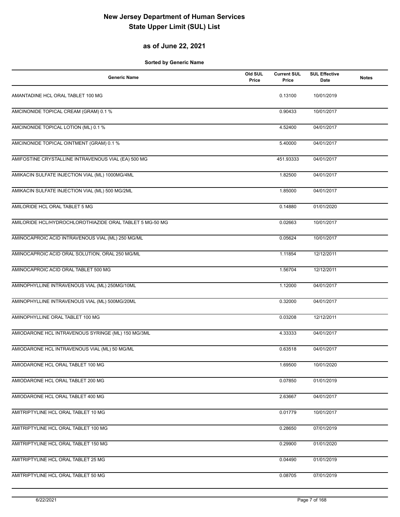### **as of June 22, 2021**

| <b>Generic Name</b>                                      | Old SUL<br>Price | <b>Current SUL</b><br>Price | <b>SUL Effective</b><br>Date | <b>Notes</b> |
|----------------------------------------------------------|------------------|-----------------------------|------------------------------|--------------|
| AMANTADINE HCL ORAL TABLET 100 MG                        |                  | 0.13100                     | 10/01/2019                   |              |
| AMCINONIDE TOPICAL CREAM (GRAM) 0.1 %                    |                  | 0.90433                     | 10/01/2017                   |              |
| AMCINONIDE TOPICAL LOTION (ML) 0.1 %                     |                  | 4.52400                     | 04/01/2017                   |              |
| AMCINONIDE TOPICAL OINTMENT (GRAM) 0.1 %                 |                  | 5.40000                     | 04/01/2017                   |              |
| AMIFOSTINE CRYSTALLINE INTRAVENOUS VIAL (EA) 500 MG      |                  | 451.93333                   | 04/01/2017                   |              |
| AMIKACIN SULFATE INJECTION VIAL (ML) 1000MG/4ML          |                  | 1.82500                     | 04/01/2017                   |              |
| AMIKACIN SULFATE INJECTION VIAL (ML) 500 MG/2ML          |                  | 1.85000                     | 04/01/2017                   |              |
| AMILORIDE HCL ORAL TABLET 5 MG                           |                  | 0.14880                     | 01/01/2020                   |              |
| AMILORIDE HCL/HYDROCHLOROTHIAZIDE ORAL TABLET 5 MG-50 MG |                  | 0.02663                     | 10/01/2017                   |              |
| AMINOCAPROIC ACID INTRAVENOUS VIAL (ML) 250 MG/ML        |                  | 0.05624                     | 10/01/2017                   |              |
| AMINOCAPROIC ACID ORAL SOLUTION, ORAL 250 MG/ML          |                  | 1.11854                     | 12/12/2011                   |              |
| AMINOCAPROIC ACID ORAL TABLET 500 MG                     |                  | 1.56704                     | 12/12/2011                   |              |
| AMINOPHYLLINE INTRAVENOUS VIAL (ML) 250MG/10ML           |                  | 1.12000                     | 04/01/2017                   |              |
| AMINOPHYLLINE INTRAVENOUS VIAL (ML) 500MG/20ML           |                  | 0.32000                     | 04/01/2017                   |              |
| AMINOPHYLLINE ORAL TABLET 100 MG                         |                  | 0.03208                     | 12/12/2011                   |              |
| AMIODARONE HCL INTRAVENOUS SYRINGE (ML) 150 MG/3ML       |                  | 4.33333                     | 04/01/2017                   |              |
| AMIODARONE HCL INTRAVENOUS VIAL (ML) 50 MG/ML            |                  | 0.63518                     | 04/01/2017                   |              |
| AMIODARONE HCL ORAL TABLET 100 MG                        |                  | 1.69500                     | 10/01/2020                   |              |
| AMIODARONE HCL ORAL TABLET 200 MG                        |                  | 0.07850                     | 01/01/2019                   |              |
| AMIODARONE HCL ORAL TABLET 400 MG                        |                  | 2.63667                     | 04/01/2017                   |              |
| AMITRIPTYLINE HCL ORAL TABLET 10 MG                      |                  | 0.01779                     | 10/01/2017                   |              |
| AMITRIPTYLINE HCL ORAL TABLET 100 MG                     |                  | 0.28650                     | 07/01/2019                   |              |
| AMITRIPTYLINE HCL ORAL TABLET 150 MG                     |                  | 0.29900                     | 01/01/2020                   |              |
| AMITRIPTYLINE HCL ORAL TABLET 25 MG                      |                  | 0.04490                     | 01/01/2019                   |              |
| AMITRIPTYLINE HCL ORAL TABLET 50 MG                      |                  | 0.08705                     | 07/01/2019                   |              |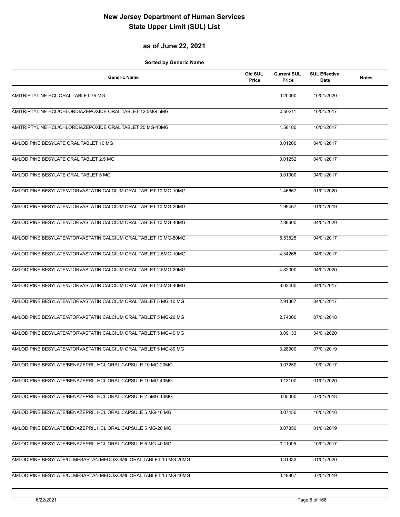### **as of June 22, 2021**

| <b>Generic Name</b>                                             | Old SUL<br>Price | <b>Current SUL</b><br>Price | <b>SUL Effective</b><br>Date | <b>Notes</b> |
|-----------------------------------------------------------------|------------------|-----------------------------|------------------------------|--------------|
| AMITRIPTYLINE HCL ORAL TABLET 75 MG                             |                  | 0.20000                     | 10/01/2020                   |              |
| AMITRIPTYLINE HCL/CHLORDIAZEPOXIDE ORAL TABLET 12.5MG-5MG       |                  | 0.50211                     | 10/01/2017                   |              |
| AMITRIPTYLINE HCL/CHLORDIAZEPOXIDE ORAL TABLET 25 MG-10MG       |                  | 1.58180                     | 10/01/2017                   |              |
| AMLODIPINE BESYLATE ORAL TABLET 10 MG                           |                  | 0.01200                     | 04/01/2017                   |              |
| AMLODIPINE BESYLATE ORAL TABLET 2.5 MG                          |                  | 0.01252                     | 04/01/2017                   |              |
| AMLODIPINE BESYLATE ORAL TABLET 5 MG                            |                  | 0.01000                     | 04/01/2017                   |              |
| AMLODIPINE BESYLATE/ATORVASTATIN CALCIUM ORAL TABLET 10 MG-10MG |                  | 1.46667                     | 01/01/2020                   |              |
| AMLODIPINE BESYLATE/ATORVASTATIN CALCIUM ORAL TABLET 10 MG-20MG |                  | 1.99467                     | 01/01/2019                   |              |
| AMLODIPINE BESYLATE/ATORVASTATIN CALCIUM ORAL TABLET 10 MG-40MG |                  | 2.88600                     | 04/01/2020                   |              |
| AMLODIPINE BESYLATE/ATORVASTATIN CALCIUM ORAL TABLET 10 MG-80MG |                  | 5.53825                     | 04/01/2017                   |              |
| AMLODIPINE BESYLATE/ATORVASTATIN CALCIUM ORAL TABLET 2.5MG-10MG |                  | 4.34266                     | 04/01/2017                   |              |
| AMLODIPINE BESYLATE/ATORVASTATIN CALCIUM ORAL TABLET 2.5MG-20MG |                  | 4.82300                     | 04/01/2020                   |              |
| AMLODIPINE BESYLATE/ATORVASTATIN CALCIUM ORAL TABLET 2.5MG-40MG |                  | 6.03400                     | 04/01/2017                   |              |
| AMLODIPINE BESYLATE/ATORVASTATIN CALCIUM ORAL TABLET 5 MG-10 MG |                  | 2.91367                     | 04/01/2017                   |              |
| AMLODIPINE BESYLATE/ATORVASTATIN CALCIUM ORAL TABLET 5 MG-20 MG |                  | 2.74000                     | 07/01/2018                   |              |
| AMLODIPINE BESYLATE/ATORVASTATIN CALCIUM ORAL TABLET 5 MG-40 MG |                  | 3.09133                     | 04/01/2020                   |              |
| AMLODIPINE BESYLATE/ATORVASTATIN CALCIUM ORAL TABLET 5 MG-80 MG |                  | 3.28900                     | 07/01/2019                   |              |
| AMLODIPINE BESYLATE/BENAZEPRIL HCL ORAL CAPSULE 10 MG-20MG      |                  | 0.07250                     | 10/01/2017                   |              |
| AMLODIPINE BESYLATE/BENAZEPRIL HCL ORAL CAPSULE 10 MG-40MG      |                  | 0.13100                     | 01/01/2020                   |              |
| AMLODIPINE BESYLATE/BENAZEPRIL HCL ORAL CAPSULE 2.5MG-10MG      |                  | 0.05000                     | 07/01/2018                   |              |
| AMLODIPINE BESYLATE/BENAZEPRIL HCL ORAL CAPSULE 5 MG-10 MG      |                  | 0.07450                     | 10/01/2018                   |              |
| AMLODIPINE BESYLATE/BENAZEPRIL HCL ORAL CAPSULE 5 MG-20 MG      |                  | 0.07850                     | 01/01/2019                   |              |
| AMLODIPINE BESYLATE/BENAZEPRIL HCL ORAL CAPSULE 5 MG-40 MG      |                  | 0.11005                     | 10/01/2017                   |              |
| AMLODIPINE BESYLATE/OLMESARTAN MEDOXOMIL ORAL TABLET 10 MG-20MG |                  | 0.31333                     | 01/01/2020                   |              |
| AMLODIPINE BESYLATE/OLMESARTAN MEDOXOMIL ORAL TABLET 10 MG-40MG |                  | 0.49867                     | 07/01/2019                   |              |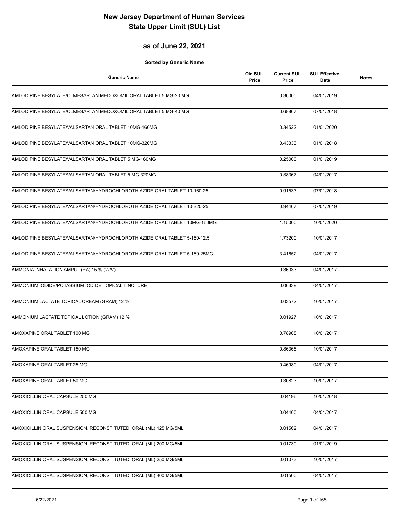#### **as of June 22, 2021**

| <b>Generic Name</b>                                                      | Old SUL<br>Price | <b>Current SUL</b><br>Price | <b>SUL Effective</b><br>Date | <b>Notes</b> |
|--------------------------------------------------------------------------|------------------|-----------------------------|------------------------------|--------------|
| AMLODIPINE BESYLATE/OLMESARTAN MEDOXOMIL ORAL TABLET 5 MG-20 MG          |                  | 0.36000                     | 04/01/2019                   |              |
| AMLODIPINE BESYLATE/OLMESARTAN MEDOXOMIL ORAL TABLET 5 MG-40 MG          |                  | 0.68867                     | 07/01/2018                   |              |
| AMLODIPINE BESYLATE/VALSARTAN ORAL TABLET 10MG-160MG                     |                  | 0.34522                     | 01/01/2020                   |              |
| AMLODIPINE BESYLATE/VALSARTAN ORAL TABLET 10MG-320MG                     |                  | 0.43333                     | 01/01/2018                   |              |
| AMLODIPINE BESYLATE/VALSARTAN ORAL TABLET 5 MG-160MG                     |                  | 0.25000                     | 01/01/2019                   |              |
| AMLODIPINE BESYLATE/VALSARTAN ORAL TABLET 5 MG-320MG                     |                  | 0.38367                     | 04/01/2017                   |              |
| AMLODIPINE BESYLATE/VALSARTAN/HYDROCHLOROTHIAZIDE ORAL TABLET 10-160-25  |                  | 0.91533                     | 07/01/2018                   |              |
| AMLODIPINE BESYLATE/VALSARTAN/HYDROCHLOROTHIAZIDE ORAL TABLET 10-320-25  |                  | 0.94467                     | 07/01/2019                   |              |
| AMLODIPINE BESYLATE/VALSARTAN/HYDROCHLOROTHIAZIDE ORAL TABLET 10MG-160MG |                  | 1.15000                     | 10/01/2020                   |              |
| AMLODIPINE BESYLATE/VALSARTAN/HYDROCHLOROTHIAZIDE ORAL TABLET 5-160-12.5 |                  | 1.73200                     | 10/01/2017                   |              |
| AMLODIPINE BESYLATE/VALSARTAN/HYDROCHLOROTHIAZIDE ORAL TABLET 5-160-25MG |                  | 3.41652                     | 04/01/2017                   |              |
| AMMONIA INHALATION AMPUL (EA) 15 % (W/V)                                 |                  | 0.36033                     | 04/01/2017                   |              |
| AMMONIUM IODIDE/POTASSIUM IODIDE TOPICAL TINCTURE                        |                  | 0.06339                     | 04/01/2017                   |              |
| AMMONIUM LACTATE TOPICAL CREAM (GRAM) 12 %                               |                  | 0.03572                     | 10/01/2017                   |              |
| AMMONIUM LACTATE TOPICAL LOTION (GRAM) 12 %                              |                  | 0.01927                     | 10/01/2017                   |              |
| AMOXAPINE ORAL TABLET 100 MG                                             |                  | 0.78908                     | 10/01/2017                   |              |
| AMOXAPINE ORAL TABLET 150 MG                                             |                  | 0.86368                     | 10/01/2017                   |              |
| AMOXAPINE ORAL TABLET 25 MG                                              |                  | 0.46980                     | 04/01/2017                   |              |
| AMOXAPINE ORAL TABLET 50 MG                                              |                  | 0.30823                     | 10/01/2017                   |              |
| AMOXICILLIN ORAL CAPSULE 250 MG                                          |                  | 0.04196                     | 10/01/2018                   |              |
| AMOXICILLIN ORAL CAPSULE 500 MG                                          |                  | 0.04400                     | 04/01/2017                   |              |
| AMOXICILLIN ORAL SUSPENSION, RECONSTITUTED, ORAL (ML) 125 MG/5ML         |                  | 0.01562                     | 04/01/2017                   |              |
| AMOXICILLIN ORAL SUSPENSION, RECONSTITUTED, ORAL (ML) 200 MG/5ML         |                  | 0.01730                     | 01/01/2019                   |              |
| AMOXICILLIN ORAL SUSPENSION, RECONSTITUTED, ORAL (ML) 250 MG/5ML         |                  | 0.01073                     | 10/01/2017                   |              |
| AMOXICILLIN ORAL SUSPENSION, RECONSTITUTED, ORAL (ML) 400 MG/5ML         |                  | 0.01500                     | 04/01/2017                   |              |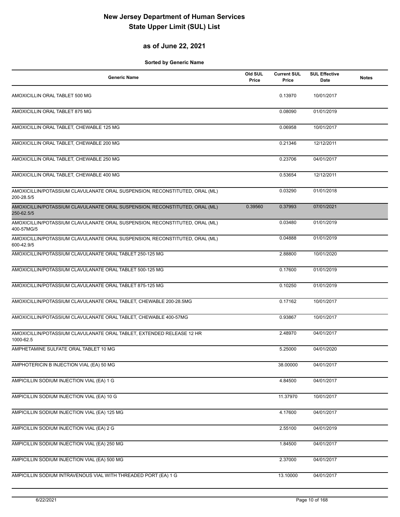### **as of June 22, 2021**

| <b>Generic Name</b>                                                                       | Old SUL<br>Price | <b>Current SUL</b><br>Price | <b>SUL Effective</b><br>Date | <b>Notes</b> |
|-------------------------------------------------------------------------------------------|------------------|-----------------------------|------------------------------|--------------|
| AMOXICILLIN ORAL TABLET 500 MG                                                            |                  | 0.13970                     | 10/01/2017                   |              |
| AMOXICILLIN ORAL TABLET 875 MG                                                            |                  | 0.08090                     | 01/01/2019                   |              |
| AMOXICILLIN ORAL TABLET, CHEWABLE 125 MG                                                  |                  | 0.06958                     | 10/01/2017                   |              |
| AMOXICILLIN ORAL TABLET, CHEWABLE 200 MG                                                  |                  | 0.21346                     | 12/12/2011                   |              |
| AMOXICILLIN ORAL TABLET, CHEWABLE 250 MG                                                  |                  | 0.23706                     | 04/01/2017                   |              |
| AMOXICILLIN ORAL TABLET, CHEWABLE 400 MG                                                  |                  | 0.53654                     | 12/12/2011                   |              |
| AMOXICILLIN/POTASSIUM CLAVULANATE ORAL SUSPENSION, RECONSTITUTED, ORAL (ML)<br>200-28.5/5 |                  | 0.03290                     | 01/01/2018                   |              |
| AMOXICILLIN/POTASSIUM CLAVULANATE ORAL SUSPENSION, RECONSTITUTED, ORAL (ML)<br>250-62.5/5 | 0.39560          | 0.37993                     | 07/01/2021                   |              |
| AMOXICILLIN/POTASSIUM CLAVULANATE ORAL SUSPENSION, RECONSTITUTED, ORAL (ML)<br>400-57MG/5 |                  | 0.03480                     | 01/01/2019                   |              |
| AMOXICILLIN/POTASSIUM CLAVULANATE ORAL SUSPENSION, RECONSTITUTED, ORAL (ML)<br>600-42.9/5 |                  | 0.04888                     | 01/01/2019                   |              |
| AMOXICILLIN/POTASSIUM CLAVULANATE ORAL TABLET 250-125 MG                                  |                  | 2.88800                     | 10/01/2020                   |              |
| AMOXICILLIN/POTASSIUM CLAVULANATE ORAL TABLET 500-125 MG                                  |                  | 0.17600                     | 01/01/2019                   |              |
| AMOXICILLIN/POTASSIUM CLAVULANATE ORAL TABLET 875-125 MG                                  |                  | 0.10250                     | 01/01/2019                   |              |
| AMOXICILLIN/POTASSIUM CLAVULANATE ORAL TABLET, CHEWABLE 200-28.5MG                        |                  | 0.17162                     | 10/01/2017                   |              |
| AMOXICILLIN/POTASSIUM CLAVULANATE ORAL TABLET, CHEWABLE 400-57MG                          |                  | 0.93867                     | 10/01/2017                   |              |
| AMOXICILLIN/POTASSIUM CLAVULANATE ORAL TABLET, EXTENDED RELEASE 12 HR<br>1000-62.5        |                  | 2.48970                     | 04/01/2017                   |              |
| AMPHETAMINE SULFATE ORAL TABLET 10 MG                                                     |                  | 5.25000                     | 04/01/2020                   |              |
| AMPHOTERICIN B INJECTION VIAL (EA) 50 MG                                                  |                  | 38.00000                    | 04/01/2017                   |              |
| AMPICILLIN SODIUM INJECTION VIAL (EA) 1 G                                                 |                  | 4.84500                     | 04/01/2017                   |              |
| AMPICILLIN SODIUM INJECTION VIAL (EA) 10 G                                                |                  | 11.37970                    | 10/01/2017                   |              |
| AMPICILLIN SODIUM INJECTION VIAL (EA) 125 MG                                              |                  | 4.17600                     | 04/01/2017                   |              |
| AMPICILLIN SODIUM INJECTION VIAL (EA) 2 G                                                 |                  | 2.55100                     | 04/01/2019                   |              |
| AMPICILLIN SODIUM INJECTION VIAL (EA) 250 MG                                              |                  | 1.84500                     | 04/01/2017                   |              |
| AMPICILLIN SODIUM INJECTION VIAL (EA) 500 MG                                              |                  | 2.37000                     | 04/01/2017                   |              |
| AMPICILLIN SODIUM INTRAVENOUS VIAL WITH THREADED PORT (EA) 1 G                            |                  | 13.10000                    | 04/01/2017                   |              |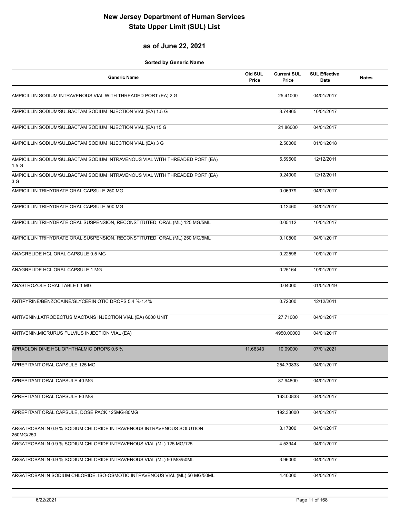#### **as of June 22, 2021**

| <b>Generic Name</b>                                                                             | Old SUL<br>Price | <b>Current SUL</b><br>Price | <b>SUL Effective</b><br>Date | <b>Notes</b> |
|-------------------------------------------------------------------------------------------------|------------------|-----------------------------|------------------------------|--------------|
| AMPICILLIN SODIUM INTRAVENOUS VIAL WITH THREADED PORT (EA) 2 G                                  |                  | 25.41000                    | 04/01/2017                   |              |
| AMPICILLIN SODIUM/SULBACTAM SODIUM INJECTION VIAL (EA) 1.5 G                                    |                  | 3.74865                     | 10/01/2017                   |              |
| AMPICILLIN SODIUM/SULBACTAM SODIUM INJECTION VIAL (EA) 15 G                                     |                  | 21.86000                    | 04/01/2017                   |              |
| AMPICILLIN SODIUM/SULBACTAM SODIUM INJECTION VIAL (EA) 3 G                                      |                  | 2.50000                     | 01/01/2018                   |              |
| AMPICILLIN SODIUM/SULBACTAM SODIUM INTRAVENOUS VIAL WITH THREADED PORT (EA)<br>1.5 <sub>G</sub> |                  | 5.59500                     | 12/12/2011                   |              |
| AMPICILLIN SODIUM/SULBACTAM SODIUM INTRAVENOUS VIAL WITH THREADED PORT (EA)<br>3 G              |                  | 9.24000                     | 12/12/2011                   |              |
| AMPICILLIN TRIHYDRATE ORAL CAPSULE 250 MG                                                       |                  | 0.06979                     | 04/01/2017                   |              |
| AMPICILLIN TRIHYDRATE ORAL CAPSULE 500 MG                                                       |                  | 0.12460                     | 04/01/2017                   |              |
| AMPICILLIN TRIHYDRATE ORAL SUSPENSION, RECONSTITUTED, ORAL (ML) 125 MG/5ML                      |                  | 0.05412                     | 10/01/2017                   |              |
| AMPICILLIN TRIHYDRATE ORAL SUSPENSION, RECONSTITUTED, ORAL (ML) 250 MG/5ML                      |                  | 0.10800                     | 04/01/2017                   |              |
| ANAGRELIDE HCL ORAL CAPSULE 0.5 MG                                                              |                  | 0.22598                     | 10/01/2017                   |              |
| ANAGRELIDE HCL ORAL CAPSULE 1 MG                                                                |                  | 0.25164                     | 10/01/2017                   |              |
| ANASTROZOLE ORAL TABLET 1 MG                                                                    |                  | 0.04000                     | 01/01/2019                   |              |
| ANTIPYRINE/BENZOCAINE/GLYCERIN OTIC DROPS 5.4 %-1.4%                                            |                  | 0.72000                     | 12/12/2011                   |              |
| ANTIVENIN, LATRODECTUS MACTANS INJECTION VIAL (EA) 6000 UNIT                                    |                  | 27.71000                    | 04/01/2017                   |              |
| ANTIVENIN, MICRURUS FULVIUS INJECTION VIAL (EA)                                                 |                  | 4950.00000                  | 04/01/2017                   |              |
| APRACLONIDINE HCL OPHTHALMIC DROPS 0.5 %                                                        | 11.66343         | 10.09000                    | 07/01/2021                   |              |
| APREPITANT ORAL CAPSULE 125 MG                                                                  |                  | 254.70833                   | 04/01/2017                   |              |
| APREPITANT ORAL CAPSULE 40 MG                                                                   |                  | 87.94800                    | 04/01/2017                   |              |
| APREPITANT ORAL CAPSULE 80 MG                                                                   |                  | 163.00833                   | 04/01/2017                   |              |
| APREPITANT ORAL CAPSULE, DOSE PACK 125MG-80MG                                                   |                  | 192.33000                   | 04/01/2017                   |              |
| ARGATROBAN IN 0.9 % SODIUM CHLORIDE INTRAVENOUS INTRAVENOUS SOLUTION<br>250MG/250               |                  | 3.17800                     | 04/01/2017                   |              |
| ARGATROBAN IN 0.9 % SODIUM CHLORIDE INTRAVENOUS VIAL (ML) 125 MG/125                            |                  | 4.53944                     | 04/01/2017                   |              |
| ARGATROBAN IN 0.9 % SODIUM CHLORIDE INTRAVENOUS VIAL (ML) 50 MG/50ML                            |                  | 3.96000                     | 04/01/2017                   |              |
| ARGATROBAN IN SODIUM CHLORIDE, ISO-OSMOTIC INTRAVENOUS VIAL (ML) 50 MG/50ML                     |                  | 4.40000                     | 04/01/2017                   |              |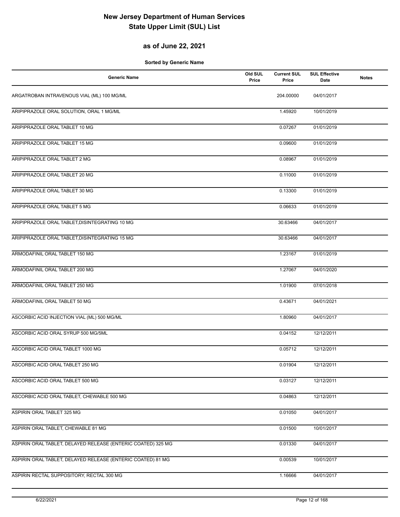### **as of June 22, 2021**

| <b>Generic Name</b>                                          | Old SUL<br>Price | <b>Current SUL</b><br>Price | <b>SUL Effective</b><br>Date | <b>Notes</b> |
|--------------------------------------------------------------|------------------|-----------------------------|------------------------------|--------------|
| ARGATROBAN INTRAVENOUS VIAL (ML) 100 MG/ML                   |                  | 204.00000                   | 04/01/2017                   |              |
| ARIPIPRAZOLE ORAL SOLUTION, ORAL 1 MG/ML                     |                  | 1.45920                     | 10/01/2019                   |              |
| ARIPIPRAZOLE ORAL TABLET 10 MG                               |                  | 0.07267                     | 01/01/2019                   |              |
| ARIPIPRAZOLE ORAL TABLET 15 MG                               |                  | 0.09600                     | 01/01/2019                   |              |
| ARIPIPRAZOLE ORAL TABLET 2 MG                                |                  | 0.08967                     | 01/01/2019                   |              |
| ARIPIPRAZOLE ORAL TABLET 20 MG                               |                  | 0.11000                     | 01/01/2019                   |              |
| ARIPIPRAZOLE ORAL TABLET 30 MG                               |                  | 0.13300                     | 01/01/2019                   |              |
| ARIPIPRAZOLE ORAL TABLET 5 MG                                |                  | 0.06633                     | 01/01/2019                   |              |
| ARIPIPRAZOLE ORAL TABLET, DISINTEGRATING 10 MG               |                  | 30.63466                    | 04/01/2017                   |              |
| ARIPIPRAZOLE ORAL TABLET, DISINTEGRATING 15 MG               |                  | 30.63466                    | 04/01/2017                   |              |
| ARMODAFINIL ORAL TABLET 150 MG                               |                  | 1.23167                     | 01/01/2019                   |              |
| ARMODAFINIL ORAL TABLET 200 MG                               |                  | 1.27067                     | 04/01/2020                   |              |
| ARMODAFINIL ORAL TABLET 250 MG                               |                  | 1.01900                     | 07/01/2018                   |              |
| ARMODAFINIL ORAL TABLET 50 MG                                |                  | 0.43671                     | 04/01/2021                   |              |
| ASCORBIC ACID INJECTION VIAL (ML) 500 MG/ML                  |                  | 1.80960                     | 04/01/2017                   |              |
| ASCORBIC ACID ORAL SYRUP 500 MG/5ML                          |                  | 0.04152                     | 12/12/2011                   |              |
| ASCORBIC ACID ORAL TABLET 1000 MG                            |                  | 0.05712                     | 12/12/2011                   |              |
| ASCORBIC ACID ORAL TABLET 250 MG                             |                  | 0.01904                     | 12/12/2011                   |              |
| ASCORBIC ACID ORAL TABLET 500 MG                             |                  | 0.03127                     | 12/12/2011                   |              |
| ASCORBIC ACID ORAL TABLET, CHEWABLE 500 MG                   |                  | 0.04863                     | 12/12/2011                   |              |
| ASPIRIN ORAL TABLET 325 MG                                   |                  | 0.01050                     | 04/01/2017                   |              |
| ASPIRIN ORAL TABLET, CHEWABLE 81 MG                          |                  | 0.01500                     | 10/01/2017                   |              |
| ASPIRIN ORAL TABLET, DELAYED RELEASE (ENTERIC COATED) 325 MG |                  | 0.01330                     | 04/01/2017                   |              |
| ASPIRIN ORAL TABLET, DELAYED RELEASE (ENTERIC COATED) 81 MG  |                  | 0.00539                     | 10/01/2017                   |              |
| ASPIRIN RECTAL SUPPOSITORY, RECTAL 300 MG                    |                  | 1.16666                     | 04/01/2017                   |              |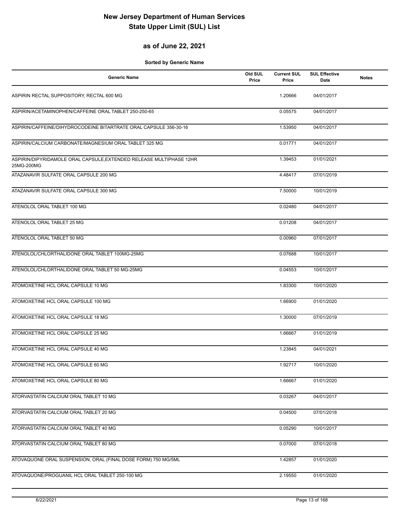#### **as of June 22, 2021**

| <b>Generic Name</b>                                                               | Old SUL<br>Price | <b>Current SUL</b><br>Price | <b>SUL Effective</b><br>Date | <b>Notes</b> |
|-----------------------------------------------------------------------------------|------------------|-----------------------------|------------------------------|--------------|
| ASPIRIN RECTAL SUPPOSITORY, RECTAL 600 MG                                         |                  | 1.20666                     | 04/01/2017                   |              |
| ASPIRIN/ACETAMINOPHEN/CAFFEINE ORAL TABLET 250-250-65                             |                  | 0.05575                     | 04/01/2017                   |              |
| ASPIRIN/CAFFEINE/DIHYDROCODEINE BITARTRATE ORAL CAPSULE 356-30-16                 |                  | 1.53950                     | 04/01/2017                   |              |
| ASPIRIN/CALCIUM CARBONATE/MAGNESIUM ORAL TABLET 325 MG                            |                  | 0.01771                     | 04/01/2017                   |              |
| ASPIRIN/DIPYRIDAMOLE ORAL CAPSULE, EXTENDED RELEASE MULTIPHASE 12HR<br>25MG-200MG |                  | 1.39453                     | 01/01/2021                   |              |
| ATAZANAVIR SULFATE ORAL CAPSULE 200 MG                                            |                  | 4.48417                     | 07/01/2019                   |              |
| ATAZANAVIR SULFATE ORAL CAPSULE 300 MG                                            |                  | 7.50000                     | 10/01/2019                   |              |
| ATENOLOL ORAL TABLET 100 MG                                                       |                  | 0.02480                     | 04/01/2017                   |              |
| ATENOLOL ORAL TABLET 25 MG                                                        |                  | 0.01208                     | 04/01/2017                   |              |
| ATENOLOL ORAL TABLET 50 MG                                                        |                  | 0.00960                     | 07/01/2017                   |              |
| ATENOLOL/CHLORTHALIDONE ORAL TABLET 100MG-25MG                                    |                  | 0.07688                     | 10/01/2017                   |              |
| ATENOLOL/CHLORTHALIDONE ORAL TABLET 50 MG-25MG                                    |                  | 0.04553                     | 10/01/2017                   |              |
| ATOMOXETINE HCL ORAL CAPSULE 10 MG                                                |                  | 1.83300                     | 10/01/2020                   |              |
| ATOMOXETINE HCL ORAL CAPSULE 100 MG                                               |                  | 1.66900                     | 01/01/2020                   |              |
| ATOMOXETINE HCL ORAL CAPSULE 18 MG                                                |                  | 1.30000                     | 07/01/2019                   |              |
| ATOMOXETINE HCL ORAL CAPSULE 25 MG                                                |                  | 1.66667                     | 01/01/2019                   |              |
| ATOMOXETINE HCL ORAL CAPSULE 40 MG                                                |                  | 1.23845                     | 04/01/2021                   |              |
| ATOMOXETINE HCL ORAL CAPSULE 60 MG                                                |                  | 1.92717                     | 10/01/2020                   |              |
| ATOMOXETINE HCL ORAL CAPSULE 80 MG                                                |                  | 1.66667                     | 01/01/2020                   |              |
| ATORVASTATIN CALCIUM ORAL TABLET 10 MG                                            |                  | 0.03267                     | 04/01/2017                   |              |
| ATORVASTATIN CALCIUM ORAL TABLET 20 MG                                            |                  | 0.04500                     | 07/01/2018                   |              |
| ATORVASTATIN CALCIUM ORAL TABLET 40 MG                                            |                  | 0.05290                     | 10/01/2017                   |              |
| ATORVASTATIN CALCIUM ORAL TABLET 80 MG                                            |                  | 0.07000                     | 07/01/2018                   |              |
| ATOVAQUONE ORAL SUSPENSION, ORAL (FINAL DOSE FORM) 750 MG/5ML                     |                  | 1.42857                     | 01/01/2020                   |              |
| ATOVAQUONE/PROGUANIL HCL ORAL TABLET 250-100 MG                                   |                  | 2.19550                     | 01/01/2020                   |              |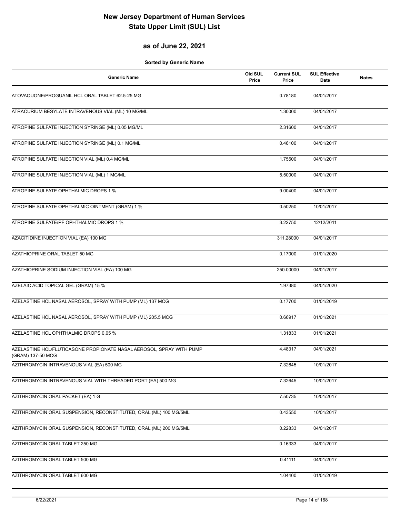### **as of June 22, 2021**

| <b>Generic Name</b>                                                                       | Old SUL<br>Price | <b>Current SUL</b><br>Price | <b>SUL Effective</b><br>Date | <b>Notes</b> |
|-------------------------------------------------------------------------------------------|------------------|-----------------------------|------------------------------|--------------|
| ATOVAQUONE/PROGUANIL HCL ORAL TABLET 62.5-25 MG                                           |                  | 0.78180                     | 04/01/2017                   |              |
| ATRACURIUM BESYLATE INTRAVENOUS VIAL (ML) 10 MG/ML                                        |                  | 1.30000                     | 04/01/2017                   |              |
| ATROPINE SULFATE INJECTION SYRINGE (ML) 0.05 MG/ML                                        |                  | 2.31600                     | 04/01/2017                   |              |
| ATROPINE SULFATE INJECTION SYRINGE (ML) 0.1 MG/ML                                         |                  | 0.46100                     | 04/01/2017                   |              |
| ATROPINE SULFATE INJECTION VIAL (ML) 0.4 MG/ML                                            |                  | 1.75500                     | 04/01/2017                   |              |
| ATROPINE SULFATE INJECTION VIAL (ML) 1 MG/ML                                              |                  | 5.50000                     | 04/01/2017                   |              |
| ATROPINE SULFATE OPHTHALMIC DROPS 1 %                                                     |                  | 9.00400                     | 04/01/2017                   |              |
| ATROPINE SULFATE OPHTHALMIC OINTMENT (GRAM) 1 %                                           |                  | 0.50250                     | 10/01/2017                   |              |
| ATROPINE SULFATE/PF OPHTHALMIC DROPS 1 %                                                  |                  | 3.22750                     | 12/12/2011                   |              |
| AZACITIDINE INJECTION VIAL (EA) 100 MG                                                    |                  | 311.28000                   | 04/01/2017                   |              |
| AZATHIOPRINE ORAL TABLET 50 MG                                                            |                  | 0.17000                     | 01/01/2020                   |              |
| AZATHIOPRINE SODIUM INJECTION VIAL (EA) 100 MG                                            |                  | 250.00000                   | 04/01/2017                   |              |
| AZELAIC ACID TOPICAL GEL (GRAM) 15 %                                                      |                  | 1.97380                     | 04/01/2020                   |              |
| AZELASTINE HCL NASAL AEROSOL, SPRAY WITH PUMP (ML) 137 MCG                                |                  | 0.17700                     | 01/01/2019                   |              |
| AZELASTINE HCL NASAL AEROSOL, SPRAY WITH PUMP (ML) 205.5 MCG                              |                  | 0.66917                     | 01/01/2021                   |              |
| AZELASTINE HCL OPHTHALMIC DROPS 0.05 %                                                    |                  | 1.31833                     | 01/01/2021                   |              |
| AZELASTINE HCL/FLUTICASONE PROPIONATE NASAL AEROSOL, SPRAY WITH PUMP<br>(GRAM) 137-50 MCG |                  | 4.48317                     | 04/01/2021                   |              |
| AZITHROMYCIN INTRAVENOUS VIAL (EA) 500 MG                                                 |                  | 7.32645                     | 10/01/2017                   |              |
| AZITHROMYCIN INTRAVENOUS VIAL WITH THREADED PORT (EA) 500 MG                              |                  | 7.32645                     | 10/01/2017                   |              |
| AZITHROMYCIN ORAL PACKET (EA) 1 G                                                         |                  | 7.50735                     | 10/01/2017                   |              |
| AZITHROMYCIN ORAL SUSPENSION, RECONSTITUTED, ORAL (ML) 100 MG/5ML                         |                  | 0.43550                     | 10/01/2017                   |              |
| AZITHROMYCIN ORAL SUSPENSION, RECONSTITUTED, ORAL (ML) 200 MG/5ML                         |                  | 0.22833                     | 04/01/2017                   |              |
| AZITHROMYCIN ORAL TABLET 250 MG                                                           |                  | 0.16333                     | 04/01/2017                   |              |
| AZITHROMYCIN ORAL TABLET 500 MG                                                           |                  | 0.41111                     | 04/01/2017                   |              |
| AZITHROMYCIN ORAL TABLET 600 MG                                                           |                  | 1.04400                     | 01/01/2019                   |              |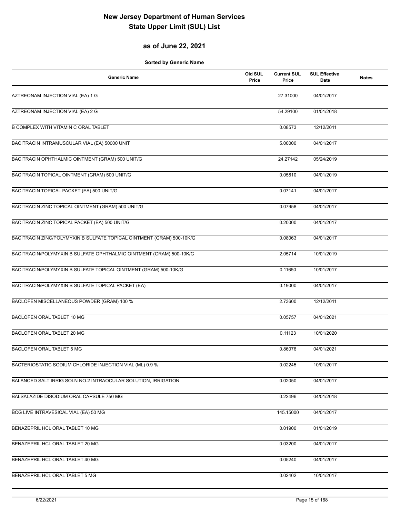### **as of June 22, 2021**

| <b>Generic Name</b>                                                   | Old SUL<br>Price | <b>Current SUL</b><br>Price | <b>SUL Effective</b><br>Date | <b>Notes</b> |
|-----------------------------------------------------------------------|------------------|-----------------------------|------------------------------|--------------|
| AZTREONAM INJECTION VIAL (EA) 1 G                                     |                  | 27.31000                    | 04/01/2017                   |              |
| AZTREONAM INJECTION VIAL (EA) 2 G                                     |                  | 54.29100                    | 01/01/2018                   |              |
| <b>B COMPLEX WITH VITAMIN C ORAL TABLET</b>                           |                  | 0.08573                     | 12/12/2011                   |              |
| BACITRACIN INTRAMUSCULAR VIAL (EA) 50000 UNIT                         |                  | 5.00000                     | 04/01/2017                   |              |
| BACITRACIN OPHTHALMIC OINTMENT (GRAM) 500 UNIT/G                      |                  | 24.27142                    | 05/24/2019                   |              |
| BACITRACIN TOPICAL OINTMENT (GRAM) 500 UNIT/G                         |                  | 0.05810                     | 04/01/2019                   |              |
| BACITRACIN TOPICAL PACKET (EA) 500 UNIT/G                             |                  | 0.07141                     | 04/01/2017                   |              |
| BACITRACIN ZINC TOPICAL OINTMENT (GRAM) 500 UNIT/G                    |                  | 0.07958                     | 04/01/2017                   |              |
| BACITRACIN ZINC TOPICAL PACKET (EA) 500 UNIT/G                        |                  | 0.20000                     | 04/01/2017                   |              |
| BACITRACIN ZINC/POLYMYXIN B SULFATE TOPICAL OINTMENT (GRAM) 500-10K/G |                  | 0.08063                     | 04/01/2017                   |              |
| BACITRACIN/POLYMYXIN B SULFATE OPHTHALMIC OINTMENT (GRAM) 500-10K/G   |                  | 2.05714                     | 10/01/2019                   |              |
| BACITRACIN/POLYMYXIN B SULFATE TOPICAL OINTMENT (GRAM) 500-10K/G      |                  | 0.11650                     | 10/01/2017                   |              |
| BACITRACIN/POLYMYXIN B SULFATE TOPICAL PACKET (EA)                    |                  | 0.19000                     | 04/01/2017                   |              |
| BACLOFEN MISCELLANEOUS POWDER (GRAM) 100 %                            |                  | 2.73600                     | 12/12/2011                   |              |
| BACLOFEN ORAL TABLET 10 MG                                            |                  | 0.05757                     | 04/01/2021                   |              |
| BACLOFEN ORAL TABLET 20 MG                                            |                  | 0.11123                     | 10/01/2020                   |              |
| <b>BACLOFEN ORAL TABLET 5 MG</b>                                      |                  | 0.86076                     | 04/01/2021                   |              |
| BACTERIOSTATIC SODIUM CHLORIDE INJECTION VIAL (ML) 0.9 %              |                  | 0.02245                     | 10/01/2017                   |              |
| BALANCED SALT IRRIG SOLN NO.2 INTRAOCULAR SOLUTION, IRRIGATION        |                  | 0.02050                     | 04/01/2017                   |              |
| BALSALAZIDE DISODIUM ORAL CAPSULE 750 MG                              |                  | 0.22496                     | 04/01/2018                   |              |
| BCG LIVE INTRAVESICAL VIAL (EA) 50 MG                                 |                  | 145.15000                   | 04/01/2017                   |              |
| BENAZEPRIL HCL ORAL TABLET 10 MG                                      |                  | 0.01900                     | 01/01/2019                   |              |
| BENAZEPRIL HCL ORAL TABLET 20 MG                                      |                  | 0.03200                     | 04/01/2017                   |              |
| BENAZEPRIL HCL ORAL TABLET 40 MG                                      |                  | 0.05240                     | 04/01/2017                   |              |
| BENAZEPRIL HCL ORAL TABLET 5 MG                                       |                  | 0.02402                     | 10/01/2017                   |              |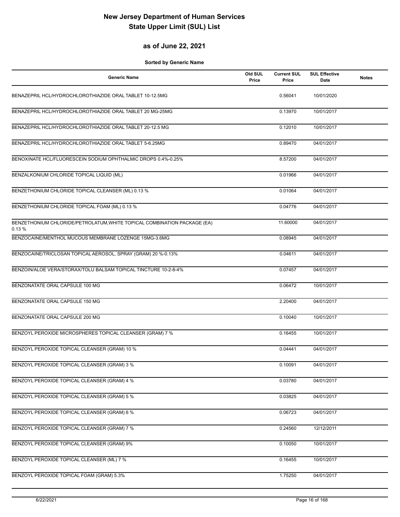#### **as of June 22, 2021**

| <b>Generic Name</b>                                                               | Old SUL<br>Price | <b>Current SUL</b><br>Price | <b>SUL Effective</b><br><b>Date</b> | <b>Notes</b> |
|-----------------------------------------------------------------------------------|------------------|-----------------------------|-------------------------------------|--------------|
| BENAZEPRIL HCL/HYDROCHLOROTHIAZIDE ORAL TABLET 10-12.5MG                          |                  | 0.56041                     | 10/01/2020                          |              |
| BENAZEPRIL HCL/HYDROCHLOROTHIAZIDE ORAL TABLET 20 MG-25MG                         |                  | 0.13970                     | 10/01/2017                          |              |
| BENAZEPRIL HCL/HYDROCHLOROTHIAZIDE ORAL TABLET 20-12.5 MG                         |                  | 0.12010                     | 10/01/2017                          |              |
| BENAZEPRIL HCL/HYDROCHLOROTHIAZIDE ORAL TABLET 5-6.25MG                           |                  | 0.89470                     | 04/01/2017                          |              |
| BENOXINATE HCL/FLUORESCEIN SODIUM OPHTHALMIC DROPS 0.4%-0.25%                     |                  | 8.57200                     | 04/01/2017                          |              |
| BENZALKONIUM CHLORIDE TOPICAL LIQUID (ML)                                         |                  | 0.01966                     | 04/01/2017                          |              |
| BENZETHONIUM CHLORIDE TOPICAL CLEANSER (ML) 0.13 %                                |                  | 0.01064                     | 04/01/2017                          |              |
| BENZETHONIUM CHLORIDE TOPICAL FOAM (ML) 0.13 %                                    |                  | 0.04776                     | 04/01/2017                          |              |
| BENZETHONIUM CHLORIDE/PETROLATUM, WHITE TOPICAL COMBINATION PACKAGE (EA)<br>0.13% |                  | 11.60000                    | 04/01/2017                          |              |
| BENZOCAINE/MENTHOL MUCOUS MEMBRANE LOZENGE 15MG-3.6MG                             |                  | 0.08945                     | 04/01/2017                          |              |
| BENZOCAINE/TRICLOSAN TOPICAL AEROSOL, SPRAY (GRAM) 20 %-0.13%                     |                  | 0.04611                     | 04/01/2017                          |              |
| BENZOIN/ALOE VERA/STORAX/TOLU BALSAM TOPICAL TINCTURE 10-2-8-4%                   |                  | 0.07457                     | 04/01/2017                          |              |
| BENZONATATE ORAL CAPSULE 100 MG                                                   |                  | 0.06472                     | 10/01/2017                          |              |
| BENZONATATE ORAL CAPSULE 150 MG                                                   |                  | 2.20400                     | 04/01/2017                          |              |
| BENZONATATE ORAL CAPSULE 200 MG                                                   |                  | 0.10040                     | 10/01/2017                          |              |
| BENZOYL PEROXIDE MICROSPHERES TOPICAL CLEANSER (GRAM) 7 %                         |                  | 0.16455                     | 10/01/2017                          |              |
| BENZOYL PEROXIDE TOPICAL CLEANSER (GRAM) 10 %                                     |                  | 0.04441                     | 04/01/2017                          |              |
| BENZOYL PEROXIDE TOPICAL CLEANSER (GRAM) 3 %                                      |                  | 0.10091                     | 04/01/2017                          |              |
| BENZOYL PEROXIDE TOPICAL CLEANSER (GRAM) 4 %                                      |                  | 0.03780                     | 04/01/2017                          |              |
| BENZOYL PEROXIDE TOPICAL CLEANSER (GRAM) 5 %                                      |                  | 0.03825                     | 04/01/2017                          |              |
| BENZOYL PEROXIDE TOPICAL CLEANSER (GRAM) 6 %                                      |                  | 0.06723                     | 04/01/2017                          |              |
| BENZOYL PEROXIDE TOPICAL CLEANSER (GRAM) 7 %                                      |                  | 0.24560                     | 12/12/2011                          |              |
| BENZOYL PEROXIDE TOPICAL CLEANSER (GRAM) 9%                                       |                  | 0.10050                     | 10/01/2017                          |              |
| BENZOYL PEROXIDE TOPICAL CLEANSER (ML) 7 %                                        |                  | 0.16455                     | 10/01/2017                          |              |
| BENZOYL PEROXIDE TOPICAL FOAM (GRAM) 5.3%                                         |                  | 1.75250                     | 04/01/2017                          |              |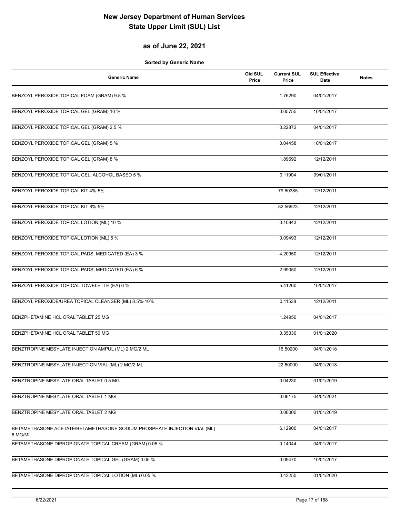### **as of June 22, 2021**

| <b>Generic Name</b>                                                                 | Old SUL<br>Price | <b>Current SUL</b><br>Price | <b>SUL Effective</b><br>Date | <b>Notes</b> |
|-------------------------------------------------------------------------------------|------------------|-----------------------------|------------------------------|--------------|
| BENZOYL PEROXIDE TOPICAL FOAM (GRAM) 9.8 %                                          |                  | 1.76290                     | 04/01/2017                   |              |
| BENZOYL PEROXIDE TOPICAL GEL (GRAM) 10 %                                            |                  | 0.05755                     | 10/01/2017                   |              |
| BENZOYL PEROXIDE TOPICAL GEL (GRAM) 2.5 %                                           |                  | 0.22872                     | 04/01/2017                   |              |
| BENZOYL PEROXIDE TOPICAL GEL (GRAM) 5 %                                             |                  | 0.04458                     | 10/01/2017                   |              |
| BENZOYL PEROXIDE TOPICAL GEL (GRAM) 8 %                                             |                  | 1.89692                     | 12/12/2011                   |              |
| BENZOYL PEROXIDE TOPICAL GEL, ALCOHOL BASED 5 %                                     |                  | 0.11904                     | 09/01/2011                   |              |
| BENZOYL PEROXIDE TOPICAL KIT 4%-5%                                                  |                  | 79.60385                    | 12/12/2011                   |              |
| BENZOYL PEROXIDE TOPICAL KIT 8%-5%                                                  |                  | 82.56923                    | 12/12/2011                   |              |
| BENZOYL PEROXIDE TOPICAL LOTION (ML) 10 %                                           |                  | 0.10843                     | 12/12/2011                   |              |
| BENZOYL PEROXIDE TOPICAL LOTION (ML) 5 %                                            |                  | 0.09493                     | 12/12/2011                   |              |
| BENZOYL PEROXIDE TOPICAL PADS, MEDICATED (EA) 3 %                                   |                  | 4.20950                     | 12/12/2011                   |              |
| BENZOYL PEROXIDE TOPICAL PADS, MEDICATED (EA) 6 %                                   |                  | 2.99050                     | 12/12/2011                   |              |
| BENZOYL PEROXIDE TOPICAL TOWELETTE (EA) 6 %                                         |                  | 5.41260                     | 10/01/2017                   |              |
| BENZOYL PEROXIDE/UREA TOPICAL CLEANSER (ML) 8.5%-10%                                |                  | 0.11538                     | 12/12/2011                   |              |
| BENZPHETAMINE HCL ORAL TABLET 25 MG                                                 |                  | 1.24950                     | 04/01/2017                   |              |
| BENZPHETAMINE HCL ORAL TABLET 50 MG                                                 |                  | 0.35330                     | 01/01/2020                   |              |
| BENZTROPINE MESYLATE INJECTION AMPUL (ML) 2 MG/2 ML                                 |                  | 16.50200                    | 04/01/2018                   |              |
| BENZTROPINE MESYLATE INJECTION VIAL (ML) 2 MG/2 ML                                  |                  | 22.50000                    | 04/01/2018                   |              |
| BENZTROPINE MESYLATE ORAL TABLET 0.5 MG                                             |                  | 0.04230                     | 01/01/2019                   |              |
| BENZTROPINE MESYLATE ORAL TABLET 1 MG                                               |                  | 0.06175                     | 04/01/2021                   |              |
| BENZTROPINE MESYLATE ORAL TABLET 2 MG                                               |                  | 0.06000                     | 01/01/2019                   |              |
| BETAMETHASONE ACETATE/BETAMETHASONE SODIUM PHOSPHATE INJECTION VIAL (ML)<br>6 MG/ML |                  | 6.12900                     | 04/01/2017                   |              |
| BETAMETHASONE DIPROPIONATE TOPICAL CREAM (GRAM) 0.05 %                              |                  | 0.14044                     | 04/01/2017                   |              |
| BETAMETHASONE DIPROPIONATE TOPICAL GEL (GRAM) 0.05 %                                |                  | 0.09470                     | 10/01/2017                   |              |
| BETAMETHASONE DIPROPIONATE TOPICAL LOTION (ML) 0.05 %                               |                  | 0.43250                     | 01/01/2020                   |              |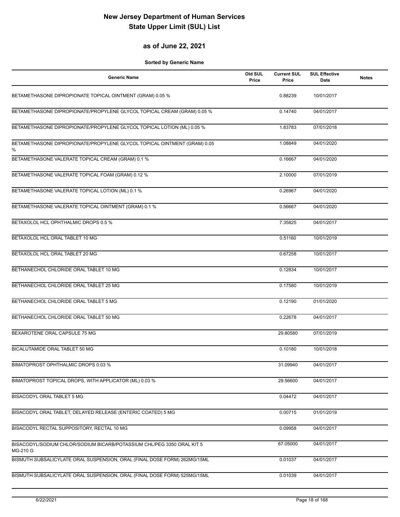#### **as of June 22, 2021**

| <b>Generic Name</b>                                                                | Old SUL<br>Price | <b>Current SUL</b><br>Price | <b>SUL Effective</b><br><b>Date</b> | <b>Notes</b> |
|------------------------------------------------------------------------------------|------------------|-----------------------------|-------------------------------------|--------------|
| BETAMETHASONE DIPROPIONATE TOPICAL OINTMENT (GRAM) 0.05 %                          |                  | 0.88239                     | 10/01/2017                          |              |
| BETAMETHASONE DIPROPIONATE/PROPYLENE GLYCOL TOPICAL CREAM (GRAM) 0.05 %            |                  | 0.14740                     | 04/01/2017                          |              |
| BETAMETHASONE DIPROPIONATE/PROPYLENE GLYCOL TOPICAL LOTION (ML) 0.05 %             |                  | 1.83783                     | 07/01/2018                          |              |
| BETAMETHASONE DIPROPIONATE/PROPYLENE GLYCOL TOPICAL OINTMENT (GRAM) 0.05<br>%      |                  | 1.08849                     | 04/01/2020                          |              |
| BETAMETHASONE VALERATE TOPICAL CREAM (GRAM) 0.1 %                                  |                  | 0.16667                     | 04/01/2020                          |              |
| BETAMETHASONE VALERATE TOPICAL FOAM (GRAM) 0.12 %                                  |                  | 2.10000                     | 07/01/2019                          |              |
| BETAMETHASONE VALERATE TOPICAL LOTION (ML) 0.1 %                                   |                  | 0.26967                     | 04/01/2020                          |              |
| BETAMETHASONE VALERATE TOPICAL OINTMENT (GRAM) 0.1 %                               |                  | 0.56667                     | 04/01/2020                          |              |
| BETAXOLOL HCL OPHTHALMIC DROPS 0.5 %                                               |                  | 7.35825                     | 04/01/2017                          |              |
| BETAXOLOL HCL ORAL TABLET 10 MG                                                    |                  | 0.51160                     | 10/01/2019                          |              |
| BETAXOLOL HCL ORAL TABLET 20 MG                                                    |                  | 0.67258                     | 10/01/2017                          |              |
| BETHANECHOL CHLORIDE ORAL TABLET 10 MG                                             |                  | 0.12834                     | 10/01/2017                          |              |
| BETHANECHOL CHLORIDE ORAL TABLET 25 MG                                             |                  | 0.17580                     | 10/01/2019                          |              |
| BETHANECHOL CHLORIDE ORAL TABLET 5 MG                                              |                  | 0.12190                     | 01/01/2020                          |              |
| BETHANECHOL CHLORIDE ORAL TABLET 50 MG                                             |                  | 0.22678                     | 04/01/2017                          |              |
| BEXAROTENE ORAL CAPSULE 75 MG                                                      |                  | 29.80580                    | 07/01/2019                          |              |
| BICALUTAMIDE ORAL TABLET 50 MG                                                     |                  | 0.10180                     | 10/01/2018                          |              |
| BIMATOPROST OPHTHALMIC DROPS 0.03 %                                                |                  | 31.09940                    | 04/01/2017                          |              |
| BIMATOPROST TOPICAL DROPS, WITH APPLICATOR (ML) 0.03 %                             |                  | 29.56600                    | 04/01/2017                          |              |
| BISACODYL ORAL TABLET 5 MG                                                         |                  | 0.04472                     | 04/01/2017                          |              |
| BISACODYL ORAL TABLET, DELAYED RELEASE (ENTERIC COATED) 5 MG                       |                  | 0.00715                     | 01/01/2019                          |              |
| BISACODYL RECTAL SUPPOSITORY, RECTAL 10 MG                                         |                  | 0.09958                     | 04/01/2017                          |              |
| BISACODYL/SODIUM CHLOR/SODIUM BICARB/POTASSIUM CHL/PEG 3350 ORAL KIT 5<br>MG-210 G |                  | 67.05000                    | 04/01/2017                          |              |
| BISMUTH SUBSALICYLATE ORAL SUSPENSION, ORAL (FINAL DOSE FORM) 262MG/15ML           |                  | 0.01037                     | 04/01/2017                          |              |
| BISMUTH SUBSALICYLATE ORAL SUSPENSION, ORAL (FINAL DOSE FORM) 525MG/15ML           |                  | 0.01039                     | 04/01/2017                          |              |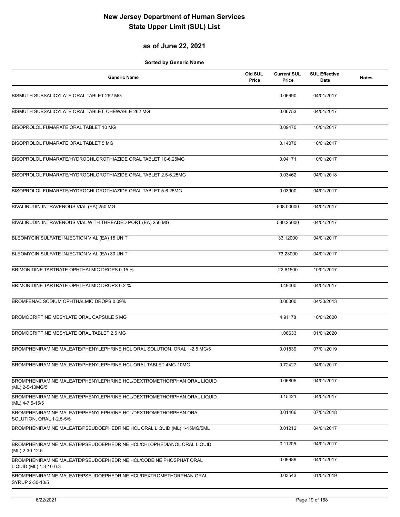### **as of June 22, 2021**

| <b>Generic Name</b>                                                                         | Old SUL<br>Price | <b>Current SUL</b><br>Price | <b>SUL Effective</b><br>Date | <b>Notes</b> |
|---------------------------------------------------------------------------------------------|------------------|-----------------------------|------------------------------|--------------|
| BISMUTH SUBSALICYLATE ORAL TABLET 262 MG                                                    |                  | 0.06690                     | 04/01/2017                   |              |
| BISMUTH SUBSALICYLATE ORAL TABLET, CHEWABLE 262 MG                                          |                  | 0.06753                     | 04/01/2017                   |              |
| BISOPROLOL FUMARATE ORAL TABLET 10 MG                                                       |                  | 0.09470                     | 10/01/2017                   |              |
| BISOPROLOL FUMARATE ORAL TABLET 5 MG                                                        |                  | 0.14070                     | 10/01/2017                   |              |
| BISOPROLOL FUMARATE/HYDROCHLOROTHIAZIDE ORAL TABLET 10-6.25MG                               |                  | 0.04171                     | 10/01/2017                   |              |
| BISOPROLOL FUMARATE/HYDROCHLOROTHIAZIDE ORAL TABLET 2.5-6.25MG                              |                  | 0.03462                     | 04/01/2018                   |              |
| BISOPROLOL FUMARATE/HYDROCHLOROTHIAZIDE ORAL TABLET 5-6.25MG                                |                  | 0.03900                     | 04/01/2017                   |              |
| BIVALIRUDIN INTRAVENOUS VIAL (EA) 250 MG                                                    |                  | 508.00000                   | 04/01/2017                   |              |
| BIVALIRUDIN INTRAVENOUS VIAL WITH THREADED PORT (EA) 250 MG                                 |                  | 530.25000                   | 04/01/2017                   |              |
| BLEOMYCIN SULFATE INJECTION VIAL (EA) 15 UNIT                                               |                  | 33.12000                    | 04/01/2017                   |              |
| BLEOMYCIN SULFATE INJECTION VIAL (EA) 30 UNIT                                               |                  | 73.23000                    | 04/01/2017                   |              |
| BRIMONIDINE TARTRATE OPHTHALMIC DROPS 0.15 %                                                |                  | 22.61500                    | 10/01/2017                   |              |
| BRIMONIDINE TARTRATE OPHTHALMIC DROPS 0.2 %                                                 |                  | 0.49400                     | 04/01/2017                   |              |
| BROMFENAC SODIUM OPHTHALMIC DROPS 0.09%                                                     |                  | 0.00000                     | 04/30/2013                   |              |
| BROMOCRIPTINE MESYLATE ORAL CAPSULE 5 MG                                                    |                  | 4.91178                     | 10/01/2020                   |              |
| BROMOCRIPTINE MESYLATE ORAL TABLET 2.5 MG                                                   |                  | 1.06633                     | 01/01/2020                   |              |
| BROMPHENIRAMINE MALEATE/PHENYLEPHRINE HCL ORAL SOLUTION, ORAL 1-2.5 MG/5                    |                  | 0.01839                     | 07/01/2019                   |              |
| BROMPHENIRAMINE MALEATE/PHENYLEPHRINE HCL ORAL TABLET 4MG-10MG                              |                  | 0.72427                     | 04/01/2017                   |              |
| BROMPHENIRAMINE MALEATE/PHENYLEPHRINE HCL/DEXTROMETHORPHAN ORAL LIQUID<br>(ML) 2-5-10MG/5   |                  | 0.06805                     | 04/01/2017                   |              |
| BROMPHENIRAMINE MALEATE/PHENYLEPHRINE HCL/DEXTROMETHORPHAN ORAL LIQUID<br>(ML) 4-7.5-15/5   |                  | 0.15421                     | 04/01/2017                   |              |
| BROMPHENIRAMINE MALEATE/PHENYLEPHRINE HCL/DEXTROMETHORPHAN ORAL<br>SOLUTION, ORAL 1-2.5-5/5 |                  | 0.01466                     | 07/01/2018                   |              |
| BROMPHENIRAMINE MALEATE/PSEUDOEPHEDRINE HCL ORAL LIQUID (ML) 1-15MG/5ML                     |                  | 0.01212                     | 04/01/2017                   |              |
| BROMPHENIRAMINE MALEATE/PSEUDOEPHEDRINE HCL/CHLOPHEDIANOL ORAL LIQUID<br>(ML) 2-30-12.5     |                  | 0.11205                     | 04/01/2017                   |              |
| BROMPHENIRAMINE MALEATE/PSEUDOEPHEDRINE HCL/CODEINE PHOSPHAT ORAL<br>LIQUID (ML) 1.3-10-6.3 |                  | 0.09989                     | 04/01/2017                   |              |
| BROMPHENIRAMINE MALEATE/PSEUDOEPHEDRINE HCL/DEXTROMETHORPHAN ORAL<br>SYRUP 2-30-10/5        |                  | 0.03543                     | 01/01/2019                   |              |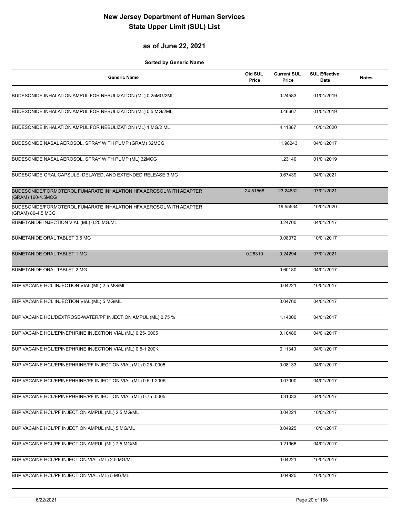#### **as of June 22, 2021**

| <b>Generic Name</b>                                                                     | Old SUL<br>Price | <b>Current SUL</b><br>Price | <b>SUL Effective</b><br>Date | <b>Notes</b> |
|-----------------------------------------------------------------------------------------|------------------|-----------------------------|------------------------------|--------------|
| BUDESONIDE INHALATION AMPUL FOR NEBULIZATION (ML) 0.25MG/2ML                            |                  | 0.24583                     | 01/01/2019                   |              |
| BUDESONIDE INHALATION AMPUL FOR NEBULIZATION (ML) 0.5 MG/2ML                            |                  | 0.46667                     | 01/01/2019                   |              |
| BUDESONIDE INHALATION AMPUL FOR NEBULIZATION (ML) 1 MG/2 ML                             |                  | 4.11367                     | 10/01/2020                   |              |
| BUDESONIDE NASAL AEROSOL, SPRAY WITH PUMP (GRAM) 32MCG                                  |                  | 11.98243                    | 04/01/2017                   |              |
| BUDESONIDE NASAL AEROSOL, SPRAY WITH PUMP (ML) 32MCG                                    |                  | 1.23140                     | 01/01/2019                   |              |
| BUDESONIDE ORAL CAPSULE, DELAYED, AND EXTENDED RELEASE 3 MG                             |                  | 0.67439                     | 04/01/2021                   |              |
| BUDESONIDE/FORMOTEROL FUMARATE INHALATION HFA AEROSOL WITH ADAPTER<br>(GRAM) 160-4.5MCG | 24.51568         | 23.24832                    | 07/01/2021                   |              |
| BUDESONIDE/FORMOTEROL FUMARATE INHALATION HFA AEROSOL WITH ADAPTER<br>(GRAM) 80-4.5 MCG |                  | 19.55534                    | 10/01/2020                   |              |
| BUMETANIDE INJECTION VIAL (ML) 0.25 MG/ML                                               |                  | 0.24700                     | 04/01/2017                   |              |
| BUMETANIDE ORAL TABLET 0.5 MG                                                           |                  | 0.08372                     | 10/01/2017                   |              |
| <b>BUMETANIDE ORAL TABLET 1 MG</b>                                                      | 0.26310          | 0.24294                     | 07/01/2021                   |              |
| BUMETANIDE ORAL TABLET 2 MG                                                             |                  | 0.60180                     | 04/01/2017                   |              |
| BUPIVACAINE HCL INJECTION VIAL (ML) 2.5 MG/ML                                           |                  | 0.04221                     | 10/01/2017                   |              |
| BUPIVACAINE HCL INJECTION VIAL (ML) 5 MG/ML                                             |                  | 0.04760                     | 04/01/2017                   |              |
| BUPIVACAINE HCL/DEXTROSE-WATER/PF INJECTION AMPUL (ML) 0.75 %                           |                  | 1.14000                     | 04/01/2017                   |              |
| BUPIVACAINE HCL/EPINEPHRINE INJECTION VIAL (ML) 0.25-.0005                              |                  | 0.10480                     | 04/01/2017                   |              |
| BUPIVACAINE HCL/EPINEPHRINE INJECTION VIAL (ML) 0.5-1:200K                              |                  | 0.11340                     | 04/01/2017                   |              |
| BUPIVACAINE HCL/EPINEPHRINE/PF INJECTION VIAL (ML) 0.25-.0005                           |                  | 0.08133                     | 04/01/2017                   |              |
| BUPIVACAINE HCL/EPINEPHRINE/PF INJECTION VIAL (ML) 0.5-1:200K                           |                  | 0.07000                     | 04/01/2017                   |              |
| BUPIVACAINE HCL/EPINEPHRINE/PF INJECTION VIAL (ML) 0.75-.0005                           |                  | 0.31033                     | 04/01/2017                   |              |
| BUPIVACAINE HCL/PF INJECTION AMPUL (ML) 2.5 MG/ML                                       |                  | 0.04221                     | 10/01/2017                   |              |
| BUPIVACAINE HCL/PF INJECTION AMPUL (ML) 5 MG/ML                                         |                  | 0.04925                     | 10/01/2017                   |              |
| BUPIVACAINE HCL/PF INJECTION AMPUL (ML) 7.5 MG/ML                                       |                  | 0.21966                     | 04/01/2017                   |              |
| BUPIVACAINE HCL/PF INJECTION VIAL (ML) 2.5 MG/ML                                        |                  | 0.04221                     | 10/01/2017                   |              |
| BUPIVACAINE HCL/PF INJECTION VIAL (ML) 5 MG/ML                                          |                  | 0.04925                     | 10/01/2017                   |              |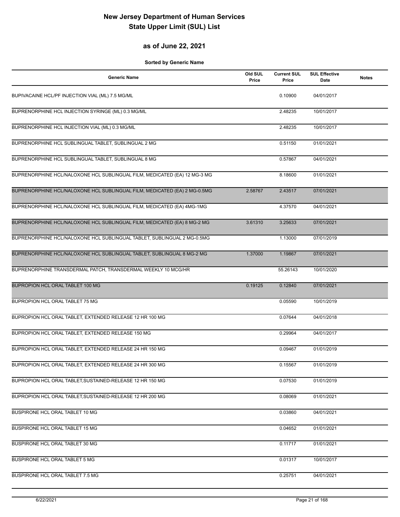### **as of June 22, 2021**

| <b>Generic Name</b>                                                       | Old SUL<br>Price | <b>Current SUL</b><br>Price | <b>SUL Effective</b><br>Date | <b>Notes</b> |
|---------------------------------------------------------------------------|------------------|-----------------------------|------------------------------|--------------|
| BUPIVACAINE HCL/PF INJECTION VIAL (ML) 7.5 MG/ML                          |                  | 0.10900                     | 04/01/2017                   |              |
| BUPRENORPHINE HCL INJECTION SYRINGE (ML) 0.3 MG/ML                        |                  | 2.48235                     | 10/01/2017                   |              |
| BUPRENORPHINE HCL INJECTION VIAL (ML) 0.3 MG/ML                           |                  | 2.48235                     | 10/01/2017                   |              |
| BUPRENORPHINE HCL SUBLINGUAL TABLET, SUBLINGUAL 2 MG                      |                  | 0.51150                     | 01/01/2021                   |              |
| BUPRENORPHINE HCL SUBLINGUAL TABLET, SUBLINGUAL 8 MG                      |                  | 0.57867                     | 04/01/2021                   |              |
| BUPRENORPHINE HCL/NALOXONE HCL SUBLINGUAL FILM, MEDICATED (EA) 12 MG-3 MG |                  | 8.18600                     | 01/01/2021                   |              |
| BUPRENORPHINE HCL/NALOXONE HCL SUBLINGUAL FILM, MEDICATED (EA) 2 MG-0.5MG | 2.58767          | 2.43517                     | 07/01/2021                   |              |
| BUPRENORPHINE HCL/NALOXONE HCL SUBLINGUAL FILM, MEDICATED (EA) 4MG-1MG    |                  | 4.37570                     | 04/01/2021                   |              |
| BUPRENORPHINE HCL/NALOXONE HCL SUBLINGUAL FILM, MEDICATED (EA) 8 MG-2 MG  | 3.61310          | 3.25633                     | 07/01/2021                   |              |
| BUPRENORPHINE HCL/NALOXONE HCL SUBLINGUAL TABLET, SUBLINGUAL 2 MG-0.5MG   |                  | 1.13000                     | 07/01/2019                   |              |
| BUPRENORPHINE HCL/NALOXONE HCL SUBLINGUAL TABLET, SUBLINGUAL 8 MG-2 MG    | 1.37000          | 1.19867                     | 07/01/2021                   |              |
| BUPRENORPHINE TRANSDERMAL PATCH, TRANSDERMAL WEEKLY 10 MCG/HR             |                  | 55.26143                    | 10/01/2020                   |              |
| BUPROPION HCL ORAL TABLET 100 MG                                          | 0.19125          | 0.12840                     | 07/01/2021                   |              |
| BUPROPION HCL ORAL TABLET 75 MG                                           |                  | 0.05590                     | 10/01/2019                   |              |
| BUPROPION HCL ORAL TABLET, EXTENDED RELEASE 12 HR 100 MG                  |                  | 0.07644                     | 04/01/2018                   |              |
| BUPROPION HCL ORAL TABLET, EXTENDED RELEASE 150 MG                        |                  | 0.29964                     | 04/01/2017                   |              |
| BUPROPION HCL ORAL TABLET, EXTENDED RELEASE 24 HR 150 MG                  |                  | 0.09467                     | 01/01/2019                   |              |
| BUPROPION HCL ORAL TABLET, EXTENDED RELEASE 24 HR 300 MG                  |                  | 0.15567                     | 01/01/2019                   |              |
| BUPROPION HCL ORAL TABLET, SUSTAINED-RELEASE 12 HR 150 MG                 |                  | 0.07530                     | 01/01/2019                   |              |
| BUPROPION HCL ORAL TABLET, SUSTAINED-RELEASE 12 HR 200 MG                 |                  | 0.08069                     | 01/01/2021                   |              |
| BUSPIRONE HCL ORAL TABLET 10 MG                                           |                  | 0.03860                     | 04/01/2021                   |              |
| BUSPIRONE HCL ORAL TABLET 15 MG                                           |                  | 0.04652                     | 01/01/2021                   |              |
| BUSPIRONE HCL ORAL TABLET 30 MG                                           |                  | 0.11717                     | 01/01/2021                   |              |
| BUSPIRONE HCL ORAL TABLET 5 MG                                            |                  | 0.01317                     | 10/01/2017                   |              |
| BUSPIRONE HCL ORAL TABLET 7.5 MG                                          |                  | 0.25751                     | 04/01/2021                   |              |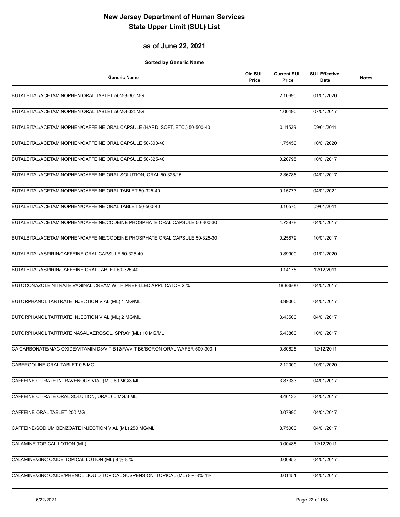#### **as of June 22, 2021**

| <b>Generic Name</b>                                                            | Old SUL<br>Price | <b>Current SUL</b><br>Price | <b>SUL Effective</b><br>Date | <b>Notes</b> |
|--------------------------------------------------------------------------------|------------------|-----------------------------|------------------------------|--------------|
| BUTALBITAL/ACETAMINOPHEN ORAL TABLET 50MG-300MG                                |                  | 2.10690                     | 01/01/2020                   |              |
| BUTALBITAL/ACETAMINOPHEN ORAL TABLET 50MG-325MG                                |                  | 1.00490                     | 07/01/2017                   |              |
| BUTALBITAL/ACETAMINOPHEN/CAFFEINE ORAL CAPSULE (HARD, SOFT, ETC.) 50-500-40    |                  | 0.11539                     | 09/01/2011                   |              |
| BUTALBITAL/ACETAMINOPHEN/CAFFEINE ORAL CAPSULE 50-300-40                       |                  | 1.75450                     | 10/01/2020                   |              |
| BUTALBITAL/ACETAMINOPHEN/CAFFEINE ORAL CAPSULE 50-325-40                       |                  | 0.20795                     | 10/01/2017                   |              |
| BUTALBITAL/ACETAMINOPHEN/CAFFEINE ORAL SOLUTION, ORAL 50-325/15                |                  | 2.36786                     | 04/01/2017                   |              |
| BUTALBITAL/ACETAMINOPHEN/CAFFEINE ORAL TABLET 50-325-40                        |                  | 0.15773                     | 04/01/2021                   |              |
| BUTALBITAL/ACETAMINOPHEN/CAFFEINE ORAL TABLET 50-500-40                        |                  | 0.10575                     | 09/01/2011                   |              |
| BUTALBITAL/ACETAMINOPHEN/CAFFEINE/CODEINE PHOSPHATE ORAL CAPSULE 50-300-30     |                  | 4.73878                     | 04/01/2017                   |              |
| BUTALBITAL/ACETAMINOPHEN/CAFFEINE/CODEINE PHOSPHATE ORAL CAPSULE 50-325-30     |                  | 0.25879                     | 10/01/2017                   |              |
| BUTALBITAL/ASPIRIN/CAFFEINE ORAL CAPSULE 50-325-40                             |                  | 0.89900                     | 01/01/2020                   |              |
| BUTALBITAL/ASPIRIN/CAFFEINE ORAL TABLET 50-325-40                              |                  | 0.14175                     | 12/12/2011                   |              |
| BUTOCONAZOLE NITRATE VAGINAL CREAM WITH PREFILLED APPLICATOR 2 %               |                  | 18.88600                    | 04/01/2017                   |              |
| BUTORPHANOL TARTRATE INJECTION VIAL (ML) 1 MG/ML                               |                  | 3.99000                     | 04/01/2017                   |              |
| BUTORPHANOL TARTRATE INJECTION VIAL (ML) 2 MG/ML                               |                  | 3.43500                     | 04/01/2017                   |              |
| BUTORPHANOL TARTRATE NASAL AEROSOL, SPRAY (ML) 10 MG/ML                        |                  | 5.43860                     | 10/01/2017                   |              |
| CA CARBONATE/MAG OXIDE/VITAMIN D3/VIT B12/FA/VIT B6/BORON ORAL WAFER 500-300-1 |                  | 0.80625                     | 12/12/2011                   |              |
| CABERGOLINE ORAL TABLET 0.5 MG                                                 |                  | 2.12000                     | 10/01/2020                   |              |
| CAFFEINE CITRATE INTRAVENOUS VIAL (ML) 60 MG/3 ML                              |                  | 3.87333                     | 04/01/2017                   |              |
| CAFFEINE CITRATE ORAL SOLUTION, ORAL 60 MG/3 ML                                |                  | 8.46133                     | 04/01/2017                   |              |
| CAFFEINE ORAL TABLET 200 MG                                                    |                  | 0.07990                     | 04/01/2017                   |              |
| CAFFEINE/SODIUM BENZOATE INJECTION VIAL (ML) 250 MG/ML                         |                  | 8.75000                     | 04/01/2017                   |              |
| CALAMINE TOPICAL LOTION (ML)                                                   |                  | 0.00485                     | 12/12/2011                   |              |
| CALAMINE/ZINC OXIDE TOPICAL LOTION (ML) 8 %-8 %                                |                  | 0.00853                     | 04/01/2017                   |              |
| CALAMINE/ZINC OXIDE/PHENOL LIQUID TOPICAL SUSPENSION, TOPICAL (ML) 8%-8%-1%    |                  | 0.01451                     | 04/01/2017                   |              |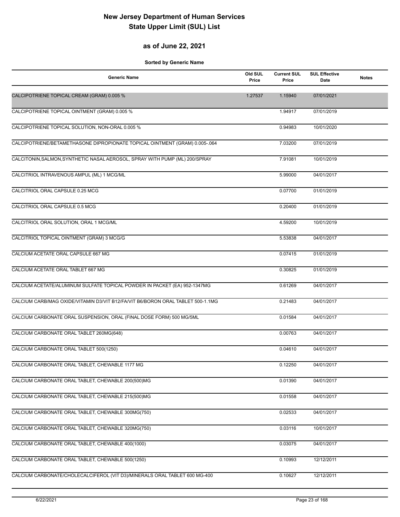### **as of June 22, 2021**

| <b>Generic Name</b>                                                             | Old SUL<br>Price | <b>Current SUL</b><br>Price | <b>SUL Effective</b><br>Date | <b>Notes</b> |
|---------------------------------------------------------------------------------|------------------|-----------------------------|------------------------------|--------------|
| CALCIPOTRIENE TOPICAL CREAM (GRAM) 0.005 %                                      | 1.27537          | 1.15940                     | 07/01/2021                   |              |
| CALCIPOTRIENE TOPICAL OINTMENT (GRAM) 0.005 %                                   |                  | 1.94917                     | 07/01/2019                   |              |
| CALCIPOTRIENE TOPICAL SOLUTION, NON-ORAL 0.005 %                                |                  | 0.94983                     | 10/01/2020                   |              |
| CALCIPOTRIENE/BETAMETHASONE DIPROPIONATE TOPICAL OINTMENT (GRAM) 0.005-.064     |                  | 7.03200                     | 07/01/2019                   |              |
| CALCITONIN, SALMON, SYNTHETIC NASAL AEROSOL, SPRAY WITH PUMP (ML) 200/SPRAY     |                  | 7.91081                     | 10/01/2019                   |              |
| CALCITRIOL INTRAVENOUS AMPUL (ML) 1 MCG/ML                                      |                  | 5.99000                     | 04/01/2017                   |              |
| CALCITRIOL ORAL CAPSULE 0.25 MCG                                                |                  | 0.07700                     | 01/01/2019                   |              |
| CALCITRIOL ORAL CAPSULE 0.5 MCG                                                 |                  | 0.20400                     | 01/01/2019                   |              |
| CALCITRIOL ORAL SOLUTION, ORAL 1 MCG/ML                                         |                  | 4.59200                     | 10/01/2019                   |              |
| CALCITRIOL TOPICAL OINTMENT (GRAM) 3 MCG/G                                      |                  | 5.53838                     | 04/01/2017                   |              |
| CALCIUM ACETATE ORAL CAPSULE 667 MG                                             |                  | 0.07415                     | 01/01/2019                   |              |
| CALCIUM ACETATE ORAL TABLET 667 MG                                              |                  | 0.30825                     | 01/01/2019                   |              |
| CALCIUM ACETATE/ALUMINUM SULFATE TOPICAL POWDER IN PACKET (EA) 952-1347MG       |                  | 0.61269                     | 04/01/2017                   |              |
| CALCIUM CARB/MAG OXIDE/VITAMIN D3/VIT B12/FA/VIT B6/BORON ORAL TABLET 500-1.1MG |                  | 0.21483                     | 04/01/2017                   |              |
| CALCIUM CARBONATE ORAL SUSPENSION, ORAL (FINAL DOSE FORM) 500 MG/5ML            |                  | 0.01584                     | 04/01/2017                   |              |
| CALCIUM CARBONATE ORAL TABLET 260MG(648)                                        |                  | 0.00763                     | 04/01/2017                   |              |
| CALCIUM CARBONATE ORAL TABLET 500(1250)                                         |                  | 0.04610                     | 04/01/2017                   |              |
| CALCIUM CARBONATE ORAL TABLET, CHEWABLE 1177 MG                                 |                  | 0.12250                     | 04/01/2017                   |              |
| CALCIUM CARBONATE ORAL TABLET, CHEWABLE 200(500)MG                              |                  | 0.01390                     | 04/01/2017                   |              |
| CALCIUM CARBONATE ORAL TABLET, CHEWABLE 215(500)MG                              |                  | 0.01558                     | 04/01/2017                   |              |
| CALCIUM CARBONATE ORAL TABLET, CHEWABLE 300MG(750)                              |                  | 0.02533                     | 04/01/2017                   |              |
| CALCIUM CARBONATE ORAL TABLET, CHEWABLE 320MG(750)                              |                  | 0.03116                     | 10/01/2017                   |              |
| CALCIUM CARBONATE ORAL TABLET, CHEWABLE 400(1000)                               |                  | 0.03075                     | 04/01/2017                   |              |
| CALCIUM CARBONATE ORAL TABLET, CHEWABLE 500(1250)                               |                  | 0.10993                     | 12/12/2011                   |              |
| CALCIUM CARBONATE/CHOLECALCIFEROL (VIT D3)/MINERALS ORAL TABLET 600 MG-400      |                  | 0.10627                     | 12/12/2011                   |              |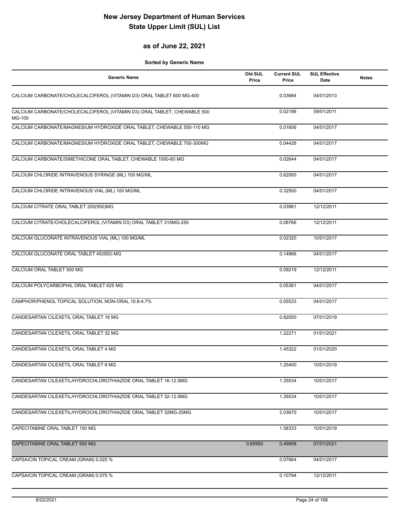#### **as of June 22, 2021**

| <b>Generic Name</b>                                                                | Old SUL<br>Price | <b>Current SUL</b><br>Price | <b>SUL Effective</b><br>Date | <b>Notes</b> |
|------------------------------------------------------------------------------------|------------------|-----------------------------|------------------------------|--------------|
| CALCIUM CARBONATE/CHOLECALCIFEROL (VITAMIN D3) ORAL TABLET 600 MG-400              |                  | 0.03684                     | 04/01/2013                   |              |
| CALCIUM CARBONATE/CHOLECALCIFEROL (VITAMIN D3) ORAL TABLET, CHEWABLE 500<br>MG-100 |                  | 0.02196                     | 09/01/2011                   |              |
| CALCIUM CARBONATE/MAGNESIUM HYDROXIDE ORAL TABLET, CHEWABLE 550-110 MG             |                  | 0.01606                     | 04/01/2017                   |              |
| CALCIUM CARBONATE/MAGNESIUM HYDROXIDE ORAL TABLET, CHEWABLE 700-300MG              |                  | 0.04428                     | 04/01/2017                   |              |
| CALCIUM CARBONATE/SIMETHICONE ORAL TABLET, CHEWABLE 1000-60 MG                     |                  | 0.02644                     | 04/01/2017                   |              |
| CALCIUM CHLORIDE INTRAVENOUS SYRINGE (ML) 100 MG/ML                                |                  | 0.62000                     | 04/01/2017                   |              |
| CALCIUM CHLORIDE INTRAVENOUS VIAL (ML) 100 MG/ML                                   |                  | 0.32500                     | 04/01/2017                   |              |
| CALCIUM CITRATE ORAL TABLET 200(950)MG                                             |                  | 0.03981                     | 12/12/2011                   |              |
| CALCIUM CITRATE/CHOLECALCIFEROL (VITAMIN D3) ORAL TABLET 315MG-250                 |                  | 0.08766                     | 12/12/2011                   |              |
| CALCIUM GLUCONATE INTRAVENOUS VIAL (ML) 100 MG/ML                                  |                  | 0.02320                     | 10/01/2017                   |              |
| CALCIUM GLUCONATE ORAL TABLET 45(500) MG                                           |                  | 0.14866                     | 04/01/2017                   |              |
| CALCIUM ORAL TABLET 500 MG                                                         |                  | 0.09219                     | 12/12/2011                   |              |
| CALCIUM POLYCARBOPHIL ORAL TABLET 625 MG                                           |                  | 0.05361                     | 04/01/2017                   |              |
| CAMPHOR/PHENOL TOPICAL SOLUTION, NON-ORAL 10.8-4.7%                                |                  | 0.05533                     | 04/01/2017                   |              |
| CANDESARTAN CILEXETIL ORAL TABLET 16 MG                                            |                  | 0.82000                     | 07/01/2019                   |              |
| CANDESARTAN CILEXETIL ORAL TABLET 32 MG                                            |                  | 1.22271                     | 01/01/2021                   |              |
| CANDESARTAN CILEXETIL ORAL TABLET 4 MG                                             |                  | 1.45322                     | 01/01/2020                   |              |
| CANDESARTAN CILEXETIL ORAL TABLET 8 MG                                             |                  | 1.25400                     | 10/01/2019                   |              |
| CANDESARTAN CILEXETIL/HYDROCHLOROTHIAZIDE ORAL TABLET 16-12.5MG                    |                  | 1.35534                     | 10/01/2017                   |              |
| CANDESARTAN CILEXETIL/HYDROCHLOROTHIAZIDE ORAL TABLET 32-12.5MG                    |                  | 1.35534                     | 10/01/2017                   |              |
| CANDESARTAN CILEXETIL/HYDROCHLOROTHIAZIDE ORAL TABLET 32MG-25MG                    |                  | 2.03670                     | 10/01/2017                   |              |
| CAPECITABINE ORAL TABLET 150 MG                                                    |                  | 1.58333                     | 10/01/2019                   |              |
| CAPECITABINE ORAL TABLET 500 MG                                                    | 0.65950          | 0.49958                     | 07/01/2021                   |              |
| CAPSAICIN TOPICAL CREAM (GRAM) 0.025 %                                             |                  | 0.07664                     | 04/01/2017                   |              |
| CAPSAICIN TOPICAL CREAM (GRAM) 0.075 %                                             |                  | 0.10794                     | 12/12/2011                   |              |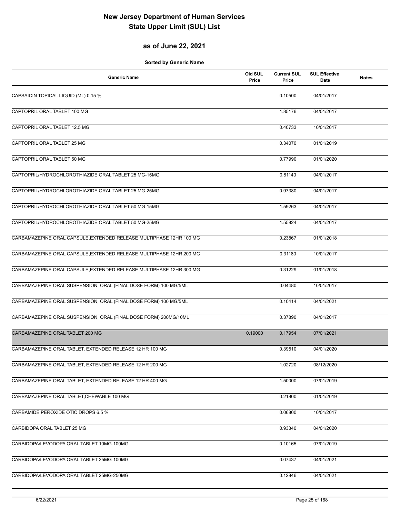### **as of June 22, 2021**

| <b>Generic Name</b>                                                 | Old SUL<br>Price | <b>Current SUL</b><br>Price | <b>SUL Effective</b><br>Date | <b>Notes</b> |
|---------------------------------------------------------------------|------------------|-----------------------------|------------------------------|--------------|
| CAPSAICIN TOPICAL LIQUID (ML) 0.15 %                                |                  | 0.10500                     | 04/01/2017                   |              |
| CAPTOPRIL ORAL TABLET 100 MG                                        |                  | 1.85176                     | 04/01/2017                   |              |
| CAPTOPRIL ORAL TABLET 12.5 MG                                       |                  | 0.40733                     | 10/01/2017                   |              |
| CAPTOPRIL ORAL TABLET 25 MG                                         |                  | 0.34070                     | 01/01/2019                   |              |
| CAPTOPRIL ORAL TABLET 50 MG                                         |                  | 0.77990                     | 01/01/2020                   |              |
| CAPTOPRIL/HYDROCHLOROTHIAZIDE ORAL TABLET 25 MG-15MG                |                  | 0.81140                     | 04/01/2017                   |              |
| CAPTOPRIL/HYDROCHLOROTHIAZIDE ORAL TABLET 25 MG-25MG                |                  | 0.97380                     | 04/01/2017                   |              |
| CAPTOPRIL/HYDROCHLOROTHIAZIDE ORAL TABLET 50 MG-15MG                |                  | 1.59263                     | 04/01/2017                   |              |
| CAPTOPRIL/HYDROCHLOROTHIAZIDE ORAL TABLET 50 MG-25MG                |                  | 1.55824                     | 04/01/2017                   |              |
| CARBAMAZEPINE ORAL CAPSULE, EXTENDED RELEASE MULTIPHASE 12HR 100 MG |                  | 0.23867                     | 01/01/2018                   |              |
| CARBAMAZEPINE ORAL CAPSULE, EXTENDED RELEASE MULTIPHASE 12HR 200 MG |                  | 0.31180                     | 10/01/2017                   |              |
| CARBAMAZEPINE ORAL CAPSULE, EXTENDED RELEASE MULTIPHASE 12HR 300 MG |                  | 0.31229                     | 01/01/2018                   |              |
| CARBAMAZEPINE ORAL SUSPENSION, ORAL (FINAL DOSE FORM) 100 MG/5ML    |                  | 0.04480                     | 10/01/2017                   |              |
| CARBAMAZEPINE ORAL SUSPENSION, ORAL (FINAL DOSE FORM) 100 MG/5ML    |                  | 0.10414                     | 04/01/2021                   |              |
| CARBAMAZEPINE ORAL SUSPENSION, ORAL (FINAL DOSE FORM) 200MG/10ML    |                  | 0.37890                     | 04/01/2017                   |              |
| CARBAMAZEPINE ORAL TABLET 200 MG                                    | 0.19000          | 0.17954                     | 07/01/2021                   |              |
| CARBAMAZEPINE ORAL TABLET, EXTENDED RELEASE 12 HR 100 MG            |                  | 0.39510                     | 04/01/2020                   |              |
| CARBAMAZEPINE ORAL TABLET, EXTENDED RELEASE 12 HR 200 MG            |                  | 1.02720                     | 08/12/2020                   |              |
| CARBAMAZEPINE ORAL TABLET, EXTENDED RELEASE 12 HR 400 MG            |                  | 1.50000                     | 07/01/2019                   |              |
| CARBAMAZEPINE ORAL TABLET, CHEWABLE 100 MG                          |                  | 0.21800                     | 01/01/2019                   |              |
| CARBAMIDE PEROXIDE OTIC DROPS 6.5 %                                 |                  | 0.06800                     | 10/01/2017                   |              |
| CARBIDOPA ORAL TABLET 25 MG                                         |                  | 0.93340                     | 04/01/2020                   |              |
| CARBIDOPA/LEVODOPA ORAL TABLET 10MG-100MG                           |                  | 0.10165                     | 07/01/2019                   |              |
| CARBIDOPA/LEVODOPA ORAL TABLET 25MG-100MG                           |                  | 0.07437                     | 04/01/2021                   |              |
| CARBIDOPA/LEVODOPA ORAL TABLET 25MG-250MG                           |                  | 0.12846                     | 04/01/2021                   |              |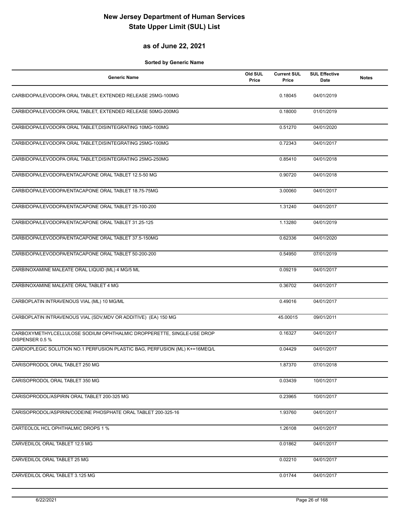### **as of June 22, 2021**

| <b>Generic Name</b>                                                                      | Old SUL<br>Price | <b>Current SUL</b><br>Price | <b>SUL Effective</b><br>Date | <b>Notes</b> |
|------------------------------------------------------------------------------------------|------------------|-----------------------------|------------------------------|--------------|
| CARBIDOPA/LEVODOPA ORAL TABLET, EXTENDED RELEASE 25MG-100MG                              |                  | 0.18045                     | 04/01/2019                   |              |
| CARBIDOPA/LEVODOPA ORAL TABLET, EXTENDED RELEASE 50MG-200MG                              |                  | 0.18000                     | 01/01/2019                   |              |
| CARBIDOPA/LEVODOPA ORAL TABLET, DISINTEGRATING 10MG-100MG                                |                  | 0.51270                     | 04/01/2020                   |              |
| CARBIDOPA/LEVODOPA ORAL TABLET, DISINTEGRATING 25MG-100MG                                |                  | 0.72343                     | 04/01/2017                   |              |
| CARBIDOPA/LEVODOPA ORAL TABLET, DISINTEGRATING 25MG-250MG                                |                  | 0.85410                     | 04/01/2018                   |              |
| CARBIDOPA/LEVODOPA/ENTACAPONE ORAL TABLET 12.5-50 MG                                     |                  | 0.90720                     | 04/01/2018                   |              |
| CARBIDOPA/LEVODOPA/ENTACAPONE ORAL TABLET 18.75-75MG                                     |                  | 3.00060                     | 04/01/2017                   |              |
| CARBIDOPA/LEVODOPA/ENTACAPONE ORAL TABLET 25-100-200                                     |                  | 1.31240                     | 04/01/2017                   |              |
| CARBIDOPA/LEVODOPA/ENTACAPONE ORAL TABLET 31.25-125                                      |                  | 1.13280                     | 04/01/2019                   |              |
| CARBIDOPA/LEVODOPA/ENTACAPONE ORAL TABLET 37.5-150MG                                     |                  | 0.62336                     | 04/01/2020                   |              |
| CARBIDOPA/LEVODOPA/ENTACAPONE ORAL TABLET 50-200-200                                     |                  | 0.54950                     | 07/01/2019                   |              |
| CARBINOXAMINE MALEATE ORAL LIQUID (ML) 4 MG/5 ML                                         |                  | 0.09219                     | 04/01/2017                   |              |
| CARBINOXAMINE MALEATE ORAL TABLET 4 MG                                                   |                  | 0.36702                     | 04/01/2017                   |              |
| CARBOPLATIN INTRAVENOUS VIAL (ML) 10 MG/ML                                               |                  | 0.49016                     | 04/01/2017                   |              |
| CARBOPLATIN INTRAVENOUS VIAL (SDV, MDV OR ADDITIVE) (EA) 150 MG                          |                  | 45.00015                    | 09/01/2011                   |              |
| CARBOXYMETHYLCELLULOSE SODIUM OPHTHALMIC DROPPERETTE, SINGLE-USE DROP<br>DISPENSER 0.5 % |                  | 0.16327                     | 04/01/2017                   |              |
| CARDIOPLEGIC SOLUTION NO.1 PERFUSION PLASTIC BAG, PERFUSION (ML) K+=16MEQ/L              |                  | 0.04429                     | 04/01/2017                   |              |
| CARISOPRODOL ORAL TABLET 250 MG                                                          |                  | 1.87370                     | 07/01/2018                   |              |
| CARISOPRODOL ORAL TABLET 350 MG                                                          |                  | 0.03439                     | 10/01/2017                   |              |
| CARISOPRODOL/ASPIRIN ORAL TABLET 200-325 MG                                              |                  | 0.23965                     | 10/01/2017                   |              |
| CARISOPRODOL/ASPIRIN/CODEINE PHOSPHATE ORAL TABLET 200-325-16                            |                  | 1.93760                     | 04/01/2017                   |              |
| CARTEOLOL HCL OPHTHALMIC DROPS 1 %                                                       |                  | 1.26108                     | 04/01/2017                   |              |
| CARVEDILOL ORAL TABLET 12.5 MG                                                           |                  | 0.01862                     | 04/01/2017                   |              |
| CARVEDILOL ORAL TABLET 25 MG                                                             |                  | 0.02210                     | 04/01/2017                   |              |
| CARVEDILOL ORAL TABLET 3.125 MG                                                          |                  | 0.01744                     | 04/01/2017                   |              |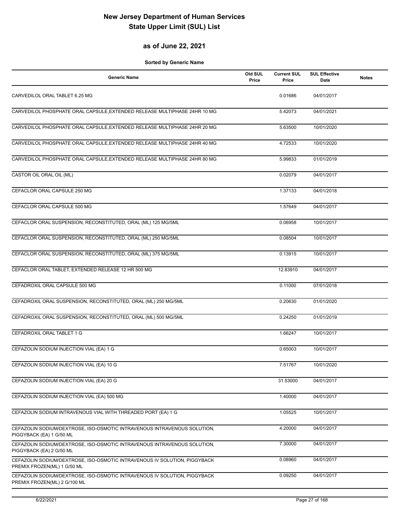#### **as of June 22, 2021**

| <b>Generic Name</b>                                                                                       | Old SUL<br>Price | <b>Current SUL</b><br>Price | <b>SUL Effective</b><br>Date | <b>Notes</b> |
|-----------------------------------------------------------------------------------------------------------|------------------|-----------------------------|------------------------------|--------------|
| CARVEDILOL ORAL TABLET 6.25 MG                                                                            |                  | 0.01686                     | 04/01/2017                   |              |
| CARVEDILOL PHOSPHATE ORAL CAPSULE, EXTENDED RELEASE MULTIPHASE 24HR 10 MG                                 |                  | 5.42073                     | 04/01/2021                   |              |
| CARVEDILOL PHOSPHATE ORAL CAPSULE, EXTENDED RELEASE MULTIPHASE 24HR 20 MG                                 |                  | 5.63500                     | 10/01/2020                   |              |
| CARVEDILOL PHOSPHATE ORAL CAPSULE, EXTENDED RELEASE MULTIPHASE 24HR 40 MG                                 |                  | 4.72533                     | 10/01/2020                   |              |
| CARVEDILOL PHOSPHATE ORAL CAPSULE, EXTENDED RELEASE MULTIPHASE 24HR 80 MG                                 |                  | 5.99833                     | 01/01/2019                   |              |
| CASTOR OIL ORAL OIL (ML)                                                                                  |                  | 0.02079                     | 04/01/2017                   |              |
| CEFACLOR ORAL CAPSULE 250 MG                                                                              |                  | 1.37133                     | 04/01/2018                   |              |
| CEFACLOR ORAL CAPSULE 500 MG                                                                              |                  | 1.57649                     | 04/01/2017                   |              |
| CEFACLOR ORAL SUSPENSION, RECONSTITUTED, ORAL (ML) 125 MG/5ML                                             |                  | 0.06958                     | 10/01/2017                   |              |
| CEFACLOR ORAL SUSPENSION, RECONSTITUTED, ORAL (ML) 250 MG/5ML                                             |                  | 0.08504                     | 10/01/2017                   |              |
| CEFACLOR ORAL SUSPENSION, RECONSTITUTED, ORAL (ML) 375 MG/5ML                                             |                  | 0.13915                     | 10/01/2017                   |              |
| CEFACLOR ORAL TABLET, EXTENDED RELEASE 12 HR 500 MG                                                       |                  | 12.83910                    | 04/01/2017                   |              |
| CEFADROXIL ORAL CAPSULE 500 MG                                                                            |                  | 0.11000                     | 07/01/2018                   |              |
| CEFADROXIL ORAL SUSPENSION, RECONSTITUTED, ORAL (ML) 250 MG/5ML                                           |                  | 0.20630                     | 01/01/2020                   |              |
| CEFADROXIL ORAL SUSPENSION, RECONSTITUTED, ORAL (ML) 500 MG/5ML                                           |                  | 0.24250                     | 01/01/2019                   |              |
| CEFADROXIL ORAL TABLET 1 G                                                                                |                  | 1.66247                     | 10/01/2017                   |              |
| CEFAZOLIN SODIUM INJECTION VIAL (EA) 1 G                                                                  |                  | 0.65003                     | 10/01/2017                   |              |
| CEFAZOLIN SODIUM INJECTION VIAL (EA) 10 G                                                                 |                  | 7.51767                     | 10/01/2020                   |              |
| CEFAZOLIN SODIUM INJECTION VIAL (EA) 20 G                                                                 |                  | 31.53000                    | 04/01/2017                   |              |
| CEFAZOLIN SODIUM INJECTION VIAL (EA) 500 MG                                                               |                  | 1.40000                     | 04/01/2017                   |              |
| CEFAZOLIN SODIUM INTRAVENOUS VIAL WITH THREADED PORT (EA) 1 G                                             |                  | 1.05525                     | 10/01/2017                   |              |
| CEFAZOLIN SODIUM/DEXTROSE, ISO-OSMOTIC INTRAVENOUS INTRAVENOUS SOLUTION,<br>PIGGYBACK (EA) 1 G/50 ML      |                  | 4.20000                     | 04/01/2017                   |              |
| CEFAZOLIN SODIUM/DEXTROSE, ISO-OSMOTIC INTRAVENOUS INTRAVENOUS SOLUTION,<br>PIGGYBACK (EA) 2 G/50 ML      |                  | 7.30000                     | 04/01/2017                   |              |
| CEFAZOLIN SODIUM/DEXTROSE, ISO-OSMOTIC INTRAVENOUS IV SOLUTION, PIGGYBACK<br>PREMIX FROZEN(ML) 1 G/50 ML  |                  | 0.08960                     | 04/01/2017                   |              |
| CEFAZOLIN SODIUM/DEXTROSE, ISO-OSMOTIC INTRAVENOUS IV SOLUTION, PIGGYBACK<br>PREMIX FROZEN(ML) 2 G/100 ML |                  | 0.09250                     | 04/01/2017                   |              |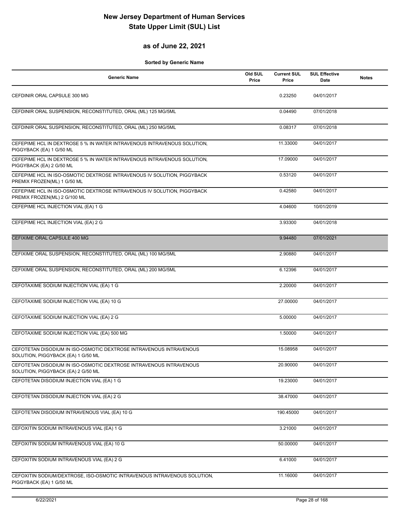### **as of June 22, 2021**

| <b>Generic Name</b>                                                                                      | Old SUL<br>Price | <b>Current SUL</b><br>Price | <b>SUL Effective</b><br>Date | <b>Notes</b> |
|----------------------------------------------------------------------------------------------------------|------------------|-----------------------------|------------------------------|--------------|
| CEFDINIR ORAL CAPSULE 300 MG                                                                             |                  | 0.23250                     | 04/01/2017                   |              |
| CEFDINIR ORAL SUSPENSION, RECONSTITUTED, ORAL (ML) 125 MG/5ML                                            |                  | 0.04490                     | 07/01/2018                   |              |
| CEFDINIR ORAL SUSPENSION, RECONSTITUTED, ORAL (ML) 250 MG/5ML                                            |                  | 0.08317                     | 07/01/2018                   |              |
| CEFEPIME HCL IN DEXTROSE 5 % IN WATER INTRAVENOUS INTRAVENOUS SOLUTION,<br>PIGGYBACK (EA) 1 G/50 ML      |                  | 11.33000                    | 04/01/2017                   |              |
| CEFEPIME HCL IN DEXTROSE 5 % IN WATER INTRAVENOUS INTRAVENOUS SOLUTION.<br>PIGGYBACK (EA) 2 G/50 ML      |                  | 17.09000                    | 04/01/2017                   |              |
| CEFEPIME HCL IN ISO-OSMOTIC DEXTROSE INTRAVENOUS IV SOLUTION, PIGGYBACK<br>PREMIX FROZEN(ML) 1 G/50 ML   |                  | 0.53120                     | 04/01/2017                   |              |
| CEFEPIME HCL IN ISO-OSMOTIC DEXTROSE INTRAVENOUS IV SOLUTION, PIGGYBACK<br>PREMIX FROZEN(ML) 2 G/100 ML  |                  | 0.42580                     | 04/01/2017                   |              |
| CEFEPIME HCL INJECTION VIAL (EA) 1 G                                                                     |                  | 4.04600                     | 10/01/2019                   |              |
| CEFEPIME HCL INJECTION VIAL (EA) 2 G                                                                     |                  | 3.93300                     | 04/01/2018                   |              |
| CEFIXIME ORAL CAPSULE 400 MG                                                                             |                  | 9.94480                     | 07/01/2021                   |              |
| CEFIXIME ORAL SUSPENSION, RECONSTITUTED, ORAL (ML) 100 MG/5ML                                            |                  | 2.90880                     | 04/01/2017                   |              |
| CEFIXIME ORAL SUSPENSION, RECONSTITUTED, ORAL (ML) 200 MG/5ML                                            |                  | 6.12396                     | 04/01/2017                   |              |
| CEFOTAXIME SODIUM INJECTION VIAL (EA) 1 G                                                                |                  | 2.20000                     | 04/01/2017                   |              |
| CEFOTAXIME SODIUM INJECTION VIAL (EA) 10 G                                                               |                  | 27.00000                    | 04/01/2017                   |              |
| CEFOTAXIME SODIUM INJECTION VIAL (EA) 2 G                                                                |                  | 5.00000                     | 04/01/2017                   |              |
| CEFOTAXIME SODIUM INJECTION VIAL (EA) 500 MG                                                             |                  | 1.50000                     | 04/01/2017                   |              |
| CEFOTETAN DISODIUM IN ISO-OSMOTIC DEXTROSE INTRAVENOUS INTRAVENOUS<br>SOLUTION, PIGGYBACK (EA) 1 G/50 ML |                  | 15.08958                    | 04/01/2017                   |              |
| CEFOTETAN DISODIUM IN ISO-OSMOTIC DEXTROSE INTRAVENOUS INTRAVENOUS<br>SOLUTION, PIGGYBACK (EA) 2 G/50 ML |                  | 20.90000                    | 04/01/2017                   |              |
| CEFOTETAN DISODIUM INJECTION VIAL (EA) 1 G                                                               |                  | 19.23000                    | 04/01/2017                   |              |
| CEFOTETAN DISODIUM INJECTION VIAL (EA) 2 G                                                               |                  | 38.47000                    | 04/01/2017                   |              |
| CEFOTETAN DISODIUM INTRAVENOUS VIAL (EA) 10 G                                                            |                  | 190.45000                   | 04/01/2017                   |              |
| CEFOXITIN SODIUM INTRAVENOUS VIAL (EA) 1 G                                                               |                  | 3.21000                     | 04/01/2017                   |              |
| CEFOXITIN SODIUM INTRAVENOUS VIAL (EA) 10 G                                                              |                  | 50.00000                    | 04/01/2017                   |              |
| CEFOXITIN SODIUM INTRAVENOUS VIAL (EA) 2 G                                                               |                  | 6.41000                     | 04/01/2017                   |              |
| CEFOXITIN SODIUM/DEXTROSE, ISO-OSMOTIC INTRAVENOUS INTRAVENOUS SOLUTION,<br>PIGGYBACK (EA) 1 G/50 ML     |                  | 11.16000                    | 04/01/2017                   |              |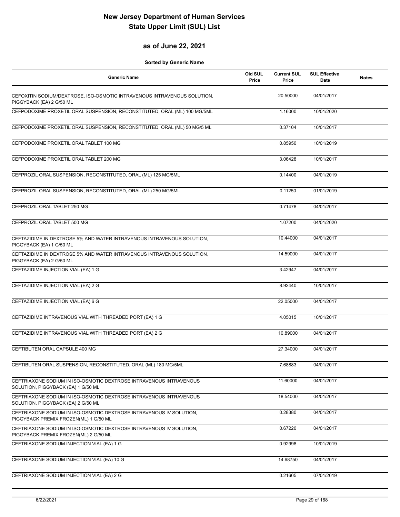#### **as of June 22, 2021**

| <b>Generic Name</b>                                                                                          | Old SUL<br>Price | <b>Current SUL</b><br>Price | <b>SUL Effective</b><br>Date | <b>Notes</b> |
|--------------------------------------------------------------------------------------------------------------|------------------|-----------------------------|------------------------------|--------------|
| CEFOXITIN SODIUM/DEXTROSE, ISO-OSMOTIC INTRAVENOUS INTRAVENOUS SOLUTION,<br>PIGGYBACK (EA) 2 G/50 ML         |                  | 20.50000                    | 04/01/2017                   |              |
| CEFPODOXIME PROXETIL ORAL SUSPENSION, RECONSTITUTED, ORAL (ML) 100 MG/5ML                                    |                  | 1.16000                     | 10/01/2020                   |              |
| CEFPODOXIME PROXETIL ORAL SUSPENSION, RECONSTITUTED, ORAL (ML) 50 MG/5 ML                                    |                  | 0.37104                     | 10/01/2017                   |              |
| CEFPODOXIME PROXETIL ORAL TABLET 100 MG                                                                      |                  | 0.85950                     | 10/01/2019                   |              |
| CEFPODOXIME PROXETIL ORAL TABLET 200 MG                                                                      |                  | 3.06428                     | 10/01/2017                   |              |
| CEFPROZIL ORAL SUSPENSION, RECONSTITUTED, ORAL (ML) 125 MG/5ML                                               |                  | 0.14400                     | 04/01/2019                   |              |
| CEFPROZIL ORAL SUSPENSION, RECONSTITUTED, ORAL (ML) 250 MG/5ML                                               |                  | 0.11250                     | 01/01/2019                   |              |
| CEFPROZIL ORAL TABLET 250 MG                                                                                 |                  | 0.71478                     | 04/01/2017                   |              |
| CEFPROZIL ORAL TABLET 500 MG                                                                                 |                  | 1.07200                     | 04/01/2020                   |              |
| CEFTAZIDIME IN DEXTROSE 5% AND WATER INTRAVENOUS INTRAVENOUS SOLUTION,<br>PIGGYBACK (EA) 1 G/50 ML           |                  | 10.44000                    | 04/01/2017                   |              |
| CEFTAZIDIME IN DEXTROSE 5% AND WATER INTRAVENOUS INTRAVENOUS SOLUTION.<br>PIGGYBACK (EA) 2 G/50 ML           |                  | 14.59000                    | 04/01/2017                   |              |
| CEFTAZIDIME INJECTION VIAL (EA) 1 G                                                                          |                  | 3.42947                     | 04/01/2017                   |              |
| CEFTAZIDIME INJECTION VIAL (EA) 2 G                                                                          |                  | 8.92440                     | 10/01/2017                   |              |
| CEFTAZIDIME INJECTION VIAL (EA) 6 G                                                                          |                  | 22.05000                    | 04/01/2017                   |              |
| CEFTAZIDIME INTRAVENOUS VIAL WITH THREADED PORT (EA) 1 G                                                     |                  | 4.05015                     | 10/01/2017                   |              |
| CEFTAZIDIME INTRAVENOUS VIAL WITH THREADED PORT (EA) 2 G                                                     |                  | 10.89000                    | 04/01/2017                   |              |
| CEFTIBUTEN ORAL CAPSULE 400 MG                                                                               |                  | 27.34000                    | 04/01/2017                   |              |
| CEFTIBUTEN ORAL SUSPENSION, RECONSTITUTED, ORAL (ML) 180 MG/5ML                                              |                  | 7.68883                     | 04/01/2017                   |              |
| CEFTRIAXONE SODIUM IN ISO-OSMOTIC DEXTROSE INTRAVENOUS INTRAVENOUS<br>SOLUTION, PIGGYBACK (EA) 1 G/50 ML     |                  | 11.60000                    | 04/01/2017                   |              |
| CEFTRIAXONE SODIUM IN ISO-OSMOTIC DEXTROSE INTRAVENOUS INTRAVENOUS<br>SOLUTION, PIGGYBACK (EA) 2 G/50 ML     |                  | 18.54000                    | 04/01/2017                   |              |
| CEFTRIAXONE SODIUM IN ISO-OSMOTIC DEXTROSE INTRAVENOUS IV SOLUTION,<br>PIGGYBACK PREMIX FROZEN(ML) 1 G/50 ML |                  | 0.28380                     | 04/01/2017                   |              |
| CEFTRIAXONE SODIUM IN ISO-OSMOTIC DEXTROSE INTRAVENOUS IV SOLUTION.<br>PIGGYBACK PREMIX FROZEN(ML) 2 G/50 ML |                  | 0.67220                     | 04/01/2017                   |              |
| CEFTRIAXONE SODIUM INJECTION VIAL (EA) 1 G                                                                   |                  | 0.92998                     | 10/01/2019                   |              |
| CEFTRIAXONE SODIUM INJECTION VIAL (EA) 10 G                                                                  |                  | 14.68750                    | 04/01/2017                   |              |
| CEFTRIAXONE SODIUM INJECTION VIAL (EA) 2 G                                                                   |                  | 0.21605                     | 07/01/2019                   |              |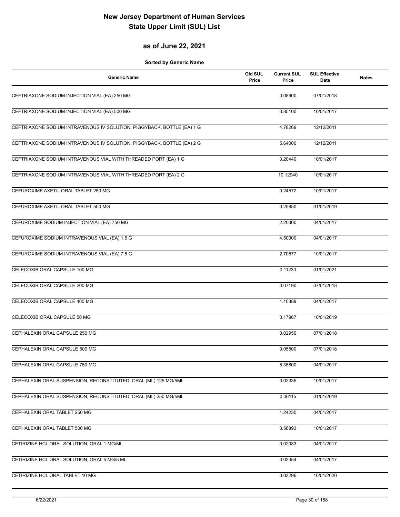#### **as of June 22, 2021**

| <b>Generic Name</b>                                                    | Old SUL<br>Price | <b>Current SUL</b><br>Price | <b>SUL Effective</b><br>Date | <b>Notes</b> |
|------------------------------------------------------------------------|------------------|-----------------------------|------------------------------|--------------|
| CEFTRIAXONE SODIUM INJECTION VIAL (EA) 250 MG                          |                  | 0.08900                     | 07/01/2018                   |              |
| CEFTRIAXONE SODIUM INJECTION VIAL (EA) 500 MG                          |                  | 0.85100                     | 10/01/2017                   |              |
| CEFTRIAXONE SODIUM INTRAVENOUS IV SOLUTION, PIGGYBACK, BOTTLE (EA) 1 G |                  | 4.78269                     | 12/12/2011                   |              |
| CEFTRIAXONE SODIUM INTRAVENOUS IV SOLUTION, PIGGYBACK, BOTTLE (EA) 2 G |                  | 5.64000                     | 12/12/2011                   |              |
| CEFTRIAXONE SODIUM INTRAVENOUS VIAL WITH THREADED PORT (EA) 1 G        |                  | 3.20440                     | 10/01/2017                   |              |
| CEFTRIAXONE SODIUM INTRAVENOUS VIAL WITH THREADED PORT (EA) 2 G        |                  | 10.12940                    | 10/01/2017                   |              |
| CEFUROXIME AXETIL ORAL TABLET 250 MG                                   |                  | 0.24572                     | 10/01/2017                   |              |
| CEFUROXIME AXETIL ORAL TABLET 500 MG                                   |                  | 0.25850                     | 01/01/2019                   |              |
| CEFUROXIME SODIUM INJECTION VIAL (EA) 750 MG                           |                  | 2.20000                     | 04/01/2017                   |              |
| CEFUROXIME SODIUM INTRAVENOUS VIAL (EA) 1.5 G                          |                  | 4.50000                     | 04/01/2017                   |              |
| CEFUROXIME SODIUM INTRAVENOUS VIAL (EA) 7.5 G                          |                  | 2.70577                     | 10/01/2017                   |              |
| CELECOXIB ORAL CAPSULE 100 MG                                          |                  | 0.11230                     | 01/01/2021                   |              |
| CELECOXIB ORAL CAPSULE 200 MG                                          |                  | 0.07190                     | 07/01/2018                   |              |
| CELECOXIB ORAL CAPSULE 400 MG                                          |                  | 1.10389                     | 04/01/2017                   |              |
| CELECOXIB ORAL CAPSULE 50 MG                                           |                  | 0.17967                     | 10/01/2019                   |              |
| CEPHALEXIN ORAL CAPSULE 250 MG                                         |                  | 0.02950                     | 07/01/2018                   |              |
| CEPHALEXIN ORAL CAPSULE 500 MG                                         |                  | 0.05500                     | 07/01/2018                   |              |
| CEPHALEXIN ORAL CAPSULE 750 MG                                         |                  | 5.35800                     | 04/01/2017                   |              |
| CEPHALEXIN ORAL SUSPENSION, RECONSTITUTED, ORAL (ML) 125 MG/5ML        |                  | 0.02335                     | 10/01/2017                   |              |
| CEPHALEXIN ORAL SUSPENSION, RECONSTITUTED, ORAL (ML) 250 MG/5ML        |                  | 0.06115                     | 01/01/2019                   |              |
| CEPHALEXIN ORAL TABLET 250 MG                                          |                  | 1.24230                     | 04/01/2017                   |              |
| CEPHALEXIN ORAL TABLET 500 MG                                          |                  | 0.56893                     | 10/01/2017                   |              |
| CETIRIZINE HCL ORAL SOLUTION, ORAL 1 MG/ML                             |                  | 0.02083                     | 04/01/2017                   |              |
| CETIRIZINE HCL ORAL SOLUTION, ORAL 5 MG/5 ML                           |                  | 0.02354                     | 04/01/2017                   |              |
| CETIRIZINE HCL ORAL TABLET 10 MG                                       |                  | 0.03296                     | 10/01/2020                   |              |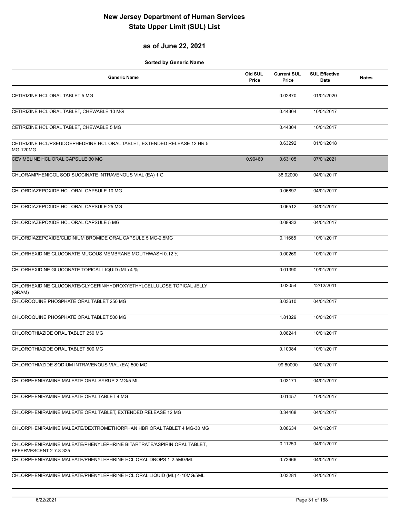### **as of June 22, 2021**

| <b>Generic Name</b>                                                                              | Old SUL<br>Price | <b>Current SUL</b><br>Price | <b>SUL Effective</b><br>Date | <b>Notes</b> |
|--------------------------------------------------------------------------------------------------|------------------|-----------------------------|------------------------------|--------------|
| CETIRIZINE HCL ORAL TABLET 5 MG                                                                  |                  | 0.02870                     | 01/01/2020                   |              |
| CETIRIZINE HCL ORAL TABLET, CHEWABLE 10 MG                                                       |                  | 0.44304                     | 10/01/2017                   |              |
| CETIRIZINE HCL ORAL TABLET, CHEWABLE 5 MG                                                        |                  | 0.44304                     | 10/01/2017                   |              |
| CETIRIZINE HCL/PSEUDOEPHEDRINE HCL ORAL TABLET, EXTENDED RELEASE 12 HR 5<br><b>MG-120MG</b>      |                  | 0.63292                     | 01/01/2018                   |              |
| CEVIMELINE HCL ORAL CAPSULE 30 MG                                                                | 0.90460          | 0.63105                     | 07/01/2021                   |              |
| CHLORAMPHENICOL SOD SUCCINATE INTRAVENOUS VIAL (EA) 1 G                                          |                  | 38.92000                    | 04/01/2017                   |              |
| CHLORDIAZEPOXIDE HCL ORAL CAPSULE 10 MG                                                          |                  | 0.06897                     | 04/01/2017                   |              |
| CHLORDIAZEPOXIDE HCL ORAL CAPSULE 25 MG                                                          |                  | 0.06512                     | 04/01/2017                   |              |
| CHLORDIAZEPOXIDE HCL ORAL CAPSULE 5 MG                                                           |                  | 0.08933                     | 04/01/2017                   |              |
| CHLORDIAZEPOXIDE/CLIDINIUM BROMIDE ORAL CAPSULE 5 MG-2.5MG                                       |                  | 0.11665                     | 10/01/2017                   |              |
| <b>CHLORHEXIDINE GLUCONATE MUCOUS MEMBRANE MOUTHWASH 0.12 %</b>                                  |                  | 0.00269                     | 10/01/2017                   |              |
| CHLORHEXIDINE GLUCONATE TOPICAL LIQUID (ML) 4 %                                                  |                  | 0.01390                     | 10/01/2017                   |              |
| CHLORHEXIDINE GLUCONATE/GLYCERIN/HYDROXYETHYLCELLULOSE TOPICAL JELLY<br>(GRAM)                   |                  | 0.02054                     | 12/12/2011                   |              |
| CHLOROQUINE PHOSPHATE ORAL TABLET 250 MG                                                         |                  | 3.03610                     | 04/01/2017                   |              |
| CHLOROQUINE PHOSPHATE ORAL TABLET 500 MG                                                         |                  | 1.81329                     | 10/01/2017                   |              |
| CHLOROTHIAZIDE ORAL TABLET 250 MG                                                                |                  | 0.08241                     | 10/01/2017                   |              |
| CHLOROTHIAZIDE ORAL TABLET 500 MG                                                                |                  | 0.10084                     | 10/01/2017                   |              |
| CHLOROTHIAZIDE SODIUM INTRAVENOUS VIAL (EA) 500 MG                                               |                  | 99.80000                    | 04/01/2017                   |              |
| CHLORPHENIRAMINE MALEATE ORAL SYRUP 2 MG/5 ML                                                    |                  | 0.03171                     | 04/01/2017                   |              |
| CHLORPHENIRAMINE MALEATE ORAL TABLET 4 MG                                                        |                  | 0.01457                     | 10/01/2017                   |              |
| CHLORPHENIRAMINE MALEATE ORAL TABLET, EXTENDED RELEASE 12 MG                                     |                  | 0.34468                     | 04/01/2017                   |              |
| CHLORPHENIRAMINE MALEATE/DEXTROMETHORPHAN HBR ORAL TABLET 4 MG-30 MG                             |                  | 0.08634                     | 04/01/2017                   |              |
| CHLORPHENIRAMINE MALEATE/PHENYLEPHRINE BITARTRATE/ASPIRIN ORAL TABLET,<br>EFFERVESCENT 2-7.8-325 |                  | 0.11250                     | 04/01/2017                   |              |
| CHLORPHENIRAMINE MALEATE/PHENYLEPHRINE HCL ORAL DROPS 1-2.5MG/ML                                 |                  | 0.73666                     | 04/01/2017                   |              |
| CHLORPHENIRAMINE MALEATE/PHENYLEPHRINE HCL ORAL LIQUID (ML) 4-10MG/5ML                           |                  | 0.03281                     | 04/01/2017                   |              |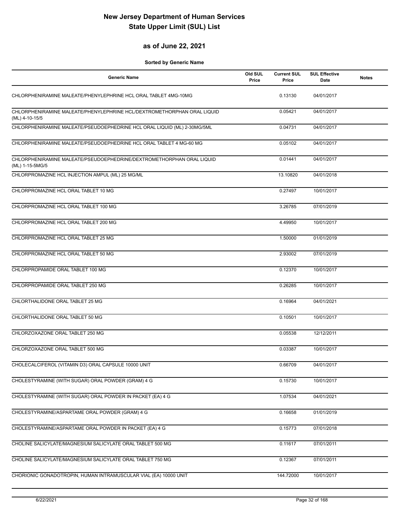#### **as of June 22, 2021**

| <b>Generic Name</b>                                                                       | Old SUL<br>Price | <b>Current SUL</b><br>Price | <b>SUL Effective</b><br>Date | <b>Notes</b> |
|-------------------------------------------------------------------------------------------|------------------|-----------------------------|------------------------------|--------------|
| CHLORPHENIRAMINE MALEATE/PHENYLEPHRINE HCL ORAL TABLET 4MG-10MG                           |                  | 0.13130                     | 04/01/2017                   |              |
| CHLORPHENIRAMINE MALEATE/PHENYLEPHRINE HCL/DEXTROMETHORPHAN ORAL LIQUID<br>(ML) 4-10-15/5 |                  | 0.05421                     | 04/01/2017                   |              |
| CHLORPHENIRAMINE MALEATE/PSEUDOEPHEDRINE HCL ORAL LIQUID (ML) 2-30MG/5ML                  |                  | 0.04731                     | 04/01/2017                   |              |
| CHLORPHENIRAMINE MALEATE/PSEUDOEPHEDRINE HCL ORAL TABLET 4 MG-60 MG                       |                  | 0.05102                     | 04/01/2017                   |              |
| CHLORPHENIRAMINE MALEATE/PSEUDOEPHEDRINE/DEXTROMETHORPHAN ORAL LIQUID<br>(ML) 1-15-5MG/5  |                  | 0.01441                     | 04/01/2017                   |              |
| CHLORPROMAZINE HCL INJECTION AMPUL (ML) 25 MG/ML                                          |                  | 13.10820                    | 04/01/2018                   |              |
| CHLORPROMAZINE HCL ORAL TABLET 10 MG                                                      |                  | 0.27497                     | 10/01/2017                   |              |
| CHLORPROMAZINE HCL ORAL TABLET 100 MG                                                     |                  | 3.26785                     | 07/01/2019                   |              |
| CHLORPROMAZINE HCL ORAL TABLET 200 MG                                                     |                  | 4.49950                     | 10/01/2017                   |              |
| CHLORPROMAZINE HCL ORAL TABLET 25 MG                                                      |                  | 1.50000                     | 01/01/2019                   |              |
| CHLORPROMAZINE HCL ORAL TABLET 50 MG                                                      |                  | 2.93002                     | 07/01/2019                   |              |
| CHLORPROPAMIDE ORAL TABLET 100 MG                                                         |                  | 0.12370                     | 10/01/2017                   |              |
| CHLORPROPAMIDE ORAL TABLET 250 MG                                                         |                  | 0.26285                     | 10/01/2017                   |              |
| CHLORTHALIDONE ORAL TABLET 25 MG                                                          |                  | 0.16964                     | 04/01/2021                   |              |
| CHLORTHALIDONE ORAL TABLET 50 MG                                                          |                  | 0.10501                     | 10/01/2017                   |              |
| CHLORZOXAZONE ORAL TABLET 250 MG                                                          |                  | 0.05538                     | 12/12/2011                   |              |
| CHLORZOXAZONE ORAL TABLET 500 MG                                                          |                  | 0.03387                     | 10/01/2017                   |              |
| CHOLECALCIFEROL (VITAMIN D3) ORAL CAPSULE 10000 UNIT                                      |                  | 0.66709                     | 04/01/2017                   |              |
| CHOLESTYRAMINE (WITH SUGAR) ORAL POWDER (GRAM) 4 G                                        |                  | 0.15730                     | 10/01/2017                   |              |
| CHOLESTYRAMINE (WITH SUGAR) ORAL POWDER IN PACKET (EA) 4 G                                |                  | 1.07534                     | 04/01/2021                   |              |
| CHOLESTYRAMINE/ASPARTAME ORAL POWDER (GRAM) 4 G                                           |                  | 0.16658                     | 01/01/2019                   |              |
| CHOLESTYRAMINE/ASPARTAME ORAL POWDER IN PACKET (EA) 4 G                                   |                  | 0.15773                     | 07/01/2018                   |              |
| CHOLINE SALICYLATE/MAGNESIUM SALICYLATE ORAL TABLET 500 MG                                |                  | 0.11617                     | 07/01/2011                   |              |
| CHOLINE SALICYLATE/MAGNESIUM SALICYLATE ORAL TABLET 750 MG                                |                  | 0.12367                     | 07/01/2011                   |              |
| CHORIONIC GONADOTROPIN, HUMAN INTRAMUSCULAR VIAL (EA) 10000 UNIT                          |                  | 144.72000                   | 10/01/2017                   |              |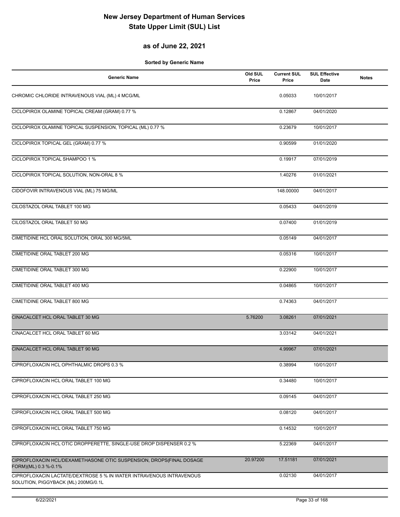### **as of June 22, 2021**

| <b>Generic Name</b>                                                                                        | Old SUL<br>Price | <b>Current SUL</b><br>Price | <b>SUL Effective</b><br>Date | <b>Notes</b> |
|------------------------------------------------------------------------------------------------------------|------------------|-----------------------------|------------------------------|--------------|
| CHROMIC CHLORIDE INTRAVENOUS VIAL (ML) 4 MCG/ML                                                            |                  | 0.05033                     | 10/01/2017                   |              |
| CICLOPIROX OLAMINE TOPICAL CREAM (GRAM) 0.77 %                                                             |                  | 0.12867                     | 04/01/2020                   |              |
| CICLOPIROX OLAMINE TOPICAL SUSPENSION, TOPICAL (ML) 0.77 %                                                 |                  | 0.23679                     | 10/01/2017                   |              |
| CICLOPIROX TOPICAL GEL (GRAM) 0.77 %                                                                       |                  | 0.90599                     | 01/01/2020                   |              |
| CICLOPIROX TOPICAL SHAMPOO 1 %                                                                             |                  | 0.19917                     | 07/01/2019                   |              |
| CICLOPIROX TOPICAL SOLUTION, NON-ORAL 8 %                                                                  |                  | 1.40276                     | 01/01/2021                   |              |
| CIDOFOVIR INTRAVENOUS VIAL (ML) 75 MG/ML                                                                   |                  | 148.00000                   | 04/01/2017                   |              |
| CILOSTAZOL ORAL TABLET 100 MG                                                                              |                  | 0.05433                     | 04/01/2019                   |              |
| CILOSTAZOL ORAL TABLET 50 MG                                                                               |                  | 0.07400                     | 01/01/2019                   |              |
| CIMETIDINE HCL ORAL SOLUTION, ORAL 300 MG/5ML                                                              |                  | 0.05149                     | 04/01/2017                   |              |
| CIMETIDINE ORAL TABLET 200 MG                                                                              |                  | 0.05316                     | 10/01/2017                   |              |
| CIMETIDINE ORAL TABLET 300 MG                                                                              |                  | 0.22900                     | 10/01/2017                   |              |
| CIMETIDINE ORAL TABLET 400 MG                                                                              |                  | 0.04865                     | 10/01/2017                   |              |
| CIMETIDINE ORAL TABLET 800 MG                                                                              |                  | 0.74363                     | 04/01/2017                   |              |
| CINACALCET HCL ORAL TABLET 30 MG                                                                           | 5.76200          | 3.08261                     | 07/01/2021                   |              |
| CINACALCET HCL ORAL TABLET 60 MG                                                                           |                  | 3.03142                     | 04/01/2021                   |              |
| CINACALCET HCL ORAL TABLET 90 MG                                                                           |                  | 4.99967                     | 07/01/2021                   |              |
| CIPROFLOXACIN HCL OPHTHALMIC DROPS 0.3 %                                                                   |                  | 0.38994                     | 10/01/2017                   |              |
| CIPROFLOXACIN HCL ORAL TABLET 100 MG                                                                       |                  | 0.34480                     | 10/01/2017                   |              |
| CIPROFLOXACIN HCL ORAL TABLET 250 MG                                                                       |                  | 0.09145                     | 04/01/2017                   |              |
| CIPROFLOXACIN HCL ORAL TABLET 500 MG                                                                       |                  | 0.08120                     | 04/01/2017                   |              |
| CIPROFLOXACIN HCL ORAL TABLET 750 MG                                                                       |                  | 0.14532                     | 10/01/2017                   |              |
| CIPROFLOXACIN HCL OTIC DROPPERETTE, SINGLE-USE DROP DISPENSER 0.2 %                                        |                  | 5.22369                     | 04/01/2017                   |              |
| CIPROFLOXACIN HCL/DEXAMETHASONE OTIC SUSPENSION, DROPS(FINAL DOSAGE<br>FORM)(ML) 0.3 %-0.1%                | 20.97200         | 17.51181                    | 07/01/2021                   |              |
| CIPROFLOXACIN LACTATE/DEXTROSE 5 % IN WATER INTRAVENOUS INTRAVENOUS<br>SOLUTION, PIGGYBACK (ML) 200MG/0.1L |                  | 0.02130                     | 04/01/2017                   |              |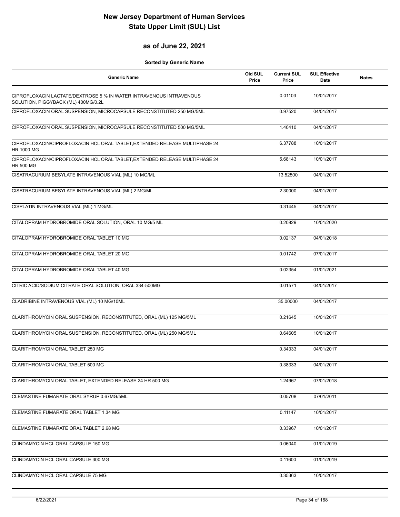#### **as of June 22, 2021**

| <b>Generic Name</b>                                                                                        | Old SUL<br>Price | <b>Current SUL</b><br>Price | <b>SUL Effective</b><br>Date | <b>Notes</b> |
|------------------------------------------------------------------------------------------------------------|------------------|-----------------------------|------------------------------|--------------|
| CIPROFLOXACIN LACTATE/DEXTROSE 5 % IN WATER INTRAVENOUS INTRAVENOUS<br>SOLUTION, PIGGYBACK (ML) 400MG/0.2L |                  | 0.01103                     | 10/01/2017                   |              |
| CIPROFLOXACIN ORAL SUSPENSION, MICROCAPSULE RECONSTITUTED 250 MG/5ML                                       |                  | 0.97520                     | 04/01/2017                   |              |
| CIPROFLOXACIN ORAL SUSPENSION, MICROCAPSULE RECONSTITUTED 500 MG/5ML                                       |                  | 1.40410                     | 04/01/2017                   |              |
| CIPROFLOXACIN/CIPROFLOXACIN HCL ORAL TABLET, EXTENDED RELEASE MULTIPHASE 24<br>HR 1000 MG                  |                  | 6.37788                     | 10/01/2017                   |              |
| CIPROFLOXACIN/CIPROFLOXACIN HCL ORAL TABLET, EXTENDED RELEASE MULTIPHASE 24<br><b>HR 500 MG</b>            |                  | 5.68143                     | 10/01/2017                   |              |
| CISATRACURIUM BESYLATE INTRAVENOUS VIAL (ML) 10 MG/ML                                                      |                  | 13.52500                    | 04/01/2017                   |              |
| CISATRACURIUM BESYLATE INTRAVENOUS VIAL (ML) 2 MG/ML                                                       |                  | 2.30000                     | 04/01/2017                   |              |
| CISPLATIN INTRAVENOUS VIAL (ML) 1 MG/ML                                                                    |                  | 0.31445                     | 04/01/2017                   |              |
| CITALOPRAM HYDROBROMIDE ORAL SOLUTION, ORAL 10 MG/5 ML                                                     |                  | 0.20829                     | 10/01/2020                   |              |
| CITALOPRAM HYDROBROMIDE ORAL TABLET 10 MG                                                                  |                  | 0.02137                     | 04/01/2018                   |              |
| CITALOPRAM HYDROBROMIDE ORAL TABLET 20 MG                                                                  |                  | 0.01742                     | 07/01/2017                   |              |
| CITALOPRAM HYDROBROMIDE ORAL TABLET 40 MG                                                                  |                  | 0.02354                     | 01/01/2021                   |              |
| CITRIC ACID/SODIUM CITRATE ORAL SOLUTION, ORAL 334-500MG                                                   |                  | 0.01571                     | 04/01/2017                   |              |
| CLADRIBINE INTRAVENOUS VIAL (ML) 10 MG/10ML                                                                |                  | 35.00000                    | 04/01/2017                   |              |
| CLARITHROMYCIN ORAL SUSPENSION, RECONSTITUTED, ORAL (ML) 125 MG/5ML                                        |                  | 0.21645                     | 10/01/2017                   |              |
| CLARITHROMYCIN ORAL SUSPENSION, RECONSTITUTED, ORAL (ML) 250 MG/5ML                                        |                  | 0.64605                     | 10/01/2017                   |              |
| CLARITHROMYCIN ORAL TABLET 250 MG                                                                          |                  | 0.34333                     | 04/01/2017                   |              |
| CLARITHROMYCIN ORAL TABLET 500 MG                                                                          |                  | 0.38333                     | 04/01/2017                   |              |
| CLARITHROMYCIN ORAL TABLET, EXTENDED RELEASE 24 HR 500 MG                                                  |                  | 1.24967                     | 07/01/2018                   |              |
| CLEMASTINE FUMARATE ORAL SYRUP 0.67MG/5ML                                                                  |                  | 0.05708                     | 07/01/2011                   |              |
| CLEMASTINE FUMARATE ORAL TABLET 1.34 MG                                                                    |                  | 0.11147                     | 10/01/2017                   |              |
| CLEMASTINE FUMARATE ORAL TABLET 2.68 MG                                                                    |                  | 0.33967                     | 10/01/2017                   |              |
| CLINDAMYCIN HCL ORAL CAPSULE 150 MG                                                                        |                  | 0.06040                     | 01/01/2019                   |              |
| CLINDAMYCIN HCL ORAL CAPSULE 300 MG                                                                        |                  | 0.11600                     | 01/01/2019                   |              |
| CLINDAMYCIN HCL ORAL CAPSULE 75 MG                                                                         |                  | 0.35363                     | 10/01/2017                   |              |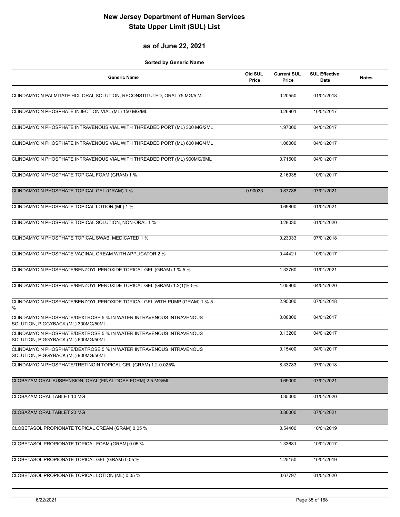#### **as of June 22, 2021**

| <b>Generic Name</b>                                                                                        | Old SUL<br>Price | <b>Current SUL</b><br>Price | <b>SUL Effective</b><br>Date | <b>Notes</b> |
|------------------------------------------------------------------------------------------------------------|------------------|-----------------------------|------------------------------|--------------|
| CLINDAMYCIN PALMITATE HCL ORAL SOLUTION, RECONSTITUTED, ORAL 75 MG/5 ML                                    |                  | 0.20550                     | 01/01/2018                   |              |
| CLINDAMYCIN PHOSPHATE INJECTION VIAL (ML) 150 MG/ML                                                        |                  | 0.26901                     | 10/01/2017                   |              |
| CLINDAMYCIN PHOSPHATE INTRAVENOUS VIAL WITH THREADED PORT (ML) 300 MG/2ML                                  |                  | 1.97000                     | 04/01/2017                   |              |
| CLINDAMYCIN PHOSPHATE INTRAVENOUS VIAL WITH THREADED PORT (ML) 600 MG/4ML                                  |                  | 1.06000                     | 04/01/2017                   |              |
| CLINDAMYCIN PHOSPHATE INTRAVENOUS VIAL WITH THREADED PORT (ML) 900MG/6ML                                   |                  | 0.71500                     | 04/01/2017                   |              |
| CLINDAMYCIN PHOSPHATE TOPICAL FOAM (GRAM) 1 %                                                              |                  | 2.16935                     | 10/01/2017                   |              |
| CLINDAMYCIN PHOSPHATE TOPICAL GEL (GRAM) 1 %                                                               | 0.90033          | 0.87788                     | 07/01/2021                   |              |
| CLINDAMYCIN PHOSPHATE TOPICAL LOTION (ML) 1 %                                                              |                  | 0.69800                     | 01/01/2021                   |              |
| CLINDAMYCIN PHOSPHATE TOPICAL SOLUTION, NON-ORAL 1 %                                                       |                  | 0.28030                     | 01/01/2020                   |              |
| CLINDAMYCIN PHOSPHATE TOPICAL SWAB, MEDICATED 1 %                                                          |                  | 0.23333                     | 07/01/2018                   |              |
| CLINDAMYCIN PHOSPHATE VAGINAL CREAM WITH APPLICATOR 2 %                                                    |                  | 0.44421                     | 10/01/2017                   |              |
| CLINDAMYCIN PHOSPHATE/BENZOYL PEROXIDE TOPICAL GEL (GRAM) 1 %-5 %                                          |                  | 1.33760                     | 01/01/2021                   |              |
| CLINDAMYCIN PHOSPHATE/BENZOYL PEROXIDE TOPICAL GEL (GRAM) 1.2(1)%-5%                                       |                  | 1.05800                     | 04/01/2020                   |              |
| CLINDAMYCIN PHOSPHATE/BENZOYL PEROXIDE TOPICAL GEL WITH PUMP (GRAM) 1 %-5<br>$\%$                          |                  | 2.95000                     | 07/01/2018                   |              |
| CLINDAMYCIN PHOSPHATE/DEXTROSE 5 % IN WATER INTRAVENOUS INTRAVENOUS<br>SOLUTION, PIGGYBACK (ML) 300MG/50ML |                  | 0.08800                     | 04/01/2017                   |              |
| CLINDAMYCIN PHOSPHATE/DEXTROSE 5 % IN WATER INTRAVENOUS INTRAVENOUS<br>SOLUTION, PIGGYBACK (ML) 600MG/50ML |                  | 0.13200                     | 04/01/2017                   |              |
| CLINDAMYCIN PHOSPHATE/DEXTROSE 5 % IN WATER INTRAVENOUS INTRAVENOUS<br>SOLUTION, PIGGYBACK (ML) 900MG/50ML |                  | 0.15400                     | 04/01/2017                   |              |
| CLINDAMYCIN PHOSPHATE/TRETINOIN TOPICAL GEL (GRAM) 1.2-0.025%                                              |                  | 8.33783                     | 07/01/2018                   |              |
| CLOBAZAM ORAL SUSPENSION, ORAL (FINAL DOSE FORM) 2.5 MG/ML                                                 |                  | 0.69000                     | 07/01/2021                   |              |
| CLOBAZAM ORAL TABLET 10 MG                                                                                 |                  | 0.35000                     | 01/01/2020                   |              |
| CLOBAZAM ORAL TABLET 20 MG                                                                                 |                  | 0.80000                     | 07/01/2021                   |              |
| CLOBETASOL PROPIONATE TOPICAL CREAM (GRAM) 0.05 %                                                          |                  | 0.54400                     | 10/01/2019                   |              |
| CLOBETASOL PROPIONATE TOPICAL FOAM (GRAM) 0.05 %                                                           |                  | 1.33681                     | 10/01/2017                   |              |
| CLOBETASOL PROPIONATE TOPICAL GEL (GRAM) 0.05 %                                                            |                  | 1.25150                     | 10/01/2019                   |              |
| CLOBETASOL PROPIONATE TOPICAL LOTION (ML) 0.05 %                                                           |                  | 0.67797                     | 01/01/2020                   |              |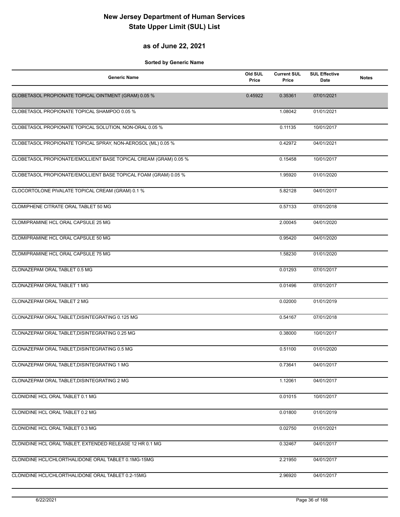#### **as of June 22, 2021**

| <b>Generic Name</b>                                              | Old SUL<br>Price | <b>Current SUL</b><br>Price | <b>SUL Effective</b><br>Date | <b>Notes</b> |
|------------------------------------------------------------------|------------------|-----------------------------|------------------------------|--------------|
| CLOBETASOL PROPIONATE TOPICAL OINTMENT (GRAM) 0.05 %             | 0.45922          | 0.35361                     | 07/01/2021                   |              |
| CLOBETASOL PROPIONATE TOPICAL SHAMPOO 0.05 %                     |                  | 1.08042                     | 01/01/2021                   |              |
| CLOBETASOL PROPIONATE TOPICAL SOLUTION, NON-ORAL 0.05 %          |                  | 0.11135                     | 10/01/2017                   |              |
| CLOBETASOL PROPIONATE TOPICAL SPRAY, NON-AEROSOL (ML) 0.05 %     |                  | 0.42972                     | 04/01/2021                   |              |
| CLOBETASOL PROPIONATE/EMOLLIENT BASE TOPICAL CREAM (GRAM) 0.05 % |                  | 0.15458                     | 10/01/2017                   |              |
| CLOBETASOL PROPIONATE/EMOLLIENT BASE TOPICAL FOAM (GRAM) 0.05 %  |                  | 1.95920                     | 01/01/2020                   |              |
| CLOCORTOLONE PIVALATE TOPICAL CREAM (GRAM) 0.1 %                 |                  | 5.82128                     | 04/01/2017                   |              |
| CLOMIPHENE CITRATE ORAL TABLET 50 MG                             |                  | 0.57133                     | 07/01/2018                   |              |
| CLOMIPRAMINE HCL ORAL CAPSULE 25 MG                              |                  | 2.00045                     | 04/01/2020                   |              |
| CLOMIPRAMINE HCL ORAL CAPSULE 50 MG                              |                  | 0.95420                     | 04/01/2020                   |              |
| CLOMIPRAMINE HCL ORAL CAPSULE 75 MG                              |                  | 1.58230                     | 01/01/2020                   |              |
| CLONAZEPAM ORAL TABLET 0.5 MG                                    |                  | 0.01293                     | 07/01/2017                   |              |
| CLONAZEPAM ORAL TABLET 1 MG                                      |                  | 0.01496                     | 07/01/2017                   |              |
| CLONAZEPAM ORAL TABLET 2 MG                                      |                  | 0.02000                     | 01/01/2019                   |              |
| CLONAZEPAM ORAL TABLET, DISINTEGRATING 0.125 MG                  |                  | 0.54167                     | 07/01/2018                   |              |
| CLONAZEPAM ORAL TABLET, DISINTEGRATING 0.25 MG                   |                  | 0.38000                     | 10/01/2017                   |              |
| CLONAZEPAM ORAL TABLET, DISINTEGRATING 0.5 MG                    |                  | 0.51100                     | 01/01/2020                   |              |
| CLONAZEPAM ORAL TABLET, DISINTEGRATING 1 MG                      |                  | 0.73641                     | 04/01/2017                   |              |
| CLONAZEPAM ORAL TABLET, DISINTEGRATING 2 MG                      |                  | 1.12061                     | 04/01/2017                   |              |
| CLONIDINE HCL ORAL TABLET 0.1 MG                                 |                  | 0.01015                     | 10/01/2017                   |              |
| CLONIDINE HCL ORAL TABLET 0.2 MG                                 |                  | 0.01800                     | 01/01/2019                   |              |
| CLONIDINE HCL ORAL TABLET 0.3 MG                                 |                  | 0.02750                     | 01/01/2021                   |              |
| CLONIDINE HCL ORAL TABLET, EXTENDED RELEASE 12 HR 0.1 MG         |                  | 0.32467                     | 04/01/2017                   |              |
| CLONIDINE HCL/CHLORTHALIDONE ORAL TABLET 0.1MG-15MG              |                  | 2.21950                     | 04/01/2017                   |              |
| CLONIDINE HCL/CHLORTHALIDONE ORAL TABLET 0.2-15MG                |                  | 2.96920                     | 04/01/2017                   |              |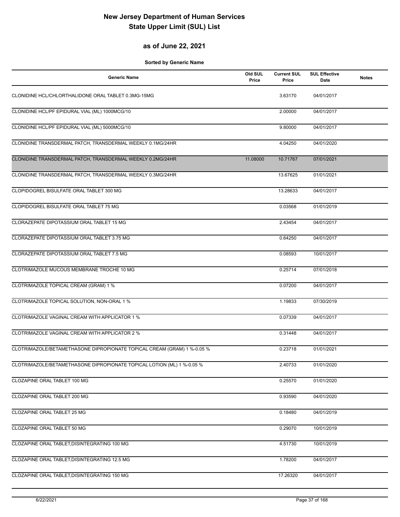#### **as of June 22, 2021**

| <b>Generic Name</b>                                                     | Old SUL<br>Price | <b>Current SUL</b><br>Price | <b>SUL Effective</b><br><b>Date</b> | <b>Notes</b> |
|-------------------------------------------------------------------------|------------------|-----------------------------|-------------------------------------|--------------|
| CLONIDINE HCL/CHLORTHALIDONE ORAL TABLET 0.3MG-15MG                     |                  | 3.63170                     | 04/01/2017                          |              |
| CLONIDINE HCL/PF EPIDURAL VIAL (ML) 1000MCG/10                          |                  | 2.00000                     | 04/01/2017                          |              |
| CLONIDINE HCL/PF EPIDURAL VIAL (ML) 5000MCG/10                          |                  | 9.80000                     | 04/01/2017                          |              |
| CLONIDINE TRANSDERMAL PATCH, TRANSDERMAL WEEKLY 0.1MG/24HR              |                  | 4.04250                     | 04/01/2020                          |              |
| CLONIDINE TRANSDERMAL PATCH, TRANSDERMAL WEEKLY 0.2MG/24HR              | 11.08000         | 10.71767                    | 07/01/2021                          |              |
| CLONIDINE TRANSDERMAL PATCH, TRANSDERMAL WEEKLY 0.3MG/24HR              |                  | 13.67625                    | 01/01/2021                          |              |
| CLOPIDOGREL BISULFATE ORAL TABLET 300 MG                                |                  | 13.28633                    | 04/01/2017                          |              |
| CLOPIDOGREL BISULFATE ORAL TABLET 75 MG                                 |                  | 0.03568                     | 01/01/2019                          |              |
| CLORAZEPATE DIPOTASSIUM ORAL TABLET 15 MG                               |                  | 2.43454                     | 04/01/2017                          |              |
| CLORAZEPATE DIPOTASSIUM ORAL TABLET 3.75 MG                             |                  | 0.64250                     | 04/01/2017                          |              |
| CLORAZEPATE DIPOTASSIUM ORAL TABLET 7.5 MG                              |                  | 0.08593                     | 10/01/2017                          |              |
| CLOTRIMAZOLE MUCOUS MEMBRANE TROCHE 10 MG                               |                  | 0.25714                     | 07/01/2018                          |              |
| CLOTRIMAZOLE TOPICAL CREAM (GRAM) 1 %                                   |                  | 0.07200                     | 04/01/2017                          |              |
| CLOTRIMAZOLE TOPICAL SOLUTION, NON-ORAL 1 %                             |                  | 1.19833                     | 07/30/2019                          |              |
| CLOTRIMAZOLE VAGINAL CREAM WITH APPLICATOR 1 %                          |                  | 0.07339                     | 04/01/2017                          |              |
| CLOTRIMAZOLE VAGINAL CREAM WITH APPLICATOR 2 %                          |                  | 0.31448                     | 04/01/2017                          |              |
| CLOTRIMAZOLE/BETAMETHASONE DIPROPIONATE TOPICAL CREAM (GRAM) 1 %-0.05 % |                  | 0.23718                     | 01/01/2021                          |              |
| CLOTRIMAZOLE/BETAMETHASONE DIPROPIONATE TOPICAL LOTION (ML) 1 %-0.05 %  |                  | 2.40733                     | 01/01/2020                          |              |
| CLOZAPINE ORAL TABLET 100 MG                                            |                  | 0.25570                     | 01/01/2020                          |              |
| CLOZAPINE ORAL TABLET 200 MG                                            |                  | 0.93590                     | 04/01/2020                          |              |
| <b>CLOZAPINE ORAL TABLET 25 MG</b>                                      |                  | 0.18480                     | 04/01/2019                          |              |
| CLOZAPINE ORAL TABLET 50 MG                                             |                  | 0.29070                     | 10/01/2019                          |              |
| CLOZAPINE ORAL TABLET, DISINTEGRATING 100 MG                            |                  | 4.51730                     | 10/01/2019                          |              |
| CLOZAPINE ORAL TABLET, DISINTEGRATING 12.5 MG                           |                  | 1.78200                     | 04/01/2017                          |              |
| CLOZAPINE ORAL TABLET, DISINTEGRATING 150 MG                            |                  | 17.26320                    | 04/01/2017                          |              |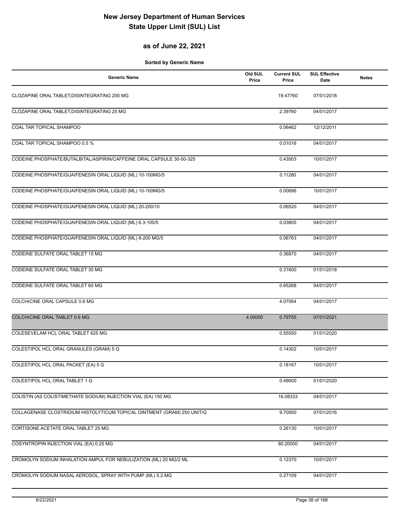### **as of June 22, 2021**

| <b>Generic Name</b>                                                     | Old SUL<br>Price | <b>Current SUL</b><br>Price | <b>SUL Effective</b><br>Date | <b>Notes</b> |
|-------------------------------------------------------------------------|------------------|-----------------------------|------------------------------|--------------|
| CLOZAPINE ORAL TABLET, DISINTEGRATING 200 MG                            |                  | 19.47760                    | 07/01/2018                   |              |
| CLOZAPINE ORAL TABLET, DISINTEGRATING 25 MG                             |                  | 2.39760                     | 04/01/2017                   |              |
| COAL TAR TOPICAL SHAMPOO                                                |                  | 0.06462                     | 12/12/2011                   |              |
| COAL TAR TOPICAL SHAMPOO 0.5 %                                          |                  | 0.01016                     | 04/01/2017                   |              |
| CODEINE PHOSPHATE/BUTALBITAL/ASPIRIN/CAFFEINE ORAL CAPSULE 30-50-325    |                  | 0.43503                     | 10/01/2017                   |              |
| CODEINE PHOSPHATE/GUAIFENESIN ORAL LIQUID (ML) 10-100MG/5               |                  | 0.11280                     | 04/01/2017                   |              |
| CODEINE PHOSPHATE/GUAIFENESIN ORAL LIQUID (ML) 10-100MG/5               |                  | 0.00686                     | 10/01/2017                   |              |
| CODEINE PHOSPHATE/GUAIFENESIN ORAL LIQUID (ML) 20-200/10                |                  | 0.06520                     | 04/01/2017                   |              |
| CODEINE PHOSPHATE/GUAIFENESIN ORAL LIQUID (ML) 6.3-100/5                |                  | 0.03805                     | 04/01/2017                   |              |
| CODEINE PHOSPHATE/GUAIFENESIN ORAL LIQUID (ML) 8-200 MG/5               |                  | 0.06763                     | 04/01/2017                   |              |
| CODEINE SULFATE ORAL TABLET 15 MG                                       |                  | 0.36870                     | 04/01/2017                   |              |
| CODEINE SULFATE ORAL TABLET 30 MG                                       |                  | 0.31600                     | 01/01/2018                   |              |
| CODEINE SULFATE ORAL TABLET 60 MG                                       |                  | 0.65268                     | 04/01/2017                   |              |
| COLCHICINE ORAL CAPSULE 0.6 MG                                          |                  | 4.07064                     | 04/01/2017                   |              |
| COLCHICINE ORAL TABLET 0.6 MG                                           | 4.00000          | 0.79755                     | 07/01/2021                   |              |
| COLESEVELAM HCL ORAL TABLET 625 MG                                      |                  | 0.55550                     | 01/01/2020                   |              |
| COLESTIPOL HCL ORAL GRANULES (GRAM) 5 G                                 |                  | 0.14302                     | 10/01/2017                   |              |
| COLESTIPOL HCL ORAL PACKET (EA) 5 G                                     |                  | 0.18167                     | 10/01/2017                   |              |
| COLESTIPOL HCL ORAL TABLET 1 G                                          |                  | 0.49000                     | 01/01/2020                   |              |
| COLISTIN (AS COLISTIMETHATE SODIUM) INJECTION VIAL (EA) 150 MG          |                  | 16.08333                    | 04/01/2017                   |              |
| COLLAGENASE CLOSTRIDIUM HISTOLYTICUM TOPICAL OINTMENT (GRAM) 250 UNIT/G |                  | 9.70950                     | 07/01/2016                   |              |
| CORTISONE ACETATE ORAL TABLET 25 MG                                     |                  | 0.26130                     | 10/01/2017                   |              |
| COSYNTROPIN INJECTION VIAL (EA) 0.25 MG                                 |                  | 80.20000                    | 04/01/2017                   |              |
| CROMOLYN SODIUM INHALATION AMPUL FOR NEBULIZATION (ML) 20 MG/2 ML       |                  | 0.12370                     | 10/01/2017                   |              |
| CROMOLYN SODIUM NASAL AEROSOL, SPRAY WITH PUMP (ML) 5.2 MG              |                  | 0.27109                     | 04/01/2017                   |              |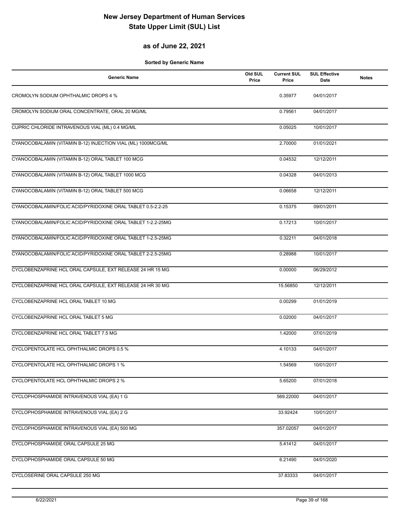#### **as of June 22, 2021**

| <b>Generic Name</b>                                          | Old SUL<br>Price | <b>Current SUL</b><br>Price | <b>SUL Effective</b><br>Date | <b>Notes</b> |
|--------------------------------------------------------------|------------------|-----------------------------|------------------------------|--------------|
| CROMOLYN SODIUM OPHTHALMIC DROPS 4 %                         |                  | 0.35977                     | 04/01/2017                   |              |
| CROMOLYN SODIUM ORAL CONCENTRATE, ORAL 20 MG/ML              |                  | 0.79561                     | 04/01/2017                   |              |
| CUPRIC CHLORIDE INTRAVENOUS VIAL (ML) 0.4 MG/ML              |                  | 0.05025                     | 10/01/2017                   |              |
| CYANOCOBALAMIN (VITAMIN B-12) INJECTION VIAL (ML) 1000MCG/ML |                  | 2.70000                     | 01/01/2021                   |              |
| CYANOCOBALAMIN (VITAMIN B-12) ORAL TABLET 100 MCG            |                  | 0.04532                     | 12/12/2011                   |              |
| CYANOCOBALAMIN (VITAMIN B-12) ORAL TABLET 1000 MCG           |                  | 0.04328                     | 04/01/2013                   |              |
| CYANOCOBALAMIN (VITAMIN B-12) ORAL TABLET 500 MCG            |                  | 0.06658                     | 12/12/2011                   |              |
| CYANOCOBALAMIN/FOLIC ACID/PYRIDOXINE ORAL TABLET 0.5-2.2-25  |                  | 0.15375                     | 09/01/2011                   |              |
| CYANOCOBALAMIN/FOLIC ACID/PYRIDOXINE ORAL TABLET 1-2.2-25MG  |                  | 0.17213                     | 10/01/2017                   |              |
| CYANOCOBALAMIN/FOLIC ACID/PYRIDOXINE ORAL TABLET 1-2.5-25MG  |                  | 0.32211                     | 04/01/2018                   |              |
| CYANOCOBALAMIN/FOLIC ACID/PYRIDOXINE ORAL TABLET 2-2.5-25MG  |                  | 0.28988                     | 10/01/2017                   |              |
| CYCLOBENZAPRINE HCL ORAL CAPSULE, EXT RELEASE 24 HR 15 MG    |                  | 0.00000                     | 06/29/2012                   |              |
| CYCLOBENZAPRINE HCL ORAL CAPSULE, EXT RELEASE 24 HR 30 MG    |                  | 15.56850                    | 12/12/2011                   |              |
| CYCLOBENZAPRINE HCL ORAL TABLET 10 MG                        |                  | 0.00299                     | 01/01/2019                   |              |
| CYCLOBENZAPRINE HCL ORAL TABLET 5 MG                         |                  | 0.02000                     | 04/01/2017                   |              |
| CYCLOBENZAPRINE HCL ORAL TABLET 7.5 MG                       |                  | 1.42000                     | 07/01/2019                   |              |
| CYCLOPENTOLATE HCL OPHTHALMIC DROPS 0.5 %                    |                  | 4.10133                     | 04/01/2017                   |              |
| CYCLOPENTOLATE HCL OPHTHALMIC DROPS 1 %                      |                  | 1.54569                     | 10/01/2017                   |              |
| CYCLOPENTOLATE HCL OPHTHALMIC DROPS 2 %                      |                  | 5.65200                     | 07/01/2018                   |              |
| CYCLOPHOSPHAMIDE INTRAVENOUS VIAL (EA) 1 G                   |                  | 569.22000                   | 04/01/2017                   |              |
| CYCLOPHOSPHAMIDE INTRAVENOUS VIAL (EA) 2 G                   |                  | 33.92424                    | 10/01/2017                   |              |
| CYCLOPHOSPHAMIDE INTRAVENOUS VIAL (EA) 500 MG                |                  | 357.02057                   | 04/01/2017                   |              |
| CYCLOPHOSPHAMIDE ORAL CAPSULE 25 MG                          |                  | 5.41412                     | 04/01/2017                   |              |
| CYCLOPHOSPHAMIDE ORAL CAPSULE 50 MG                          |                  | 6.21490                     | 04/01/2020                   |              |
| CYCLOSERINE ORAL CAPSULE 250 MG                              |                  | 37.83333                    | 04/01/2017                   |              |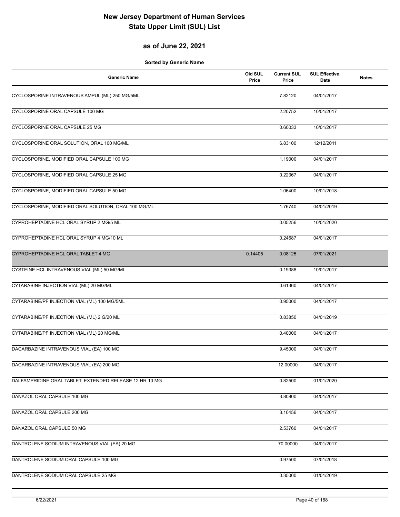#### **as of June 22, 2021**

| <b>Generic Name</b>                                     | Old SUL<br>Price | <b>Current SUL</b><br>Price | <b>SUL Effective</b><br>Date | <b>Notes</b> |
|---------------------------------------------------------|------------------|-----------------------------|------------------------------|--------------|
| CYCLOSPORINE INTRAVENOUS AMPUL (ML) 250 MG/5ML          |                  | 7.82120                     | 04/01/2017                   |              |
| CYCLOSPORINE ORAL CAPSULE 100 MG                        |                  | 2.20752                     | 10/01/2017                   |              |
| CYCLOSPORINE ORAL CAPSULE 25 MG                         |                  | 0.60033                     | 10/01/2017                   |              |
| CYCLOSPORINE ORAL SOLUTION, ORAL 100 MG/ML              |                  | 6.83100                     | 12/12/2011                   |              |
| CYCLOSPORINE, MODIFIED ORAL CAPSULE 100 MG              |                  | 1.19000                     | 04/01/2017                   |              |
| CYCLOSPORINE, MODIFIED ORAL CAPSULE 25 MG               |                  | 0.22367                     | 04/01/2017                   |              |
| CYCLOSPORINE, MODIFIED ORAL CAPSULE 50 MG               |                  | 1.06400                     | 10/01/2018                   |              |
| CYCLOSPORINE, MODIFIED ORAL SOLUTION, ORAL 100 MG/ML    |                  | 1.76740                     | 04/01/2019                   |              |
| CYPROHEPTADINE HCL ORAL SYRUP 2 MG/5 ML                 |                  | 0.05256                     | 10/01/2020                   |              |
| CYPROHEPTADINE HCL ORAL SYRUP 4 MG/10 ML                |                  | 0.24687                     | 04/01/2017                   |              |
| CYPROHEPTADINE HCL ORAL TABLET 4 MG                     | 0.14405          | 0.08125                     | 07/01/2021                   |              |
| CYSTEINE HCL INTRAVENOUS VIAL (ML) 50 MG/ML             |                  | 0.19388                     | 10/01/2017                   |              |
| CYTARABINE INJECTION VIAL (ML) 20 MG/ML                 |                  | 0.61360                     | 04/01/2017                   |              |
| CYTARABINE/PF INJECTION VIAL (ML) 100 MG/5ML            |                  | 0.95000                     | 04/01/2017                   |              |
| CYTARABINE/PF INJECTION VIAL (ML) 2 G/20 ML             |                  | 0.83850                     | 04/01/2019                   |              |
| CYTARABINE/PF INJECTION VIAL (ML) 20 MG/ML              |                  | 0.40000                     | 04/01/2017                   |              |
| DACARBAZINE INTRAVENOUS VIAL (EA) 100 MG                |                  | 9.45000                     | 04/01/2017                   |              |
| DACARBAZINE INTRAVENOUS VIAL (EA) 200 MG                |                  | 12.00000                    | 04/01/2017                   |              |
| DALFAMPRIDINE ORAL TABLET, EXTENDED RELEASE 12 HR 10 MG |                  | 0.82500                     | 01/01/2020                   |              |
| DANAZOL ORAL CAPSULE 100 MG                             |                  | 3.80800                     | 04/01/2017                   |              |
| DANAZOL ORAL CAPSULE 200 MG                             |                  | 3.10456                     | 04/01/2017                   |              |
| DANAZOL ORAL CAPSULE 50 MG                              |                  | 2.53760                     | 04/01/2017                   |              |
| DANTROLENE SODIUM INTRAVENOUS VIAL (EA) 20 MG           |                  | 70.00000                    | 04/01/2017                   |              |
| DANTROLENE SODIUM ORAL CAPSULE 100 MG                   |                  | 0.97500                     | 07/01/2018                   |              |
| DANTROLENE SODIUM ORAL CAPSULE 25 MG                    |                  | 0.35000                     | 01/01/2019                   |              |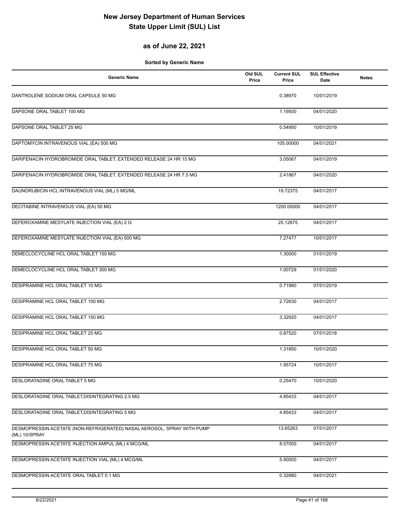### **as of June 22, 2021**

| <b>Generic Name</b>                                                                     | Old SUL<br>Price | <b>Current SUL</b><br>Price | <b>SUL Effective</b><br>Date | <b>Notes</b> |
|-----------------------------------------------------------------------------------------|------------------|-----------------------------|------------------------------|--------------|
| DANTROLENE SODIUM ORAL CAPSULE 50 MG                                                    |                  | 0.38970                     | 10/01/2019                   |              |
| DAPSONE ORAL TABLET 100 MG                                                              |                  | 1.19500                     | 04/01/2020                   |              |
| DAPSONE ORAL TABLET 25 MG                                                               |                  | 0.54950                     | 10/01/2019                   |              |
| DAPTOMYCIN INTRAVENOUS VIAL (EA) 500 MG                                                 |                  | 105.00000                   | 04/01/2021                   |              |
| DARIFENACIN HYDROBROMIDE ORAL TABLET, EXTENDED RELEASE 24 HR 15 MG                      |                  | 3.05067                     | 04/01/2019                   |              |
| DARIFENACIN HYDROBROMIDE ORAL TABLET, EXTENDED RELEASE 24 HR 7.5 MG                     |                  | 2.41867                     | 04/01/2020                   |              |
| DAUNORUBICIN HCL INTRAVENOUS VIAL (ML) 5 MG/ML                                          |                  | 19.72375                    | 04/01/2017                   |              |
| DECITABINE INTRAVENOUS VIAL (EA) 50 MG                                                  |                  | 1200.00000                  | 04/01/2017                   |              |
| DEFEROXAMINE MESYLATE INJECTION VIAL (EA) 2 G                                           |                  | 25.12875                    | 04/01/2017                   |              |
| DEFEROXAMINE MESYLATE INJECTION VIAL (EA) 500 MG                                        |                  | 7.27477                     | 10/01/2017                   |              |
| DEMECLOCYCLINE HCL ORAL TABLET 150 MG                                                   |                  | 1.30000                     | 01/01/2019                   |              |
| DEMECLOCYCLINE HCL ORAL TABLET 300 MG                                                   |                  | 1.00729                     | 01/01/2020                   |              |
| DESIPRAMINE HCL ORAL TABLET 10 MG                                                       |                  | 0.71980                     | 07/01/2019                   |              |
| DESIPRAMINE HCL ORAL TABLET 100 MG                                                      |                  | 2.72630                     | 04/01/2017                   |              |
| DESIPRAMINE HCL ORAL TABLET 150 MG                                                      |                  | 3.32920                     | 04/01/2017                   |              |
| DESIPRAMINE HCL ORAL TABLET 25 MG                                                       |                  | 0.87520                     | 07/01/2018                   |              |
| DESIPRAMINE HCL ORAL TABLET 50 MG                                                       |                  | 1.31850                     | 10/01/2020                   |              |
| DESIPRAMINE HCL ORAL TABLET 75 MG                                                       |                  | 1.95724                     | 10/01/2017                   |              |
| DESLORATADINE ORAL TABLET 5 MG                                                          |                  | 0.25470                     | 10/01/2020                   |              |
| DESLORATADINE ORAL TABLET, DISINTEGRATING 2.5 MG                                        |                  | 4.85433                     | 04/01/2017                   |              |
| DESLORATADINE ORAL TABLET, DISINTEGRATING 5 MG                                          |                  | 4.85433                     | 04/01/2017                   |              |
| DESMOPRESSIN ACETATE (NON-REFRIGERATED) NASAL AEROSOL, SPRAY WITH PUMP<br>(ML) 10/SPRAY |                  | 13.65263                    | 07/01/2017                   |              |
| DESMOPRESSIN ACETATE INJECTION AMPUL (ML) 4 MCG/ML                                      |                  | 8.57000                     | 04/01/2017                   |              |
| DESMOPRESSIN ACETATE INJECTION VIAL (ML) 4 MCG/ML                                       |                  | 5.90000                     | 04/01/2017                   |              |
| DESMOPRESSIN ACETATE ORAL TABLET 0.1 MG                                                 |                  | 0.32880                     | 04/01/2021                   |              |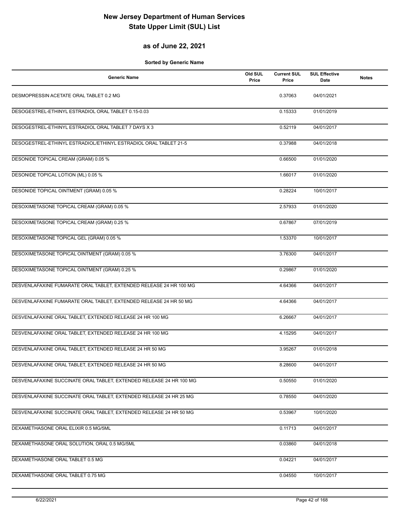#### **as of June 22, 2021**

| <b>Generic Name</b>                                                 | Old SUL<br>Price | <b>Current SUL</b><br>Price | <b>SUL Effective</b><br>Date | <b>Notes</b> |
|---------------------------------------------------------------------|------------------|-----------------------------|------------------------------|--------------|
| DESMOPRESSIN ACETATE ORAL TABLET 0.2 MG                             |                  | 0.37063                     | 04/01/2021                   |              |
| DESOGESTREL-ETHINYL ESTRADIOL ORAL TABLET 0.15-0.03                 |                  | 0.15333                     | 01/01/2019                   |              |
| DESOGESTREL-ETHINYL ESTRADIOL ORAL TABLET 7 DAYS X 3                |                  | 0.52119                     | 04/01/2017                   |              |
| DESOGESTREL-ETHINYL ESTRADIOL/ETHINYL ESTRADIOL ORAL TABLET 21-5    |                  | 0.37988                     | 04/01/2018                   |              |
| DESONIDE TOPICAL CREAM (GRAM) 0.05 %                                |                  | 0.66500                     | 01/01/2020                   |              |
| <b>DESONIDE TOPICAL LOTION (ML) 0.05 %</b>                          |                  | 1.66017                     | 01/01/2020                   |              |
| DESONIDE TOPICAL OINTMENT (GRAM) 0.05 %                             |                  | 0.28224                     | 10/01/2017                   |              |
| DESOXIMETASONE TOPICAL CREAM (GRAM) 0.05 %                          |                  | 2.57933                     | 01/01/2020                   |              |
| DESOXIMETASONE TOPICAL CREAM (GRAM) 0.25 %                          |                  | 0.67867                     | 07/01/2019                   |              |
| DESOXIMETASONE TOPICAL GEL (GRAM) 0.05 %                            |                  | 1.53370                     | 10/01/2017                   |              |
| DESOXIMETASONE TOPICAL OINTMENT (GRAM) 0.05 %                       |                  | 3.76300                     | 04/01/2017                   |              |
| DESOXIMETASONE TOPICAL OINTMENT (GRAM) 0.25 %                       |                  | 0.29867                     | 01/01/2020                   |              |
| DESVENLAFAXINE FUMARATE ORAL TABLET, EXTENDED RELEASE 24 HR 100 MG  |                  | 4.64366                     | 04/01/2017                   |              |
| DESVENLAFAXINE FUMARATE ORAL TABLET, EXTENDED RELEASE 24 HR 50 MG   |                  | 4.64366                     | 04/01/2017                   |              |
| DESVENLAFAXINE ORAL TABLET, EXTENDED RELEASE 24 HR 100 MG           |                  | 6.26667                     | 04/01/2017                   |              |
| DESVENLAFAXINE ORAL TABLET, EXTENDED RELEASE 24 HR 100 MG           |                  | 4.15295                     | 04/01/2017                   |              |
| DESVENLAFAXINE ORAL TABLET, EXTENDED RELEASE 24 HR 50 MG            |                  | 3.95267                     | 01/01/2018                   |              |
| DESVENLAFAXINE ORAL TABLET, EXTENDED RELEASE 24 HR 50 MG            |                  | 8.28600                     | 04/01/2017                   |              |
| DESVENLAFAXINE SUCCINATE ORAL TABLET, EXTENDED RELEASE 24 HR 100 MG |                  | 0.50550                     | 01/01/2020                   |              |
| DESVENLAFAXINE SUCCINATE ORAL TABLET, EXTENDED RELEASE 24 HR 25 MG  |                  | 0.78550                     | 04/01/2020                   |              |
| DESVENLAFAXINE SUCCINATE ORAL TABLET, EXTENDED RELEASE 24 HR 50 MG  |                  | 0.53967                     | 10/01/2020                   |              |
| DEXAMETHASONE ORAL ELIXIR 0.5 MG/5ML                                |                  | 0.11713                     | 04/01/2017                   |              |
| DEXAMETHASONE ORAL SOLUTION, ORAL 0.5 MG/5ML                        |                  | 0.03860                     | 04/01/2018                   |              |
| DEXAMETHASONE ORAL TABLET 0.5 MG                                    |                  | 0.04221                     | 04/01/2017                   |              |
| DEXAMETHASONE ORAL TABLET 0.75 MG                                   |                  | 0.04550                     | 10/01/2017                   |              |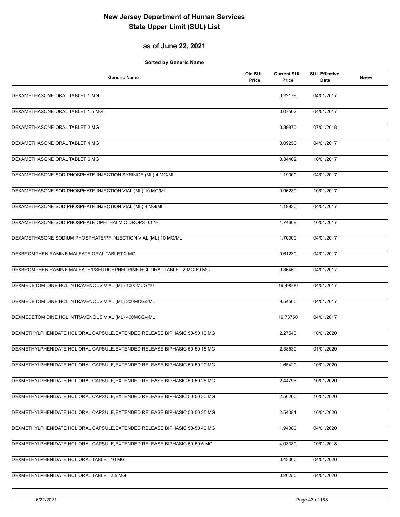### **as of June 22, 2021**

| <b>Generic Name</b>                                                        | Old SUL<br>Price | <b>Current SUL</b><br>Price | <b>SUL Effective</b><br>Date | <b>Notes</b> |
|----------------------------------------------------------------------------|------------------|-----------------------------|------------------------------|--------------|
| DEXAMETHASONE ORAL TABLET 1 MG                                             |                  | 0.22179                     | 04/01/2017                   |              |
| DEXAMETHASONE ORAL TABLET 1.5 MG                                           |                  | 0.07502                     | 04/01/2017                   |              |
| DEXAMETHASONE ORAL TABLET 2 MG                                             |                  | 0.39870                     | 07/01/2018                   |              |
| DEXAMETHASONE ORAL TABLET 4 MG                                             |                  | 0.09250                     | 04/01/2017                   |              |
| DEXAMETHASONE ORAL TABLET 6 MG                                             |                  | 0.34402                     | 10/01/2017                   |              |
| DEXAMETHASONE SOD PHOSPHATE INJECTION SYRINGE (ML) 4 MG/ML                 |                  | 1.19000                     | 04/01/2017                   |              |
| DEXAMETHASONE SOD PHOSPHATE INJECTION VIAL (ML) 10 MG/ML                   |                  | 0.96239                     | 10/01/2017                   |              |
| DEXAMETHASONE SOD PHOSPHATE INJECTION VIAL (ML) 4 MG/ML                    |                  | 1.19930                     | 04/01/2017                   |              |
| DEXAMETHASONE SOD PHOSPHATE OPHTHALMIC DROPS 0.1 %                         |                  | 1.74669                     | 10/01/2017                   |              |
| DEXAMETHASONE SODIUM PHOSPHATE/PF INJECTION VIAL (ML) 10 MG/ML             |                  | 1.70000                     | 04/01/2017                   |              |
| DEXBROMPHENIRAMINE MALEATE ORAL TABLET 2 MG                                |                  | 0.61230                     | 04/01/2017                   |              |
| DEXBROMPHENIRAMINE MALEATE/PSEUDOEPHEDRINE HCL ORAL TABLET 2 MG-60 MG      |                  | 0.36450                     | 04/01/2017                   |              |
| DEXMEDETOMIDINE HCL INTRAVENOUS VIAL (ML) 1000MCG/10                       |                  | 19.49500                    | 04/01/2017                   |              |
| DEXMEDETOMIDINE HCL INTRAVENOUS VIAL (ML) 200MCG/2ML                       |                  | 9.54500                     | 04/01/2017                   |              |
| DEXMEDETOMIDINE HCL INTRAVENOUS VIAL (ML) 400MCG/4ML                       |                  | 19.73750                    | 04/01/2017                   |              |
| DEXMETHYLPHENIDATE HCL ORAL CAPSULE, EXTENDED RELEASE BIPHASIC 50-50 10 MG |                  | 2.27540                     | 10/01/2020                   |              |
| DEXMETHYLPHENIDATE HCL ORAL CAPSULE, EXTENDED RELEASE BIPHASIC 50-50 15 MG |                  | 2.38530                     | 01/01/2020                   |              |
| DEXMETHYLPHENIDATE HCL ORAL CAPSULE, EXTENDED RELEASE BIPHASIC 50-50 20 MG |                  | 1.65420                     | 10/01/2020                   |              |
| DEXMETHYLPHENIDATE HCL ORAL CAPSULE, EXTENDED RELEASE BIPHASIC 50-50 25 MG |                  | 2.44796                     | 10/01/2020                   |              |
| DEXMETHYLPHENIDATE HCL ORAL CAPSULE, EXTENDED RELEASE BIPHASIC 50-50 30 MG |                  | 2.56200                     | 10/01/2020                   |              |
| DEXMETHYLPHENIDATE HCL ORAL CAPSULE, EXTENDED RELEASE BIPHASIC 50-50 35 MG |                  | 2.54081                     | 10/01/2020                   |              |
| DEXMETHYLPHENIDATE HCL ORAL CAPSULE, EXTENDED RELEASE BIPHASIC 50-50 40 MG |                  | 1.94380                     | 04/01/2020                   |              |
| DEXMETHYLPHENIDATE HCL ORAL CAPSULE, EXTENDED RELEASE BIPHASIC 50-50 5 MG  |                  | 4.03380                     | 10/01/2018                   |              |
| DEXMETHYLPHENIDATE HCL ORAL TABLET 10 MG                                   |                  | 0.43060                     | 04/01/2020                   |              |
| DEXMETHYLPHENIDATE HCL ORAL TABLET 2.5 MG                                  |                  | 0.20250                     | 04/01/2020                   |              |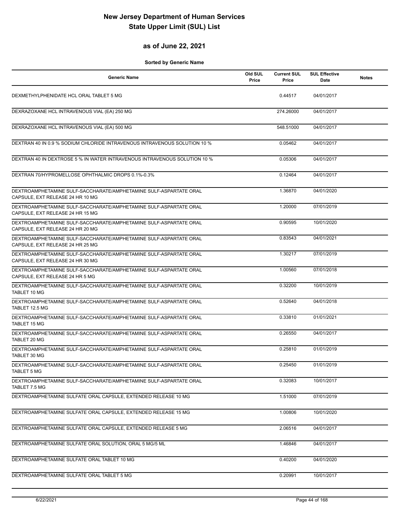#### **as of June 22, 2021**

| Generic Name                                                                                          | Old SUL<br>Price | <b>Current SUL</b><br>Price | <b>SUL Effective</b><br>Date | <b>Notes</b> |
|-------------------------------------------------------------------------------------------------------|------------------|-----------------------------|------------------------------|--------------|
| DEXMETHYLPHENIDATE HCL ORAL TABLET 5 MG                                                               |                  | 0.44517                     | 04/01/2017                   |              |
| DEXRAZOXANE HCL INTRAVENOUS VIAL (EA) 250 MG                                                          |                  | 274.26000                   | 04/01/2017                   |              |
| DEXRAZOXANE HCL INTRAVENOUS VIAL (EA) 500 MG                                                          |                  | 548.51000                   | 04/01/2017                   |              |
| DEXTRAN 40 IN 0.9 % SODIUM CHLORIDE INTRAVENOUS INTRAVENOUS SOLUTION 10 %                             |                  | 0.05462                     | 04/01/2017                   |              |
| DEXTRAN 40 IN DEXTROSE 5 % IN WATER INTRAVENOUS INTRAVENOUS SOLUTION 10 %                             |                  | 0.05306                     | 04/01/2017                   |              |
| DEXTRAN 70/HYPROMELLOSE OPHTHALMIC DROPS 0.1%-0.3%                                                    |                  | 0.12464                     | 04/01/2017                   |              |
| DEXTROAMPHETAMINE SULF-SACCHARATE/AMPHETAMINE SULF-ASPARTATE ORAL<br>CAPSULE, EXT RELEASE 24 HR 10 MG |                  | 1.36870                     | 04/01/2020                   |              |
| DEXTROAMPHETAMINE SULF-SACCHARATE/AMPHETAMINE SULF-ASPARTATE ORAL<br>CAPSULE, EXT RELEASE 24 HR 15 MG |                  | 1.20000                     | 07/01/2019                   |              |
| DEXTROAMPHETAMINE SULF-SACCHARATE/AMPHETAMINE SULF-ASPARTATE ORAL<br>CAPSULE, EXT RELEASE 24 HR 20 MG |                  | 0.90595                     | 10/01/2020                   |              |
| DEXTROAMPHETAMINE SULF-SACCHARATE/AMPHETAMINE SULF-ASPARTATE ORAL<br>CAPSULE, EXT RELEASE 24 HR 25 MG |                  | 0.83543                     | 04/01/2021                   |              |
| DEXTROAMPHETAMINE SULF-SACCHARATE/AMPHETAMINE SULF-ASPARTATE ORAL<br>CAPSULE, EXT RELEASE 24 HR 30 MG |                  | 1.30217                     | 07/01/2019                   |              |
| DEXTROAMPHETAMINE SULF-SACCHARATE/AMPHETAMINE SULF-ASPARTATE ORAL<br>CAPSULE, EXT RELEASE 24 HR 5 MG  |                  | 1.00560                     | 07/01/2018                   |              |
| DEXTROAMPHETAMINE SULF-SACCHARATE/AMPHETAMINE SULF-ASPARTATE ORAL<br>TABLET 10 MG                     |                  | 0.32200                     | 10/01/2019                   |              |
| DEXTROAMPHETAMINE SULF-SACCHARATE/AMPHETAMINE SULF-ASPARTATE ORAL<br>TABLET 12.5 MG                   |                  | 0.52640                     | 04/01/2018                   |              |
| DEXTROAMPHETAMINE SULF-SACCHARATE/AMPHETAMINE SULF-ASPARTATE ORAL<br><b>TABLET 15 MG</b>              |                  | 0.33810                     | 01/01/2021                   |              |
| DEXTROAMPHETAMINE SULF-SACCHARATE/AMPHETAMINE SULF-ASPARTATE ORAL<br>TABLET 20 MG                     |                  | 0.26550                     | 04/01/2017                   |              |
| DEXTROAMPHETAMINE SULF-SACCHARATE/AMPHETAMINE SULF-ASPARTATE ORAL<br>TABLET 30 MG                     |                  | 0.25810                     | 01/01/2019                   |              |
| DEXTROAMPHETAMINE SULF-SACCHARATE/AMPHETAMINE SULF-ASPARTATE ORAL<br><b>TABLET 5 MG</b>               |                  | 0.25450                     | 01/01/2019                   |              |
| DEXTROAMPHETAMINE SULF-SACCHARATE/AMPHETAMINE SULF-ASPARTATE ORAL<br>TABLET 7.5 MG                    |                  | 0.32083                     | 10/01/2017                   |              |
| DEXTROAMPHETAMINE SULFATE ORAL CAPSULE, EXTENDED RELEASE 10 MG                                        |                  | 1.51000                     | 07/01/2019                   |              |
| DEXTROAMPHETAMINE SULFATE ORAL CAPSULE, EXTENDED RELEASE 15 MG                                        |                  | 1.00806                     | 10/01/2020                   |              |
| DEXTROAMPHETAMINE SULFATE ORAL CAPSULE, EXTENDED RELEASE 5 MG                                         |                  | 2.06516                     | 04/01/2017                   |              |
| DEXTROAMPHETAMINE SULFATE ORAL SOLUTION, ORAL 5 MG/5 ML                                               |                  | 1.46846                     | 04/01/2017                   |              |
| DEXTROAMPHETAMINE SULFATE ORAL TABLET 10 MG                                                           |                  | 0.40200                     | 04/01/2020                   |              |
| DEXTROAMPHETAMINE SULFATE ORAL TABLET 5 MG                                                            |                  | 0.20991                     | 10/01/2017                   |              |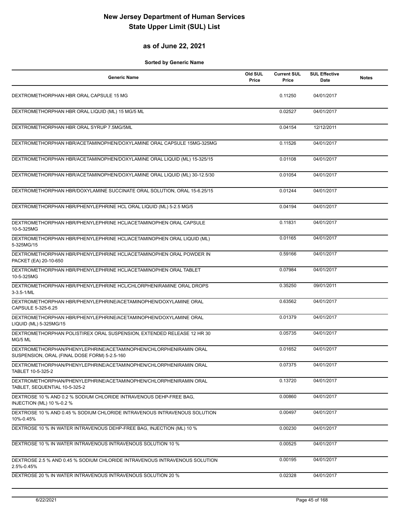#### **as of June 22, 2021**

| Generic Name                                                                                                      | Old SUL<br>Price | <b>Current SUL</b><br>Price | <b>SUL Effective</b><br>Date | <b>Notes</b> |
|-------------------------------------------------------------------------------------------------------------------|------------------|-----------------------------|------------------------------|--------------|
| DEXTROMETHORPHAN HBR ORAL CAPSULE 15 MG                                                                           |                  | 0.11250                     | 04/01/2017                   |              |
| DEXTROMETHORPHAN HBR ORAL LIQUID (ML) 15 MG/5 ML                                                                  |                  | 0.02527                     | 04/01/2017                   |              |
| DEXTROMETHORPHAN HBR ORAL SYRUP 7.5MG/5ML                                                                         |                  | 0.04154                     | 12/12/2011                   |              |
| DEXTROMETHORPHAN HBR/ACETAMINOPHEN/DOXYLAMINE ORAL CAPSULE 15MG-325MG                                             |                  | 0.11526                     | 04/01/2017                   |              |
| DEXTROMETHORPHAN HBR/ACETAMINOPHEN/DOXYLAMINE ORAL LIQUID (ML) 15-325/15                                          |                  | 0.01108                     | 04/01/2017                   |              |
| DEXTROMETHORPHAN HBR/ACETAMINOPHEN/DOXYLAMINE ORAL LIQUID (ML) 30-12.5/30                                         |                  | 0.01054                     | 04/01/2017                   |              |
| DEXTROMETHORPHAN HBR/DOXYLAMINE SUCCINATE ORAL SOLUTION, ORAL 15-6.25/15                                          |                  | 0.01244                     | 04/01/2017                   |              |
| DEXTROMETHORPHAN HBR/PHENYLEPHRINE HCL ORAL LIQUID (ML) 5-2.5 MG/5                                                |                  | 0.04194                     | 04/01/2017                   |              |
| DEXTROMETHORPHAN HBR/PHENYLEPHRINE HCL/ACETAMINOPHEN ORAL CAPSULE<br>10-5-325MG                                   |                  | 0.11831                     | 04/01/2017                   |              |
| DEXTROMETHORPHAN HBR/PHENYLEPHRINE HCL/ACETAMINOPHEN ORAL LIQUID (ML)<br>5-325MG/15                               |                  | 0.01165                     | 04/01/2017                   |              |
| DEXTROMETHORPHAN HBR/PHENYLEPHRINE HCL/ACETAMINOPHEN ORAL POWDER IN<br>PACKET (EA) 20-10-650                      |                  | 0.59166                     | 04/01/2017                   |              |
| DEXTROMETHORPHAN HBR/PHENYLEPHRINE HCL/ACETAMINOPHEN ORAL TABLET<br>10-5-325MG                                    |                  | 0.07984                     | 04/01/2017                   |              |
| DEXTROMETHORPHAN HBR/PHENYLEPHRINE HCL/CHLORPHENIRAMINE ORAL DROPS<br>$3-3.5-1/ML$                                |                  | 0.35250                     | 09/01/2011                   |              |
| DEXTROMETHORPHAN HBR/PHENYLEPHRINE/ACETAMINOPHEN/DOXYLAMINE ORAL<br>CAPSULE 5-325-6.25                            |                  | 0.63562                     | 04/01/2017                   |              |
| DEXTROMETHORPHAN HBR/PHENYLEPHRINE/ACETAMINOPHEN/DOXYLAMINE ORAL<br>LIQUID (ML) 5-325MG/15                        |                  | 0.01379                     | 04/01/2017                   |              |
| DEXTROMETHORPHAN POLISTIREX ORAL SUSPENSION, EXTENDED RELEASE 12 HR 30<br>MG/5 ML                                 |                  | 0.05735                     | 04/01/2017                   |              |
| DEXTROMETHORPHAN/PHENYLEPHRINE/ACETAMINOPHEN/CHLORPHENIRAMIN ORAL<br>SUSPENSION, ORAL (FINAL DOSE FORM) 5-2.5-160 |                  | 0.01652                     | 04/01/2017                   |              |
| DEXTROMETHORPHAN/PHENYLEPHRINE/ACETAMINOPHEN/CHLORPHENIRAMIN ORAL<br>TABLET 10-5-325-2                            |                  | 0.07375                     | 04/01/2017                   |              |
| DEXTROMETHORPHAN/PHENYLEPHRINE/ACETAMINOPHEN/CHLORPHENIRAMIN ORAL<br>TABLET. SEQUENTIAL 10-5-325-2                |                  | 0.13720                     | 04/01/2017                   |              |
| DEXTROSE 10 % AND 0.2 % SODIUM CHLORIDE INTRAVENOUS DEHP-FREE BAG.<br>INJECTION (ML) 10 %-0.2 %                   |                  | 0.00860                     | 04/01/2017                   |              |
| DEXTROSE 10 % AND 0.45 % SODIUM CHLORIDE INTRAVENOUS INTRAVENOUS SOLUTION<br>10%-0.45%                            |                  | 0.00497                     | 04/01/2017                   |              |
| DEXTROSE 10 % IN WATER INTRAVENOUS DEHP-FREE BAG, INJECTION (ML) 10 %                                             |                  | 0.00230                     | 04/01/2017                   |              |
| DEXTROSE 10 % IN WATER INTRAVENOUS INTRAVENOUS SOLUTION 10 %                                                      |                  | 0.00525                     | 04/01/2017                   |              |
| DEXTROSE 2.5 % AND 0.45 % SODIUM CHLORIDE INTRAVENOUS INTRAVENOUS SOLUTION<br>2.5%-0.45%                          |                  | 0.00195                     | 04/01/2017                   |              |
| DEXTROSE 20 % IN WATER INTRAVENOUS INTRAVENOUS SOLUTION 20 %                                                      |                  | 0.02328                     | 04/01/2017                   |              |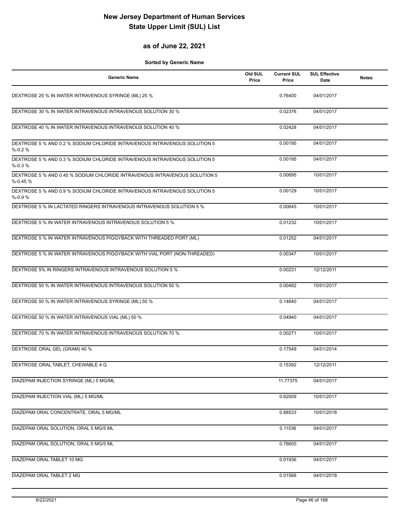#### **as of June 22, 2021**

| Generic Name                                                                             | Old SUL<br>Price | <b>Current SUL</b><br>Price | <b>SUL Effective</b><br>Date | <b>Notes</b> |
|------------------------------------------------------------------------------------------|------------------|-----------------------------|------------------------------|--------------|
| DEXTROSE 25 % IN WATER INTRAVENOUS SYRINGE (ML) 25 %                                     |                  | 0.76400                     | 04/01/2017                   |              |
| DEXTROSE 30 % IN WATER INTRAVENOUS INTRAVENOUS SOLUTION 30 %                             |                  | 0.02376                     | 04/01/2017                   |              |
| DEXTROSE 40 % IN WATER INTRAVENOUS INTRAVENOUS SOLUTION 40 %                             |                  | 0.02428                     | 04/01/2017                   |              |
| DEXTROSE 5 % AND 0.2 % SODIUM CHLORIDE INTRAVENOUS INTRAVENOUS SOLUTION 5<br>$% -0.2%$   |                  | 0.00195                     | 04/01/2017                   |              |
| DEXTROSE 5 % AND 0.3 % SODIUM CHLORIDE INTRAVENOUS INTRAVENOUS SOLUTION 5<br>$% -0.3%$   |                  | 0.00195                     | 04/01/2017                   |              |
| DEXTROSE 5 % AND 0.45 % SODIUM CHLORIDE INTRAVENOUS INTRAVENOUS SOLUTION 5<br>$% -0.45%$ |                  | 0.00695                     | 10/01/2017                   |              |
| DEXTROSE 5 % AND 0.9 % SODIUM CHLORIDE INTRAVENOUS INTRAVENOUS SOLUTION 5<br>$% -0.9%$   |                  | 0.00129                     | 10/01/2017                   |              |
| DEXTROSE 5 % IN LACTATED RINGERS INTRAVENOUS INTRAVENOUS SOLUTION 5 %                    |                  | 0.00645                     | 10/01/2017                   |              |
| DEXTROSE 5 % IN WATER INTRAVENOUS INTRAVENOUS SOLUTION 5 %                               |                  | 0.01232                     | 10/01/2017                   |              |
| DEXTROSE 5 % IN WATER INTRAVENOUS PIGGYBACK WITH THREADED PORT (ML)                      |                  | 0.01252                     | 04/01/2017                   |              |
| DEXTROSE 5 % IN WATER INTRAVENOUS PIGGYBACK WITH VIAL PORT (NON-THREADED)                |                  | 0.00347                     | 10/01/2017                   |              |
| DEXTROSE 5% IN RINGERS INTRAVENOUS INTRAVENOUS SOLUTION 5 %                              |                  | 0.00231                     | 12/12/2011                   |              |
| DEXTROSE 50 % IN WATER INTRAVENOUS INTRAVENOUS SOLUTION 50 %                             |                  | 0.00482                     | 10/01/2017                   |              |
| DEXTROSE 50 % IN WATER INTRAVENOUS SYRINGE (ML) 50 %                                     |                  | 0.14640                     | 04/01/2017                   |              |
| DEXTROSE 50 % IN WATER INTRAVENOUS VIAL (ML) 50 %                                        |                  | 0.04940                     | 04/01/2017                   |              |
| DEXTROSE 70 % IN WATER INTRAVENOUS INTRAVENOUS SOLUTION 70 %                             |                  | 0.00271                     | 10/01/2017                   |              |
| DEXTROSE ORAL GEL (GRAM) 40 %                                                            |                  | 0.17549                     | 04/01/2014                   |              |
| DEXTROSE ORAL TABLET, CHEWABLE 4 G                                                       |                  | 0.15392                     | 12/12/2011                   |              |
| DIAZEPAM INJECTION SYRINGE (ML) 5 MG/ML                                                  |                  | 11.77375                    | 04/01/2017                   |              |
| DIAZEPAM INJECTION VIAL (ML) 5 MG/ML                                                     |                  | 0.62009                     | 10/01/2017                   |              |
| DIAZEPAM ORAL CONCENTRATE, ORAL 5 MG/ML                                                  |                  | 0.88533                     | 10/01/2018                   |              |
| DIAZEPAM ORAL SOLUTION, ORAL 5 MG/5 ML                                                   |                  | 0.11536                     | 04/01/2017                   |              |
| DIAZEPAM ORAL SOLUTION, ORAL 5 MG/5 ML                                                   |                  | 0.76600                     | 04/01/2017                   |              |
| DIAZEPAM ORAL TABLET 10 MG                                                               |                  | 0.01936                     | 04/01/2017                   |              |
| DIAZEPAM ORAL TABLET 2 MG                                                                |                  | 0.01566                     | 04/01/2018                   |              |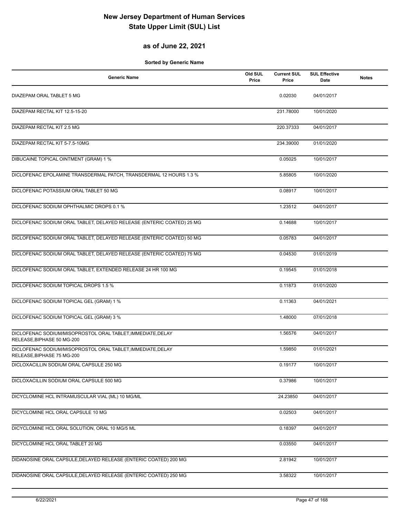### **as of June 22, 2021**

| <b>Generic Name</b>                                                                       | Old SUL<br>Price | <b>Current SUL</b><br>Price | <b>SUL Effective</b><br>Date | <b>Notes</b> |
|-------------------------------------------------------------------------------------------|------------------|-----------------------------|------------------------------|--------------|
| DIAZEPAM ORAL TABLET 5 MG                                                                 |                  | 0.02030                     | 04/01/2017                   |              |
| DIAZEPAM RECTAL KIT 12.5-15-20                                                            |                  | 231.78000                   | 10/01/2020                   |              |
| <b>DIAZEPAM RECTAL KIT 2.5 MG</b>                                                         |                  | 220.37333                   | 04/01/2017                   |              |
| DIAZEPAM RECTAL KIT 5-7.5-10MG                                                            |                  | 234.39000                   | 01/01/2020                   |              |
| <b>DIBUCAINE TOPICAL OINTMENT (GRAM) 1 %</b>                                              |                  | 0.05025                     | 10/01/2017                   |              |
| DICLOFENAC EPOLAMINE TRANSDERMAL PATCH, TRANSDERMAL 12 HOURS 1.3 %                        |                  | 5.85805                     | 10/01/2020                   |              |
| DICLOFENAC POTASSIUM ORAL TABLET 50 MG                                                    |                  | 0.08917                     | 10/01/2017                   |              |
| DICLOFENAC SODIUM OPHTHALMIC DROPS 0.1 %                                                  |                  | 1.23512                     | 04/01/2017                   |              |
| DICLOFENAC SODIUM ORAL TABLET, DELAYED RELEASE (ENTERIC COATED) 25 MG                     |                  | 0.14688                     | 10/01/2017                   |              |
| DICLOFENAC SODIUM ORAL TABLET, DELAYED RELEASE (ENTERIC COATED) 50 MG                     |                  | 0.05783                     | 04/01/2017                   |              |
| DICLOFENAC SODIUM ORAL TABLET, DELAYED RELEASE (ENTERIC COATED) 75 MG                     |                  | 0.04530                     | 01/01/2019                   |              |
| DICLOFENAC SODIUM ORAL TABLET, EXTENDED RELEASE 24 HR 100 MG                              |                  | 0.19545                     | 01/01/2018                   |              |
| DICLOFENAC SODIUM TOPICAL DROPS 1.5 %                                                     |                  | 0.11873                     | 01/01/2020                   |              |
| DICLOFENAC SODIUM TOPICAL GEL (GRAM) 1 %                                                  |                  | 0.11363                     | 04/01/2021                   |              |
| DICLOFENAC SODIUM TOPICAL GEL (GRAM) 3 %                                                  |                  | 1.48000                     | 07/01/2018                   |              |
| DICLOFENAC SODIUM/MISOPROSTOL ORAL TABLET, IMMEDIATE, DELAY<br>RELEASE, BIPHASE 50 MG-200 |                  | 1.56576                     | 04/01/2017                   |              |
| DICLOFENAC SODIUM/MISOPROSTOL ORAL TABLET, IMMEDIATE, DELAY<br>RELEASE, BIPHASE 75 MG-200 |                  | 1.59850                     | 01/01/2021                   |              |
| DICLOXACILLIN SODIUM ORAL CAPSULE 250 MG                                                  |                  | 0.19177                     | 10/01/2017                   |              |
| DICLOXACILLIN SODIUM ORAL CAPSULE 500 MG                                                  |                  | 0.37986                     | 10/01/2017                   |              |
| DICYCLOMINE HCL INTRAMUSCULAR VIAL (ML) 10 MG/ML                                          |                  | 24.23850                    | 04/01/2017                   |              |
| DICYCLOMINE HCL ORAL CAPSULE 10 MG                                                        |                  | 0.02503                     | 04/01/2017                   |              |
| DICYCLOMINE HCL ORAL SOLUTION, ORAL 10 MG/5 ML                                            |                  | 0.18397                     | 04/01/2017                   |              |
| DICYCLOMINE HCL ORAL TABLET 20 MG                                                         |                  | 0.03550                     | 04/01/2017                   |              |
| DIDANOSINE ORAL CAPSULE, DELAYED RELEASE (ENTERIC COATED) 200 MG                          |                  | 2.81942                     | 10/01/2017                   |              |
| DIDANOSINE ORAL CAPSULE, DELAYED RELEASE (ENTERIC COATED) 250 MG                          |                  | 3.58322                     | 10/01/2017                   |              |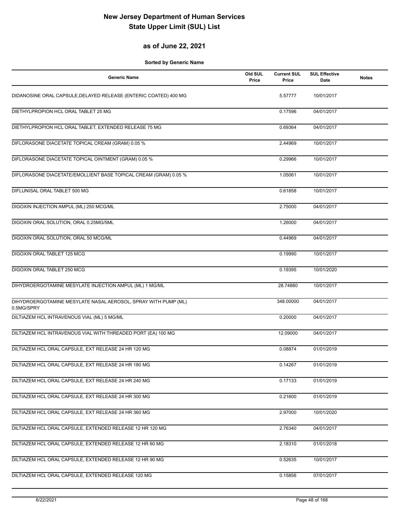#### **as of June 22, 2021**

| <b>Generic Name</b>                                                          | Old SUL<br>Price | <b>Current SUL</b><br>Price | <b>SUL Effective</b><br><b>Date</b> | <b>Notes</b> |
|------------------------------------------------------------------------------|------------------|-----------------------------|-------------------------------------|--------------|
| DIDANOSINE ORAL CAPSULE, DELAYED RELEASE (ENTERIC COATED) 400 MG             |                  | 5.57777                     | 10/01/2017                          |              |
| DIETHYLPROPION HCL ORAL TABLET 25 MG                                         |                  | 0.17596                     | 04/01/2017                          |              |
| DIETHYLPROPION HCL ORAL TABLET, EXTENDED RELEASE 75 MG                       |                  | 0.69364                     | 04/01/2017                          |              |
| DIFLORASONE DIACETATE TOPICAL CREAM (GRAM) 0.05 %                            |                  | 2.44969                     | 10/01/2017                          |              |
| DIFLORASONE DIACETATE TOPICAL OINTMENT (GRAM) 0.05 %                         |                  | 0.29966                     | 10/01/2017                          |              |
| DIFLORASONE DIACETATE/EMOLLIENT BASE TOPICAL CREAM (GRAM) 0.05 %             |                  | 1.05061                     | 10/01/2017                          |              |
| DIFLUNISAL ORAL TABLET 500 MG                                                |                  | 0.61858                     | 10/01/2017                          |              |
| DIGOXIN INJECTION AMPUL (ML) 250 MCG/ML                                      |                  | 2.75000                     | 04/01/2017                          |              |
| DIGOXIN ORAL SOLUTION, ORAL 0.25MG/5ML                                       |                  | 1.26000                     | 04/01/2017                          |              |
| DIGOXIN ORAL SOLUTION, ORAL 50 MCG/ML                                        |                  | 0.44969                     | 04/01/2017                          |              |
| DIGOXIN ORAL TABLET 125 MCG                                                  |                  | 0.19990                     | 10/01/2017                          |              |
| <b>DIGOXIN ORAL TABLET 250 MCG</b>                                           |                  | 0.19395                     | 10/01/2020                          |              |
| DIHYDROERGOTAMINE MESYLATE INJECTION AMPUL (ML) 1 MG/ML                      |                  | 28.74880                    | 10/01/2017                          |              |
| DIHYDROERGOTAMINE MESYLATE NASAL AEROSOL, SPRAY WITH PUMP (ML)<br>0.5MG/SPRY |                  | 348.00000                   | 04/01/2017                          |              |
| DILTIAZEM HCL INTRAVENOUS VIAL (ML) 5 MG/ML                                  |                  | 0.20000                     | 04/01/2017                          |              |
| DILTIAZEM HCL INTRAVENOUS VIAL WITH THREADED PORT (EA) 100 MG                |                  | 12.09000                    | 04/01/2017                          |              |
| DILTIAZEM HCL ORAL CAPSULE, EXT RELEASE 24 HR 120 MG                         |                  | 0.08874                     | 01/01/2019                          |              |
| DILTIAZEM HCL ORAL CAPSULE, EXT RELEASE 24 HR 180 MG                         |                  | 0.14267                     | 01/01/2019                          |              |
| DILTIAZEM HCL ORAL CAPSULE, EXT RELEASE 24 HR 240 MG                         |                  | 0.17133                     | 01/01/2019                          |              |
| DILTIAZEM HCL ORAL CAPSULE, EXT RELEASE 24 HR 300 MG                         |                  | 0.21600                     | 01/01/2019                          |              |
| DILTIAZEM HCL ORAL CAPSULE, EXT RELEASE 24 HR 360 MG                         |                  | 2.97000                     | 10/01/2020                          |              |
| DILTIAZEM HCL ORAL CAPSULE, EXTENDED RELEASE 12 HR 120 MG                    |                  | 2.76340                     | 04/01/2017                          |              |
| DILTIAZEM HCL ORAL CAPSULE, EXTENDED RELEASE 12 HR 60 MG                     |                  | 2.18310                     | 01/01/2018                          |              |
| DILTIAZEM HCL ORAL CAPSULE, EXTENDED RELEASE 12 HR 90 MG                     |                  | 0.52635                     | 10/01/2017                          |              |
| DILTIAZEM HCL ORAL CAPSULE, EXTENDED RELEASE 120 MG                          |                  | 0.15856                     | 07/01/2017                          |              |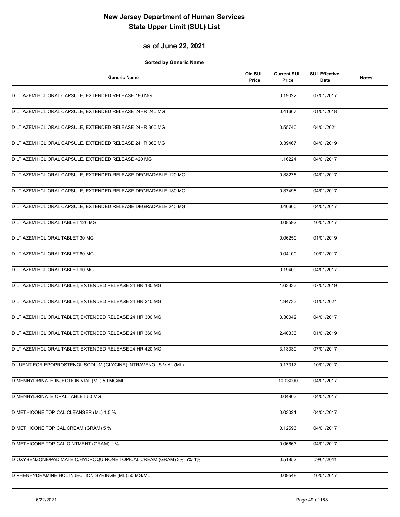#### **as of June 22, 2021**

| <b>Generic Name</b>                                                | Old SUL<br>Price | <b>Current SUL</b><br>Price | <b>SUL Effective</b><br>Date | <b>Notes</b> |
|--------------------------------------------------------------------|------------------|-----------------------------|------------------------------|--------------|
| DILTIAZEM HCL ORAL CAPSULE, EXTENDED RELEASE 180 MG                |                  | 0.19022                     | 07/01/2017                   |              |
| DILTIAZEM HCL ORAL CAPSULE, EXTENDED RELEASE 24HR 240 MG           |                  | 0.41667                     | 01/01/2018                   |              |
| DILTIAZEM HCL ORAL CAPSULE, EXTENDED RELEASE 24HR 300 MG           |                  | 0.55740                     | 04/01/2021                   |              |
| DILTIAZEM HCL ORAL CAPSULE, EXTENDED RELEASE 24HR 360 MG           |                  | 0.39467                     | 04/01/2019                   |              |
| DILTIAZEM HCL ORAL CAPSULE, EXTENDED RELEASE 420 MG                |                  | 1.16224                     | 04/01/2017                   |              |
| DILTIAZEM HCL ORAL CAPSULE, EXTENDED-RELEASE DEGRADABLE 120 MG     |                  | 0.38278                     | 04/01/2017                   |              |
| DILTIAZEM HCL ORAL CAPSULE, EXTENDED-RELEASE DEGRADABLE 180 MG     |                  | 0.37498                     | 04/01/2017                   |              |
| DILTIAZEM HCL ORAL CAPSULE, EXTENDED-RELEASE DEGRADABLE 240 MG     |                  | 0.40600                     | 04/01/2017                   |              |
| DILTIAZEM HCL ORAL TABLET 120 MG                                   |                  | 0.08592                     | 10/01/2017                   |              |
| DILTIAZEM HCL ORAL TABLET 30 MG                                    |                  | 0.06250                     | 01/01/2019                   |              |
| DILTIAZEM HCL ORAL TABLET 60 MG                                    |                  | 0.04100                     | 10/01/2017                   |              |
| DILTIAZEM HCL ORAL TABLET 90 MG                                    |                  | 0.19409                     | 04/01/2017                   |              |
| DILTIAZEM HCL ORAL TABLET, EXTENDED RELEASE 24 HR 180 MG           |                  | 1.63333                     | 07/01/2019                   |              |
| DILTIAZEM HCL ORAL TABLET, EXTENDED RELEASE 24 HR 240 MG           |                  | 1.94733                     | 01/01/2021                   |              |
| DILTIAZEM HCL ORAL TABLET, EXTENDED RELEASE 24 HR 300 MG           |                  | 3.30042                     | 04/01/2017                   |              |
| DILTIAZEM HCL ORAL TABLET, EXTENDED RELEASE 24 HR 360 MG           |                  | 2.40333                     | 01/01/2019                   |              |
| DILTIAZEM HCL ORAL TABLET, EXTENDED RELEASE 24 HR 420 MG           |                  | 3.13330                     | 07/01/2017                   |              |
| DILUENT FOR EPOPROSTENOL SODIUM (GLYCINE) INTRAVENOUS VIAL (ML)    |                  | 0.17317                     | 10/01/2017                   |              |
| DIMENHYDRINATE INJECTION VIAL (ML) 50 MG/ML                        |                  | 10.03000                    | 04/01/2017                   |              |
| DIMENHYDRINATE ORAL TABLET 50 MG                                   |                  | 0.04903                     | 04/01/2017                   |              |
| DIMETHICONE TOPICAL CLEANSER (ML) 1.5 %                            |                  | 0.03021                     | 04/01/2017                   |              |
| DIMETHICONE TOPICAL CREAM (GRAM) 5 %                               |                  | 0.12596                     | 04/01/2017                   |              |
| DIMETHICONE TOPICAL OINTMENT (GRAM) 1 %                            |                  | 0.06663                     | 04/01/2017                   |              |
| DIOXYBENZONE/PADIMATE O/HYDROQUINONE TOPICAL CREAM (GRAM) 3%-5%-4% |                  | 0.51852                     | 09/01/2011                   |              |
| DIPHENHYDRAMINE HCL INJECTION SYRINGE (ML) 50 MG/ML                |                  | 0.09548                     | 10/01/2017                   |              |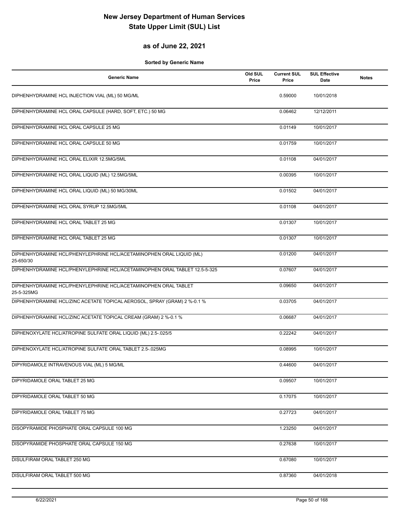#### **as of June 22, 2021**

| <b>Generic Name</b>                                                               | Old SUL<br>Price | <b>Current SUL</b><br>Price | <b>SUL Effective</b><br>Date | <b>Notes</b> |
|-----------------------------------------------------------------------------------|------------------|-----------------------------|------------------------------|--------------|
| DIPHENHYDRAMINE HCL INJECTION VIAL (ML) 50 MG/ML                                  |                  | 0.59000                     | 10/01/2018                   |              |
| DIPHENHYDRAMINE HCL ORAL CAPSULE (HARD, SOFT, ETC.) 50 MG                         |                  | 0.06462                     | 12/12/2011                   |              |
| DIPHENHYDRAMINE HCL ORAL CAPSULE 25 MG                                            |                  | 0.01149                     | 10/01/2017                   |              |
| DIPHENHYDRAMINE HCL ORAL CAPSULE 50 MG                                            |                  | 0.01759                     | 10/01/2017                   |              |
| DIPHENHYDRAMINE HCL ORAL ELIXIR 12.5MG/5ML                                        |                  | 0.01108                     | 04/01/2017                   |              |
| DIPHENHYDRAMINE HCL ORAL LIQUID (ML) 12.5MG/5ML                                   |                  | 0.00395                     | 10/01/2017                   |              |
| DIPHENHYDRAMINE HCL ORAL LIQUID (ML) 50 MG/30ML                                   |                  | 0.01502                     | 04/01/2017                   |              |
| DIPHENHYDRAMINE HCL ORAL SYRUP 12.5MG/5ML                                         |                  | 0.01108                     | 04/01/2017                   |              |
| DIPHENHYDRAMINE HCL ORAL TABLET 25 MG                                             |                  | 0.01307                     | 10/01/2017                   |              |
| DIPHENHYDRAMINE HCL ORAL TABLET 25 MG                                             |                  | 0.01307                     | 10/01/2017                   |              |
| DIPHENHYDRAMINE HCL/PHENYLEPHRINE HCL/ACETAMINOPHEN ORAL LIQUID (ML)<br>25-650/30 |                  | 0.01200                     | 04/01/2017                   |              |
| DIPHENHYDRAMINE HCL/PHENYLEPHRINE HCL/ACETAMINOPHEN ORAL TABLET 12.5-5-325        |                  | 0.07607                     | 04/01/2017                   |              |
| DIPHENHYDRAMINE HCL/PHENYLEPHRINE HCL/ACETAMINOPHEN ORAL TABLET<br>25-5-325MG     |                  | 0.09650                     | 04/01/2017                   |              |
| DIPHENHYDRAMINE HCL/ZINC ACETATE TOPICAL AEROSOL, SPRAY (GRAM) 2 %-0.1 %          |                  | 0.03705                     | 04/01/2017                   |              |
| DIPHENHYDRAMINE HCL/ZINC ACETATE TOPICAL CREAM (GRAM) 2 %-0.1 %                   |                  | 0.06687                     | 04/01/2017                   |              |
| DIPHENOXYLATE HCL/ATROPINE SULFATE ORAL LIQUID (ML) 2.5-.025/5                    |                  | 0.22242                     | 04/01/2017                   |              |
| DIPHENOXYLATE HCL/ATROPINE SULFATE ORAL TABLET 2.5-025MG                          |                  | 0.08995                     | 10/01/2017                   |              |
| DIPYRIDAMOLE INTRAVENOUS VIAL (ML) 5 MG/ML                                        |                  | 0.44600                     | 04/01/2017                   |              |
| DIPYRIDAMOLE ORAL TABLET 25 MG                                                    |                  | 0.09507                     | 10/01/2017                   |              |
| DIPYRIDAMOLE ORAL TABLET 50 MG                                                    |                  | 0.17075                     | 10/01/2017                   |              |
| DIPYRIDAMOLE ORAL TABLET 75 MG                                                    |                  | 0.27723                     | 04/01/2017                   |              |
| DISOPYRAMIDE PHOSPHATE ORAL CAPSULE 100 MG                                        |                  | 1.23250                     | 04/01/2017                   |              |
| DISOPYRAMIDE PHOSPHATE ORAL CAPSULE 150 MG                                        |                  | 0.27638                     | 10/01/2017                   |              |
| DISULFIRAM ORAL TABLET 250 MG                                                     |                  | 0.67080                     | 10/01/2017                   |              |
| DISULFIRAM ORAL TABLET 500 MG                                                     |                  | 0.87360                     | 04/01/2018                   |              |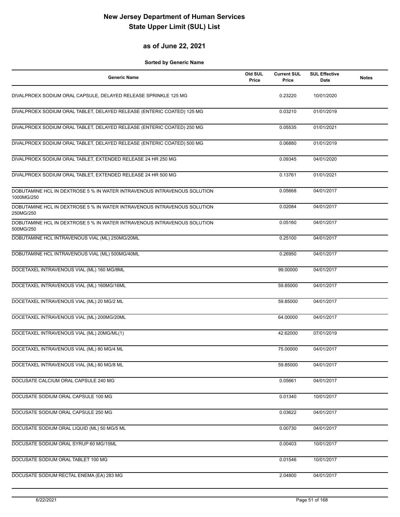#### **as of June 22, 2021**

| <b>Generic Name</b>                                                                    | Old SUL<br>Price | <b>Current SUL</b><br>Price | <b>SUL Effective</b><br>Date | <b>Notes</b> |
|----------------------------------------------------------------------------------------|------------------|-----------------------------|------------------------------|--------------|
| DIVALPROEX SODIUM ORAL CAPSULE, DELAYED RELEASE SPRINKLE 125 MG                        |                  | 0.23220                     | 10/01/2020                   |              |
| DIVALPROEX SODIUM ORAL TABLET, DELAYED RELEASE (ENTERIC COATED) 125 MG                 |                  | 0.03210                     | 01/01/2019                   |              |
| DIVALPROEX SODIUM ORAL TABLET, DELAYED RELEASE (ENTERIC COATED) 250 MG                 |                  | 0.05535                     | 01/01/2021                   |              |
| DIVALPROEX SODIUM ORAL TABLET, DELAYED RELEASE (ENTERIC COATED) 500 MG                 |                  | 0.06880                     | 01/01/2019                   |              |
| DIVALPROEX SODIUM ORAL TABLET, EXTENDED RELEASE 24 HR 250 MG                           |                  | 0.09345                     | 04/01/2020                   |              |
| DIVALPROEX SODIUM ORAL TABLET, EXTENDED RELEASE 24 HR 500 MG                           |                  | 0.13761                     | 01/01/2021                   |              |
| DOBUTAMINE HCL IN DEXTROSE 5 % IN WATER INTRAVENOUS INTRAVENOUS SOLUTION<br>1000MG/250 |                  | 0.05668                     | 04/01/2017                   |              |
| DOBUTAMINE HCL IN DEXTROSE 5 % IN WATER INTRAVENOUS INTRAVENOUS SOLUTION<br>250MG/250  |                  | 0.02084                     | 04/01/2017                   |              |
| DOBUTAMINE HCL IN DEXTROSE 5 % IN WATER INTRAVENOUS INTRAVENOUS SOLUTION<br>500MG/250  |                  | 0.05160                     | 04/01/2017                   |              |
| DOBUTAMINE HCL INTRAVENOUS VIAL (ML) 250MG/20ML                                        |                  | 0.25100                     | 04/01/2017                   |              |
| DOBUTAMINE HCL INTRAVENOUS VIAL (ML) 500MG/40ML                                        |                  | 0.26950                     | 04/01/2017                   |              |
| DOCETAXEL INTRAVENOUS VIAL (ML) 160 MG/8ML                                             |                  | 99.00000                    | 04/01/2017                   |              |
| DOCETAXEL INTRAVENOUS VIAL (ML) 160MG/16ML                                             |                  | 59.85000                    | 04/01/2017                   |              |
| DOCETAXEL INTRAVENOUS VIAL (ML) 20 MG/2 ML                                             |                  | 59.85000                    | 04/01/2017                   |              |
| DOCETAXEL INTRAVENOUS VIAL (ML) 200MG/20ML                                             |                  | 64.00000                    | 04/01/2017                   |              |
| DOCETAXEL INTRAVENOUS VIAL (ML) 20MG/ML(1)                                             |                  | 42.62000                    | 07/01/2019                   |              |
| DOCETAXEL INTRAVENOUS VIAL (ML) 80 MG/4 ML                                             |                  | 75.00000                    | 04/01/2017                   |              |
| DOCETAXEL INTRAVENOUS VIAL (ML) 80 MG/8 ML                                             |                  | 59.85000                    | 04/01/2017                   |              |
| DOCUSATE CALCIUM ORAL CAPSULE 240 MG                                                   |                  | 0.05661                     | 04/01/2017                   |              |
| DOCUSATE SODIUM ORAL CAPSULE 100 MG                                                    |                  | 0.01340                     | 10/01/2017                   |              |
| DOCUSATE SODIUM ORAL CAPSULE 250 MG                                                    |                  | 0.03622                     | 04/01/2017                   |              |
| DOCUSATE SODIUM ORAL LIQUID (ML) 50 MG/5 ML                                            |                  | 0.00730                     | 04/01/2017                   |              |
| DOCUSATE SODIUM ORAL SYRUP 60 MG/15ML                                                  |                  | 0.00403                     | 10/01/2017                   |              |
| DOCUSATE SODIUM ORAL TABLET 100 MG                                                     |                  | 0.01546                     | 10/01/2017                   |              |
| DOCUSATE SODIUM RECTAL ENEMA (EA) 283 MG                                               |                  | 2.04800                     | 04/01/2017                   |              |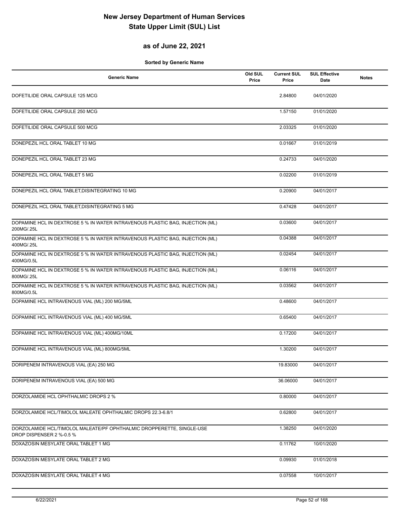#### **as of June 22, 2021**

| <b>Generic Name</b>                                                                               | Old SUL<br>Price | <b>Current SUL</b><br>Price | <b>SUL Effective</b><br>Date | <b>Notes</b> |
|---------------------------------------------------------------------------------------------------|------------------|-----------------------------|------------------------------|--------------|
| DOFETILIDE ORAL CAPSULE 125 MCG                                                                   |                  | 2.84800                     | 04/01/2020                   |              |
| DOFETILIDE ORAL CAPSULE 250 MCG                                                                   |                  | 1.57150                     | 01/01/2020                   |              |
| DOFETILIDE ORAL CAPSULE 500 MCG                                                                   |                  | 2.03325                     | 01/01/2020                   |              |
| DONEPEZIL HCL ORAL TABLET 10 MG                                                                   |                  | 0.01667                     | 01/01/2019                   |              |
| DONEPEZIL HCL ORAL TABLET 23 MG                                                                   |                  | 0.24733                     | 04/01/2020                   |              |
| DONEPEZIL HCL ORAL TABLET 5 MG                                                                    |                  | 0.02200                     | 01/01/2019                   |              |
| DONEPEZIL HCL ORAL TABLET, DISINTEGRATING 10 MG                                                   |                  | 0.20900                     | 04/01/2017                   |              |
| DONEPEZIL HCL ORAL TABLET, DISINTEGRATING 5 MG                                                    |                  | 0.47428                     | 04/01/2017                   |              |
| DOPAMINE HCL IN DEXTROSE 5 % IN WATER INTRAVENOUS PLASTIC BAG, INJECTION (ML)<br>200MG/.25L       |                  | 0.03600                     | 04/01/2017                   |              |
| DOPAMINE HCL IN DEXTROSE 5 % IN WATER INTRAVENOUS PLASTIC BAG, INJECTION (ML)<br>400MG/.25L       |                  | 0.04388                     | 04/01/2017                   |              |
| DOPAMINE HCL IN DEXTROSE 5 % IN WATER INTRAVENOUS PLASTIC BAG, INJECTION (ML)<br>400MG/0.5L       |                  | 0.02454                     | 04/01/2017                   |              |
| DOPAMINE HCL IN DEXTROSE 5 % IN WATER INTRAVENOUS PLASTIC BAG, INJECTION (ML)<br>800MG/.25L       |                  | 0.06116                     | 04/01/2017                   |              |
| DOPAMINE HCL IN DEXTROSE 5 % IN WATER INTRAVENOUS PLASTIC BAG, INJECTION (ML)<br>800MG/0.5L       |                  | 0.03562                     | 04/01/2017                   |              |
| DOPAMINE HCL INTRAVENOUS VIAL (ML) 200 MG/5ML                                                     |                  | 0.48600                     | 04/01/2017                   |              |
| DOPAMINE HCL INTRAVENOUS VIAL (ML) 400 MG/5ML                                                     |                  | 0.65400                     | 04/01/2017                   |              |
| DOPAMINE HCL INTRAVENOUS VIAL (ML) 400MG/10ML                                                     |                  | 0.17200                     | 04/01/2017                   |              |
| DOPAMINE HCL INTRAVENOUS VIAL (ML) 800MG/5ML                                                      |                  | 1.30200                     | 04/01/2017                   |              |
| DORIPENEM INTRAVENOUS VIAL (EA) 250 MG                                                            |                  | 19.83000                    | 04/01/2017                   |              |
| DORIPENEM INTRAVENOUS VIAL (EA) 500 MG                                                            |                  | 36.06000                    | 04/01/2017                   |              |
| DORZOLAMIDE HCL OPHTHALMIC DROPS 2 %                                                              |                  | 0.80000                     | 04/01/2017                   |              |
| DORZOLAMIDE HCL/TIMOLOL MALEATE OPHTHALMIC DROPS 22.3-6.8/1                                       |                  | 0.62800                     | 04/01/2017                   |              |
| DORZOLAMIDE HCL/TIMOLOL MALEATE/PF OPHTHALMIC DROPPERETTE, SINGLE-USE<br>DROP DISPENSER 2 %-0.5 % |                  | 1.38250                     | 04/01/2020                   |              |
| DOXAZOSIN MESYLATE ORAL TABLET 1 MG                                                               |                  | 0.11762                     | 10/01/2020                   |              |
| DOXAZOSIN MESYLATE ORAL TABLET 2 MG                                                               |                  | 0.09930                     | 01/01/2018                   |              |
| DOXAZOSIN MESYLATE ORAL TABLET 4 MG                                                               |                  | 0.07558                     | 10/01/2017                   |              |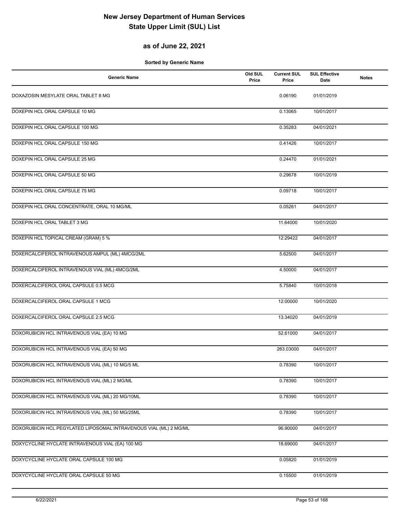#### **as of June 22, 2021**

| <b>Generic Name</b>                                               | Old SUL<br>Price | <b>Current SUL</b><br>Price | <b>SUL Effective</b><br>Date | <b>Notes</b> |
|-------------------------------------------------------------------|------------------|-----------------------------|------------------------------|--------------|
| DOXAZOSIN MESYLATE ORAL TABLET 8 MG                               |                  | 0.06190                     | 01/01/2019                   |              |
| DOXEPIN HCL ORAL CAPSULE 10 MG                                    |                  | 0.13065                     | 10/01/2017                   |              |
| DOXEPIN HCL ORAL CAPSULE 100 MG                                   |                  | 0.35283                     | 04/01/2021                   |              |
| DOXEPIN HCL ORAL CAPSULE 150 MG                                   |                  | 0.41426                     | 10/01/2017                   |              |
| DOXEPIN HCL ORAL CAPSULE 25 MG                                    |                  | 0.24470                     | 01/01/2021                   |              |
| DOXEPIN HCL ORAL CAPSULE 50 MG                                    |                  | 0.29678                     | 10/01/2019                   |              |
| DOXEPIN HCL ORAL CAPSULE 75 MG                                    |                  | 0.09718                     | 10/01/2017                   |              |
| DOXEPIN HCL ORAL CONCENTRATE, ORAL 10 MG/ML                       |                  | 0.05261                     | 04/01/2017                   |              |
| DOXEPIN HCL ORAL TABLET 3 MG                                      |                  | 11.64000                    | 10/01/2020                   |              |
| DOXEPIN HCL TOPICAL CREAM (GRAM) 5 %                              |                  | 12.29422                    | 04/01/2017                   |              |
| DOXERCALCIFEROL INTRAVENOUS AMPUL (ML) 4MCG/2ML                   |                  | 5.62500                     | 04/01/2017                   |              |
| DOXERCALCIFEROL INTRAVENOUS VIAL (ML) 4MCG/2ML                    |                  | 4.50000                     | 04/01/2017                   |              |
| DOXERCALCIFEROL ORAL CAPSULE 0.5 MCG                              |                  | 5.75840                     | 10/01/2018                   |              |
| DOXERCALCIFEROL ORAL CAPSULE 1 MCG                                |                  | 12.00000                    | 10/01/2020                   |              |
| DOXERCALCIFEROL ORAL CAPSULE 2.5 MCG                              |                  | 13.34020                    | 04/01/2019                   |              |
| DOXORUBICIN HCL INTRAVENOUS VIAL (EA) 10 MG                       |                  | 52.61000                    | 04/01/2017                   |              |
| DOXORUBICIN HCL INTRAVENOUS VIAL (EA) 50 MG                       |                  | 263.03000                   | 04/01/2017                   |              |
| DOXORUBICIN HCL INTRAVENOUS VIAL (ML) 10 MG/5 ML                  |                  | 0.78390                     | 10/01/2017                   |              |
| DOXORUBICIN HCL INTRAVENOUS VIAL (ML) 2 MG/ML                     |                  | 0.78390                     | 10/01/2017                   |              |
| DOXORUBICIN HCL INTRAVENOUS VIAL (ML) 20 MG/10ML                  |                  | 0.78390                     | 10/01/2017                   |              |
| DOXORUBICIN HCL INTRAVENOUS VIAL (ML) 50 MG/25ML                  |                  | 0.78390                     | 10/01/2017                   |              |
| DOXORUBICIN HCL PEGYLATED LIPOSOMAL INTRAVENOUS VIAL (ML) 2 MG/ML |                  | 96.90000                    | 04/01/2017                   |              |
| DOXYCYCLINE HYCLATE INTRAVENOUS VIAL (EA) 100 MG                  |                  | 18.69000                    | 04/01/2017                   |              |
| DOXYCYCLINE HYCLATE ORAL CAPSULE 100 MG                           |                  | 0.05820                     | 01/01/2019                   |              |
| DOXYCYCLINE HYCLATE ORAL CAPSULE 50 MG                            |                  | 0.15500                     | 01/01/2019                   |              |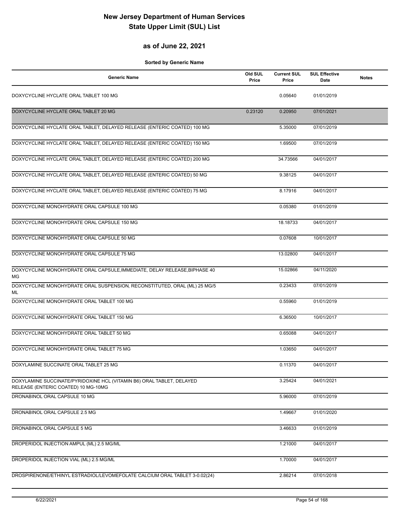#### **as of June 22, 2021**

| <b>Generic Name</b>                                                                                          | Old SUL<br>Price | <b>Current SUL</b><br>Price | <b>SUL Effective</b><br><b>Date</b> | <b>Notes</b> |
|--------------------------------------------------------------------------------------------------------------|------------------|-----------------------------|-------------------------------------|--------------|
| DOXYCYCLINE HYCLATE ORAL TABLET 100 MG                                                                       |                  | 0.05640                     | 01/01/2019                          |              |
| DOXYCYCLINE HYCLATE ORAL TABLET 20 MG                                                                        | 0.23120          | 0.20950                     | 07/01/2021                          |              |
| DOXYCYCLINE HYCLATE ORAL TABLET, DELAYED RELEASE (ENTERIC COATED) 100 MG                                     |                  | 5.35000                     | 07/01/2019                          |              |
| DOXYCYCLINE HYCLATE ORAL TABLET, DELAYED RELEASE (ENTERIC COATED) 150 MG                                     |                  | 1.69500                     | 07/01/2019                          |              |
| DOXYCYCLINE HYCLATE ORAL TABLET, DELAYED RELEASE (ENTERIC COATED) 200 MG                                     |                  | 34.73566                    | 04/01/2017                          |              |
| DOXYCYCLINE HYCLATE ORAL TABLET, DELAYED RELEASE (ENTERIC COATED) 50 MG                                      |                  | 9.38125                     | 04/01/2017                          |              |
| DOXYCYCLINE HYCLATE ORAL TABLET, DELAYED RELEASE (ENTERIC COATED) 75 MG                                      |                  | 8.17916                     | 04/01/2017                          |              |
| DOXYCYCLINE MONOHYDRATE ORAL CAPSULE 100 MG                                                                  |                  | 0.05380                     | 01/01/2019                          |              |
| DOXYCYCLINE MONOHYDRATE ORAL CAPSULE 150 MG                                                                  |                  | 18.18733                    | 04/01/2017                          |              |
| DOXYCYCLINE MONOHYDRATE ORAL CAPSULE 50 MG                                                                   |                  | 0.07608                     | 10/01/2017                          |              |
| DOXYCYCLINE MONOHYDRATE ORAL CAPSULE 75 MG                                                                   |                  | 13.02800                    | 04/01/2017                          |              |
| DOXYCYCLINE MONOHYDRATE ORAL CAPSULE, IMMEDIATE, DELAY RELEASE, BIPHASE 40<br>MG.                            |                  | 15.02866                    | 04/11/2020                          |              |
| DOXYCYCLINE MONOHYDRATE ORAL SUSPENSION, RECONSTITUTED, ORAL (ML) 25 MG/5<br>ML                              |                  | 0.23433                     | 07/01/2019                          |              |
| DOXYCYCLINE MONOHYDRATE ORAL TABLET 100 MG                                                                   |                  | 0.55960                     | 01/01/2019                          |              |
| DOXYCYCLINE MONOHYDRATE ORAL TABLET 150 MG                                                                   |                  | 6.36500                     | 10/01/2017                          |              |
| DOXYCYCLINE MONOHYDRATE ORAL TABLET 50 MG                                                                    |                  | 0.65088                     | 04/01/2017                          |              |
| DOXYCYCLINE MONOHYDRATE ORAL TABLET 75 MG                                                                    |                  | 1.03650                     | 04/01/2017                          |              |
| DOXYLAMINE SUCCINATE ORAL TABLET 25 MG                                                                       |                  | 0.11370                     | 04/01/2017                          |              |
| DOXYLAMINE SUCCINATE/PYRIDOXINE HCL (VITAMIN B6) ORAL TABLET, DELAYED<br>RELEASE (ENTERIC COATED) 10 MG-10MG |                  | 3.25424                     | 04/01/2021                          |              |
| DRONABINOL ORAL CAPSULE 10 MG                                                                                |                  | 5.96000                     | 07/01/2019                          |              |
| DRONABINOL ORAL CAPSULE 2.5 MG                                                                               |                  | 1.49667                     | 01/01/2020                          |              |
| DRONABINOL ORAL CAPSULE 5 MG                                                                                 |                  | 3.46633                     | 01/01/2019                          |              |
| DROPERIDOL INJECTION AMPUL (ML) 2.5 MG/ML                                                                    |                  | 1.21000                     | 04/01/2017                          |              |
| DROPERIDOL INJECTION VIAL (ML) 2.5 MG/ML                                                                     |                  | 1.70000                     | 04/01/2017                          |              |
| DROSPIRENONE/ETHINYL ESTRADIOL/LEVOMEFOLATE CALCIUM ORAL TABLET 3-0.02(24)                                   |                  | 2.86214                     | 07/01/2018                          |              |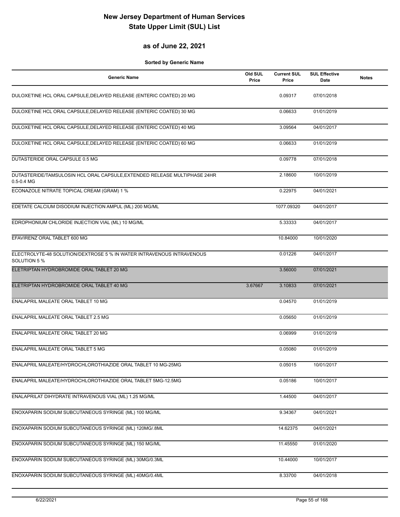#### **as of June 22, 2021**

| <b>Generic Name</b>                                                                         | Old SUL<br>Price | <b>Current SUL</b><br>Price | <b>SUL Effective</b><br>Date | <b>Notes</b> |
|---------------------------------------------------------------------------------------------|------------------|-----------------------------|------------------------------|--------------|
| DULOXETINE HCL ORAL CAPSULE, DELAYED RELEASE (ENTERIC COATED) 20 MG                         |                  | 0.09317                     | 07/01/2018                   |              |
| DULOXETINE HCL ORAL CAPSULE, DELAYED RELEASE (ENTERIC COATED) 30 MG                         |                  | 0.06633                     | 01/01/2019                   |              |
| DULOXETINE HCL ORAL CAPSULE, DELAYED RELEASE (ENTERIC COATED) 40 MG                         |                  | 3.09564                     | 04/01/2017                   |              |
| DULOXETINE HCL ORAL CAPSULE, DELAYED RELEASE (ENTERIC COATED) 60 MG                         |                  | 0.06633                     | 01/01/2019                   |              |
| DUTASTERIDE ORAL CAPSULE 0.5 MG                                                             |                  | 0.09778                     | 07/01/2018                   |              |
| DUTASTERIDE/TAMSULOSIN HCL ORAL CAPSULE, EXTENDED RELEASE MULTIPHASE 24HR<br>$0.5 - 0.4$ MG |                  | 2.18600                     | 10/01/2019                   |              |
| ECONAZOLE NITRATE TOPICAL CREAM (GRAM) 1 %                                                  |                  | 0.22975                     | 04/01/2021                   |              |
| EDETATE CALCIUM DISODIUM INJECTION AMPUL (ML) 200 MG/ML                                     |                  | 1077.09320                  | 04/01/2017                   |              |
| EDROPHONIUM CHLORIDE INJECTION VIAL (ML) 10 MG/ML                                           |                  | 5.33333                     | 04/01/2017                   |              |
| EFAVIRENZ ORAL TABLET 600 MG                                                                |                  | 10.84000                    | 10/01/2020                   |              |
| ELECTROLYTE-48 SOLUTION/DEXTROSE 5 % IN WATER INTRAVENOUS INTRAVENOUS<br>SOLUTION 5 %       |                  | 0.01226                     | 04/01/2017                   |              |
| ELETRIPTAN HYDROBROMIDE ORAL TABLET 20 MG                                                   |                  | 3.56000                     | 07/01/2021                   |              |
| ELETRIPTAN HYDROBROMIDE ORAL TABLET 40 MG                                                   | 3.67667          | 3.10833                     | 07/01/2021                   |              |
| ENALAPRIL MALEATE ORAL TABLET 10 MG                                                         |                  | 0.04570                     | 01/01/2019                   |              |
| ENALAPRIL MALEATE ORAL TABLET 2.5 MG                                                        |                  | 0.05650                     | 01/01/2019                   |              |
| ENALAPRIL MALEATE ORAL TABLET 20 MG                                                         |                  | 0.06999                     | 01/01/2019                   |              |
| ENALAPRIL MALEATE ORAL TABLET 5 MG                                                          |                  | 0.05080                     | 01/01/2019                   |              |
| ENALAPRIL MALEATE/HYDROCHLOROTHIAZIDE ORAL TABLET 10 MG-25MG                                |                  | 0.05015                     | 10/01/2017                   |              |
| ENALAPRIL MALEATE/HYDROCHLOROTHIAZIDE ORAL TABLET 5MG-12.5MG                                |                  | 0.05186                     | 10/01/2017                   |              |
| ENALAPRILAT DIHYDRATE INTRAVENOUS VIAL (ML) 1.25 MG/ML                                      |                  | 1.44500                     | 04/01/2017                   |              |
| ENOXAPARIN SODIUM SUBCUTANEOUS SYRINGE (ML) 100 MG/ML                                       |                  | 9.34367                     | 04/01/2021                   |              |
| ENOXAPARIN SODIUM SUBCUTANEOUS SYRINGE (ML) 120MG/.8ML                                      |                  | 14.62375                    | 04/01/2021                   |              |
| ENOXAPARIN SODIUM SUBCUTANEOUS SYRINGE (ML) 150 MG/ML                                       |                  | 11.45550                    | 01/01/2020                   |              |
| ENOXAPARIN SODIUM SUBCUTANEOUS SYRINGE (ML) 30MG/0.3ML                                      |                  | 10.44000                    | 10/01/2017                   |              |
| ENOXAPARIN SODIUM SUBCUTANEOUS SYRINGE (ML) 40MG/0.4ML                                      |                  | 8.33700                     | 04/01/2018                   |              |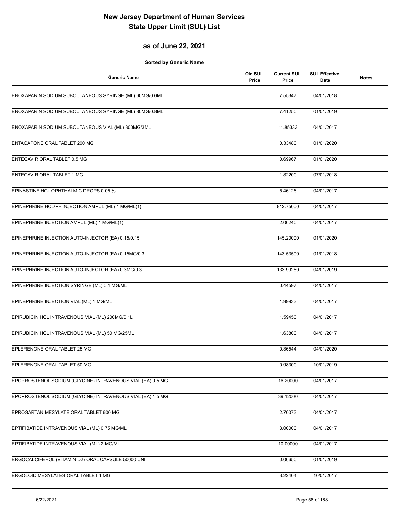#### **as of June 22, 2021**

| <b>Generic Name</b>                                        | Old SUL<br>Price | <b>Current SUL</b><br>Price | <b>SUL Effective</b><br>Date | <b>Notes</b> |
|------------------------------------------------------------|------------------|-----------------------------|------------------------------|--------------|
| ENOXAPARIN SODIUM SUBCUTANEOUS SYRINGE (ML) 60MG/0.6ML     |                  | 7.55347                     | 04/01/2018                   |              |
| ENOXAPARIN SODIUM SUBCUTANEOUS SYRINGE (ML) 80MG/0.8ML     |                  | 7.41250                     | 01/01/2019                   |              |
| ENOXAPARIN SODIUM SUBCUTANEOUS VIAL (ML) 300MG/3ML         |                  | 11.85333                    | 04/01/2017                   |              |
| ENTACAPONE ORAL TABLET 200 MG                              |                  | 0.33480                     | 01/01/2020                   |              |
| ENTECAVIR ORAL TABLET 0.5 MG                               |                  | 0.69967                     | 01/01/2020                   |              |
| ENTECAVIR ORAL TABLET 1 MG                                 |                  | 1.82200                     | 07/01/2018                   |              |
| EPINASTINE HCL OPHTHALMIC DROPS 0.05 %                     |                  | 5.46126                     | 04/01/2017                   |              |
| EPINEPHRINE HCL/PF INJECTION AMPUL (ML) 1 MG/ML(1)         |                  | 812.75000                   | 04/01/2017                   |              |
| EPINEPHRINE INJECTION AMPUL (ML) 1 MG/ML(1)                |                  | 2.06240                     | 04/01/2017                   |              |
| EPINEPHRINE INJECTION AUTO-INJECTOR (EA) 0.15/0.15         |                  | 145.20000                   | 01/01/2020                   |              |
| EPINEPHRINE INJECTION AUTO-INJECTOR (EA) 0.15MG/0.3        |                  | 143.53500                   | 01/01/2018                   |              |
| EPINEPHRINE INJECTION AUTO-INJECTOR (EA) 0.3MG/0.3         |                  | 133.99250                   | 04/01/2019                   |              |
| EPINEPHRINE INJECTION SYRINGE (ML) 0.1 MG/ML               |                  | 0.44597                     | 04/01/2017                   |              |
| EPINEPHRINE INJECTION VIAL (ML) 1 MG/ML                    |                  | 1.99933                     | 04/01/2017                   |              |
| EPIRUBICIN HCL INTRAVENOUS VIAL (ML) 200MG/0.1L            |                  | 1.59450                     | 04/01/2017                   |              |
| EPIRUBICIN HCL INTRAVENOUS VIAL (ML) 50 MG/25ML            |                  | 1.63800                     | 04/01/2017                   |              |
| EPLERENONE ORAL TABLET 25 MG                               |                  | 0.36544                     | 04/01/2020                   |              |
| EPLERENONE ORAL TABLET 50 MG                               |                  | 0.98300                     | 10/01/2019                   |              |
| EPOPROSTENOL SODIUM (GLYCINE) INTRAVENOUS VIAL (EA) 0.5 MG |                  | 16.20000                    | 04/01/2017                   |              |
| EPOPROSTENOL SODIUM (GLYCINE) INTRAVENOUS VIAL (EA) 1.5 MG |                  | 39.12000                    | 04/01/2017                   |              |
| EPROSARTAN MESYLATE ORAL TABLET 600 MG                     |                  | 2.70073                     | 04/01/2017                   |              |
| EPTIFIBATIDE INTRAVENOUS VIAL (ML) 0.75 MG/ML              |                  | 3.00000                     | 04/01/2017                   |              |
| EPTIFIBATIDE INTRAVENOUS VIAL (ML) 2 MG/ML                 |                  | 10.00000                    | 04/01/2017                   |              |
| ERGOCALCIFEROL (VITAMIN D2) ORAL CAPSULE 50000 UNIT        |                  | 0.06650                     | 01/01/2019                   |              |
| ERGOLOID MESYLATES ORAL TABLET 1 MG                        |                  | 3.22404                     | 10/01/2017                   |              |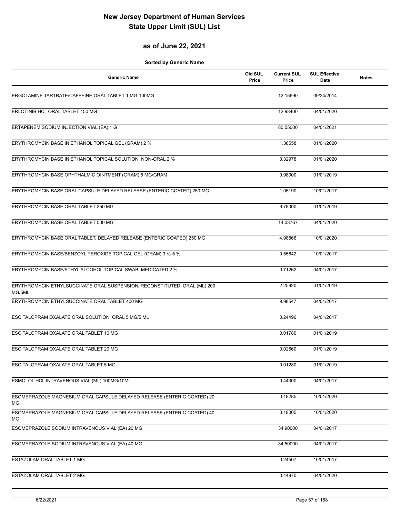#### **as of June 22, 2021**

| <b>Generic Name</b>                                                                 | Old SUL<br>Price | <b>Current SUL</b><br>Price | <b>SUL Effective</b><br>Date | <b>Notes</b> |
|-------------------------------------------------------------------------------------|------------------|-----------------------------|------------------------------|--------------|
| ERGOTAMINE TARTRATE/CAFFEINE ORAL TABLET 1 MG-100MG                                 |                  | 12.15690                    | 09/24/2014                   |              |
| ERLOTINIB HCL ORAL TABLET 150 MG                                                    |                  | 12.93400                    | 04/01/2020                   |              |
| ERTAPENEM SODIUM INJECTION VIAL (EA) 1 G                                            |                  | 80.55000                    | 04/01/2021                   |              |
| ERYTHROMYCIN BASE IN ETHANOL TOPICAL GEL (GRAM) 2 %                                 |                  | 1.36558                     | 01/01/2020                   |              |
| ERYTHROMYCIN BASE IN ETHANOL TOPICAL SOLUTION, NON-ORAL 2 %                         |                  | 0.32978                     | 01/01/2020                   |              |
| ERYTHROMYCIN BASE OPHTHALMIC OINTMENT (GRAM) 5 MG/GRAM                              |                  | 0.98000                     | 01/01/2019                   |              |
| ERYTHROMYCIN BASE ORAL CAPSULE, DELAYED RELEASE (ENTERIC COATED) 250 MG             |                  | 1.05190                     | 10/01/2017                   |              |
| ERYTHROMYCIN BASE ORAL TABLET 250 MG                                                |                  | 6.78000                     | 01/01/2019                   |              |
| ERYTHROMYCIN BASE ORAL TABLET 500 MG                                                |                  | 14.03767                    | 04/01/2020                   |              |
| ERYTHROMYCIN BASE ORAL TABLET, DELAYED RELEASE (ENTERIC COATED) 250 MG              |                  | 4.98866                     | 10/01/2020                   |              |
| ERYTHROMYCIN BASE/BENZOYL PEROXIDE TOPICAL GEL (GRAM) 3 %-5 %                       |                  | 0.55642                     | 10/01/2017                   |              |
| ERYTHROMYCIN BASE/ETHYL ALCOHOL TOPICAL SWAB, MEDICATED 2 %                         |                  | 0.71262                     | 04/01/2017                   |              |
| ERYTHROMYCIN ETHYLSUCCINATE ORAL SUSPENSION, RECONSTITUTED, ORAL (ML) 200<br>MG/5ML |                  | 2.25920                     | 01/01/2019                   |              |
| ERYTHROMYCIN ETHYLSUCCINATE ORAL TABLET 400 MG                                      |                  | 9.98547                     | 04/01/2017                   |              |
| ESCITALOPRAM OXALATE ORAL SOLUTION, ORAL 5 MG/5 ML                                  |                  | 0.24496                     | 04/01/2017                   |              |
| ESCITALOPRAM OXALATE ORAL TABLET 10 MG                                              |                  | 0.01780                     | 01/01/2019                   |              |
| ESCITALOPRAM OXALATE ORAL TABLET 20 MG                                              |                  | 0.02660                     | 01/01/2019                   |              |
| ESCITALOPRAM OXALATE ORAL TABLET 5 MG                                               |                  | 0.01280                     | 01/01/2019                   |              |
| ESMOLOL HCL INTRAVENOUS VIAL (ML) 100MG/10ML                                        |                  | 0.44000                     | 04/01/2017                   |              |
| ESOMEPRAZOLE MAGNESIUM ORAL CAPSULE, DELAYED RELEASE (ENTERIC COATED) 20<br>МG      |                  | 0.18285                     | 10/01/2020                   |              |
| ESOMEPRAZOLE MAGNESIUM ORAL CAPSULE, DELAYED RELEASE (ENTERIC COATED) 40<br>МG      |                  | 0.18005                     | 10/01/2020                   |              |
| ESOMEPRAZOLE SODIUM INTRAVENOUS VIAL (EA) 20 MG                                     |                  | 34.90000                    | 04/01/2017                   |              |
| ESOMEPRAZOLE SODIUM INTRAVENOUS VIAL (EA) 40 MG                                     |                  | 34.50000                    | 04/01/2017                   |              |
| ESTAZOLAM ORAL TABLET 1 MG                                                          |                  | 0.24507                     | 10/01/2017                   |              |
| ESTAZOLAM ORAL TABLET 2 MG                                                          |                  | 0.44970                     | 04/01/2020                   |              |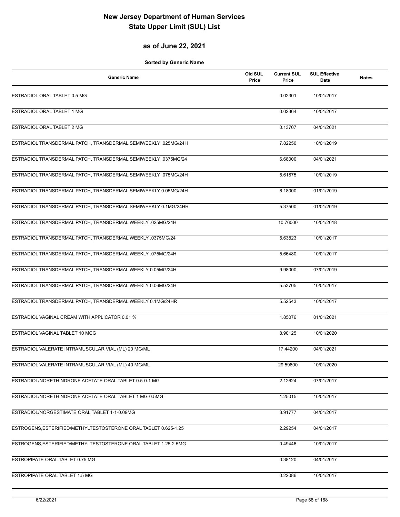### **as of June 22, 2021**

| Generic Name                                                    | Old SUL<br>Price | <b>Current SUL</b><br>Price | <b>SUL Effective</b><br>Date | <b>Notes</b> |
|-----------------------------------------------------------------|------------------|-----------------------------|------------------------------|--------------|
| ESTRADIOL ORAL TABLET 0.5 MG                                    |                  | 0.02301                     | 10/01/2017                   |              |
| ESTRADIOL ORAL TABLET 1 MG                                      |                  | 0.02364                     | 10/01/2017                   |              |
| ESTRADIOL ORAL TABLET 2 MG                                      |                  | 0.13707                     | 04/01/2021                   |              |
| ESTRADIOL TRANSDERMAL PATCH, TRANSDERMAL SEMIWEEKLY .025MG/24H  |                  | 7.82250                     | 10/01/2019                   |              |
| ESTRADIOL TRANSDERMAL PATCH, TRANSDERMAL SEMIWEEKLY .0375MG/24  |                  | 6.68000                     | 04/01/2021                   |              |
| ESTRADIOL TRANSDERMAL PATCH, TRANSDERMAL SEMIWEEKLY .075MG/24H  |                  | 5.61875                     | 10/01/2019                   |              |
| ESTRADIOL TRANSDERMAL PATCH, TRANSDERMAL SEMIWEEKLY 0.05MG/24H  |                  | 6.18000                     | 01/01/2019                   |              |
| ESTRADIOL TRANSDERMAL PATCH, TRANSDERMAL SEMIWEEKLY 0.1MG/24HR  |                  | 5.37500                     | 01/01/2019                   |              |
| ESTRADIOL TRANSDERMAL PATCH, TRANSDERMAL WEEKLY .025MG/24H      |                  | 10.76000                    | 10/01/2018                   |              |
| ESTRADIOL TRANSDERMAL PATCH, TRANSDERMAL WEEKLY .0375MG/24      |                  | 5.63823                     | 10/01/2017                   |              |
| ESTRADIOL TRANSDERMAL PATCH, TRANSDERMAL WEEKLY .075MG/24H      |                  | 5.66480                     | 10/01/2017                   |              |
| ESTRADIOL TRANSDERMAL PATCH, TRANSDERMAL WEEKLY 0.05MG/24H      |                  | 9.98000                     | 07/01/2019                   |              |
| ESTRADIOL TRANSDERMAL PATCH, TRANSDERMAL WEEKLY 0.06MG/24H      |                  | 5.53705                     | 10/01/2017                   |              |
| ESTRADIOL TRANSDERMAL PATCH, TRANSDERMAL WEEKLY 0.1MG/24HR      |                  | 5.52543                     | 10/01/2017                   |              |
| ESTRADIOL VAGINAL CREAM WITH APPLICATOR 0.01 %                  |                  | 1.85076                     | 01/01/2021                   |              |
| ESTRADIOL VAGINAL TABLET 10 MCG                                 |                  | 8.90125                     | 10/01/2020                   |              |
| ESTRADIOL VALERATE INTRAMUSCULAR VIAL (ML) 20 MG/ML             |                  | 17.44200                    | 04/01/2021                   |              |
| ESTRADIOL VALERATE INTRAMUSCULAR VIAL (ML) 40 MG/ML             |                  | 29.59600                    | 10/01/2020                   |              |
| ESTRADIOL/NORETHINDRONE ACETATE ORAL TABLET 0.5-0.1 MG          |                  | 2.12624                     | 07/01/2017                   |              |
| ESTRADIOL/NORETHINDRONE ACETATE ORAL TABLET 1 MG-0.5MG          |                  | 1.25015                     | 10/01/2017                   |              |
| ESTRADIOL/NORGESTIMATE ORAL TABLET 1-1-0.09MG                   |                  | 3.91777                     | 04/01/2017                   |              |
| ESTROGENS, ESTERIFIED/METHYLTESTOSTERONE ORAL TABLET 0.625-1.25 |                  | 2.29254                     | 04/01/2017                   |              |
| ESTROGENS, ESTERIFIED/METHYLTESTOSTERONE ORAL TABLET 1.25-2.5MG |                  | 0.49446                     | 10/01/2017                   |              |
| ESTROPIPATE ORAL TABLET 0.75 MG                                 |                  | 0.38120                     | 04/01/2017                   |              |
| ESTROPIPATE ORAL TABLET 1.5 MG                                  |                  | 0.22086                     | 10/01/2017                   |              |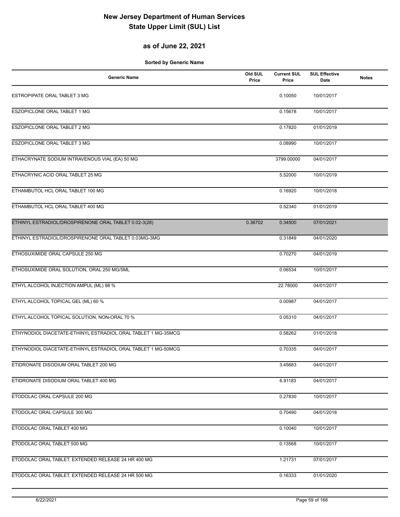#### **as of June 22, 2021**

| <b>Generic Name</b>                                           | Old SUL<br>Price | <b>Current SUL</b><br>Price | <b>SUL Effective</b><br>Date | <b>Notes</b> |
|---------------------------------------------------------------|------------------|-----------------------------|------------------------------|--------------|
| ESTROPIPATE ORAL TABLET 3 MG                                  |                  | 0.10050                     | 10/01/2017                   |              |
| ESZOPICLONE ORAL TABLET 1 MG                                  |                  | 0.15678                     | 10/01/2017                   |              |
| ESZOPICLONE ORAL TABLET 2 MG                                  |                  | 0.17820                     | 01/01/2019                   |              |
| <b>ESZOPICLONE ORAL TABLET 3 MG</b>                           |                  | 0.08990                     | 10/01/2017                   |              |
| ETHACRYNATE SODIUM INTRAVENOUS VIAL (EA) 50 MG                |                  | 3799.00000                  | 04/01/2017                   |              |
| ETHACRYNIC ACID ORAL TABLET 25 MG                             |                  | 5.52000                     | 10/01/2019                   |              |
| ETHAMBUTOL HCL ORAL TABLET 100 MG                             |                  | 0.16920                     | 10/01/2018                   |              |
| ETHAMBUTOL HCL ORAL TABLET 400 MG                             |                  | 0.52340                     | 01/01/2019                   |              |
| ETHINYL ESTRADIOL/DROSPIRENONE ORAL TABLET 0.02-3(28)         | 0.36702          | 0.34500                     | 07/01/2021                   |              |
| ETHINYL ESTRADIOL/DROSPIRENONE ORAL TABLET 0.03MG-3MG         |                  | 0.31849                     | 04/01/2020                   |              |
| ETHOSUXIMIDE ORAL CAPSULE 250 MG                              |                  | 0.70270                     | 04/01/2019                   |              |
| ETHOSUXIMIDE ORAL SOLUTION, ORAL 250 MG/5ML                   |                  | 0.06534                     | 10/01/2017                   |              |
| ETHYL ALCOHOL INJECTION AMPUL (ML) 98 %                       |                  | 22.78000                    | 04/01/2017                   |              |
| ETHYL ALCOHOL TOPICAL GEL (ML) 60 %                           |                  | 0.00987                     | 04/01/2017                   |              |
| ETHYL ALCOHOL TOPICAL SOLUTION, NON-ORAL 70 %                 |                  | 0.05310                     | 04/01/2017                   |              |
| ETHYNODIOL DIACETATE-ETHINYL ESTRADIOL ORAL TABLET 1 MG-35MCG |                  | 0.58262                     | 01/01/2018                   |              |
| ETHYNODIOL DIACETATE-ETHINYL ESTRADIOL ORAL TABLET 1 MG-50MCG |                  | 0.70335                     | 04/01/2017                   |              |
| ETIDRONATE DISODIUM ORAL TABLET 200 MG                        |                  | 3.45683                     | 04/01/2017                   |              |
| ETIDRONATE DISODIUM ORAL TABLET 400 MG                        |                  | 6.91183                     | 04/01/2017                   |              |
| ETODOLAC ORAL CAPSULE 200 MG                                  |                  | 0.27830                     | 10/01/2017                   |              |
| ETODOLAC ORAL CAPSULE 300 MG                                  |                  | 0.70490                     | 04/01/2018                   |              |
| ETODOLAC ORAL TABLET 400 MG                                   |                  | 0.10040                     | 10/01/2017                   |              |
| ETODOLAC ORAL TABLET 500 MG                                   |                  | 0.13568                     | 10/01/2017                   |              |
| ETODOLAC ORAL TABLET, EXTENDED RELEASE 24 HR 400 MG           |                  | 1.21731                     | 07/01/2017                   |              |
| ETODOLAC ORAL TABLET, EXTENDED RELEASE 24 HR 500 MG           |                  | 0.16333                     | 01/01/2020                   |              |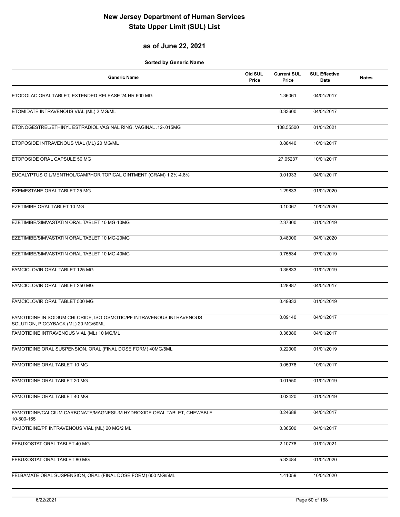#### **as of June 22, 2021**

| <b>Generic Name</b>                                                                                          | Old SUL<br>Price | <b>Current SUL</b><br>Price | <b>SUL Effective</b><br><b>Date</b> | <b>Notes</b> |
|--------------------------------------------------------------------------------------------------------------|------------------|-----------------------------|-------------------------------------|--------------|
| ETODOLAC ORAL TABLET, EXTENDED RELEASE 24 HR 600 MG                                                          |                  | 1.36061                     | 04/01/2017                          |              |
| ETOMIDATE INTRAVENOUS VIAL (ML) 2 MG/ML                                                                      |                  | 0.33600                     | 04/01/2017                          |              |
| ETONOGESTREL/ETHINYL ESTRADIOL VAGINAL RING, VAGINAL .12-.015MG                                              |                  | 108.55500                   | 01/01/2021                          |              |
| ETOPOSIDE INTRAVENOUS VIAL (ML) 20 MG/ML                                                                     |                  | 0.88440                     | 10/01/2017                          |              |
| ETOPOSIDE ORAL CAPSULE 50 MG                                                                                 |                  | 27.05237                    | 10/01/2017                          |              |
| EUCALYPTUS OIL/MENTHOL/CAMPHOR TOPICAL OINTMENT (GRAM) 1.2%-4.8%                                             |                  | 0.01933                     | 04/01/2017                          |              |
| EXEMESTANE ORAL TABLET 25 MG                                                                                 |                  | 1.29833                     | 01/01/2020                          |              |
| EZETIMIBE ORAL TABLET 10 MG                                                                                  |                  | 0.10067                     | 10/01/2020                          |              |
| EZETIMIBE/SIMVASTATIN ORAL TABLET 10 MG-10MG                                                                 |                  | 2.37300                     | 01/01/2019                          |              |
| EZETIMIBE/SIMVASTATIN ORAL TABLET 10 MG-20MG                                                                 |                  | 0.48000                     | 04/01/2020                          |              |
| EZETIMIBE/SIMVASTATIN ORAL TABLET 10 MG-40MG                                                                 |                  | 0.75534                     | 07/01/2019                          |              |
| FAMCICLOVIR ORAL TABLET 125 MG                                                                               |                  | 0.35833                     | 01/01/2019                          |              |
| FAMCICLOVIR ORAL TABLET 250 MG                                                                               |                  | 0.28887                     | 04/01/2017                          |              |
| FAMCICLOVIR ORAL TABLET 500 MG                                                                               |                  | 0.49833                     | 01/01/2019                          |              |
| FAMOTIDINE IN SODIUM CHLORIDE, ISO-OSMOTIC/PF INTRAVENOUS INTRAVENOUS<br>SOLUTION, PIGGYBACK (ML) 20 MG/50ML |                  | 0.09140                     | 04/01/2017                          |              |
| FAMOTIDINE INTRAVENOUS VIAL (ML) 10 MG/ML                                                                    |                  | 0.36380                     | 04/01/2017                          |              |
| FAMOTIDINE ORAL SUSPENSION, ORAL (FINAL DOSE FORM) 40MG/5ML                                                  |                  | 0.22000                     | 01/01/2019                          |              |
| FAMOTIDINE ORAL TABLET 10 MG                                                                                 |                  | 0.05978                     | 10/01/2017                          |              |
| FAMOTIDINE ORAL TABLET 20 MG                                                                                 |                  | 0.01550                     | 01/01/2019                          |              |
| FAMOTIDINE ORAL TABLET 40 MG                                                                                 |                  | 0.02420                     | 01/01/2019                          |              |
| FAMOTIDINE/CALCIUM CARBONATE/MAGNESIUM HYDROXIDE ORAL TABLET, CHEWABLE<br>10-800-165                         |                  | 0.24688                     | 04/01/2017                          |              |
| FAMOTIDINE/PF INTRAVENOUS VIAL (ML) 20 MG/2 ML                                                               |                  | 0.36500                     | 04/01/2017                          |              |
| FEBUXOSTAT ORAL TABLET 40 MG                                                                                 |                  | 2.10778                     | 01/01/2021                          |              |
| FEBUXOSTAT ORAL TABLET 80 MG                                                                                 |                  | 5.32484                     | 01/01/2020                          |              |
| FELBAMATE ORAL SUSPENSION, ORAL (FINAL DOSE FORM) 600 MG/5ML                                                 |                  | 1.41059                     | 10/01/2020                          |              |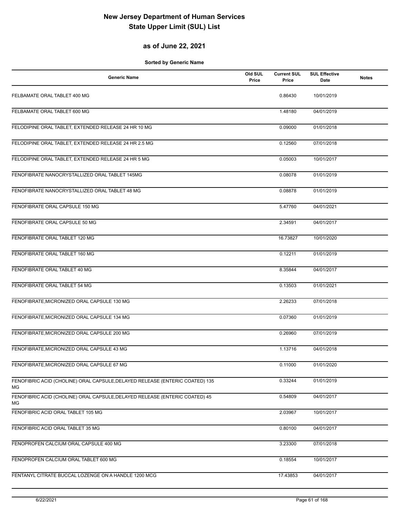#### **as of June 22, 2021**

| <b>Generic Name</b>                                                                | Old SUL<br>Price | <b>Current SUL</b><br>Price | <b>SUL Effective</b><br>Date | <b>Notes</b> |
|------------------------------------------------------------------------------------|------------------|-----------------------------|------------------------------|--------------|
| FELBAMATE ORAL TABLET 400 MG                                                       |                  | 0.86430                     | 10/01/2019                   |              |
| FELBAMATE ORAL TABLET 600 MG                                                       |                  | 1.48180                     | 04/01/2019                   |              |
| FELODIPINE ORAL TABLET, EXTENDED RELEASE 24 HR 10 MG                               |                  | 0.09000                     | 01/01/2018                   |              |
| FELODIPINE ORAL TABLET, EXTENDED RELEASE 24 HR 2.5 MG                              |                  | 0.12560                     | 07/01/2018                   |              |
| FELODIPINE ORAL TABLET, EXTENDED RELEASE 24 HR 5 MG                                |                  | 0.05003                     | 10/01/2017                   |              |
| FENOFIBRATE NANOCRYSTALLIZED ORAL TABLET 145MG                                     |                  | 0.08078                     | 01/01/2019                   |              |
| FENOFIBRATE NANOCRYSTALLIZED ORAL TABLET 48 MG                                     |                  | 0.08878                     | 01/01/2019                   |              |
| FENOFIBRATE ORAL CAPSULE 150 MG                                                    |                  | 5.47760                     | 04/01/2021                   |              |
| FENOFIBRATE ORAL CAPSULE 50 MG                                                     |                  | 2.34591                     | 04/01/2017                   |              |
| FENOFIBRATE ORAL TABLET 120 MG                                                     |                  | 16.73827                    | 10/01/2020                   |              |
| FENOFIBRATE ORAL TABLET 160 MG                                                     |                  | 0.12211                     | 01/01/2019                   |              |
| FENOFIBRATE ORAL TABLET 40 MG                                                      |                  | 8.35844                     | 04/01/2017                   |              |
| FENOFIBRATE ORAL TABLET 54 MG                                                      |                  | 0.13503                     | 01/01/2021                   |              |
| FENOFIBRATE, MICRONIZED ORAL CAPSULE 130 MG                                        |                  | 2.26233                     | 07/01/2018                   |              |
| FENOFIBRATE, MICRONIZED ORAL CAPSULE 134 MG                                        |                  | 0.07360                     | 01/01/2019                   |              |
| FENOFIBRATE, MICRONIZED ORAL CAPSULE 200 MG                                        |                  | 0.26960                     | 07/01/2019                   |              |
| FENOFIBRATE, MICRONIZED ORAL CAPSULE 43 MG                                         |                  | 1.13716                     | 04/01/2018                   |              |
| FENOFIBRATE, MICRONIZED ORAL CAPSULE 67 MG                                         |                  | 0.11000                     | 01/01/2020                   |              |
| FENOFIBRIC ACID (CHOLINE) ORAL CAPSULE, DELAYED RELEASE (ENTERIC COATED) 135<br>МG |                  | 0.33244                     | 01/01/2019                   |              |
| FENOFIBRIC ACID (CHOLINE) ORAL CAPSULE, DELAYED RELEASE (ENTERIC COATED) 45<br>ΜG  |                  | 0.54809                     | 04/01/2017                   |              |
| FENOFIBRIC ACID ORAL TABLET 105 MG                                                 |                  | 2.03967                     | 10/01/2017                   |              |
| FENOFIBRIC ACID ORAL TABLET 35 MG                                                  |                  | 0.80100                     | 04/01/2017                   |              |
| FENOPROFEN CALCIUM ORAL CAPSULE 400 MG                                             |                  | 3.23300                     | 07/01/2018                   |              |
| FENOPROFEN CALCIUM ORAL TABLET 600 MG                                              |                  | 0.18554                     | 10/01/2017                   |              |
| FENTANYL CITRATE BUCCAL LOZENGE ON A HANDLE 1200 MCG                               |                  | 17.43853                    | 04/01/2017                   |              |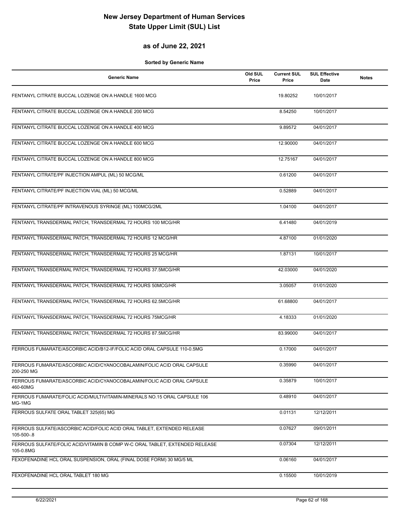### **as of June 22, 2021**

| <b>Generic Name</b>                                                                      | Old SUL<br>Price | <b>Current SUL</b><br>Price | <b>SUL Effective</b><br>Date | <b>Notes</b> |
|------------------------------------------------------------------------------------------|------------------|-----------------------------|------------------------------|--------------|
| FENTANYL CITRATE BUCCAL LOZENGE ON A HANDLE 1600 MCG                                     |                  | 19.80252                    | 10/01/2017                   |              |
| FENTANYL CITRATE BUCCAL LOZENGE ON A HANDLE 200 MCG                                      |                  | 8.54250                     | 10/01/2017                   |              |
| FENTANYL CITRATE BUCCAL LOZENGE ON A HANDLE 400 MCG                                      |                  | 9.89572                     | 04/01/2017                   |              |
| FENTANYL CITRATE BUCCAL LOZENGE ON A HANDLE 600 MCG                                      |                  | 12.90000                    | 04/01/2017                   |              |
| FENTANYL CITRATE BUCCAL LOZENGE ON A HANDLE 800 MCG                                      |                  | 12.75167                    | 04/01/2017                   |              |
| FENTANYL CITRATE/PF INJECTION AMPUL (ML) 50 MCG/ML                                       |                  | 0.61200                     | 04/01/2017                   |              |
| FENTANYL CITRATE/PF INJECTION VIAL (ML) 50 MCG/ML                                        |                  | 0.52889                     | 04/01/2017                   |              |
| FENTANYL CITRATE/PF INTRAVENOUS SYRINGE (ML) 100MCG/2ML                                  |                  | 1.04100                     | 04/01/2017                   |              |
| FENTANYL TRANSDERMAL PATCH, TRANSDERMAL 72 HOURS 100 MCG/HR                              |                  | 6.41480                     | 04/01/2019                   |              |
| FENTANYL TRANSDERMAL PATCH, TRANSDERMAL 72 HOURS 12 MCG/HR                               |                  | 4.87100                     | 01/01/2020                   |              |
| FENTANYL TRANSDERMAL PATCH, TRANSDERMAL 72 HOURS 25 MCG/HR                               |                  | 1.87131                     | 10/01/2017                   |              |
| FENTANYL TRANSDERMAL PATCH, TRANSDERMAL 72 HOURS 37.5MCG/HR                              |                  | 42.03000                    | 04/01/2020                   |              |
| FENTANYL TRANSDERMAL PATCH, TRANSDERMAL 72 HOURS 50MCG/HR                                |                  | 3.05057                     | 01/01/2020                   |              |
| FENTANYL TRANSDERMAL PATCH, TRANSDERMAL 72 HOURS 62.5MCG/HR                              |                  | 61.68800                    | 04/01/2017                   |              |
| FENTANYL TRANSDERMAL PATCH, TRANSDERMAL 72 HOURS 75MCG/HR                                |                  | 4.18333                     | 01/01/2020                   |              |
| FENTANYL TRANSDERMAL PATCH, TRANSDERMAL 72 HOURS 87.5MCG/HR                              |                  | 83.99000                    | 04/01/2017                   |              |
| FERROUS FUMARATE/ASCORBIC ACID/B12-IF/FOLIC ACID ORAL CAPSULE 110-0.5MG                  |                  | 0.17000                     | 04/01/2017                   |              |
| FERROUS FUMARATE/ASCORBIC ACID/CYANOCOBALAMIN/FOLIC ACID ORAL CAPSULE<br>200-250 MG      |                  | 0.35990                     | 04/01/2017                   |              |
| FERROUS FUMARATE/ASCORBIC ACID/CYANOCOBALAMIN/FOLIC ACID ORAL CAPSULE<br>460-60MG        |                  | 0.35879                     | 10/01/2017                   |              |
| FERROUS FUMARATE/FOLIC ACID/MULTIVITAMIN-MINERALS NO.15 ORAL CAPSULE 106<br>MG-1MG       |                  | 0.48910                     | 04/01/2017                   |              |
| FERROUS SULFATE ORAL TABLET 325(65) MG                                                   |                  | 0.01131                     | 12/12/2011                   |              |
| FERROUS SULFATE/ASCORBIC ACID/FOLIC ACID ORAL TABLET, EXTENDED RELEASE<br>105-500-.8     |                  | 0.07627                     | 09/01/2011                   |              |
| FERROUS SULFATE/FOLIC ACID/VITAMIN B COMP W-C ORAL TABLET, EXTENDED RELEASE<br>105-0.8MG |                  | 0.07304                     | 12/12/2011                   |              |
| FEXOFENADINE HCL ORAL SUSPENSION, ORAL (FINAL DOSE FORM) 30 MG/5 ML                      |                  | 0.06160                     | 04/01/2017                   |              |
| FEXOFENADINE HCL ORAL TABLET 180 MG                                                      |                  | 0.15500                     | 10/01/2019                   |              |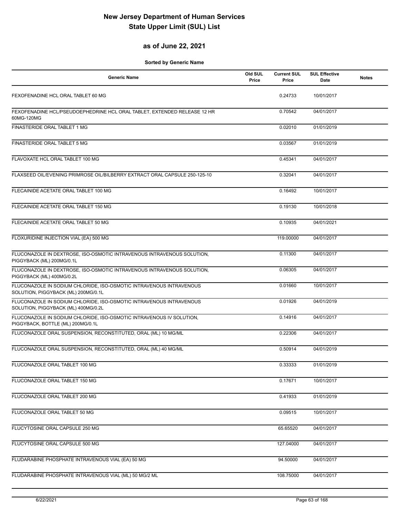#### **as of June 22, 2021**

| <b>Generic Name</b>                                                                                        | Old SUL<br>Price | <b>Current SUL</b><br>Price | <b>SUL Effective</b><br><b>Date</b> | <b>Notes</b> |
|------------------------------------------------------------------------------------------------------------|------------------|-----------------------------|-------------------------------------|--------------|
| FEXOFENADINE HCL ORAL TABLET 60 MG                                                                         |                  | 0.24733                     | 10/01/2017                          |              |
| FEXOFENADINE HCL/PSEUDOEPHEDRINE HCL ORAL TABLET, EXTENDED RELEASE 12 HR<br>60MG-120MG                     |                  | 0.70542                     | 04/01/2017                          |              |
| FINASTERIDE ORAL TABLET 1 MG                                                                               |                  | 0.02010                     | 01/01/2019                          |              |
| FINASTERIDE ORAL TABLET 5 MG                                                                               |                  | 0.03567                     | 01/01/2019                          |              |
| FLAVOXATE HCL ORAL TABLET 100 MG                                                                           |                  | 0.45341                     | 04/01/2017                          |              |
| FLAXSEED OIL/EVENING PRIMROSE OIL/BILBERRY EXTRACT ORAL CAPSULE 250-125-10                                 |                  | 0.32041                     | 04/01/2017                          |              |
| FLECAINIDE ACETATE ORAL TABLET 100 MG                                                                      |                  | 0.16492                     | 10/01/2017                          |              |
| FLECAINIDE ACETATE ORAL TABLET 150 MG                                                                      |                  | 0.19130                     | 10/01/2018                          |              |
| FLECAINIDE ACETATE ORAL TABLET 50 MG                                                                       |                  | 0.10935                     | 04/01/2021                          |              |
| FLOXURIDINE INJECTION VIAL (EA) 500 MG                                                                     |                  | 119.00000                   | 04/01/2017                          |              |
| FLUCONAZOLE IN DEXTROSE, ISO-OSMOTIC INTRAVENOUS INTRAVENOUS SOLUTION,<br>PIGGYBACK (ML) 200MG/0.1L        |                  | 0.11300                     | 04/01/2017                          |              |
| FLUCONAZOLE IN DEXTROSE, ISO-OSMOTIC INTRAVENOUS INTRAVENOUS SOLUTION,<br>PIGGYBACK (ML) 400MG/0.2L        |                  | 0.06305                     | 04/01/2017                          |              |
| FLUCONAZOLE IN SODIUM CHLORIDE, ISO-OSMOTIC INTRAVENOUS INTRAVENOUS<br>SOLUTION, PIGGYBACK (ML) 200MG/0.1L |                  | 0.01660                     | 10/01/2017                          |              |
| FLUCONAZOLE IN SODIUM CHLORIDE, ISO-OSMOTIC INTRAVENOUS INTRAVENOUS<br>SOLUTION, PIGGYBACK (ML) 400MG/0.2L |                  | 0.01926                     | 04/01/2019                          |              |
| FLUCONAZOLE IN SODIUM CHLORIDE, ISO-OSMOTIC INTRAVENOUS IV SOLUTION,<br>PIGGYBACK, BOTTLE (ML) 200MG/0.1L  |                  | 0.14916                     | 04/01/2017                          |              |
| FLUCONAZOLE ORAL SUSPENSION, RECONSTITUTED, ORAL (ML) 10 MG/ML                                             |                  | 0.22306                     | 04/01/2017                          |              |
| FLUCONAZOLE ORAL SUSPENSION, RECONSTITUTED, ORAL (ML) 40 MG/ML                                             |                  | 0.50914                     | 04/01/2019                          |              |
| FLUCONAZOLE ORAL TABLET 100 MG                                                                             |                  | 0.33333                     | 01/01/2019                          |              |
| FLUCONAZOLE ORAL TABLET 150 MG                                                                             |                  | 0.17671                     | 10/01/2017                          |              |
| FLUCONAZOLE ORAL TABLET 200 MG                                                                             |                  | 0.41933                     | 01/01/2019                          |              |
| FLUCONAZOLE ORAL TABLET 50 MG                                                                              |                  | 0.09515                     | 10/01/2017                          |              |
| FLUCYTOSINE ORAL CAPSULE 250 MG                                                                            |                  | 65.65520                    | 04/01/2017                          |              |
| FLUCYTOSINE ORAL CAPSULE 500 MG                                                                            |                  | 127.04000                   | 04/01/2017                          |              |
| FLUDARABINE PHOSPHATE INTRAVENOUS VIAL (EA) 50 MG                                                          |                  | 94.50000                    | 04/01/2017                          |              |
| FLUDARABINE PHOSPHATE INTRAVENOUS VIAL (ML) 50 MG/2 ML                                                     |                  | 108.75000                   | 04/01/2017                          |              |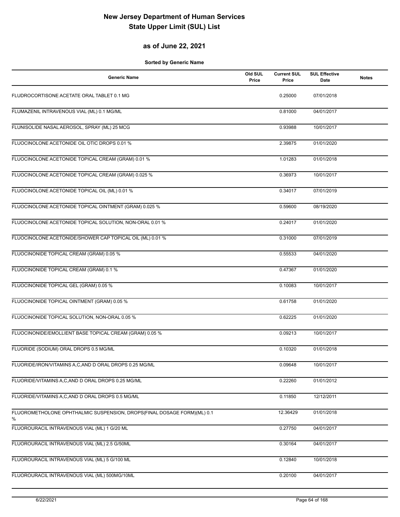### **as of June 22, 2021**

| <b>Generic Name</b>                                                          | Old SUL<br>Price | <b>Current SUL</b><br>Price | <b>SUL Effective</b><br>Date | <b>Notes</b> |
|------------------------------------------------------------------------------|------------------|-----------------------------|------------------------------|--------------|
| FLUDROCORTISONE ACETATE ORAL TABLET 0.1 MG                                   |                  | 0.25000                     | 07/01/2018                   |              |
| FLUMAZENIL INTRAVENOUS VIAL (ML) 0.1 MG/ML                                   |                  | 0.81000                     | 04/01/2017                   |              |
| FLUNISOLIDE NASAL AEROSOL, SPRAY (ML) 25 MCG                                 |                  | 0.93988                     | 10/01/2017                   |              |
| FLUOCINOLONE ACETONIDE OIL OTIC DROPS 0.01 %                                 |                  | 2.39875                     | 01/01/2020                   |              |
| FLUOCINOLONE ACETONIDE TOPICAL CREAM (GRAM) 0.01 %                           |                  | 1.01283                     | 01/01/2018                   |              |
| FLUOCINOLONE ACETONIDE TOPICAL CREAM (GRAM) 0.025 %                          |                  | 0.36973                     | 10/01/2017                   |              |
| FLUOCINOLONE ACETONIDE TOPICAL OIL (ML) 0.01 %                               |                  | 0.34017                     | 07/01/2019                   |              |
| FLUOCINOLONE ACETONIDE TOPICAL OINTMENT (GRAM) 0.025 %                       |                  | 0.59600                     | 08/19/2020                   |              |
| FLUOCINOLONE ACETONIDE TOPICAL SOLUTION, NON-ORAL 0.01 %                     |                  | 0.24017                     | 01/01/2020                   |              |
| FLUOCINOLONE ACETONIDE/SHOWER CAP TOPICAL OIL (ML) 0.01 %                    |                  | 0.31000                     | 07/01/2019                   |              |
| FLUOCINONIDE TOPICAL CREAM (GRAM) 0.05 %                                     |                  | 0.55533                     | 04/01/2020                   |              |
| FLUOCINONIDE TOPICAL CREAM (GRAM) 0.1 %                                      |                  | 0.47367                     | 01/01/2020                   |              |
| FLUOCINONIDE TOPICAL GEL (GRAM) 0.05 %                                       |                  | 0.10083                     | 10/01/2017                   |              |
| FLUOCINONIDE TOPICAL OINTMENT (GRAM) 0.05 %                                  |                  | 0.61758                     | 01/01/2020                   |              |
| FLUOCINONIDE TOPICAL SOLUTION, NON-ORAL 0.05 %                               |                  | 0.62225                     | 01/01/2020                   |              |
| FLUOCINONIDE/EMOLLIENT BASE TOPICAL CREAM (GRAM) 0.05 %                      |                  | 0.09213                     | 10/01/2017                   |              |
| FLUORIDE (SODIUM) ORAL DROPS 0.5 MG/ML                                       |                  | 0.10320                     | 01/01/2018                   |              |
| FLUORIDE/IRON/VITAMINS A,C, AND D ORAL DROPS 0.25 MG/ML                      |                  | 0.09648                     | 10/01/2017                   |              |
| FLUORIDE/VITAMINS A,C,AND D ORAL DROPS 0.25 MG/ML                            |                  | 0.22260                     | 01/01/2012                   |              |
| FLUORIDE/VITAMINS A,C,AND D ORAL DROPS 0.5 MG/ML                             |                  | 0.11850                     | 12/12/2011                   |              |
| FLUOROMETHOLONE OPHTHALMIC SUSPENSION, DROPS(FINAL DOSAGE FORM)(ML) 0.1<br>% |                  | 12.36429                    | 01/01/2018                   |              |
| FLUOROURACIL INTRAVENOUS VIAL (ML) 1 G/20 ML                                 |                  | 0.27750                     | 04/01/2017                   |              |
| FLUOROURACIL INTRAVENOUS VIAL (ML) 2.5 G/50ML                                |                  | 0.30164                     | 04/01/2017                   |              |
| FLUOROURACIL INTRAVENOUS VIAL (ML) 5 G/100 ML                                |                  | 0.12840                     | 10/01/2018                   |              |
| FLUOROURACIL INTRAVENOUS VIAL (ML) 500MG/10ML                                |                  | 0.20100                     | 04/01/2017                   |              |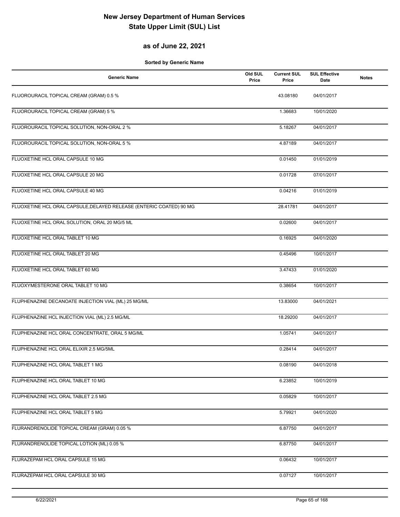#### **as of June 22, 2021**

| <b>Generic Name</b>                                                 | Old SUL<br>Price | <b>Current SUL</b><br>Price | <b>SUL Effective</b><br>Date | <b>Notes</b> |
|---------------------------------------------------------------------|------------------|-----------------------------|------------------------------|--------------|
| FLUOROURACIL TOPICAL CREAM (GRAM) 0.5 %                             |                  | 43.08180                    | 04/01/2017                   |              |
| FLUOROURACIL TOPICAL CREAM (GRAM) 5 %                               |                  | 1.36683                     | 10/01/2020                   |              |
| FLUOROURACIL TOPICAL SOLUTION, NON-ORAL 2 %                         |                  | 5.18267                     | 04/01/2017                   |              |
| FLUOROURACIL TOPICAL SOLUTION, NON-ORAL 5 %                         |                  | 4.87189                     | 04/01/2017                   |              |
| FLUOXETINE HCL ORAL CAPSULE 10 MG                                   |                  | 0.01450                     | 01/01/2019                   |              |
| FLUOXETINE HCL ORAL CAPSULE 20 MG                                   |                  | 0.01728                     | 07/01/2017                   |              |
| FLUOXETINE HCL ORAL CAPSULE 40 MG                                   |                  | 0.04216                     | 01/01/2019                   |              |
| FLUOXETINE HCL ORAL CAPSULE, DELAYED RELEASE (ENTERIC COATED) 90 MG |                  | 28.41781                    | 04/01/2017                   |              |
| FLUOXETINE HCL ORAL SOLUTION, ORAL 20 MG/5 ML                       |                  | 0.02600                     | 04/01/2017                   |              |
| FLUOXETINE HCL ORAL TABLET 10 MG                                    |                  | 0.16925                     | 04/01/2020                   |              |
| FLUOXETINE HCL ORAL TABLET 20 MG                                    |                  | 0.45496                     | 10/01/2017                   |              |
| FLUOXETINE HCL ORAL TABLET 60 MG                                    |                  | 3.47433                     | 01/01/2020                   |              |
| FLUOXYMESTERONE ORAL TABLET 10 MG                                   |                  | 0.38654                     | 10/01/2017                   |              |
| FLUPHENAZINE DECANOATE INJECTION VIAL (ML) 25 MG/ML                 |                  | 13.83000                    | 04/01/2021                   |              |
| FLUPHENAZINE HCL INJECTION VIAL (ML) 2.5 MG/ML                      |                  | 18.29200                    | 04/01/2017                   |              |
| FLUPHENAZINE HCL ORAL CONCENTRATE, ORAL 5 MG/ML                     |                  | 1.05741                     | 04/01/2017                   |              |
| FLUPHENAZINE HCL ORAL ELIXIR 2.5 MG/5ML                             |                  | 0.28414                     | 04/01/2017                   |              |
| FLUPHENAZINE HCL ORAL TABLET 1 MG                                   |                  | 0.08190                     | 04/01/2018                   |              |
| FLUPHENAZINE HCL ORAL TABLET 10 MG                                  |                  | 6.23852                     | 10/01/2019                   |              |
| FLUPHENAZINE HCL ORAL TABLET 2.5 MG                                 |                  | 0.05829                     | 10/01/2017                   |              |
| FLUPHENAZINE HCL ORAL TABLET 5 MG                                   |                  | 5.79921                     | 04/01/2020                   |              |
| FLURANDRENOLIDE TOPICAL CREAM (GRAM) 0.05 %                         |                  | 6.87750                     | 04/01/2017                   |              |
| FLURANDRENOLIDE TOPICAL LOTION (ML) 0.05 %                          |                  | 6.87750                     | 04/01/2017                   |              |
| FLURAZEPAM HCL ORAL CAPSULE 15 MG                                   |                  | 0.06432                     | 10/01/2017                   |              |
| FLURAZEPAM HCL ORAL CAPSULE 30 MG                                   |                  | 0.07127                     | 10/01/2017                   |              |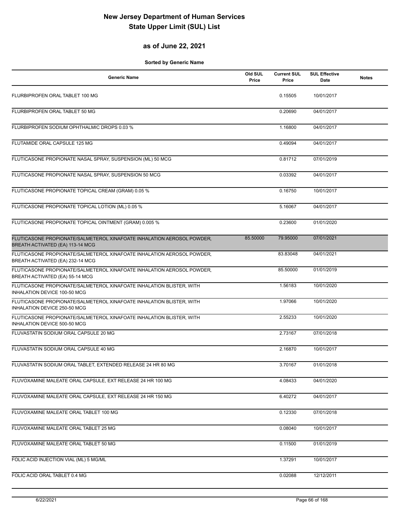### **as of June 22, 2021**

| <b>Generic Name</b>                                                                                        | Old SUL<br>Price | <b>Current SUL</b><br>Price | <b>SUL Effective</b><br>Date | <b>Notes</b> |
|------------------------------------------------------------------------------------------------------------|------------------|-----------------------------|------------------------------|--------------|
| FLURBIPROFEN ORAL TABLET 100 MG                                                                            |                  | 0.15505                     | 10/01/2017                   |              |
| FLURBIPROFEN ORAL TABLET 50 MG                                                                             |                  | 0.20690                     | 04/01/2017                   |              |
| FLURBIPROFEN SODIUM OPHTHALMIC DROPS 0.03 %                                                                |                  | 1.16800                     | 04/01/2017                   |              |
| FLUTAMIDE ORAL CAPSULE 125 MG                                                                              |                  | 0.49094                     | 04/01/2017                   |              |
| FLUTICASONE PROPIONATE NASAL SPRAY, SUSPENSION (ML) 50 MCG                                                 |                  | 0.81712                     | 07/01/2019                   |              |
| FLUTICASONE PROPIONATE NASAL SPRAY, SUSPENSION 50 MCG                                                      |                  | 0.03392                     | 04/01/2017                   |              |
| FLUTICASONE PROPIONATE TOPICAL CREAM (GRAM) 0.05 %                                                         |                  | 0.16750                     | 10/01/2017                   |              |
| FLUTICASONE PROPIONATE TOPICAL LOTION (ML) 0.05 %                                                          |                  | 5.16067                     | 04/01/2017                   |              |
| FLUTICASONE PROPIONATE TOPICAL OINTMENT (GRAM) 0.005 %                                                     |                  | 0.23600                     | 01/01/2020                   |              |
| FLUTICASONE PROPIONATE/SALMETEROL XINAFOATE INHALATION AEROSOL POWDER,<br>BREATH ACTIVATED (EA) 113-14 MCG | 85.50000         | 79.95000                    | 07/01/2021                   |              |
| FLUTICASONE PROPIONATE/SALMETEROL XINAFOATE INHALATION AEROSOL POWDER,<br>BREATH ACTIVATED (EA) 232-14 MCG |                  | 83.83048                    | 04/01/2021                   |              |
| FLUTICASONE PROPIONATE/SALMETEROL XINAFOATE INHALATION AEROSOL POWDER,<br>BREATH ACTIVATED (EA) 55-14 MCG  |                  | 85.50000                    | 01/01/2019                   |              |
| FLUTICASONE PROPIONATE/SALMETEROL XINAFOATE INHALATION BLISTER, WITH<br>INHALATION DEVICE 100-50 MCG       |                  | 1.56183                     | 10/01/2020                   |              |
| FLUTICASONE PROPIONATE/SALMETEROL XINAFOATE INHALATION BLISTER, WITH<br>INHALATION DEVICE 250-50 MCG       |                  | 1.97066                     | 10/01/2020                   |              |
| FLUTICASONE PROPIONATE/SALMETEROL XINAFOATE INHALATION BLISTER, WITH<br>INHALATION DEVICE 500-50 MCG       |                  | 2.55233                     | 10/01/2020                   |              |
| FLUVASTATIN SODIUM ORAL CAPSULE 20 MG                                                                      |                  | 2.73167                     | 07/01/2018                   |              |
| FLUVASTATIN SODIUM ORAL CAPSULE 40 MG                                                                      |                  | 2.16870                     | 10/01/2017                   |              |
| FLUVASTATIN SODIUM ORAL TABLET, EXTENDED RELEASE 24 HR 80 MG                                               |                  | 3.70167                     | 01/01/2018                   |              |
| FLUVOXAMINE MALEATE ORAL CAPSULE, EXT RELEASE 24 HR 100 MG                                                 |                  | 4.08433                     | 04/01/2020                   |              |
| FLUVOXAMINE MALEATE ORAL CAPSULE, EXT RELEASE 24 HR 150 MG                                                 |                  | 6.40272                     | 04/01/2017                   |              |
| FLUVOXAMINE MALEATE ORAL TABLET 100 MG                                                                     |                  | 0.12330                     | 07/01/2018                   |              |
| FLUVOXAMINE MALEATE ORAL TABLET 25 MG                                                                      |                  | 0.08040                     | 10/01/2017                   |              |
| FLUVOXAMINE MALEATE ORAL TABLET 50 MG                                                                      |                  | 0.11500                     | 01/01/2019                   |              |
| FOLIC ACID INJECTION VIAL (ML) 5 MG/ML                                                                     |                  | 1.37291                     | 10/01/2017                   |              |
| FOLIC ACID ORAL TABLET 0.4 MG                                                                              |                  | 0.02088                     | 12/12/2011                   |              |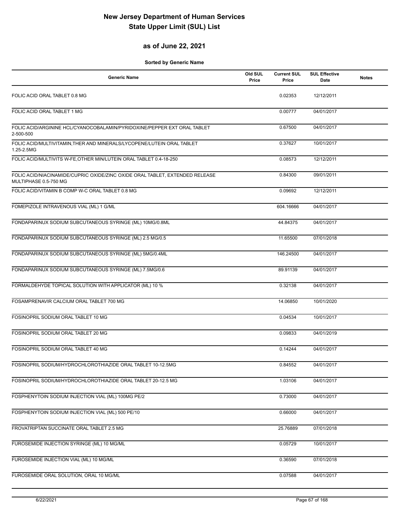#### **as of June 22, 2021**

| <b>Generic Name</b>                                                                                   | Old SUL<br>Price | <b>Current SUL</b><br>Price | <b>SUL Effective</b><br>Date | <b>Notes</b> |
|-------------------------------------------------------------------------------------------------------|------------------|-----------------------------|------------------------------|--------------|
| FOLIC ACID ORAL TABLET 0.8 MG                                                                         |                  | 0.02353                     | 12/12/2011                   |              |
| FOLIC ACID ORAL TABLET 1 MG                                                                           |                  | 0.00777                     | 04/01/2017                   |              |
| FOLIC ACID/ARGININE HCL/CYANOCOBALAMIN/PYRIDOXINE/PEPPER EXT ORAL TABLET<br>2-500-500                 |                  | 0.67500                     | 04/01/2017                   |              |
| FOLIC ACID/MULTIVITAMIN, THER AND MINERALS/LYCOPENE/LUTEIN ORAL TABLET<br>1.25-2.5MG                  |                  | 0.37627                     | 10/01/2017                   |              |
| FOLIC ACID/MULTIVITS W-FE, OTHER MIN/LUTEIN ORAL TABLET 0.4-18-250                                    |                  | 0.08573                     | 12/12/2011                   |              |
| FOLIC ACID/NIACINAMIDE/CUPRIC OXIDE/ZINC OXIDE ORAL TABLET, EXTENDED RELEASE<br>MULTIPHASE 0.5-750 MG |                  | 0.84300                     | 09/01/2011                   |              |
| FOLIC ACID/VITAMIN B COMP W-C ORAL TABLET 0.8 MG                                                      |                  | 0.09692                     | 12/12/2011                   |              |
| FOMEPIZOLE INTRAVENOUS VIAL (ML) 1 G/ML                                                               |                  | 604.16666                   | 04/01/2017                   |              |
| FONDAPARINUX SODIUM SUBCUTANEOUS SYRINGE (ML) 10MG/0.8ML                                              |                  | 44.84375                    | 04/01/2017                   |              |
| FONDAPARINUX SODIUM SUBCUTANEOUS SYRINGE (ML) 2.5 MG/0.5                                              |                  | 11.65500                    | 07/01/2018                   |              |
| FONDAPARINUX SODIUM SUBCUTANEOUS SYRINGE (ML) 5MG/0.4ML                                               |                  | 146.24500                   | 04/01/2017                   |              |
| FONDAPARINUX SODIUM SUBCUTANEOUS SYRINGE (ML) 7.5MG/0.6                                               |                  | 89.91139                    | 04/01/2017                   |              |
| FORMALDEHYDE TOPICAL SOLUTION WITH APPLICATOR (ML) 10 %                                               |                  | 0.32138                     | 04/01/2017                   |              |
| FOSAMPRENAVIR CALCIUM ORAL TABLET 700 MG                                                              |                  | 14.06850                    | 10/01/2020                   |              |
| FOSINOPRIL SODIUM ORAL TABLET 10 MG                                                                   |                  | 0.04534                     | 10/01/2017                   |              |
| FOSINOPRIL SODIUM ORAL TABLET 20 MG                                                                   |                  | 0.09833                     | 04/01/2019                   |              |
| FOSINOPRIL SODIUM ORAL TABLET 40 MG                                                                   |                  | 0.14244                     | 04/01/2017                   |              |
| FOSINOPRIL SODIUM/HYDROCHLOROTHIAZIDE ORAL TABLET 10-12.5MG                                           |                  | 0.84552                     | 04/01/2017                   |              |
| FOSINOPRIL SODIUM/HYDROCHLOROTHIAZIDE ORAL TABLET 20-12.5 MG                                          |                  | 1.03106                     | 04/01/2017                   |              |
| FOSPHENYTOIN SODIUM INJECTION VIAL (ML) 100MG PE/2                                                    |                  | 0.73000                     | 04/01/2017                   |              |
| FOSPHENYTOIN SODIUM INJECTION VIAL (ML) 500 PE/10                                                     |                  | 0.66000                     | 04/01/2017                   |              |
| FROVATRIPTAN SUCCINATE ORAL TABLET 2.5 MG                                                             |                  | 25.76889                    | 07/01/2018                   |              |
| FUROSEMIDE INJECTION SYRINGE (ML) 10 MG/ML                                                            |                  | 0.05729                     | 10/01/2017                   |              |
| FUROSEMIDE INJECTION VIAL (ML) 10 MG/ML                                                               |                  | 0.36590                     | 07/01/2018                   |              |
| FUROSEMIDE ORAL SOLUTION, ORAL 10 MG/ML                                                               |                  | 0.07588                     | 04/01/2017                   |              |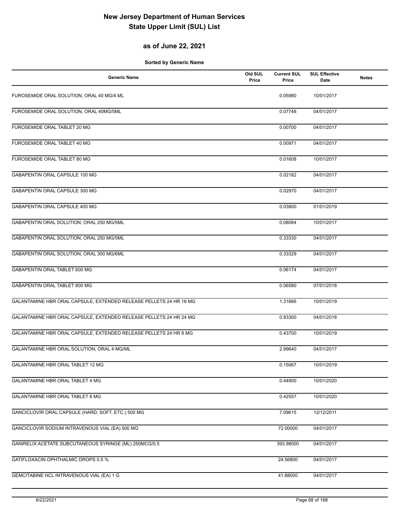#### **as of June 22, 2021**

| <b>Generic Name</b>                                                | Old SUL<br>Price | <b>Current SUL</b><br>Price | <b>SUL Effective</b><br>Date | <b>Notes</b> |
|--------------------------------------------------------------------|------------------|-----------------------------|------------------------------|--------------|
| FUROSEMIDE ORAL SOLUTION, ORAL 40 MG/4 ML                          |                  | 0.05980                     | 10/01/2017                   |              |
| FUROSEMIDE ORAL SOLUTION, ORAL 40MG/5ML                            |                  | 0.07748                     | 04/01/2017                   |              |
| FUROSEMIDE ORAL TABLET 20 MG                                       |                  | 0.00700                     | 04/01/2017                   |              |
| FUROSEMIDE ORAL TABLET 40 MG                                       |                  | 0.00971                     | 04/01/2017                   |              |
| FUROSEMIDE ORAL TABLET 80 MG                                       |                  | 0.01608                     | 10/01/2017                   |              |
| GABAPENTIN ORAL CAPSULE 100 MG                                     |                  | 0.02182                     | 04/01/2017                   |              |
| GABAPENTIN ORAL CAPSULE 300 MG                                     |                  | 0.02970                     | 04/01/2017                   |              |
| GABAPENTIN ORAL CAPSULE 400 MG                                     |                  | 0.03800                     | 01/01/2019                   |              |
| GABAPENTIN ORAL SOLUTION, ORAL 250 MG/5ML                          |                  | 0.08084                     | 10/01/2017                   |              |
| GABAPENTIN ORAL SOLUTION, ORAL 250 MG/5ML                          |                  | 0.33330                     | 04/01/2017                   |              |
| GABAPENTIN ORAL SOLUTION, ORAL 300 MG/6ML                          |                  | 0.33329                     | 04/01/2017                   |              |
| GABAPENTIN ORAL TABLET 600 MG                                      |                  | 0.06174                     | 04/01/2017                   |              |
| GABAPENTIN ORAL TABLET 800 MG                                      |                  | 0.06580                     | 07/01/2018                   |              |
| GALANTAMINE HBR ORAL CAPSULE, EXTENDED RELEASE PELLETS 24 HR 16 MG |                  | 1.31666                     | 10/01/2019                   |              |
| GALANTAMINE HBR ORAL CAPSULE, EXTENDED RELEASE PELLETS 24 HR 24 MG |                  | 0.83300                     | 04/01/2018                   |              |
| GALANTAMINE HBR ORAL CAPSULE, EXTENDED RELEASE PELLETS 24 HR 8 MG  |                  | 0.43700                     | 10/01/2019                   |              |
| GALANTAMINE HBR ORAL SOLUTION, ORAL 4 MG/ML                        |                  | 2.99640                     | 04/01/2017                   |              |
| GALANTAMINE HBR ORAL TABLET 12 MG                                  |                  | 0.15067                     | 10/01/2019                   |              |
| GALANTAMINE HBR ORAL TABLET 4 MG                                   |                  | 0.44900                     | 10/01/2020                   |              |
| GALANTAMINE HBR ORAL TABLET 8 MG                                   |                  | 0.42557                     | 10/01/2020                   |              |
| GANCICLOVIR ORAL CAPSULE (HARD, SOFT, ETC.) 500 MG                 |                  | 7.09615                     | 12/12/2011                   |              |
| GANCICLOVIR SODIUM INTRAVENOUS VIAL (EA) 500 MG                    |                  | 72.00000                    | 04/01/2017                   |              |
| GANIRELIX ACETATE SUBCUTANEOUS SYRINGE (ML) 250MCG/0.5             |                  | 393.98000                   | 04/01/2017                   |              |
| GATIFLOXACIN OPHTHALMIC DROPS 0.5 %                                |                  | 24.56800                    | 04/01/2017                   |              |
| GEMCITABINE HCL INTRAVENOUS VIAL (EA) 1 G                          |                  | 41.88000                    | 04/01/2017                   |              |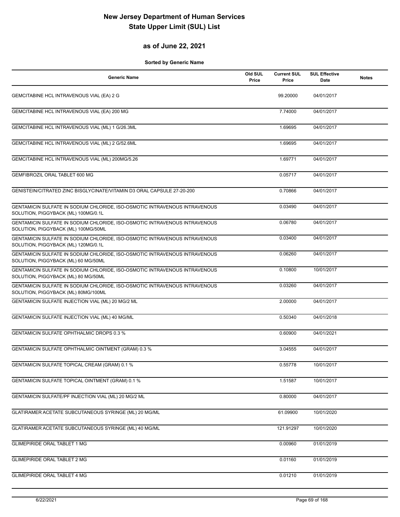#### **as of June 22, 2021**

| <b>Generic Name</b>                                                                                               | Old SUL<br>Price | <b>Current SUL</b><br>Price | <b>SUL Effective</b><br><b>Date</b> | <b>Notes</b> |
|-------------------------------------------------------------------------------------------------------------------|------------------|-----------------------------|-------------------------------------|--------------|
| GEMCITABINE HCL INTRAVENOUS VIAL (EA) 2 G                                                                         |                  | 99.20000                    | 04/01/2017                          |              |
| GEMCITABINE HCL INTRAVENOUS VIAL (EA) 200 MG                                                                      |                  | 7.74000                     | 04/01/2017                          |              |
| GEMCITABINE HCL INTRAVENOUS VIAL (ML) 1 G/26.3ML                                                                  |                  | 1.69695                     | 04/01/2017                          |              |
| GEMCITABINE HCL INTRAVENOUS VIAL (ML) 2 G/52.6ML                                                                  |                  | 1.69695                     | 04/01/2017                          |              |
| GEMCITABINE HCL INTRAVENOUS VIAL (ML) 200MG/5.26                                                                  |                  | 1.69771                     | 04/01/2017                          |              |
| GEMFIBROZIL ORAL TABLET 600 MG                                                                                    |                  | 0.05717                     | 04/01/2017                          |              |
| GENISTEIN/CITRATED ZINC BISGLYCINATE/VITAMIN D3 ORAL CAPSULE 27-20-200                                            |                  | 0.70866                     | 04/01/2017                          |              |
| GENTAMICIN SULFATE IN SODIUM CHLORIDE, ISO-OSMOTIC INTRAVENOUS INTRAVENOUS<br>SOLUTION, PIGGYBACK (ML) 100MG/0.1L |                  | 0.03490                     | 04/01/2017                          |              |
| GENTAMICIN SULFATE IN SODIUM CHLORIDE, ISO-OSMOTIC INTRAVENOUS INTRAVENOUS<br>SOLUTION, PIGGYBACK (ML) 100MG/50ML |                  | 0.06780                     | 04/01/2017                          |              |
| GENTAMICIN SULFATE IN SODIUM CHLORIDE, ISO-OSMOTIC INTRAVENOUS INTRAVENOUS<br>SOLUTION, PIGGYBACK (ML) 120MG/0.1L |                  | 0.03400                     | 04/01/2017                          |              |
| GENTAMICIN SULFATE IN SODIUM CHLORIDE, ISO-OSMOTIC INTRAVENOUS INTRAVENOUS<br>SOLUTION, PIGGYBACK (ML) 60 MG/50ML |                  | 0.06260                     | 04/01/2017                          |              |
| GENTAMICIN SULFATE IN SODIUM CHLORIDE, ISO-OSMOTIC INTRAVENOUS INTRAVENOUS<br>SOLUTION, PIGGYBACK (ML) 80 MG/50ML |                  | 0.10800                     | 10/01/2017                          |              |
| GENTAMICIN SULFATE IN SODIUM CHLORIDE, ISO-OSMOTIC INTRAVENOUS INTRAVENOUS<br>SOLUTION, PIGGYBACK (ML) 80MG/100ML |                  | 0.03260                     | 04/01/2017                          |              |
| GENTAMICIN SULFATE INJECTION VIAL (ML) 20 MG/2 ML                                                                 |                  | 2.00000                     | 04/01/2017                          |              |
| GENTAMICIN SULFATE INJECTION VIAL (ML) 40 MG/ML                                                                   |                  | 0.50340                     | 04/01/2018                          |              |
| <b>GENTAMICIN SULFATE OPHTHALMIC DROPS 0.3 %</b>                                                                  |                  | 0.60900                     | 04/01/2021                          |              |
| GENTAMICIN SULFATE OPHTHALMIC OINTMENT (GRAM) 0.3 %                                                               |                  | 3.04555                     | 04/01/2017                          |              |
| GENTAMICIN SULFATE TOPICAL CREAM (GRAM) 0.1 %                                                                     |                  | 0.55778                     | 10/01/2017                          |              |
| <b>GENTAMICIN SULFATE TOPICAL OINTMENT (GRAM) 0.1 %</b>                                                           |                  | 1.51587                     | 10/01/2017                          |              |
| GENTAMICIN SULFATE/PF INJECTION VIAL (ML) 20 MG/2 ML                                                              |                  | 0.80000                     | 04/01/2017                          |              |
| GLATIRAMER ACETATE SUBCUTANEOUS SYRINGE (ML) 20 MG/ML                                                             |                  | 61.09900                    | 10/01/2020                          |              |
| GLATIRAMER ACETATE SUBCUTANEOUS SYRINGE (ML) 40 MG/ML                                                             |                  | 121.91297                   | 10/01/2020                          |              |
| <b>GLIMEPIRIDE ORAL TABLET 1 MG</b>                                                                               |                  | 0.00960                     | 01/01/2019                          |              |
| <b>GLIMEPIRIDE ORAL TABLET 2 MG</b>                                                                               |                  | 0.01160                     | 01/01/2019                          |              |
| <b>GLIMEPIRIDE ORAL TABLET 4 MG</b>                                                                               |                  | 0.01210                     | 01/01/2019                          |              |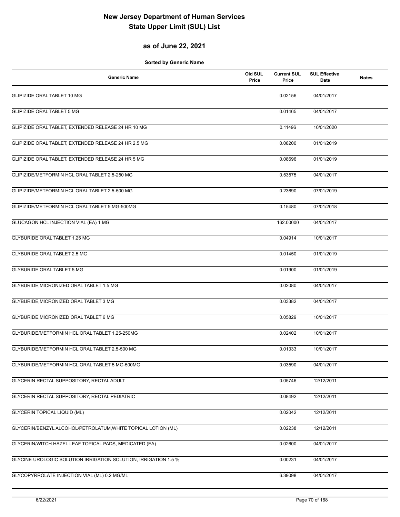#### **as of June 22, 2021**

| <b>Generic Name</b>                                             | Old SUL<br>Price | <b>Current SUL</b><br>Price | <b>SUL Effective</b><br>Date | <b>Notes</b> |
|-----------------------------------------------------------------|------------------|-----------------------------|------------------------------|--------------|
| <b>GLIPIZIDE ORAL TABLET 10 MG</b>                              |                  | 0.02156                     | 04/01/2017                   |              |
| <b>GLIPIZIDE ORAL TABLET 5 MG</b>                               |                  | 0.01465                     | 04/01/2017                   |              |
| GLIPIZIDE ORAL TABLET, EXTENDED RELEASE 24 HR 10 MG             |                  | 0.11496                     | 10/01/2020                   |              |
| GLIPIZIDE ORAL TABLET, EXTENDED RELEASE 24 HR 2.5 MG            |                  | 0.08200                     | 01/01/2019                   |              |
| GLIPIZIDE ORAL TABLET, EXTENDED RELEASE 24 HR 5 MG              |                  | 0.08696                     | 01/01/2019                   |              |
| GLIPIZIDE/METFORMIN HCL ORAL TABLET 2.5-250 MG                  |                  | 0.53575                     | 04/01/2017                   |              |
| GLIPIZIDE/METFORMIN HCL ORAL TABLET 2.5-500 MG                  |                  | 0.23690                     | 07/01/2019                   |              |
| GLIPIZIDE/METFORMIN HCL ORAL TABLET 5 MG-500MG                  |                  | 0.15480                     | 07/01/2018                   |              |
| GLUCAGON HCL INJECTION VIAL (EA) 1 MG                           |                  | 162.00000                   | 04/01/2017                   |              |
| <b>GLYBURIDE ORAL TABLET 1.25 MG</b>                            |                  | 0.04914                     | 10/01/2017                   |              |
| <b>GLYBURIDE ORAL TABLET 2.5 MG</b>                             |                  | 0.01450                     | 01/01/2019                   |              |
| <b>GLYBURIDE ORAL TABLET 5 MG</b>                               |                  | 0.01900                     | 01/01/2019                   |              |
| GLYBURIDE, MICRONIZED ORAL TABLET 1.5 MG                        |                  | 0.02080                     | 04/01/2017                   |              |
| GLYBURIDE, MICRONIZED ORAL TABLET 3 MG                          |                  | 0.03382                     | 04/01/2017                   |              |
| GLYBURIDE, MICRONIZED ORAL TABLET 6 MG                          |                  | 0.05829                     | 10/01/2017                   |              |
| GLYBURIDE/METFORMIN HCL ORAL TABLET 1.25-250MG                  |                  | 0.02402                     | 10/01/2017                   |              |
| GLYBURIDE/METFORMIN HCL ORAL TABLET 2.5-500 MG                  |                  | 0.01333                     | 10/01/2017                   |              |
| GLYBURIDE/METFORMIN HCL ORAL TABLET 5 MG-500MG                  |                  | 0.03590                     | 04/01/2017                   |              |
| GLYCERIN RECTAL SUPPOSITORY, RECTAL ADULT                       |                  | 0.05746                     | 12/12/2011                   |              |
| GLYCERIN RECTAL SUPPOSITORY, RECTAL PEDIATRIC                   |                  | 0.08492                     | 12/12/2011                   |              |
| <b>GLYCERIN TOPICAL LIQUID (ML)</b>                             |                  | 0.02042                     | 12/12/2011                   |              |
| GLYCERIN/BENZYL ALCOHOL/PETROLATUM, WHITE TOPICAL LOTION (ML)   |                  | 0.02238                     | 12/12/2011                   |              |
| GLYCERIN/WITCH HAZEL LEAF TOPICAL PADS, MEDICATED (EA)          |                  | 0.02600                     | 04/01/2017                   |              |
| GLYCINE UROLOGIC SOLUTION IRRIGATION SOLUTION, IRRIGATION 1.5 % |                  | 0.00231                     | 04/01/2017                   |              |
| GLYCOPYRROLATE INJECTION VIAL (ML) 0.2 MG/ML                    |                  | 6.39098                     | 04/01/2017                   |              |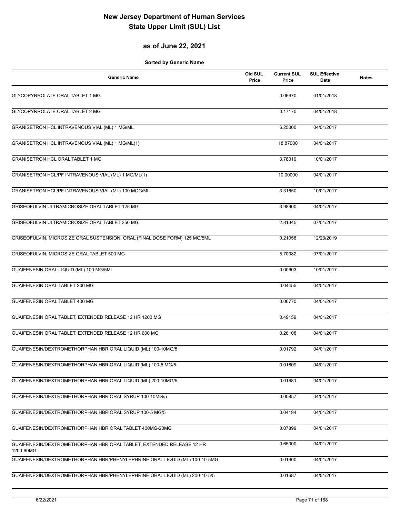### **as of June 22, 2021**

| <b>Generic Name</b>                                                               | Old SUL<br>Price | <b>Current SUL</b><br>Price | <b>SUL Effective</b><br><b>Date</b> | <b>Notes</b> |
|-----------------------------------------------------------------------------------|------------------|-----------------------------|-------------------------------------|--------------|
| GLYCOPYRROLATE ORAL TABLET 1 MG                                                   |                  | 0.06670                     | 01/01/2018                          |              |
| GLYCOPYRROLATE ORAL TABLET 2 MG                                                   |                  | 0.17170                     | 04/01/2018                          |              |
| GRANISETRON HCL INTRAVENOUS VIAL (ML) 1 MG/ML                                     |                  | 6.25000                     | 04/01/2017                          |              |
| GRANISETRON HCL INTRAVENOUS VIAL (ML) 1 MG/ML(1)                                  |                  | 18.87000                    | 04/01/2017                          |              |
| <b>GRANISETRON HCL ORAL TABLET 1 MG</b>                                           |                  | 3.78019                     | 10/01/2017                          |              |
| GRANISETRON HCL/PF INTRAVENOUS VIAL (ML) 1 MG/ML(1)                               |                  | 10.00000                    | 04/01/2017                          |              |
| GRANISETRON HCL/PF INTRAVENOUS VIAL (ML) 100 MCG/ML                               |                  | 3.31650                     | 10/01/2017                          |              |
| GRISEOFULVIN ULTRAMICROSIZE ORAL TABLET 125 MG                                    |                  | 3.98900                     | 04/01/2017                          |              |
| GRISEOFULVIN ULTRAMICROSIZE ORAL TABLET 250 MG                                    |                  | 2.81345                     | 07/01/2017                          |              |
| GRISEOFULVIN, MICROSIZE ORAL SUSPENSION, ORAL (FINAL DOSE FORM) 125 MG/5ML        |                  | 0.21058                     | 12/23/2019                          |              |
| GRISEOFULVIN, MICROSIZE ORAL TABLET 500 MG                                        |                  | 5.70082                     | 07/01/2017                          |              |
| GUAIFENESIN ORAL LIQUID (ML) 100 MG/5ML                                           |                  | 0.00603                     | 10/01/2017                          |              |
| GUAIFENESIN ORAL TABLET 200 MG                                                    |                  | 0.04455                     | 04/01/2017                          |              |
| GUAIFENESIN ORAL TABLET 400 MG                                                    |                  | 0.06770                     | 04/01/2017                          |              |
| GUAIFENESIN ORAL TABLET, EXTENDED RELEASE 12 HR 1200 MG                           |                  | 0.49159                     | 04/01/2017                          |              |
| GUAIFENESIN ORAL TABLET, EXTENDED RELEASE 12 HR 600 MG                            |                  | 0.26108                     | 04/01/2017                          |              |
| GUAIFENESIN/DEXTROMETHORPHAN HBR ORAL LIQUID (ML) 100-10MG/5                      |                  | 0.01792                     | 04/01/2017                          |              |
| GUAIFENESIN/DEXTROMETHORPHAN HBR ORAL LIQUID (ML) 100-5 MG/5                      |                  | 0.01809                     | 04/01/2017                          |              |
| GUAIFENESIN/DEXTROMETHORPHAN HBR ORAL LIQUID (ML) 200-10MG/5                      |                  | 0.01681                     | 04/01/2017                          |              |
| GUAIFENESIN/DEXTROMETHORPHAN HBR ORAL SYRUP 100-10MG/5                            |                  | 0.00857                     | 04/01/2017                          |              |
| GUAIFENESIN/DEXTROMETHORPHAN HBR ORAL SYRUP 100-5 MG/5                            |                  | 0.04194                     | 04/01/2017                          |              |
| GUAIFENESIN/DEXTROMETHORPHAN HBR ORAL TABLET 400MG-20MG                           |                  | 0.07899                     | 04/01/2017                          |              |
| GUAIFENESIN/DEXTROMETHORPHAN HBR ORAL TABLET, EXTENDED RELEASE 12 HR<br>1200-60MG |                  | 0.65000                     | 04/01/2017                          |              |
| GUAIFENESIN/DEXTROMETHORPHAN HBR/PHENYLEPHRINE ORAL LIQUID (ML) 100-10-5MG        |                  | 0.01600                     | 04/01/2017                          |              |
| GUAIFENESIN/DEXTROMETHORPHAN HBR/PHENYLEPHRINE ORAL LIQUID (ML) 200-10-5/5        |                  | 0.01687                     | 04/01/2017                          |              |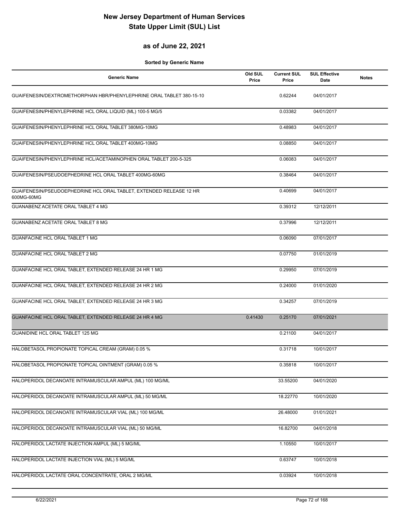#### **as of June 22, 2021**

| <b>Generic Name</b>                                                               | Old SUL<br>Price | <b>Current SUL</b><br>Price | <b>SUL Effective</b><br>Date | <b>Notes</b> |
|-----------------------------------------------------------------------------------|------------------|-----------------------------|------------------------------|--------------|
| GUAIFENESIN/DEXTROMETHORPHAN HBR/PHENYLEPHRINE ORAL TABLET 380-15-10              |                  | 0.62244                     | 04/01/2017                   |              |
| GUAIFENESIN/PHENYLEPHRINE HCL ORAL LIQUID (ML) 100-5 MG/5                         |                  | 0.03382                     | 04/01/2017                   |              |
| GUAIFENESIN/PHENYLEPHRINE HCL ORAL TABLET 380MG-10MG                              |                  | 0.48983                     | 04/01/2017                   |              |
| GUAIFENESIN/PHENYLEPHRINE HCL ORAL TABLET 400MG-10MG                              |                  | 0.08850                     | 04/01/2017                   |              |
| GUAIFENESIN/PHENYLEPHRINE HCL/ACETAMINOPHEN ORAL TABLET 200-5-325                 |                  | 0.06083                     | 04/01/2017                   |              |
| GUAIFENESIN/PSEUDOEPHEDRINE HCL ORAL TABLET 400MG-60MG                            |                  | 0.38464                     | 04/01/2017                   |              |
| GUAIFENESIN/PSEUDOEPHEDRINE HCL ORAL TABLET, EXTENDED RELEASE 12 HR<br>600MG-60MG |                  | 0.40699                     | 04/01/2017                   |              |
| GUANABENZ ACETATE ORAL TABLET 4 MG                                                |                  | 0.39312                     | 12/12/2011                   |              |
| GUANABENZ ACETATE ORAL TABLET 8 MG                                                |                  | 0.37996                     | 12/12/2011                   |              |
| <b>GUANFACINE HCL ORAL TABLET 1 MG</b>                                            |                  | 0.06090                     | 07/01/2017                   |              |
| <b>GUANFACINE HCL ORAL TABLET 2 MG</b>                                            |                  | 0.07750                     | 01/01/2019                   |              |
| GUANFACINE HCL ORAL TABLET, EXTENDED RELEASE 24 HR 1 MG                           |                  | 0.29950                     | 07/01/2019                   |              |
| GUANFACINE HCL ORAL TABLET, EXTENDED RELEASE 24 HR 2 MG                           |                  | 0.24000                     | 01/01/2020                   |              |
| GUANFACINE HCL ORAL TABLET, EXTENDED RELEASE 24 HR 3 MG                           |                  | 0.34257                     | 07/01/2019                   |              |
| GUANFACINE HCL ORAL TABLET, EXTENDED RELEASE 24 HR 4 MG                           | 0.41430          | 0.25170                     | 07/01/2021                   |              |
| GUANIDINE HCL ORAL TABLET 125 MG                                                  |                  | 0.21100                     | 04/01/2017                   |              |
| HALOBETASOL PROPIONATE TOPICAL CREAM (GRAM) 0.05 %                                |                  | 0.31718                     | 10/01/2017                   |              |
| HALOBETASOL PROPIONATE TOPICAL OINTMENT (GRAM) 0.05 %                             |                  | 0.35818                     | 10/01/2017                   |              |
| HALOPERIDOL DECANOATE INTRAMUSCULAR AMPUL (ML) 100 MG/ML                          |                  | 33.55200                    | 04/01/2020                   |              |
| HALOPERIDOL DECANOATE INTRAMUSCULAR AMPUL (ML) 50 MG/ML                           |                  | 18.22770                    | 10/01/2020                   |              |
| HALOPERIDOL DECANOATE INTRAMUSCULAR VIAL (ML) 100 MG/ML                           |                  | 26.48000                    | 01/01/2021                   |              |
| HALOPERIDOL DECANOATE INTRAMUSCULAR VIAL (ML) 50 MG/ML                            |                  | 16.82700                    | 04/01/2018                   |              |
| HALOPERIDOL LACTATE INJECTION AMPUL (ML) 5 MG/ML                                  |                  | 1.10550                     | 10/01/2017                   |              |
| HALOPERIDOL LACTATE INJECTION VIAL (ML) 5 MG/ML                                   |                  | 0.63747                     | 10/01/2018                   |              |
| HALOPERIDOL LACTATE ORAL CONCENTRATE, ORAL 2 MG/ML                                |                  | 0.03924                     | 10/01/2018                   |              |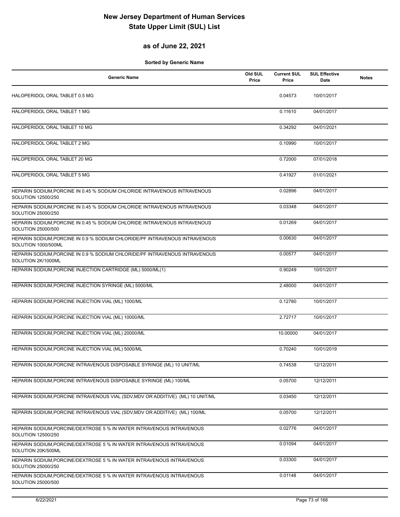#### **as of June 22, 2021**

| <b>Generic Name</b>                                                                                | Old SUL<br>Price | <b>Current SUL</b><br>Price | <b>SUL Effective</b><br>Date | <b>Notes</b> |
|----------------------------------------------------------------------------------------------------|------------------|-----------------------------|------------------------------|--------------|
| HALOPERIDOL ORAL TABLET 0.5 MG                                                                     |                  | 0.04573                     | 10/01/2017                   |              |
| HALOPERIDOL ORAL TABLET 1 MG                                                                       |                  | 0.11610                     | 04/01/2017                   |              |
| HALOPERIDOL ORAL TABLET 10 MG                                                                      |                  | 0.34292                     | 04/01/2021                   |              |
| HALOPERIDOL ORAL TABLET 2 MG                                                                       |                  | 0.10990                     | 10/01/2017                   |              |
| HALOPERIDOL ORAL TABLET 20 MG                                                                      |                  | 0.72000                     | 07/01/2018                   |              |
| HALOPERIDOL ORAL TABLET 5 MG                                                                       |                  | 0.41927                     | 01/01/2021                   |              |
| HEPARIN SODIUM, PORCINE IN 0.45 % SODIUM CHLORIDE INTRAVENOUS INTRAVENOUS<br>SOLUTION 12500/250    |                  | 0.02896                     | 04/01/2017                   |              |
| HEPARIN SODIUM, PORCINE IN 0.45 % SODIUM CHLORIDE INTRAVENOUS INTRAVENOUS<br>SOLUTION 25000/250    |                  | 0.03348                     | 04/01/2017                   |              |
| HEPARIN SODIUM, PORCINE IN 0.45 % SODIUM CHLORIDE INTRAVENOUS INTRAVENOUS<br>SOLUTION 25000/500    |                  | 0.01269                     | 04/01/2017                   |              |
| HEPARIN SODIUM, PORCINE IN 0.9 % SODIUM CHLORIDE/PF INTRAVENOUS INTRAVENOUS<br>SOLUTION 1000/500ML |                  | 0.00630                     | 04/01/2017                   |              |
| HEPARIN SODIUM, PORCINE IN 0.9 % SODIUM CHLORIDE/PF INTRAVENOUS INTRAVENOUS<br>SOLUTION 2K/1000ML  |                  | 0.00577                     | 04/01/2017                   |              |
| HEPARIN SODIUM, PORCINE INJECTION CARTRIDGE (ML) 5000/ML(1)                                        |                  | 0.90249                     | 10/01/2017                   |              |
| HEPARIN SODIUM, PORCINE INJECTION SYRINGE (ML) 5000/ML                                             |                  | 2.48000                     | 04/01/2017                   |              |
| HEPARIN SODIUM, PORCINE INJECTION VIAL (ML) 1000/ML                                                |                  | 0.12780                     | 10/01/2017                   |              |
| HEPARIN SODIUM, PORCINE INJECTION VIAL (ML) 10000/ML                                               |                  | 2.72717                     | 10/01/2017                   |              |
| HEPARIN SODIUM, PORCINE INJECTION VIAL (ML) 20000/ML                                               |                  | 10.00000                    | 04/01/2017                   |              |
| HEPARIN SODIUM, PORCINE INJECTION VIAL (ML) 5000/ML                                                |                  | 0.70240                     | 10/01/2019                   |              |
| HEPARIN SODIUM, PORCINE INTRAVENOUS DISPOSABLE SYRINGE (ML) 10 UNIT/ML                             |                  | 0.74538                     | 12/12/2011                   |              |
| HEPARIN SODIUM, PORCINE INTRAVENOUS DISPOSABLE SYRINGE (ML) 100/ML                                 |                  | 0.05700                     | 12/12/2011                   |              |
| HEPARIN SODIUM, PORCINE INTRAVENOUS VIAL (SDV, MDV OR ADDITIVE) (ML) 10 UNIT/ML                    |                  | 0.03450                     | 12/12/2011                   |              |
| HEPARIN SODIUM, PORCINE INTRAVENOUS VIAL (SDV, MDV OR ADDITIVE) (ML) 100/ML                        |                  | 0.05700                     | 12/12/2011                   |              |
| HEPARIN SODIUM, PORCINE/DEXTROSE 5 % IN WATER INTRAVENOUS INTRAVENOUS<br>SOLUTION 12500/250        |                  | 0.02776                     | 04/01/2017                   |              |
| HEPARIN SODIUM, PORCINE/DEXTROSE 5 % IN WATER INTRAVENOUS INTRAVENOUS<br>SOLUTION 20K/500ML        |                  | 0.01094                     | 04/01/2017                   |              |
| HEPARIN SODIUM, PORCINE/DEXTROSE 5 % IN WATER INTRAVENOUS INTRAVENOUS<br>SOLUTION 25000/250        |                  | 0.03300                     | 04/01/2017                   |              |
| HEPARIN SODIUM, PORCINE/DEXTROSE 5 % IN WATER INTRAVENOUS INTRAVENOUS<br>SOLUTION 25000/500        |                  | 0.01148                     | 04/01/2017                   |              |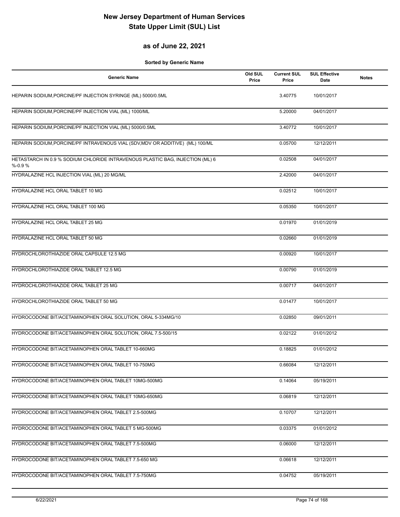#### **as of June 22, 2021**

| <b>Generic Name</b>                                                                        | Old SUL<br>Price | <b>Current SUL</b><br>Price | <b>SUL Effective</b><br>Date | <b>Notes</b> |
|--------------------------------------------------------------------------------------------|------------------|-----------------------------|------------------------------|--------------|
| HEPARIN SODIUM, PORCINE/PF INJECTION SYRINGE (ML) 5000/0.5ML                               |                  | 3.40775                     | 10/01/2017                   |              |
| HEPARIN SODIUM, PORCINE/PF INJECTION VIAL (ML) 1000/ML                                     |                  | 5.20000                     | 04/01/2017                   |              |
| HEPARIN SODIUM, PORCINE/PF INJECTION VIAL (ML) 5000/0.5ML                                  |                  | 3.40772                     | 10/01/2017                   |              |
| HEPARIN SODIUM, PORCINE/PF INTRAVENOUS VIAL (SDV, MDV OR ADDITIVE) (ML) 100/ML             |                  | 0.05700                     | 12/12/2011                   |              |
| HETASTARCH IN 0.9 % SODIUM CHLORIDE INTRAVENOUS PLASTIC BAG, INJECTION (ML) 6<br>$% -0.9%$ |                  | 0.02508                     | 04/01/2017                   |              |
| HYDRALAZINE HCL INJECTION VIAL (ML) 20 MG/ML                                               |                  | 2.42000                     | 04/01/2017                   |              |
| HYDRALAZINE HCL ORAL TABLET 10 MG                                                          |                  | 0.02512                     | 10/01/2017                   |              |
| HYDRALAZINE HCL ORAL TABLET 100 MG                                                         |                  | 0.05350                     | 10/01/2017                   |              |
| HYDRALAZINE HCL ORAL TABLET 25 MG                                                          |                  | 0.01970                     | 01/01/2019                   |              |
| HYDRALAZINE HCL ORAL TABLET 50 MG                                                          |                  | 0.02660                     | 01/01/2019                   |              |
| HYDROCHLOROTHIAZIDE ORAL CAPSULE 12.5 MG                                                   |                  | 0.00920                     | 10/01/2017                   |              |
| HYDROCHLOROTHIAZIDE ORAL TABLET 12.5 MG                                                    |                  | 0.00790                     | 01/01/2019                   |              |
| HYDROCHLOROTHIAZIDE ORAL TABLET 25 MG                                                      |                  | 0.00717                     | 04/01/2017                   |              |
| HYDROCHLOROTHIAZIDE ORAL TABLET 50 MG                                                      |                  | 0.01477                     | 10/01/2017                   |              |
| HYDROCODONE BIT/ACETAMINOPHEN ORAL SOLUTION, ORAL 5-334MG/10                               |                  | 0.02850                     | 09/01/2011                   |              |
| HYDROCODONE BIT/ACETAMINOPHEN ORAL SOLUTION, ORAL 7.5-500/15                               |                  | 0.02122                     | 01/01/2012                   |              |
| HYDROCODONE BIT/ACETAMINOPHEN ORAL TABLET 10-660MG                                         |                  | 0.18825                     | 01/01/2012                   |              |
| HYDROCODONE BIT/ACETAMINOPHEN ORAL TABLET 10-750MG                                         |                  | 0.66084                     | 12/12/2011                   |              |
| HYDROCODONE BIT/ACETAMINOPHEN ORAL TABLET 10MG-500MG                                       |                  | 0.14064                     | 05/19/2011                   |              |
| HYDROCODONE BIT/ACETAMINOPHEN ORAL TABLET 10MG-650MG                                       |                  | 0.06819                     | 12/12/2011                   |              |
| HYDROCODONE BIT/ACETAMINOPHEN ORAL TABLET 2.5-500MG                                        |                  | 0.10707                     | 12/12/2011                   |              |
| HYDROCODONE BIT/ACETAMINOPHEN ORAL TABLET 5 MG-500MG                                       |                  | 0.03375                     | 01/01/2012                   |              |
| HYDROCODONE BIT/ACETAMINOPHEN ORAL TABLET 7.5-500MG                                        |                  | 0.06000                     | 12/12/2011                   |              |
| HYDROCODONE BIT/ACETAMINOPHEN ORAL TABLET 7.5-650 MG                                       |                  | 0.06618                     | 12/12/2011                   |              |
| HYDROCODONE BIT/ACETAMINOPHEN ORAL TABLET 7.5-750MG                                        |                  | 0.04752                     | 05/19/2011                   |              |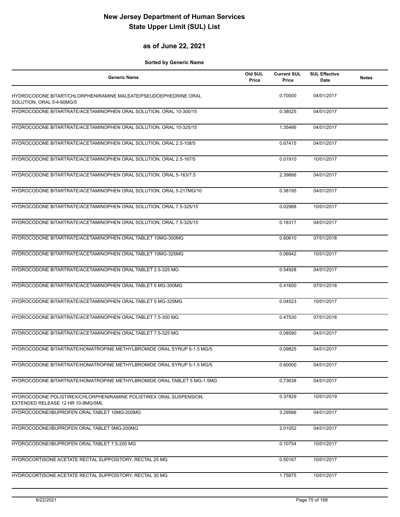#### **as of June 22, 2021**

| <b>Generic Name</b>                                                                                      | Old SUL<br>Price | <b>Current SUL</b><br>Price | <b>SUL Effective</b><br>Date | <b>Notes</b> |
|----------------------------------------------------------------------------------------------------------|------------------|-----------------------------|------------------------------|--------------|
| HYDROCODONE BITART/CHLORPHENIRAMINE MALEATE/PSEUDOEPHEDRINE ORAL<br>SOLUTION, ORAL 5-4-60MG/5            |                  | 0.70000                     | 04/01/2017                   |              |
| HYDROCODONE BITARTRATE/ACETAMINOPHEN ORAL SOLUTION, ORAL 10-300/15                                       |                  | 0.38025                     | 04/01/2017                   |              |
| HYDROCODONE BITARTRATE/ACETAMINOPHEN ORAL SOLUTION, ORAL 10-325/15                                       |                  | 1.35466                     | 04/01/2017                   |              |
| HYDROCODONE BITARTRATE/ACETAMINOPHEN ORAL SOLUTION, ORAL 2.5-108/5                                       |                  | 0.67415                     | 04/01/2017                   |              |
| HYDROCODONE BITARTRATE/ACETAMINOPHEN ORAL SOLUTION, ORAL 2.5-167/5                                       |                  | 0.01910                     | 10/01/2017                   |              |
| HYDROCODONE BITARTRATE/ACETAMINOPHEN ORAL SOLUTION, ORAL 5-163/7.5                                       |                  | 2.39666                     | 04/01/2017                   |              |
| HYDROCODONE BITARTRATE/ACETAMINOPHEN ORAL SOLUTION, ORAL 5-217MG/10                                      |                  | 0.38195                     | 04/01/2017                   |              |
| HYDROCODONE BITARTRATE/ACETAMINOPHEN ORAL SOLUTION, ORAL 7.5-325/15                                      |                  | 0.02988                     | 10/01/2017                   |              |
| HYDROCODONE BITARTRATE/ACETAMINOPHEN ORAL SOLUTION, ORAL 7.5-325/15                                      |                  | 0.18317                     | 04/01/2017                   |              |
| HYDROCODONE BITARTRATE/ACETAMINOPHEN ORAL TABLET 10MG-300MG                                              |                  | 0.60610                     | 07/01/2018                   |              |
| HYDROCODONE BITARTRATE/ACETAMINOPHEN ORAL TABLET 10MG-325MG                                              |                  | 0.06942                     | 10/01/2017                   |              |
| HYDROCODONE BITARTRATE/ACETAMINOPHEN ORAL TABLET 2.5-325 MG                                              |                  | 0.54928                     | 04/01/2017                   |              |
| HYDROCODONE BITARTRATE/ACETAMINOPHEN ORAL TABLET 5 MG-300MG                                              |                  | 0.41600                     | 07/01/2018                   |              |
| HYDROCODONE BITARTRATE/ACETAMINOPHEN ORAL TABLET 5 MG-325MG                                              |                  | 0.04523                     | 10/01/2017                   |              |
| HYDROCODONE BITARTRATE/ACETAMINOPHEN ORAL TABLET 7.5-300 MG                                              |                  | 0.47530                     | 07/01/2018                   |              |
| HYDROCODONE BITARTRATE/ACETAMINOPHEN ORAL TABLET 7.5-325 MG                                              |                  | 0.08590                     | 04/01/2017                   |              |
| HYDROCODONE BITARTRATE/HOMATROPINE METHYLBROMIDE ORAL SYRUP 5-1.5 MG/5                                   |                  | 0.09825                     | 04/01/2017                   |              |
| HYDROCODONE BITARTRATE/HOMATROPINE METHYLBROMIDE ORAL SYRUP 5-1.5 MG/5                                   |                  | 0.60000                     | 04/01/2017                   |              |
| HYDROCODONE BITARTRATE/HOMATROPINE METHYLBROMIDE ORAL TABLET 5 MG-1.5MG                                  |                  | 0.73638                     | 04/01/2017                   |              |
| HYDROCODONE POLISTIREX/CHLORPHENIRAMINE POLISTIREX ORAL SUSPENSION,<br>EXTENDED RELEASE 12 HR 10-8MG/5ML |                  | 0.37829                     | 10/01/2019                   |              |
| HYDROCODONE/IBUPROFEN ORAL TABLET 10MG-200MG                                                             |                  | 3.29566                     | 04/01/2017                   |              |
| HYDROCODONE/IBUPROFEN ORAL TABLET 5MG-200MG                                                              |                  | 2.01052                     | 04/01/2017                   |              |
| HYDROCODONE/IBUPROFEN ORAL TABLET 7.5-200 MG                                                             |                  | 0.10754                     | 10/01/2017                   |              |
| HYDROCORTISONE ACETATE RECTAL SUPPOSITORY, RECTAL 25 MG                                                  |                  | 0.50167                     | 10/01/2017                   |              |
| HYDROCORTISONE ACETATE RECTAL SUPPOSITORY, RECTAL 30 MG                                                  |                  | 1.75875                     | 10/01/2017                   |              |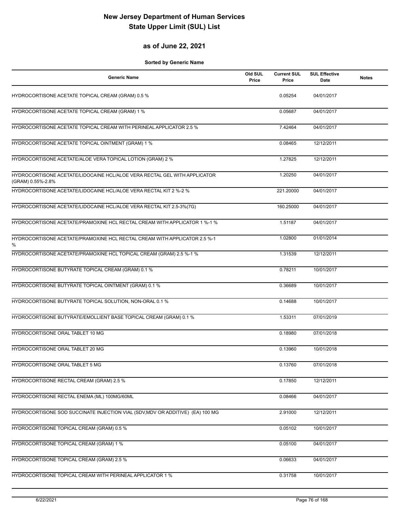#### **as of June 22, 2021**

| <b>Generic Name</b>                                                                            | Old SUL<br>Price | <b>Current SUL</b><br>Price | <b>SUL Effective</b><br>Date | <b>Notes</b> |
|------------------------------------------------------------------------------------------------|------------------|-----------------------------|------------------------------|--------------|
| HYDROCORTISONE ACETATE TOPICAL CREAM (GRAM) 0.5 %                                              |                  | 0.05254                     | 04/01/2017                   |              |
| HYDROCORTISONE ACETATE TOPICAL CREAM (GRAM) 1 %                                                |                  | 0.05687                     | 04/01/2017                   |              |
| HYDROCORTISONE ACETATE TOPICAL CREAM WITH PERINEAL APPLICATOR 2.5 %                            |                  | 7.42464                     | 04/01/2017                   |              |
| HYDROCORTISONE ACETATE TOPICAL OINTMENT (GRAM) 1 %                                             |                  | 0.08465                     | 12/12/2011                   |              |
| HYDROCORTISONE ACETATE/ALOE VERA TOPICAL LOTION (GRAM) 2 %                                     |                  | 1.27825                     | 12/12/2011                   |              |
| HYDROCORTISONE ACETATE/LIDOCAINE HCL/ALOE VERA RECTAL GEL WITH APPLICATOR<br>(GRAM) 0.55%-2.8% |                  | 1.20250                     | 04/01/2017                   |              |
| HYDROCORTISONE ACETATE/LIDOCAINE HCL/ALOE VERA RECTAL KIT 2 %-2 %                              |                  | 221.20000                   | 04/01/2017                   |              |
| HYDROCORTISONE ACETATE/LIDOCAINE HCL/ALOE VERA RECTAL KIT 2.5-3%(7G)                           |                  | 160.25000                   | 04/01/2017                   |              |
| HYDROCORTISONE ACETATE/PRAMOXINE HCL RECTAL CREAM WITH APPLICATOR 1 %-1 %                      |                  | 1.51187                     | 04/01/2017                   |              |
| HYDROCORTISONE ACETATE/PRAMOXINE HCL RECTAL CREAM WITH APPLICATOR 2.5 %-1<br>%                 |                  | 1.02800                     | 01/01/2014                   |              |
| HYDROCORTISONE ACETATE/PRAMOXINE HCL TOPICAL CREAM (GRAM) 2.5 %-1 %                            |                  | 1.31539                     | 12/12/2011                   |              |
| HYDROCORTISONE BUTYRATE TOPICAL CREAM (GRAM) 0.1 %                                             |                  | 0.78211                     | 10/01/2017                   |              |
| HYDROCORTISONE BUTYRATE TOPICAL OINTMENT (GRAM) 0.1 %                                          |                  | 0.36689                     | 10/01/2017                   |              |
| HYDROCORTISONE BUTYRATE TOPICAL SOLUTION, NON-ORAL 0.1 %                                       |                  | 0.14688                     | 10/01/2017                   |              |
| HYDROCORTISONE BUTYRATE/EMOLLIENT BASE TOPICAL CREAM (GRAM) 0.1 %                              |                  | 1.53311                     | 07/01/2019                   |              |
| HYDROCORTISONE ORAL TABLET 10 MG                                                               |                  | 0.18980                     | 07/01/2018                   |              |
| HYDROCORTISONE ORAL TABLET 20 MG                                                               |                  | 0.13960                     | 10/01/2018                   |              |
| HYDROCORTISONE ORAL TABLET 5 MG                                                                |                  | 0.13760                     | 07/01/2018                   |              |
| HYDROCORTISONE RECTAL CREAM (GRAM) 2.5 %                                                       |                  | 0.17850                     | 12/12/2011                   |              |
| HYDROCORTISONE RECTAL ENEMA (ML) 100MG/60ML                                                    |                  | 0.08466                     | 04/01/2017                   |              |
| HYDROCORTISONE SOD SUCCINATE INJECTION VIAL (SDV, MDV OR ADDITIVE) (EA) 100 MG                 |                  | 2.91000                     | 12/12/2011                   |              |
| HYDROCORTISONE TOPICAL CREAM (GRAM) 0.5 %                                                      |                  | 0.05102                     | 10/01/2017                   |              |
| HYDROCORTISONE TOPICAL CREAM (GRAM) 1 %                                                        |                  | 0.05100                     | 04/01/2017                   |              |
| HYDROCORTISONE TOPICAL CREAM (GRAM) 2.5 %                                                      |                  | 0.06633                     | 04/01/2017                   |              |
| HYDROCORTISONE TOPICAL CREAM WITH PERINEAL APPLICATOR 1 %                                      |                  | 0.31758                     | 10/01/2017                   |              |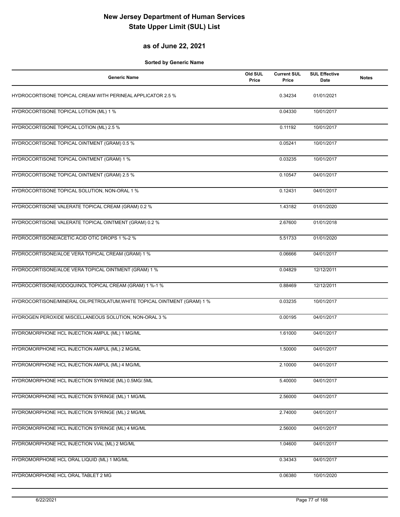### **as of June 22, 2021**

| <b>Generic Name</b>                                                      | Old SUL<br>Price | <b>Current SUL</b><br>Price | <b>SUL Effective</b><br>Date | <b>Notes</b> |
|--------------------------------------------------------------------------|------------------|-----------------------------|------------------------------|--------------|
| HYDROCORTISONE TOPICAL CREAM WITH PERINEAL APPLICATOR 2.5 %              |                  | 0.34234                     | 01/01/2021                   |              |
| HYDROCORTISONE TOPICAL LOTION (ML) 1 %                                   |                  | 0.04330                     | 10/01/2017                   |              |
| HYDROCORTISONE TOPICAL LOTION (ML) 2.5 %                                 |                  | 0.11192                     | 10/01/2017                   |              |
| HYDROCORTISONE TOPICAL OINTMENT (GRAM) 0.5 %                             |                  | 0.05241                     | 10/01/2017                   |              |
| HYDROCORTISONE TOPICAL OINTMENT (GRAM) 1 %                               |                  | 0.03235                     | 10/01/2017                   |              |
| HYDROCORTISONE TOPICAL OINTMENT (GRAM) 2.5 %                             |                  | 0.10547                     | 04/01/2017                   |              |
| HYDROCORTISONE TOPICAL SOLUTION, NON-ORAL 1 %                            |                  | 0.12431                     | 04/01/2017                   |              |
| HYDROCORTISONE VALERATE TOPICAL CREAM (GRAM) 0.2 %                       |                  | 1.43182                     | 01/01/2020                   |              |
| HYDROCORTISONE VALERATE TOPICAL OINTMENT (GRAM) 0.2 %                    |                  | 2.67600                     | 01/01/2018                   |              |
| HYDROCORTISONE/ACETIC ACID OTIC DROPS 1 %-2 %                            |                  | 5.51733                     | 01/01/2020                   |              |
| HYDROCORTISONE/ALOE VERA TOPICAL CREAM (GRAM) 1 %                        |                  | 0.06666                     | 04/01/2017                   |              |
| HYDROCORTISONE/ALOE VERA TOPICAL OINTMENT (GRAM) 1 %                     |                  | 0.04829                     | 12/12/2011                   |              |
| HYDROCORTISONE/IODOQUINOL TOPICAL CREAM (GRAM) 1 %-1 %                   |                  | 0.88469                     | 12/12/2011                   |              |
| HYDROCORTISONE/MINERAL OIL/PETROLATUM, WHITE TOPICAL OINTMENT (GRAM) 1 % |                  | 0.03235                     | 10/01/2017                   |              |
| HYDROGEN PEROXIDE MISCELLANEOUS SOLUTION, NON-ORAL 3 %                   |                  | 0.00195                     | 04/01/2017                   |              |
| HYDROMORPHONE HCL INJECTION AMPUL (ML) 1 MG/ML                           |                  | 1.61000                     | 04/01/2017                   |              |
| HYDROMORPHONE HCL INJECTION AMPUL (ML) 2 MG/ML                           |                  | 1.50000                     | 04/01/2017                   |              |
| HYDROMORPHONE HCL INJECTION AMPUL (ML) 4 MG/ML                           |                  | 2.10000                     | 04/01/2017                   |              |
| HYDROMORPHONE HCL INJECTION SYRINGE (ML) 0.5MG/.5ML                      |                  | 5.40000                     | 04/01/2017                   |              |
| HYDROMORPHONE HCL INJECTION SYRINGE (ML) 1 MG/ML                         |                  | 2.56000                     | 04/01/2017                   |              |
| HYDROMORPHONE HCL INJECTION SYRINGE (ML) 2 MG/ML                         |                  | 2.74000                     | 04/01/2017                   |              |
| HYDROMORPHONE HCL INJECTION SYRINGE (ML) 4 MG/ML                         |                  | 2.56000                     | 04/01/2017                   |              |
| HYDROMORPHONE HCL INJECTION VIAL (ML) 2 MG/ML                            |                  | 1.04600                     | 04/01/2017                   |              |
| HYDROMORPHONE HCL ORAL LIQUID (ML) 1 MG/ML                               |                  | 0.34343                     | 04/01/2017                   |              |
| HYDROMORPHONE HCL ORAL TABLET 2 MG                                       |                  | 0.06380                     | 10/01/2020                   |              |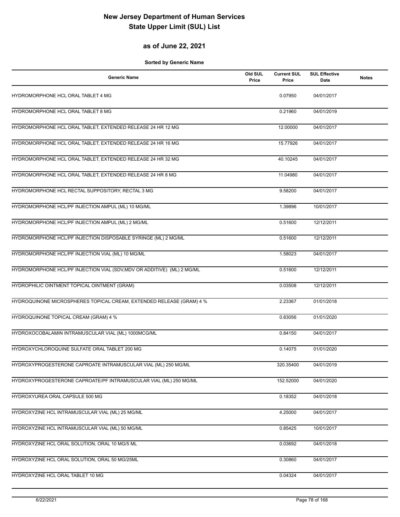### **as of June 22, 2021**

| <b>Generic Name</b>                                                     | Old SUL<br>Price | <b>Current SUL</b><br>Price | <b>SUL Effective</b><br>Date | <b>Notes</b> |
|-------------------------------------------------------------------------|------------------|-----------------------------|------------------------------|--------------|
| HYDROMORPHONE HCL ORAL TABLET 4 MG                                      |                  | 0.07950                     | 04/01/2017                   |              |
| HYDROMORPHONE HCL ORAL TABLET 8 MG                                      |                  | 0.21960                     | 04/01/2019                   |              |
| HYDROMORPHONE HCL ORAL TABLET, EXTENDED RELEASE 24 HR 12 MG             |                  | 12.00000                    | 04/01/2017                   |              |
| HYDROMORPHONE HCL ORAL TABLET, EXTENDED RELEASE 24 HR 16 MG             |                  | 15.77926                    | 04/01/2017                   |              |
| HYDROMORPHONE HCL ORAL TABLET, EXTENDED RELEASE 24 HR 32 MG             |                  | 40.10245                    | 04/01/2017                   |              |
| HYDROMORPHONE HCL ORAL TABLET, EXTENDED RELEASE 24 HR 8 MG              |                  | 11.04980                    | 04/01/2017                   |              |
| HYDROMORPHONE HCL RECTAL SUPPOSITORY, RECTAL 3 MG                       |                  | 9.58200                     | 04/01/2017                   |              |
| HYDROMORPHONE HCL/PF INJECTION AMPUL (ML) 10 MG/ML                      |                  | 1.39896                     | 10/01/2017                   |              |
| HYDROMORPHONE HCL/PF INJECTION AMPUL (ML) 2 MG/ML                       |                  | 0.51600                     | 12/12/2011                   |              |
| HYDROMORPHONE HCL/PF INJECTION DISPOSABLE SYRINGE (ML) 2 MG/ML          |                  | 0.51600                     | 12/12/2011                   |              |
| HYDROMORPHONE HCL/PF INJECTION VIAL (ML) 10 MG/ML                       |                  | 1.58023                     | 04/01/2017                   |              |
| HYDROMORPHONE HCL/PF INJECTION VIAL (SDV, MDV OR ADDITIVE) (ML) 2 MG/ML |                  | 0.51600                     | 12/12/2011                   |              |
| HYDROPHILIC OINTMENT TOPICAL OINTMENT (GRAM)                            |                  | 0.03508                     | 12/12/2011                   |              |
| HYDROQUINONE MICROSPHERES TOPICAL CREAM, EXTENDED RELEASE (GRAM) 4 %    |                  | 2.23367                     | 01/01/2018                   |              |
| HYDROQUINONE TOPICAL CREAM (GRAM) 4 %                                   |                  | 0.83056                     | 01/01/2020                   |              |
| HYDROXOCOBALAMIN INTRAMUSCULAR VIAL (ML) 1000MCG/ML                     |                  | 0.84150                     | 04/01/2017                   |              |
| HYDROXYCHLOROQUINE SULFATE ORAL TABLET 200 MG                           |                  | 0.14075                     | 01/01/2020                   |              |
| HYDROXYPROGESTERONE CAPROATE INTRAMUSCULAR VIAL (ML) 250 MG/ML          |                  | 320.35400                   | 04/01/2019                   |              |
| HYDROXYPROGESTERONE CAPROATE/PF INTRAMUSCULAR VIAL (ML) 250 MG/ML       |                  | 152.52000                   | 04/01/2020                   |              |
| HYDROXYUREA ORAL CAPSULE 500 MG                                         |                  | 0.18352                     | 04/01/2018                   |              |
| HYDROXYZINE HCL INTRAMUSCULAR VIAL (ML) 25 MG/ML                        |                  | 4.25000                     | 04/01/2017                   |              |
| HYDROXYZINE HCL INTRAMUSCULAR VIAL (ML) 50 MG/ML                        |                  | 0.85425                     | 10/01/2017                   |              |
| HYDROXYZINE HCL ORAL SOLUTION, ORAL 10 MG/5 ML                          |                  | 0.03692                     | 04/01/2018                   |              |
| HYDROXYZINE HCL ORAL SOLUTION, ORAL 50 MG/25ML                          |                  | 0.30860                     | 04/01/2017                   |              |
| HYDROXYZINE HCL ORAL TABLET 10 MG                                       |                  | 0.04324                     | 04/01/2017                   |              |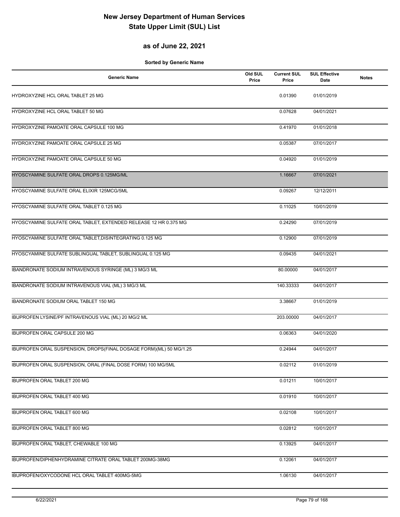### **as of June 22, 2021**

| <b>Generic Name</b>                                                | Old SUL<br>Price | <b>Current SUL</b><br>Price | <b>SUL Effective</b><br>Date | <b>Notes</b> |
|--------------------------------------------------------------------|------------------|-----------------------------|------------------------------|--------------|
| HYDROXYZINE HCL ORAL TABLET 25 MG                                  |                  | 0.01390                     | 01/01/2019                   |              |
| HYDROXYZINE HCL ORAL TABLET 50 MG                                  |                  | 0.07628                     | 04/01/2021                   |              |
| HYDROXYZINE PAMOATE ORAL CAPSULE 100 MG                            |                  | 0.41970                     | 01/01/2018                   |              |
| HYDROXYZINE PAMOATE ORAL CAPSULE 25 MG                             |                  | 0.05387                     | 07/01/2017                   |              |
| HYDROXYZINE PAMOATE ORAL CAPSULE 50 MG                             |                  | 0.04920                     | 01/01/2019                   |              |
| HYOSCYAMINE SULFATE ORAL DROPS 0.125MG/ML                          |                  | 1.16667                     | 07/01/2021                   |              |
| HYOSCYAMINE SULFATE ORAL ELIXIR 125MCG/5ML                         |                  | 0.09267                     | 12/12/2011                   |              |
| HYOSCYAMINE SULFATE ORAL TABLET 0.125 MG                           |                  | 0.11025                     | 10/01/2019                   |              |
| HYOSCYAMINE SULFATE ORAL TABLET, EXTENDED RELEASE 12 HR 0.375 MG   |                  | 0.24290                     | 07/01/2019                   |              |
| HYOSCYAMINE SULFATE ORAL TABLET, DISINTEGRATING 0.125 MG           |                  | 0.12900                     | 07/01/2019                   |              |
| HYOSCYAMINE SULFATE SUBLINGUAL TABLET, SUBLINGUAL 0.125 MG         |                  | 0.09435                     | 04/01/2021                   |              |
| IBANDRONATE SODIUM INTRAVENOUS SYRINGE (ML) 3 MG/3 ML              |                  | 80.00000                    | 04/01/2017                   |              |
| IBANDRONATE SODIUM INTRAVENOUS VIAL (ML) 3 MG/3 ML                 |                  | 140.33333                   | 04/01/2017                   |              |
| IBANDRONATE SODIUM ORAL TABLET 150 MG                              |                  | 3.38667                     | 01/01/2019                   |              |
| IBUPROFEN LYSINE/PF INTRAVENOUS VIAL (ML) 20 MG/2 ML               |                  | 203.00000                   | 04/01/2017                   |              |
| IBUPROFEN ORAL CAPSULE 200 MG                                      |                  | 0.06363                     | 04/01/2020                   |              |
| IBUPROFEN ORAL SUSPENSION, DROPS(FINAL DOSAGE FORM)(ML) 50 MG/1.25 |                  | 0.24944                     | 04/01/2017                   |              |
| IBUPROFEN ORAL SUSPENSION, ORAL (FINAL DOSE FORM) 100 MG/5ML       |                  | 0.02112                     | 01/01/2019                   |              |
| IBUPROFEN ORAL TABLET 200 MG                                       |                  | 0.01211                     | 10/01/2017                   |              |
| IBUPROFEN ORAL TABLET 400 MG                                       |                  | 0.01910                     | 10/01/2017                   |              |
| <b>IBUPROFEN ORAL TABLET 600 MG</b>                                |                  | 0.02108                     | 10/01/2017                   |              |
| IBUPROFEN ORAL TABLET 800 MG                                       |                  | 0.02812                     | 10/01/2017                   |              |
| IBUPROFEN ORAL TABLET, CHEWABLE 100 MG                             |                  | 0.13925                     | 04/01/2017                   |              |
| IBUPROFEN/DIPHENHYDRAMINE CITRATE ORAL TABLET 200MG-38MG           |                  | 0.12061                     | 04/01/2017                   |              |
| IBUPROFEN/OXYCODONE HCL ORAL TABLET 400MG-5MG                      |                  | 1.06130                     | 04/01/2017                   |              |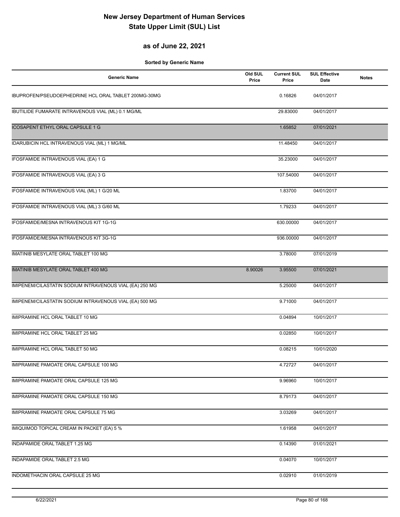### **as of June 22, 2021**

| <b>Generic Name</b>                                       | Old SUL<br>Price | <b>Current SUL</b><br>Price | <b>SUL Effective</b><br>Date | <b>Notes</b> |
|-----------------------------------------------------------|------------------|-----------------------------|------------------------------|--------------|
| IBUPROFEN/PSEUDOEPHEDRINE HCL ORAL TABLET 200MG-30MG      |                  | 0.16826                     | 04/01/2017                   |              |
| <b>IBUTILIDE FUMARATE INTRAVENOUS VIAL (ML) 0.1 MG/ML</b> |                  | 29.83000                    | 04/01/2017                   |              |
| <b>ICOSAPENT ETHYL ORAL CAPSULE 1 G</b>                   |                  | 1.65852                     | 07/01/2021                   |              |
| IDARUBICIN HCL INTRAVENOUS VIAL (ML) 1 MG/ML              |                  | 11.48450                    | 04/01/2017                   |              |
| IFOSFAMIDE INTRAVENOUS VIAL (EA) 1 G                      |                  | 35.23000                    | 04/01/2017                   |              |
| IFOSFAMIDE INTRAVENOUS VIAL (EA) 3 G                      |                  | 107.54000                   | 04/01/2017                   |              |
| IFOSFAMIDE INTRAVENOUS VIAL (ML) 1 G/20 ML                |                  | 1.83700                     | 04/01/2017                   |              |
| IFOSFAMIDE INTRAVENOUS VIAL (ML) 3 G/60 ML                |                  | 1.79233                     | 04/01/2017                   |              |
| IFOSFAMIDE/MESNA INTRAVENOUS KIT 1G-1G                    |                  | 630.00000                   | 04/01/2017                   |              |
| IFOSFAMIDE/MESNA INTRAVENOUS KIT 3G-1G                    |                  | 936.00000                   | 04/01/2017                   |              |
| IMATINIB MESYLATE ORAL TABLET 100 MG                      |                  | 3.78000                     | 07/01/2019                   |              |
| IMATINIB MESYLATE ORAL TABLET 400 MG                      | 8.90026          | 3.95500                     | 07/01/2021                   |              |
| IMIPENEM/CILASTATIN SODIUM INTRAVENOUS VIAL (EA) 250 MG   |                  | 5.25000                     | 04/01/2017                   |              |
| IMIPENEM/CILASTATIN SODIUM INTRAVENOUS VIAL (EA) 500 MG   |                  | 9.71000                     | 04/01/2017                   |              |
| IMIPRAMINE HCL ORAL TABLET 10 MG                          |                  | 0.04894                     | 10/01/2017                   |              |
| IMIPRAMINE HCL ORAL TABLET 25 MG                          |                  | 0.02850                     | 10/01/2017                   |              |
| IMIPRAMINE HCL ORAL TABLET 50 MG                          |                  | 0.08215                     | 10/01/2020                   |              |
| IMIPRAMINE PAMOATE ORAL CAPSULE 100 MG                    |                  | 4.72727                     | 04/01/2017                   |              |
| IMIPRAMINE PAMOATE ORAL CAPSULE 125 MG                    |                  | 9.96960                     | 10/01/2017                   |              |
| IMIPRAMINE PAMOATE ORAL CAPSULE 150 MG                    |                  | 8.79173                     | 04/01/2017                   |              |
| IMIPRAMINE PAMOATE ORAL CAPSULE 75 MG                     |                  | 3.03269                     | 04/01/2017                   |              |
| IMIQUIMOD TOPICAL CREAM IN PACKET (EA) 5 %                |                  | 1.61958                     | 04/01/2017                   |              |
| INDAPAMIDE ORAL TABLET 1.25 MG                            |                  | 0.14390                     | 01/01/2021                   |              |
| INDAPAMIDE ORAL TABLET 2.5 MG                             |                  | 0.04070                     | 10/01/2017                   |              |
| INDOMETHACIN ORAL CAPSULE 25 MG                           |                  | 0.02910                     | 01/01/2019                   |              |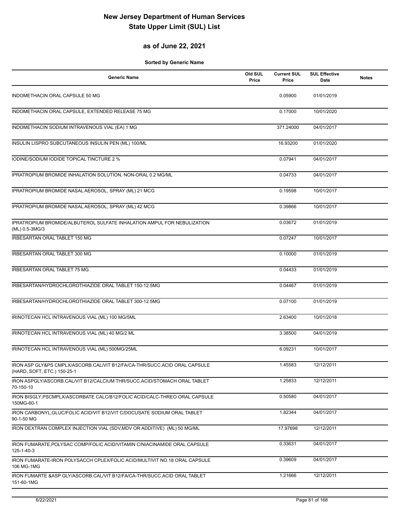### **as of June 22, 2021**

| <b>Generic Name</b>                                                                                      | Old SUL<br>Price | <b>Current SUL</b><br>Price | <b>SUL Effective</b><br>Date | <b>Notes</b> |
|----------------------------------------------------------------------------------------------------------|------------------|-----------------------------|------------------------------|--------------|
| INDOMETHACIN ORAL CAPSULE 50 MG                                                                          |                  | 0.05900                     | 01/01/2019                   |              |
| INDOMETHACIN ORAL CAPSULE, EXTENDED RELEASE 75 MG                                                        |                  | 0.17000                     | 10/01/2020                   |              |
| INDOMETHACIN SODIUM INTRAVENOUS VIAL (EA) 1 MG                                                           |                  | 371.24000                   | 04/01/2017                   |              |
| INSULIN LISPRO SUBCUTANEOUS INSULIN PEN (ML) 100/ML                                                      |                  | 16.93200                    | 01/01/2020                   |              |
| IODINE/SODIUM IODIDE TOPICAL TINCTURE 2 %                                                                |                  | 0.07941                     | 04/01/2017                   |              |
| IPRATROPIUM BROMIDE INHALATION SOLUTION, NON-ORAL 0.2 MG/ML                                              |                  | 0.04733                     | 04/01/2017                   |              |
| IPRATROPIUM BROMIDE NASAL AEROSOL, SPRAY (ML) 21 MCG                                                     |                  | 0.19598                     | 10/01/2017                   |              |
| IPRATROPIUM BROMIDE NASAL AEROSOL, SPRAY (ML) 42 MCG                                                     |                  | 0.39866                     | 10/01/2017                   |              |
| IPRATROPIUM BROMIDE/ALBUTEROL SULFATE INHALATION AMPUL FOR NEBULIZATION<br>(ML) 0.5-3MG/3                |                  | 0.03672                     | 01/01/2019                   |              |
| IRBESARTAN ORAL TABLET 150 MG                                                                            |                  | 0.07247                     | 10/01/2017                   |              |
| IRBESARTAN ORAL TABLET 300 MG                                                                            |                  | 0.10000                     | 01/01/2019                   |              |
| <b>IRBESARTAN ORAL TABLET 75 MG</b>                                                                      |                  | 0.04433                     | 01/01/2019                   |              |
| IRBESARTAN/HYDROCHLOROTHIAZIDE ORAL TABLET 150-12.5MG                                                    |                  | 0.04467                     | 01/01/2019                   |              |
| IRBESARTAN/HYDROCHLOROTHIAZIDE ORAL TABLET 300-12.5MG                                                    |                  | 0.07100                     | 01/01/2019                   |              |
| IRINOTECAN HCL INTRAVENOUS VIAL (ML) 100 MG/5ML                                                          |                  | 2.63400                     | 10/01/2018                   |              |
| IRINOTECAN HCL INTRAVENOUS VIAL (ML) 40 MG/2 ML                                                          |                  | 3.38500                     | 04/01/2019                   |              |
| IRINOTECAN HCL INTRAVENOUS VIAL (ML) 500MG/25ML                                                          |                  | 6.09231                     | 10/01/2017                   |              |
| IRON ASP GLY&PS CMPLX/ASCORB.CAL/VIT B12/FA/CA-THR/SUCC.ACID ORAL CAPSULE<br>(HARD, SOFT, ETC.) 150-25-1 |                  | 1.45583                     | 12/12/2011                   |              |
| IRON ASPGLY/ASCORB.CAL/VIT B12/CALCIUM THR/SUCC.ACID/STOMACH ORAL TABLET<br>70-150-10                    |                  | 1.25833                     | 12/12/2011                   |              |
| IRON BISGLY, PSCMPLX/ASCORBATE CALC/B12/FOLIC ACID/CALC-THREO ORAL CAPSULE<br>150MG-60-1                 |                  | 0.50580                     | 04/01/2017                   |              |
| IRON CARBONYL, GLUC/FOLIC ACID/VIT B12/VIT C/DOCUSATE SODIUM ORAL TABLET<br>90-1-50 MG                   |                  | 1.82344                     | 04/01/2017                   |              |
| IRON DEXTRAN COMPLEX INJECTION VIAL (SDV, MDV OR ADDITIVE) (ML) 50 MG/ML                                 |                  | 17.97698                    | 12/12/2011                   |              |
| IRON FUMARATE, POLYSAC COMP/FOLIC ACID/VITAMIN C/NIACINAMIDE ORAL CAPSULE<br>125-1-40-3                  |                  | 0.33631                     | 04/01/2017                   |              |
| IRON FUMARATE-IRON POLYSACCH CPLEX/FOLIC ACID/MULTIVIT NO.18 ORAL CAPSULE<br>106 MG-1MG                  |                  | 0.39609                     | 04/01/2017                   |              |
| IRON FUMARTE & ASP GLY/ASCORB.CAL/VIT B12/FA/CA-THR/SUCC.ACID ORAL TABLET<br>151-60-1MG                  |                  | 1.21666                     | 12/12/2011                   |              |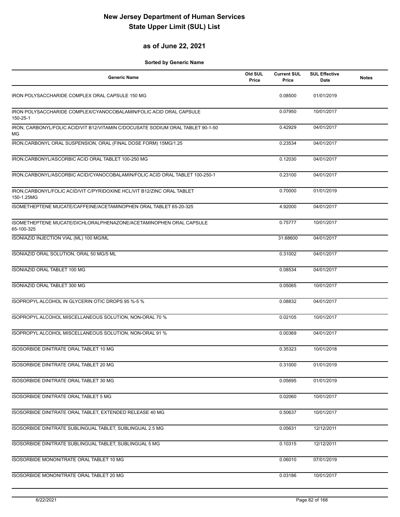#### **as of June 22, 2021**

| <b>Generic Name</b>                                                                   | Old SUL<br>Price | <b>Current SUL</b><br>Price | <b>SUL Effective</b><br>Date | <b>Notes</b> |
|---------------------------------------------------------------------------------------|------------------|-----------------------------|------------------------------|--------------|
| IRON POLYSACCHARIDE COMPLEX ORAL CAPSULE 150 MG                                       |                  | 0.08500                     | 01/01/2019                   |              |
| IRON POLYSACCHARIDE COMPLEX/CYANOCOBALAMIN/FOLIC ACID ORAL CAPSULE<br>150-25-1        |                  | 0.07950                     | 10/01/2017                   |              |
| IRON, CARBONYL/FOLIC ACID/VIT B12/VITAMIN C/DOCUSATE SODIUM ORAL TABLET 90-1-50<br>MG |                  | 0.42929                     | 04/01/2017                   |              |
| IRON, CARBONYL ORAL SUSPENSION, ORAL (FINAL DOSE FORM) 15MG/1.25                      |                  | 0.23534                     | 04/01/2017                   |              |
| IRON, CARBONYL/ASCORBIC ACID ORAL TABLET 100-250 MG                                   |                  | 0.12030                     | 04/01/2017                   |              |
| IRON, CARBONYL/ASCORBIC ACID/CYANOCOBALAMIN/FOLIC ACID ORAL TABLET 100-250-1          |                  | 0.23100                     | 04/01/2017                   |              |
| IRON, CARBONYL/FOLIC ACID/VIT C/PYRIDOXINE HCL/VIT B12/ZINC ORAL TABLET<br>150-1.25MG |                  | 0.70000                     | 01/01/2019                   |              |
| ISOMETHEPTENE MUCATE/CAFFEINE/ACETAMINOPHEN ORAL TABLET 65-20-325                     |                  | 4.92000                     | 04/01/2017                   |              |
| ISOMETHEPTENE MUCATE/DICHLORALPHENAZONE/ACETAMINOPHEN ORAL CAPSULE<br>65-100-325      |                  | 0.75777                     | 10/01/2017                   |              |
| ISONIAZID INJECTION VIAL (ML) 100 MG/ML                                               |                  | 31.68600                    | 04/01/2017                   |              |
| ISONIAZID ORAL SOLUTION, ORAL 50 MG/5 ML                                              |                  | 0.31002                     | 04/01/2017                   |              |
| ISONIAZID ORAL TABLET 100 MG                                                          |                  | 0.08534                     | 04/01/2017                   |              |
| ISONIAZID ORAL TABLET 300 MG                                                          |                  | 0.05065                     | 10/01/2017                   |              |
| ISOPROPYL ALCOHOL IN GLYCERIN OTIC DROPS 95 %-5 %                                     |                  | 0.08832                     | 04/01/2017                   |              |
| ISOPROPYL ALCOHOL MISCELLANEOUS SOLUTION, NON-ORAL 70 %                               |                  | 0.02105                     | 10/01/2017                   |              |
| ISOPROPYL ALCOHOL MISCELLANEOUS SOLUTION, NON-ORAL 91 %                               |                  | 0.00369                     | 04/01/2017                   |              |
| ISOSORBIDE DINITRATE ORAL TABLET 10 MG                                                |                  | 0.35323                     | 10/01/2018                   |              |
| ISOSORBIDE DINITRATE ORAL TABLET 20 MG                                                |                  | 0.31000                     | 01/01/2019                   |              |
| ISOSORBIDE DINITRATE ORAL TABLET 30 MG                                                |                  | 0.05695                     | 01/01/2019                   |              |
| <b>ISOSORBIDE DINITRATE ORAL TABLET 5 MG</b>                                          |                  | 0.02060                     | 10/01/2017                   |              |
| ISOSORBIDE DINITRATE ORAL TABLET, EXTENDED RELEASE 40 MG                              |                  | 0.50637                     | 10/01/2017                   |              |
| ISOSORBIDE DINITRATE SUBLINGUAL TABLET, SUBLINGUAL 2.5 MG                             |                  | 0.05631                     | 12/12/2011                   |              |
| ISOSORBIDE DINITRATE SUBLINGUAL TABLET, SUBLINGUAL 5 MG                               |                  | 0.10315                     | 12/12/2011                   |              |
| ISOSORBIDE MONONITRATE ORAL TABLET 10 MG                                              |                  | 0.06010                     | 07/01/2019                   |              |
| ISOSORBIDE MONONITRATE ORAL TABLET 20 MG                                              |                  | 0.03186                     | 10/01/2017                   |              |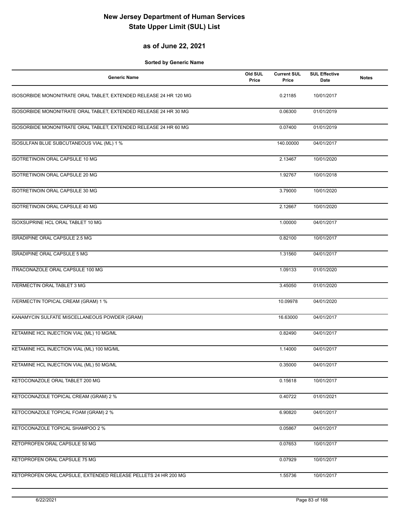#### **as of June 22, 2021**

| <b>Generic Name</b>                                               | Old SUL<br>Price | <b>Current SUL</b><br>Price | <b>SUL Effective</b><br><b>Date</b> | <b>Notes</b> |
|-------------------------------------------------------------------|------------------|-----------------------------|-------------------------------------|--------------|
| ISOSORBIDE MONONITRATE ORAL TABLET, EXTENDED RELEASE 24 HR 120 MG |                  | 0.21185                     | 10/01/2017                          |              |
| ISOSORBIDE MONONITRATE ORAL TABLET, EXTENDED RELEASE 24 HR 30 MG  |                  | 0.06300                     | 01/01/2019                          |              |
| ISOSORBIDE MONONITRATE ORAL TABLET, EXTENDED RELEASE 24 HR 60 MG  |                  | 0.07400                     | 01/01/2019                          |              |
| ISOSULFAN BLUE SUBCUTANEOUS VIAL (ML) 1 %                         |                  | 140.00000                   | 04/01/2017                          |              |
| ISOTRETINOIN ORAL CAPSULE 10 MG                                   |                  | 2.13467                     | 10/01/2020                          |              |
| ISOTRETINOIN ORAL CAPSULE 20 MG                                   |                  | 1.92767                     | 10/01/2018                          |              |
| ISOTRETINOIN ORAL CAPSULE 30 MG                                   |                  | 3.79000                     | 10/01/2020                          |              |
| ISOTRETINOIN ORAL CAPSULE 40 MG                                   |                  | 2.12667                     | 10/01/2020                          |              |
| ISOXSUPRINE HCL ORAL TABLET 10 MG                                 |                  | 1.00000                     | 04/01/2017                          |              |
| ISRADIPINE ORAL CAPSULE 2.5 MG                                    |                  | 0.82100                     | 10/01/2017                          |              |
| <b>ISRADIPINE ORAL CAPSULE 5 MG</b>                               |                  | 1.31560                     | 04/01/2017                          |              |
| ITRACONAZOLE ORAL CAPSULE 100 MG                                  |                  | 1.09133                     | 01/01/2020                          |              |
| <b>IVERMECTIN ORAL TABLET 3 MG</b>                                |                  | 3.45050                     | 01/01/2020                          |              |
| <b>IVERMECTIN TOPICAL CREAM (GRAM) 1 %</b>                        |                  | 10.09978                    | 04/01/2020                          |              |
| KANAMYCIN SULFATE MISCELLANEOUS POWDER (GRAM)                     |                  | 16.63000                    | 04/01/2017                          |              |
| KETAMINE HCL INJECTION VIAL (ML) 10 MG/ML                         |                  | 0.82490                     | 04/01/2017                          |              |
| KETAMINE HCL INJECTION VIAL (ML) 100 MG/ML                        |                  | 1.14000                     | 04/01/2017                          |              |
| KETAMINE HCL INJECTION VIAL (ML) 50 MG/ML                         |                  | 0.35000                     | 04/01/2017                          |              |
| KETOCONAZOLE ORAL TABLET 200 MG                                   |                  | 0.15618                     | 10/01/2017                          |              |
| KETOCONAZOLE TOPICAL CREAM (GRAM) 2 %                             |                  | 0.40722                     | 01/01/2021                          |              |
| KETOCONAZOLE TOPICAL FOAM (GRAM) 2 %                              |                  | 6.90820                     | 04/01/2017                          |              |
| KETOCONAZOLE TOPICAL SHAMPOO 2 %                                  |                  | 0.05867                     | 04/01/2017                          |              |
| KETOPROFEN ORAL CAPSULE 50 MG                                     |                  | 0.07653                     | 10/01/2017                          |              |
| KETOPROFEN ORAL CAPSULE 75 MG                                     |                  | 0.07929                     | 10/01/2017                          |              |
| KETOPROFEN ORAL CAPSULE, EXTENDED RELEASE PELLETS 24 HR 200 MG    |                  | 1.55736                     | 10/01/2017                          |              |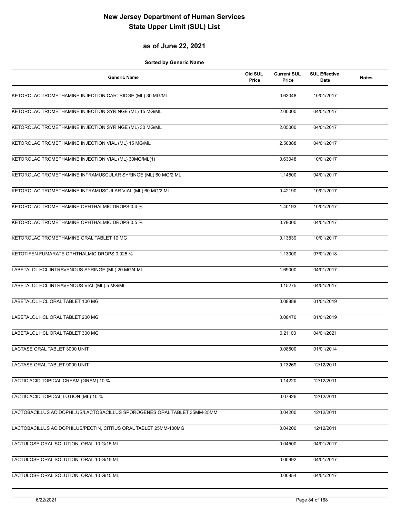#### **as of June 22, 2021**

| <b>Generic Name</b>                                                      | Old SUL<br>Price | <b>Current SUL</b><br>Price | <b>SUL Effective</b><br>Date | <b>Notes</b> |
|--------------------------------------------------------------------------|------------------|-----------------------------|------------------------------|--------------|
| KETOROLAC TROMETHAMINE INJECTION CARTRIDGE (ML) 30 MG/ML                 |                  | 0.63048                     | 10/01/2017                   |              |
| KETOROLAC TROMETHAMINE INJECTION SYRINGE (ML) 15 MG/ML                   |                  | 2.00000                     | 04/01/2017                   |              |
| KETOROLAC TROMETHAMINE INJECTION SYRINGE (ML) 30 MG/ML                   |                  | 2.05000                     | 04/01/2017                   |              |
| KETOROLAC TROMETHAMINE INJECTION VIAL (ML) 15 MG/ML                      |                  | 2.50888                     | 04/01/2017                   |              |
| KETOROLAC TROMETHAMINE INJECTION VIAL (ML) 30MG/ML(1)                    |                  | 0.63048                     | 10/01/2017                   |              |
| KETOROLAC TROMETHAMINE INTRAMUSCULAR SYRINGE (ML) 60 MG/2 ML             |                  | 1.14500                     | 04/01/2017                   |              |
| KETOROLAC TROMETHAMINE INTRAMUSCULAR VIAL (ML) 60 MG/2 ML                |                  | 0.42190                     | 10/01/2017                   |              |
| KETOROLAC TROMETHAMINE OPHTHALMIC DROPS 0.4 %                            |                  | 1.40193                     | 10/01/2017                   |              |
| KETOROLAC TROMETHAMINE OPHTHALMIC DROPS 0.5 %                            |                  | 0.79000                     | 04/01/2017                   |              |
| KETOROLAC TROMETHAMINE ORAL TABLET 10 MG                                 |                  | 0.13839                     | 10/01/2017                   |              |
| KETOTIFEN FUMARATE OPHTHALMIC DROPS 0.025 %                              |                  | 1.13000                     | 07/01/2018                   |              |
| LABETALOL HCL INTRAVENOUS SYRINGE (ML) 20 MG/4 ML                        |                  | 1.69000                     | 04/01/2017                   |              |
| LABETALOL HCL INTRAVENOUS VIAL (ML) 5 MG/ML                              |                  | 0.15275                     | 04/01/2017                   |              |
| LABETALOL HCL ORAL TABLET 100 MG                                         |                  | 0.08888                     | 01/01/2019                   |              |
| LABETALOL HCL ORAL TABLET 200 MG                                         |                  | 0.08470                     | 01/01/2019                   |              |
| LABETALOL HCL ORAL TABLET 300 MG                                         |                  | 0.21100                     | 04/01/2021                   |              |
| LACTASE ORAL TABLET 3000 UNIT                                            |                  | 0.08600                     | 01/01/2014                   |              |
| LACTASE ORAL TABLET 9000 UNIT                                            |                  | 0.13269                     | 12/12/2011                   |              |
| LACTIC ACID TOPICAL CREAM (GRAM) 10 %                                    |                  | 0.14220                     | 12/12/2011                   |              |
| LACTIC ACID TOPICAL LOTION (ML) 10 %                                     |                  | 0.07926                     | 12/12/2011                   |              |
| LACTOBACILLUS ACIDOPHILUS/LACTOBACILLUS SPOROGENES ORAL TABLET 35MM-25MM |                  | 0.04200                     | 12/12/2011                   |              |
| LACTOBACILLUS ACIDOPHILUS/PECTIN, CITRUS ORAL TABLET 25MM-100MG          |                  | 0.04200                     | 12/12/2011                   |              |
| LACTULOSE ORAL SOLUTION, ORAL 10 G/15 ML                                 |                  | 0.04500                     | 04/01/2017                   |              |
| LACTULOSE ORAL SOLUTION, ORAL 10 G/15 ML                                 |                  | 0.00992                     | 04/01/2017                   |              |
| LACTULOSE ORAL SOLUTION, ORAL 10 G/15 ML                                 |                  | 0.00854                     | 04/01/2017                   |              |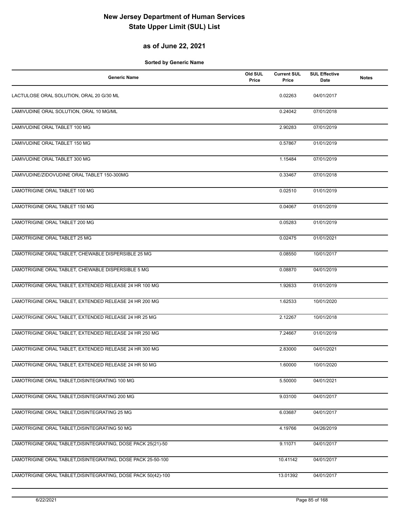### **as of June 22, 2021**

| <b>Generic Name</b>                                           | Old SUL<br>Price | <b>Current SUL</b><br>Price | <b>SUL Effective</b><br>Date | <b>Notes</b> |
|---------------------------------------------------------------|------------------|-----------------------------|------------------------------|--------------|
| LACTULOSE ORAL SOLUTION, ORAL 20 G/30 ML                      |                  | 0.02263                     | 04/01/2017                   |              |
| LAMIVUDINE ORAL SOLUTION, ORAL 10 MG/ML                       |                  | 0.24042                     | 07/01/2018                   |              |
| LAMIVUDINE ORAL TABLET 100 MG                                 |                  | 2.90283                     | 07/01/2019                   |              |
| LAMIVUDINE ORAL TABLET 150 MG                                 |                  | 0.57867                     | 01/01/2019                   |              |
| LAMIVUDINE ORAL TABLET 300 MG                                 |                  | 1.15484                     | 07/01/2019                   |              |
| LAMIVUDINE/ZIDOVUDINE ORAL TABLET 150-300MG                   |                  | 0.33467                     | 07/01/2018                   |              |
| LAMOTRIGINE ORAL TABLET 100 MG                                |                  | 0.02510                     | 01/01/2019                   |              |
| <b>LAMOTRIGINE ORAL TABLET 150 MG</b>                         |                  | 0.04067                     | 01/01/2019                   |              |
| LAMOTRIGINE ORAL TABLET 200 MG                                |                  | 0.05283                     | 01/01/2019                   |              |
| LAMOTRIGINE ORAL TABLET 25 MG                                 |                  | 0.02475                     | 01/01/2021                   |              |
| LAMOTRIGINE ORAL TABLET, CHEWABLE DISPERSIBLE 25 MG           |                  | 0.08550                     | 10/01/2017                   |              |
| LAMOTRIGINE ORAL TABLET, CHEWABLE DISPERSIBLE 5 MG            |                  | 0.08870                     | 04/01/2019                   |              |
| LAMOTRIGINE ORAL TABLET, EXTENDED RELEASE 24 HR 100 MG        |                  | 1.92633                     | 01/01/2019                   |              |
| LAMOTRIGINE ORAL TABLET, EXTENDED RELEASE 24 HR 200 MG        |                  | 1.62533                     | 10/01/2020                   |              |
| LAMOTRIGINE ORAL TABLET, EXTENDED RELEASE 24 HR 25 MG         |                  | 2.12267                     | 10/01/2018                   |              |
| LAMOTRIGINE ORAL TABLET, EXTENDED RELEASE 24 HR 250 MG        |                  | 7.24667                     | 01/01/2019                   |              |
| LAMOTRIGINE ORAL TABLET, EXTENDED RELEASE 24 HR 300 MG        |                  | 2.83000                     | 04/01/2021                   |              |
| LAMOTRIGINE ORAL TABLET, EXTENDED RELEASE 24 HR 50 MG         |                  | 1.60000                     | 10/01/2020                   |              |
| LAMOTRIGINE ORAL TABLET, DISINTEGRATING 100 MG                |                  | 5.50000                     | 04/01/2021                   |              |
| LAMOTRIGINE ORAL TABLET, DISINTEGRATING 200 MG                |                  | 9.03100                     | 04/01/2017                   |              |
| LAMOTRIGINE ORAL TABLET, DISINTEGRATING 25 MG                 |                  | 6.03687                     | 04/01/2017                   |              |
| LAMOTRIGINE ORAL TABLET, DISINTEGRATING 50 MG                 |                  | 4.19766                     | 04/26/2019                   |              |
| LAMOTRIGINE ORAL TABLET, DISINTEGRATING, DOSE PACK 25(21)-50  |                  | 9.11071                     | 04/01/2017                   |              |
| LAMOTRIGINE ORAL TABLET, DISINTEGRATING, DOSE PACK 25-50-100  |                  | 10.41142                    | 04/01/2017                   |              |
| LAMOTRIGINE ORAL TABLET, DISINTEGRATING, DOSE PACK 50(42)-100 |                  | 13.01392                    | 04/01/2017                   |              |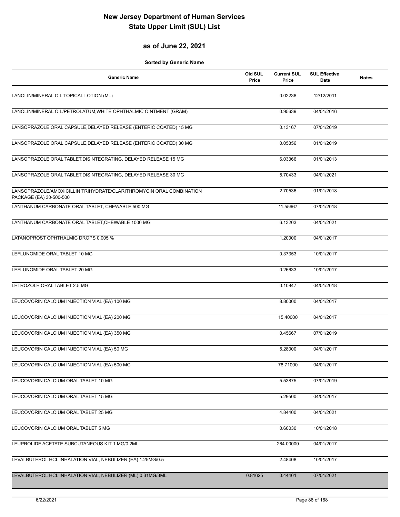#### **as of June 22, 2021**

| <b>Generic Name</b>                                                                            | Old SUL<br>Price | <b>Current SUL</b><br>Price | <b>SUL Effective</b><br>Date | <b>Notes</b> |
|------------------------------------------------------------------------------------------------|------------------|-----------------------------|------------------------------|--------------|
| LANOLIN/MINERAL OIL TOPICAL LOTION (ML)                                                        |                  | 0.02238                     | 12/12/2011                   |              |
| LANOLIN/MINERAL OIL/PETROLATUM, WHITE OPHTHALMIC OINTMENT (GRAM)                               |                  | 0.95639                     | 04/01/2016                   |              |
| LANSOPRAZOLE ORAL CAPSULE, DELAYED RELEASE (ENTERIC COATED) 15 MG                              |                  | 0.13167                     | 07/01/2019                   |              |
| LANSOPRAZOLE ORAL CAPSULE, DELAYED RELEASE (ENTERIC COATED) 30 MG                              |                  | 0.05356                     | 01/01/2019                   |              |
| LANSOPRAZOLE ORAL TABLET, DISINTEGRATING, DELAYED RELEASE 15 MG                                |                  | 6.03366                     | 01/01/2013                   |              |
| LANSOPRAZOLE ORAL TABLET, DISINTEGRATING, DELAYED RELEASE 30 MG                                |                  | 5.70433                     | 04/01/2021                   |              |
| LANSOPRAZOLE/AMOXICILLIN TRIHYDRATE/CLARITHROMYCIN ORAL COMBINATION<br>PACKAGE (EA) 30-500-500 |                  | 2.70536                     | 01/01/2018                   |              |
| LANTHANUM CARBONATE ORAL TABLET, CHEWABLE 500 MG                                               |                  | 11.55667                    | 07/01/2018                   |              |
| LANTHANUM CARBONATE ORAL TABLET, CHEWABLE 1000 MG                                              |                  | 6.13203                     | 04/01/2021                   |              |
| LATANOPROST OPHTHALMIC DROPS 0.005 %                                                           |                  | 1.20000                     | 04/01/2017                   |              |
| LEFLUNOMIDE ORAL TABLET 10 MG                                                                  |                  | 0.37353                     | 10/01/2017                   |              |
| LEFLUNOMIDE ORAL TABLET 20 MG                                                                  |                  | 0.26633                     | 10/01/2017                   |              |
| LETROZOLE ORAL TABLET 2.5 MG                                                                   |                  | 0.10847                     | 04/01/2018                   |              |
| LEUCOVORIN CALCIUM INJECTION VIAL (EA) 100 MG                                                  |                  | 8.80000                     | 04/01/2017                   |              |
| LEUCOVORIN CALCIUM INJECTION VIAL (EA) 200 MG                                                  |                  | 15.40000                    | 04/01/2017                   |              |
| LEUCOVORIN CALCIUM INJECTION VIAL (EA) 350 MG                                                  |                  | 0.45667                     | 07/01/2019                   |              |
| LEUCOVORIN CALCIUM INJECTION VIAL (EA) 50 MG                                                   |                  | 5.28000                     | 04/01/2017                   |              |
| LEUCOVORIN CALCIUM INJECTION VIAL (EA) 500 MG                                                  |                  | 78.71000                    | 04/01/2017                   |              |
| LEUCOVORIN CALCIUM ORAL TABLET 10 MG                                                           |                  | 5.53875                     | 07/01/2019                   |              |
| LEUCOVORIN CALCIUM ORAL TABLET 15 MG                                                           |                  | 5.29500                     | 04/01/2017                   |              |
| LEUCOVORIN CALCIUM ORAL TABLET 25 MG                                                           |                  | 4.84400                     | 04/01/2021                   |              |
| LEUCOVORIN CALCIUM ORAL TABLET 5 MG                                                            |                  | 0.60030                     | 10/01/2018                   |              |
| LEUPROLIDE ACETATE SUBCUTANEOUS KIT 1 MG/0.2ML                                                 |                  | 264.00000                   | 04/01/2017                   |              |
| LEVALBUTEROL HCL INHALATION VIAL, NEBULIZER (EA) 1.25MG/0.5                                    |                  | 2.48408                     | 10/01/2017                   |              |
| LEVALBUTEROL HCL INHALATION VIAL, NEBULIZER (ML) 0.31MG/3ML                                    | 0.81625          | 0.44401                     | 07/01/2021                   |              |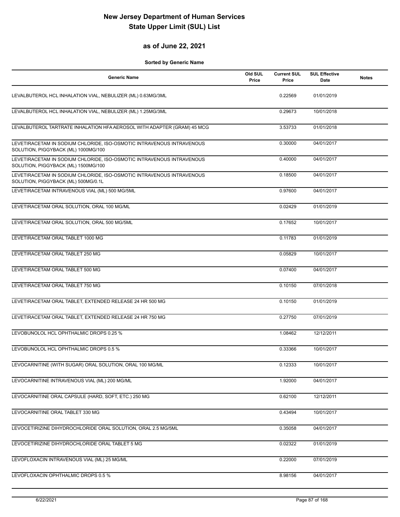#### **as of June 22, 2021**

| <b>Generic Name</b>                                                                                          | Old SUL<br>Price | <b>Current SUL</b><br>Price | <b>SUL Effective</b><br>Date | <b>Notes</b> |
|--------------------------------------------------------------------------------------------------------------|------------------|-----------------------------|------------------------------|--------------|
| LEVALBUTEROL HCL INHALATION VIAL, NEBULIZER (ML) 0.63MG/3ML                                                  |                  | 0.22569                     | 01/01/2019                   |              |
| LEVALBUTEROL HCL INHALATION VIAL, NEBULIZER (ML) 1.25MG/3ML                                                  |                  | 0.29673                     | 10/01/2018                   |              |
| LEVALBUTEROL TARTRATE INHALATION HFA AEROSOL WITH ADAPTER (GRAM) 45 MCG                                      |                  | 3.53733                     | 01/01/2018                   |              |
| LEVETIRACETAM IN SODIUM CHLORIDE, ISO-OSMOTIC INTRAVENOUS INTRAVENOUS<br>SOLUTION, PIGGYBACK (ML) 1000MG/100 |                  | 0.30000                     | 04/01/2017                   |              |
| LEVETIRACETAM IN SODIUM CHLORIDE, ISO-OSMOTIC INTRAVENOUS INTRAVENOUS<br>SOLUTION, PIGGYBACK (ML) 1500MG/100 |                  | 0.40000                     | 04/01/2017                   |              |
| LEVETIRACETAM IN SODIUM CHLORIDE, ISO-OSMOTIC INTRAVENOUS INTRAVENOUS<br>SOLUTION, PIGGYBACK (ML) 500MG/0.1L |                  | 0.18500                     | 04/01/2017                   |              |
| LEVETIRACETAM INTRAVENOUS VIAL (ML) 500 MG/5ML                                                               |                  | 0.97600                     | 04/01/2017                   |              |
| LEVETIRACETAM ORAL SOLUTION, ORAL 100 MG/ML                                                                  |                  | 0.02429                     | 01/01/2019                   |              |
| LEVETIRACETAM ORAL SOLUTION, ORAL 500 MG/5ML                                                                 |                  | 0.17652                     | 10/01/2017                   |              |
| LEVETIRACETAM ORAL TABLET 1000 MG                                                                            |                  | 0.11783                     | 01/01/2019                   |              |
| LEVETIRACETAM ORAL TABLET 250 MG                                                                             |                  | 0.05829                     | 10/01/2017                   |              |
| LEVETIRACETAM ORAL TABLET 500 MG                                                                             |                  | 0.07400                     | 04/01/2017                   |              |
| LEVETIRACETAM ORAL TABLET 750 MG                                                                             |                  | 0.10150                     | 07/01/2018                   |              |
| LEVETIRACETAM ORAL TABLET, EXTENDED RELEASE 24 HR 500 MG                                                     |                  | 0.10150                     | 01/01/2019                   |              |
| LEVETIRACETAM ORAL TABLET, EXTENDED RELEASE 24 HR 750 MG                                                     |                  | 0.27750                     | 07/01/2019                   |              |
| LEVOBUNOLOL HCL OPHTHALMIC DROPS 0.25 %                                                                      |                  | 1.08462                     | 12/12/2011                   |              |
| LEVOBUNOLOL HCL OPHTHALMIC DROPS 0.5 %                                                                       |                  | 0.33366                     | 10/01/2017                   |              |
| LEVOCARNITINE (WITH SUGAR) ORAL SOLUTION, ORAL 100 MG/ML                                                     |                  | 0.12333                     | 10/01/2017                   |              |
| LEVOCARNITINE INTRAVENOUS VIAL (ML) 200 MG/ML                                                                |                  | 1.92000                     | 04/01/2017                   |              |
| LEVOCARNITINE ORAL CAPSULE (HARD, SOFT, ETC.) 250 MG                                                         |                  | 0.62100                     | 12/12/2011                   |              |
| LEVOCARNITINE ORAL TABLET 330 MG                                                                             |                  | 0.43494                     | 10/01/2017                   |              |
| LEVOCETIRIZINE DIHYDROCHLORIDE ORAL SOLUTION, ORAL 2.5 MG/5ML                                                |                  | 0.35058                     | 04/01/2017                   |              |
| LEVOCETIRIZINE DIHYDROCHLORIDE ORAL TABLET 5 MG                                                              |                  | 0.02322                     | 01/01/2019                   |              |
| LEVOFLOXACIN INTRAVENOUS VIAL (ML) 25 MG/ML                                                                  |                  | 0.22000                     | 07/01/2019                   |              |
| LEVOFLOXACIN OPHTHALMIC DROPS 0.5 %                                                                          |                  | 8.98156                     | 04/01/2017                   |              |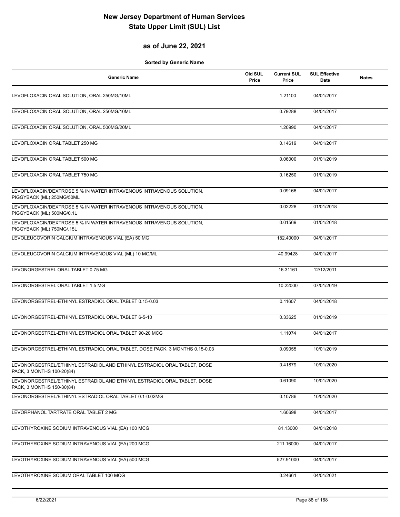### **as of June 22, 2021**

| <b>Generic Name</b>                                                                                   | Old SUL<br>Price | <b>Current SUL</b><br>Price | <b>SUL Effective</b><br>Date | <b>Notes</b> |
|-------------------------------------------------------------------------------------------------------|------------------|-----------------------------|------------------------------|--------------|
| LEVOFLOXACIN ORAL SOLUTION, ORAL 250MG/10ML                                                           |                  | 1.21100                     | 04/01/2017                   |              |
| LEVOFLOXACIN ORAL SOLUTION, ORAL 250MG/10ML                                                           |                  | 0.79288                     | 04/01/2017                   |              |
| LEVOFLOXACIN ORAL SOLUTION, ORAL 500MG/20ML                                                           |                  | 1.20990                     | 04/01/2017                   |              |
| LEVOFLOXACIN ORAL TABLET 250 MG                                                                       |                  | 0.14619                     | 04/01/2017                   |              |
| LEVOFLOXACIN ORAL TABLET 500 MG                                                                       |                  | 0.06000                     | 01/01/2019                   |              |
| LEVOFLOXACIN ORAL TABLET 750 MG                                                                       |                  | 0.16250                     | 01/01/2019                   |              |
| LEVOFLOXACIN/DEXTROSE 5 % IN WATER INTRAVENOUS INTRAVENOUS SOLUTION,<br>PIGGYBACK (ML) 250MG/50ML     |                  | 0.09166                     | 04/01/2017                   |              |
| LEVOFLOXACIN/DEXTROSE 5 % IN WATER INTRAVENOUS INTRAVENOUS SOLUTION,<br>PIGGYBACK (ML) 500MG/0.1L     |                  | 0.02228                     | 01/01/2018                   |              |
| LEVOFLOXACIN/DEXTROSE 5 % IN WATER INTRAVENOUS INTRAVENOUS SOLUTION,<br>PIGGYBACK (ML) 750MG/.15L     |                  | 0.01569                     | 01/01/2018                   |              |
| LEVOLEUCOVORIN CALCIUM INTRAVENOUS VIAL (EA) 50 MG                                                    |                  | 182.40000                   | 04/01/2017                   |              |
| LEVOLEUCOVORIN CALCIUM INTRAVENOUS VIAL (ML) 10 MG/ML                                                 |                  | 40.99428                    | 04/01/2017                   |              |
| LEVONORGESTREL ORAL TABLET 0.75 MG                                                                    |                  | 16.31161                    | 12/12/2011                   |              |
| LEVONORGESTREL ORAL TABLET 1.5 MG                                                                     |                  | 10.22000                    | 07/01/2019                   |              |
| LEVONORGESTREL-ETHINYL ESTRADIOL ORAL TABLET 0.15-0.03                                                |                  | 0.11607                     | 04/01/2018                   |              |
| LEVONORGESTREL-ETHINYL ESTRADIOL ORAL TABLET 6-5-10                                                   |                  | 0.33625                     | 01/01/2019                   |              |
| LEVONORGESTREL-ETHINYL ESTRADIOL ORAL TABLET 90-20 MCG                                                |                  | 1.11074                     | 04/01/2017                   |              |
| LEVONORGESTREL-ETHINYL ESTRADIOL ORAL TABLET, DOSE PACK, 3 MONTHS 0.15-0.03                           |                  | 0.09055                     | 10/01/2019                   |              |
| LEVONORGESTREL/ETHINYL ESTRADIOL AND ETHINYL ESTRADIOL ORAL TABLET, DOSE<br>PACK, 3 MONTHS 100-20(84) |                  | 0.41879                     | 10/01/2020                   |              |
| LEVONORGESTREL/ETHINYL ESTRADIOL AND ETHINYL ESTRADIOL ORAL TABLET, DOSE<br>PACK, 3 MONTHS 150-30(84) |                  | 0.61090                     | 10/01/2020                   |              |
| LEVONORGESTREL/ETHINYL ESTRADIOL ORAL TABLET 0.1-0.02MG                                               |                  | 0.10786                     | 10/01/2020                   |              |
| LEVORPHANOL TARTRATE ORAL TABLET 2 MG                                                                 |                  | 1.60698                     | 04/01/2017                   |              |
| LEVOTHYROXINE SODIUM INTRAVENOUS VIAL (EA) 100 MCG                                                    |                  | 81.13000                    | 04/01/2018                   |              |
| LEVOTHYROXINE SODIUM INTRAVENOUS VIAL (EA) 200 MCG                                                    |                  | 211.16000                   | 04/01/2017                   |              |
| LEVOTHYROXINE SODIUM INTRAVENOUS VIAL (EA) 500 MCG                                                    |                  | 527.91000                   | 04/01/2017                   |              |
| LEVOTHYROXINE SODIUM ORAL TABLET 100 MCG                                                              |                  | 0.24661                     | 04/01/2021                   |              |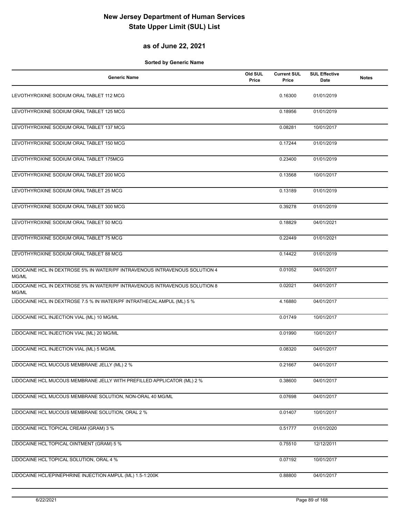### **as of June 22, 2021**

| <b>Generic Name</b>                                                                  | Old SUL<br>Price | <b>Current SUL</b><br>Price | <b>SUL Effective</b><br>Date | <b>Notes</b> |
|--------------------------------------------------------------------------------------|------------------|-----------------------------|------------------------------|--------------|
| LEVOTHYROXINE SODIUM ORAL TABLET 112 MCG                                             |                  | 0.16300                     | 01/01/2019                   |              |
| LEVOTHYROXINE SODIUM ORAL TABLET 125 MCG                                             |                  | 0.18956                     | 01/01/2019                   |              |
| LEVOTHYROXINE SODIUM ORAL TABLET 137 MCG                                             |                  | 0.08281                     | 10/01/2017                   |              |
| LEVOTHYROXINE SODIUM ORAL TABLET 150 MCG                                             |                  | 0.17244                     | 01/01/2019                   |              |
| LEVOTHYROXINE SODIUM ORAL TABLET 175MCG                                              |                  | 0.23400                     | 01/01/2019                   |              |
| LEVOTHYROXINE SODIUM ORAL TABLET 200 MCG                                             |                  | 0.13568                     | 10/01/2017                   |              |
| LEVOTHYROXINE SODIUM ORAL TABLET 25 MCG                                              |                  | 0.13189                     | 01/01/2019                   |              |
| LEVOTHYROXINE SODIUM ORAL TABLET 300 MCG                                             |                  | 0.39278                     | 01/01/2019                   |              |
| LEVOTHYROXINE SODIUM ORAL TABLET 50 MCG                                              |                  | 0.18829                     | 04/01/2021                   |              |
| LEVOTHYROXINE SODIUM ORAL TABLET 75 MCG                                              |                  | 0.22449                     | 01/01/2021                   |              |
| LEVOTHYROXINE SODIUM ORAL TABLET 88 MCG                                              |                  | 0.14422                     | 01/01/2019                   |              |
| LIDOCAINE HCL IN DEXTROSE 5% IN WATER/PF INTRAVENOUS INTRAVENOUS SOLUTION 4<br>MG/ML |                  | 0.01052                     | 04/01/2017                   |              |
| LIDOCAINE HCL IN DEXTROSE 5% IN WATER/PF INTRAVENOUS INTRAVENOUS SOLUTION 8<br>MG/ML |                  | 0.02021                     | 04/01/2017                   |              |
| LIDOCAINE HCL IN DEXTROSE 7.5 % IN WATER/PF INTRATHECAL AMPUL (ML) 5 %               |                  | 4.16880                     | 04/01/2017                   |              |
| LIDOCAINE HCL INJECTION VIAL (ML) 10 MG/ML                                           |                  | 0.01749                     | 10/01/2017                   |              |
| LIDOCAINE HCL INJECTION VIAL (ML) 20 MG/ML                                           |                  | 0.01990                     | 10/01/2017                   |              |
| LIDOCAINE HCL INJECTION VIAL (ML) 5 MG/ML                                            |                  | 0.08320                     | 04/01/2017                   |              |
| LIDOCAINE HCL MUCOUS MEMBRANE JELLY (ML) 2 %                                         |                  | 0.21667                     | 04/01/2017                   |              |
| LIDOCAINE HCL MUCOUS MEMBRANE JELLY WITH PREFILLED APPLICATOR (ML) 2 %               |                  | 0.38600                     | 04/01/2017                   |              |
| LIDOCAINE HCL MUCOUS MEMBRANE SOLUTION, NON-ORAL 40 MG/ML                            |                  | 0.07698                     | 04/01/2017                   |              |
| LIDOCAINE HCL MUCOUS MEMBRANE SOLUTION, ORAL 2 %                                     |                  | 0.01407                     | 10/01/2017                   |              |
| LIDOCAINE HCL TOPICAL CREAM (GRAM) 3 %                                               |                  | 0.51777                     | 01/01/2020                   |              |
| LIDOCAINE HCL TOPICAL OINTMENT (GRAM) 5 %                                            |                  | 0.75510                     | 12/12/2011                   |              |
| LIDOCAINE HCL TOPICAL SOLUTION, ORAL 4 %                                             |                  | 0.07192                     | 10/01/2017                   |              |
| LIDOCAINE HCL/EPINEPHRINE INJECTION AMPUL (ML) 1.5-1:200K                            |                  | 0.88800                     | 04/01/2017                   |              |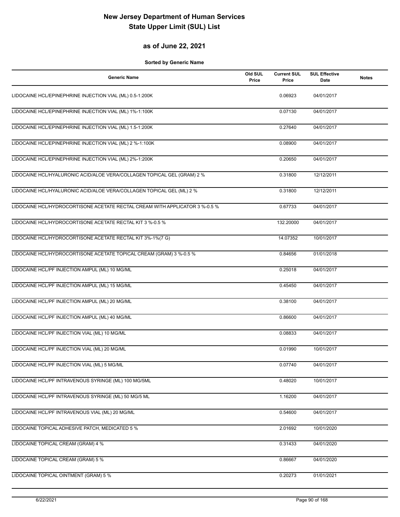### **as of June 22, 2021**

| <b>Generic Name</b>                                                         | Old SUL<br>Price | <b>Current SUL</b><br>Price | <b>SUL Effective</b><br>Date | <b>Notes</b> |
|-----------------------------------------------------------------------------|------------------|-----------------------------|------------------------------|--------------|
| LIDOCAINE HCL/EPINEPHRINE INJECTION VIAL (ML) 0.5-1:200K                    |                  | 0.06923                     | 04/01/2017                   |              |
| LIDOCAINE HCL/EPINEPHRINE INJECTION VIAL (ML) 1%-1:100K                     |                  | 0.07130                     | 04/01/2017                   |              |
| LIDOCAINE HCL/EPINEPHRINE INJECTION VIAL (ML) 1.5-1:200K                    |                  | 0.27640                     | 04/01/2017                   |              |
| LIDOCAINE HCL/EPINEPHRINE INJECTION VIAL (ML) 2 %-1:100K                    |                  | 0.08900                     | 04/01/2017                   |              |
| LIDOCAINE HCL/EPINEPHRINE INJECTION VIAL (ML) 2%-1:200K                     |                  | 0.20650                     | 04/01/2017                   |              |
| LIDOCAINE HCL/HYALURONIC ACID/ALOE VERA/COLLAGEN TOPICAL GEL (GRAM) 2 %     |                  | 0.31800                     | 12/12/2011                   |              |
| LIDOCAINE HCL/HYALURONIC ACID/ALOE VERA/COLLAGEN TOPICAL GEL (ML) 2 %       |                  | 0.31800                     | 12/12/2011                   |              |
| LIDOCAINE HCL/HYDROCORTISONE ACETATE RECTAL CREAM WITH APPLICATOR 3 %-0.5 % |                  | 0.67733                     | 04/01/2017                   |              |
| LIDOCAINE HCL/HYDROCORTISONE ACETATE RECTAL KIT 3 %-0.5 %                   |                  | 132.20000                   | 04/01/2017                   |              |
| LIDOCAINE HCL/HYDROCORTISONE ACETATE RECTAL KIT 3%-1%(7 G)                  |                  | 14.07352                    | 10/01/2017                   |              |
| LIDOCAINE HCL/HYDROCORTISONE ACETATE TOPICAL CREAM (GRAM) 3 %-0.5 %         |                  | 0.84656                     | 01/01/2018                   |              |
| LIDOCAINE HCL/PF INJECTION AMPUL (ML) 10 MG/ML                              |                  | 0.25018                     | 04/01/2017                   |              |
| LIDOCAINE HCL/PF INJECTION AMPUL (ML) 15 MG/ML                              |                  | 0.45450                     | 04/01/2017                   |              |
| LIDOCAINE HCL/PF INJECTION AMPUL (ML) 20 MG/ML                              |                  | 0.38100                     | 04/01/2017                   |              |
| LIDOCAINE HCL/PF INJECTION AMPUL (ML) 40 MG/ML                              |                  | 0.86600                     | 04/01/2017                   |              |
| LIDOCAINE HCL/PF INJECTION VIAL (ML) 10 MG/ML                               |                  | 0.08833                     | 04/01/2017                   |              |
| LIDOCAINE HCL/PF INJECTION VIAL (ML) 20 MG/ML                               |                  | 0.01990                     | 10/01/2017                   |              |
| LIDOCAINE HCL/PF INJECTION VIAL (ML) 5 MG/ML                                |                  | 0.07740                     | 04/01/2017                   |              |
| LIDOCAINE HCL/PF INTRAVENOUS SYRINGE (ML) 100 MG/5ML                        |                  | 0.48020                     | 10/01/2017                   |              |
| LIDOCAINE HCL/PF INTRAVENOUS SYRINGE (ML) 50 MG/5 ML                        |                  | 1.16200                     | 04/01/2017                   |              |
| LIDOCAINE HCL/PF INTRAVENOUS VIAL (ML) 20 MG/ML                             |                  | 0.54600                     | 04/01/2017                   |              |
| LIDOCAINE TOPICAL ADHESIVE PATCH, MEDICATED 5 %                             |                  | 2.01692                     | 10/01/2020                   |              |
| LIDOCAINE TOPICAL CREAM (GRAM) 4 %                                          |                  | 0.31433                     | 04/01/2020                   |              |
| LIDOCAINE TOPICAL CREAM (GRAM) 5 %                                          |                  | 0.86667                     | 04/01/2020                   |              |
| LIDOCAINE TOPICAL OINTMENT (GRAM) 5 %                                       |                  | 0.20273                     | 01/01/2021                   |              |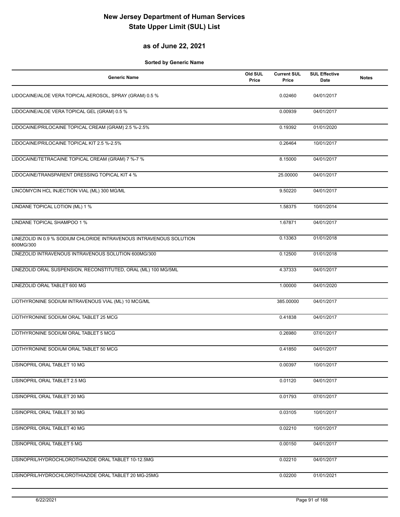### **as of June 22, 2021**

| <b>Generic Name</b>                                                              | Old SUL<br>Price | <b>Current SUL</b><br>Price | <b>SUL Effective</b><br>Date | <b>Notes</b> |
|----------------------------------------------------------------------------------|------------------|-----------------------------|------------------------------|--------------|
| LIDOCAINE/ALOE VERA TOPICAL AEROSOL, SPRAY (GRAM) 0.5 %                          |                  | 0.02460                     | 04/01/2017                   |              |
| LIDOCAINE/ALOE VERA TOPICAL GEL (GRAM) 0.5 %                                     |                  | 0.00939                     | 04/01/2017                   |              |
| LIDOCAINE/PRILOCAINE TOPICAL CREAM (GRAM) 2.5 %-2.5%                             |                  | 0.19392                     | 01/01/2020                   |              |
| LIDOCAINE/PRILOCAINE TOPICAL KIT 2.5 %-2.5%                                      |                  | 0.26464                     | 10/01/2017                   |              |
| LIDOCAINE/TETRACAINE TOPICAL CREAM (GRAM) 7 %-7 %                                |                  | 8.15000                     | 04/01/2017                   |              |
| LIDOCAINE/TRANSPARENT DRESSING TOPICAL KIT 4 %                                   |                  | 25.00000                    | 04/01/2017                   |              |
| LINCOMYCIN HCL INJECTION VIAL (ML) 300 MG/ML                                     |                  | 9.50220                     | 04/01/2017                   |              |
| LINDANE TOPICAL LOTION (ML) 1 %                                                  |                  | 1.58375                     | 10/01/2014                   |              |
| LINDANE TOPICAL SHAMPOO 1 %                                                      |                  | 1.67871                     | 04/01/2017                   |              |
| LINEZOLID IN 0.9 % SODIUM CHLORIDE INTRAVENOUS INTRAVENOUS SOLUTION<br>600MG/300 |                  | 0.13363                     | 01/01/2018                   |              |
| LINEZOLID INTRAVENOUS INTRAVENOUS SOLUTION 600MG/300                             |                  | 0.12500                     | 01/01/2018                   |              |
| LINEZOLID ORAL SUSPENSION, RECONSTITUTED, ORAL (ML) 100 MG/5ML                   |                  | 4.37333                     | 04/01/2017                   |              |
| LINEZOLID ORAL TABLET 600 MG                                                     |                  | 1.00000                     | 04/01/2020                   |              |
| LIOTHYRONINE SODIUM INTRAVENOUS VIAL (ML) 10 MCG/ML                              |                  | 385.00000                   | 04/01/2017                   |              |
| LIOTHYRONINE SODIUM ORAL TABLET 25 MCG                                           |                  | 0.41838                     | 04/01/2017                   |              |
| LIOTHYRONINE SODIUM ORAL TABLET 5 MCG                                            |                  | 0.26980                     | 07/01/2017                   |              |
| LIOTHYRONINE SODIUM ORAL TABLET 50 MCG                                           |                  | 0.41850                     | 04/01/2017                   |              |
| LISINOPRIL ORAL TABLET 10 MG                                                     |                  | 0.00397                     | 10/01/2017                   |              |
| LISINOPRIL ORAL TABLET 2.5 MG                                                    |                  | 0.01120                     | 04/01/2017                   |              |
| LISINOPRIL ORAL TABLET 20 MG                                                     |                  | 0.01793                     | 07/01/2017                   |              |
| LISINOPRIL ORAL TABLET 30 MG                                                     |                  | 0.03105                     | 10/01/2017                   |              |
| LISINOPRIL ORAL TABLET 40 MG                                                     |                  | 0.02210                     | 10/01/2017                   |              |
| LISINOPRIL ORAL TABLET 5 MG                                                      |                  | 0.00150                     | 04/01/2017                   |              |
| LISINOPRIL/HYDROCHLOROTHIAZIDE ORAL TABLET 10-12.5MG                             |                  | 0.02210                     | 04/01/2017                   |              |
| LISINOPRIL/HYDROCHLOROTHIAZIDE ORAL TABLET 20 MG-25MG                            |                  | 0.02200                     | 01/01/2021                   |              |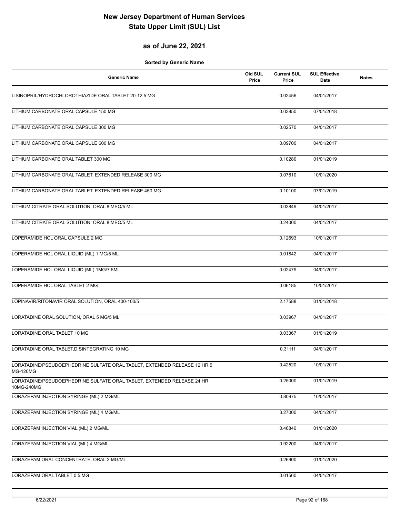### **as of June 22, 2021**

| <b>Generic Name</b>                                                                         | Old SUL<br>Price | <b>Current SUL</b><br>Price | <b>SUL Effective</b><br>Date | <b>Notes</b> |
|---------------------------------------------------------------------------------------------|------------------|-----------------------------|------------------------------|--------------|
| LISINOPRIL/HYDROCHLOROTHIAZIDE ORAL TABLET 20-12.5 MG                                       |                  | 0.02456                     | 04/01/2017                   |              |
| LITHIUM CARBONATE ORAL CAPSULE 150 MG                                                       |                  | 0.03850                     | 07/01/2018                   |              |
| LITHIUM CARBONATE ORAL CAPSULE 300 MG                                                       |                  | 0.02570                     | 04/01/2017                   |              |
| LITHIUM CARBONATE ORAL CAPSULE 600 MG                                                       |                  | 0.09700                     | 04/01/2017                   |              |
| LITHIUM CARBONATE ORAL TABLET 300 MG                                                        |                  | 0.10280                     | 01/01/2019                   |              |
| LITHIUM CARBONATE ORAL TABLET, EXTENDED RELEASE 300 MG                                      |                  | 0.07810                     | 10/01/2020                   |              |
| LITHIUM CARBONATE ORAL TABLET, EXTENDED RELEASE 450 MG                                      |                  | 0.10100                     | 07/01/2019                   |              |
| LITHIUM CITRATE ORAL SOLUTION, ORAL 8 MEQ/5 ML                                              |                  | 0.03849                     | 04/01/2017                   |              |
| LITHIUM CITRATE ORAL SOLUTION, ORAL 8 MEQ/5 ML                                              |                  | 0.24000                     | 04/01/2017                   |              |
| LOPERAMIDE HCL ORAL CAPSULE 2 MG                                                            |                  | 0.12693                     | 10/01/2017                   |              |
| LOPERAMIDE HCL ORAL LIQUID (ML) 1 MG/5 ML                                                   |                  | 0.01842                     | 04/01/2017                   |              |
| LOPERAMIDE HCL ORAL LIQUID (ML) 1MG/7.5ML                                                   |                  | 0.02479                     | 04/01/2017                   |              |
| LOPERAMIDE HCL ORAL TABLET 2 MG                                                             |                  | 0.06185                     | 10/01/2017                   |              |
| LOPINAVIR/RITONAVIR ORAL SOLUTION, ORAL 400-100/5                                           |                  | 2.17588                     | 01/01/2018                   |              |
| LORATADINE ORAL SOLUTION, ORAL 5 MG/5 ML                                                    |                  | 0.03967                     | 04/01/2017                   |              |
| LORATADINE ORAL TABLET 10 MG                                                                |                  | 0.03367                     | 01/01/2019                   |              |
| LORATADINE ORAL TABLET, DISINTEGRATING 10 MG                                                |                  | 0.31111                     | 04/01/2017                   |              |
| LORATADINE/PSEUDOEPHEDRINE SULFATE ORAL TABLET, EXTENDED RELEASE 12 HR 5<br><b>MG-120MG</b> |                  | 0.42520                     | 10/01/2017                   |              |
| LORATADINE/PSEUDOEPHEDRINE SULFATE ORAL TABLET, EXTENDED RELEASE 24 HR<br>10MG-240MG        |                  | 0.25000                     | 01/01/2019                   |              |
| LORAZEPAM INJECTION SYRINGE (ML) 2 MG/ML                                                    |                  | 0.80975                     | 10/01/2017                   |              |
| LORAZEPAM INJECTION SYRINGE (ML) 4 MG/ML                                                    |                  | 3.27000                     | 04/01/2017                   |              |
| LORAZEPAM INJECTION VIAL (ML) 2 MG/ML                                                       |                  | 0.46840                     | 01/01/2020                   |              |
| LORAZEPAM INJECTION VIAL (ML) 4 MG/ML                                                       |                  | 0.92200                     | 04/01/2017                   |              |
| LORAZEPAM ORAL CONCENTRATE, ORAL 2 MG/ML                                                    |                  | 0.26900                     | 01/01/2020                   |              |
| LORAZEPAM ORAL TABLET 0.5 MG                                                                |                  | 0.01560                     | 04/01/2017                   |              |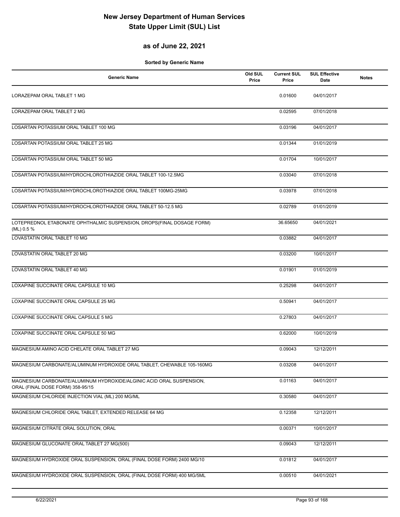### **as of June 22, 2021**

| <b>Generic Name</b>                                                                                      | Old SUL<br>Price | <b>Current SUL</b><br>Price | <b>SUL Effective</b><br>Date | <b>Notes</b> |
|----------------------------------------------------------------------------------------------------------|------------------|-----------------------------|------------------------------|--------------|
| LORAZEPAM ORAL TABLET 1 MG                                                                               |                  | 0.01600                     | 04/01/2017                   |              |
| LORAZEPAM ORAL TABLET 2 MG                                                                               |                  | 0.02595                     | 07/01/2018                   |              |
| LOSARTAN POTASSIUM ORAL TABLET 100 MG                                                                    |                  | 0.03196                     | 04/01/2017                   |              |
| LOSARTAN POTASSIUM ORAL TABLET 25 MG                                                                     |                  | 0.01344                     | 01/01/2019                   |              |
| LOSARTAN POTASSIUM ORAL TABLET 50 MG                                                                     |                  | 0.01704                     | 10/01/2017                   |              |
| LOSARTAN POTASSIUM/HYDROCHLOROTHIAZIDE ORAL TABLET 100-12.5MG                                            |                  | 0.03040                     | 07/01/2018                   |              |
| LOSARTAN POTASSIUM/HYDROCHLOROTHIAZIDE ORAL TABLET 100MG-25MG                                            |                  | 0.03978                     | 07/01/2018                   |              |
| LOSARTAN POTASSIUM/HYDROCHLOROTHIAZIDE ORAL TABLET 50-12.5 MG                                            |                  | 0.02789                     | 01/01/2019                   |              |
| LOTEPREDNOL ETABONATE OPHTHALMIC SUSPENSION, DROPS(FINAL DOSAGE FORM)<br>(ML) 0.5 $%$                    |                  | 36.65650                    | 04/01/2021                   |              |
| LOVASTATIN ORAL TABLET 10 MG                                                                             |                  | 0.03882                     | 04/01/2017                   |              |
| LOVASTATIN ORAL TABLET 20 MG                                                                             |                  | 0.03200                     | 10/01/2017                   |              |
| LOVASTATIN ORAL TABLET 40 MG                                                                             |                  | 0.01901                     | 01/01/2019                   |              |
| LOXAPINE SUCCINATE ORAL CAPSULE 10 MG                                                                    |                  | 0.25298                     | 04/01/2017                   |              |
| LOXAPINE SUCCINATE ORAL CAPSULE 25 MG                                                                    |                  | 0.50941                     | 04/01/2017                   |              |
| LOXAPINE SUCCINATE ORAL CAPSULE 5 MG                                                                     |                  | 0.27803                     | 04/01/2017                   |              |
| LOXAPINE SUCCINATE ORAL CAPSULE 50 MG                                                                    |                  | 0.62000                     | 10/01/2019                   |              |
| MAGNESIUM AMINO ACID CHELATE ORAL TABLET 27 MG                                                           |                  | 0.09043                     | 12/12/2011                   |              |
| MAGNESIUM CARBONATE/ALUMINUM HYDROXIDE ORAL TABLET, CHEWABLE 105-160MG                                   |                  | 0.03208                     | 04/01/2017                   |              |
| MAGNESIUM CARBONATE/ALUMINUM HYDROXIDE/ALGINIC ACID ORAL SUSPENSION,<br>ORAL (FINAL DOSE FORM) 358-95/15 |                  | 0.01163                     | 04/01/2017                   |              |
| MAGNESIUM CHLORIDE INJECTION VIAL (ML) 200 MG/ML                                                         |                  | 0.30580                     | 04/01/2017                   |              |
| MAGNESIUM CHLORIDE ORAL TABLET, EXTENDED RELEASE 64 MG                                                   |                  | 0.12358                     | 12/12/2011                   |              |
| MAGNESIUM CITRATE ORAL SOLUTION, ORAL                                                                    |                  | 0.00371                     | 10/01/2017                   |              |
| MAGNESIUM GLUCONATE ORAL TABLET 27 MG(500)                                                               |                  | 0.09043                     | 12/12/2011                   |              |
| MAGNESIUM HYDROXIDE ORAL SUSPENSION, ORAL (FINAL DOSE FORM) 2400 MG/10                                   |                  | 0.01812                     | 04/01/2017                   |              |
| MAGNESIUM HYDROXIDE ORAL SUSPENSION, ORAL (FINAL DOSE FORM) 400 MG/5ML                                   |                  | 0.00510                     | 04/01/2021                   |              |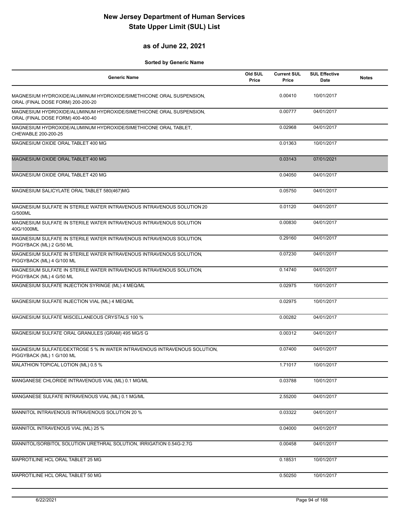#### **as of June 22, 2021**

| <b>Generic Name</b>                                                                                      | Old SUL<br>Price | <b>Current SUL</b><br>Price | <b>SUL Effective</b><br><b>Date</b> | <b>Notes</b> |
|----------------------------------------------------------------------------------------------------------|------------------|-----------------------------|-------------------------------------|--------------|
| MAGNESIUM HYDROXIDE/ALUMINUM HYDROXIDE/SIMETHICONE ORAL SUSPENSION,<br>ORAL (FINAL DOSE FORM) 200-200-20 |                  | 0.00410                     | 10/01/2017                          |              |
| MAGNESIUM HYDROXIDE/ALUMINUM HYDROXIDE/SIMETHICONE ORAL SUSPENSION,<br>ORAL (FINAL DOSE FORM) 400-400-40 |                  | 0.00777                     | 04/01/2017                          |              |
| MAGNESIUM HYDROXIDE/ALUMINUM HYDROXIDE/SIMETHICONE ORAL TABLET,<br>CHEWABLE 200-200-25                   |                  | 0.02968                     | 04/01/2017                          |              |
| MAGNESIUM OXIDE ORAL TABLET 400 MG                                                                       |                  | 0.01363                     | 10/01/2017                          |              |
| MAGNESIUM OXIDE ORAL TABLET 400 MG                                                                       |                  | 0.03143                     | 07/01/2021                          |              |
| MAGNESIUM OXIDE ORAL TABLET 420 MG                                                                       |                  | 0.04050                     | 04/01/2017                          |              |
| MAGNESIUM SALICYLATE ORAL TABLET 580(467)MG                                                              |                  | 0.05750                     | 04/01/2017                          |              |
| MAGNESIUM SULFATE IN STERILE WATER INTRAVENOUS INTRAVENOUS SOLUTION 20<br>G/500ML                        |                  | 0.01120                     | 04/01/2017                          |              |
| MAGNESIUM SULFATE IN STERILE WATER INTRAVENOUS INTRAVENOUS SOLUTION<br>40G/1000ML                        |                  | 0.00830                     | 04/01/2017                          |              |
| MAGNESIUM SULFATE IN STERILE WATER INTRAVENOUS INTRAVENOUS SOLUTION,<br>PIGGYBACK (ML) 2 G/50 ML         |                  | 0.29160                     | 04/01/2017                          |              |
| MAGNESIUM SULFATE IN STERILE WATER INTRAVENOUS INTRAVENOUS SOLUTION,<br>PIGGYBACK (ML) 4 G/100 ML        |                  | 0.07230                     | 04/01/2017                          |              |
| MAGNESIUM SULFATE IN STERILE WATER INTRAVENOUS INTRAVENOUS SOLUTION,<br>PIGGYBACK (ML) 4 G/50 ML         |                  | 0.14740                     | 04/01/2017                          |              |
| MAGNESIUM SULFATE INJECTION SYRINGE (ML) 4 MEQ/ML                                                        |                  | 0.02975                     | 10/01/2017                          |              |
| MAGNESIUM SULFATE INJECTION VIAL (ML) 4 MEQ/ML                                                           |                  | 0.02975                     | 10/01/2017                          |              |
| MAGNESIUM SULFATE MISCELLANEOUS CRYSTALS 100 %                                                           |                  | 0.00282                     | 04/01/2017                          |              |
| MAGNESIUM SULFATE ORAL GRANULES (GRAM) 495 MG/5 G                                                        |                  | 0.00312                     | 04/01/2017                          |              |
| MAGNESIUM SULFATE/DEXTROSE 5 % IN WATER INTRAVENOUS INTRAVENOUS SOLUTION,<br>PIGGYBACK (ML) 1 G/100 ML   |                  | 0.07400                     | 04/01/2017                          |              |
| MALATHION TOPICAL LOTION (ML) 0.5 %                                                                      |                  | 1.71017                     | 10/01/2017                          |              |
| MANGANESE CHLORIDE INTRAVENOUS VIAL (ML) 0.1 MG/ML                                                       |                  | 0.03788                     | 10/01/2017                          |              |
| MANGANESE SULFATE INTRAVENOUS VIAL (ML) 0.1 MG/ML                                                        |                  | 2.55200                     | 04/01/2017                          |              |
| MANNITOL INTRAVENOUS INTRAVENOUS SOLUTION 20 %                                                           |                  | 0.03322                     | 04/01/2017                          |              |
| MANNITOL INTRAVENOUS VIAL (ML) 25 %                                                                      |                  | 0.04000                     | 04/01/2017                          |              |
| MANNITOL/SORBITOL SOLUTION URETHRAL SOLUTION, IRRIGATION 0.54G-2.7G                                      |                  | 0.00458                     | 04/01/2017                          |              |
| MAPROTILINE HCL ORAL TABLET 25 MG                                                                        |                  | 0.18531                     | 10/01/2017                          |              |
| MAPROTILINE HCL ORAL TABLET 50 MG                                                                        |                  | 0.50250                     | 10/01/2017                          |              |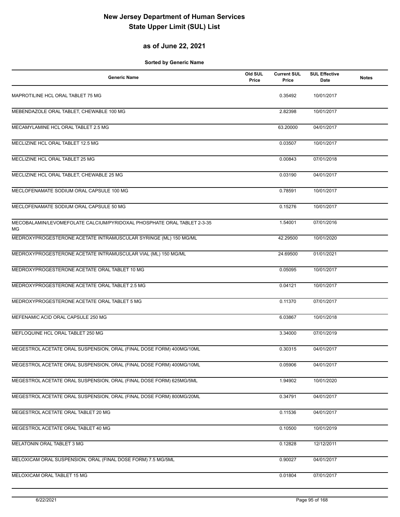### **as of June 22, 2021**

| <b>Generic Name</b>                                                                  | Old SUL<br>Price | <b>Current SUL</b><br>Price | <b>SUL Effective</b><br>Date | <b>Notes</b> |
|--------------------------------------------------------------------------------------|------------------|-----------------------------|------------------------------|--------------|
| MAPROTILINE HCL ORAL TABLET 75 MG                                                    |                  | 0.35492                     | 10/01/2017                   |              |
| MEBENDAZOLE ORAL TABLET, CHEWABLE 100 MG                                             |                  | 2.82398                     | 10/01/2017                   |              |
| MECAMYLAMINE HCL ORAL TABLET 2.5 MG                                                  |                  | 63.20000                    | 04/01/2017                   |              |
| MECLIZINE HCL ORAL TABLET 12.5 MG                                                    |                  | 0.03507                     | 10/01/2017                   |              |
| MECLIZINE HCL ORAL TABLET 25 MG                                                      |                  | 0.00843                     | 07/01/2018                   |              |
| MECLIZINE HCL ORAL TABLET, CHEWABLE 25 MG                                            |                  | 0.03190                     | 04/01/2017                   |              |
| MECLOFENAMATE SODIUM ORAL CAPSULE 100 MG                                             |                  | 0.78591                     | 10/01/2017                   |              |
| MECLOFENAMATE SODIUM ORAL CAPSULE 50 MG                                              |                  | 0.15276                     | 10/01/2017                   |              |
| MECOBALAMIN/LEVOMEFOLATE CALCIUM/PYRIDOXAL PHOSPHATE ORAL TABLET 2-3-35<br><b>MG</b> |                  | 1.54001                     | 07/01/2016                   |              |
| MEDROXYPROGESTERONE ACETATE INTRAMUSCULAR SYRINGE (ML) 150 MG/ML                     |                  | 42.29500                    | 10/01/2020                   |              |
| MEDROXYPROGESTERONE ACETATE INTRAMUSCULAR VIAL (ML) 150 MG/ML                        |                  | 24.69500                    | 01/01/2021                   |              |
| MEDROXYPROGESTERONE ACETATE ORAL TABLET 10 MG                                        |                  | 0.05095                     | 10/01/2017                   |              |
| MEDROXYPROGESTERONE ACETATE ORAL TABLET 2.5 MG                                       |                  | 0.04121                     | 10/01/2017                   |              |
| MEDROXYPROGESTERONE ACETATE ORAL TABLET 5 MG                                         |                  | 0.11370                     | 07/01/2017                   |              |
| MEFENAMIC ACID ORAL CAPSULE 250 MG                                                   |                  | 6.03867                     | 10/01/2018                   |              |
| MEFLOQUINE HCL ORAL TABLET 250 MG                                                    |                  | 3.34000                     | 07/01/2019                   |              |
| MEGESTROL ACETATE ORAL SUSPENSION, ORAL (FINAL DOSE FORM) 400MG/10ML                 |                  | 0.30315                     | 04/01/2017                   |              |
| MEGESTROL ACETATE ORAL SUSPENSION, ORAL (FINAL DOSE FORM) 400MG/10ML                 |                  | 0.05906                     | 04/01/2017                   |              |
| MEGESTROL ACETATE ORAL SUSPENSION, ORAL (FINAL DOSE FORM) 625MG/5ML                  |                  | 1.94902                     | 10/01/2020                   |              |
| MEGESTROL ACETATE ORAL SUSPENSION, ORAL (FINAL DOSE FORM) 800MG/20ML                 |                  | 0.34791                     | 04/01/2017                   |              |
| MEGESTROL ACETATE ORAL TABLET 20 MG                                                  |                  | 0.11536                     | 04/01/2017                   |              |
| MEGESTROL ACETATE ORAL TABLET 40 MG                                                  |                  | 0.10500                     | 10/01/2019                   |              |
| MELATONIN ORAL TABLET 3 MG                                                           |                  | 0.12828                     | 12/12/2011                   |              |
| MELOXICAM ORAL SUSPENSION, ORAL (FINAL DOSE FORM) 7.5 MG/5ML                         |                  | 0.90027                     | 04/01/2017                   |              |
| MELOXICAM ORAL TABLET 15 MG                                                          |                  | 0.01804                     | 07/01/2017                   |              |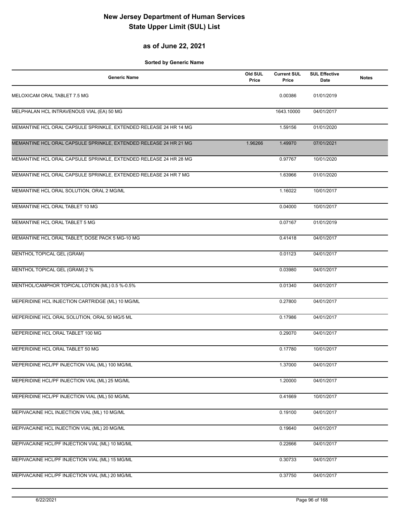#### **as of June 22, 2021**

| <b>Generic Name</b>                                               | Old SUL<br>Price | <b>Current SUL</b><br>Price | <b>SUL Effective</b><br>Date | <b>Notes</b> |
|-------------------------------------------------------------------|------------------|-----------------------------|------------------------------|--------------|
| MELOXICAM ORAL TABLET 7.5 MG                                      |                  | 0.00386                     | 01/01/2019                   |              |
| MELPHALAN HCL INTRAVENOUS VIAL (EA) 50 MG                         |                  | 1643.10000                  | 04/01/2017                   |              |
| MEMANTINE HCL ORAL CAPSULE SPRINKLE, EXTENDED RELEASE 24 HR 14 MG |                  | 1.59156                     | 01/01/2020                   |              |
| MEMANTINE HCL ORAL CAPSULE SPRINKLE, EXTENDED RELEASE 24 HR 21 MG | 1.96266          | 1.49970                     | 07/01/2021                   |              |
| MEMANTINE HCL ORAL CAPSULE SPRINKLE, EXTENDED RELEASE 24 HR 28 MG |                  | 0.97767                     | 10/01/2020                   |              |
| MEMANTINE HCL ORAL CAPSULE SPRINKLE, EXTENDED RELEASE 24 HR 7 MG  |                  | 1.63966                     | 01/01/2020                   |              |
| MEMANTINE HCL ORAL SOLUTION, ORAL 2 MG/ML                         |                  | 1.16022                     | 10/01/2017                   |              |
| MEMANTINE HCL ORAL TABLET 10 MG                                   |                  | 0.04000                     | 10/01/2017                   |              |
| MEMANTINE HCL ORAL TABLET 5 MG                                    |                  | 0.07167                     | 01/01/2019                   |              |
| MEMANTINE HCL ORAL TABLET, DOSE PACK 5 MG-10 MG                   |                  | 0.41418                     | 04/01/2017                   |              |
| MENTHOL TOPICAL GEL (GRAM)                                        |                  | 0.01123                     | 04/01/2017                   |              |
| MENTHOL TOPICAL GEL (GRAM) 2 %                                    |                  | 0.03980                     | 04/01/2017                   |              |
| MENTHOL/CAMPHOR TOPICAL LOTION (ML) 0.5 %-0.5%                    |                  | 0.01340                     | 04/01/2017                   |              |
| MEPERIDINE HCL INJECTION CARTRIDGE (ML) 10 MG/ML                  |                  | 0.27800                     | 04/01/2017                   |              |
| MEPERIDINE HCL ORAL SOLUTION, ORAL 50 MG/5 ML                     |                  | 0.17986                     | 04/01/2017                   |              |
| MEPERIDINE HCL ORAL TABLET 100 MG                                 |                  | 0.29070                     | 04/01/2017                   |              |
| MEPERIDINE HCL ORAL TABLET 50 MG                                  |                  | 0.17780                     | 10/01/2017                   |              |
| MEPERIDINE HCL/PF INJECTION VIAL (ML) 100 MG/ML                   |                  | 1.37000                     | 04/01/2017                   |              |
| MEPERIDINE HCL/PF INJECTION VIAL (ML) 25 MG/ML                    |                  | 1.20000                     | 04/01/2017                   |              |
| MEPERIDINE HCL/PF INJECTION VIAL (ML) 50 MG/ML                    |                  | 0.41669                     | 10/01/2017                   |              |
| MEPIVACAINE HCL INJECTION VIAL (ML) 10 MG/ML                      |                  | 0.19100                     | 04/01/2017                   |              |
| MEPIVACAINE HCL INJECTION VIAL (ML) 20 MG/ML                      |                  | 0.19640                     | 04/01/2017                   |              |
| MEPIVACAINE HCL/PF INJECTION VIAL (ML) 10 MG/ML                   |                  | 0.22666                     | 04/01/2017                   |              |
| MEPIVACAINE HCL/PF INJECTION VIAL (ML) 15 MG/ML                   |                  | 0.30733                     | 04/01/2017                   |              |
| MEPIVACAINE HCL/PF INJECTION VIAL (ML) 20 MG/ML                   |                  | 0.37750                     | 04/01/2017                   |              |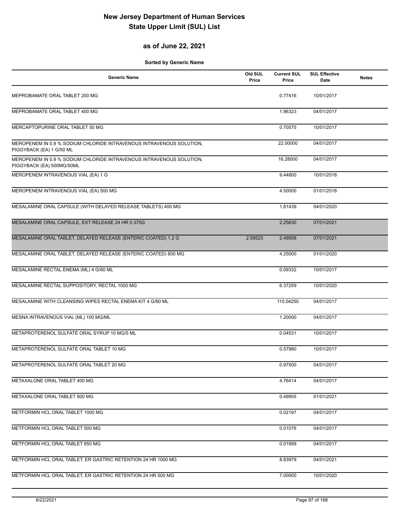### **as of June 22, 2021**

| <b>Generic Name</b>                                                                               | Old SUL<br>Price | <b>Current SUL</b><br>Price | <b>SUL Effective</b><br><b>Date</b> | <b>Notes</b> |
|---------------------------------------------------------------------------------------------------|------------------|-----------------------------|-------------------------------------|--------------|
| MEPROBAMATE ORAL TABLET 200 MG                                                                    |                  | 0.77416                     | 10/01/2017                          |              |
| MEPROBAMATE ORAL TABLET 400 MG                                                                    |                  | 1.96323                     | 04/01/2017                          |              |
| MERCAPTOPURINE ORAL TABLET 50 MG                                                                  |                  | 0.70575                     | 10/01/2017                          |              |
| MEROPENEM IN 0.9 % SODIUM CHLORIDE INTRAVENOUS INTRAVENOUS SOLUTION,<br>PIGGYBACK (EA) 1 G/50 ML  |                  | 22.00000                    | 04/01/2017                          |              |
| MEROPENEM IN 0.9 % SODIUM CHLORIDE INTRAVENOUS INTRAVENOUS SOLUTION,<br>PIGGYBACK (EA) 500MG/50ML |                  | 16.28000                    | 04/01/2017                          |              |
| MEROPENEM INTRAVENOUS VIAL (EA) 1 G                                                               |                  | 9.44800                     | 10/01/2018                          |              |
| MEROPENEM INTRAVENOUS VIAL (EA) 500 MG                                                            |                  | 4.50000                     | 01/01/2018                          |              |
| MESALAMINE ORAL CAPSULE (WITH DELAYED RELEASE TABLETS) 400 MG                                     |                  | 1.81439                     | 04/01/2020                          |              |
| MESALAMINE ORAL CAPSULE, EXT RELEASE 24 HR 0.375G                                                 |                  | 2.25630                     | 07/01/2021                          |              |
| MESALAMINE ORAL TABLET, DELAYED RELEASE (ENTERIC COATED) 1.2 G                                    | 2.59523          | 2.49958                     | 07/01/2021                          |              |
| MESALAMINE ORAL TABLET, DELAYED RELEASE (ENTERIC COATED) 800 MG                                   |                  | 4.25000                     | 01/01/2020                          |              |
| MESALAMINE RECTAL ENEMA (ML) 4 G/60 ML                                                            |                  | 0.09332                     | 10/01/2017                          |              |
| MESALAMINE RECTAL SUPPOSITORY, RECTAL 1000 MG                                                     |                  | 6.37259                     | 10/01/2020                          |              |
| MESALAMINE WITH CLEANSING WIPES RECTAL ENEMA KIT 4 G/60 ML                                        |                  | 110.04250                   | 04/01/2017                          |              |
| MESNA INTRAVENOUS VIAL (ML) 100 MG/ML                                                             |                  | 1.20000                     | 04/01/2017                          |              |
| METAPROTERENOL SULFATE ORAL SYRUP 10 MG/5 ML                                                      |                  | 0.04531                     | 10/01/2017                          |              |
| METAPROTERENOL SULFATE ORAL TABLET 10 MG                                                          |                  | 0.57980                     | 10/01/2017                          |              |
| METAPROTERENOL SULFATE ORAL TABLET 20 MG                                                          |                  | 0.97500                     | 04/01/2017                          |              |
| METAXALONE ORAL TABLET 400 MG                                                                     |                  | 4.76414                     | 04/01/2017                          |              |
| METAXALONE ORAL TABLET 800 MG                                                                     |                  | 0.49955                     | 01/01/2021                          |              |
| METFORMIN HCL ORAL TABLET 1000 MG                                                                 |                  | 0.02197                     | 04/01/2017                          |              |
| METFORMIN HCL ORAL TABLET 500 MG                                                                  |                  | 0.01076                     | 04/01/2017                          |              |
| METFORMIN HCL ORAL TABLET 850 MG                                                                  |                  | 0.01999                     | 04/01/2017                          |              |
| METFORMIN HCL ORAL TABLET, ER GASTRIC RETENTION 24 HR 1000 MG                                     |                  | 8.83979                     | 04/01/2021                          |              |
| METFORMIN HCL ORAL TABLET, ER GASTRIC RETENTION 24 HR 500 MG                                      |                  | 7.00000                     | 10/01/2020                          |              |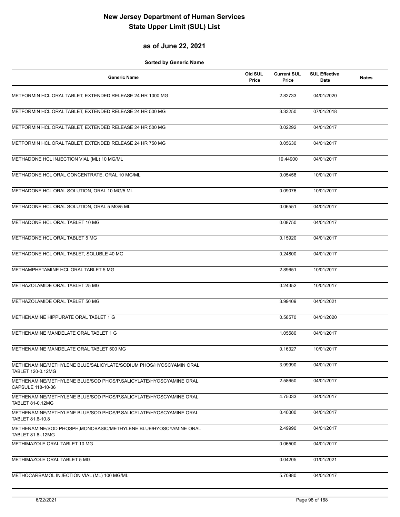### **as of June 22, 2021**

| <b>Generic Name</b>                                                                    | Old SUL<br>Price | <b>Current SUL</b><br>Price | <b>SUL Effective</b><br>Date | <b>Notes</b> |
|----------------------------------------------------------------------------------------|------------------|-----------------------------|------------------------------|--------------|
| METFORMIN HCL ORAL TABLET, EXTENDED RELEASE 24 HR 1000 MG                              |                  | 2.82733                     | 04/01/2020                   |              |
| METFORMIN HCL ORAL TABLET, EXTENDED RELEASE 24 HR 500 MG                               |                  | 3.33250                     | 07/01/2018                   |              |
| METFORMIN HCL ORAL TABLET, EXTENDED RELEASE 24 HR 500 MG                               |                  | 0.02292                     | 04/01/2017                   |              |
| METFORMIN HCL ORAL TABLET, EXTENDED RELEASE 24 HR 750 MG                               |                  | 0.05630                     | 04/01/2017                   |              |
| METHADONE HCL INJECTION VIAL (ML) 10 MG/ML                                             |                  | 19.44900                    | 04/01/2017                   |              |
| METHADONE HCL ORAL CONCENTRATE, ORAL 10 MG/ML                                          |                  | 0.05458                     | 10/01/2017                   |              |
| METHADONE HCL ORAL SOLUTION, ORAL 10 MG/5 ML                                           |                  | 0.09076                     | 10/01/2017                   |              |
| METHADONE HCL ORAL SOLUTION, ORAL 5 MG/5 ML                                            |                  | 0.06551                     | 04/01/2017                   |              |
| METHADONE HCL ORAL TABLET 10 MG                                                        |                  | 0.08750                     | 04/01/2017                   |              |
| METHADONE HCL ORAL TABLET 5 MG                                                         |                  | 0.15920                     | 04/01/2017                   |              |
| METHADONE HCL ORAL TABLET, SOLUBLE 40 MG                                               |                  | 0.24800                     | 04/01/2017                   |              |
| METHAMPHETAMINE HCL ORAL TABLET 5 MG                                                   |                  | 2.89651                     | 10/01/2017                   |              |
| METHAZOLAMIDE ORAL TABLET 25 MG                                                        |                  | 0.24352                     | 10/01/2017                   |              |
| METHAZOLAMIDE ORAL TABLET 50 MG                                                        |                  | 3.99409                     | 04/01/2021                   |              |
| METHENAMINE HIPPURATE ORAL TABLET 1 G                                                  |                  | 0.58570                     | 04/01/2020                   |              |
| METHENAMINE MANDELATE ORAL TABLET 1 G                                                  |                  | 1.05580                     | 04/01/2017                   |              |
| METHENAMINE MANDELATE ORAL TABLET 500 MG                                               |                  | 0.16327                     | 10/01/2017                   |              |
| METHENAMINE/METHYLENE BLUE/SALICYLATE/SODIUM PHOS/HYOSCYAMIN ORAL<br>TABLET 120-0.12MG |                  | 3.99990                     | 04/01/2017                   |              |
| METHENAMINE/METHYLENE BLUE/SOD PHOS/P.SALICYLATE/HYOSCYAMINE ORAL<br>CAPSULE 118-10-36 |                  | 2.58650                     | 04/01/2017                   |              |
| METHENAMINE/METHYLENE BLUE/SOD PHOS/P.SALICYLATE/HYOSCYAMINE ORAL<br>TABLET 81-0.12MG  |                  | 4.75033                     | 04/01/2017                   |              |
| METHENAMINE/METHYLENE BLUE/SOD PHOS/P.SALICYLATE/HYOSCYAMINE ORAL<br>TABLET 81.6-10.8  |                  | 0.40000                     | 04/01/2017                   |              |
| METHENAMINE/SOD PHOSPH, MONOBASIC/METHYLENE BLUE/HYOSCYAMINE ORAL<br>TABLET 81.6-.12MG |                  | 2.49990                     | 04/01/2017                   |              |
| METHIMAZOLE ORAL TABLET 10 MG                                                          |                  | 0.06500                     | 04/01/2017                   |              |
| METHIMAZOLE ORAL TABLET 5 MG                                                           |                  | 0.04205                     | 01/01/2021                   |              |
| METHOCARBAMOL INJECTION VIAL (ML) 100 MG/ML                                            |                  | 5.70880                     | 04/01/2017                   |              |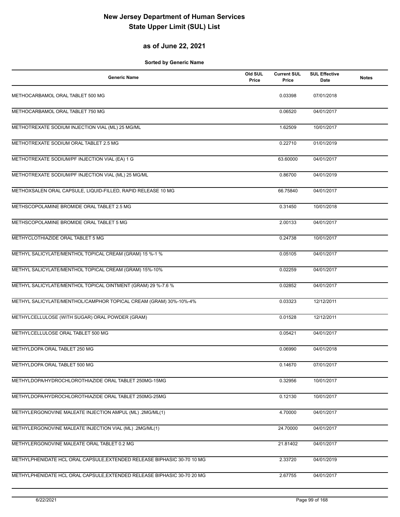#### **as of June 22, 2021**

| <b>Generic Name</b>                                                     | Old SUL<br>Price | <b>Current SUL</b><br>Price | <b>SUL Effective</b><br>Date | <b>Notes</b> |
|-------------------------------------------------------------------------|------------------|-----------------------------|------------------------------|--------------|
| METHOCARBAMOL ORAL TABLET 500 MG                                        |                  | 0.03398                     | 07/01/2018                   |              |
| METHOCARBAMOL ORAL TABLET 750 MG                                        |                  | 0.06520                     | 04/01/2017                   |              |
| METHOTREXATE SODIUM INJECTION VIAL (ML) 25 MG/ML                        |                  | 1.62509                     | 10/01/2017                   |              |
| METHOTREXATE SODIUM ORAL TABLET 2.5 MG                                  |                  | 0.22710                     | 01/01/2019                   |              |
| METHOTREXATE SODIUM/PF INJECTION VIAL (EA) 1 G                          |                  | 63.60000                    | 04/01/2017                   |              |
| METHOTREXATE SODIUM/PF INJECTION VIAL (ML) 25 MG/ML                     |                  | 0.86700                     | 04/01/2019                   |              |
| METHOXSALEN ORAL CAPSULE, LIQUID-FILLED, RAPID RELEASE 10 MG            |                  | 66.75840                    | 04/01/2017                   |              |
| METHSCOPOLAMINE BROMIDE ORAL TABLET 2.5 MG                              |                  | 0.31450                     | 10/01/2018                   |              |
| METHSCOPOLAMINE BROMIDE ORAL TABLET 5 MG                                |                  | 2.00133                     | 04/01/2017                   |              |
| METHYCLOTHIAZIDE ORAL TABLET 5 MG                                       |                  | 0.24738                     | 10/01/2017                   |              |
| METHYL SALICYLATE/MENTHOL TOPICAL CREAM (GRAM) 15 %-1 %                 |                  | 0.05105                     | 04/01/2017                   |              |
| METHYL SALICYLATE/MENTHOL TOPICAL CREAM (GRAM) 15%-10%                  |                  | 0.02259                     | 04/01/2017                   |              |
| METHYL SALICYLATE/MENTHOL TOPICAL OINTMENT (GRAM) 29 %-7.6 %            |                  | 0.02852                     | 04/01/2017                   |              |
| METHYL SALICYLATE/MENTHOL/CAMPHOR TOPICAL CREAM (GRAM) 30%-10%-4%       |                  | 0.03323                     | 12/12/2011                   |              |
| METHYLCELLULOSE (WITH SUGAR) ORAL POWDER (GRAM)                         |                  | 0.01528                     | 12/12/2011                   |              |
| METHYLCELLULOSE ORAL TABLET 500 MG                                      |                  | 0.05421                     | 04/01/2017                   |              |
| METHYLDOPA ORAL TABLET 250 MG                                           |                  | 0.06990                     | 04/01/2018                   |              |
| METHYLDOPA ORAL TABLET 500 MG                                           |                  | 0.14670                     | 07/01/2017                   |              |
| METHYLDOPA/HYDROCHLOROTHIAZIDE ORAL TABLET 250MG-15MG                   |                  | 0.32956                     | 10/01/2017                   |              |
| METHYLDOPA/HYDROCHLOROTHIAZIDE ORAL TABLET 250MG-25MG                   |                  | 0.12130                     | 10/01/2017                   |              |
| METHYLERGONOVINE MALEATE INJECTION AMPUL (ML) .2MG/ML(1)                |                  | 4.70000                     | 04/01/2017                   |              |
| METHYLERGONOVINE MALEATE INJECTION VIAL (ML) .2MG/ML(1)                 |                  | 24.70000                    | 04/01/2017                   |              |
| METHYLERGONOVINE MALEATE ORAL TABLET 0.2 MG                             |                  | 21.81402                    | 04/01/2017                   |              |
| METHYLPHENIDATE HCL ORAL CAPSULE, EXTENDED RELEASE BIPHASIC 30-70 10 MG |                  | 2.33720                     | 04/01/2019                   |              |
| METHYLPHENIDATE HCL ORAL CAPSULE, EXTENDED RELEASE BIPHASIC 30-70 20 MG |                  | 2.67755                     | 04/01/2017                   |              |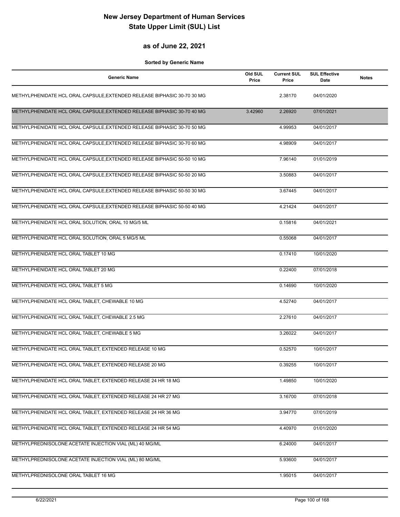#### **as of June 22, 2021**

| <b>Generic Name</b>                                                     | Old SUL<br>Price | <b>Current SUL</b><br>Price | <b>SUL Effective</b><br>Date | <b>Notes</b> |
|-------------------------------------------------------------------------|------------------|-----------------------------|------------------------------|--------------|
| METHYLPHENIDATE HCL ORAL CAPSULE, EXTENDED RELEASE BIPHASIC 30-70 30 MG |                  | 2.38170                     | 04/01/2020                   |              |
| METHYLPHENIDATE HCL ORAL CAPSULE, EXTENDED RELEASE BIPHASIC 30-70 40 MG | 3.42960          | 2.26920                     | 07/01/2021                   |              |
| METHYLPHENIDATE HCL ORAL CAPSULE, EXTENDED RELEASE BIPHASIC 30-70 50 MG |                  | 4.99953                     | 04/01/2017                   |              |
| METHYLPHENIDATE HCL ORAL CAPSULE, EXTENDED RELEASE BIPHASIC 30-70 60 MG |                  | 4.98909                     | 04/01/2017                   |              |
| METHYLPHENIDATE HCL ORAL CAPSULE, EXTENDED RELEASE BIPHASIC 50-50 10 MG |                  | 7.96140                     | 01/01/2019                   |              |
| METHYLPHENIDATE HCL ORAL CAPSULE, EXTENDED RELEASE BIPHASIC 50-50 20 MG |                  | 3.50883                     | 04/01/2017                   |              |
| METHYLPHENIDATE HCL ORAL CAPSULE, EXTENDED RELEASE BIPHASIC 50-50 30 MG |                  | 3.67445                     | 04/01/2017                   |              |
| METHYLPHENIDATE HCL ORAL CAPSULE, EXTENDED RELEASE BIPHASIC 50-50 40 MG |                  | 4.21424                     | 04/01/2017                   |              |
| METHYLPHENIDATE HCL ORAL SOLUTION, ORAL 10 MG/5 ML                      |                  | 0.15816                     | 04/01/2021                   |              |
| METHYLPHENIDATE HCL ORAL SOLUTION, ORAL 5 MG/5 ML                       |                  | 0.55068                     | 04/01/2017                   |              |
| METHYLPHENIDATE HCL ORAL TABLET 10 MG                                   |                  | 0.17410                     | 10/01/2020                   |              |
| METHYLPHENIDATE HCL ORAL TABLET 20 MG                                   |                  | 0.22400                     | 07/01/2018                   |              |
| METHYLPHENIDATE HCL ORAL TABLET 5 MG                                    |                  | 0.14690                     | 10/01/2020                   |              |
| METHYLPHENIDATE HCL ORAL TABLET, CHEWABLE 10 MG                         |                  | 4.52740                     | 04/01/2017                   |              |
| METHYLPHENIDATE HCL ORAL TABLET, CHEWABLE 2.5 MG                        |                  | 2.27610                     | 04/01/2017                   |              |
| METHYLPHENIDATE HCL ORAL TABLET, CHEWABLE 5 MG                          |                  | 3.26022                     | 04/01/2017                   |              |
| METHYLPHENIDATE HCL ORAL TABLET, EXTENDED RELEASE 10 MG                 |                  | 0.52570                     | 10/01/2017                   |              |
| METHYLPHENIDATE HCL ORAL TABLET, EXTENDED RELEASE 20 MG                 |                  | 0.39255                     | 10/01/2017                   |              |
| METHYLPHENIDATE HCL ORAL TABLET, EXTENDED RELEASE 24 HR 18 MG           |                  | 1.49850                     | 10/01/2020                   |              |
| METHYLPHENIDATE HCL ORAL TABLET, EXTENDED RELEASE 24 HR 27 MG           |                  | 3.16700                     | 07/01/2018                   |              |
| METHYLPHENIDATE HCL ORAL TABLET, EXTENDED RELEASE 24 HR 36 MG           |                  | 3.94770                     | 07/01/2019                   |              |
| METHYLPHENIDATE HCL ORAL TABLET, EXTENDED RELEASE 24 HR 54 MG           |                  | 4.40970                     | 01/01/2020                   |              |
| METHYLPREDNISOLONE ACETATE INJECTION VIAL (ML) 40 MG/ML                 |                  | 6.24000                     | 04/01/2017                   |              |
| METHYLPREDNISOLONE ACETATE INJECTION VIAL (ML) 80 MG/ML                 |                  | 5.93600                     | 04/01/2017                   |              |
| METHYLPREDNISOLONE ORAL TABLET 16 MG                                    |                  | 1.95015                     | 04/01/2017                   |              |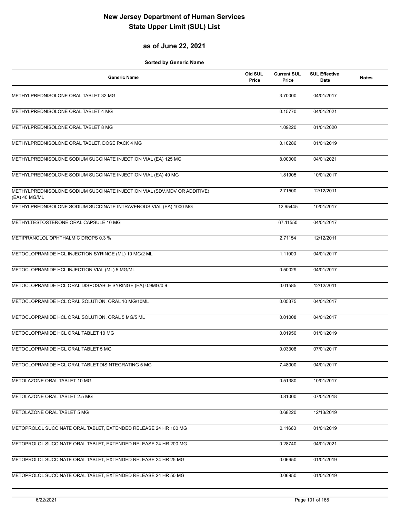### **as of June 22, 2021**

| <b>Generic Name</b>                                                                        | Old SUL<br>Price | <b>Current SUL</b><br>Price | <b>SUL Effective</b><br>Date | <b>Notes</b> |
|--------------------------------------------------------------------------------------------|------------------|-----------------------------|------------------------------|--------------|
| METHYLPREDNISOLONE ORAL TABLET 32 MG                                                       |                  | 3.70000                     | 04/01/2017                   |              |
| METHYLPREDNISOLONE ORAL TABLET 4 MG                                                        |                  | 0.15770                     | 04/01/2021                   |              |
| METHYLPREDNISOLONE ORAL TABLET 8 MG                                                        |                  | 1.09220                     | 01/01/2020                   |              |
| METHYLPREDNISOLONE ORAL TABLET, DOSE PACK 4 MG                                             |                  | 0.10286                     | 01/01/2019                   |              |
| METHYLPREDNISOLONE SODIUM SUCCINATE INJECTION VIAL (EA) 125 MG                             |                  | 8.00000                     | 04/01/2021                   |              |
| METHYLPREDNISOLONE SODIUM SUCCINATE INJECTION VIAL (EA) 40 MG                              |                  | 1.81905                     | 10/01/2017                   |              |
| METHYLPREDNISOLONE SODIUM SUCCINATE INJECTION VIAL (SDV, MDV OR ADDITIVE)<br>(EA) 40 MG/ML |                  | 2.71500                     | 12/12/2011                   |              |
| METHYLPREDNISOLONE SODIUM SUCCINATE INTRAVENOUS VIAL (EA) 1000 MG                          |                  | 12.95445                    | 10/01/2017                   |              |
| METHYLTESTOSTERONE ORAL CAPSULE 10 MG                                                      |                  | 67.11550                    | 04/01/2017                   |              |
| METIPRANOLOL OPHTHALMIC DROPS 0.3 %                                                        |                  | 2.71154                     | 12/12/2011                   |              |
| METOCLOPRAMIDE HCL INJECTION SYRINGE (ML) 10 MG/2 ML                                       |                  | 1.11000                     | 04/01/2017                   |              |
| METOCLOPRAMIDE HCL INJECTION VIAL (ML) 5 MG/ML                                             |                  | 0.50029                     | 04/01/2017                   |              |
| METOCLOPRAMIDE HCL ORAL DISPOSABLE SYRINGE (EA) 0.9MG/0.9                                  |                  | 0.01585                     | 12/12/2011                   |              |
| METOCLOPRAMIDE HCL ORAL SOLUTION, ORAL 10 MG/10ML                                          |                  | 0.05375                     | 04/01/2017                   |              |
| METOCLOPRAMIDE HCL ORAL SOLUTION, ORAL 5 MG/5 ML                                           |                  | 0.01008                     | 04/01/2017                   |              |
| METOCLOPRAMIDE HCL ORAL TABLET 10 MG                                                       |                  | 0.01950                     | 01/01/2019                   |              |
| METOCLOPRAMIDE HCL ORAL TABLET 5 MG                                                        |                  | 0.03308                     | 07/01/2017                   |              |
| METOCLOPRAMIDE HCL ORAL TABLET, DISINTEGRATING 5 MG                                        |                  | 7.48000                     | 04/01/2017                   |              |
| METOLAZONE ORAL TABLET 10 MG                                                               |                  | 0.51380                     | 10/01/2017                   |              |
| METOLAZONE ORAL TABLET 2.5 MG                                                              |                  | 0.81000                     | 07/01/2018                   |              |
| METOLAZONE ORAL TABLET 5 MG                                                                |                  | 0.68220                     | 12/13/2019                   |              |
| METOPROLOL SUCCINATE ORAL TABLET, EXTENDED RELEASE 24 HR 100 MG                            |                  | 0.11660                     | 01/01/2019                   |              |
| METOPROLOL SUCCINATE ORAL TABLET, EXTENDED RELEASE 24 HR 200 MG                            |                  | 0.28740                     | 04/01/2021                   |              |
| METOPROLOL SUCCINATE ORAL TABLET, EXTENDED RELEASE 24 HR 25 MG                             |                  | 0.06650                     | 01/01/2019                   |              |
| METOPROLOL SUCCINATE ORAL TABLET, EXTENDED RELEASE 24 HR 50 MG                             |                  | 0.06950                     | 01/01/2019                   |              |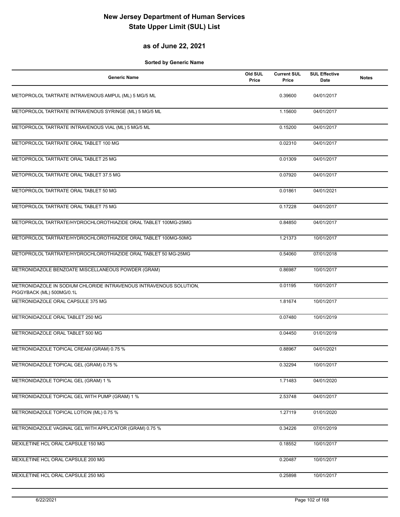#### **as of June 22, 2021**

| <b>Generic Name</b>                                                                             | Old SUL<br>Price | <b>Current SUL</b><br>Price | <b>SUL Effective</b><br>Date | <b>Notes</b> |
|-------------------------------------------------------------------------------------------------|------------------|-----------------------------|------------------------------|--------------|
| METOPROLOL TARTRATE INTRAVENOUS AMPUL (ML) 5 MG/5 ML                                            |                  | 0.39600                     | 04/01/2017                   |              |
| METOPROLOL TARTRATE INTRAVENOUS SYRINGE (ML) 5 MG/5 ML                                          |                  | 1.15600                     | 04/01/2017                   |              |
| METOPROLOL TARTRATE INTRAVENOUS VIAL (ML) 5 MG/5 ML                                             |                  | 0.15200                     | 04/01/2017                   |              |
| METOPROLOL TARTRATE ORAL TABLET 100 MG                                                          |                  | 0.02310                     | 04/01/2017                   |              |
| METOPROLOL TARTRATE ORAL TABLET 25 MG                                                           |                  | 0.01309                     | 04/01/2017                   |              |
| METOPROLOL TARTRATE ORAL TABLET 37.5 MG                                                         |                  | 0.07920                     | 04/01/2017                   |              |
| METOPROLOL TARTRATE ORAL TABLET 50 MG                                                           |                  | 0.01861                     | 04/01/2021                   |              |
| METOPROLOL TARTRATE ORAL TABLET 75 MG                                                           |                  | 0.17228                     | 04/01/2017                   |              |
| METOPROLOL TARTRATE/HYDROCHLOROTHIAZIDE ORAL TABLET 100MG-25MG                                  |                  | 0.84850                     | 04/01/2017                   |              |
| METOPROLOL TARTRATE/HYDROCHLOROTHIAZIDE ORAL TABLET 100MG-50MG                                  |                  | 1.21373                     | 10/01/2017                   |              |
| METOPROLOL TARTRATE/HYDROCHLOROTHIAZIDE ORAL TABLET 50 MG-25MG                                  |                  | 0.54060                     | 07/01/2018                   |              |
| METRONIDAZOLE BENZOATE MISCELLANEOUS POWDER (GRAM)                                              |                  | 0.86987                     | 10/01/2017                   |              |
| METRONIDAZOLE IN SODIUM CHLORIDE INTRAVENOUS INTRAVENOUS SOLUTION,<br>PIGGYBACK (ML) 500MG/0.1L |                  | 0.01195                     | 10/01/2017                   |              |
| METRONIDAZOLE ORAL CAPSULE 375 MG                                                               |                  | 1.81674                     | 10/01/2017                   |              |
| METRONIDAZOLE ORAL TABLET 250 MG                                                                |                  | 0.07480                     | 10/01/2019                   |              |
| METRONIDAZOLE ORAL TABLET 500 MG                                                                |                  | 0.04450                     | 01/01/2019                   |              |
| METRONIDAZOLE TOPICAL CREAM (GRAM) 0.75 %                                                       |                  | 0.88967                     | 04/01/2021                   |              |
| METRONIDAZOLE TOPICAL GEL (GRAM) 0.75 %                                                         |                  | 0.32294                     | 10/01/2017                   |              |
| METRONIDAZOLE TOPICAL GEL (GRAM) 1 %                                                            |                  | 1.71483                     | 04/01/2020                   |              |
| METRONIDAZOLE TOPICAL GEL WITH PUMP (GRAM) 1 %                                                  |                  | 2.53748                     | 04/01/2017                   |              |
| METRONIDAZOLE TOPICAL LOTION (ML) 0.75 %                                                        |                  | 1.27119                     | 01/01/2020                   |              |
| METRONIDAZOLE VAGINAL GEL WITH APPLICATOR (GRAM) 0.75 %                                         |                  | 0.34226                     | 07/01/2019                   |              |
| MEXILETINE HCL ORAL CAPSULE 150 MG                                                              |                  | 0.18552                     | 10/01/2017                   |              |
| MEXILETINE HCL ORAL CAPSULE 200 MG                                                              |                  | 0.20487                     | 10/01/2017                   |              |
| MEXILETINE HCL ORAL CAPSULE 250 MG                                                              |                  | 0.25898                     | 10/01/2017                   |              |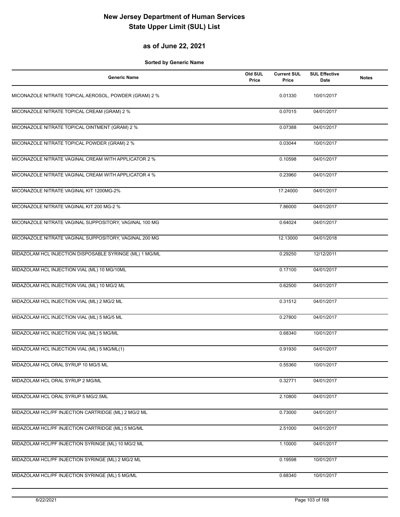### **as of June 22, 2021**

| <b>Generic Name</b>                                     | Old SUL<br>Price | <b>Current SUL</b><br>Price | <b>SUL Effective</b><br>Date | <b>Notes</b> |
|---------------------------------------------------------|------------------|-----------------------------|------------------------------|--------------|
| MICONAZOLE NITRATE TOPICAL AEROSOL, POWDER (GRAM) 2 %   |                  | 0.01330                     | 10/01/2017                   |              |
| MICONAZOLE NITRATE TOPICAL CREAM (GRAM) 2 %             |                  | 0.07015                     | 04/01/2017                   |              |
| MICONAZOLE NITRATE TOPICAL OINTMENT (GRAM) 2 %          |                  | 0.07388                     | 04/01/2017                   |              |
| MICONAZOLE NITRATE TOPICAL POWDER (GRAM) 2 %            |                  | 0.03044                     | 10/01/2017                   |              |
| MICONAZOLE NITRATE VAGINAL CREAM WITH APPLICATOR 2 %    |                  | 0.10598                     | 04/01/2017                   |              |
| MICONAZOLE NITRATE VAGINAL CREAM WITH APPLICATOR 4 %    |                  | 0.23960                     | 04/01/2017                   |              |
| MICONAZOLE NITRATE VAGINAL KIT 1200MG-2%                |                  | 17.24000                    | 04/01/2017                   |              |
| MICONAZOLE NITRATE VAGINAL KIT 200 MG-2 %               |                  | 7.86000                     | 04/01/2017                   |              |
| MICONAZOLE NITRATE VAGINAL SUPPOSITORY, VAGINAL 100 MG  |                  | 0.64024                     | 04/01/2017                   |              |
| MICONAZOLE NITRATE VAGINAL SUPPOSITORY, VAGINAL 200 MG  |                  | 12.13000                    | 04/01/2018                   |              |
| MIDAZOLAM HCL INJECTION DISPOSABLE SYRINGE (ML) 1 MG/ML |                  | 0.29250                     | 12/12/2011                   |              |
| MIDAZOLAM HCL INJECTION VIAL (ML) 10 MG/10ML            |                  | 0.17100                     | 04/01/2017                   |              |
| MIDAZOLAM HCL INJECTION VIAL (ML) 10 MG/2 ML            |                  | 0.62500                     | 04/01/2017                   |              |
| MIDAZOLAM HCL INJECTION VIAL (ML) 2 MG/2 ML             |                  | 0.31512                     | 04/01/2017                   |              |
| MIDAZOLAM HCL INJECTION VIAL (ML) 5 MG/5 ML             |                  | 0.27800                     | 04/01/2017                   |              |
| MIDAZOLAM HCL INJECTION VIAL (ML) 5 MG/ML               |                  | 0.68340                     | 10/01/2017                   |              |
| MIDAZOLAM HCL INJECTION VIAL (ML) 5 MG/ML(1)            |                  | 0.91930                     | 04/01/2017                   |              |
| MIDAZOLAM HCL ORAL SYRUP 10 MG/5 ML                     |                  | 0.55360                     | 10/01/2017                   |              |
| MIDAZOLAM HCL ORAL SYRUP 2 MG/ML                        |                  | 0.32771                     | 04/01/2017                   |              |
| MIDAZOLAM HCL ORAL SYRUP 5 MG/2.5ML                     |                  | 2.10800                     | 04/01/2017                   |              |
| MIDAZOLAM HCL/PF INJECTION CARTRIDGE (ML) 2 MG/2 ML     |                  | 0.73000                     | 04/01/2017                   |              |
| MIDAZOLAM HCL/PF INJECTION CARTRIDGE (ML) 5 MG/ML       |                  | 2.51000                     | 04/01/2017                   |              |
| MIDAZOLAM HCL/PF INJECTION SYRINGE (ML) 10 MG/2 ML      |                  | 1.10000                     | 04/01/2017                   |              |
| MIDAZOLAM HCL/PF INJECTION SYRINGE (ML) 2 MG/2 ML       |                  | 0.19598                     | 10/01/2017                   |              |
| MIDAZOLAM HCL/PF INJECTION SYRINGE (ML) 5 MG/ML         |                  | 0.68340                     | 10/01/2017                   |              |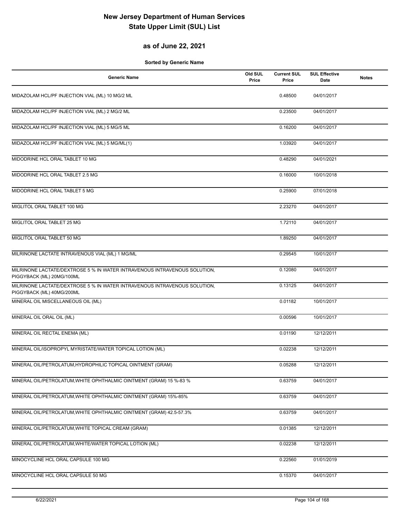### **as of June 22, 2021**

| <b>Generic Name</b>                                                                                    | Old SUL<br>Price | <b>Current SUL</b><br>Price | <b>SUL Effective</b><br>Date | <b>Notes</b> |
|--------------------------------------------------------------------------------------------------------|------------------|-----------------------------|------------------------------|--------------|
| MIDAZOLAM HCL/PF INJECTION VIAL (ML) 10 MG/2 ML                                                        |                  | 0.48500                     | 04/01/2017                   |              |
| MIDAZOLAM HCL/PF INJECTION VIAL (ML) 2 MG/2 ML                                                         |                  | 0.23500                     | 04/01/2017                   |              |
| MIDAZOLAM HCL/PF INJECTION VIAL (ML) 5 MG/5 ML                                                         |                  | 0.16200                     | 04/01/2017                   |              |
| MIDAZOLAM HCL/PF INJECTION VIAL (ML) 5 MG/ML(1)                                                        |                  | 1.03920                     | 04/01/2017                   |              |
| MIDODRINE HCL ORAL TABLET 10 MG                                                                        |                  | 0.48290                     | 04/01/2021                   |              |
| MIDODRINE HCL ORAL TABLET 2.5 MG                                                                       |                  | 0.16000                     | 10/01/2018                   |              |
| MIDODRINE HCL ORAL TABLET 5 MG                                                                         |                  | 0.25900                     | 07/01/2018                   |              |
| MIGLITOL ORAL TABLET 100 MG                                                                            |                  | 2.23270                     | 04/01/2017                   |              |
| MIGLITOL ORAL TABLET 25 MG                                                                             |                  | 1.72110                     | 04/01/2017                   |              |
| MIGLITOL ORAL TABLET 50 MG                                                                             |                  | 1.89250                     | 04/01/2017                   |              |
| MILRINONE LACTATE INTRAVENOUS VIAL (ML) 1 MG/ML                                                        |                  | 0.29545                     | 10/01/2017                   |              |
| MILRINONE LACTATE/DEXTROSE 5 % IN WATER INTRAVENOUS INTRAVENOUS SOLUTION,<br>PIGGYBACK (ML) 20MG/100ML |                  | 0.12080                     | 04/01/2017                   |              |
| MILRINONE LACTATE/DEXTROSE 5 % IN WATER INTRAVENOUS INTRAVENOUS SOLUTION,<br>PIGGYBACK (ML) 40MG/200ML |                  | 0.13125                     | 04/01/2017                   |              |
| MINERAL OIL MISCELLANEOUS OIL (ML)                                                                     |                  | 0.01182                     | 10/01/2017                   |              |
| MINERAL OIL ORAL OIL (ML)                                                                              |                  | 0.00596                     | 10/01/2017                   |              |
| MINERAL OIL RECTAL ENEMA (ML)                                                                          |                  | 0.01190                     | 12/12/2011                   |              |
| MINERAL OIL/ISOPROPYL MYRISTATE/WATER TOPICAL LOTION (ML)                                              |                  | 0.02238                     | 12/12/2011                   |              |
| MINERAL OIL/PETROLATUM, HYDROPHILIC TOPICAL OINTMENT (GRAM)                                            |                  | 0.05288                     | 12/12/2011                   |              |
| MINERAL OIL/PETROLATUM, WHITE OPHTHALMIC OINTMENT (GRAM) 15 %-83 %                                     |                  | 0.63759                     | 04/01/2017                   |              |
| MINERAL OIL/PETROLATUM, WHITE OPHTHALMIC OINTMENT (GRAM) 15%-85%                                       |                  | 0.63759                     | 04/01/2017                   |              |
| MINERAL OIL/PETROLATUM, WHITE OPHTHALMIC OINTMENT (GRAM) 42.5-57.3%                                    |                  | 0.63759                     | 04/01/2017                   |              |
| MINERAL OIL/PETROLATUM, WHITE TOPICAL CREAM (GRAM)                                                     |                  | 0.01385                     | 12/12/2011                   |              |
| MINERAL OIL/PETROLATUM, WHITE/WATER TOPICAL LOTION (ML)                                                |                  | 0.02238                     | 12/12/2011                   |              |
| MINOCYCLINE HCL ORAL CAPSULE 100 MG                                                                    |                  | 0.22560                     | 01/01/2019                   |              |
| MINOCYCLINE HCL ORAL CAPSULE 50 MG                                                                     |                  | 0.15370                     | 04/01/2017                   |              |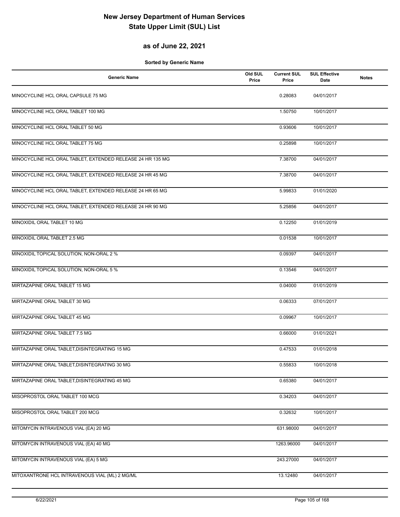### **as of June 22, 2021**

| <b>Generic Name</b>                                        | Old SUL<br>Price | <b>Current SUL</b><br>Price | <b>SUL Effective</b><br>Date | <b>Notes</b> |
|------------------------------------------------------------|------------------|-----------------------------|------------------------------|--------------|
| MINOCYCLINE HCL ORAL CAPSULE 75 MG                         |                  | 0.28083                     | 04/01/2017                   |              |
| MINOCYCLINE HCL ORAL TABLET 100 MG                         |                  | 1.50750                     | 10/01/2017                   |              |
| MINOCYCLINE HCL ORAL TABLET 50 MG                          |                  | 0.93606                     | 10/01/2017                   |              |
| MINOCYCLINE HCL ORAL TABLET 75 MG                          |                  | 0.25898                     | 10/01/2017                   |              |
| MINOCYCLINE HCL ORAL TABLET, EXTENDED RELEASE 24 HR 135 MG |                  | 7.38700                     | 04/01/2017                   |              |
| MINOCYCLINE HCL ORAL TABLET, EXTENDED RELEASE 24 HR 45 MG  |                  | 7.38700                     | 04/01/2017                   |              |
| MINOCYCLINE HCL ORAL TABLET, EXTENDED RELEASE 24 HR 65 MG  |                  | 5.99833                     | 01/01/2020                   |              |
| MINOCYCLINE HCL ORAL TABLET, EXTENDED RELEASE 24 HR 90 MG  |                  | 5.25856                     | 04/01/2017                   |              |
| MINOXIDIL ORAL TABLET 10 MG                                |                  | 0.12250                     | 01/01/2019                   |              |
| MINOXIDIL ORAL TABLET 2.5 MG                               |                  | 0.01538                     | 10/01/2017                   |              |
| MINOXIDIL TOPICAL SOLUTION, NON-ORAL 2 %                   |                  | 0.09397                     | 04/01/2017                   |              |
| MINOXIDIL TOPICAL SOLUTION, NON-ORAL 5 %                   |                  | 0.13546                     | 04/01/2017                   |              |
| MIRTAZAPINE ORAL TABLET 15 MG                              |                  | 0.04000                     | 01/01/2019                   |              |
| MIRTAZAPINE ORAL TABLET 30 MG                              |                  | 0.06333                     | 07/01/2017                   |              |
| MIRTAZAPINE ORAL TABLET 45 MG                              |                  | 0.09967                     | 10/01/2017                   |              |
| MIRTAZAPINE ORAL TABLET 7.5 MG                             |                  | 0.66000                     | 01/01/2021                   |              |
| MIRTAZAPINE ORAL TABLET, DISINTEGRATING 15 MG              |                  | 0.47533                     | 01/01/2018                   |              |
| MIRTAZAPINE ORAL TABLET, DISINTEGRATING 30 MG              |                  | 0.55833                     | 10/01/2018                   |              |
| MIRTAZAPINE ORAL TABLET, DISINTEGRATING 45 MG              |                  | 0.65380                     | 04/01/2017                   |              |
| MISOPROSTOL ORAL TABLET 100 MCG                            |                  | 0.34203                     | 04/01/2017                   |              |
| MISOPROSTOL ORAL TABLET 200 MCG                            |                  | 0.32632                     | 10/01/2017                   |              |
| MITOMYCIN INTRAVENOUS VIAL (EA) 20 MG                      |                  | 631.98000                   | 04/01/2017                   |              |
| MITOMYCIN INTRAVENOUS VIAL (EA) 40 MG                      |                  | 1263.96000                  | 04/01/2017                   |              |
| MITOMYCIN INTRAVENOUS VIAL (EA) 5 MG                       |                  | 243.27000                   | 04/01/2017                   |              |
| MITOXANTRONE HCL INTRAVENOUS VIAL (ML) 2 MG/ML             |                  | 13.12480                    | 04/01/2017                   |              |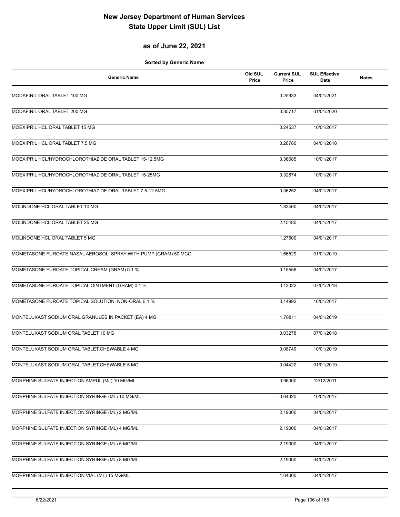### **as of June 22, 2021**

| <b>Generic Name</b>                                             | Old SUL<br>Price | <b>Current SUL</b><br>Price | <b>SUL Effective</b><br>Date | <b>Notes</b> |
|-----------------------------------------------------------------|------------------|-----------------------------|------------------------------|--------------|
| MODAFINIL ORAL TABLET 100 MG                                    |                  | 0.25933                     | 04/01/2021                   |              |
| MODAFINIL ORAL TABLET 200 MG                                    |                  | 0.35717                     | 01/01/2020                   |              |
| MOEXIPRIL HCL ORAL TABLET 15 MG                                 |                  | 0.24537                     | 10/01/2017                   |              |
| MOEXIPRIL HCL ORAL TABLET 7.5 MG                                |                  | 0.26780                     | 04/01/2018                   |              |
| MOEXIPRIL HCL/HYDROCHLOROTHIAZIDE ORAL TABLET 15-12.5MG         |                  | 0.36685                     | 10/01/2017                   |              |
| MOEXIPRIL HCL/HYDROCHLOROTHIAZIDE ORAL TABLET 15-25MG           |                  | 0.32874                     | 10/01/2017                   |              |
| MOEXIPRIL HCL/HYDROCHLOROTHIAZIDE ORAL TABLET 7.5-12.5MG        |                  | 0.36252                     | 04/01/2017                   |              |
| MOLINDONE HCL ORAL TABLET 10 MG                                 |                  | 1.83460                     | 04/01/2017                   |              |
| MOLINDONE HCL ORAL TABLET 25 MG                                 |                  | 2.15480                     | 04/01/2017                   |              |
| MOLINDONE HCL ORAL TABLET 5 MG                                  |                  | 1.27600                     | 04/01/2017                   |              |
| MOMETASONE FUROATE NASAL AEROSOL, SPRAY WITH PUMP (GRAM) 50 MCG |                  | 1.66529                     | 01/01/2019                   |              |
| MOMETASONE FUROATE TOPICAL CREAM (GRAM) 0.1 %                   |                  | 0.15556                     | 04/01/2017                   |              |
| MOMETASONE FUROATE TOPICAL OINTMENT (GRAM) 0.1 %                |                  | 0.13022                     | 07/01/2018                   |              |
| MOMETASONE FUROATE TOPICAL SOLUTION, NON-ORAL 0.1 %             |                  | 0.14992                     | 10/01/2017                   |              |
| MONTELUKAST SODIUM ORAL GRANULES IN PACKET (EA) 4 MG            |                  | 1.78811                     | 04/01/2019                   |              |
| MONTELUKAST SODIUM ORAL TABLET 10 MG                            |                  | 0.03278                     | 07/01/2018                   |              |
| MONTELUKAST SODIUM ORAL TABLET, CHEWABLE 4 MG                   |                  | 0.08749                     | 10/01/2019                   |              |
| MONTELUKAST SODIUM ORAL TABLET, CHEWABLE 5 MG                   |                  | 0.04422                     | 01/01/2019                   |              |
| MORPHINE SULFATE INJECTION AMPUL (ML) 10 MG/ML                  |                  | 0.96000                     | 12/12/2011                   |              |
| MORPHINE SULFATE INJECTION SYRINGE (ML) 10 MG/ML                |                  | 0.64320                     | 10/01/2017                   |              |
| MORPHINE SULFATE INJECTION SYRINGE (ML) 2 MG/ML                 |                  | 2.19000                     | 04/01/2017                   |              |
| MORPHINE SULFATE INJECTION SYRINGE (ML) 4 MG/ML                 |                  | 2.19000                     | 04/01/2017                   |              |
| MORPHINE SULFATE INJECTION SYRINGE (ML) 5 MG/ML                 |                  | 2.19000                     | 04/01/2017                   |              |
| MORPHINE SULFATE INJECTION SYRINGE (ML) 8 MG/ML                 |                  | 2.19000                     | 04/01/2017                   |              |
| MORPHINE SULFATE INJECTION VIAL (ML) 15 MG/ML                   |                  | 1.04000                     | 04/01/2017                   |              |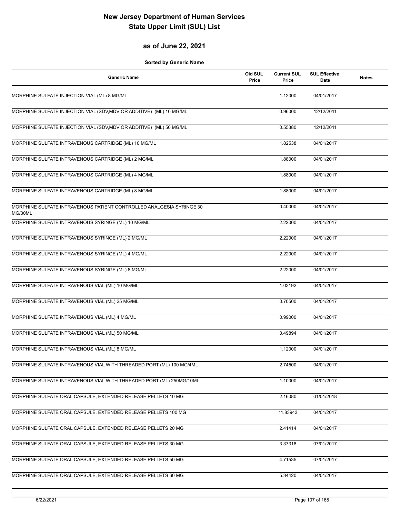#### **as of June 22, 2021**

| <b>Generic Name</b>                                                             | Old SUL<br>Price | <b>Current SUL</b><br>Price | <b>SUL Effective</b><br>Date | <b>Notes</b> |
|---------------------------------------------------------------------------------|------------------|-----------------------------|------------------------------|--------------|
| MORPHINE SULFATE INJECTION VIAL (ML) 8 MG/ML                                    |                  | 1.12000                     | 04/01/2017                   |              |
| MORPHINE SULFATE INJECTION VIAL (SDV, MDV OR ADDITIVE) (ML) 10 MG/ML            |                  | 0.96000                     | 12/12/2011                   |              |
| MORPHINE SULFATE INJECTION VIAL (SDV, MDV OR ADDITIVE) (ML) 50 MG/ML            |                  | 0.55380                     | 12/12/2011                   |              |
| MORPHINE SULFATE INTRAVENOUS CARTRIDGE (ML) 10 MG/ML                            |                  | 1.82538                     | 04/01/2017                   |              |
| MORPHINE SULFATE INTRAVENOUS CARTRIDGE (ML) 2 MG/ML                             |                  | 1.88000                     | 04/01/2017                   |              |
| MORPHINE SULFATE INTRAVENOUS CARTRIDGE (ML) 4 MG/ML                             |                  | 1.88000                     | 04/01/2017                   |              |
| MORPHINE SULFATE INTRAVENOUS CARTRIDGE (ML) 8 MG/ML                             |                  | 1.88000                     | 04/01/2017                   |              |
| MORPHINE SULFATE INTRAVENOUS PATIENT CONTROLLED ANALGESIA SYRINGE 30<br>MG/30ML |                  | 0.40000                     | 04/01/2017                   |              |
| MORPHINE SULFATE INTRAVENOUS SYRINGE (ML) 10 MG/ML                              |                  | 2.22000                     | 04/01/2017                   |              |
| MORPHINE SULFATE INTRAVENOUS SYRINGE (ML) 2 MG/ML                               |                  | 2.22000                     | 04/01/2017                   |              |
| MORPHINE SULFATE INTRAVENOUS SYRINGE (ML) 4 MG/ML                               |                  | 2.22000                     | 04/01/2017                   |              |
| MORPHINE SULFATE INTRAVENOUS SYRINGE (ML) 8 MG/ML                               |                  | 2.22000                     | 04/01/2017                   |              |
| MORPHINE SULFATE INTRAVENOUS VIAL (ML) 10 MG/ML                                 |                  | 1.03192                     | 04/01/2017                   |              |
| MORPHINE SULFATE INTRAVENOUS VIAL (ML) 25 MG/ML                                 |                  | 0.70500                     | 04/01/2017                   |              |
| MORPHINE SULFATE INTRAVENOUS VIAL (ML) 4 MG/ML                                  |                  | 0.99000                     | 04/01/2017                   |              |
| MORPHINE SULFATE INTRAVENOUS VIAL (ML) 50 MG/ML                                 |                  | 0.49894                     | 04/01/2017                   |              |
| MORPHINE SULFATE INTRAVENOUS VIAL (ML) 8 MG/ML                                  |                  | 1.12000                     | 04/01/2017                   |              |
| MORPHINE SULFATE INTRAVENOUS VIAL WITH THREADED PORT (ML) 100 MG/4ML            |                  | 2.74500                     | 04/01/2017                   |              |
| MORPHINE SULFATE INTRAVENOUS VIAL WITH THREADED PORT (ML) 250MG/10ML            |                  | 1.10000                     | 04/01/2017                   |              |
| MORPHINE SULFATE ORAL CAPSULE, EXTENDED RELEASE PELLETS 10 MG                   |                  | 2.16080                     | 01/01/2018                   |              |
| MORPHINE SULFATE ORAL CAPSULE, EXTENDED RELEASE PELLETS 100 MG                  |                  | 11.83943                    | 04/01/2017                   |              |
| MORPHINE SULFATE ORAL CAPSULE, EXTENDED RELEASE PELLETS 20 MG                   |                  | 2.41414                     | 04/01/2017                   |              |
| MORPHINE SULFATE ORAL CAPSULE, EXTENDED RELEASE PELLETS 30 MG                   |                  | 3.37318                     | 07/01/2017                   |              |
| MORPHINE SULFATE ORAL CAPSULE, EXTENDED RELEASE PELLETS 50 MG                   |                  | 4.71535                     | 07/01/2017                   |              |
| MORPHINE SULFATE ORAL CAPSULE, EXTENDED RELEASE PELLETS 60 MG                   |                  | 5.34420                     | 04/01/2017                   |              |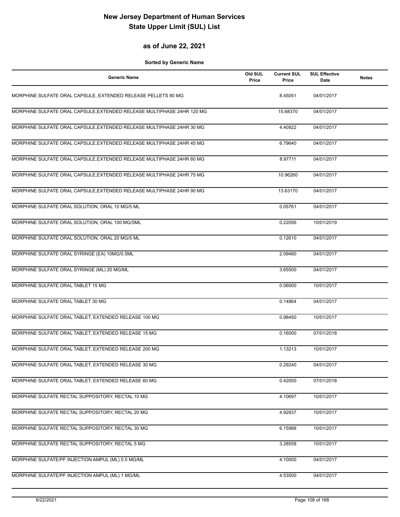#### **as of June 22, 2021**

| <b>Generic Name</b>                                                    | Old SUL<br>Price | <b>Current SUL</b><br>Price | <b>SUL Effective</b><br>Date | <b>Notes</b> |
|------------------------------------------------------------------------|------------------|-----------------------------|------------------------------|--------------|
| MORPHINE SULFATE ORAL CAPSULE, EXTENDED RELEASE PELLETS 80 MG          |                  | 8.45051                     | 04/01/2017                   |              |
| MORPHINE SULFATE ORAL CAPSULE, EXTENDED RELEASE MULTIPHASE 24HR 120 MG |                  | 15.68370                    | 04/01/2017                   |              |
| MORPHINE SULFATE ORAL CAPSULE, EXTENDED RELEASE MULTIPHASE 24HR 30 MG  |                  | 4.40922                     | 04/01/2017                   |              |
| MORPHINE SULFATE ORAL CAPSULE, EXTENDED RELEASE MULTIPHASE 24HR 45 MG  |                  | 6.79640                     | 04/01/2017                   |              |
| MORPHINE SULFATE ORAL CAPSULE, EXTENDED RELEASE MULTIPHASE 24HR 60 MG  |                  | 8.97711                     | 04/01/2017                   |              |
| MORPHINE SULFATE ORAL CAPSULE, EXTENDED RELEASE MULTIPHASE 24HR 75 MG  |                  | 10.96260                    | 04/01/2017                   |              |
| MORPHINE SULFATE ORAL CAPSULE, EXTENDED RELEASE MULTIPHASE 24HR 90 MG  |                  | 13.63170                    | 04/01/2017                   |              |
| MORPHINE SULFATE ORAL SOLUTION, ORAL 10 MG/5 ML                        |                  | 0.05761                     | 04/01/2017                   |              |
| MORPHINE SULFATE ORAL SOLUTION, ORAL 100 MG/5ML                        |                  | 0.22056                     | 10/01/2019                   |              |
| MORPHINE SULFATE ORAL SOLUTION, ORAL 20 MG/5 ML                        |                  | 0.12610                     | 04/01/2017                   |              |
| MORPHINE SULFATE ORAL SYRINGE (EA) 10MG/0.5ML                          |                  | 2.09480                     | 04/01/2017                   |              |
| MORPHINE SULFATE ORAL SYRINGE (ML) 20 MG/ML                            |                  | 3.65500                     | 04/01/2017                   |              |
| MORPHINE SULFATE ORAL TABLET 15 MG                                     |                  | 0.06000                     | 10/01/2017                   |              |
| MORPHINE SULFATE ORAL TABLET 30 MG                                     |                  | 0.14864                     | 04/01/2017                   |              |
| MORPHINE SULFATE ORAL TABLET, EXTENDED RELEASE 100 MG                  |                  | 0.98450                     | 10/01/2017                   |              |
| MORPHINE SULFATE ORAL TABLET, EXTENDED RELEASE 15 MG                   |                  | 0.16000                     | 07/01/2018                   |              |
| MORPHINE SULFATE ORAL TABLET, EXTENDED RELEASE 200 MG                  |                  | 1.13213                     | 10/01/2017                   |              |
| MORPHINE SULFATE ORAL TABLET, EXTENDED RELEASE 30 MG                   |                  | 0.29240                     | 04/01/2017                   |              |
| MORPHINE SULFATE ORAL TABLET, EXTENDED RELEASE 60 MG                   |                  | 0.42000                     | 07/01/2018                   |              |
| MORPHINE SULFATE RECTAL SUPPOSITORY, RECTAL 10 MG                      |                  | 4.10697                     | 10/01/2017                   |              |
| MORPHINE SULFATE RECTAL SUPPOSITORY, RECTAL 20 MG                      |                  | 4.92837                     | 10/01/2017                   |              |
| MORPHINE SULFATE RECTAL SUPPOSITORY, RECTAL 30 MG                      |                  | 6.15988                     | 10/01/2017                   |              |
| MORPHINE SULFATE RECTAL SUPPOSITORY, RECTAL 5 MG                       |                  | 3.28558                     | 10/01/2017                   |              |
| MORPHINE SULFATE/PF INJECTION AMPUL (ML) 0.5 MG/ML                     |                  | 4.10000                     | 04/01/2017                   |              |
| MORPHINE SULFATE/PF INJECTION AMPUL (ML) 1 MG/ML                       |                  | 4.53500                     | 04/01/2017                   |              |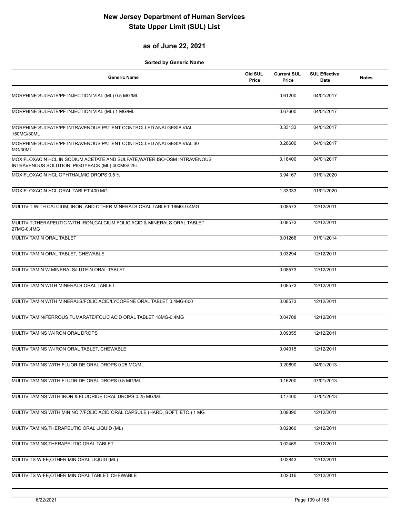### **as of June 22, 2021**

| <b>Generic Name</b>                                                                                                           | Old SUL<br>Price | <b>Current SUL</b><br>Price | <b>SUL Effective</b><br>Date | <b>Notes</b> |
|-------------------------------------------------------------------------------------------------------------------------------|------------------|-----------------------------|------------------------------|--------------|
| MORPHINE SULFATE/PF INJECTION VIAL (ML) 0.5 MG/ML                                                                             |                  | 0.61200                     | 04/01/2017                   |              |
| MORPHINE SULFATE/PF INJECTION VIAL (ML) 1 MG/ML                                                                               |                  | 0.67600                     | 04/01/2017                   |              |
| MORPHINE SULFATE/PF INTRAVENOUS PATIENT CONTROLLED ANALGESIA VIAL<br>150MG/30ML                                               |                  | 0.33133                     | 04/01/2017                   |              |
| MORPHINE SULFATE/PF INTRAVENOUS PATIENT CONTROLLED ANALGESIA VIAL 30<br>MG/30ML                                               |                  | 0.26600                     | 04/01/2017                   |              |
| MOXIFLOXACIN HCL IN SODIUM ACETATE AND SULFATE, WATER, ISO-OSM INTRAVENOUS<br>INTRAVENOUS SOLUTION, PIGGYBACK (ML) 400MG/.25L |                  | 0.18400                     | 04/01/2017                   |              |
| MOXIFLOXACIN HCL OPHTHALMIC DROPS 0.5 %                                                                                       |                  | 3.94167                     | 01/01/2020                   |              |
| MOXIFLOXACIN HCL ORAL TABLET 400 MG                                                                                           |                  | 1.33333                     | 01/01/2020                   |              |
| MULTIVIT WITH CALCIUM, IRON, AND OTHER MINERALS ORAL TABLET 18MG-0.4MG                                                        |                  | 0.08573                     | 12/12/2011                   |              |
| MULTIVIT, THERAPEUTIC WITH IRON, CALCIUM, FOLIC ACID & MINERALS ORAL TABLET<br>27MG-0.4MG                                     |                  | 0.08573                     | 12/12/2011                   |              |
| MULTIVITAMIN ORAL TABLET                                                                                                      |                  | 0.01266                     | 01/01/2014                   |              |
| MULTIVITAMIN ORAL TABLET, CHEWABLE                                                                                            |                  | 0.03294                     | 12/12/2011                   |              |
| MULTIVITAMIN W-MINERALS/LUTEIN ORAL TABLET                                                                                    |                  | 0.08573                     | 12/12/2011                   |              |
| MULTIVITAMIN WITH MINERALS ORAL TABLET                                                                                        |                  | 0.08573                     | 12/12/2011                   |              |
| MULTIVITAMIN WITH MINERALS/FOLIC ACID/LYCOPENE ORAL TABLET 0.4MG-600                                                          |                  | 0.08573                     | 12/12/2011                   |              |
| MULTIVITAMIN/FERROUS FUMARATE/FOLIC ACID ORAL TABLET 18MG-0.4MG                                                               |                  | 0.04708                     | 12/12/2011                   |              |
| MULTIVITAMINS W-IRON ORAL DROPS                                                                                               |                  | 0.09355                     | 12/12/2011                   |              |
| MULTIVITAMINS W-IRON ORAL TABLET, CHEWABLE                                                                                    |                  | 0.04015                     | 12/12/2011                   |              |
| MULTIVITAMINS WITH FLUORIDE ORAL DROPS 0.25 MG/ML                                                                             |                  | 0.20690                     | 04/01/2013                   |              |
| MULTIVITAMINS WITH FLUORIDE ORAL DROPS 0.5 MG/ML                                                                              |                  | 0.16200                     | 07/01/2013                   |              |
| MULTIVITAMINS WITH IRON & FLUORIDE ORAL DROPS 0.25 MG/ML                                                                      |                  | 0.17400                     | 07/01/2013                   |              |
| MULTIVITAMINS WITH MIN NO.7/FOLIC ACID ORAL CAPSULE (HARD, SOFT, ETC.) 1 MG                                                   |                  | 0.09390                     | 12/12/2011                   |              |
| MULTIVITAMINS, THERAPEUTIC ORAL LIQUID (ML)                                                                                   |                  | 0.02860                     | 12/12/2011                   |              |
| MULTIVITAMINS, THERAPEUTIC ORAL TABLET                                                                                        |                  | 0.02469                     | 12/12/2011                   |              |
| MULTIVITS W-FE, OTHER MIN ORAL LIQUID (ML)                                                                                    |                  | 0.02843                     | 12/12/2011                   |              |
| MULTIVITS W-FE, OTHER MIN ORAL TABLET, CHEWABLE                                                                               |                  | 0.02016                     | 12/12/2011                   |              |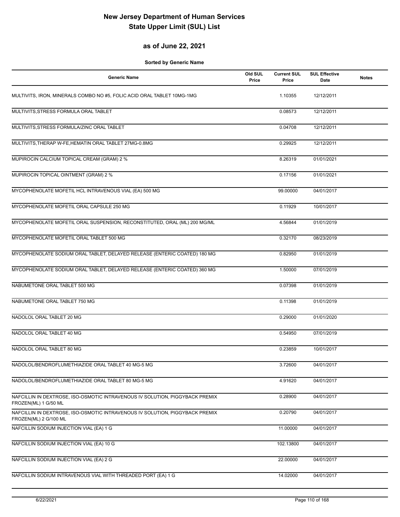### **as of June 22, 2021**

| <b>Generic Name</b>                                                                                   | Old SUL<br>Price | <b>Current SUL</b><br>Price | <b>SUL Effective</b><br>Date | <b>Notes</b> |
|-------------------------------------------------------------------------------------------------------|------------------|-----------------------------|------------------------------|--------------|
| MULTIVITS, IRON, MINERALS COMBO NO #5, FOLIC ACID ORAL TABLET 10MG-1MG                                |                  | 1.10355                     | 12/12/2011                   |              |
| MULTIVITS, STRESS FORMULA ORAL TABLET                                                                 |                  | 0.08573                     | 12/12/2011                   |              |
| MULTIVITS, STRESS FORMULA/ZINC ORAL TABLET                                                            |                  | 0.04708                     | 12/12/2011                   |              |
| MULTIVITS, THERAP W-FE, HEMATIN ORAL TABLET 27MG-0.8MG                                                |                  | 0.29925                     | 12/12/2011                   |              |
| MUPIROCIN CALCIUM TOPICAL CREAM (GRAM) 2 %                                                            |                  | 8.26319                     | 01/01/2021                   |              |
| MUPIROCIN TOPICAL OINTMENT (GRAM) 2 %                                                                 |                  | 0.17156                     | 01/01/2021                   |              |
| MYCOPHENOLATE MOFETIL HCL INTRAVENOUS VIAL (EA) 500 MG                                                |                  | 99.00000                    | 04/01/2017                   |              |
| MYCOPHENOLATE MOFETIL ORAL CAPSULE 250 MG                                                             |                  | 0.11929                     | 10/01/2017                   |              |
| MYCOPHENOLATE MOFETIL ORAL SUSPENSION, RECONSTITUTED, ORAL (ML) 200 MG/ML                             |                  | 4.56844                     | 01/01/2019                   |              |
| MYCOPHENOLATE MOFETIL ORAL TABLET 500 MG                                                              |                  | 0.32170                     | 08/23/2019                   |              |
| MYCOPHENOLATE SODIUM ORAL TABLET, DELAYED RELEASE (ENTERIC COATED) 180 MG                             |                  | 0.82950                     | 01/01/2019                   |              |
| MYCOPHENOLATE SODIUM ORAL TABLET, DELAYED RELEASE (ENTERIC COATED) 360 MG                             |                  | 1.50000                     | 07/01/2019                   |              |
| NABUMETONE ORAL TABLET 500 MG                                                                         |                  | 0.07398                     | 01/01/2019                   |              |
| NABUMETONE ORAL TABLET 750 MG                                                                         |                  | 0.11398                     | 01/01/2019                   |              |
| NADOLOL ORAL TABLET 20 MG                                                                             |                  | 0.29000                     | 01/01/2020                   |              |
| NADOLOL ORAL TABLET 40 MG                                                                             |                  | 0.54950                     | 07/01/2019                   |              |
| NADOLOL ORAL TABLET 80 MG                                                                             |                  | 0.23859                     | 10/01/2017                   |              |
| NADOLOL/BENDROFLUMETHIAZIDE ORAL TABLET 40 MG-5 MG                                                    |                  | 3.72600                     | 04/01/2017                   |              |
| NADOLOL/BENDROFLUMETHIAZIDE ORAL TABLET 80 MG-5 MG                                                    |                  | 4.91620                     | 04/01/2017                   |              |
| NAFCILLIN IN DEXTROSE, ISO-OSMOTIC INTRAVENOUS IV SOLUTION, PIGGYBACK PREMIX<br>FROZEN(ML) 1 G/50 ML  |                  | 0.28900                     | 04/01/2017                   |              |
| NAFCILLIN IN DEXTROSE, ISO-OSMOTIC INTRAVENOUS IV SOLUTION, PIGGYBACK PREMIX<br>FROZEN(ML) 2 G/100 ML |                  | 0.20790                     | 04/01/2017                   |              |
| NAFCILLIN SODIUM INJECTION VIAL (EA) 1 G                                                              |                  | 11.00000                    | 04/01/2017                   |              |
| NAFCILLIN SODIUM INJECTION VIAL (EA) 10 G                                                             |                  | 102.13800                   | 04/01/2017                   |              |
| NAFCILLIN SODIUM INJECTION VIAL (EA) 2 G                                                              |                  | 22.00000                    | 04/01/2017                   |              |
| NAFCILLIN SODIUM INTRAVENOUS VIAL WITH THREADED PORT (EA) 1 G                                         |                  | 14.02000                    | 04/01/2017                   |              |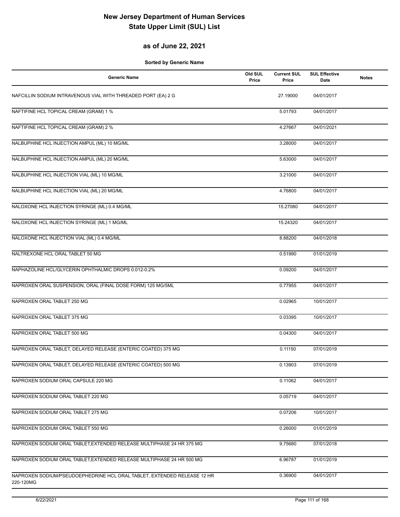## **as of June 22, 2021**

| <b>Generic Name</b>                                                                  | Old SUL<br>Price | <b>Current SUL</b><br>Price | <b>SUL Effective</b><br>Date | <b>Notes</b> |
|--------------------------------------------------------------------------------------|------------------|-----------------------------|------------------------------|--------------|
| NAFCILLIN SODIUM INTRAVENOUS VIAL WITH THREADED PORT (EA) 2 G                        |                  | 27.19000                    | 04/01/2017                   |              |
| NAFTIFINE HCL TOPICAL CREAM (GRAM) 1 %                                               |                  | 5.01793                     | 04/01/2017                   |              |
| NAFTIFINE HCL TOPICAL CREAM (GRAM) 2 %                                               |                  | 4.27667                     | 04/01/2021                   |              |
| NALBUPHINE HCL INJECTION AMPUL (ML) 10 MG/ML                                         |                  | 3.28000                     | 04/01/2017                   |              |
| NALBUPHINE HCL INJECTION AMPUL (ML) 20 MG/ML                                         |                  | 5.63000                     | 04/01/2017                   |              |
| NALBUPHINE HCL INJECTION VIAL (ML) 10 MG/ML                                          |                  | 3.21000                     | 04/01/2017                   |              |
| NALBUPHINE HCL INJECTION VIAL (ML) 20 MG/ML                                          |                  | 4.76800                     | 04/01/2017                   |              |
| NALOXONE HCL INJECTION SYRINGE (ML) 0.4 MG/ML                                        |                  | 15.27080                    | 04/01/2017                   |              |
| NALOXONE HCL INJECTION SYRINGE (ML) 1 MG/ML                                          |                  | 15.24320                    | 04/01/2017                   |              |
| NALOXONE HCL INJECTION VIAL (ML) 0.4 MG/ML                                           |                  | 8.88200                     | 04/01/2018                   |              |
| NALTREXONE HCL ORAL TABLET 50 MG                                                     |                  | 0.51990                     | 01/01/2019                   |              |
| NAPHAZOLINE HCL/GLYCERIN OPHTHALMIC DROPS 0.012-0.2%                                 |                  | 0.09200                     | 04/01/2017                   |              |
| NAPROXEN ORAL SUSPENSION, ORAL (FINAL DOSE FORM) 125 MG/5ML                          |                  | 0.77955                     | 04/01/2017                   |              |
| NAPROXEN ORAL TABLET 250 MG                                                          |                  | 0.02965                     | 10/01/2017                   |              |
| NAPROXEN ORAL TABLET 375 MG                                                          |                  | 0.03395                     | 10/01/2017                   |              |
| NAPROXEN ORAL TABLET 500 MG                                                          |                  | 0.04300                     | 04/01/2017                   |              |
| NAPROXEN ORAL TABLET, DELAYED RELEASE (ENTERIC COATED) 375 MG                        |                  | 0.11150                     | 07/01/2019                   |              |
| NAPROXEN ORAL TABLET, DELAYED RELEASE (ENTERIC COATED) 500 MG                        |                  | 0.13903                     | 07/01/2019                   |              |
| NAPROXEN SODIUM ORAL CAPSULE 220 MG                                                  |                  | 0.11062                     | 04/01/2017                   |              |
| NAPROXEN SODIUM ORAL TABLET 220 MG                                                   |                  | 0.05719                     | 04/01/2017                   |              |
| NAPROXEN SODIUM ORAL TABLET 275 MG                                                   |                  | 0.07206                     | 10/01/2017                   |              |
| NAPROXEN SODIUM ORAL TABLET 550 MG                                                   |                  | 0.26000                     | 01/01/2019                   |              |
| NAPROXEN SODIUM ORAL TABLET, EXTENDED RELEASE MULTIPHASE 24 HR 375 MG                |                  | 9.75680                     | 07/01/2018                   |              |
| NAPROXEN SODIUM ORAL TABLET, EXTENDED RELEASE MULTIPHASE 24 HR 500 MG                |                  | 6.96787                     | 01/01/2019                   |              |
| NAPROXEN SODIUM/PSEUDOEPHEDRINE HCL ORAL TABLET, EXTENDED RELEASE 12 HR<br>220-120MG |                  | 0.36900                     | 04/01/2017                   |              |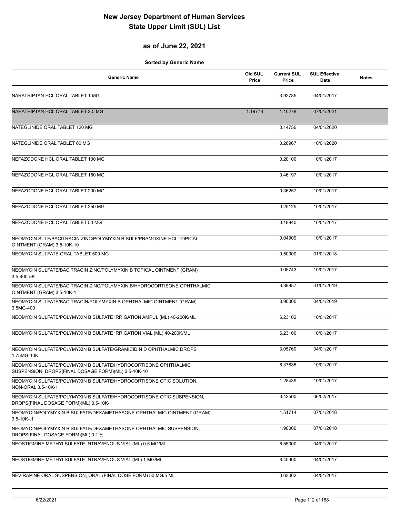## **as of June 22, 2021**

| <b>Generic Name</b>                                                                                                   | Old SUL<br>Price | <b>Current SUL</b><br>Price | <b>SUL Effective</b><br>Date | <b>Notes</b> |
|-----------------------------------------------------------------------------------------------------------------------|------------------|-----------------------------|------------------------------|--------------|
| NARATRIPTAN HCL ORAL TABLET 1 MG                                                                                      |                  | 3.92785                     | 04/01/2017                   |              |
| NARATRIPTAN HCL ORAL TABLET 2.5 MG                                                                                    | 1.19778          | 1.10278                     | 07/01/2021                   |              |
| NATEGLINIDE ORAL TABLET 120 MG                                                                                        |                  | 0.14756                     | 04/01/2020                   |              |
| NATEGLINIDE ORAL TABLET 60 MG                                                                                         |                  | 0.26967                     | 10/01/2020                   |              |
| NEFAZODONE HCL ORAL TABLET 100 MG                                                                                     |                  | 0.20100                     | 10/01/2017                   |              |
| NEFAZODONE HCL ORAL TABLET 150 MG                                                                                     |                  | 0.46197                     | 10/01/2017                   |              |
| NEFAZODONE HCL ORAL TABLET 200 MG                                                                                     |                  | 0.36257                     | 10/01/2017                   |              |
| NEFAZODONE HCL ORAL TABLET 250 MG                                                                                     |                  | 0.25125                     | 10/01/2017                   |              |
| NEFAZODONE HCL ORAL TABLET 50 MG                                                                                      |                  | 0.18940                     | 10/01/2017                   |              |
| NEOMYCIN SULF/BACITRACIN ZINC/POLYMYXIN B SULF/PRAMOXINE HCL TOPICAL<br>OINTMENT (GRAM) 3.5-10K-10                    |                  | 0.04909                     | 10/01/2017                   |              |
| NEOMYCIN SULFATE ORAL TABLET 500 MG                                                                                   |                  | 0.50000                     | 01/01/2018                   |              |
| NEOMYCIN SULFATE/BACITRACIN ZINC/POLYMYXIN B TOPICAL OINTMENT (GRAM)<br>3.5-400-5K                                    |                  | 0.05743                     | 10/01/2017                   |              |
| NEOMYCIN SULFATE/BACITRACIN ZINC/POLYMYXIN B/HYDROCORTISONE OPHTHALMIC<br>OINTMENT (GRAM) 3.5-10K-1                   |                  | 6.88857                     | 01/01/2019                   |              |
| NEOMYCIN SULFATE/BACITRACIN/POLYMYXIN B OPHTHALMIC OINTMENT (GRAM)<br>3.5MG-400                                       |                  | 3.90000                     | 04/01/2019                   |              |
| NEOMYCIN SULFATE/POLYMYXIN B SULFATE IRRIGATION AMPUL (ML) 40-200K/ML                                                 |                  | 6.23102                     | 10/01/2017                   |              |
| NEOMYCIN SULFATE/POLYMYXIN B SULFATE IRRIGATION VIAL (ML) 40-200K/ML                                                  |                  | 6.23100                     | 10/01/2017                   |              |
| NEOMYCIN SULFATE/POLYMYXIN B SULFATE/GRAMICIDIN D OPHTHALMIC DROPS<br>1.75MG-10K                                      |                  | 3.05769                     | 04/01/2017                   |              |
| NEOMYCIN SULFATE/POLYMYXIN B SULFATE/HYDROCORTISONE OPHTHALMIC<br>SUSPENSION, DROPS(FINAL DOSAGE FORM)(ML) 3.5-10K-10 |                  | 6.37835                     | 10/01/2017                   |              |
| NEOMYCIN SULFATE/POLYMYXIN B SULFATE/HYDROCORTISONE OTIC SOLUTION,<br>NON-ORAL 3.5-10K-1                              |                  | 1.28439                     | 10/01/2017                   |              |
| NEOMYCIN SULFATE/POLYMYXIN B SULFATE/HYDROCORTISONE OTIC SUSPENSION,<br>DROPS(FINAL DOSAGE FORM)(ML) 3.5-10K-1        |                  | 3.42500                     | 06/02/2017                   |              |
| NEOMYCIN/POLYMYXIN B SULFATE/DEXAMETHASONE OPHTHALMIC OINTMENT (GRAM)<br>$3.5 - 10K - 1$                              |                  | 1.51714                     | 07/01/2018                   |              |
| NEOMYCIN/POLYMYXIN B SULFATE/DEXAMETHASONE OPHTHALMIC SUSPENSION,<br>DROPS(FINAL DOSAGE FORM)(ML) 0.1 %               |                  | 1.90000                     | 07/01/2018                   |              |
| NEOSTIGMINE METHYLSULFATE INTRAVENOUS VIAL (ML) 0.5 MG/ML                                                             |                  | 6.55000                     | 04/01/2017                   |              |
| NEOSTIGMINE METHYLSULFATE INTRAVENOUS VIAL (ML) 1 MG/ML                                                               |                  | 8.40300                     | 04/01/2017                   |              |
| NEVIRAPINE ORAL SUSPENSION, ORAL (FINAL DOSE FORM) 50 MG/5 ML                                                         |                  | 0.63062                     | 04/01/2017                   |              |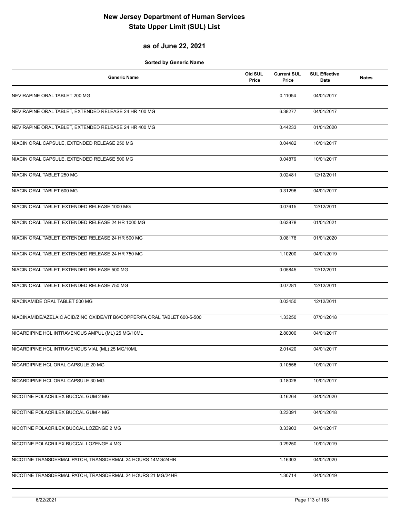## **as of June 22, 2021**

| <b>Generic Name</b>                                                        | Old SUL<br>Price | <b>Current SUL</b><br>Price | <b>SUL Effective</b><br>Date | <b>Notes</b> |
|----------------------------------------------------------------------------|------------------|-----------------------------|------------------------------|--------------|
| NEVIRAPINE ORAL TABLET 200 MG                                              |                  | 0.11054                     | 04/01/2017                   |              |
| NEVIRAPINE ORAL TABLET, EXTENDED RELEASE 24 HR 100 MG                      |                  | 6.38277                     | 04/01/2017                   |              |
| NEVIRAPINE ORAL TABLET, EXTENDED RELEASE 24 HR 400 MG                      |                  | 0.44233                     | 01/01/2020                   |              |
| NIACIN ORAL CAPSULE, EXTENDED RELEASE 250 MG                               |                  | 0.04482                     | 10/01/2017                   |              |
| NIACIN ORAL CAPSULE, EXTENDED RELEASE 500 MG                               |                  | 0.04879                     | 10/01/2017                   |              |
| NIACIN ORAL TABLET 250 MG                                                  |                  | 0.02481                     | 12/12/2011                   |              |
| NIACIN ORAL TABLET 500 MG                                                  |                  | 0.31296                     | 04/01/2017                   |              |
| NIACIN ORAL TABLET, EXTENDED RELEASE 1000 MG                               |                  | 0.07615                     | 12/12/2011                   |              |
| NIACIN ORAL TABLET, EXTENDED RELEASE 24 HR 1000 MG                         |                  | 0.63878                     | 01/01/2021                   |              |
| NIACIN ORAL TABLET, EXTENDED RELEASE 24 HR 500 MG                          |                  | 0.08178                     | 01/01/2020                   |              |
| NIACIN ORAL TABLET, EXTENDED RELEASE 24 HR 750 MG                          |                  | 1.10200                     | 04/01/2019                   |              |
| NIACIN ORAL TABLET, EXTENDED RELEASE 500 MG                                |                  | 0.05845                     | 12/12/2011                   |              |
| NIACIN ORAL TABLET, EXTENDED RELEASE 750 MG                                |                  | 0.07281                     | 12/12/2011                   |              |
| NIACINAMIDE ORAL TABLET 500 MG                                             |                  | 0.03450                     | 12/12/2011                   |              |
| NIACINAMIDE/AZELAIC ACID/ZINC OXIDE/VIT B6/COPPER/FA ORAL TABLET 600-5-500 |                  | 1.33250                     | 07/01/2018                   |              |
| NICARDIPINE HCL INTRAVENOUS AMPUL (ML) 25 MG/10ML                          |                  | 2.80000                     | 04/01/2017                   |              |
| NICARDIPINE HCL INTRAVENOUS VIAL (ML) 25 MG/10ML                           |                  | 2.01420                     | 04/01/2017                   |              |
| NICARDIPINE HCL ORAL CAPSULE 20 MG                                         |                  | 0.10556                     | 10/01/2017                   |              |
| NICARDIPINE HCL ORAL CAPSULE 30 MG                                         |                  | 0.18028                     | 10/01/2017                   |              |
| NICOTINE POLACRILEX BUCCAL GUM 2 MG                                        |                  | 0.16264                     | 04/01/2020                   |              |
| NICOTINE POLACRILEX BUCCAL GUM 4 MG                                        |                  | 0.23091                     | 04/01/2018                   |              |
| NICOTINE POLACRILEX BUCCAL LOZENGE 2 MG                                    |                  | 0.33903                     | 04/01/2017                   |              |
| NICOTINE POLACRILEX BUCCAL LOZENGE 4 MG                                    |                  | 0.29250                     | 10/01/2019                   |              |
| NICOTINE TRANSDERMAL PATCH, TRANSDERMAL 24 HOURS 14MG/24HR                 |                  | 1.16303                     | 04/01/2020                   |              |
| NICOTINE TRANSDERMAL PATCH, TRANSDERMAL 24 HOURS 21 MG/24HR                |                  | 1.30714                     | 04/01/2019                   |              |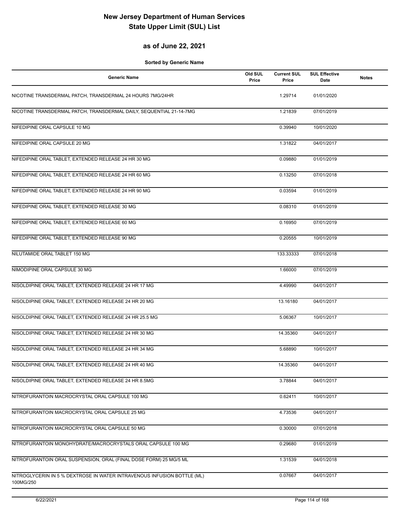### **as of June 22, 2021**

| <b>Generic Name</b>                                                                  | Old SUL<br>Price | <b>Current SUL</b><br>Price | <b>SUL Effective</b><br>Date | <b>Notes</b> |
|--------------------------------------------------------------------------------------|------------------|-----------------------------|------------------------------|--------------|
| NICOTINE TRANSDERMAL PATCH, TRANSDERMAL 24 HOURS 7MG/24HR                            |                  | 1.29714                     | 01/01/2020                   |              |
| NICOTINE TRANSDERMAL PATCH, TRANSDERMAL DAILY, SEQUENTIAL 21-14-7MG                  |                  | 1.21839                     | 07/01/2019                   |              |
| NIFEDIPINE ORAL CAPSULE 10 MG                                                        |                  | 0.39940                     | 10/01/2020                   |              |
| NIFEDIPINE ORAL CAPSULE 20 MG                                                        |                  | 1.31822                     | 04/01/2017                   |              |
| NIFEDIPINE ORAL TABLET, EXTENDED RELEASE 24 HR 30 MG                                 |                  | 0.09880                     | 01/01/2019                   |              |
| NIFEDIPINE ORAL TABLET, EXTENDED RELEASE 24 HR 60 MG                                 |                  | 0.13250                     | 07/01/2018                   |              |
| NIFEDIPINE ORAL TABLET, EXTENDED RELEASE 24 HR 90 MG                                 |                  | 0.03594                     | 01/01/2019                   |              |
| NIFEDIPINE ORAL TABLET, EXTENDED RELEASE 30 MG                                       |                  | 0.08310                     | 01/01/2019                   |              |
| NIFEDIPINE ORAL TABLET, EXTENDED RELEASE 60 MG                                       |                  | 0.16950                     | 07/01/2019                   |              |
| NIFEDIPINE ORAL TABLET, EXTENDED RELEASE 90 MG                                       |                  | 0.20555                     | 10/01/2019                   |              |
| NILUTAMIDE ORAL TABLET 150 MG                                                        |                  | 133.33333                   | 07/01/2018                   |              |
| NIMODIPINE ORAL CAPSULE 30 MG                                                        |                  | 1.66000                     | 07/01/2019                   |              |
| NISOLDIPINE ORAL TABLET, EXTENDED RELEASE 24 HR 17 MG                                |                  | 4.49990                     | 04/01/2017                   |              |
| NISOLDIPINE ORAL TABLET, EXTENDED RELEASE 24 HR 20 MG                                |                  | 13.16180                    | 04/01/2017                   |              |
| NISOLDIPINE ORAL TABLET, EXTENDED RELEASE 24 HR 25.5 MG                              |                  | 5.06367                     | 10/01/2017                   |              |
| NISOLDIPINE ORAL TABLET, EXTENDED RELEASE 24 HR 30 MG                                |                  | 14.35360                    | 04/01/2017                   |              |
| NISOLDIPINE ORAL TABLET, EXTENDED RELEASE 24 HR 34 MG                                |                  | 5.68890                     | 10/01/2017                   |              |
| NISOLDIPINE ORAL TABLET, EXTENDED RELEASE 24 HR 40 MG                                |                  | 14.35360                    | 04/01/2017                   |              |
| NISOLDIPINE ORAL TABLET, EXTENDED RELEASE 24 HR 8.5MG                                |                  | 3.78844                     | 04/01/2017                   |              |
| NITROFURANTOIN MACROCRYSTAL ORAL CAPSULE 100 MG                                      |                  | 0.62411                     | 10/01/2017                   |              |
| NITROFURANTOIN MACROCRYSTAL ORAL CAPSULE 25 MG                                       |                  | 4.73536                     | 04/01/2017                   |              |
| NITROFURANTOIN MACROCRYSTAL ORAL CAPSULE 50 MG                                       |                  | 0.30000                     | 07/01/2018                   |              |
| NITROFURANTOIN MONOHYDRATE/MACROCRYSTALS ORAL CAPSULE 100 MG                         |                  | 0.29680                     | 01/01/2019                   |              |
| NITROFURANTOIN ORAL SUSPENSION, ORAL (FINAL DOSE FORM) 25 MG/5 ML                    |                  | 1.31539                     | 04/01/2018                   |              |
| NITROGLYCERIN IN 5 % DEXTROSE IN WATER INTRAVENOUS INFUSION BOTTLE (ML)<br>100MG/250 |                  | 0.07667                     | 04/01/2017                   |              |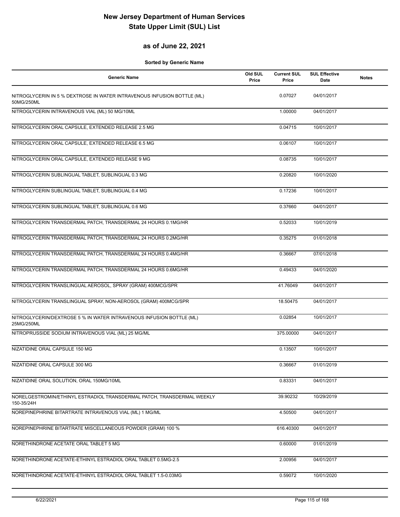### **as of June 22, 2021**

| <b>Generic Name</b>                                                                   | Old SUL<br>Price | <b>Current SUL</b><br>Price | <b>SUL Effective</b><br><b>Date</b> | <b>Notes</b> |
|---------------------------------------------------------------------------------------|------------------|-----------------------------|-------------------------------------|--------------|
| NITROGLYCERIN IN 5 % DEXTROSE IN WATER INTRAVENOUS INFUSION BOTTLE (ML)<br>50MG/250ML |                  | 0.07027                     | 04/01/2017                          |              |
| NITROGLYCERIN INTRAVENOUS VIAL (ML) 50 MG/10ML                                        |                  | 1.00000                     | 04/01/2017                          |              |
| NITROGLYCERIN ORAL CAPSULE, EXTENDED RELEASE 2.5 MG                                   |                  | 0.04715                     | 10/01/2017                          |              |
| NITROGLYCERIN ORAL CAPSULE, EXTENDED RELEASE 6.5 MG                                   |                  | 0.06107                     | 10/01/2017                          |              |
| NITROGLYCERIN ORAL CAPSULE, EXTENDED RELEASE 9 MG                                     |                  | 0.08735                     | 10/01/2017                          |              |
| NITROGLYCERIN SUBLINGUAL TABLET, SUBLINGUAL 0.3 MG                                    |                  | 0.20820                     | 10/01/2020                          |              |
| NITROGLYCERIN SUBLINGUAL TABLET, SUBLINGUAL 0.4 MG                                    |                  | 0.17236                     | 10/01/2017                          |              |
| NITROGLYCERIN SUBLINGUAL TABLET, SUBLINGUAL 0.6 MG                                    |                  | 0.37660                     | 04/01/2017                          |              |
| NITROGLYCERIN TRANSDERMAL PATCH, TRANSDERMAL 24 HOURS 0.1MG/HR                        |                  | 0.52033                     | 10/01/2019                          |              |
| NITROGLYCERIN TRANSDERMAL PATCH, TRANSDERMAL 24 HOURS 0.2MG/HR                        |                  | 0.35275                     | 01/01/2018                          |              |
| NITROGLYCERIN TRANSDERMAL PATCH, TRANSDERMAL 24 HOURS 0.4MG/HR                        |                  | 0.36667                     | 07/01/2018                          |              |
| NITROGLYCERIN TRANSDERMAL PATCH, TRANSDERMAL 24 HOURS 0.6MG/HR                        |                  | 0.49433                     | 04/01/2020                          |              |
| NITROGLYCERIN TRANSLINGUAL AEROSOL, SPRAY (GRAM) 400MCG/SPR                           |                  | 41.76049                    | 04/01/2017                          |              |
| NITROGLYCERIN TRANSLINGUAL SPRAY, NON-AEROSOL (GRAM) 400MCG/SPR                       |                  | 18.50475                    | 04/01/2017                          |              |
| NITROGLYCERIN/DEXTROSE 5 % IN WATER INTRAVENOUS INFUSION BOTTLE (ML)<br>25MG/250ML    |                  | 0.02854                     | 10/01/2017                          |              |
| NITROPRUSSIDE SODIUM INTRAVENOUS VIAL (ML) 25 MG/ML                                   |                  | 375.00000                   | 04/01/2017                          |              |
| NIZATIDINE ORAL CAPSULE 150 MG                                                        |                  | 0.13507                     | 10/01/2017                          |              |
| NIZATIDINE ORAL CAPSULE 300 MG                                                        |                  | 0.36667                     | 01/01/2019                          |              |
| NIZATIDINE ORAL SOLUTION, ORAL 150MG/10ML                                             |                  | 0.83331                     | 04/01/2017                          |              |
| NORELGESTROMIN/ETHINYL ESTRADIOL TRANSDERMAL PATCH, TRANSDERMAL WEEKLY<br>150-35/24H  |                  | 39.90232                    | 10/29/2019                          |              |
| NOREPINEPHRINE BITARTRATE INTRAVENOUS VIAL (ML) 1 MG/ML                               |                  | 4.50500                     | 04/01/2017                          |              |
| NOREPINEPHRINE BITARTRATE MISCELLANEOUS POWDER (GRAM) 100 %                           |                  | 616.40300                   | 04/01/2017                          |              |
| NORETHINDRONE ACETATE ORAL TABLET 5 MG                                                |                  | 0.60000                     | 01/01/2019                          |              |
| NORETHINDRONE ACETATE-ETHINYL ESTRADIOL ORAL TABLET 0.5MG-2.5                         |                  | 2.00956                     | 04/01/2017                          |              |
| NORETHINDRONE ACETATE-ETHINYL ESTRADIOL ORAL TABLET 1.5-0.03MG                        |                  | 0.59072                     | 10/01/2020                          |              |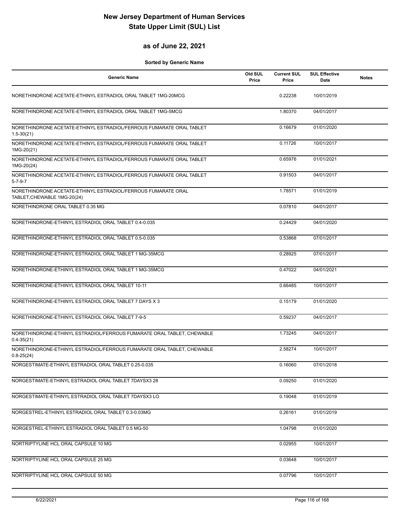### **as of June 22, 2021**

| <b>Generic Name</b>                                                                          | Old SUL<br>Price | <b>Current SUL</b><br>Price | <b>SUL Effective</b><br>Date | <b>Notes</b> |
|----------------------------------------------------------------------------------------------|------------------|-----------------------------|------------------------------|--------------|
| NORETHINDRONE ACETATE-ETHINYL ESTRADIOL ORAL TABLET 1MG-20MCG                                |                  | 0.22238                     | 10/01/2019                   |              |
| NORETHINDRONE ACETATE-ETHINYL ESTRADIOL ORAL TABLET 1MG-5MCG                                 |                  | 1.80370                     | 04/01/2017                   |              |
| NORETHINDRONE ACETATE-ETHINYL ESTRADIOL/FERROUS FUMARATE ORAL TABLET<br>$1.5 - 30(21)$       |                  | 0.16679                     | 01/01/2020                   |              |
| NORETHINDRONE ACETATE-ETHINYL ESTRADIOL/FERROUS FUMARATE ORAL TABLET<br>1MG-20(21)           |                  | 0.11726                     | 10/01/2017                   |              |
| NORETHINDRONE ACETATE-ETHINYL ESTRADIOL/FERROUS FUMARATE ORAL TABLET<br>1MG-20(24)           |                  | 0.65976                     | 01/01/2021                   |              |
| NORETHINDRONE ACETATE-ETHINYL ESTRADIOL/FERROUS FUMARATE ORAL TABLET<br>$5 - 7 - 9 - 7$      |                  | 0.91503                     | 04/01/2017                   |              |
| NORETHINDRONE ACETATE-ETHINYL ESTRADIOL/FERROUS FUMARATE ORAL<br>TABLET, CHEWABLE 1MG-20(24) |                  | 1.78571                     | 01/01/2019                   |              |
| NORETHINDRONE ORAL TABLET 0.35 MG                                                            |                  | 0.07810                     | 04/01/2017                   |              |
| NORETHINDRONE-ETHINYL ESTRADIOL ORAL TABLET 0.4-0.035                                        |                  | 0.24429                     | 04/01/2020                   |              |
| NORETHINDRONE-ETHINYL ESTRADIOL ORAL TABLET 0.5-0.035                                        |                  | 0.53868                     | 07/01/2017                   |              |
| NORETHINDRONE-ETHINYL ESTRADIOL ORAL TABLET 1 MG-35MCG                                       |                  | 0.28925                     | 07/01/2017                   |              |
| NORETHINDRONE-ETHINYL ESTRADIOL ORAL TABLET 1 MG-35MCG                                       |                  | 0.47022                     | 04/01/2021                   |              |
| NORETHINDRONE-ETHINYL ESTRADIOL ORAL TABLET 10-11                                            |                  | 0.66485                     | 10/01/2017                   |              |
| NORETHINDRONE-ETHINYL ESTRADIOL ORAL TABLET 7 DAYS X 3                                       |                  | 0.15179                     | 01/01/2020                   |              |
| NORETHINDRONE-ETHINYL ESTRADIOL ORAL TABLET 7-9-5                                            |                  | 0.59237                     | 04/01/2017                   |              |
| NORETHINDRONE-ETHINYL ESTRADIOL/FERROUS FUMARATE ORAL TABLET, CHEWABLE<br>$0.4 - 35(21)$     |                  | 1.73245                     | 04/01/2017                   |              |
| NORETHINDRONE-ETHINYL ESTRADIOL/FERROUS FUMARATE ORAL TABLET, CHEWABLE<br>$0.8 - 25(24)$     |                  | 2.58274                     | 10/01/2017                   |              |
| NORGESTIMATE-ETHINYL ESTRADIOL ORAL TABLET 0.25-0.035                                        |                  | 0.16060                     | 07/01/2018                   |              |
| NORGESTIMATE-ETHINYL ESTRADIOL ORAL TABLET 7DAYSX3 28                                        |                  | 0.09250                     | 01/01/2020                   |              |
| NORGESTIMATE-ETHINYL ESTRADIOL ORAL TABLET 7DAYSX3 LO                                        |                  | 0.19048                     | 01/01/2019                   |              |
| NORGESTREL-ETHINYL ESTRADIOL ORAL TABLET 0.3-0.03MG                                          |                  | 0.26161                     | 01/01/2019                   |              |
| NORGESTREL-ETHINYL ESTRADIOL ORAL TABLET 0.5 MG-50                                           |                  | 1.04798                     | 01/01/2020                   |              |
| NORTRIPTYLINE HCL ORAL CAPSULE 10 MG                                                         |                  | 0.02955                     | 10/01/2017                   |              |
| NORTRIPTYLINE HCL ORAL CAPSULE 25 MG                                                         |                  | 0.03648                     | 10/01/2017                   |              |
| NORTRIPTYLINE HCL ORAL CAPSULE 50 MG                                                         |                  | 0.07796                     | 10/01/2017                   |              |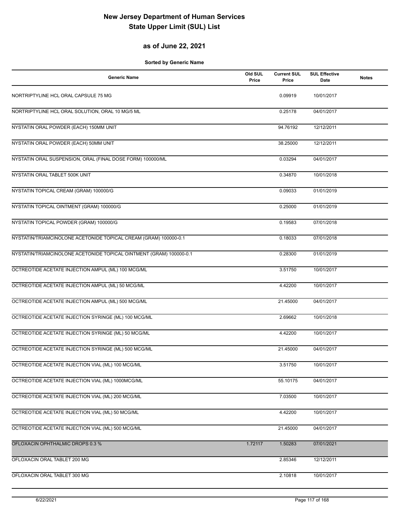## **as of June 22, 2021**

| <b>Generic Name</b>                                                 | Old SUL<br>Price | <b>Current SUL</b><br>Price | <b>SUL Effective</b><br>Date | <b>Notes</b> |
|---------------------------------------------------------------------|------------------|-----------------------------|------------------------------|--------------|
| NORTRIPTYLINE HCL ORAL CAPSULE 75 MG                                |                  | 0.09919                     | 10/01/2017                   |              |
| NORTRIPTYLINE HCL ORAL SOLUTION, ORAL 10 MG/5 ML                    |                  | 0.25178                     | 04/01/2017                   |              |
| NYSTATIN ORAL POWDER (EACH) 150MM UNIT                              |                  | 94.76192                    | 12/12/2011                   |              |
| NYSTATIN ORAL POWDER (EACH) 50MM UNIT                               |                  | 38.25000                    | 12/12/2011                   |              |
| NYSTATIN ORAL SUSPENSION, ORAL (FINAL DOSE FORM) 100000/ML          |                  | 0.03294                     | 04/01/2017                   |              |
| NYSTATIN ORAL TABLET 500K UNIT                                      |                  | 0.34870                     | 10/01/2018                   |              |
| NYSTATIN TOPICAL CREAM (GRAM) 100000/G                              |                  | 0.09033                     | 01/01/2019                   |              |
| NYSTATIN TOPICAL OINTMENT (GRAM) 100000/G                           |                  | 0.25000                     | 01/01/2019                   |              |
| NYSTATIN TOPICAL POWDER (GRAM) 100000/G                             |                  | 0.19583                     | 07/01/2018                   |              |
| NYSTATIN/TRIAMCINOLONE ACETONIDE TOPICAL CREAM (GRAM) 100000-0.1    |                  | 0.18033                     | 07/01/2018                   |              |
| NYSTATIN/TRIAMCINOLONE ACETONIDE TOPICAL OINTMENT (GRAM) 100000-0.1 |                  | 0.28300                     | 01/01/2019                   |              |
| OCTREOTIDE ACETATE INJECTION AMPUL (ML) 100 MCG/ML                  |                  | 3.51750                     | 10/01/2017                   |              |
| OCTREOTIDE ACETATE INJECTION AMPUL (ML) 50 MCG/ML                   |                  | 4.42200                     | 10/01/2017                   |              |
| OCTREOTIDE ACETATE INJECTION AMPUL (ML) 500 MCG/ML                  |                  | 21.45000                    | 04/01/2017                   |              |
| OCTREOTIDE ACETATE INJECTION SYRINGE (ML) 100 MCG/ML                |                  | 2.69662                     | 10/01/2018                   |              |
| OCTREOTIDE ACETATE INJECTION SYRINGE (ML) 50 MCG/ML                 |                  | 4.42200                     | 10/01/2017                   |              |
| OCTREOTIDE ACETATE INJECTION SYRINGE (ML) 500 MCG/ML                |                  | 21.45000                    | 04/01/2017                   |              |
| OCTREOTIDE ACETATE INJECTION VIAL (ML) 100 MCG/ML                   |                  | 3.51750                     | 10/01/2017                   |              |
| OCTREOTIDE ACETATE INJECTION VIAL (ML) 1000MCG/ML                   |                  | 55.10175                    | 04/01/2017                   |              |
| OCTREOTIDE ACETATE INJECTION VIAL (ML) 200 MCG/ML                   |                  | 7.03500                     | 10/01/2017                   |              |
| OCTREOTIDE ACETATE INJECTION VIAL (ML) 50 MCG/ML                    |                  | 4.42200                     | 10/01/2017                   |              |
| OCTREOTIDE ACETATE INJECTION VIAL (ML) 500 MCG/ML                   |                  | 21.45000                    | 04/01/2017                   |              |
| OFLOXACIN OPHTHALMIC DROPS 0.3 %                                    | 1.72117          | 1.50283                     | 07/01/2021                   |              |
| OFLOXACIN ORAL TABLET 200 MG                                        |                  | 2.85346                     | 12/12/2011                   |              |
| OFLOXACIN ORAL TABLET 300 MG                                        |                  | 2.10818                     | 10/01/2017                   |              |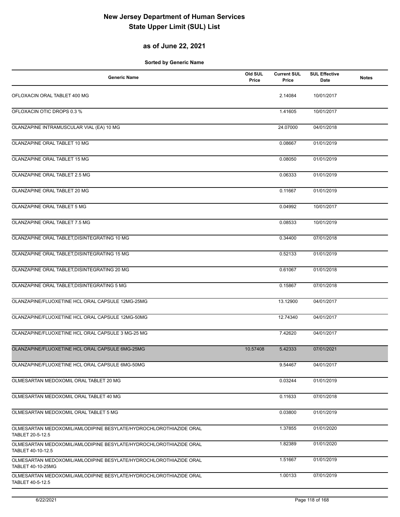## **as of June 22, 2021**

| <b>Generic Name</b>                                                                    | Old SUL<br>Price | <b>Current SUL</b><br>Price | <b>SUL Effective</b><br>Date | <b>Notes</b> |
|----------------------------------------------------------------------------------------|------------------|-----------------------------|------------------------------|--------------|
| OFLOXACIN ORAL TABLET 400 MG                                                           |                  | 2.14084                     | 10/01/2017                   |              |
| OFLOXACIN OTIC DROPS 0.3 %                                                             |                  | 1.41605                     | 10/01/2017                   |              |
| OLANZAPINE INTRAMUSCULAR VIAL (EA) 10 MG                                               |                  | 24.07000                    | 04/01/2018                   |              |
| OLANZAPINE ORAL TABLET 10 MG                                                           |                  | 0.08667                     | 01/01/2019                   |              |
| OLANZAPINE ORAL TABLET 15 MG                                                           |                  | 0.08050                     | 01/01/2019                   |              |
| OLANZAPINE ORAL TABLET 2.5 MG                                                          |                  | 0.06333                     | 01/01/2019                   |              |
| OLANZAPINE ORAL TABLET 20 MG                                                           |                  | 0.11667                     | 01/01/2019                   |              |
| OLANZAPINE ORAL TABLET 5 MG                                                            |                  | 0.04992                     | 10/01/2017                   |              |
| OLANZAPINE ORAL TABLET 7.5 MG                                                          |                  | 0.08533                     | 10/01/2019                   |              |
| OLANZAPINE ORAL TABLET, DISINTEGRATING 10 MG                                           |                  | 0.34400                     | 07/01/2018                   |              |
| OLANZAPINE ORAL TABLET, DISINTEGRATING 15 MG                                           |                  | 0.52133                     | 01/01/2019                   |              |
| OLANZAPINE ORAL TABLET, DISINTEGRATING 20 MG                                           |                  | 0.61067                     | 01/01/2018                   |              |
| OLANZAPINE ORAL TABLET, DISINTEGRATING 5 MG                                            |                  | 0.15867                     | 07/01/2018                   |              |
| OLANZAPINE/FLUOXETINE HCL ORAL CAPSULE 12MG-25MG                                       |                  | 13.12900                    | 04/01/2017                   |              |
| OLANZAPINE/FLUOXETINE HCL ORAL CAPSULE 12MG-50MG                                       |                  | 12.74340                    | 04/01/2017                   |              |
| OLANZAPINE/FLUOXETINE HCL ORAL CAPSULE 3 MG-25 MG                                      |                  | 7.42620                     | 04/01/2017                   |              |
| OLANZAPINE/FLUOXETINE HCL ORAL CAPSULE 6MG-25MG                                        | 10.57408         | 5.42333                     | 07/01/2021                   |              |
| OLANZAPINE/FLUOXETINE HCL ORAL CAPSULE 6MG-50MG                                        |                  | 9.54467                     | 04/01/2017                   |              |
| OLMESARTAN MEDOXOMIL ORAL TABLET 20 MG                                                 |                  | 0.03244                     | 01/01/2019                   |              |
| OLMESARTAN MEDOXOMIL ORAL TABLET 40 MG                                                 |                  | 0.11633                     | 07/01/2018                   |              |
| OLMESARTAN MEDOXOMIL ORAL TABLET 5 MG                                                  |                  | 0.03800                     | 01/01/2019                   |              |
| OLMESARTAN MEDOXOMIL/AMLODIPINE BESYLATE/HYDROCHLOROTHIAZIDE ORAL<br>TABLET 20-5-12.5  |                  | 1.37855                     | 01/01/2020                   |              |
| OLMESARTAN MEDOXOMIL/AMLODIPINE BESYLATE/HYDROCHLOROTHIAZIDE ORAL<br>TABLET 40-10-12.5 |                  | 1.82389                     | 01/01/2020                   |              |
| OLMESARTAN MEDOXOMIL/AMLODIPINE BESYLATE/HYDROCHLOROTHIAZIDE ORAL<br>TABLET 40-10-25MG |                  | 1.51667                     | 01/01/2019                   |              |
| OLMESARTAN MEDOXOMIL/AMLODIPINE BESYLATE/HYDROCHLOROTHIAZIDE ORAL<br>TABLET 40-5-12.5  |                  | 1.00133                     | 07/01/2019                   |              |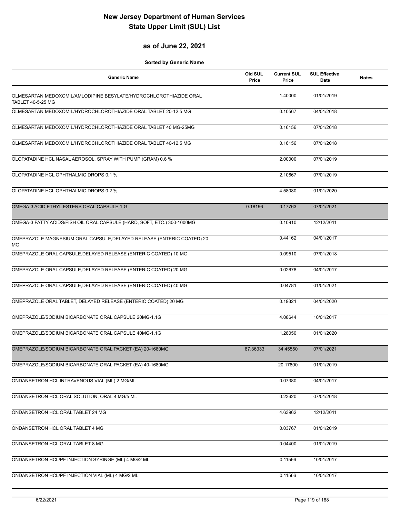### **as of June 22, 2021**

| <b>Generic Name</b>                                                                           | Old SUL<br>Price | <b>Current SUL</b><br>Price | <b>SUL Effective</b><br>Date | <b>Notes</b> |
|-----------------------------------------------------------------------------------------------|------------------|-----------------------------|------------------------------|--------------|
| OLMESARTAN MEDOXOMIL/AMLODIPINE BESYLATE/HYDROCHLOROTHIAZIDE ORAL<br><b>TABLET 40-5-25 MG</b> |                  | 1.40000                     | 01/01/2019                   |              |
| OLMESARTAN MEDOXOMIL/HYDROCHLOROTHIAZIDE ORAL TABLET 20-12.5 MG                               |                  | 0.10567                     | 04/01/2018                   |              |
| OLMESARTAN MEDOXOMIL/HYDROCHLOROTHIAZIDE ORAL TABLET 40 MG-25MG                               |                  | 0.16156                     | 07/01/2018                   |              |
| OLMESARTAN MEDOXOMIL/HYDROCHLOROTHIAZIDE ORAL TABLET 40-12.5 MG                               |                  | 0.16156                     | 07/01/2018                   |              |
| OLOPATADINE HCL NASAL AEROSOL, SPRAY WITH PUMP (GRAM) 0.6 %                                   |                  | 2.00000                     | 07/01/2019                   |              |
| OLOPATADINE HCL OPHTHALMIC DROPS 0.1 %                                                        |                  | 2.10667                     | 07/01/2019                   |              |
| OLOPATADINE HCL OPHTHALMIC DROPS 0.2 %                                                        |                  | 4.58080                     | 01/01/2020                   |              |
| OMEGA-3 ACID ETHYL ESTERS ORAL CAPSULE 1 G                                                    | 0.18196          | 0.17763                     | 07/01/2021                   |              |
| OMEGA-3 FATTY ACIDS/FISH OIL ORAL CAPSULE (HARD, SOFT, ETC.) 300-1000MG                       |                  | 0.10910                     | 12/12/2011                   |              |
| OMEPRAZOLE MAGNESIUM ORAL CAPSULE, DELAYED RELEASE (ENTERIC COATED) 20<br>МG                  |                  | 0.44162                     | 04/01/2017                   |              |
| OMEPRAZOLE ORAL CAPSULE, DELAYED RELEASE (ENTERIC COATED) 10 MG                               |                  | 0.09510                     | 07/01/2018                   |              |
| OMEPRAZOLE ORAL CAPSULE, DELAYED RELEASE (ENTERIC COATED) 20 MG                               |                  | 0.02678                     | 04/01/2017                   |              |
| OMEPRAZOLE ORAL CAPSULE, DELAYED RELEASE (ENTERIC COATED) 40 MG                               |                  | 0.04781                     | 01/01/2021                   |              |
| OMEPRAZOLE ORAL TABLET, DELAYED RELEASE (ENTERIC COATED) 20 MG                                |                  | 0.19321                     | 04/01/2020                   |              |
| OMEPRAZOLE/SODIUM BICARBONATE ORAL CAPSULE 20MG-1.1G                                          |                  | 4.08644                     | 10/01/2017                   |              |
| OMEPRAZOLE/SODIUM BICARBONATE ORAL CAPSULE 40MG-1.1G                                          |                  | 1.28050                     | 01/01/2020                   |              |
| OMEPRAZOLE/SODIUM BICARBONATE ORAL PACKET (EA) 20-1680MG                                      | 87.36333         | 34.45550                    | 07/01/2021                   |              |
| OMEPRAZOLE/SODIUM BICARBONATE ORAL PACKET (EA) 40-1680MG                                      |                  | 20.17800                    | 01/01/2019                   |              |
| ONDANSETRON HCL INTRAVENOUS VIAL (ML) 2 MG/ML                                                 |                  | 0.07380                     | 04/01/2017                   |              |
| ONDANSETRON HCL ORAL SOLUTION, ORAL 4 MG/5 ML                                                 |                  | 0.23620                     | 07/01/2018                   |              |
| ONDANSETRON HCL ORAL TABLET 24 MG                                                             |                  | 4.63962                     | 12/12/2011                   |              |
| ONDANSETRON HCL ORAL TABLET 4 MG                                                              |                  | 0.03767                     | 01/01/2019                   |              |
| ONDANSETRON HCL ORAL TABLET 8 MG                                                              |                  | 0.04400                     | 01/01/2019                   |              |
| ONDANSETRON HCL/PF INJECTION SYRINGE (ML) 4 MG/2 ML                                           |                  | 0.11566                     | 10/01/2017                   |              |
| ONDANSETRON HCL/PF INJECTION VIAL (ML) 4 MG/2 ML                                              |                  | 0.11566                     | 10/01/2017                   |              |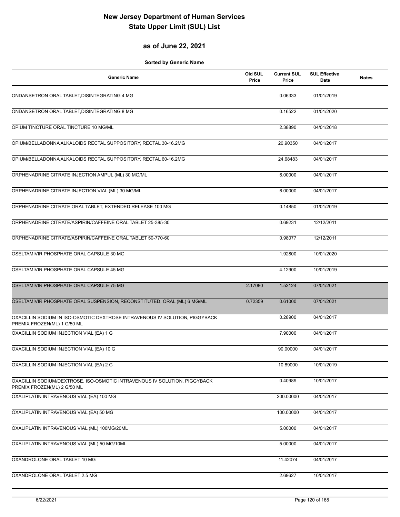## **as of June 22, 2021**

| Generic Name                                                                                               | Old SUL<br>Price | <b>Current SUL</b><br>Price | <b>SUL Effective</b><br>Date | <b>Notes</b> |
|------------------------------------------------------------------------------------------------------------|------------------|-----------------------------|------------------------------|--------------|
| ONDANSETRON ORAL TABLET, DISINTEGRATING 4 MG                                                               |                  | 0.06333                     | 01/01/2019                   |              |
| ONDANSETRON ORAL TABLET, DISINTEGRATING 8 MG                                                               |                  | 0.16522                     | 01/01/2020                   |              |
| OPIUM TINCTURE ORAL TINCTURE 10 MG/ML                                                                      |                  | 2.38890                     | 04/01/2018                   |              |
| OPIUM/BELLADONNA ALKALOIDS RECTAL SUPPOSITORY, RECTAL 30-16.2MG                                            |                  | 20.90350                    | 04/01/2017                   |              |
| OPIUM/BELLADONNA ALKALOIDS RECTAL SUPPOSITORY, RECTAL 60-16.2MG                                            |                  | 24.68483                    | 04/01/2017                   |              |
| ORPHENADRINE CITRATE INJECTION AMPUL (ML) 30 MG/ML                                                         |                  | 6.00000                     | 04/01/2017                   |              |
| ORPHENADRINE CITRATE INJECTION VIAL (ML) 30 MG/ML                                                          |                  | 6.00000                     | 04/01/2017                   |              |
| ORPHENADRINE CITRATE ORAL TABLET, EXTENDED RELEASE 100 MG                                                  |                  | 0.14850                     | 01/01/2019                   |              |
| ORPHENADRINE CITRATE/ASPIRIN/CAFFEINE ORAL TABLET 25-385-30                                                |                  | 0.69231                     | 12/12/2011                   |              |
| ORPHENADRINE CITRATE/ASPIRIN/CAFFEINE ORAL TABLET 50-770-60                                                |                  | 0.98077                     | 12/12/2011                   |              |
| OSELTAMIVIR PHOSPHATE ORAL CAPSULE 30 MG                                                                   |                  | 1.92800                     | 10/01/2020                   |              |
| OSELTAMIVIR PHOSPHATE ORAL CAPSULE 45 MG                                                                   |                  | 4.12900                     | 10/01/2019                   |              |
| OSELTAMIVIR PHOSPHATE ORAL CAPSULE 75 MG                                                                   | 2.17080          | 1.52124                     | 07/01/2021                   |              |
| OSELTAMIVIR PHOSPHATE ORAL SUSPENSION, RECONSTITUTED, ORAL (ML) 6 MG/ML                                    | 0.72359          | 0.61000                     | 07/01/2021                   |              |
| OXACILLIN SODIUM IN ISO-OSMOTIC DEXTROSE INTRAVENOUS IV SOLUTION, PIGGYBACK<br>PREMIX FROZEN(ML) 1 G/50 ML |                  | 0.28900                     | 04/01/2017                   |              |
| OXACILLIN SODIUM INJECTION VIAL (EA) 1 G                                                                   |                  | 7.90000                     | 04/01/2017                   |              |
| OXACILLIN SODIUM INJECTION VIAL (EA) 10 G                                                                  |                  | 90.00000                    | 04/01/2017                   |              |
| OXACILLIN SODIUM INJECTION VIAL (EA) 2 G                                                                   |                  | 10.89000                    | 10/01/2019                   |              |
| OXACILLIN SODIUM/DEXTROSE, ISO-OSMOTIC INTRAVENOUS IV SOLUTION, PIGGYBACK<br>PREMIX FROZEN(ML) 2 G/50 ML   |                  | 0.40989                     | 10/01/2017                   |              |
| OXALIPLATIN INTRAVENOUS VIAL (EA) 100 MG                                                                   |                  | 200.00000                   | 04/01/2017                   |              |
| OXALIPLATIN INTRAVENOUS VIAL (EA) 50 MG                                                                    |                  | 100.00000                   | 04/01/2017                   |              |
| OXALIPLATIN INTRAVENOUS VIAL (ML) 100MG/20ML                                                               |                  | 5.00000                     | 04/01/2017                   |              |
| OXALIPLATIN INTRAVENOUS VIAL (ML) 50 MG/10ML                                                               |                  | 5.00000                     | 04/01/2017                   |              |
| OXANDROLONE ORAL TABLET 10 MG                                                                              |                  | 11.42074                    | 04/01/2017                   |              |
| OXANDROLONE ORAL TABLET 2.5 MG                                                                             |                  | 2.69627                     | 10/01/2017                   |              |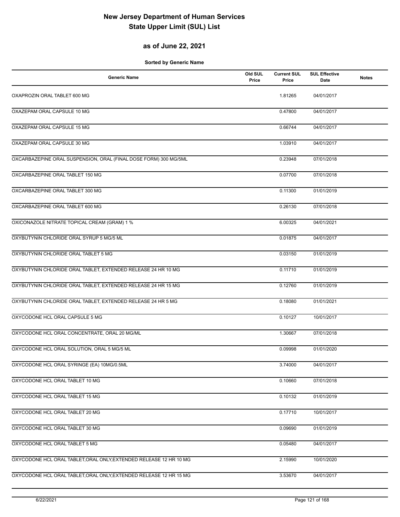## **as of June 22, 2021**

| <b>Generic Name</b>                                                | Old SUL<br>Price | <b>Current SUL</b><br>Price | <b>SUL Effective</b><br>Date | <b>Notes</b> |
|--------------------------------------------------------------------|------------------|-----------------------------|------------------------------|--------------|
| OXAPROZIN ORAL TABLET 600 MG                                       |                  | 1.81265                     | 04/01/2017                   |              |
| OXAZEPAM ORAL CAPSULE 10 MG                                        |                  | 0.47800                     | 04/01/2017                   |              |
| OXAZEPAM ORAL CAPSULE 15 MG                                        |                  | 0.66744                     | 04/01/2017                   |              |
| OXAZEPAM ORAL CAPSULE 30 MG                                        |                  | 1.03910                     | 04/01/2017                   |              |
| OXCARBAZEPINE ORAL SUSPENSION, ORAL (FINAL DOSE FORM) 300 MG/5ML   |                  | 0.23948                     | 07/01/2018                   |              |
| OXCARBAZEPINE ORAL TABLET 150 MG                                   |                  | 0.07700                     | 07/01/2018                   |              |
| OXCARBAZEPINE ORAL TABLET 300 MG                                   |                  | 0.11300                     | 01/01/2019                   |              |
| OXCARBAZEPINE ORAL TABLET 600 MG                                   |                  | 0.26130                     | 07/01/2018                   |              |
| OXICONAZOLE NITRATE TOPICAL CREAM (GRAM) 1 %                       |                  | 6.00325                     | 04/01/2021                   |              |
| OXYBUTYNIN CHLORIDE ORAL SYRUP 5 MG/5 ML                           |                  | 0.01875                     | 04/01/2017                   |              |
| OXYBUTYNIN CHLORIDE ORAL TABLET 5 MG                               |                  | 0.03150                     | 01/01/2019                   |              |
| OXYBUTYNIN CHLORIDE ORAL TABLET, EXTENDED RELEASE 24 HR 10 MG      |                  | 0.11710                     | 01/01/2019                   |              |
| OXYBUTYNIN CHLORIDE ORAL TABLET, EXTENDED RELEASE 24 HR 15 MG      |                  | 0.12760                     | 01/01/2019                   |              |
| OXYBUTYNIN CHLORIDE ORAL TABLET, EXTENDED RELEASE 24 HR 5 MG       |                  | 0.18080                     | 01/01/2021                   |              |
| OXYCODONE HCL ORAL CAPSULE 5 MG                                    |                  | 0.10127                     | 10/01/2017                   |              |
| OXYCODONE HCL ORAL CONCENTRATE, ORAL 20 MG/ML                      |                  | 1.30667                     | 07/01/2018                   |              |
| OXYCODONE HCL ORAL SOLUTION, ORAL 5 MG/5 ML                        |                  | 0.09998                     | 01/01/2020                   |              |
| OXYCODONE HCL ORAL SYRINGE (EA) 10MG/0.5ML                         |                  | 3.74000                     | 04/01/2017                   |              |
| OXYCODONE HCL ORAL TABLET 10 MG                                    |                  | 0.10660                     | 07/01/2018                   |              |
| OXYCODONE HCL ORAL TABLET 15 MG                                    |                  | 0.10132                     | 01/01/2019                   |              |
| OXYCODONE HCL ORAL TABLET 20 MG                                    |                  | 0.17710                     | 10/01/2017                   |              |
| OXYCODONE HCL ORAL TABLET 30 MG                                    |                  | 0.09690                     | 01/01/2019                   |              |
| OXYCODONE HCL ORAL TABLET 5 MG                                     |                  | 0.05480                     | 04/01/2017                   |              |
| OXYCODONE HCL ORAL TABLET, ORAL ONLY, EXTENDED RELEASE 12 HR 10 MG |                  | 2.15990                     | 10/01/2020                   |              |
| OXYCODONE HCL ORAL TABLET, ORAL ONLY, EXTENDED RELEASE 12 HR 15 MG |                  | 3.53670                     | 04/01/2017                   |              |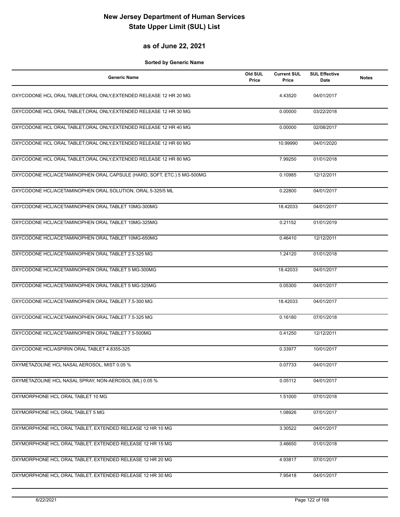### **as of June 22, 2021**

| <b>Generic Name</b>                                                    | Old SUL<br>Price | <b>Current SUL</b><br>Price | <b>SUL Effective</b><br>Date | <b>Notes</b> |
|------------------------------------------------------------------------|------------------|-----------------------------|------------------------------|--------------|
| OXYCODONE HCL ORAL TABLET, ORAL ONLY, EXTENDED RELEASE 12 HR 20 MG     |                  | 4.43520                     | 04/01/2017                   |              |
| OXYCODONE HCL ORAL TABLET, ORAL ONLY, EXTENDED RELEASE 12 HR 30 MG     |                  | 0.00000                     | 03/22/2018                   |              |
| OXYCODONE HCL ORAL TABLET, ORAL ONLY, EXTENDED RELEASE 12 HR 40 MG     |                  | 0.00000                     | 02/08/2017                   |              |
| OXYCODONE HCL ORAL TABLET, ORAL ONLY, EXTENDED RELEASE 12 HR 60 MG     |                  | 10.99990                    | 04/01/2020                   |              |
| OXYCODONE HCL ORAL TABLET, ORAL ONLY, EXTENDED RELEASE 12 HR 80 MG     |                  | 7.99250                     | 01/01/2018                   |              |
| OXYCODONE HCL/ACETAMINOPHEN ORAL CAPSULE (HARD, SOFT, ETC.) 5 MG-500MG |                  | 0.10985                     | 12/12/2011                   |              |
| OXYCODONE HCL/ACETAMINOPHEN ORAL SOLUTION, ORAL 5-325/5 ML             |                  | 0.22800                     | 04/01/2017                   |              |
| OXYCODONE HCL/ACETAMINOPHEN ORAL TABLET 10MG-300MG                     |                  | 18.42033                    | 04/01/2017                   |              |
| OXYCODONE HCL/ACETAMINOPHEN ORAL TABLET 10MG-325MG                     |                  | 0.21152                     | 01/01/2019                   |              |
| OXYCODONE HCL/ACETAMINOPHEN ORAL TABLET 10MG-650MG                     |                  | 0.46410                     | 12/12/2011                   |              |
| OXYCODONE HCL/ACETAMINOPHEN ORAL TABLET 2.5-325 MG                     |                  | 1.24120                     | 01/01/2018                   |              |
| OXYCODONE HCL/ACETAMINOPHEN ORAL TABLET 5 MG-300MG                     |                  | 18.42033                    | 04/01/2017                   |              |
| OXYCODONE HCL/ACETAMINOPHEN ORAL TABLET 5 MG-325MG                     |                  | 0.05300                     | 04/01/2017                   |              |
| OXYCODONE HCL/ACETAMINOPHEN ORAL TABLET 7.5-300 MG                     |                  | 18.42033                    | 04/01/2017                   |              |
| OXYCODONE HCL/ACETAMINOPHEN ORAL TABLET 7.5-325 MG                     |                  | 0.16180                     | 07/01/2018                   |              |
| OXYCODONE HCL/ACETAMINOPHEN ORAL TABLET 7.5-500MG                      |                  | 0.41250                     | 12/12/2011                   |              |
| OXYCODONE HCL/ASPIRIN ORAL TABLET 4.8355-325                           |                  | 0.33977                     | 10/01/2017                   |              |
| OXYMETAZOLINE HCL NASAL AEROSOL, MIST 0.05 %                           |                  | 0.07733                     | 04/01/2017                   |              |
| OXYMETAZOLINE HCL NASAL SPRAY, NON-AEROSOL (ML) 0.05 %                 |                  | 0.05112                     | 04/01/2017                   |              |
| OXYMORPHONE HCL ORAL TABLET 10 MG                                      |                  | 1.51000                     | 07/01/2018                   |              |
| OXYMORPHONE HCL ORAL TABLET 5 MG                                       |                  | 1.08926                     | 07/01/2017                   |              |
| OXYMORPHONE HCL ORAL TABLET, EXTENDED RELEASE 12 HR 10 MG              |                  | 3.30522                     | 04/01/2017                   |              |
| OXYMORPHONE HCL ORAL TABLET, EXTENDED RELEASE 12 HR 15 MG              |                  | 3.46650                     | 01/01/2018                   |              |
| OXYMORPHONE HCL ORAL TABLET, EXTENDED RELEASE 12 HR 20 MG              |                  | 4.93817                     | 07/01/2017                   |              |
| OXYMORPHONE HCL ORAL TABLET, EXTENDED RELEASE 12 HR 30 MG              |                  | 7.95418                     | 04/01/2017                   |              |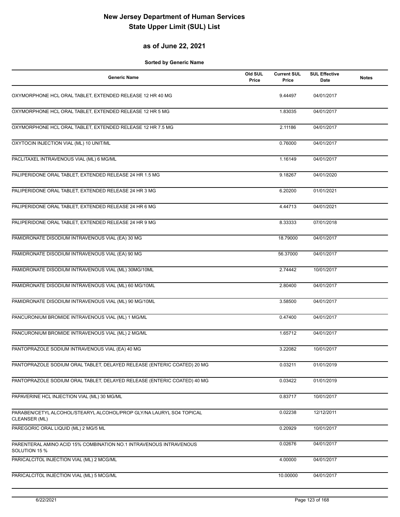### **as of June 22, 2021**

| <b>Generic Name</b>                                                     | Old SUL<br>Price | <b>Current SUL</b><br>Price | <b>SUL Effective</b><br>Date | <b>Notes</b> |
|-------------------------------------------------------------------------|------------------|-----------------------------|------------------------------|--------------|
| OXYMORPHONE HCL ORAL TABLET, EXTENDED RELEASE 12 HR 40 MG               |                  | 9.44497                     | 04/01/2017                   |              |
| OXYMORPHONE HCL ORAL TABLET, EXTENDED RELEASE 12 HR 5 MG                |                  | 1.83035                     | 04/01/2017                   |              |
| OXYMORPHONE HCL ORAL TABLET, EXTENDED RELEASE 12 HR 7.5 MG              |                  | 2.11186                     | 04/01/2017                   |              |
| OXYTOCIN INJECTION VIAL (ML) 10 UNIT/ML                                 |                  | 0.76000                     | 04/01/2017                   |              |
| PACLITAXEL INTRAVENOUS VIAL (ML) 6 MG/ML                                |                  | 1.16149                     | 04/01/2017                   |              |
| PALIPERIDONE ORAL TABLET, EXTENDED RELEASE 24 HR 1.5 MG                 |                  | 9.18267                     | 04/01/2020                   |              |
| PALIPERIDONE ORAL TABLET, EXTENDED RELEASE 24 HR 3 MG                   |                  | 6.20200                     | 01/01/2021                   |              |
| PALIPERIDONE ORAL TABLET, EXTENDED RELEASE 24 HR 6 MG                   |                  | 4.44713                     | 04/01/2021                   |              |
| PALIPERIDONE ORAL TABLET, EXTENDED RELEASE 24 HR 9 MG                   |                  | 8.33333                     | 07/01/2018                   |              |
| PAMIDRONATE DISODIUM INTRAVENOUS VIAL (EA) 30 MG                        |                  | 18.79000                    | 04/01/2017                   |              |
| PAMIDRONATE DISODIUM INTRAVENOUS VIAL (EA) 90 MG                        |                  | 56.37000                    | 04/01/2017                   |              |
| PAMIDRONATE DISODIUM INTRAVENOUS VIAL (ML) 30MG/10ML                    |                  | 2.74442                     | 10/01/2017                   |              |
| PAMIDRONATE DISODIUM INTRAVENOUS VIAL (ML) 60 MG/10ML                   |                  | 2.80400                     | 04/01/2017                   |              |
| PAMIDRONATE DISODIUM INTRAVENOUS VIAL (ML) 90 MG/10ML                   |                  | 3.58500                     | 04/01/2017                   |              |
| PANCURONIUM BROMIDE INTRAVENOUS VIAL (ML) 1 MG/ML                       |                  | 0.47400                     | 04/01/2017                   |              |
| PANCURONIUM BROMIDE INTRAVENOUS VIAL (ML) 2 MG/ML                       |                  | 1.65712                     | 04/01/2017                   |              |
| PANTOPRAZOLE SODIUM INTRAVENOUS VIAL (EA) 40 MG                         |                  | 3.22082                     | 10/01/2017                   |              |
| PANTOPRAZOLE SODIUM ORAL TABLET, DELAYED RELEASE (ENTERIC COATED) 20 MG |                  | 0.03211                     | 01/01/2019                   |              |
| PANTOPRAZOLE SODIUM ORAL TABLET, DELAYED RELEASE (ENTERIC COATED) 40 MG |                  | 0.03422                     | 01/01/2019                   |              |
| PAPAVERINE HCL INJECTION VIAL (ML) 30 MG/ML                             |                  | 0.83717                     | 10/01/2017                   |              |
| PARABEN/CETYL ALCOHOL/STEARYL ALCOHOL/PROP GLY/NA LAURYL SO4 TOPICAL    |                  | 0.02238                     | 12/12/2011                   |              |
| CLEANSER (ML)<br>PAREGORIC ORAL LIQUID (ML) 2 MG/5 ML                   |                  | 0.20929                     | 10/01/2017                   |              |
| PARENTERAL AMINO ACID 15% COMBINATION NO.1 INTRAVENOUS INTRAVENOUS      |                  | 0.02676                     | 04/01/2017                   |              |
| SOLUTION 15 %<br>PARICALCITOL INJECTION VIAL (ML) 2 MCG/ML              |                  | 4.00000                     | 04/01/2017                   |              |
| PARICALCITOL INJECTION VIAL (ML) 5 MCG/ML                               |                  | 10.00000                    | 04/01/2017                   |              |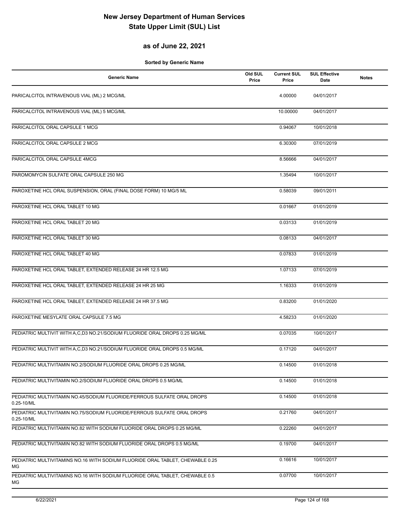## **as of June 22, 2021**

| <b>Generic Name</b>                                                                        | Old SUL<br>Price | <b>Current SUL</b><br>Price | <b>SUL Effective</b><br><b>Date</b> | <b>Notes</b> |
|--------------------------------------------------------------------------------------------|------------------|-----------------------------|-------------------------------------|--------------|
| PARICALCITOL INTRAVENOUS VIAL (ML) 2 MCG/ML                                                |                  | 4.00000                     | 04/01/2017                          |              |
| PARICALCITOL INTRAVENOUS VIAL (ML) 5 MCG/ML                                                |                  | 10.00000                    | 04/01/2017                          |              |
| PARICALCITOL ORAL CAPSULE 1 MCG                                                            |                  | 0.94067                     | 10/01/2018                          |              |
| PARICALCITOL ORAL CAPSULE 2 MCG                                                            |                  | 6.30300                     | 07/01/2019                          |              |
| PARICALCITOL ORAL CAPSULE 4MCG                                                             |                  | 8.56666                     | 04/01/2017                          |              |
| PAROMOMYCIN SULFATE ORAL CAPSULE 250 MG                                                    |                  | 1.35494                     | 10/01/2017                          |              |
| PAROXETINE HCL ORAL SUSPENSION, ORAL (FINAL DOSE FORM) 10 MG/5 ML                          |                  | 0.58039                     | 09/01/2011                          |              |
| PAROXETINE HCL ORAL TABLET 10 MG                                                           |                  | 0.01667                     | 01/01/2019                          |              |
| PAROXETINE HCL ORAL TABLET 20 MG                                                           |                  | 0.03133                     | 01/01/2019                          |              |
| PAROXETINE HCL ORAL TABLET 30 MG                                                           |                  | 0.08133                     | 04/01/2017                          |              |
| PAROXETINE HCL ORAL TABLET 40 MG                                                           |                  | 0.07833                     | 01/01/2019                          |              |
| PAROXETINE HCL ORAL TABLET, EXTENDED RELEASE 24 HR 12.5 MG                                 |                  | 1.07133                     | 07/01/2019                          |              |
| PAROXETINE HCL ORAL TABLET, EXTENDED RELEASE 24 HR 25 MG                                   |                  | 1.16333                     | 01/01/2019                          |              |
| PAROXETINE HCL ORAL TABLET, EXTENDED RELEASE 24 HR 37.5 MG                                 |                  | 0.83200                     | 01/01/2020                          |              |
| PAROXETINE MESYLATE ORAL CAPSULE 7.5 MG                                                    |                  | 4.58233                     | 01/01/2020                          |              |
| PEDIATRIC MULTIVIT WITH A,C,D3 NO.21/SODIUM FLUORIDE ORAL DROPS 0.25 MG/ML                 |                  | 0.07035                     | 10/01/2017                          |              |
| PEDIATRIC MULTIVIT WITH A,C,D3 NO.21/SODIUM FLUORIDE ORAL DROPS 0.5 MG/ML                  |                  | 0.17120                     | 04/01/2017                          |              |
| PEDIATRIC MULTIVITAMIN NO.2/SODIUM FLUORIDE ORAL DROPS 0.25 MG/ML                          |                  | 0.14500                     | 01/01/2018                          |              |
| PEDIATRIC MULTIVITAMIN NO.2/SODIUM FLUORIDE ORAL DROPS 0.5 MG/ML                           |                  | 0.14500                     | 01/01/2018                          |              |
| PEDIATRIC MULTIVITAMIN NO.45/SODIUM FLUORIDE/FERROUS SULFATE ORAL DROPS<br>$0.25 - 10$ /ML |                  | 0.14500                     | 01/01/2018                          |              |
| PEDIATRIC MULTIVITAMIN NO.75/SODIUM FLUORIDE/FERROUS SULFATE ORAL DROPS<br>$0.25 - 10$ /ML |                  | 0.21760                     | 04/01/2017                          |              |
| PEDIATRIC MULTIVITAMIN NO.82 WITH SODIUM FLUORIDE ORAL DROPS 0.25 MG/ML                    |                  | 0.22260                     | 04/01/2017                          |              |
| PEDIATRIC MULTIVITAMIN NO.82 WITH SODIUM FLUORIDE ORAL DROPS 0.5 MG/ML                     |                  | 0.19700                     | 04/01/2017                          |              |
| PEDIATRIC MULTIVITAMINS NO.16 WITH SODIUM FLUORIDE ORAL TABLET, CHEWABLE 0.25<br>МG        |                  | 0.16616                     | 10/01/2017                          |              |
| PEDIATRIC MULTIVITAMINS NO.16 WITH SODIUM FLUORIDE ORAL TABLET, CHEWABLE 0.5<br>МG         |                  | 0.07700                     | 10/01/2017                          |              |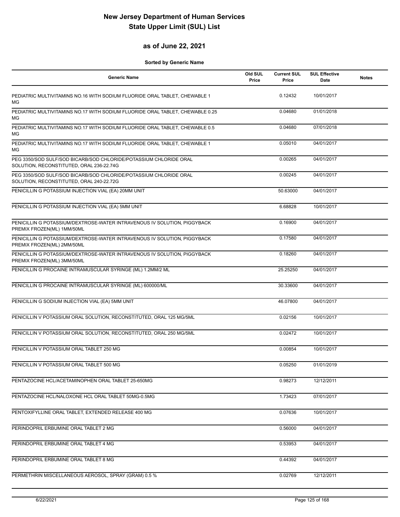### **as of June 22, 2021**

| <b>Generic Name</b>                                                                                           | Old SUL<br>Price | <b>Current SUL</b><br>Price | <b>SUL Effective</b><br>Date | <b>Notes</b> |
|---------------------------------------------------------------------------------------------------------------|------------------|-----------------------------|------------------------------|--------------|
| PEDIATRIC MULTIVITAMINS NO.16 WITH SODIUM FLUORIDE ORAL TABLET, CHEWABLE 1<br>MG                              |                  | 0.12432                     | 10/01/2017                   |              |
| PEDIATRIC MULTIVITAMINS NO.17 WITH SODIUM FLUORIDE ORAL TABLET, CHEWABLE 0.25<br>MG                           |                  | 0.04680                     | 01/01/2018                   |              |
| PEDIATRIC MULTIVITAMINS NO.17 WITH SODIUM FLUORIDE ORAL TABLET, CHEWABLE 0.5<br>MG                            |                  | 0.04680                     | 07/01/2018                   |              |
| PEDIATRIC MULTIVITAMINS NO.17 WITH SODIUM FLUORIDE ORAL TABLET, CHEWABLE 1<br>MG                              |                  | 0.05010                     | 04/01/2017                   |              |
| PEG 3350/SOD SULF/SOD BICARB/SOD CHLORIDE/POTASSIUM CHLORIDE ORAL<br>SOLUTION, RECONSTITUTED, ORAL 236-22.74G |                  | 0.00265                     | 04/01/2017                   |              |
| PEG 3350/SOD SULF/SOD BICARB/SOD CHLORIDE/POTASSIUM CHLORIDE ORAL<br>SOLUTION, RECONSTITUTED, ORAL 240-22.72G |                  | 0.00245                     | 04/01/2017                   |              |
| PENICILLIN G POTASSIUM INJECTION VIAL (EA) 20MM UNIT                                                          |                  | 50.63000                    | 04/01/2017                   |              |
| PENICILLIN G POTASSIUM INJECTION VIAL (EA) 5MM UNIT                                                           |                  | 6.68828                     | 10/01/2017                   |              |
| PENICILLIN G POTASSIUM/DEXTROSE-WATER INTRAVENOUS IV SOLUTION, PIGGYBACK<br>PREMIX FROZEN(ML) 1MM/50ML        |                  | 0.16900                     | 04/01/2017                   |              |
| PENICILLIN G POTASSIUM/DEXTROSE-WATER INTRAVENOUS IV SOLUTION, PIGGYBACK<br>PREMIX FROZEN(ML) 2MM/50ML        |                  | 0.17580                     | 04/01/2017                   |              |
| PENICILLIN G POTASSIUM/DEXTROSE-WATER INTRAVENOUS IV SOLUTION, PIGGYBACK<br>PREMIX FROZEN(ML) 3MM/50ML        |                  | 0.18260                     | 04/01/2017                   |              |
| PENICILLIN G PROCAINE INTRAMUSCULAR SYRINGE (ML) 1.2MM/2 ML                                                   |                  | 25.25250                    | 04/01/2017                   |              |
| PENICILLIN G PROCAINE INTRAMUSCULAR SYRINGE (ML) 600000/ML                                                    |                  | 30.33600                    | 04/01/2017                   |              |
| PENICILLIN G SODIUM INJECTION VIAL (EA) 5MM UNIT                                                              |                  | 46.07800                    | 04/01/2017                   |              |
| PENICILLIN V POTASSIUM ORAL SOLUTION, RECONSTITUTED, ORAL 125 MG/5ML                                          |                  | 0.02156                     | 10/01/2017                   |              |
| PENICILLIN V POTASSIUM ORAL SOLUTION, RECONSTITUTED, ORAL 250 MG/5ML                                          |                  | 0.02472                     | 10/01/2017                   |              |
| PENICILLIN V POTASSIUM ORAL TABLET 250 MG                                                                     |                  | 0.00854                     | 10/01/2017                   |              |
| PENICILLIN V POTASSIUM ORAL TABLET 500 MG                                                                     |                  | 0.05250                     | 01/01/2019                   |              |
| PENTAZOCINE HCL/ACETAMINOPHEN ORAL TABLET 25-650MG                                                            |                  | 0.98273                     | 12/12/2011                   |              |
| PENTAZOCINE HCL/NALOXONE HCL ORAL TABLET 50MG-0.5MG                                                           |                  | 1.73423                     | 07/01/2017                   |              |
| PENTOXIFYLLINE ORAL TABLET, EXTENDED RELEASE 400 MG                                                           |                  | 0.07636                     | 10/01/2017                   |              |
| PERINDOPRIL ERBUMINE ORAL TABLET 2 MG                                                                         |                  | 0.56000                     | 04/01/2017                   |              |
| PERINDOPRIL ERBUMINE ORAL TABLET 4 MG                                                                         |                  | 0.53953                     | 04/01/2017                   |              |
| PERINDOPRIL ERBUMINE ORAL TABLET 8 MG                                                                         |                  | 0.44392                     | 04/01/2017                   |              |
| PERMETHRIN MISCELLANEOUS AEROSOL, SPRAY (GRAM) 0.5 %                                                          |                  | 0.02769                     | 12/12/2011                   |              |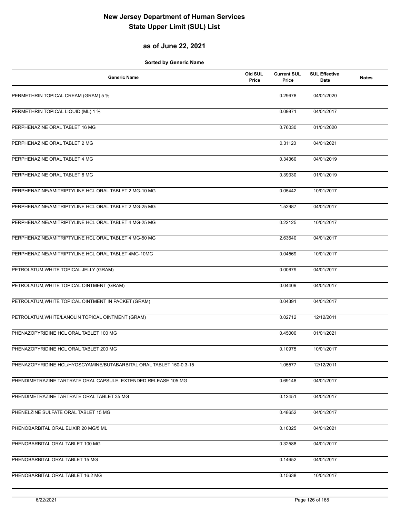## **as of June 22, 2021**

| <b>Generic Name</b>                                                 | Old SUL<br>Price | <b>Current SUL</b><br>Price | <b>SUL Effective</b><br>Date | <b>Notes</b> |
|---------------------------------------------------------------------|------------------|-----------------------------|------------------------------|--------------|
| PERMETHRIN TOPICAL CREAM (GRAM) 5 %                                 |                  | 0.29678                     | 04/01/2020                   |              |
| PERMETHRIN TOPICAL LIQUID (ML) 1 %                                  |                  | 0.09871                     | 04/01/2017                   |              |
| PERPHENAZINE ORAL TABLET 16 MG                                      |                  | 0.76030                     | 01/01/2020                   |              |
| PERPHENAZINE ORAL TABLET 2 MG                                       |                  | 0.31120                     | 04/01/2021                   |              |
| PERPHENAZINE ORAL TABLET 4 MG                                       |                  | 0.34360                     | 04/01/2019                   |              |
| PERPHENAZINE ORAL TABLET 8 MG                                       |                  | 0.39330                     | 01/01/2019                   |              |
| PERPHENAZINE/AMITRIPTYLINE HCL ORAL TABLET 2 MG-10 MG               |                  | 0.05442                     | 10/01/2017                   |              |
| PERPHENAZINE/AMITRIPTYLINE HCL ORAL TABLET 2 MG-25 MG               |                  | 1.52987                     | 04/01/2017                   |              |
| PERPHENAZINE/AMITRIPTYLINE HCL ORAL TABLET 4 MG-25 MG               |                  | 0.22125                     | 10/01/2017                   |              |
| PERPHENAZINE/AMITRIPTYLINE HCL ORAL TABLET 4 MG-50 MG               |                  | 2.63640                     | 04/01/2017                   |              |
| PERPHENAZINE/AMITRIPTYLINE HCL ORAL TABLET 4MG-10MG                 |                  | 0.04569                     | 10/01/2017                   |              |
| PETROLATUM, WHITE TOPICAL JELLY (GRAM)                              |                  | 0.00679                     | 04/01/2017                   |              |
| PETROLATUM, WHITE TOPICAL OINTMENT (GRAM)                           |                  | 0.04409                     | 04/01/2017                   |              |
| PETROLATUM, WHITE TOPICAL OINTMENT IN PACKET (GRAM)                 |                  | 0.04391                     | 04/01/2017                   |              |
| PETROLATUM, WHITE/LANOLIN TOPICAL OINTMENT (GRAM)                   |                  | 0.02712                     | 12/12/2011                   |              |
| PHENAZOPYRIDINE HCL ORAL TABLET 100 MG                              |                  | 0.45000                     | 01/01/2021                   |              |
| PHENAZOPYRIDINE HCL ORAL TABLET 200 MG                              |                  | 0.10975                     | 10/01/2017                   |              |
| PHENAZOPYRIDINE HCL/HYOSCYAMINE/BUTABARBITAL ORAL TABLET 150-0.3-15 |                  | 1.05577                     | 12/12/2011                   |              |
| PHENDIMETRAZINE TARTRATE ORAL CAPSULE, EXTENDED RELEASE 105 MG      |                  | 0.69148                     | 04/01/2017                   |              |
| PHENDIMETRAZINE TARTRATE ORAL TABLET 35 MG                          |                  | 0.12451                     | 04/01/2017                   |              |
| PHENELZINE SULFATE ORAL TABLET 15 MG                                |                  | 0.48652                     | 04/01/2017                   |              |
| PHENOBARBITAL ORAL ELIXIR 20 MG/5 ML                                |                  | 0.10325                     | 04/01/2021                   |              |
| PHENOBARBITAL ORAL TABLET 100 MG                                    |                  | 0.32588                     | 04/01/2017                   |              |
| PHENOBARBITAL ORAL TABLET 15 MG                                     |                  | 0.14652                     | 04/01/2017                   |              |
| PHENOBARBITAL ORAL TABLET 16.2 MG                                   |                  | 0.15638                     | 10/01/2017                   |              |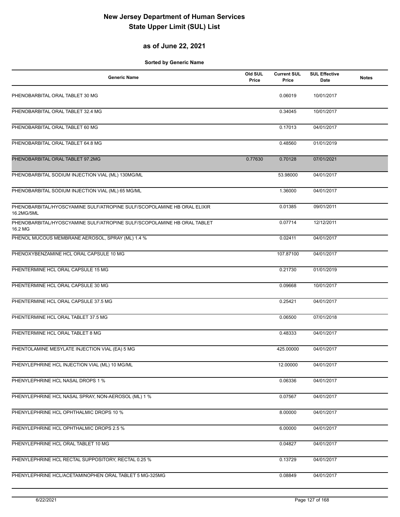## **as of June 22, 2021**

| <b>Generic Name</b>                                                                   | Old SUL<br>Price | <b>Current SUL</b><br>Price | <b>SUL Effective</b><br>Date | <b>Notes</b> |
|---------------------------------------------------------------------------------------|------------------|-----------------------------|------------------------------|--------------|
| PHENOBARBITAL ORAL TABLET 30 MG                                                       |                  | 0.06019                     | 10/01/2017                   |              |
| PHENOBARBITAL ORAL TABLET 32.4 MG                                                     |                  | 0.34045                     | 10/01/2017                   |              |
| PHENOBARBITAL ORAL TABLET 60 MG                                                       |                  | 0.17013                     | 04/01/2017                   |              |
| PHENOBARBITAL ORAL TABLET 64.8 MG                                                     |                  | 0.48560                     | 01/01/2019                   |              |
| PHENOBARBITAL ORAL TABLET 97.2MG                                                      | 0.77630          | 0.70128                     | 07/01/2021                   |              |
| PHENOBARBITAL SODIUM INJECTION VIAL (ML) 130MG/ML                                     |                  | 53.98000                    | 04/01/2017                   |              |
| PHENOBARBITAL SODIUM INJECTION VIAL (ML) 65 MG/ML                                     |                  | 1.36000                     | 04/01/2017                   |              |
| PHENOBARBITAL/HYOSCYAMINE SULF/ATROPINE SULF/SCOPOLAMINE HB ORAL ELIXIR<br>16.2MG/5ML |                  | 0.01385                     | 09/01/2011                   |              |
| PHENOBARBITAL/HYOSCYAMINE SULF/ATROPINE SULF/SCOPOLAMINE HB ORAL TABLET<br>16.2 MG    |                  | 0.07714                     | 12/12/2011                   |              |
| PHENOL MUCOUS MEMBRANE AEROSOL, SPRAY (ML) 1.4 %                                      |                  | 0.02411                     | 04/01/2017                   |              |
| PHENOXYBENZAMINE HCL ORAL CAPSULE 10 MG                                               |                  | 107.87100                   | 04/01/2017                   |              |
| PHENTERMINE HCL ORAL CAPSULE 15 MG                                                    |                  | 0.21730                     | 01/01/2019                   |              |
| PHENTERMINE HCL ORAL CAPSULE 30 MG                                                    |                  | 0.09668                     | 10/01/2017                   |              |
| PHENTERMINE HCL ORAL CAPSULE 37.5 MG                                                  |                  | 0.25421                     | 04/01/2017                   |              |
| PHENTERMINE HCL ORAL TABLET 37.5 MG                                                   |                  | 0.06500                     | 07/01/2018                   |              |
| PHENTERMINE HCL ORAL TABLET 8 MG                                                      |                  | 0.48333                     | 04/01/2017                   |              |
| PHENTOLAMINE MESYLATE INJECTION VIAL (EA) 5 MG                                        |                  | 425.00000                   | 04/01/2017                   |              |
| PHENYLEPHRINE HCL INJECTION VIAL (ML) 10 MG/ML                                        |                  | 12.00000                    | 04/01/2017                   |              |
| PHENYLEPHRINE HCL NASAL DROPS 1 %                                                     |                  | 0.06336                     | 04/01/2017                   |              |
| PHENYLEPHRINE HCL NASAL SPRAY, NON-AEROSOL (ML) 1 %                                   |                  | 0.07567                     | 04/01/2017                   |              |
| PHENYLEPHRINE HCL OPHTHALMIC DROPS 10 %                                               |                  | 8.00000                     | 04/01/2017                   |              |
| PHENYLEPHRINE HCL OPHTHALMIC DROPS 2.5 %                                              |                  | 6.00000                     | 04/01/2017                   |              |
| PHENYLEPHRINE HCL ORAL TABLET 10 MG                                                   |                  | 0.04827                     | 04/01/2017                   |              |
| PHENYLEPHRINE HCL RECTAL SUPPOSITORY, RECTAL 0.25 %                                   |                  | 0.13729                     | 04/01/2017                   |              |
| PHENYLEPHRINE HCL/ACETAMINOPHEN ORAL TABLET 5 MG-325MG                                |                  | 0.08849                     | 04/01/2017                   |              |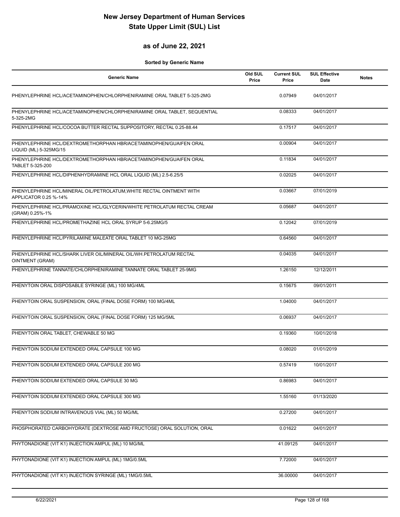### **as of June 22, 2021**

| <b>Generic Name</b>                                                                           | Old SUL<br>Price | <b>Current SUL</b><br>Price | <b>SUL Effective</b><br>Date | <b>Notes</b> |
|-----------------------------------------------------------------------------------------------|------------------|-----------------------------|------------------------------|--------------|
| PHENYLEPHRINE HCL/ACETAMINOPHEN/CHLORPHENIRAMINE ORAL TABLET 5-325-2MG                        |                  | 0.07949                     | 04/01/2017                   |              |
| PHENYLEPHRINE HCL/ACETAMINOPHEN/CHLORPHENIRAMINE ORAL TABLET, SEQUENTIAL<br>5-325-2MG         |                  | 0.08333                     | 04/01/2017                   |              |
| PHENYLEPHRINE HCL/COCOA BUTTER RECTAL SUPPOSITORY, RECTAL 0.25-88.44                          |                  | 0.17517                     | 04/01/2017                   |              |
| PHENYLEPHRINE HCL/DEXTROMETHORPHAN HBR/ACETAMINOPHEN/GUAIFEN ORAL<br>LIQUID (ML) 5-325MG/15   |                  | 0.00904                     | 04/01/2017                   |              |
| PHENYLEPHRINE HCL/DEXTROMETHORPHAN HBR/ACETAMINOPHEN/GUAIFEN ORAL<br>TABLET 5-325-200         |                  | 0.11834                     | 04/01/2017                   |              |
| PHENYLEPHRINE HCL/DIPHENHYDRAMINE HCL ORAL LIQUID (ML) 2.5-6.25/5                             |                  | 0.02025                     | 04/01/2017                   |              |
| PHENYLEPHRINE HCL/MINERAL OIL/PETROLATUM, WHITE RECTAL OINTMENT WITH<br>APPLICATOR 0.25 %-14% |                  | 0.03667                     | 07/01/2019                   |              |
| PHENYLEPHRINE HCL/PRAMOXINE HCL/GLYCERIN/WHITE PETROLATUM RECTAL CREAM<br>(GRAM) 0.25%-1%     |                  | 0.05687                     | 04/01/2017                   |              |
| PHENYLEPHRINE HCL/PROMETHAZINE HCL ORAL SYRUP 5-6.25MG/5                                      |                  | 0.12042                     | 07/01/2019                   |              |
| PHENYLEPHRINE HCL/PYRILAMINE MALEATE ORAL TABLET 10 MG-25MG                                   |                  | 0.64560                     | 04/01/2017                   |              |
| PHENYLEPHRINE HCL/SHARK LIVER OIL/MINERAL OIL/WH.PETROLATUM RECTAL<br>OINTMENT (GRAM)         |                  | 0.04035                     | 04/01/2017                   |              |
| PHENYLEPHRINE TANNATE/CHLORPHENIRAMINE TANNATE ORAL TABLET 25-9MG                             |                  | 1.26150                     | 12/12/2011                   |              |
| PHENYTOIN ORAL DISPOSABLE SYRINGE (ML) 100 MG/4ML                                             |                  | 0.15675                     | 09/01/2011                   |              |
| PHENYTOIN ORAL SUSPENSION, ORAL (FINAL DOSE FORM) 100 MG/4ML                                  |                  | 1.04000                     | 04/01/2017                   |              |
| PHENYTOIN ORAL SUSPENSION, ORAL (FINAL DOSE FORM) 125 MG/5ML                                  |                  | 0.06937                     | 04/01/2017                   |              |
| PHENYTOIN ORAL TABLET, CHEWABLE 50 MG                                                         |                  | 0.19360                     | 10/01/2018                   |              |
| PHENYTOIN SODIUM EXTENDED ORAL CAPSULE 100 MG                                                 |                  | 0.08020                     | 01/01/2019                   |              |
| PHENYTOIN SODIUM EXTENDED ORAL CAPSULE 200 MG                                                 |                  | 0.57419                     | 10/01/2017                   |              |
| PHENYTOIN SODIUM EXTENDED ORAL CAPSULE 30 MG                                                  |                  | 0.86983                     | 04/01/2017                   |              |
| PHENYTOIN SODIUM EXTENDED ORAL CAPSULE 300 MG                                                 |                  | 1.55160                     | 01/13/2020                   |              |
| PHENYTOIN SODIUM INTRAVENOUS VIAL (ML) 50 MG/ML                                               |                  | 0.27200                     | 04/01/2017                   |              |
| PHOSPHORATED CARBOHYDRATE (DEXTROSE AMD FRUCTOSE) ORAL SOLUTION, ORAL                         |                  | 0.01622                     | 04/01/2017                   |              |
| PHYTONADIONE (VIT K1) INJECTION AMPUL (ML) 10 MG/ML                                           |                  | 41.09125                    | 04/01/2017                   |              |
| PHYTONADIONE (VIT K1) INJECTION AMPUL (ML) 1MG/0.5ML                                          |                  | 7.72000                     | 04/01/2017                   |              |
| PHYTONADIONE (VIT K1) INJECTION SYRINGE (ML) 1MG/0.5ML                                        |                  | 36.00000                    | 04/01/2017                   |              |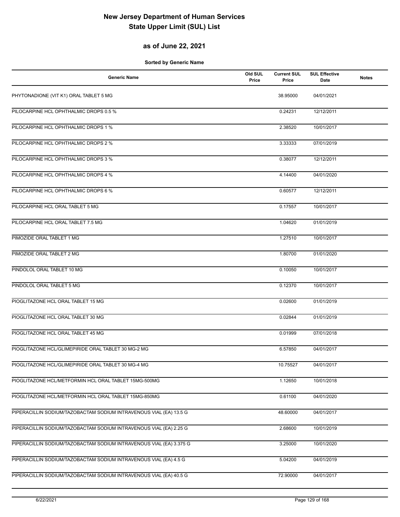## **as of June 22, 2021**

| <b>Generic Name</b>                                                 | Old SUL<br>Price | <b>Current SUL</b><br>Price | <b>SUL Effective</b><br>Date | <b>Notes</b> |
|---------------------------------------------------------------------|------------------|-----------------------------|------------------------------|--------------|
| PHYTONADIONE (VIT K1) ORAL TABLET 5 MG                              |                  | 38.95000                    | 04/01/2021                   |              |
| PILOCARPINE HCL OPHTHALMIC DROPS 0.5 %                              |                  | 0.24231                     | 12/12/2011                   |              |
| PILOCARPINE HCL OPHTHALMIC DROPS 1 %                                |                  | 2.38520                     | 10/01/2017                   |              |
| PILOCARPINE HCL OPHTHALMIC DROPS 2 %                                |                  | 3.33333                     | 07/01/2019                   |              |
| PILOCARPINE HCL OPHTHALMIC DROPS 3 %                                |                  | 0.38077                     | 12/12/2011                   |              |
| PILOCARPINE HCL OPHTHALMIC DROPS 4 %                                |                  | 4.14400                     | 04/01/2020                   |              |
| PILOCARPINE HCL OPHTHALMIC DROPS 6 %                                |                  | 0.60577                     | 12/12/2011                   |              |
| PILOCARPINE HCL ORAL TABLET 5 MG                                    |                  | 0.17557                     | 10/01/2017                   |              |
| PILOCARPINE HCL ORAL TABLET 7.5 MG                                  |                  | 1.04620                     | 01/01/2019                   |              |
| PIMOZIDE ORAL TABLET 1 MG                                           |                  | 1.27510                     | 10/01/2017                   |              |
| PIMOZIDE ORAL TABLET 2 MG                                           |                  | 1.80700                     | 01/01/2020                   |              |
| PINDOLOL ORAL TABLET 10 MG                                          |                  | 0.10050                     | 10/01/2017                   |              |
| PINDOLOL ORAL TABLET 5 MG                                           |                  | 0.12370                     | 10/01/2017                   |              |
| PIOGLITAZONE HCL ORAL TABLET 15 MG                                  |                  | 0.02600                     | 01/01/2019                   |              |
| PIOGLITAZONE HCL ORAL TABLET 30 MG                                  |                  | 0.02844                     | 01/01/2019                   |              |
| PIOGLITAZONE HCL ORAL TABLET 45 MG                                  |                  | 0.01999                     | 07/01/2018                   |              |
| PIOGLITAZONE HCL/GLIMEPIRIDE ORAL TABLET 30 MG-2 MG                 |                  | 6.57850                     | 04/01/2017                   |              |
| PIOGLITAZONE HCL/GLIMEPIRIDE ORAL TABLET 30 MG-4 MG                 |                  | 10.75527                    | 04/01/2017                   |              |
| PIOGLITAZONE HCL/METFORMIN HCL ORAL TABLET 15MG-500MG               |                  | 1.12650                     | 10/01/2018                   |              |
| PIOGLITAZONE HCL/METFORMIN HCL ORAL TABLET 15MG-850MG               |                  | 0.61100                     | 04/01/2020                   |              |
| PIPERACILLIN SODIUM/TAZOBACTAM SODIUM INTRAVENOUS VIAL (EA) 13.5 G  |                  | 48.60000                    | 04/01/2017                   |              |
| PIPERACILLIN SODIUM/TAZOBACTAM SODIUM INTRAVENOUS VIAL (EA) 2.25 G  |                  | 2.68600                     | 10/01/2019                   |              |
| PIPERACILLIN SODIUM/TAZOBACTAM SODIUM INTRAVENOUS VIAL (EA) 3.375 G |                  | 3.25000                     | 10/01/2020                   |              |
| PIPERACILLIN SODIUM/TAZOBACTAM SODIUM INTRAVENOUS VIAL (EA) 4.5 G   |                  | 5.04200                     | 04/01/2019                   |              |
| PIPERACILLIN SODIUM/TAZOBACTAM SODIUM INTRAVENOUS VIAL (EA) 40.5 G  |                  | 72.90000                    | 04/01/2017                   |              |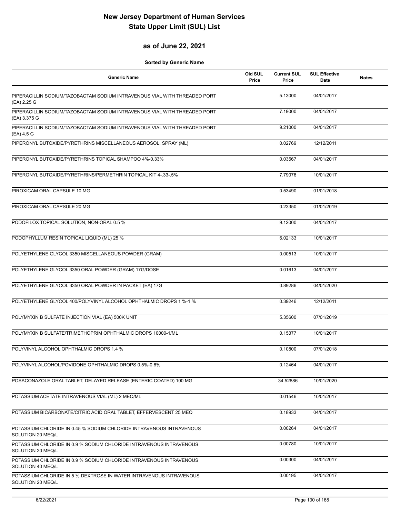### **as of June 22, 2021**

| <b>Generic Name</b>                                                                       | Old SUL<br>Price | <b>Current SUL</b><br>Price | <b>SUL Effective</b><br><b>Date</b> | <b>Notes</b> |
|-------------------------------------------------------------------------------------------|------------------|-----------------------------|-------------------------------------|--------------|
| PIPERACILLIN SODIUM/TAZOBACTAM SODIUM INTRAVENOUS VIAL WITH THREADED PORT<br>(EA) 2.25 G  |                  | 5.13000                     | 04/01/2017                          |              |
| PIPERACILLIN SODIUM/TAZOBACTAM SODIUM INTRAVENOUS VIAL WITH THREADED PORT<br>(EA) 3.375 G |                  | 7.19000                     | 04/01/2017                          |              |
| PIPERACILLIN SODIUM/TAZOBACTAM SODIUM INTRAVENOUS VIAL WITH THREADED PORT<br>(EA) 4.5 G   |                  | 9.21000                     | 04/01/2017                          |              |
| PIPERONYL BUTOXIDE/PYRETHRINS MISCELLANEOUS AEROSOL, SPRAY (ML)                           |                  | 0.02769                     | 12/12/2011                          |              |
| PIPERONYL BUTOXIDE/PYRETHRINS TOPICAL SHAMPOO 4%-0.33%                                    |                  | 0.03567                     | 04/01/2017                          |              |
| PIPERONYL BUTOXIDE/PYRETHRINS/PERMETHRIN TOPICAL KIT 4-.33-.5%                            |                  | 7.79076                     | 10/01/2017                          |              |
| PIROXICAM ORAL CAPSULE 10 MG                                                              |                  | 0.53490                     | 01/01/2018                          |              |
| PIROXICAM ORAL CAPSULE 20 MG                                                              |                  | 0.23350                     | 01/01/2019                          |              |
| PODOFILOX TOPICAL SOLUTION, NON-ORAL 0.5 %                                                |                  | 9.12000                     | 04/01/2017                          |              |
| PODOPHYLLUM RESIN TOPICAL LIQUID (ML) 25 %                                                |                  | 6.02133                     | 10/01/2017                          |              |
| POLYETHYLENE GLYCOL 3350 MISCELLANEOUS POWDER (GRAM)                                      |                  | 0.00513                     | 10/01/2017                          |              |
| POLYETHYLENE GLYCOL 3350 ORAL POWDER (GRAM) 17G/DOSE                                      |                  | 0.01613                     | 04/01/2017                          |              |
| POLYETHYLENE GLYCOL 3350 ORAL POWDER IN PACKET (EA) 17G                                   |                  | 0.89286                     | 04/01/2020                          |              |
| POLYETHYLENE GLYCOL 400/POLYVINYL ALCOHOL OPHTHALMIC DROPS 1 %-1 %                        |                  | 0.39246                     | 12/12/2011                          |              |
| POLYMYXIN B SULFATE INJECTION VIAL (EA) 500K UNIT                                         |                  | 5.35600                     | 07/01/2019                          |              |
| POLYMYXIN B SULFATE/TRIMETHOPRIM OPHTHALMIC DROPS 10000-1/ML                              |                  | 0.15377                     | 10/01/2017                          |              |
| POLYVINYL ALCOHOL OPHTHALMIC DROPS 1.4 %                                                  |                  | 0.10800                     | 07/01/2018                          |              |
| POLYVINYL ALCOHOL/POVIDONE OPHTHALMIC DROPS 0.5%-0.6%                                     |                  | 0.12464                     | 04/01/2017                          |              |
| POSACONAZOLE ORAL TABLET, DELAYED RELEASE (ENTERIC COATED) 100 MG                         |                  | 34.52886                    | 10/01/2020                          |              |
| POTASSIUM ACETATE INTRAVENOUS VIAL (ML) 2 MEQ/ML                                          |                  | 0.01546                     | 10/01/2017                          |              |
| POTASSIUM BICARBONATE/CITRIC ACID ORAL TABLET, EFFERVESCENT 25 MEQ                        |                  | 0.18933                     | 04/01/2017                          |              |
| POTASSIUM CHLORIDE IN 0.45 % SODIUM CHLORIDE INTRAVENOUS INTRAVENOUS<br>SOLUTION 20 MEQ/L |                  | 0.00264                     | 04/01/2017                          |              |
| POTASSIUM CHLORIDE IN 0.9 % SODIUM CHLORIDE INTRAVENOUS INTRAVENOUS<br>SOLUTION 20 MEQ/L  |                  | 0.00780                     | 10/01/2017                          |              |
| POTASSIUM CHLORIDE IN 0.9 % SODIUM CHLORIDE INTRAVENOUS INTRAVENOUS<br>SOLUTION 40 MEQ/L  |                  | 0.00300                     | 04/01/2017                          |              |
| POTASSIUM CHLORIDE IN 5 % DEXTROSE IN WATER INTRAVENOUS INTRAVENOUS<br>SOLUTION 20 MEQ/L  |                  | 0.00195                     | 04/01/2017                          |              |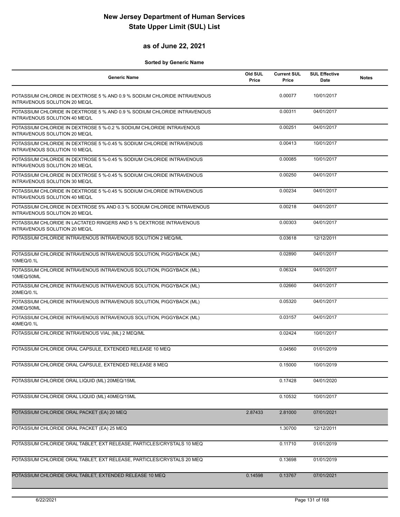### **as of June 22, 2021**

| <b>Generic Name</b>                                                                                       | Old SUL<br>Price | <b>Current SUL</b><br>Price | <b>SUL Effective</b><br>Date | <b>Notes</b> |
|-----------------------------------------------------------------------------------------------------------|------------------|-----------------------------|------------------------------|--------------|
| POTASSIUM CHLORIDE IN DEXTROSE 5 % AND 0.9 % SODIUM CHLORIDE INTRAVENOUS<br>INTRAVENOUS SOLUTION 20 MEQ/L |                  | 0.00077                     | 10/01/2017                   |              |
| POTASSIUM CHLORIDE IN DEXTROSE 5 % AND 0.9 % SODIUM CHLORIDE INTRAVENOUS<br>INTRAVENOUS SOLUTION 40 MEQ/L |                  | 0.00311                     | 04/01/2017                   |              |
| POTASSIUM CHLORIDE IN DEXTROSE 5 %-0.2 % SODIUM CHLORIDE INTRAVENOUS<br>INTRAVENOUS SOLUTION 20 MEQ/L     |                  | 0.00251                     | 04/01/2017                   |              |
| POTASSIUM CHLORIDE IN DEXTROSE 5 %-0.45 % SODIUM CHLORIDE INTRAVENOUS<br>INTRAVENOUS SOLUTION 10 MEQ/L    |                  | 0.00413                     | 10/01/2017                   |              |
| POTASSIUM CHLORIDE IN DEXTROSE 5 %-0.45 % SODIUM CHLORIDE INTRAVENOUS<br>INTRAVENOUS SOLUTION 20 MEQ/L    |                  | 0.00085                     | 10/01/2017                   |              |
| POTASSIUM CHLORIDE IN DEXTROSE 5 %-0.45 % SODIUM CHLORIDE INTRAVENOUS<br>INTRAVENOUS SOLUTION 30 MEQ/L    |                  | 0.00250                     | 04/01/2017                   |              |
| POTASSIUM CHLORIDE IN DEXTROSE 5 %-0.45 % SODIUM CHLORIDE INTRAVENOUS<br>INTRAVENOUS SOLUTION 40 MEQ/L    |                  | 0.00234                     | 04/01/2017                   |              |
| POTASSIUM CHLORIDE IN DEXTROSE 5% AND 0.3 % SODIUM CHLORIDE INTRAVENOUS<br>INTRAVENOUS SOLUTION 20 MEQ/L  |                  | 0.00218                     | 04/01/2017                   |              |
| POTASSIUM CHLORIDE IN LACTATED RINGERS AND 5 % DEXTROSE INTRAVENOUS<br>INTRAVENOUS SOLUTION 20 MEQ/L      |                  | 0.00303                     | 04/01/2017                   |              |
| POTASSIUM CHLORIDE INTRAVENOUS INTRAVENOUS SOLUTION 2 MEQ/ML                                              |                  | 0.03618                     | 12/12/2011                   |              |
| POTASSIUM CHLORIDE INTRAVENOUS INTRAVENOUS SOLUTION, PIGGYBACK (ML)<br>10MEQ/0.1L                         |                  | 0.02890                     | 04/01/2017                   |              |
| POTASSIUM CHLORIDE INTRAVENOUS INTRAVENOUS SOLUTION, PIGGYBACK (ML)<br>10MEQ/50ML                         |                  | 0.06324                     | 04/01/2017                   |              |
| POTASSIUM CHLORIDE INTRAVENOUS INTRAVENOUS SOLUTION, PIGGYBACK (ML)<br>20MEQ/0.1L                         |                  | 0.02660                     | 04/01/2017                   |              |
| POTASSIUM CHLORIDE INTRAVENOUS INTRAVENOUS SOLUTION, PIGGYBACK (ML)<br>20MEQ/50ML                         |                  | 0.05320                     | 04/01/2017                   |              |
| POTASSIUM CHLORIDE INTRAVENOUS INTRAVENOUS SOLUTION, PIGGYBACK (ML)<br>40MEQ/0.1L                         |                  | 0.03157                     | 04/01/2017                   |              |
| POTASSIUM CHLORIDE INTRAVENOUS VIAL (ML) 2 MEQ/ML                                                         |                  | 0.02424                     | 10/01/2017                   |              |
| POTASSIUM CHLORIDE ORAL CAPSULE, EXTENDED RELEASE 10 MEQ                                                  |                  | 0.04560                     | 01/01/2019                   |              |
| POTASSIUM CHLORIDE ORAL CAPSULE, EXTENDED RELEASE 8 MEQ                                                   |                  | 0.15000                     | 10/01/2019                   |              |
| POTASSIUM CHLORIDE ORAL LIQUID (ML) 20MEQ/15ML                                                            |                  | 0.17428                     | 04/01/2020                   |              |
| POTASSIUM CHLORIDE ORAL LIQUID (ML) 40MEQ/15ML                                                            |                  | 0.10532                     | 10/01/2017                   |              |
| POTASSIUM CHLORIDE ORAL PACKET (EA) 20 MEQ                                                                | 2.87433          | 2.81000                     | 07/01/2021                   |              |
| POTASSIUM CHLORIDE ORAL PACKET (EA) 25 MEQ                                                                |                  | 1.30700                     | 12/12/2011                   |              |
| POTASSIUM CHLORIDE ORAL TABLET, EXT RELEASE, PARTICLES/CRYSTALS 10 MEQ                                    |                  | 0.11710                     | 01/01/2019                   |              |
| POTASSIUM CHLORIDE ORAL TABLET, EXT RELEASE, PARTICLES/CRYSTALS 20 MEQ                                    |                  | 0.13698                     | 01/01/2019                   |              |
| POTASSIUM CHLORIDE ORAL TABLET, EXTENDED RELEASE 10 MEQ                                                   | 0.14598          | 0.13767                     | 07/01/2021                   |              |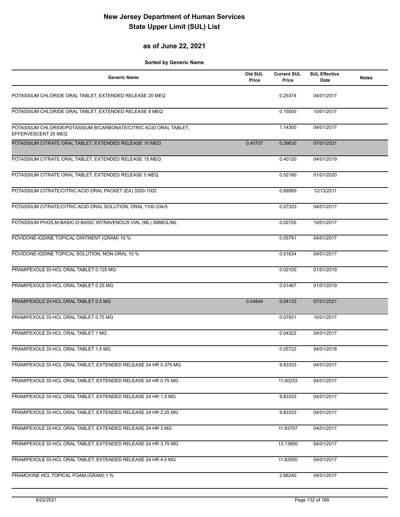### **as of June 22, 2021**

| <b>Generic Name</b>                                                                      | Old SUL<br>Price | <b>Current SUL</b><br>Price | <b>SUL Effective</b><br>Date | <b>Notes</b> |
|------------------------------------------------------------------------------------------|------------------|-----------------------------|------------------------------|--------------|
| POTASSIUM CHLORIDE ORAL TABLET, EXTENDED RELEASE 20 MEQ                                  |                  | 0.25374                     | 04/01/2017                   |              |
| POTASSIUM CHLORIDE ORAL TABLET, EXTENDED RELEASE 8 MEQ                                   |                  | 0.15500                     | 10/01/2017                   |              |
| POTASSIUM CHLORIDE/POTASSIUM BICARBONATE/CITRIC ACID ORAL TABLET,<br>EFFERVESCENT 25 MEQ |                  | 1.14300                     | 04/01/2017                   |              |
| POTASSIUM CITRATE ORAL TABLET, EXTENDED RELEASE 10 MEQ                                   | 0.40707          | 0.39630                     | 07/01/2021                   |              |
| POTASSIUM CITRATE ORAL TABLET, EXTENDED RELEASE 15 MEQ                                   |                  | 0.40120                     | 04/01/2019                   |              |
| POTASSIUM CITRATE ORAL TABLET, EXTENDED RELEASE 5 MEQ                                    |                  | 0.52180                     | 01/01/2020                   |              |
| POTASSIUM CITRATE/CITRIC ACID ORAL PACKET (EA) 3300-1002                                 |                  | 0.68989                     | 12/12/2011                   |              |
| POTASSIUM CITRATE/CITRIC ACID ORAL SOLUTION, ORAL 1100-334/5                             |                  | 0.07333                     | 04/01/2017                   |              |
| POTASSIUM PHOS, M-BASIC-D-BASIC INTRAVENOUS VIAL (ML) 3MMOL/ML                           |                  | 0.02705                     | 10/01/2017                   |              |
| POVIDONE-IODINE TOPICAL OINTMENT (GRAM) 10 %                                             |                  | 0.05791                     | 04/01/2017                   |              |
| POVIDONE-IODINE TOPICAL SOLUTION, NON-ORAL 10 %                                          |                  | 0.01634                     | 04/01/2017                   |              |
| PRAMIPEXOLE DI-HCL ORAL TABLET 0.125 MG                                                  |                  | 0.02100                     | 01/01/2019                   |              |
| PRAMIPEXOLE DI-HCL ORAL TABLET 0.25 MG                                                   |                  | 0.01467                     | 01/01/2019                   |              |
| PRAMIPEXOLE DI-HCL ORAL TABLET 0.5 MG                                                    | 0.04844          | 0.04133                     | 07/01/2021                   |              |
| PRAMIPEXOLE DI-HCL ORAL TABLET 0.75 MG                                                   |                  | 0.07931                     | 10/01/2017                   |              |
| PRAMIPEXOLE DI-HCL ORAL TABLET 1 MG                                                      |                  | 0.04322                     | 04/01/2017                   |              |
| PRAMIPEXOLE DI-HCL ORAL TABLET 1.5 MG                                                    |                  | 0.05722                     | 04/01/2018                   |              |
| PRAMIPEXOLE DI-HCL ORAL TABLET, EXTENDED RELEASE 24 HR 0.375 MG                          |                  | 9.83333                     | 04/01/2017                   |              |
| PRAMIPEXOLE DI-HCL ORAL TABLET, EXTENDED RELEASE 24 HR 0.75 MG                           |                  | 11.00233                    | 04/01/2017                   |              |
| PRAMIPEXOLE DI-HCL ORAL TABLET, EXTENDED RELEASE 24 HR 1.5 MG                            |                  | 9.83333                     | 04/01/2017                   |              |
| PRAMIPEXOLE DI-HCL ORAL TABLET, EXTENDED RELEASE 24 HR 2.25 MG                           |                  | 9.83333                     | 04/01/2017                   |              |
| PRAMIPEXOLE DI-HCL ORAL TABLET, EXTENDED RELEASE 24 HR 3 MG                              |                  | 11.93707                    | 04/01/2017                   |              |
| PRAMIPEXOLE DI-HCL ORAL TABLET, EXTENDED RELEASE 24 HR 3.75 MG                           |                  | 13.13800                    | 04/01/2017                   |              |
| PRAMIPEXOLE DI-HCL ORAL TABLET, EXTENDED RELEASE 24 HR 4.5 MG                            |                  | 11.82500                    | 04/01/2017                   |              |
| PRAMOXINE HCL TOPICAL FOAM (GRAM) 1 %                                                    |                  | 2.66240                     | 04/01/2017                   |              |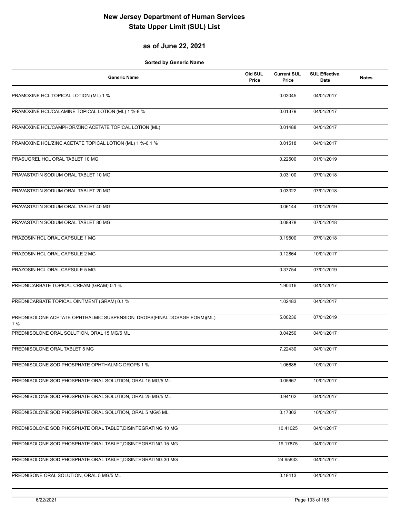## **as of June 22, 2021**

| <b>Generic Name</b>                                                            | Old SUL<br>Price | <b>Current SUL</b><br>Price | <b>SUL Effective</b><br>Date | <b>Notes</b> |
|--------------------------------------------------------------------------------|------------------|-----------------------------|------------------------------|--------------|
| PRAMOXINE HCL TOPICAL LOTION (ML) 1 %                                          |                  | 0.03045                     | 04/01/2017                   |              |
| PRAMOXINE HCL/CALAMINE TOPICAL LOTION (ML) 1 %-8 %                             |                  | 0.01379                     | 04/01/2017                   |              |
| PRAMOXINE HCL/CAMPHOR/ZINC ACETATE TOPICAL LOTION (ML)                         |                  | 0.01488                     | 04/01/2017                   |              |
| PRAMOXINE HCL/ZINC ACETATE TOPICAL LOTION (ML) 1 %-0.1 %                       |                  | 0.01518                     | 04/01/2017                   |              |
| PRASUGREL HCL ORAL TABLET 10 MG                                                |                  | 0.22500                     | 01/01/2019                   |              |
| PRAVASTATIN SODIUM ORAL TABLET 10 MG                                           |                  | 0.03100                     | 07/01/2018                   |              |
| PRAVASTATIN SODIUM ORAL TABLET 20 MG                                           |                  | 0.03322                     | 07/01/2018                   |              |
| PRAVASTATIN SODIUM ORAL TABLET 40 MG                                           |                  | 0.06144                     | 01/01/2019                   |              |
| PRAVASTATIN SODIUM ORAL TABLET 80 MG                                           |                  | 0.08878                     | 07/01/2018                   |              |
| PRAZOSIN HCL ORAL CAPSULE 1 MG                                                 |                  | 0.19500                     | 07/01/2018                   |              |
| PRAZOSIN HCL ORAL CAPSULE 2 MG                                                 |                  | 0.12864                     | 10/01/2017                   |              |
| PRAZOSIN HCL ORAL CAPSULE 5 MG                                                 |                  | 0.37754                     | 07/01/2019                   |              |
| PREDNICARBATE TOPICAL CREAM (GRAM) 0.1 %                                       |                  | 1.90416                     | 04/01/2017                   |              |
| PREDNICARBATE TOPICAL OINTMENT (GRAM) 0.1 %                                    |                  | 1.02483                     | 04/01/2017                   |              |
| PREDNISOLONE ACETATE OPHTHALMIC SUSPENSION, DROPS(FINAL DOSAGE FORM)(ML)<br>1% |                  | 5.00236                     | 07/01/2019                   |              |
| PREDNISOLONE ORAL SOLUTION, ORAL 15 MG/5 ML                                    |                  | 0.04250                     | 04/01/2017                   |              |
| PREDNISOLONE ORAL TABLET 5 MG                                                  |                  | 7.22430                     | 04/01/2017                   |              |
| PREDNISOLONE SOD PHOSPHATE OPHTHALMIC DROPS 1 %                                |                  | 1.06685                     | 10/01/2017                   |              |
| PREDNISOLONE SOD PHOSPHATE ORAL SOLUTION, ORAL 15 MG/5 ML                      |                  | 0.05667                     | 10/01/2017                   |              |
| PREDNISOLONE SOD PHOSPHATE ORAL SOLUTION, ORAL 25 MG/5 ML                      |                  | 0.94102                     | 04/01/2017                   |              |
| PREDNISOLONE SOD PHOSPHATE ORAL SOLUTION, ORAL 5 MG/5 ML                       |                  | 0.17302                     | 10/01/2017                   |              |
| PREDNISOLONE SOD PHOSPHATE ORAL TABLET, DISINTEGRATING 10 MG                   |                  | 10.41025                    | 04/01/2017                   |              |
| PREDNISOLONE SOD PHOSPHATE ORAL TABLET, DISINTEGRATING 15 MG                   |                  | 19.17875                    | 04/01/2017                   |              |
| PREDNISOLONE SOD PHOSPHATE ORAL TABLET, DISINTEGRATING 30 MG                   |                  | 24.65833                    | 04/01/2017                   |              |
| PREDNISONE ORAL SOLUTION, ORAL 5 MG/5 ML                                       |                  | 0.18413                     | 04/01/2017                   |              |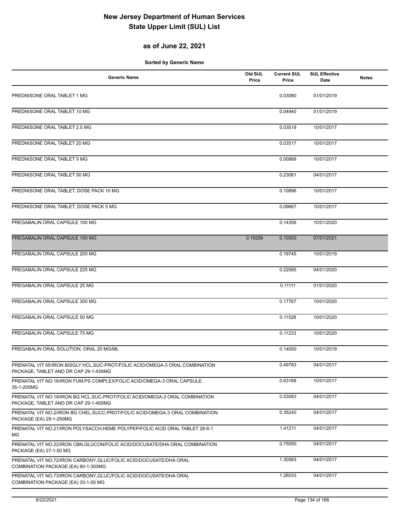## **as of June 22, 2021**

| <b>Generic Name</b>                                                                                                    | Old SUL<br>Price | <b>Current SUL</b><br>Price | <b>SUL Effective</b><br>Date | <b>Notes</b> |
|------------------------------------------------------------------------------------------------------------------------|------------------|-----------------------------|------------------------------|--------------|
| PREDNISONE ORAL TABLET 1 MG                                                                                            |                  | 0.03080                     | 01/01/2019                   |              |
| PREDNISONE ORAL TABLET 10 MG                                                                                           |                  | 0.04940                     | 01/01/2019                   |              |
| PREDNISONE ORAL TABLET 2.5 MG                                                                                          |                  | 0.03518                     | 10/01/2017                   |              |
| PREDNISONE ORAL TABLET 20 MG                                                                                           |                  | 0.03517                     | 10/01/2017                   |              |
| PREDNISONE ORAL TABLET 5 MG                                                                                            |                  | 0.00868                     | 10/01/2017                   |              |
| PREDNISONE ORAL TABLET 50 MG                                                                                           |                  | 0.23081                     | 04/01/2017                   |              |
| PREDNISONE ORAL TABLET, DOSE PACK 10 MG                                                                                |                  | 0.10896                     | 10/01/2017                   |              |
| PREDNISONE ORAL TABLET, DOSE PACK 5 MG                                                                                 |                  | 0.09667                     | 10/01/2017                   |              |
| PREGABALIN ORAL CAPSULE 100 MG                                                                                         |                  | 0.14356                     | 10/01/2020                   |              |
| PREGABALIN ORAL CAPSULE 150 MG                                                                                         | 0.19256          | 0.10500                     | 07/01/2021                   |              |
| PREGABALIN ORAL CAPSULE 200 MG                                                                                         |                  | 0.19745                     | 10/01/2019                   |              |
| PREGABALIN ORAL CAPSULE 225 MG                                                                                         |                  | 0.22595                     | 04/01/2020                   |              |
| PREGABALIN ORAL CAPSULE 25 MG                                                                                          |                  | 0.11111                     | 01/01/2020                   |              |
| PREGABALIN ORAL CAPSULE 300 MG                                                                                         |                  | 0.17767                     | 10/01/2020                   |              |
| PREGABALIN ORAL CAPSULE 50 MG                                                                                          |                  | 0.11528                     | 10/01/2020                   |              |
| PREGABALIN ORAL CAPSULE 75 MG                                                                                          |                  | 0.11233                     | 10/01/2020                   |              |
| PREGABALIN ORAL SOLUTION, ORAL 20 MG/ML                                                                                |                  | 0.14000                     | 10/01/2019                   |              |
| PRENATAL VIT 55/IRON BISGLY HCL, SUC-PROT/FOLIC ACID/OMEGA-3 ORAL COMBINATION<br>PACKAGE, TABLET AND DR CAP 29-1-430MG |                  | 0.49783                     | 04/01/2017                   |              |
| PRENATAL VIT NO.16/IRON FUM, PS COMPLEX/FOLIC ACID/OMEGA-3 ORAL CAPSULE<br>35-1-200MG                                  |                  | 0.63168                     | 10/01/2017                   |              |
| PRENATAL VIT NO.19/IRON BG HCL, SUC-PROT/FOLIC ACID/OMEGA-3 ORAL COMBINATION<br>PACKAGE, TABLET AND DR CAP 29-1-400MG  |                  | 0.53083                     | 04/01/2017                   |              |
| PRENATAL VIT NO.2/IRON BG CHEL, SUCC-PROT/FOLIC ACID/OMEGA-3 ORAL COMBINATION<br>PACKAGE (EA) 29-1-250MG               |                  | 0.35240                     | 04/01/2017                   |              |
| PRENATAL VIT NO.21/IRON POLYSACCH, HEME POLYPEP/FOLIC ACID ORAL TABLET 28-6-1<br>ΜG                                    |                  | 1.41211                     | 04/01/2017                   |              |
| PRENATAL VIT NO.22/IRON CBN, GLUCON/FOLIC ACID/DOCUSATE/DHA ORAL COMBINATION<br>PACKAGE (EA) 27-1-50 MG                |                  | 0.75050                     | 04/01/2017                   |              |
| PRENATAL VIT NO.72/IRON CARBONY, GLUC/FOLIC ACID/DOCUSATE/DHA ORAL<br>COMBINATION PACKAGE (EA) 90-1-300MG              |                  | 1.30583                     | 04/01/2017                   |              |
| PRENATAL VIT NO.73/IRON CARBONY, GLUC/FOLIC ACID/DOCUSATE/DHA ORAL<br>COMBINATION PACKAGE (EA) 35-1-50 MG              |                  | 1.26033                     | 04/01/2017                   |              |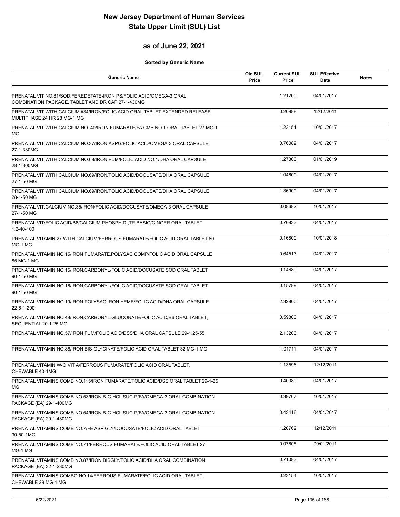### **as of June 22, 2021**

| <b>Generic Name</b>                                                                                                    | Old SUL<br>Price | <b>Current SUL</b><br>Price | <b>SUL Effective</b><br>Date | <b>Notes</b> |
|------------------------------------------------------------------------------------------------------------------------|------------------|-----------------------------|------------------------------|--------------|
| PRENATAL VIT NO.81/SOD.FEREDETATE-IRON PS/FOLIC ACID/OMEGA-3 ORAL<br>COMBINATION PACKAGE, TABLET AND DR CAP 27-1-430MG |                  | 1.21200                     | 04/01/2017                   |              |
| PRENATAL VIT WITH CALCIUM #34/IRON/FOLIC ACID ORAL TABLET, EXTENDED RELEASE<br>MULTIPHASE 24 HR 28 MG-1 MG             |                  | 0.20988                     | 12/12/2011                   |              |
| PRENATAL VIT WITH CALCIUM NO. 40/IRON FUMARATE/FA CMB NO.1 ORAL TABLET 27 MG-1<br>MG                                   |                  | 1.23151                     | 10/01/2017                   |              |
| PRENATAL VIT WITH CALCIUM NO.37/IRON, ASPG/FOLIC ACID/OMEGA-3 ORAL CAPSULE<br>27-1-330MG                               |                  | 0.76089                     | 04/01/2017                   |              |
| PRENATAL VIT WITH CALCIUM NO.68/IRON FUM/FOLIC ACID NO.1/DHA ORAL CAPSULE<br>28-1-300MG                                |                  | 1.27300                     | 01/01/2019                   |              |
| PRENATAL VIT WITH CALCIUM NO.69/IRON/FOLIC ACID/DOCUSATE/DHA ORAL CAPSULE<br>27-1-50 MG                                |                  | 1.04600                     | 04/01/2017                   |              |
| PRENATAL VIT WITH CALCIUM NO.69/IRON/FOLIC ACID/DOCUSATE/DHA ORAL CAPSULE<br>28-1-50 MG                                |                  | 1.36900                     | 04/01/2017                   |              |
| PRENATAL VIT, CALCIUM NO.35/IRON/FOLIC ACID/DOCUSATE/OMEGA-3 ORAL CAPSULE<br>27-1-50 MG                                |                  | 0.08682                     | 10/01/2017                   |              |
| PRENATAL VIT/FOLIC ACID/B6/CALCIUM PHOSPH DI, TRIBASIC/GINGER ORAL TABLET<br>1.2-40-100                                |                  | 0.70833                     | 04/01/2017                   |              |
| PRENATAL VITAMIN 27 WITH CALCIUM/FERROUS FUMARATE/FOLIC ACID ORAL TABLET 60<br>MG-1 MG                                 |                  | 0.16800                     | 10/01/2018                   |              |
| PRENATAL VITAMIN NO.15/IRON FUMARATE, POLYSAC COMP/FOLIC ACID ORAL CAPSULE<br>85 MG-1 MG                               |                  | 0.64513                     | 04/01/2017                   |              |
| PRENATAL VITAMIN NO.15/IRON, CARBONYL/FOLIC ACID/DOCUSATE SOD ORAL TABLET<br>90-1-50 MG                                |                  | 0.14689                     | 04/01/2017                   |              |
| PRENATAL VITAMIN NO.16/IRON, CARBONYL/FOLIC ACID/DOCUSATE SOD ORAL TABLET<br>90-1-50 MG                                |                  | 0.15789                     | 04/01/2017                   |              |
| PRENATAL VITAMIN NO.19/IRON POLYSAC, IRON HEME/FOLIC ACID/DHA ORAL CAPSULE<br>22-6-1-200                               |                  | 2.32800                     | 04/01/2017                   |              |
| PRENATAL VITAMIN NO.48/IRON, CARBONYL, GLUCONATE/FOLIC ACID/B6 ORAL TABLET,<br>SEQUENTIAL 20-1-25 MG                   |                  | 0.59800                     | 04/01/2017                   |              |
| PRENATAL VITAMIN NO.57/IRON FUM/FOLIC ACID/DSS/DHA ORAL CAPSULE 29-1.25-55                                             |                  | 2.13200                     | 04/01/2017                   |              |
| PRENATAL VITAMIN NO.86/IRON BIS-GLYCINATE/FOLIC ACID ORAL TABLET 32 MG-1 MG                                            |                  | 1.01711                     | 04/01/2017                   |              |
| PRENATAL VITAMIN W-O VIT A/FERROUS FUMARATE/FOLIC ACID ORAL TABLET,<br>CHEWABLE 40-1MG                                 |                  | 1.13596                     | 12/12/2011                   |              |
| PRENATAL VITAMINS COMB NO.115/IRON FUMARATE/FOLIC ACID/DSS ORAL TABLET 29-1-25<br>MG                                   |                  | 0.40080                     | 04/01/2017                   |              |
| PRENATAL VITAMINS COMB NO.53/IRON B-G HCL SUC-P/FA/OMEGA-3 ORAL COMBINATION<br>PACKAGE (EA) 29-1-400MG                 |                  | 0.39767                     | 10/01/2017                   |              |
| PRENATAL VITAMINS COMB NO.54/IRON B-G HCL SUC-P/FA/OMEGA-3 ORAL COMBINATION<br>PACKAGE (EA) 29-1-430MG                 |                  | 0.43416                     | 04/01/2017                   |              |
| PRENATAL VITAMINS COMB NO.7/FE ASP GLY/DOCUSATE/FOLIC ACID ORAL TABLET<br>30-50-1MG                                    |                  | 1.20762                     | 12/12/2011                   |              |
| PRENATAL VITAMINS COMB NO.71/FERROUS FUMARATE/FOLIC ACID ORAL TABLET 27<br>MG-1 MG                                     |                  | 0.07605                     | 09/01/2011                   |              |
| PRENATAL VITAMINS COMB NO.87/IRON BISGLY/FOLIC ACID/DHA ORAL COMBINATION<br>PACKAGE (EA) 32-1-230MG                    |                  | 0.71083                     | 04/01/2017                   |              |
| PRENATAL VITAMINS COMBO NO.14/FERROUS FUMARATE/FOLIC ACID ORAL TABLET,<br>CHEWABLE 29 MG-1 MG                          |                  | 0.23154                     | 10/01/2017                   |              |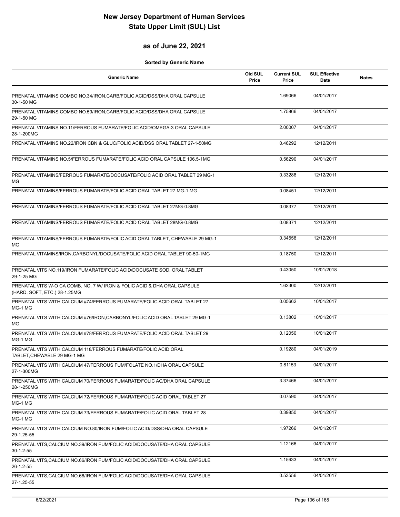### **as of June 22, 2021**

| <b>Generic Name</b>                                                                                      | Old SUL<br>Price | <b>Current SUL</b><br>Price | <b>SUL Effective</b><br>Date | <b>Notes</b> |
|----------------------------------------------------------------------------------------------------------|------------------|-----------------------------|------------------------------|--------------|
| PRENATAL VITAMINS COMBO NO.34/IRON, CARB/FOLIC ACID/DSS/DHA ORAL CAPSULE<br>30-1-50 MG                   |                  | 1.69066                     | 04/01/2017                   |              |
| PRENATAL VITAMINS COMBO NO.59/IRON, CARB/FOLIC ACID/DSS/DHA ORAL CAPSULE<br>29-1-50 MG                   |                  | 1.75866                     | 04/01/2017                   |              |
| PRENATAL VITAMINS NO.11/FERROUS FUMARATE/FOLIC ACID/OMEGA-3 ORAL CAPSULE<br>28-1-200MG                   |                  | 2.00007                     | 04/01/2017                   |              |
| PRENATAL VITAMINS NO.22/IRON CBN & GLUC/FOLIC ACID/DSS ORAL TABLET 27-1-50MG                             |                  | 0.46292                     | 12/12/2011                   |              |
| PRENATAL VITAMINS NO.5/FERROUS FUMARATE/FOLIC ACID ORAL CAPSULE 106.5-1MG                                |                  | 0.56290                     | 04/01/2017                   |              |
| PRENATAL VITAMINS/FERROUS FUMARATE/DOCUSATE/FOLIC ACID ORAL TABLET 29 MG-1<br>МG                         |                  | 0.33288                     | 12/12/2011                   |              |
| PRENATAL VITAMINS/FERROUS FUMARATE/FOLIC ACID ORAL TABLET 27 MG-1 MG                                     |                  | 0.08451                     | 12/12/2011                   |              |
| PRENATAL VITAMINS/FERROUS FUMARATE/FOLIC ACID ORAL TABLET 27MG-0.8MG                                     |                  | 0.08377                     | 12/12/2011                   |              |
| PRENATAL VITAMINS/FERROUS FUMARATE/FOLIC ACID ORAL TABLET 28MG-0.8MG                                     |                  | 0.08371                     | 12/12/2011                   |              |
| PRENATAL VITAMINS/FERROUS FUMARATE/FOLIC ACID ORAL TABLET, CHEWABLE 29 MG-1<br>МG                        |                  | 0.34558                     | 12/12/2011                   |              |
| PRENATAL VITAMINS/IRON.CARBONYL/DOCUSATE/FOLIC ACID ORAL TABLET 90-50-1MG                                |                  | 0.18750                     | 12/12/2011                   |              |
| PRENATAL VITS NO.119/IRON FUMARATE/FOLIC ACID/DOCUSATE SOD. ORAL TABLET<br>29-1-25 MG                    |                  | 0.43050                     | 10/01/2018                   |              |
| PRENATAL VITS W-O CA COMB. NO. 7 W/ IRON & FOLIC ACID & DHA ORAL CAPSULE<br>(HARD, SOFT, ETC.) 28-1.25MG |                  | 1.62300                     | 12/12/2011                   |              |
| PRENATAL VITS WITH CALCIUM #74/FERROUS FUMARATE/FOLIC ACID ORAL TABLET 27<br>MG-1 MG                     |                  | 0.05662                     | 10/01/2017                   |              |
| PRENATAL VITS WITH CALCIUM #76/IRON, CARBONYL/FOLIC ACID ORAL TABLET 29 MG-1<br>MG                       |                  | 0.13802                     | 10/01/2017                   |              |
| PRENATAL VITS WITH CALCIUM #78/FERROUS FUMARATE/FOLIC ACID ORAL TABLET 29<br>MG-1 MG                     |                  | 0.12050                     | 10/01/2017                   |              |
| PRENATAL VITS WITH CALCIUM 118/FERROUS FUMARATE/FOLIC ACID ORAL<br>TABLET, CHEWABLE 29 MG-1 MG           |                  | 0.19280                     | 04/01/2019                   |              |
| PRENATAL VITS WITH CALCIUM 47/FERROUS FUM/FOLATE NO.1/DHA ORAL CAPSULE<br>27-1-300MG                     |                  | 0.81153                     | 04/01/2017                   |              |
| PRENATAL VITS WITH CALCIUM 70/FERROUS FUMARATE/FOLIC AC/DHA ORAL CAPSULE<br>28-1-250MG                   |                  | 3.37466                     | 04/01/2017                   |              |
| PRENATAL VITS WITH CALCIUM 72/FERROUS FUMARATE/FOLIC ACID ORAL TABLET 27<br>MG-1 MG                      |                  | 0.07590                     | 04/01/2017                   |              |
| PRENATAL VITS WITH CALCIUM 73/FERROUS FUMARATE/FOLIC ACID ORAL TABLET 28<br>MG-1 MG                      |                  | 0.39850                     | 04/01/2017                   |              |
| PRENATAL VITS WITH CALCIUM NO.80/IRON FUM/FOLIC ACID/DSS/DHA ORAL CAPSULE<br>29-1.25-55                  |                  | 1.97266                     | 04/01/2017                   |              |
| PRENATAL VITS, CALCIUM NO.39/IRON FUM/FOLIC ACID/DOCUSATE/DHA ORAL CAPSULE<br>30-1.2-55                  |                  | 1.12166                     | 04/01/2017                   |              |
| PRENATAL VITS, CALCIUM NO.66/IRON FUM/FOLIC ACID/DOCUSATE/DHA ORAL CAPSULE<br>26-1.2-55                  |                  | 1.15633                     | 04/01/2017                   |              |
| PRENATAL VITS, CALCIUM NO.66/IRON FUM/FOLIC ACID/DOCUSATE/DHA ORAL CAPSULE<br>27-1.25-55                 |                  | 0.53556                     | 04/01/2017                   |              |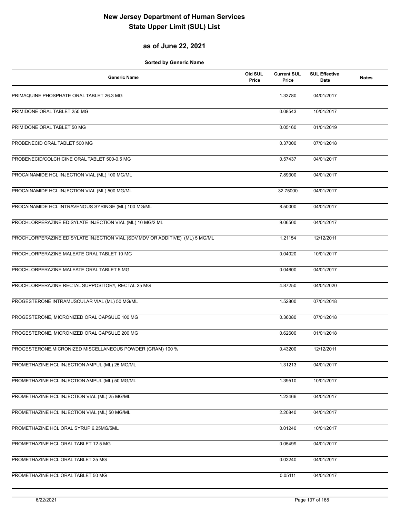## **as of June 22, 2021**

| <b>Generic Name</b>                                                           | Old SUL<br>Price | <b>Current SUL</b><br>Price | <b>SUL Effective</b><br>Date | <b>Notes</b> |
|-------------------------------------------------------------------------------|------------------|-----------------------------|------------------------------|--------------|
| PRIMAQUINE PHOSPHATE ORAL TABLET 26.3 MG                                      |                  | 1.33780                     | 04/01/2017                   |              |
| PRIMIDONE ORAL TABLET 250 MG                                                  |                  | 0.08543                     | 10/01/2017                   |              |
| PRIMIDONE ORAL TABLET 50 MG                                                   |                  | 0.05160                     | 01/01/2019                   |              |
| PROBENECID ORAL TABLET 500 MG                                                 |                  | 0.37000                     | 07/01/2018                   |              |
| PROBENECID/COLCHICINE ORAL TABLET 500-0.5 MG                                  |                  | 0.57437                     | 04/01/2017                   |              |
| PROCAINAMIDE HCL INJECTION VIAL (ML) 100 MG/ML                                |                  | 7.89300                     | 04/01/2017                   |              |
| PROCAINAMIDE HCL INJECTION VIAL (ML) 500 MG/ML                                |                  | 32.75000                    | 04/01/2017                   |              |
| PROCAINAMIDE HCL INTRAVENOUS SYRINGE (ML) 100 MG/ML                           |                  | 8.50000                     | 04/01/2017                   |              |
| PROCHLORPERAZINE EDISYLATE INJECTION VIAL (ML) 10 MG/2 ML                     |                  | 9.06500                     | 04/01/2017                   |              |
| PROCHLORPERAZINE EDISYLATE INJECTION VIAL (SDV, MDV OR ADDITIVE) (ML) 5 MG/ML |                  | 1.21154                     | 12/12/2011                   |              |
| PROCHLORPERAZINE MALEATE ORAL TABLET 10 MG                                    |                  | 0.04020                     | 10/01/2017                   |              |
| PROCHLORPERAZINE MALEATE ORAL TABLET 5 MG                                     |                  | 0.04600                     | 04/01/2017                   |              |
| PROCHLORPERAZINE RECTAL SUPPOSITORY, RECTAL 25 MG                             |                  | 4.87250                     | 04/01/2020                   |              |
| PROGESTERONE INTRAMUSCULAR VIAL (ML) 50 MG/ML                                 |                  | 1.52800                     | 07/01/2018                   |              |
| PROGESTERONE, MICRONIZED ORAL CAPSULE 100 MG                                  |                  | 0.36080                     | 07/01/2018                   |              |
| PROGESTERONE, MICRONIZED ORAL CAPSULE 200 MG                                  |                  | 0.62600                     | 01/01/2018                   |              |
| PROGESTERONE, MICRONIZED MISCELLANEOUS POWDER (GRAM) 100 %                    |                  | 0.43200                     | 12/12/2011                   |              |
| PROMETHAZINE HCL INJECTION AMPUL (ML) 25 MG/ML                                |                  | 1.31213                     | 04/01/2017                   |              |
| PROMETHAZINE HCL INJECTION AMPUL (ML) 50 MG/ML                                |                  | 1.39510                     | 10/01/2017                   |              |
| PROMETHAZINE HCL INJECTION VIAL (ML) 25 MG/ML                                 |                  | 1.23466                     | 04/01/2017                   |              |
| PROMETHAZINE HCL INJECTION VIAL (ML) 50 MG/ML                                 |                  | 2.20840                     | 04/01/2017                   |              |
| PROMETHAZINE HCL ORAL SYRUP 6.25MG/5ML                                        |                  | 0.01240                     | 10/01/2017                   |              |
| PROMETHAZINE HCL ORAL TABLET 12.5 MG                                          |                  | 0.05499                     | 04/01/2017                   |              |
| PROMETHAZINE HCL ORAL TABLET 25 MG                                            |                  | 0.03240                     | 04/01/2017                   |              |
| PROMETHAZINE HCL ORAL TABLET 50 MG                                            |                  | 0.05111                     | 04/01/2017                   |              |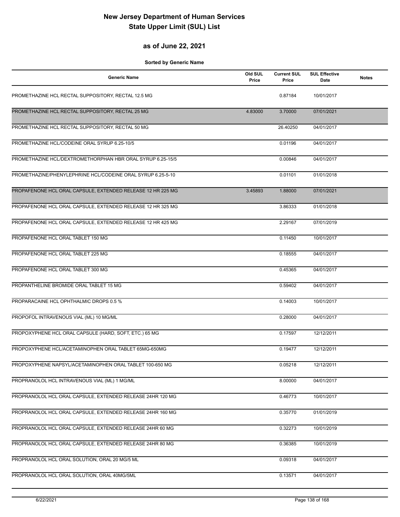### **as of June 22, 2021**

| <b>Generic Name</b>                                         | Old SUL<br>Price | <b>Current SUL</b><br>Price | <b>SUL Effective</b><br>Date | <b>Notes</b> |
|-------------------------------------------------------------|------------------|-----------------------------|------------------------------|--------------|
| PROMETHAZINE HCL RECTAL SUPPOSITORY, RECTAL 12.5 MG         |                  | 0.87184                     | 10/01/2017                   |              |
| PROMETHAZINE HCL RECTAL SUPPOSITORY, RECTAL 25 MG           | 4.83000          | 3.70000                     | 07/01/2021                   |              |
| PROMETHAZINE HCL RECTAL SUPPOSITORY, RECTAL 50 MG           |                  | 26.40250                    | 04/01/2017                   |              |
| PROMETHAZINE HCL/CODEINE ORAL SYRUP 6.25-10/5               |                  | 0.01196                     | 04/01/2017                   |              |
| PROMETHAZINE HCL/DEXTROMETHORPHAN HBR ORAL SYRUP 6.25-15/5  |                  | 0.00846                     | 04/01/2017                   |              |
| PROMETHAZINE/PHENYLEPHRINE HCL/CODEINE ORAL SYRUP 6.25-5-10 |                  | 0.01101                     | 01/01/2018                   |              |
| PROPAFENONE HCL ORAL CAPSULE, EXTENDED RELEASE 12 HR 225 MG | 3.45893          | 1.88000                     | 07/01/2021                   |              |
| PROPAFENONE HCL ORAL CAPSULE, EXTENDED RELEASE 12 HR 325 MG |                  | 3.86333                     | 01/01/2018                   |              |
| PROPAFENONE HCL ORAL CAPSULE, EXTENDED RELEASE 12 HR 425 MG |                  | 2.29167                     | 07/01/2019                   |              |
| PROPAFENONE HCL ORAL TABLET 150 MG                          |                  | 0.11450                     | 10/01/2017                   |              |
| PROPAFENONE HCL ORAL TABLET 225 MG                          |                  | 0.18555                     | 04/01/2017                   |              |
| PROPAFENONE HCL ORAL TABLET 300 MG                          |                  | 0.45365                     | 04/01/2017                   |              |
| PROPANTHELINE BROMIDE ORAL TABLET 15 MG                     |                  | 0.59402                     | 04/01/2017                   |              |
| PROPARACAINE HCL OPHTHALMIC DROPS 0.5 %                     |                  | 0.14003                     | 10/01/2017                   |              |
| PROPOFOL INTRAVENOUS VIAL (ML) 10 MG/ML                     |                  | 0.28000                     | 04/01/2017                   |              |
| PROPOXYPHENE HCL ORAL CAPSULE (HARD, SOFT, ETC.) 65 MG      |                  | 0.17597                     | 12/12/2011                   |              |
| PROPOXYPHENE HCL/ACETAMINOPHEN ORAL TABLET 65MG-650MG       |                  | 0.19477                     | 12/12/2011                   |              |
| PROPOXYPHENE NAPSYL/ACETAMINOPHEN ORAL TABLET 100-650 MG    |                  | 0.05218                     | 12/12/2011                   |              |
| PROPRANOLOL HCL INTRAVENOUS VIAL (ML) 1 MG/ML               |                  | 8.00000                     | 04/01/2017                   |              |
| PROPRANOLOL HCL ORAL CAPSULE, EXTENDED RELEASE 24HR 120 MG  |                  | 0.46773                     | 10/01/2017                   |              |
| PROPRANOLOL HCL ORAL CAPSULE, EXTENDED RELEASE 24HR 160 MG  |                  | 0.35770                     | 01/01/2019                   |              |
| PROPRANOLOL HCL ORAL CAPSULE, EXTENDED RELEASE 24HR 60 MG   |                  | 0.32273                     | 10/01/2019                   |              |
| PROPRANOLOL HCL ORAL CAPSULE, EXTENDED RELEASE 24HR 80 MG   |                  | 0.36385                     | 10/01/2019                   |              |
| PROPRANOLOL HCL ORAL SOLUTION, ORAL 20 MG/5 ML              |                  | 0.09318                     | 04/01/2017                   |              |
| PROPRANOLOL HCL ORAL SOLUTION, ORAL 40MG/5ML                |                  | 0.13571                     | 04/01/2017                   |              |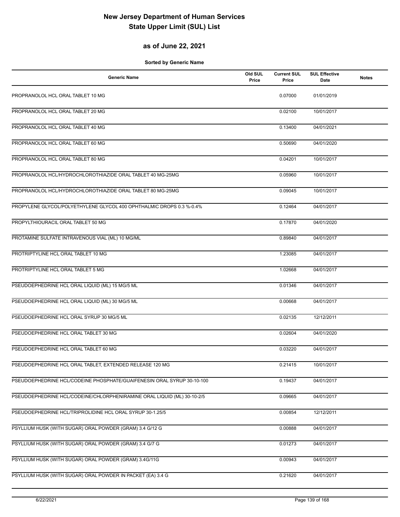## **as of June 22, 2021**

| <b>Generic Name</b>                                                     | Old SUL<br>Price | <b>Current SUL</b><br>Price | <b>SUL Effective</b><br>Date | <b>Notes</b> |
|-------------------------------------------------------------------------|------------------|-----------------------------|------------------------------|--------------|
| PROPRANOLOL HCL ORAL TABLET 10 MG                                       |                  | 0.07000                     | 01/01/2019                   |              |
| PROPRANOLOL HCL ORAL TABLET 20 MG                                       |                  | 0.02100                     | 10/01/2017                   |              |
| PROPRANOLOL HCL ORAL TABLET 40 MG                                       |                  | 0.13400                     | 04/01/2021                   |              |
| PROPRANOLOL HCL ORAL TABLET 60 MG                                       |                  | 0.50690                     | 04/01/2020                   |              |
| PROPRANOLOL HCL ORAL TABLET 80 MG                                       |                  | 0.04201                     | 10/01/2017                   |              |
| PROPRANOLOL HCL/HYDROCHLOROTHIAZIDE ORAL TABLET 40 MG-25MG              |                  | 0.05960                     | 10/01/2017                   |              |
| PROPRANOLOL HCL/HYDROCHLOROTHIAZIDE ORAL TABLET 80 MG-25MG              |                  | 0.09045                     | 10/01/2017                   |              |
| PROPYLENE GLYCOL/POLYETHYLENE GLYCOL 400 OPHTHALMIC DROPS 0.3 %-0.4%    |                  | 0.12464                     | 04/01/2017                   |              |
| PROPYLTHIOURACIL ORAL TABLET 50 MG                                      |                  | 0.17870                     | 04/01/2020                   |              |
| PROTAMINE SULFATE INTRAVENOUS VIAL (ML) 10 MG/ML                        |                  | 0.89840                     | 04/01/2017                   |              |
| PROTRIPTYLINE HCL ORAL TABLET 10 MG                                     |                  | 1.23085                     | 04/01/2017                   |              |
| PROTRIPTYLINE HCL ORAL TABLET 5 MG                                      |                  | 1.02668                     | 04/01/2017                   |              |
| PSEUDOEPHEDRINE HCL ORAL LIQUID (ML) 15 MG/5 ML                         |                  | 0.01346                     | 04/01/2017                   |              |
| PSEUDOEPHEDRINE HCL ORAL LIQUID (ML) 30 MG/5 ML                         |                  | 0.00668                     | 04/01/2017                   |              |
| PSEUDOEPHEDRINE HCL ORAL SYRUP 30 MG/5 ML                               |                  | 0.02135                     | 12/12/2011                   |              |
| PSEUDOEPHEDRINE HCL ORAL TABLET 30 MG                                   |                  | 0.02604                     | 04/01/2020                   |              |
| PSEUDOEPHEDRINE HCL ORAL TABLET 60 MG                                   |                  | 0.03220                     | 04/01/2017                   |              |
| PSEUDOEPHEDRINE HCL ORAL TABLET, EXTENDED RELEASE 120 MG                |                  | 0.21415                     | 10/01/2017                   |              |
| PSEUDOEPHEDRINE HCL/CODEINE PHOSPHATE/GUAIFENESIN ORAL SYRUP 30-10-100  |                  | 0.19437                     | 04/01/2017                   |              |
| PSEUDOEPHEDRINE HCL/CODEINE/CHLORPHENIRAMINE ORAL LIQUID (ML) 30-10-2/5 |                  | 0.09665                     | 04/01/2017                   |              |
| PSEUDOEPHEDRINE HCL/TRIPROLIDINE HCL ORAL SYRUP 30-1.25/5               |                  | 0.00854                     | 12/12/2011                   |              |
| PSYLLIUM HUSK (WITH SUGAR) ORAL POWDER (GRAM) 3.4 G/12 G                |                  | 0.00888                     | 04/01/2017                   |              |
| PSYLLIUM HUSK (WITH SUGAR) ORAL POWDER (GRAM) 3.4 G/7 G                 |                  | 0.01273                     | 04/01/2017                   |              |
| PSYLLIUM HUSK (WITH SUGAR) ORAL POWDER (GRAM) 3.4G/11G                  |                  | 0.00943                     | 04/01/2017                   |              |
| PSYLLIUM HUSK (WITH SUGAR) ORAL POWDER IN PACKET (EA) 3.4 G             |                  | 0.21620                     | 04/01/2017                   |              |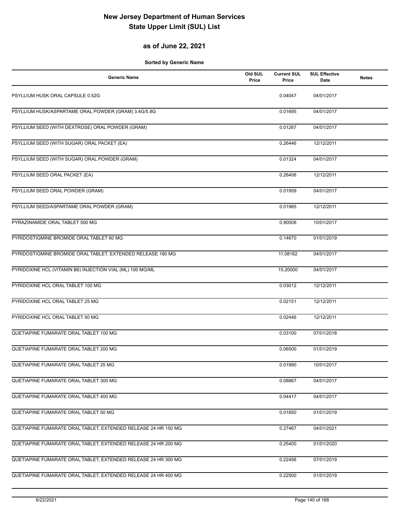## **as of June 22, 2021**

| <b>Generic Name</b>                                            | Old SUL<br>Price | <b>Current SUL</b><br>Price | <b>SUL Effective</b><br><b>Date</b> | <b>Notes</b> |
|----------------------------------------------------------------|------------------|-----------------------------|-------------------------------------|--------------|
| PSYLLIUM HUSK ORAL CAPSULE 0.52G                               |                  | 0.04047                     | 04/01/2017                          |              |
| PSYLLIUM HUSK/ASPARTAME ORAL POWDER (GRAM) 3.4G/5.8G           |                  | 0.01695                     | 04/01/2017                          |              |
| PSYLLIUM SEED (WITH DEXTROSE) ORAL POWDER (GRAM)               |                  | 0.01267                     | 04/01/2017                          |              |
| PSYLLIUM SEED (WITH SUGAR) ORAL PACKET (EA)                    |                  | 0.26446                     | 12/12/2011                          |              |
| PSYLLIUM SEED (WITH SUGAR) ORAL POWDER (GRAM)                  |                  | 0.01324                     | 04/01/2017                          |              |
| PSYLLIUM SEED ORAL PACKET (EA)                                 |                  | 0.26406                     | 12/12/2011                          |              |
| PSYLLIUM SEED ORAL POWDER (GRAM)                               |                  | 0.01959                     | 04/01/2017                          |              |
| PSYLLIUM SEED/ASPARTAME ORAL POWDER (GRAM)                     |                  | 0.01985                     | 12/12/2011                          |              |
| PYRAZINAMIDE ORAL TABLET 500 MG                                |                  | 0.90008                     | 10/01/2017                          |              |
| PYRIDOSTIGMINE BROMIDE ORAL TABLET 60 MG                       |                  | 0.14670                     | 01/01/2019                          |              |
| PYRIDOSTIGMINE BROMIDE ORAL TABLET, EXTENDED RELEASE 180 MG    |                  | 11.08162                    | 04/01/2017                          |              |
| PYRIDOXINE HCL (VITAMIN B6) INJECTION VIAL (ML) 100 MG/ML      |                  | 15.20000                    | 04/01/2017                          |              |
| PYRIDOXINE HCL ORAL TABLET 100 MG                              |                  | 0.03012                     | 12/12/2011                          |              |
| PYRIDOXINE HCL ORAL TABLET 25 MG                               |                  | 0.02151                     | 12/12/2011                          |              |
| PYRIDOXINE HCL ORAL TABLET 50 MG                               |                  | 0.02446                     | 12/12/2011                          |              |
| QUETIAPINE FUMARATE ORAL TABLET 100 MG                         |                  | 0.03100                     | 07/01/2018                          |              |
| QUETIAPINE FUMARATE ORAL TABLET 200 MG                         |                  | 0.06500                     | 01/01/2019                          |              |
| QUETIAPINE FUMARATE ORAL TABLET 25 MG                          |                  | 0.01990                     | 10/01/2017                          |              |
| QUETIAPINE FUMARATE ORAL TABLET 300 MG                         |                  | 0.08867                     | 04/01/2017                          |              |
| QUETIAPINE FUMARATE ORAL TABLET 400 MG                         |                  | 0.04417                     | 04/01/2017                          |              |
| QUETIAPINE FUMARATE ORAL TABLET 50 MG                          |                  | 0.01850                     | 01/01/2019                          |              |
| QUETIAPINE FUMARATE ORAL TABLET, EXTENDED RELEASE 24 HR 150 MG |                  | 0.27467                     | 04/01/2021                          |              |
| QUETIAPINE FUMARATE ORAL TABLET, EXTENDED RELEASE 24 HR 200 MG |                  | 0.25400                     | 01/01/2020                          |              |
| QUETIAPINE FUMARATE ORAL TABLET, EXTENDED RELEASE 24 HR 300 MG |                  | 0.22456                     | 07/01/2019                          |              |
| QUETIAPINE FUMARATE ORAL TABLET, EXTENDED RELEASE 24 HR 400 MG |                  | 0.22500                     | 01/01/2019                          |              |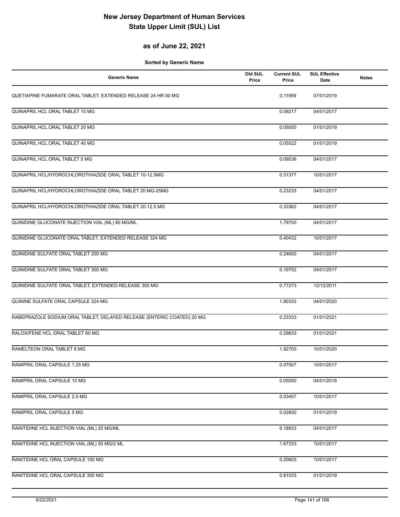## **as of June 22, 2021**

| <b>Generic Name</b>                                                    | Old SUL<br>Price | <b>Current SUL</b><br>Price | <b>SUL Effective</b><br>Date | <b>Notes</b> |
|------------------------------------------------------------------------|------------------|-----------------------------|------------------------------|--------------|
| QUETIAPINE FUMARATE ORAL TABLET, EXTENDED RELEASE 24 HR 50 MG          |                  | 0.11959                     | 07/01/2019                   |              |
| QUINAPRIL HCL ORAL TABLET 10 MG                                        |                  | 0.09217                     | 04/01/2017                   |              |
| QUINAPRIL HCL ORAL TABLET 20 MG                                        |                  | 0.05000                     | 01/01/2019                   |              |
| QUINAPRIL HCL ORAL TABLET 40 MG                                        |                  | 0.05522                     | 01/01/2019                   |              |
| QUINAPRIL HCL ORAL TABLET 5 MG                                         |                  | 0.09536                     | 04/01/2017                   |              |
| QUINAPRIL HCL/HYDROCHLOROTHIAZIDE ORAL TABLET 10-12.5MG                |                  | 0.31377                     | 10/01/2017                   |              |
| QUINAPRIL HCL/HYDROCHLOROTHIAZIDE ORAL TABLET 20 MG-25MG               |                  | 0.23233                     | 04/01/2017                   |              |
| QUINAPRIL HCL/HYDROCHLOROTHIAZIDE ORAL TABLET 20-12.5 MG               |                  | 0.33362                     | 04/01/2017                   |              |
| QUINIDINE GLUCONATE INJECTION VIAL (ML) 80 MG/ML                       |                  | 1.79700                     | 04/01/2017                   |              |
| QUINIDINE GLUCONATE ORAL TABLET, EXTENDED RELEASE 324 MG               |                  | 0.40432                     | 10/01/2017                   |              |
| QUINIDINE SULFATE ORAL TABLET 200 MG                                   |                  | 0.24650                     | 04/01/2017                   |              |
| QUINIDINE SULFATE ORAL TABLET 300 MG                                   |                  | 0.19752                     | 04/01/2017                   |              |
| QUINIDINE SULFATE ORAL TABLET, EXTENDED RELEASE 300 MG                 |                  | 0.77273                     | 12/12/2011                   |              |
| QUININE SULFATE ORAL CAPSULE 324 MG                                    |                  | 1.90333                     | 04/01/2020                   |              |
| RABEPRAZOLE SODIUM ORAL TABLET, DELAYED RELEASE (ENTERIC COATED) 20 MG |                  | 0.23333                     | 01/01/2021                   |              |
| RALOXIFENE HCL ORAL TABLET 60 MG                                       |                  | 0.29833                     | 01/01/2021                   |              |
| RAMELTEON ORAL TABLET 8 MG                                             |                  | 1.92700                     | 10/01/2020                   |              |
| RAMIPRIL ORAL CAPSULE 1.25 MG                                          |                  | 0.07507                     | 10/01/2017                   |              |
| RAMIPRIL ORAL CAPSULE 10 MG                                            |                  | 0.05050                     | 04/01/2018                   |              |
| RAMIPRIL ORAL CAPSULE 2.5 MG                                           |                  | 0.03457                     | 10/01/2017                   |              |
| RAMIPRIL ORAL CAPSULE 5 MG                                             |                  | 0.02820                     | 01/01/2019                   |              |
| RANITIDINE HCL INJECTION VIAL (ML) 25 MG/ML                            |                  | 6.18833                     | 04/01/2017                   |              |
| RANITIDINE HCL INJECTION VIAL (ML) 50 MG/2 ML                          |                  | 1.67333                     | 10/01/2017                   |              |
| RANITIDINE HCL ORAL CAPSULE 150 MG                                     |                  | 0.20603                     | 10/01/2017                   |              |
| RANITIDINE HCL ORAL CAPSULE 300 MG                                     |                  | 0.81033                     | 01/01/2019                   |              |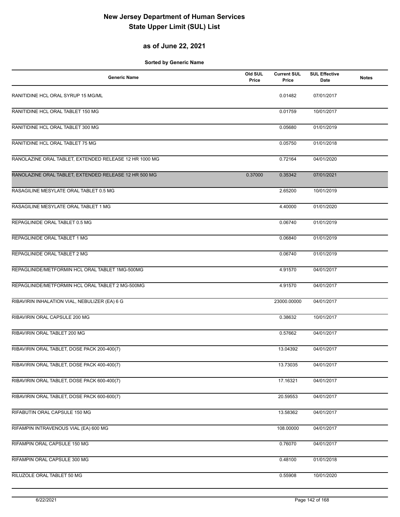## **as of June 22, 2021**

| <b>Generic Name</b>                                    | Old SUL<br>Price | <b>Current SUL</b><br>Price | <b>SUL Effective</b><br>Date | <b>Notes</b> |
|--------------------------------------------------------|------------------|-----------------------------|------------------------------|--------------|
| RANITIDINE HCL ORAL SYRUP 15 MG/ML                     |                  | 0.01482                     | 07/01/2017                   |              |
| RANITIDINE HCL ORAL TABLET 150 MG                      |                  | 0.01759                     | 10/01/2017                   |              |
| RANITIDINE HCL ORAL TABLET 300 MG                      |                  | 0.05680                     | 01/01/2019                   |              |
| RANITIDINE HCL ORAL TABLET 75 MG                       |                  | 0.05750                     | 01/01/2018                   |              |
| RANOLAZINE ORAL TABLET, EXTENDED RELEASE 12 HR 1000 MG |                  | 0.72164                     | 04/01/2020                   |              |
| RANOLAZINE ORAL TABLET, EXTENDED RELEASE 12 HR 500 MG  | 0.37000          | 0.35342                     | 07/01/2021                   |              |
| RASAGILINE MESYLATE ORAL TABLET 0.5 MG                 |                  | 2.65200                     | 10/01/2019                   |              |
| RASAGILINE MESYLATE ORAL TABLET 1 MG                   |                  | 4.40000                     | 01/01/2020                   |              |
| REPAGLINIDE ORAL TABLET 0.5 MG                         |                  | 0.06740                     | 01/01/2019                   |              |
| REPAGLINIDE ORAL TABLET 1 MG                           |                  | 0.06840                     | 01/01/2019                   |              |
| REPAGLINIDE ORAL TABLET 2 MG                           |                  | 0.06740                     | 01/01/2019                   |              |
| REPAGLINIDE/METFORMIN HCL ORAL TABLET 1MG-500MG        |                  | 4.91570                     | 04/01/2017                   |              |
| REPAGLINIDE/METFORMIN HCL ORAL TABLET 2 MG-500MG       |                  | 4.91570                     | 04/01/2017                   |              |
| RIBAVIRIN INHALATION VIAL, NEBULIZER (EA) 6 G          |                  | 23000.00000                 | 04/01/2017                   |              |
| RIBAVIRIN ORAL CAPSULE 200 MG                          |                  | 0.38632                     | 10/01/2017                   |              |
| RIBAVIRIN ORAL TABLET 200 MG                           |                  | 0.57662                     | 04/01/2017                   |              |
| RIBAVIRIN ORAL TABLET, DOSE PACK 200-400(7)            |                  | 13.04392                    | 04/01/2017                   |              |
| RIBAVIRIN ORAL TABLET, DOSE PACK 400-400(7)            |                  | 13.73035                    | 04/01/2017                   |              |
| RIBAVIRIN ORAL TABLET, DOSE PACK 600-400(7)            |                  | 17.16321                    | 04/01/2017                   |              |
| RIBAVIRIN ORAL TABLET, DOSE PACK 600-600(7)            |                  | 20.59553                    | 04/01/2017                   |              |
| RIFABUTIN ORAL CAPSULE 150 MG                          |                  | 13.58362                    | 04/01/2017                   |              |
| RIFAMPIN INTRAVENOUS VIAL (EA) 600 MG                  |                  | 108.00000                   | 04/01/2017                   |              |
| RIFAMPIN ORAL CAPSULE 150 MG                           |                  | 0.76070                     | 04/01/2017                   |              |
| RIFAMPIN ORAL CAPSULE 300 MG                           |                  | 0.48100                     | 01/01/2018                   |              |
| RILUZOLE ORAL TABLET 50 MG                             |                  | 0.55908                     | 10/01/2020                   |              |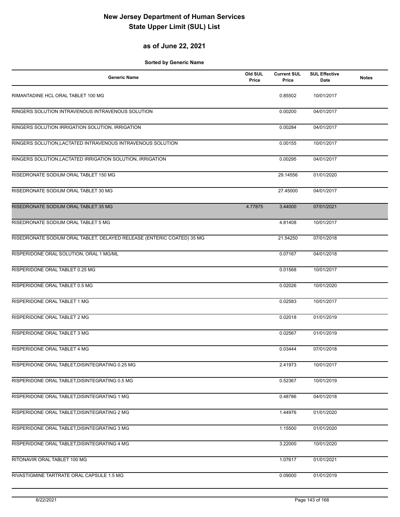## **as of June 22, 2021**

| <b>Generic Name</b>                                                    | Old SUL<br>Price | <b>Current SUL</b><br>Price | <b>SUL Effective</b><br>Date | <b>Notes</b> |
|------------------------------------------------------------------------|------------------|-----------------------------|------------------------------|--------------|
| RIMANTADINE HCL ORAL TABLET 100 MG                                     |                  | 0.85502                     | 10/01/2017                   |              |
| RINGERS SOLUTION INTRAVENOUS INTRAVENOUS SOLUTION                      |                  | 0.00200                     | 04/01/2017                   |              |
| RINGERS SOLUTION IRRIGATION SOLUTION, IRRIGATION                       |                  | 0.00284                     | 04/01/2017                   |              |
| RINGERS SOLUTION, LACTATED INTRAVENOUS INTRAVENOUS SOLUTION            |                  | 0.00155                     | 10/01/2017                   |              |
| RINGERS SOLUTION, LACTATED IRRIGATION SOLUTION, IRRIGATION             |                  | 0.00295                     | 04/01/2017                   |              |
| RISEDRONATE SODIUM ORAL TABLET 150 MG                                  |                  | 29.14556                    | 01/01/2020                   |              |
| RISEDRONATE SODIUM ORAL TABLET 30 MG                                   |                  | 27.45000                    | 04/01/2017                   |              |
| RISEDRONATE SODIUM ORAL TABLET 35 MG                                   | 4.77875          | 3.44000                     | 07/01/2021                   |              |
| RISEDRONATE SODIUM ORAL TABLET 5 MG                                    |                  | 4.81408                     | 10/01/2017                   |              |
| RISEDRONATE SODIUM ORAL TABLET, DELAYED RELEASE (ENTERIC COATED) 35 MG |                  | 21.54250                    | 07/01/2018                   |              |
| RISPERIDONE ORAL SOLUTION, ORAL 1 MG/ML                                |                  | 0.07167                     | 04/01/2018                   |              |
| RISPERIDONE ORAL TABLET 0.25 MG                                        |                  | 0.01568                     | 10/01/2017                   |              |
| RISPERIDONE ORAL TABLET 0.5 MG                                         |                  | 0.02026                     | 10/01/2020                   |              |
| RISPERIDONE ORAL TABLET 1 MG                                           |                  | 0.02583                     | 10/01/2017                   |              |
| RISPERIDONE ORAL TABLET 2 MG                                           |                  | 0.02018                     | 01/01/2019                   |              |
| RISPERIDONE ORAL TABLET 3 MG                                           |                  | 0.02567                     | 01/01/2019                   |              |
| RISPERIDONE ORAL TABLET 4 MG                                           |                  | 0.03444                     | 07/01/2018                   |              |
| RISPERIDONE ORAL TABLET, DISINTEGRATING 0.25 MG                        |                  | 2.41973                     | 10/01/2017                   |              |
| RISPERIDONE ORAL TABLET, DISINTEGRATING 0.5 MG                         |                  | 0.52367                     | 10/01/2019                   |              |
| RISPERIDONE ORAL TABLET, DISINTEGRATING 1 MG                           |                  | 0.48786                     | 04/01/2018                   |              |
| RISPERIDONE ORAL TABLET, DISINTEGRATING 2 MG                           |                  | 1.44976                     | 01/01/2020                   |              |
| RISPERIDONE ORAL TABLET, DISINTEGRATING 3 MG                           |                  | 1.15500                     | 01/01/2020                   |              |
| RISPERIDONE ORAL TABLET, DISINTEGRATING 4 MG                           |                  | 3.22000                     | 10/01/2020                   |              |
| RITONAVIR ORAL TABLET 100 MG                                           |                  | 1.07617                     | 01/01/2021                   |              |
| RIVASTIGMINE TARTRATE ORAL CAPSULE 1.5 MG                              |                  | 0.09000                     | 01/01/2019                   |              |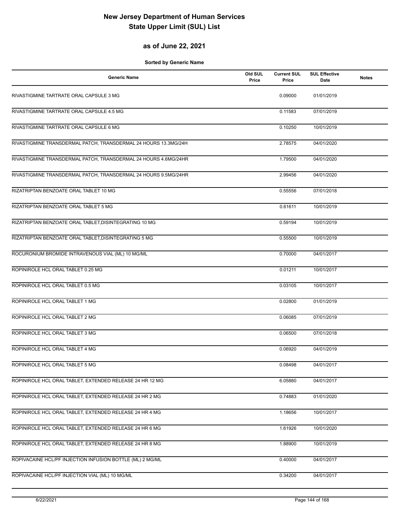## **as of June 22, 2021**

| <b>Generic Name</b>                                             | Old SUL<br>Price | <b>Current SUL</b><br>Price | <b>SUL Effective</b><br>Date | <b>Notes</b> |
|-----------------------------------------------------------------|------------------|-----------------------------|------------------------------|--------------|
| RIVASTIGMINE TARTRATE ORAL CAPSULE 3 MG                         |                  | 0.09000                     | 01/01/2019                   |              |
| RIVASTIGMINE TARTRATE ORAL CAPSULE 4.5 MG                       |                  | 0.11583                     | 07/01/2019                   |              |
| RIVASTIGMINE TARTRATE ORAL CAPSULE 6 MG                         |                  | 0.10250                     | 10/01/2019                   |              |
| RIVASTIGMINE TRANSDERMAL PATCH, TRANSDERMAL 24 HOURS 13.3MG/24H |                  | 2.78575                     | 04/01/2020                   |              |
| RIVASTIGMINE TRANSDERMAL PATCH, TRANSDERMAL 24 HOURS 4.6MG/24HR |                  | 1.79500                     | 04/01/2020                   |              |
| RIVASTIGMINE TRANSDERMAL PATCH, TRANSDERMAL 24 HOURS 9.5MG/24HR |                  | 2.99456                     | 04/01/2020                   |              |
| RIZATRIPTAN BENZOATE ORAL TABLET 10 MG                          |                  | 0.55556                     | 07/01/2018                   |              |
| RIZATRIPTAN BENZOATE ORAL TABLET 5 MG                           |                  | 0.61611                     | 10/01/2019                   |              |
| RIZATRIPTAN BENZOATE ORAL TABLET, DISINTEGRATING 10 MG          |                  | 0.59194                     | 10/01/2019                   |              |
| RIZATRIPTAN BENZOATE ORAL TABLET, DISINTEGRATING 5 MG           |                  | 0.55500                     | 10/01/2019                   |              |
| ROCURONIUM BROMIDE INTRAVENOUS VIAL (ML) 10 MG/ML               |                  | 0.70000                     | 04/01/2017                   |              |
| ROPINIROLE HCL ORAL TABLET 0.25 MG                              |                  | 0.01211                     | 10/01/2017                   |              |
| ROPINIROLE HCL ORAL TABLET 0.5 MG                               |                  | 0.03105                     | 10/01/2017                   |              |
| ROPINIROLE HCL ORAL TABLET 1 MG                                 |                  | 0.02800                     | 01/01/2019                   |              |
| ROPINIROLE HCL ORAL TABLET 2 MG                                 |                  | 0.06085                     | 07/01/2019                   |              |
| ROPINIROLE HCL ORAL TABLET 3 MG                                 |                  | 0.06500                     | 07/01/2018                   |              |
| ROPINIROLE HCL ORAL TABLET 4 MG                                 |                  | 0.06920                     | 04/01/2019                   |              |
| ROPINIROLE HCL ORAL TABLET 5 MG                                 |                  | 0.08498                     | 04/01/2017                   |              |
| ROPINIROLE HCL ORAL TABLET, EXTENDED RELEASE 24 HR 12 MG        |                  | 6.05880                     | 04/01/2017                   |              |
| ROPINIROLE HCL ORAL TABLET, EXTENDED RELEASE 24 HR 2 MG         |                  | 0.74883                     | 01/01/2020                   |              |
| ROPINIROLE HCL ORAL TABLET, EXTENDED RELEASE 24 HR 4 MG         |                  | 1.18656                     | 10/01/2017                   |              |
| ROPINIROLE HCL ORAL TABLET, EXTENDED RELEASE 24 HR 6 MG         |                  | 1.61926                     | 10/01/2020                   |              |
| ROPINIROLE HCL ORAL TABLET, EXTENDED RELEASE 24 HR 8 MG         |                  | 1.88900                     | 10/01/2019                   |              |
| ROPIVACAINE HCL/PF INJECTION INFUSION BOTTLE (ML) 2 MG/ML       |                  | 0.40000                     | 04/01/2017                   |              |
| ROPIVACAINE HCL/PF INJECTION VIAL (ML) 10 MG/ML                 |                  | 0.34200                     | 04/01/2017                   |              |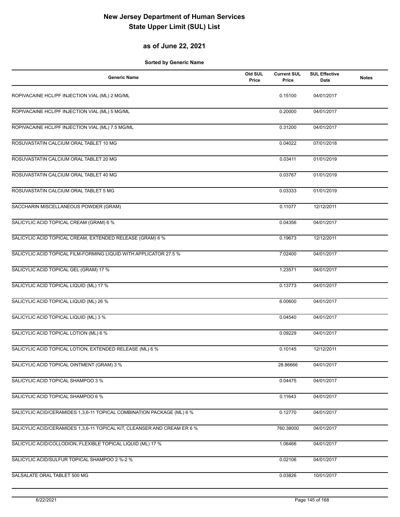### **as of June 22, 2021**

| <b>Generic Name</b>                                                      | Old SUL<br>Price | <b>Current SUL</b><br>Price | <b>SUL Effective</b><br>Date | <b>Notes</b> |
|--------------------------------------------------------------------------|------------------|-----------------------------|------------------------------|--------------|
| ROPIVACAINE HCL/PF INJECTION VIAL (ML) 2 MG/ML                           |                  | 0.15100                     | 04/01/2017                   |              |
| ROPIVACAINE HCL/PF INJECTION VIAL (ML) 5 MG/ML                           |                  | 0.20000                     | 04/01/2017                   |              |
| ROPIVACAINE HCL/PF INJECTION VIAL (ML) 7.5 MG/ML                         |                  | 0.31200                     | 04/01/2017                   |              |
| ROSUVASTATIN CALCIUM ORAL TABLET 10 MG                                   |                  | 0.04022                     | 07/01/2018                   |              |
| ROSUVASTATIN CALCIUM ORAL TABLET 20 MG                                   |                  | 0.03411                     | 01/01/2019                   |              |
| ROSUVASTATIN CALCIUM ORAL TABLET 40 MG                                   |                  | 0.03767                     | 01/01/2019                   |              |
| ROSUVASTATIN CALCIUM ORAL TABLET 5 MG                                    |                  | 0.03333                     | 01/01/2019                   |              |
| SACCHARIN MISCELLANEOUS POWDER (GRAM)                                    |                  | 0.11077                     | 12/12/2011                   |              |
| SALICYLIC ACID TOPICAL CREAM (GRAM) 6 %                                  |                  | 0.04356                     | 04/01/2017                   |              |
| SALICYLIC ACID TOPICAL CREAM, EXTENDED RELEASE (GRAM) 6 %                |                  | 0.19673                     | 12/12/2011                   |              |
| SALICYLIC ACID TOPICAL FILM-FORMING LIQUID WITH APPLICATOR 27.5 %        |                  | 7.02400                     | 04/01/2017                   |              |
| SALICYLIC ACID TOPICAL GEL (GRAM) 17 %                                   |                  | 1.23571                     | 04/01/2017                   |              |
| SALICYLIC ACID TOPICAL LIQUID (ML) 17 %                                  |                  | 0.13773                     | 04/01/2017                   |              |
| SALICYLIC ACID TOPICAL LIQUID (ML) 26 %                                  |                  | 6.00600                     | 04/01/2017                   |              |
| SALICYLIC ACID TOPICAL LIQUID (ML) 3 %                                   |                  | 0.04540                     | 04/01/2017                   |              |
| SALICYLIC ACID TOPICAL LOTION (ML) 6 %                                   |                  | 0.09229                     | 04/01/2017                   |              |
| SALICYLIC ACID TOPICAL LOTION, EXTENDED RELEASE (ML) 6 %                 |                  | 0.10145                     | 12/12/2011                   |              |
| SALICYLIC ACID TOPICAL OINTMENT (GRAM) 3 %                               |                  | 28.86666                    | 04/01/2017                   |              |
| SALICYLIC ACID TOPICAL SHAMPOO 3 %                                       |                  | 0.04475                     | 04/01/2017                   |              |
| SALICYLIC ACID TOPICAL SHAMPOO 6 %                                       |                  | 0.11643                     | 04/01/2017                   |              |
| SALICYLIC ACID/CERAMIDES 1,3,6-11 TOPICAL COMBINATION PACKAGE (ML) 6 %   |                  | 0.12770                     | 04/01/2017                   |              |
| SALICYLIC ACID/CERAMIDES 1,3,6-11 TOPICAL KIT, CLEANSER AND CREAM ER 6 % |                  | 760.38000                   | 04/01/2017                   |              |
| SALICYLIC ACID/COLLODION, FLEXIBLE TOPICAL LIQUID (ML) 17 %              |                  | 1.06466                     | 04/01/2017                   |              |
| SALICYLIC ACID/SULFUR TOPICAL SHAMPOO 2 %-2 %                            |                  | 0.02106                     | 04/01/2017                   |              |
| SALSALATE ORAL TABLET 500 MG                                             |                  | 0.03826                     | 10/01/2017                   |              |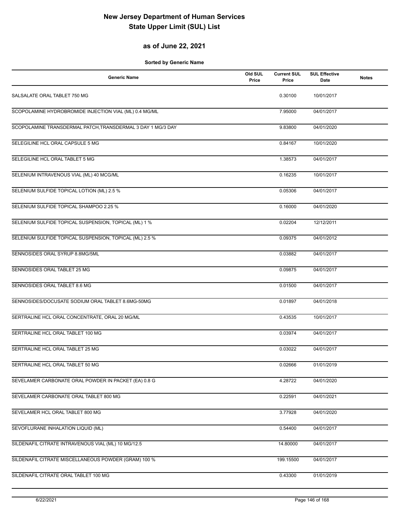#### **as of June 22, 2021**

| <b>Generic Name</b>                                         | Old SUL<br>Price | <b>Current SUL</b><br>Price | <b>SUL Effective</b><br><b>Date</b> | <b>Notes</b> |
|-------------------------------------------------------------|------------------|-----------------------------|-------------------------------------|--------------|
| SALSALATE ORAL TABLET 750 MG                                |                  | 0.30100                     | 10/01/2017                          |              |
| SCOPOLAMINE HYDROBROMIDE INJECTION VIAL (ML) 0.4 MG/ML      |                  | 7.95000                     | 04/01/2017                          |              |
| SCOPOLAMINE TRANSDERMAL PATCH, TRANSDERMAL 3 DAY 1 MG/3 DAY |                  | 9.83800                     | 04/01/2020                          |              |
| SELEGILINE HCL ORAL CAPSULE 5 MG                            |                  | 0.84167                     | 10/01/2020                          |              |
| SELEGILINE HCL ORAL TABLET 5 MG                             |                  | 1.38573                     | 04/01/2017                          |              |
| SELENIUM INTRAVENOUS VIAL (ML) 40 MCG/ML                    |                  | 0.16235                     | 10/01/2017                          |              |
| SELENIUM SULFIDE TOPICAL LOTION (ML) 2.5 %                  |                  | 0.05306                     | 04/01/2017                          |              |
| SELENIUM SULFIDE TOPICAL SHAMPOO 2.25 %                     |                  | 0.16000                     | 04/01/2020                          |              |
| SELENIUM SULFIDE TOPICAL SUSPENSION, TOPICAL (ML) 1 %       |                  | 0.02204                     | 12/12/2011                          |              |
| SELENIUM SULFIDE TOPICAL SUSPENSION, TOPICAL (ML) 2.5 %     |                  | 0.09375                     | 04/01/2012                          |              |
| SENNOSIDES ORAL SYRUP 8.8MG/5ML                             |                  | 0.03882                     | 04/01/2017                          |              |
| SENNOSIDES ORAL TABLET 25 MG                                |                  | 0.09875                     | 04/01/2017                          |              |
| SENNOSIDES ORAL TABLET 8.6 MG                               |                  | 0.01500                     | 04/01/2017                          |              |
| SENNOSIDES/DOCUSATE SODIUM ORAL TABLET 8.6MG-50MG           |                  | 0.01897                     | 04/01/2018                          |              |
| SERTRALINE HCL ORAL CONCENTRATE, ORAL 20 MG/ML              |                  | 0.43535                     | 10/01/2017                          |              |
| SERTRALINE HCL ORAL TABLET 100 MG                           |                  | 0.03974                     | 04/01/2017                          |              |
| SERTRALINE HCL ORAL TABLET 25 MG                            |                  | 0.03022                     | 04/01/2017                          |              |
| SERTRALINE HCL ORAL TABLET 50 MG                            |                  | 0.02666                     | 01/01/2019                          |              |
| SEVELAMER CARBONATE ORAL POWDER IN PACKET (EA) 0.8 G        |                  | 4.28722                     | 04/01/2020                          |              |
| SEVELAMER CARBONATE ORAL TABLET 800 MG                      |                  | 0.22591                     | 04/01/2021                          |              |
| SEVELAMER HCL ORAL TABLET 800 MG                            |                  | 3.77928                     | 04/01/2020                          |              |
| SEVOFLURANE INHALATION LIQUID (ML)                          |                  | 0.54400                     | 04/01/2017                          |              |
| SILDENAFIL CITRATE INTRAVENOUS VIAL (ML) 10 MG/12.5         |                  | 14.80000                    | 04/01/2017                          |              |
| SILDENAFIL CITRATE MISCELLANEOUS POWDER (GRAM) 100 %        |                  | 199.15500                   | 04/01/2017                          |              |
| SILDENAFIL CITRATE ORAL TABLET 100 MG                       |                  | 0.43300                     | 01/01/2019                          |              |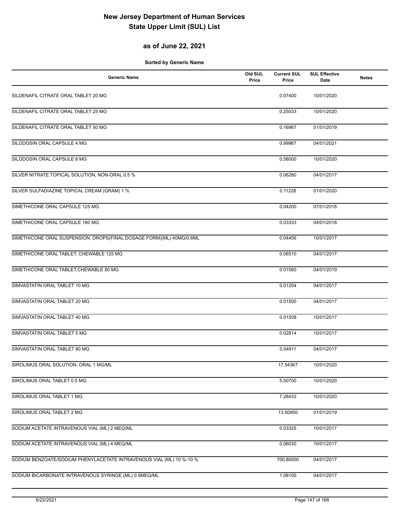#### **as of June 22, 2021**

| <b>Generic Name</b>                                                  | Old SUL<br>Price | <b>Current SUL</b><br>Price | <b>SUL Effective</b><br>Date | <b>Notes</b> |
|----------------------------------------------------------------------|------------------|-----------------------------|------------------------------|--------------|
| SILDENAFIL CITRATE ORAL TABLET 20 MG                                 |                  | 0.07400                     | 10/01/2020                   |              |
| SILDENAFIL CITRATE ORAL TABLET 25 MG                                 |                  | 0.25033                     | 10/01/2020                   |              |
| SILDENAFIL CITRATE ORAL TABLET 50 MG                                 |                  | 0.16967                     | 01/01/2019                   |              |
| SILODOSIN ORAL CAPSULE 4 MG                                          |                  | 0.99967                     | 04/01/2021                   |              |
| SILODOSIN ORAL CAPSULE 8 MG                                          |                  | 0.58000                     | 10/01/2020                   |              |
| SILVER NITRATE TOPICAL SOLUTION, NON-ORAL 0.5 %                      |                  | 0.06280                     | 04/01/2017                   |              |
| SILVER SULFADIAZINE TOPICAL CREAM (GRAM) 1 %                         |                  | 0.11228                     | 01/01/2020                   |              |
| SIMETHICONE ORAL CAPSULE 125 MG                                      |                  | 0.04200                     | 07/01/2018                   |              |
| SIMETHICONE ORAL CAPSULE 180 MG                                      |                  | 0.03333                     | 04/01/2018                   |              |
| SIMETHICONE ORAL SUSPENSION, DROPS(FINAL DOSAGE FORM)(ML) 40MG/0.6ML |                  | 0.04456                     | 10/01/2017                   |              |
| SIMETHICONE ORAL TABLET, CHEWABLE 125 MG                             |                  | 0.06510                     | 04/01/2017                   |              |
| SIMETHICONE ORAL TABLET, CHEWABLE 80 MG                              |                  | 0.01560                     | 04/01/2019                   |              |
| SIMVASTATIN ORAL TABLET 10 MG                                        |                  | 0.01204                     | 04/01/2017                   |              |
| SIMVASTATIN ORAL TABLET 20 MG                                        |                  | 0.01500                     | 04/01/2017                   |              |
| SIMVASTATIN ORAL TABLET 40 MG                                        |                  | 0.01508                     | 10/01/2017                   |              |
| SIMVASTATIN ORAL TABLET 5 MG                                         |                  | 0.02814                     | 10/01/2017                   |              |
| SIMVASTATIN ORAL TABLET 80 MG                                        |                  | 0.04911                     | 04/01/2017                   |              |
| SIROLIMUS ORAL SOLUTION, ORAL 1 MG/ML                                |                  | 17.54367                    | 10/01/2020                   |              |
| SIROLIMUS ORAL TABLET 0.5 MG                                         |                  | 5.50700                     | 10/01/2020                   |              |
| SIROLIMUS ORAL TABLET 1 MG                                           |                  | 7.28433                     | 10/01/2020                   |              |
| SIROLIMUS ORAL TABLET 2 MG                                           |                  | 13.50950                    | 01/01/2019                   |              |
| SODIUM ACETATE INTRAVENOUS VIAL (ML) 2 MEQ/ML                        |                  | 0.03325                     | 10/01/2017                   |              |
| SODIUM ACETATE INTRAVENOUS VIAL (ML) 4 MEQ/ML                        |                  | 0.06030                     | 10/01/2017                   |              |
| SODIUM BENZOATE/SODIUM PHENYLACETATE INTRAVENOUS VIAL (ML) 10 %-10 % |                  | 700.80000                   | 04/01/2017                   |              |
| SODIUM BICARBONATE INTRAVENOUS SYRINGE (ML) 0.5MEQ/ML                |                  | 1.08100                     | 04/01/2017                   |              |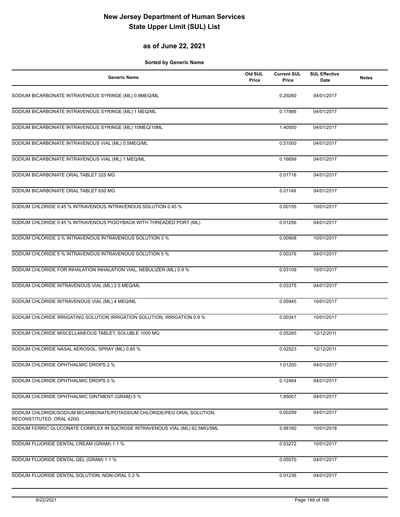#### **as of June 22, 2021**

| <b>Generic Name</b>                                                                                  | Old SUL<br>Price | <b>Current SUL</b><br>Price | <b>SUL Effective</b><br>Date | <b>Notes</b> |
|------------------------------------------------------------------------------------------------------|------------------|-----------------------------|------------------------------|--------------|
| SODIUM BICARBONATE INTRAVENOUS SYRINGE (ML) 0.9MEQ/ML                                                |                  | 0.29260                     | 04/01/2017                   |              |
| SODIUM BICARBONATE INTRAVENOUS SYRINGE (ML) 1 MEQ/ML                                                 |                  | 0.17866                     | 04/01/2017                   |              |
| SODIUM BICARBONATE INTRAVENOUS SYRINGE (ML) 10MEQ/10ML                                               |                  | 1.40500                     | 04/01/2017                   |              |
| SODIUM BICARBONATE INTRAVENOUS VIAL (ML) 0.5MEQ/ML                                                   |                  | 0.51000                     | 04/01/2017                   |              |
| SODIUM BICARBONATE INTRAVENOUS VIAL (ML) 1 MEQ/ML                                                    |                  | 0.16699                     | 04/01/2017                   |              |
| SODIUM BICARBONATE ORAL TABLET 325 MG                                                                |                  | 0.01716                     | 04/01/2017                   |              |
| SODIUM BICARBONATE ORAL TABLET 650 MG                                                                |                  | 0.01149                     | 04/01/2017                   |              |
| SODIUM CHLORIDE 0.45 % INTRAVENOUS INTRAVENOUS SOLUTION 0.45 %                                       |                  | 0.00155                     | 10/01/2017                   |              |
| SODIUM CHLORIDE 0.45 % INTRAVENOUS PIGGYBACK WITH THREADED PORT (ML)                                 |                  | 0.01256                     | 04/01/2017                   |              |
| SODIUM CHLORIDE 3 % INTRAVENOUS INTRAVENOUS SOLUTION 3 %                                             |                  | 0.00908                     | 10/01/2017                   |              |
| SODIUM CHLORIDE 5 % INTRAVENOUS INTRAVENOUS SOLUTION 5 %                                             |                  | 0.00376                     | 04/01/2017                   |              |
| SODIUM CHLORIDE FOR INHALATION INHALATION VIAL, NEBULIZER (ML) 0.9 %                                 |                  | 0.03109                     | 10/01/2017                   |              |
| SODIUM CHLORIDE INTRAVENOUS VIAL (ML) 2.5 MEQ/ML                                                     |                  | 0.03375                     | 04/01/2017                   |              |
| SODIUM CHLORIDE INTRAVENOUS VIAL (ML) 4 MEQ/ML                                                       |                  | 0.05945                     | 10/01/2017                   |              |
| SODIUM CHLORIDE IRRIGATING SOLUTION IRRIGATION SOLUTION, IRRIGATION 0.9 %                            |                  | 0.00341                     | 10/01/2017                   |              |
| SODIUM CHLORIDE MISCELLANEOUS TABLET, SOLUBLE 1000 MG                                                |                  | 0.05265                     | 12/12/2011                   |              |
| SODIUM CHLORIDE NASAL AEROSOL, SPRAY (ML) 0.65 %                                                     |                  | 0.02523                     | 12/12/2011                   |              |
| SODIUM CHLORIDE OPHTHALMIC DROPS 2 %                                                                 |                  | 1.01200                     | 04/01/2017                   |              |
| SODIUM CHLORIDE OPHTHALMIC DROPS 5 %                                                                 |                  | 0.12464                     | 04/01/2017                   |              |
| SODIUM CHLORIDE OPHTHALMIC OINTMENT (GRAM) 5 %                                                       |                  | 1.85007                     | 04/01/2017                   |              |
| SODIUM CHLORIDE/SODIUM BICARBONATE/POTASSIUM CHLORIDE/PEG ORAL SOLUTION,<br>RECONSTITUTED, ORAL 420G |                  | 0.00299                     | 04/01/2017                   |              |
| SODIUM FERRIC GLUCONATE COMPLEX IN SUCROSE INTRAVENOUS VIAL (ML) 62.5MG/5ML                          |                  | 5.98160                     | 10/01/2018                   |              |
| SODIUM FLUORIDE DENTAL CREAM (GRAM) 1.1 %                                                            |                  | 0.03272                     | 10/01/2017                   |              |
| SODIUM FLUORIDE DENTAL GEL (GRAM) 1.1 %                                                              |                  | 0.05570                     | 04/01/2017                   |              |
| SODIUM FLUORIDE DENTAL SOLUTION, NON-ORAL 0.2 %                                                      |                  | 0.01236                     | 04/01/2017                   |              |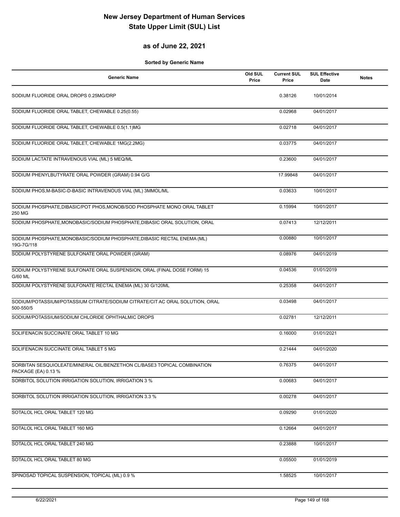#### **as of June 22, 2021**

| <b>Generic Name</b>                                                                             | Old SUL<br>Price | <b>Current SUL</b><br>Price | <b>SUL Effective</b><br>Date | <b>Notes</b> |
|-------------------------------------------------------------------------------------------------|------------------|-----------------------------|------------------------------|--------------|
| SODIUM FLUORIDE ORAL DROPS 0.25MG/DRP                                                           |                  | 0.38126                     | 10/01/2014                   |              |
| SODIUM FLUORIDE ORAL TABLET, CHEWABLE 0.25(0.55)                                                |                  | 0.02968                     | 04/01/2017                   |              |
| SODIUM FLUORIDE ORAL TABLET, CHEWABLE 0.5(1.1)MG                                                |                  | 0.02718                     | 04/01/2017                   |              |
| SODIUM FLUORIDE ORAL TABLET, CHEWABLE 1MG(2.2MG)                                                |                  | 0.03775                     | 04/01/2017                   |              |
| SODIUM LACTATE INTRAVENOUS VIAL (ML) 5 MEQ/ML                                                   |                  | 0.23600                     | 04/01/2017                   |              |
| SODIUM PHENYLBUTYRATE ORAL POWDER (GRAM) 0.94 G/G                                               |                  | 17.99848                    | 04/01/2017                   |              |
| SODIUM PHOS, M-BASIC-D-BASIC INTRAVENOUS VIAL (ML) 3MMOL/ML                                     |                  | 0.03633                     | 10/01/2017                   |              |
| SODIUM PHOSPHATE, DIBASIC/POT PHOS, MONOB/SOD PHOSPHATE MONO ORAL TABLET<br>250 MG              |                  | 0.15994                     | 10/01/2017                   |              |
| SODIUM PHOSPHATE, MONOBASIC/SODIUM PHOSPHATE, DIBASIC ORAL SOLUTION, ORAL                       |                  | 0.07413                     | 12/12/2011                   |              |
| SODIUM PHOSPHATE, MONOBASIC/SODIUM PHOSPHATE, DIBASIC RECTAL ENEMA (ML)<br>19G-7G/118           |                  | 0.00880                     | 10/01/2017                   |              |
| SODIUM POLYSTYRENE SULFONATE ORAL POWDER (GRAM)                                                 |                  | 0.08976                     | 04/01/2019                   |              |
| SODIUM POLYSTYRENE SULFONATE ORAL SUSPENSION, ORAL (FINAL DOSE FORM) 15<br>G/60 ML              |                  | 0.04536                     | 01/01/2019                   |              |
| SODIUM POLYSTYRENE SULFONATE RECTAL ENEMA (ML) 30 G/120ML                                       |                  | 0.25358                     | 04/01/2017                   |              |
| SODIUM/POTASSIUM/POTASSIUM CITRATE/SODIUM CITRATE/CIT AC ORAL SOLUTION, ORAL<br>500-550/5       |                  | 0.03498                     | 04/01/2017                   |              |
| SODIUM/POTASSIUM/SODIUM CHLORIDE OPHTHALMIC DROPS                                               |                  | 0.02781                     | 12/12/2011                   |              |
| SOLIFENACIN SUCCINATE ORAL TABLET 10 MG                                                         |                  | 0.16000                     | 01/01/2021                   |              |
| SOLIFENACIN SUCCINATE ORAL TABLET 5 MG                                                          |                  | 0.21444                     | 04/01/2020                   |              |
| SORBITAN SESQUIOLEATE/MINERAL OIL/BENZETHON CL/BASE3 TOPICAL COMBINATION<br>PACKAGE (EA) 0.13 % |                  | 0.76375                     | 04/01/2017                   |              |
| SORBITOL SOLUTION IRRIGATION SOLUTION, IRRIGATION 3 %                                           |                  | 0.00683                     | 04/01/2017                   |              |
| SORBITOL SOLUTION IRRIGATION SOLUTION, IRRIGATION 3.3 %                                         |                  | 0.00278                     | 04/01/2017                   |              |
| SOTALOL HCL ORAL TABLET 120 MG                                                                  |                  | 0.09290                     | 01/01/2020                   |              |
| SOTALOL HCL ORAL TABLET 160 MG                                                                  |                  | 0.12664                     | 04/01/2017                   |              |
| SOTALOL HCL ORAL TABLET 240 MG                                                                  |                  | 0.23888                     | 10/01/2017                   |              |
| SOTALOL HCL ORAL TABLET 80 MG                                                                   |                  | 0.05500                     | 01/01/2019                   |              |
| SPINOSAD TOPICAL SUSPENSION, TOPICAL (ML) 0.9 %                                                 |                  | 1.58525                     | 10/01/2017                   |              |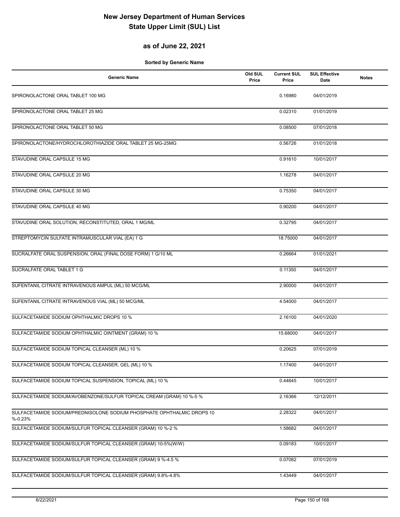### **as of June 22, 2021**

| <b>Generic Name</b>                                                                  | Old SUL<br>Price | <b>Current SUL</b><br>Price | <b>SUL Effective</b><br>Date | <b>Notes</b> |
|--------------------------------------------------------------------------------------|------------------|-----------------------------|------------------------------|--------------|
| SPIRONOLACTONE ORAL TABLET 100 MG                                                    |                  | 0.16980                     | 04/01/2019                   |              |
| SPIRONOLACTONE ORAL TABLET 25 MG                                                     |                  | 0.02310                     | 01/01/2019                   |              |
| SPIRONOLACTONE ORAL TABLET 50 MG                                                     |                  | 0.08500                     | 07/01/2018                   |              |
| SPIRONOLACTONE/HYDROCHLOROTHIAZIDE ORAL TABLET 25 MG-25MG                            |                  | 0.56726                     | 01/01/2018                   |              |
| STAVUDINE ORAL CAPSULE 15 MG                                                         |                  | 0.91610                     | 10/01/2017                   |              |
| STAVUDINE ORAL CAPSULE 20 MG                                                         |                  | 1.16278                     | 04/01/2017                   |              |
| STAVUDINE ORAL CAPSULE 30 MG                                                         |                  | 0.75350                     | 04/01/2017                   |              |
| STAVUDINE ORAL CAPSULE 40 MG                                                         |                  | 0.90200                     | 04/01/2017                   |              |
| STAVUDINE ORAL SOLUTION, RECONSTITUTED, ORAL 1 MG/ML                                 |                  | 0.32795                     | 04/01/2017                   |              |
| STREPTOMYCIN SULFATE INTRAMUSCULAR VIAL (EA) 1 G                                     |                  | 18.75000                    | 04/01/2017                   |              |
| SUCRALFATE ORAL SUSPENSION, ORAL (FINAL DOSE FORM) 1 G/10 ML                         |                  | 0.26664                     | 01/01/2021                   |              |
| SUCRALFATE ORAL TABLET 1 G                                                           |                  | 0.11350                     | 04/01/2017                   |              |
| SUFENTANIL CITRATE INTRAVENOUS AMPUL (ML) 50 MCG/ML                                  |                  | 2.90000                     | 04/01/2017                   |              |
| SUFENTANIL CITRATE INTRAVENOUS VIAL (ML) 50 MCG/ML                                   |                  | 4.54000                     | 04/01/2017                   |              |
| SULFACETAMIDE SODIUM OPHTHALMIC DROPS 10 %                                           |                  | 2.16100                     | 04/01/2020                   |              |
| SULFACETAMIDE SODIUM OPHTHALMIC OINTMENT (GRAM) 10 %                                 |                  | 15.68000                    | 04/01/2017                   |              |
| SULFACETAMIDE SODIUM TOPICAL CLEANSER (ML) 10 %                                      |                  | 0.20625                     | 07/01/2019                   |              |
| SULFACETAMIDE SODIUM TOPICAL CLEANSER, GEL (ML) 10 %                                 |                  | 1.17400                     | 04/01/2017                   |              |
| SULFACETAMIDE SODIUM TOPICAL SUSPENSION, TOPICAL (ML) 10 %                           |                  | 0.44645                     | 10/01/2017                   |              |
| SULFACETAMIDE SODIUM/AVOBENZONE/SULFUR TOPICAL CREAM (GRAM) 10 %-5 %                 |                  | 2.16366                     | 12/12/2011                   |              |
| SULFACETAMIDE SODIUM/PREDNISOLONE SODIUM PHOSPHATE OPHTHALMIC DROPS 10<br>$% -0.23%$ |                  | 2.28322                     | 04/01/2017                   |              |
| SULFACETAMIDE SODIUM/SULFUR TOPICAL CLEANSER (GRAM) 10 %-2 %                         |                  | 1.58682                     | 04/01/2017                   |              |
| SULFACETAMIDE SODIUM/SULFUR TOPICAL CLEANSER (GRAM) 10-5%(W/W)                       |                  | 0.09183                     | 10/01/2017                   |              |
| SULFACETAMIDE SODIUM/SULFUR TOPICAL CLEANSER (GRAM) 9 %-4.5 %                        |                  | 0.07082                     | 07/01/2019                   |              |
| SULFACETAMIDE SODIUM/SULFUR TOPICAL CLEANSER (GRAM) 9.8%-4.8%                        |                  | 1.43449                     | 04/01/2017                   |              |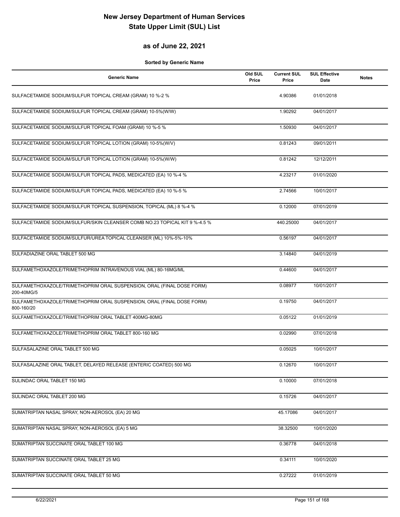#### **as of June 22, 2021**

| Generic Name                                                                        | Old SUL<br>Price | <b>Current SUL</b><br>Price | <b>SUL Effective</b><br>Date | <b>Notes</b> |
|-------------------------------------------------------------------------------------|------------------|-----------------------------|------------------------------|--------------|
| SULFACETAMIDE SODIUM/SULFUR TOPICAL CREAM (GRAM) 10 %-2 %                           |                  | 4.90386                     | 01/01/2018                   |              |
| SULFACETAMIDE SODIUM/SULFUR TOPICAL CREAM (GRAM) 10-5%(W/W)                         |                  | 1.90292                     | 04/01/2017                   |              |
| SULFACETAMIDE SODIUM/SULFUR TOPICAL FOAM (GRAM) 10 %-5 %                            |                  | 1.50930                     | 04/01/2017                   |              |
| SULFACETAMIDE SODIUM/SULFUR TOPICAL LOTION (GRAM) 10-5%(W/V)                        |                  | 0.81243                     | 09/01/2011                   |              |
| SULFACETAMIDE SODIUM/SULFUR TOPICAL LOTION (GRAM) 10-5%(W/W)                        |                  | 0.81242                     | 12/12/2011                   |              |
| SULFACETAMIDE SODIUM/SULFUR TOPICAL PADS, MEDICATED (EA) 10 %-4 %                   |                  | 4.23217                     | 01/01/2020                   |              |
| SULFACETAMIDE SODIUM/SULFUR TOPICAL PADS, MEDICATED (EA) 10 %-5 %                   |                  | 2.74566                     | 10/01/2017                   |              |
| SULFACETAMIDE SODIUM/SULFUR TOPICAL SUSPENSION, TOPICAL (ML) 8 %-4 %                |                  | 0.12000                     | 07/01/2019                   |              |
| SULFACETAMIDE SODIUM/SULFUR/SKIN CLEANSER COMB NO.23 TOPICAL KIT 9 %-4.5 %          |                  | 440.25000                   | 04/01/2017                   |              |
| SULFACETAMIDE SODIUM/SULFUR/UREA TOPICAL CLEANSER (ML) 10%-5%-10%                   |                  | 0.56197                     | 04/01/2017                   |              |
| SULFADIAZINE ORAL TABLET 500 MG                                                     |                  | 3.14840                     | 04/01/2019                   |              |
| SULFAMETHOXAZOLE/TRIMETHOPRIM INTRAVENOUS VIAL (ML) 80-16MG/ML                      |                  | 0.44600                     | 04/01/2017                   |              |
| SULFAMETHOXAZOLE/TRIMETHOPRIM ORAL SUSPENSION, ORAL (FINAL DOSE FORM)<br>200-40MG/5 |                  | 0.08977                     | 10/01/2017                   |              |
| SULFAMETHOXAZOLE/TRIMETHOPRIM ORAL SUSPENSION, ORAL (FINAL DOSE FORM)<br>800-160/20 |                  | 0.19750                     | 04/01/2017                   |              |
| SULFAMETHOXAZOLE/TRIMETHOPRIM ORAL TABLET 400MG-80MG                                |                  | 0.05122                     | 01/01/2019                   |              |
| SULFAMETHOXAZOLE/TRIMETHOPRIM ORAL TABLET 800-160 MG                                |                  | 0.02990                     | 07/01/2018                   |              |
| SULFASALAZINE ORAL TABLET 500 MG                                                    |                  | 0.05025                     | 10/01/2017                   |              |
| SULFASALAZINE ORAL TABLET, DELAYED RELEASE (ENTERIC COATED) 500 MG                  |                  | 0.12670                     | 10/01/2017                   |              |
| SULINDAC ORAL TABLET 150 MG                                                         |                  | 0.10000                     | 07/01/2018                   |              |
| SULINDAC ORAL TABLET 200 MG                                                         |                  | 0.15726                     | 04/01/2017                   |              |
| SUMATRIPTAN NASAL SPRAY, NON-AEROSOL (EA) 20 MG                                     |                  | 45.17086                    | 04/01/2017                   |              |
| SUMATRIPTAN NASAL SPRAY, NON-AEROSOL (EA) 5 MG                                      |                  | 38.32500                    | 10/01/2020                   |              |
| SUMATRIPTAN SUCCINATE ORAL TABLET 100 MG                                            |                  | 0.36778                     | 04/01/2018                   |              |
| SUMATRIPTAN SUCCINATE ORAL TABLET 25 MG                                             |                  | 0.34111                     | 10/01/2020                   |              |
| SUMATRIPTAN SUCCINATE ORAL TABLET 50 MG                                             |                  | 0.27222                     | 01/01/2019                   |              |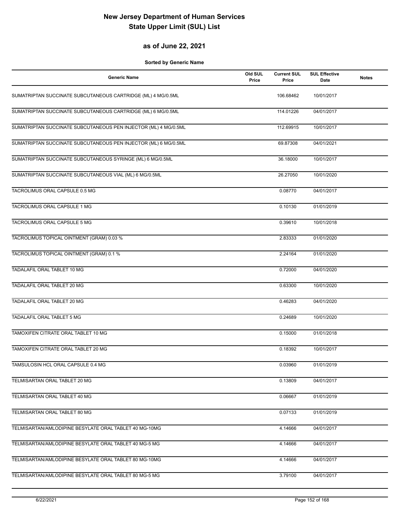#### **as of June 22, 2021**

| Generic Name                                                    | Old SUL<br>Price | <b>Current SUL</b><br>Price | <b>SUL Effective</b><br>Date | <b>Notes</b> |
|-----------------------------------------------------------------|------------------|-----------------------------|------------------------------|--------------|
| SUMATRIPTAN SUCCINATE SUBCUTANEOUS CARTRIDGE (ML) 4 MG/0.5ML    |                  | 106.68462                   | 10/01/2017                   |              |
| SUMATRIPTAN SUCCINATE SUBCUTANEOUS CARTRIDGE (ML) 6 MG/0.5ML    |                  | 114.01226                   | 04/01/2017                   |              |
| SUMATRIPTAN SUCCINATE SUBCUTANEOUS PEN INJECTOR (ML) 4 MG/0.5ML |                  | 112.69915                   | 10/01/2017                   |              |
| SUMATRIPTAN SUCCINATE SUBCUTANEOUS PEN INJECTOR (ML) 6 MG/0.5ML |                  | 69.87308                    | 04/01/2021                   |              |
| SUMATRIPTAN SUCCINATE SUBCUTANEOUS SYRINGE (ML) 6 MG/0.5ML      |                  | 36.18000                    | 10/01/2017                   |              |
| SUMATRIPTAN SUCCINATE SUBCUTANEOUS VIAL (ML) 6 MG/0.5ML         |                  | 26.27050                    | 10/01/2020                   |              |
| TACROLIMUS ORAL CAPSULE 0.5 MG                                  |                  | 0.08770                     | 04/01/2017                   |              |
| TACROLIMUS ORAL CAPSULE 1 MG                                    |                  | 0.10130                     | 01/01/2019                   |              |
| TACROLIMUS ORAL CAPSULE 5 MG                                    |                  | 0.39610                     | 10/01/2018                   |              |
| TACROLIMUS TOPICAL OINTMENT (GRAM) 0.03 %                       |                  | 2.83333                     | 01/01/2020                   |              |
| TACROLIMUS TOPICAL OINTMENT (GRAM) 0.1 %                        |                  | 2.24164                     | 01/01/2020                   |              |
| TADALAFIL ORAL TABLET 10 MG                                     |                  | 0.72000                     | 04/01/2020                   |              |
| TADALAFIL ORAL TABLET 20 MG                                     |                  | 0.63300                     | 10/01/2020                   |              |
| TADALAFIL ORAL TABLET 20 MG                                     |                  | 0.46283                     | 04/01/2020                   |              |
| <b>TADALAFIL ORAL TABLET 5 MG</b>                               |                  | 0.24689                     | 10/01/2020                   |              |
| TAMOXIFEN CITRATE ORAL TABLET 10 MG                             |                  | 0.15000                     | 01/01/2018                   |              |
| TAMOXIFEN CITRATE ORAL TABLET 20 MG                             |                  | 0.18392                     | 10/01/2017                   |              |
| TAMSULOSIN HCL ORAL CAPSULE 0.4 MG                              |                  | 0.03960                     | 01/01/2019                   |              |
| TELMISARTAN ORAL TABLET 20 MG                                   |                  | 0.13809                     | 04/01/2017                   |              |
| TELMISARTAN ORAL TABLET 40 MG                                   |                  | 0.06667                     | 01/01/2019                   |              |
| TELMISARTAN ORAL TABLET 80 MG                                   |                  | 0.07133                     | 01/01/2019                   |              |
| TELMISARTAN/AMLODIPINE BESYLATE ORAL TABLET 40 MG-10MG          |                  | 4.14666                     | 04/01/2017                   |              |
| TELMISARTAN/AMLODIPINE BESYLATE ORAL TABLET 40 MG-5 MG          |                  | 4.14666                     | 04/01/2017                   |              |
| TELMISARTAN/AMLODIPINE BESYLATE ORAL TABLET 80 MG-10MG          |                  | 4.14666                     | 04/01/2017                   |              |
| TELMISARTAN/AMLODIPINE BESYLATE ORAL TABLET 80 MG-5 MG          |                  | 3.79100                     | 04/01/2017                   |              |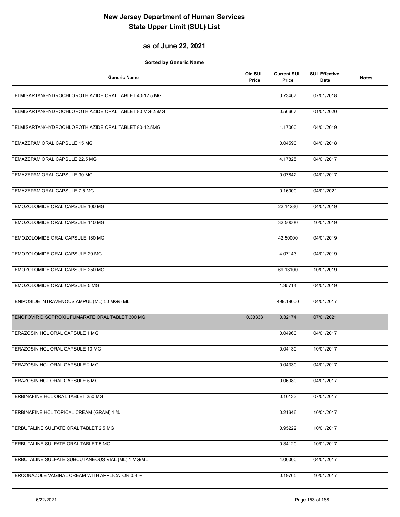#### **as of June 22, 2021**

| <b>Generic Name</b>                                    | Old SUL<br>Price | <b>Current SUL</b><br>Price | <b>SUL Effective</b><br>Date | <b>Notes</b> |
|--------------------------------------------------------|------------------|-----------------------------|------------------------------|--------------|
| TELMISARTAN/HYDROCHLOROTHIAZIDE ORAL TABLET 40-12.5 MG |                  | 0.73467                     | 07/01/2018                   |              |
| TELMISARTAN/HYDROCHLOROTHIAZIDE ORAL TABLET 80 MG-25MG |                  | 0.56667                     | 01/01/2020                   |              |
| TELMISARTAN/HYDROCHLOROTHIAZIDE ORAL TABLET 80-12.5MG  |                  | 1.17000                     | 04/01/2019                   |              |
| TEMAZEPAM ORAL CAPSULE 15 MG                           |                  | 0.04590                     | 04/01/2018                   |              |
| TEMAZEPAM ORAL CAPSULE 22.5 MG                         |                  | 4.17825                     | 04/01/2017                   |              |
| TEMAZEPAM ORAL CAPSULE 30 MG                           |                  | 0.07842                     | 04/01/2017                   |              |
| TEMAZEPAM ORAL CAPSULE 7.5 MG                          |                  | 0.16000                     | 04/01/2021                   |              |
| TEMOZOLOMIDE ORAL CAPSULE 100 MG                       |                  | 22.14286                    | 04/01/2019                   |              |
| TEMOZOLOMIDE ORAL CAPSULE 140 MG                       |                  | 32.50000                    | 10/01/2019                   |              |
| TEMOZOLOMIDE ORAL CAPSULE 180 MG                       |                  | 42.50000                    | 04/01/2019                   |              |
| TEMOZOLOMIDE ORAL CAPSULE 20 MG                        |                  | 4.07143                     | 04/01/2019                   |              |
| TEMOZOLOMIDE ORAL CAPSULE 250 MG                       |                  | 69.13100                    | 10/01/2019                   |              |
| TEMOZOLOMIDE ORAL CAPSULE 5 MG                         |                  | 1.35714                     | 04/01/2019                   |              |
| TENIPOSIDE INTRAVENOUS AMPUL (ML) 50 MG/5 ML           |                  | 499.19000                   | 04/01/2017                   |              |
| TENOFOVIR DISOPROXIL FUMARATE ORAL TABLET 300 MG       | 0.33333          | 0.32174                     | 07/01/2021                   |              |
| TERAZOSIN HCL ORAL CAPSULE 1 MG                        |                  | 0.04960                     | 04/01/2017                   |              |
| TERAZOSIN HCL ORAL CAPSULE 10 MG                       |                  | 0.04130                     | 10/01/2017                   |              |
| TERAZOSIN HCL ORAL CAPSULE 2 MG                        |                  | 0.04330                     | 04/01/2017                   |              |
| TERAZOSIN HCL ORAL CAPSULE 5 MG                        |                  | 0.06080                     | 04/01/2017                   |              |
| TERBINAFINE HCL ORAL TABLET 250 MG                     |                  | 0.10133                     | 07/01/2017                   |              |
| TERBINAFINE HCL TOPICAL CREAM (GRAM) 1 %               |                  | 0.21646                     | 10/01/2017                   |              |
| TERBUTALINE SULFATE ORAL TABLET 2.5 MG                 |                  | 0.95222                     | 10/01/2017                   |              |
| TERBUTALINE SULFATE ORAL TABLET 5 MG                   |                  | 0.34120                     | 10/01/2017                   |              |
| TERBUTALINE SULFATE SUBCUTANEOUS VIAL (ML) 1 MG/ML     |                  | 4.00000                     | 04/01/2017                   |              |
| TERCONAZOLE VAGINAL CREAM WITH APPLICATOR 0.4 %        |                  | 0.19765                     | 10/01/2017                   |              |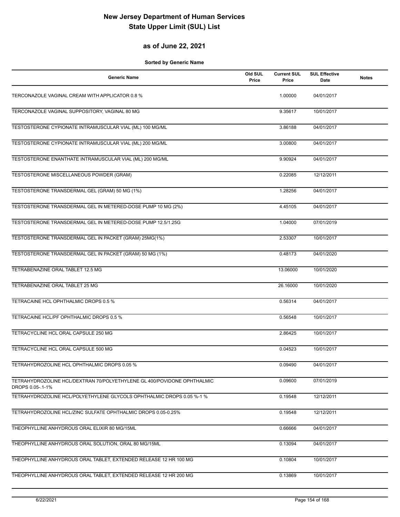#### **as of June 22, 2021**

| <b>Generic Name</b>                                                                         | Old SUL<br>Price | <b>Current SUL</b><br>Price | <b>SUL Effective</b><br>Date | <b>Notes</b> |
|---------------------------------------------------------------------------------------------|------------------|-----------------------------|------------------------------|--------------|
| TERCONAZOLE VAGINAL CREAM WITH APPLICATOR 0.8 %                                             |                  | 1.00000                     | 04/01/2017                   |              |
| TERCONAZOLE VAGINAL SUPPOSITORY, VAGINAL 80 MG                                              |                  | 9.35617                     | 10/01/2017                   |              |
| TESTOSTERONE CYPIONATE INTRAMUSCULAR VIAL (ML) 100 MG/ML                                    |                  | 3.86188                     | 04/01/2017                   |              |
| TESTOSTERONE CYPIONATE INTRAMUSCULAR VIAL (ML) 200 MG/ML                                    |                  | 3.00800                     | 04/01/2017                   |              |
| TESTOSTERONE ENANTHATE INTRAMUSCULAR VIAL (ML) 200 MG/ML                                    |                  | 9.90924                     | 04/01/2017                   |              |
| TESTOSTERONE MISCELLANEOUS POWDER (GRAM)                                                    |                  | 0.22085                     | 12/12/2011                   |              |
| TESTOSTERONE TRANSDERMAL GEL (GRAM) 50 MG (1%)                                              |                  | 1.28256                     | 04/01/2017                   |              |
| TESTOSTERONE TRANSDERMAL GEL IN METERED-DOSE PUMP 10 MG (2%)                                |                  | 4.45105                     | 04/01/2017                   |              |
| TESTOSTERONE TRANSDERMAL GEL IN METERED-DOSE PUMP 12.5/1.25G                                |                  | 1.04000                     | 07/01/2019                   |              |
| TESTOSTERONE TRANSDERMAL GEL IN PACKET (GRAM) 25MG(1%)                                      |                  | 2.53307                     | 10/01/2017                   |              |
| TESTOSTERONE TRANSDERMAL GEL IN PACKET (GRAM) 50 MG (1%)                                    |                  | 0.48173                     | 04/01/2020                   |              |
| TETRABENAZINE ORAL TABLET 12.5 MG                                                           |                  | 13.06000                    | 10/01/2020                   |              |
| TETRABENAZINE ORAL TABLET 25 MG                                                             |                  | 26.16000                    | 10/01/2020                   |              |
| TETRACAINE HCL OPHTHALMIC DROPS 0.5 %                                                       |                  | 0.56314                     | 04/01/2017                   |              |
| TETRACAINE HCL/PF OPHTHALMIC DROPS 0.5 %                                                    |                  | 0.56548                     | 10/01/2017                   |              |
| TETRACYCLINE HCL ORAL CAPSULE 250 MG                                                        |                  | 2.86425                     | 10/01/2017                   |              |
| TETRACYCLINE HCL ORAL CAPSULE 500 MG                                                        |                  | 0.04523                     | 10/01/2017                   |              |
| TETRAHYDROZOLINE HCL OPHTHALMIC DROPS 0.05 %                                                |                  | 0.09490                     | 04/01/2017                   |              |
| TETRAHYDROZOLINE HCL/DEXTRAN 70/POLYETHYLENE GL 400/POVIDONE OPHTHALMIC<br>DROPS 0.05-.1-1% |                  | 0.09600                     | 07/01/2019                   |              |
| TETRAHYDROZOLINE HCL/POLYETHYLENE GLYCOLS OPHTHALMIC DROPS 0.05 %-1 %                       |                  | 0.19548                     | 12/12/2011                   |              |
| TETRAHYDROZOLINE HCL/ZINC SULFATE OPHTHALMIC DROPS 0.05-0.25%                               |                  | 0.19548                     | 12/12/2011                   |              |
| THEOPHYLLINE ANHYDROUS ORAL ELIXIR 80 MG/15ML                                               |                  | 0.66666                     | 04/01/2017                   |              |
| THEOPHYLLINE ANHYDROUS ORAL SOLUTION, ORAL 80 MG/15ML                                       |                  | 0.13094                     | 04/01/2017                   |              |
| THEOPHYLLINE ANHYDROUS ORAL TABLET, EXTENDED RELEASE 12 HR 100 MG                           |                  | 0.10804                     | 10/01/2017                   |              |
| THEOPHYLLINE ANHYDROUS ORAL TABLET, EXTENDED RELEASE 12 HR 200 MG                           |                  | 0.13869                     | 10/01/2017                   |              |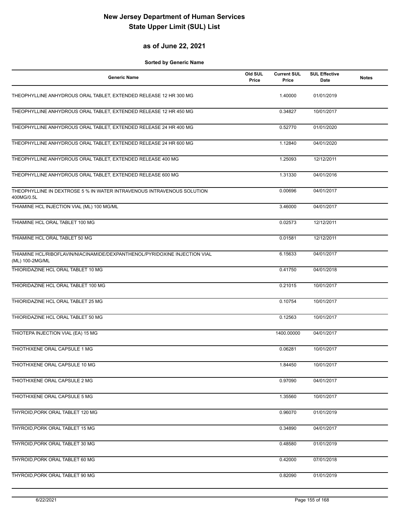#### **as of June 22, 2021**

| <b>Generic Name</b>                                                                           | Old SUL<br>Price | <b>Current SUL</b><br>Price | <b>SUL Effective</b><br>Date | <b>Notes</b> |
|-----------------------------------------------------------------------------------------------|------------------|-----------------------------|------------------------------|--------------|
| THEOPHYLLINE ANHYDROUS ORAL TABLET, EXTENDED RELEASE 12 HR 300 MG                             |                  | 1.40000                     | 01/01/2019                   |              |
| THEOPHYLLINE ANHYDROUS ORAL TABLET, EXTENDED RELEASE 12 HR 450 MG                             |                  | 0.34827                     | 10/01/2017                   |              |
| THEOPHYLLINE ANHYDROUS ORAL TABLET, EXTENDED RELEASE 24 HR 400 MG                             |                  | 0.52770                     | 01/01/2020                   |              |
| THEOPHYLLINE ANHYDROUS ORAL TABLET, EXTENDED RELEASE 24 HR 600 MG                             |                  | 1.12840                     | 04/01/2020                   |              |
| THEOPHYLLINE ANHYDROUS ORAL TABLET, EXTENDED RELEASE 400 MG                                   |                  | 1.25093                     | 12/12/2011                   |              |
| THEOPHYLLINE ANHYDROUS ORAL TABLET, EXTENDED RELEASE 600 MG                                   |                  | 1.31330                     | 04/01/2016                   |              |
| THEOPHYLLINE IN DEXTROSE 5 % IN WATER INTRAVENOUS INTRAVENOUS SOLUTION<br>400MG/0.5L          |                  | 0.00696                     | 04/01/2017                   |              |
| THIAMINE HCL INJECTION VIAL (ML) 100 MG/ML                                                    |                  | 3.46000                     | 04/01/2017                   |              |
| THIAMINE HCL ORAL TABLET 100 MG                                                               |                  | 0.02573                     | 12/12/2011                   |              |
| THIAMINE HCL ORAL TABLET 50 MG                                                                |                  | 0.01581                     | 12/12/2011                   |              |
| THIAMINE HCL/RIBOFLAVIN/NIACINAMIDE/DEXPANTHENOL/PYRIDOXINE INJECTION VIAL<br>(ML) 100-2MG/ML |                  | 6.15633                     | 04/01/2017                   |              |
| THIORIDAZINE HCL ORAL TABLET 10 MG                                                            |                  | 0.41750                     | 04/01/2018                   |              |
| THIORIDAZINE HCL ORAL TABLET 100 MG                                                           |                  | 0.21015                     | 10/01/2017                   |              |
| THIORIDAZINE HCL ORAL TABLET 25 MG                                                            |                  | 0.10754                     | 10/01/2017                   |              |
| THIORIDAZINE HCL ORAL TABLET 50 MG                                                            |                  | 0.12563                     | 10/01/2017                   |              |
| THIOTEPA INJECTION VIAL (EA) 15 MG                                                            |                  | 1400.00000                  | 04/01/2017                   |              |
| THIOTHIXENE ORAL CAPSULE 1 MG                                                                 |                  | 0.06281                     | 10/01/2017                   |              |
| THIOTHIXENE ORAL CAPSULE 10 MG                                                                |                  | 1.84450                     | 10/01/2017                   |              |
| THIOTHIXENE ORAL CAPSULE 2 MG                                                                 |                  | 0.97090                     | 04/01/2017                   |              |
| THIOTHIXENE ORAL CAPSULE 5 MG                                                                 |                  | 1.35560                     | 10/01/2017                   |              |
| THYROID, PORK ORAL TABLET 120 MG                                                              |                  | 0.96070                     | 01/01/2019                   |              |
| THYROID, PORK ORAL TABLET 15 MG                                                               |                  | 0.34890                     | 04/01/2017                   |              |
| THYROID, PORK ORAL TABLET 30 MG                                                               |                  | 0.48580                     | 01/01/2019                   |              |
| THYROID, PORK ORAL TABLET 60 MG                                                               |                  | 0.42000                     | 07/01/2018                   |              |
| THYROID, PORK ORAL TABLET 90 MG                                                               |                  | 0.82090                     | 01/01/2019                   |              |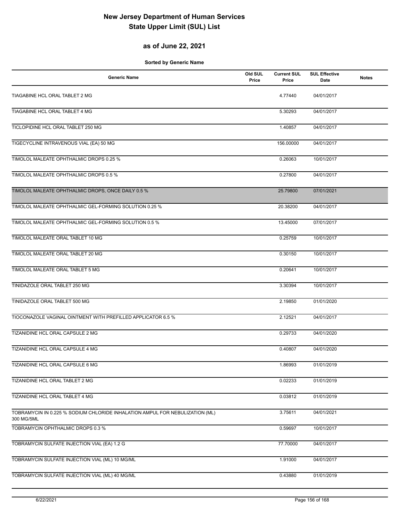#### **as of June 22, 2021**

| <b>Generic Name</b>                                                                        | Old SUL<br>Price | <b>Current SUL</b><br>Price | <b>SUL Effective</b><br>Date | <b>Notes</b> |
|--------------------------------------------------------------------------------------------|------------------|-----------------------------|------------------------------|--------------|
| TIAGABINE HCL ORAL TABLET 2 MG                                                             |                  | 4.77440                     | 04/01/2017                   |              |
| TIAGABINE HCL ORAL TABLET 4 MG                                                             |                  | 5.30293                     | 04/01/2017                   |              |
| TICLOPIDINE HCL ORAL TABLET 250 MG                                                         |                  | 1.40857                     | 04/01/2017                   |              |
| TIGECYCLINE INTRAVENOUS VIAL (EA) 50 MG                                                    |                  | 156.00000                   | 04/01/2017                   |              |
| TIMOLOL MALEATE OPHTHALMIC DROPS 0.25 %                                                    |                  | 0.26063                     | 10/01/2017                   |              |
| TIMOLOL MALEATE OPHTHALMIC DROPS 0.5 %                                                     |                  | 0.27800                     | 04/01/2017                   |              |
| TIMOLOL MALEATE OPHTHALMIC DROPS, ONCE DAILY 0.5 %                                         |                  | 25.79800                    | 07/01/2021                   |              |
| TIMOLOL MALEATE OPHTHALMIC GEL-FORMING SOLUTION 0.25 %                                     |                  | 20.38200                    | 04/01/2017                   |              |
| TIMOLOL MALEATE OPHTHALMIC GEL-FORMING SOLUTION 0.5 %                                      |                  | 13.45000                    | 07/01/2017                   |              |
| TIMOLOL MALEATE ORAL TABLET 10 MG                                                          |                  | 0.25759                     | 10/01/2017                   |              |
| TIMOLOL MALEATE ORAL TABLET 20 MG                                                          |                  | 0.30150                     | 10/01/2017                   |              |
| TIMOLOL MALEATE ORAL TABLET 5 MG                                                           |                  | 0.20641                     | 10/01/2017                   |              |
| TINIDAZOLE ORAL TABLET 250 MG                                                              |                  | 3.30394                     | 10/01/2017                   |              |
| TINIDAZOLE ORAL TABLET 500 MG                                                              |                  | 2.19850                     | 01/01/2020                   |              |
| TIOCONAZOLE VAGINAL OINTMENT WITH PREFILLED APPLICATOR 6.5 %                               |                  | 2.12521                     | 04/01/2017                   |              |
| TIZANIDINE HCL ORAL CAPSULE 2 MG                                                           |                  | 0.29733                     | 04/01/2020                   |              |
| TIZANIDINE HCL ORAL CAPSULE 4 MG                                                           |                  | 0.40807                     | 04/01/2020                   |              |
| TIZANIDINE HCL ORAL CAPSULE 6 MG                                                           |                  | 1.86993                     | 01/01/2019                   |              |
| TIZANIDINE HCL ORAL TABLET 2 MG                                                            |                  | 0.02233                     | 01/01/2019                   |              |
| TIZANIDINE HCL ORAL TABLET 4 MG                                                            |                  | 0.03812                     | 01/01/2019                   |              |
| TOBRAMYCIN IN 0.225 % SODIUM CHLORIDE INHALATION AMPUL FOR NEBULIZATION (ML)<br>300 MG/5ML |                  | 3.75611                     | 04/01/2021                   |              |
| TOBRAMYCIN OPHTHALMIC DROPS 0.3 %                                                          |                  | 0.59697                     | 10/01/2017                   |              |
| TOBRAMYCIN SULFATE INJECTION VIAL (EA) 1.2 G                                               |                  | 77.70000                    | 04/01/2017                   |              |
| TOBRAMYCIN SULFATE INJECTION VIAL (ML) 10 MG/ML                                            |                  | 1.91000                     | 04/01/2017                   |              |
| TOBRAMYCIN SULFATE INJECTION VIAL (ML) 40 MG/ML                                            |                  | 0.43880                     | 01/01/2019                   |              |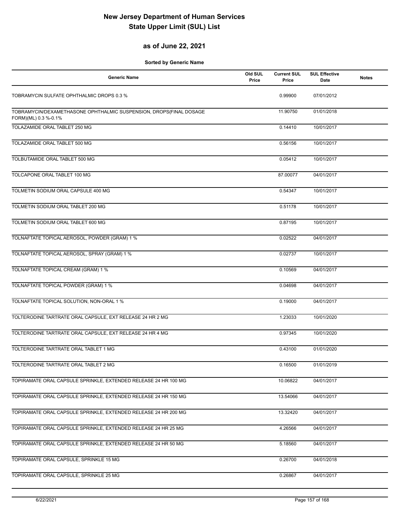#### **as of June 22, 2021**

| <b>Generic Name</b>                                                                        | Old SUL<br>Price | <b>Current SUL</b><br>Price | <b>SUL Effective</b><br><b>Date</b> | <b>Notes</b> |
|--------------------------------------------------------------------------------------------|------------------|-----------------------------|-------------------------------------|--------------|
| TOBRAMYCIN SULFATE OPHTHALMIC DROPS 0.3 %                                                  |                  | 0.99900                     | 07/01/2012                          |              |
| TOBRAMYCIN/DEXAMETHASONE OPHTHALMIC SUSPENSION, DROPS(FINAL DOSAGE<br>FORM)(ML) 0.3 %-0.1% |                  | 11.90750                    | 01/01/2018                          |              |
| TOLAZAMIDE ORAL TABLET 250 MG                                                              |                  | 0.14410                     | 10/01/2017                          |              |
| TOLAZAMIDE ORAL TABLET 500 MG                                                              |                  | 0.56156                     | 10/01/2017                          |              |
| TOLBUTAMIDE ORAL TABLET 500 MG                                                             |                  | 0.05412                     | 10/01/2017                          |              |
| TOLCAPONE ORAL TABLET 100 MG                                                               |                  | 87.00077                    | 04/01/2017                          |              |
| TOLMETIN SODIUM ORAL CAPSULE 400 MG                                                        |                  | 0.54347                     | 10/01/2017                          |              |
| TOLMETIN SODIUM ORAL TABLET 200 MG                                                         |                  | 0.51178                     | 10/01/2017                          |              |
| TOLMETIN SODIUM ORAL TABLET 600 MG                                                         |                  | 0.87195                     | 10/01/2017                          |              |
| TOLNAFTATE TOPICAL AEROSOL, POWDER (GRAM) 1 %                                              |                  | 0.02522                     | 04/01/2017                          |              |
| TOLNAFTATE TOPICAL AEROSOL, SPRAY (GRAM) 1 %                                               |                  | 0.02737                     | 10/01/2017                          |              |
| TOLNAFTATE TOPICAL CREAM (GRAM) 1 %                                                        |                  | 0.10569                     | 04/01/2017                          |              |
| TOLNAFTATE TOPICAL POWDER (GRAM) 1 %                                                       |                  | 0.04698                     | 04/01/2017                          |              |
| TOLNAFTATE TOPICAL SOLUTION, NON-ORAL 1 %                                                  |                  | 0.19000                     | 04/01/2017                          |              |
| TOLTERODINE TARTRATE ORAL CAPSULE, EXT RELEASE 24 HR 2 MG                                  |                  | 1.23033                     | 10/01/2020                          |              |
| TOLTERODINE TARTRATE ORAL CAPSULE, EXT RELEASE 24 HR 4 MG                                  |                  | 0.97345                     | 10/01/2020                          |              |
| TOLTERODINE TARTRATE ORAL TABLET 1 MG                                                      |                  | 0.43100                     | 01/01/2020                          |              |
| TOLTERODINE TARTRATE ORAL TABLET 2 MG                                                      |                  | 0.16500                     | 01/01/2019                          |              |
| TOPIRAMATE ORAL CAPSULE SPRINKLE, EXTENDED RELEASE 24 HR 100 MG                            |                  | 10.06822                    | 04/01/2017                          |              |
| TOPIRAMATE ORAL CAPSULE SPRINKLE, EXTENDED RELEASE 24 HR 150 MG                            |                  | 13.54066                    | 04/01/2017                          |              |
| TOPIRAMATE ORAL CAPSULE SPRINKLE, EXTENDED RELEASE 24 HR 200 MG                            |                  | 13.32420                    | 04/01/2017                          |              |
| TOPIRAMATE ORAL CAPSULE SPRINKLE, EXTENDED RELEASE 24 HR 25 MG                             |                  | 4.26566                     | 04/01/2017                          |              |
| TOPIRAMATE ORAL CAPSULE SPRINKLE, EXTENDED RELEASE 24 HR 50 MG                             |                  | 5.18560                     | 04/01/2017                          |              |
| TOPIRAMATE ORAL CAPSULE, SPRINKLE 15 MG                                                    |                  | 0.26700                     | 04/01/2018                          |              |
| TOPIRAMATE ORAL CAPSULE, SPRINKLE 25 MG                                                    |                  | 0.26867                     | 04/01/2017                          |              |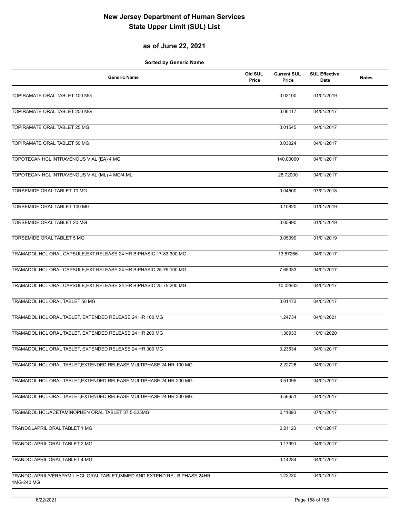#### **as of June 22, 2021**

| <b>Generic Name</b>                                                                     | Old SUL<br>Price | <b>Current SUL</b><br>Price | <b>SUL Effective</b><br>Date | <b>Notes</b> |
|-----------------------------------------------------------------------------------------|------------------|-----------------------------|------------------------------|--------------|
| TOPIRAMATE ORAL TABLET 100 MG                                                           |                  | 0.03100                     | 01/01/2019                   |              |
| TOPIRAMATE ORAL TABLET 200 MG                                                           |                  | 0.06417                     | 04/01/2017                   |              |
| TOPIRAMATE ORAL TABLET 25 MG                                                            |                  | 0.01545                     | 04/01/2017                   |              |
| TOPIRAMATE ORAL TABLET 50 MG                                                            |                  | 0.03024                     | 04/01/2017                   |              |
| TOPOTECAN HCL INTRAVENOUS VIAL (EA) 4 MG                                                |                  | 140.00000                   | 04/01/2017                   |              |
| TOPOTECAN HCL INTRAVENOUS VIAL (ML) 4 MG/4 ML                                           |                  | 26.72000                    | 04/01/2017                   |              |
| TORSEMIDE ORAL TABLET 10 MG                                                             |                  | 0.04500                     | 07/01/2018                   |              |
| TORSEMIDE ORAL TABLET 100 MG                                                            |                  | 0.10820                     | 01/01/2019                   |              |
| TORSEMIDE ORAL TABLET 20 MG                                                             |                  | 0.05990                     | 01/01/2019                   |              |
| TORSEMIDE ORAL TABLET 5 MG                                                              |                  | 0.05390                     | 01/01/2019                   |              |
| TRAMADOL HCL ORAL CAPSULE, EXT. RELEASE 24 HR BIPHASIC 17-83 300 MG                     |                  | 13.87266                    | 04/01/2017                   |              |
| TRAMADOL HCL ORAL CAPSULE, EXT.RELEASE 24 HR BIPHASIC 25-75 100 MG                      |                  | 7.65333                     | 04/01/2017                   |              |
| TRAMADOL HCL ORAL CAPSULE, EXT.RELEASE 24 HR BIPHASIC 25-75 200 MG                      |                  | 10.02933                    | 04/01/2017                   |              |
| TRAMADOL HCL ORAL TABLET 50 MG                                                          |                  | 0.01473                     | 04/01/2017                   |              |
| TRAMADOL HCL ORAL TABLET, EXTENDED RELEASE 24 HR 100 MG                                 |                  | 1.24734                     | 04/01/2021                   |              |
| TRAMADOL HCL ORAL TABLET, EXTENDED RELEASE 24 HR 200 MG                                 |                  | 1.30933                     | 10/01/2020                   |              |
| TRAMADOL HCL ORAL TABLET, EXTENDED RELEASE 24 HR 300 MG                                 |                  | 3.23534                     | 04/01/2017                   |              |
| TRAMADOL HCL ORAL TABLET, EXTENDED RELEASE MULTIPHASE 24 HR 100 MG                      |                  | 2.22726                     | 04/01/2017                   |              |
| TRAMADOL HCL ORAL TABLET, EXTENDED RELEASE MULTIPHASE 24 HR 200 MG                      |                  | 3.51095                     | 04/01/2017                   |              |
| TRAMADOL HCL ORAL TABLET, EXTENDED RELEASE MULTIPHASE 24 HR 300 MG                      |                  | 3.56651                     | 04/01/2017                   |              |
| TRAMADOL HCL/ACETAMINOPHEN ORAL TABLET 37.5-325MG                                       |                  | 0.11890                     | 07/01/2017                   |              |
| TRANDOLAPRIL ORAL TABLET 1 MG                                                           |                  | 0.21120                     | 10/01/2017                   |              |
| TRANDOLAPRIL ORAL TABLET 2 MG                                                           |                  | 0.17991                     | 04/01/2017                   |              |
| <b>TRANDOLAPRIL ORAL TABLET 4 MG</b>                                                    |                  | 0.14284                     | 04/01/2017                   |              |
| TRANDOLAPRIL/VERAPAMIL HCL ORAL TABLET, IMMED AND EXTEND REL BIPHASE 24HR<br>1MG-240 MG |                  | 4.23220                     | 04/01/2017                   |              |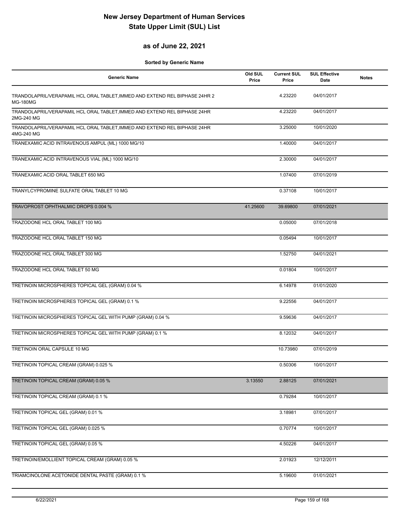#### **as of June 22, 2021**

| <b>Generic Name</b>                                                                            | Old SUL<br>Price | <b>Current SUL</b><br>Price | <b>SUL Effective</b><br>Date | <b>Notes</b> |
|------------------------------------------------------------------------------------------------|------------------|-----------------------------|------------------------------|--------------|
| TRANDOLAPRIL/VERAPAMIL HCL ORAL TABLET, IMMED AND EXTEND REL BIPHASE 24HR 2<br><b>MG-180MG</b> |                  | 4.23220                     | 04/01/2017                   |              |
| TRANDOLAPRIL/VERAPAMIL HCL ORAL TABLET, IMMED AND EXTEND REL BIPHASE 24HR<br>2MG-240 MG        |                  | 4.23220                     | 04/01/2017                   |              |
| TRANDOLAPRIL/VERAPAMIL HCL ORAL TABLET, IMMED AND EXTEND REL BIPHASE 24HR<br>4MG-240 MG        |                  | 3.25000                     | 10/01/2020                   |              |
| TRANEXAMIC ACID INTRAVENOUS AMPUL (ML) 1000 MG/10                                              |                  | 1.40000                     | 04/01/2017                   |              |
| TRANEXAMIC ACID INTRAVENOUS VIAL (ML) 1000 MG/10                                               |                  | 2.30000                     | 04/01/2017                   |              |
| TRANEXAMIC ACID ORAL TABLET 650 MG                                                             |                  | 1.07400                     | 07/01/2019                   |              |
| TRANYLCYPROMINE SULFATE ORAL TABLET 10 MG                                                      |                  | 0.37108                     | 10/01/2017                   |              |
| TRAVOPROST OPHTHALMIC DROPS 0.004 %                                                            | 41.25600         | 39.69800                    | 07/01/2021                   |              |
| TRAZODONE HCL ORAL TABLET 100 MG                                                               |                  | 0.05000                     | 07/01/2018                   |              |
| TRAZODONE HCL ORAL TABLET 150 MG                                                               |                  | 0.05494                     | 10/01/2017                   |              |
| TRAZODONE HCL ORAL TABLET 300 MG                                                               |                  | 1.52750                     | 04/01/2021                   |              |
| TRAZODONE HCL ORAL TABLET 50 MG                                                                |                  | 0.01804                     | 10/01/2017                   |              |
| TRETINOIN MICROSPHERES TOPICAL GEL (GRAM) 0.04 %                                               |                  | 6.14978                     | 01/01/2020                   |              |
| TRETINOIN MICROSPHERES TOPICAL GEL (GRAM) 0.1 %                                                |                  | 9.22556                     | 04/01/2017                   |              |
| TRETINOIN MICROSPHERES TOPICAL GEL WITH PUMP (GRAM) 0.04 %                                     |                  | 9.59636                     | 04/01/2017                   |              |
| TRETINOIN MICROSPHERES TOPICAL GEL WITH PUMP (GRAM) 0.1 %                                      |                  | 8.12032                     | 04/01/2017                   |              |
| TRETINOIN ORAL CAPSULE 10 MG                                                                   |                  | 10.73980                    | 07/01/2019                   |              |
| TRETINOIN TOPICAL CREAM (GRAM) 0.025 %                                                         |                  | 0.50306                     | 10/01/2017                   |              |
| TRETINOIN TOPICAL CREAM (GRAM) 0.05 %                                                          | 3.13550          | 2.88125                     | 07/01/2021                   |              |
| TRETINOIN TOPICAL CREAM (GRAM) 0.1 %                                                           |                  | 0.79284                     | 10/01/2017                   |              |
| TRETINOIN TOPICAL GEL (GRAM) 0.01 %                                                            |                  | 3.18981                     | 07/01/2017                   |              |
| TRETINOIN TOPICAL GEL (GRAM) 0.025 %                                                           |                  | 0.70774                     | 10/01/2017                   |              |
| TRETINOIN TOPICAL GEL (GRAM) 0.05 %                                                            |                  | 4.50226                     | 04/01/2017                   |              |
| TRETINOIN/EMOLLIENT TOPICAL CREAM (GRAM) 0.05 %                                                |                  | 2.01923                     | 12/12/2011                   |              |
| TRIAMCINOLONE ACETONIDE DENTAL PASTE (GRAM) 0.1 %                                              |                  | 5.19600                     | 01/01/2021                   |              |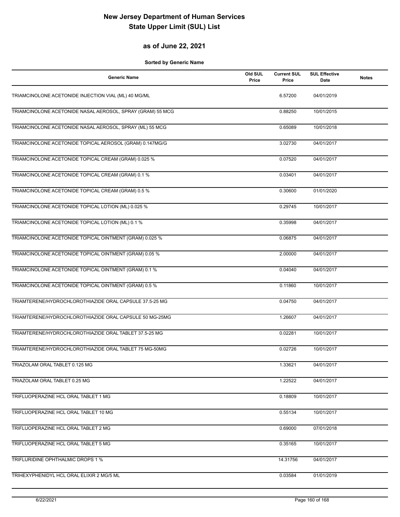#### **as of June 22, 2021**

| <b>Generic Name</b>                                        | Old SUL<br>Price | <b>Current SUL</b><br>Price | <b>SUL Effective</b><br>Date | <b>Notes</b> |
|------------------------------------------------------------|------------------|-----------------------------|------------------------------|--------------|
| TRIAMCINOLONE ACETONIDE INJECTION VIAL (ML) 40 MG/ML       |                  | 6.57200                     | 04/01/2019                   |              |
| TRIAMCINOLONE ACETONIDE NASAL AEROSOL, SPRAY (GRAM) 55 MCG |                  | 0.88250                     | 10/01/2015                   |              |
| TRIAMCINOLONE ACETONIDE NASAL AEROSOL, SPRAY (ML) 55 MCG   |                  | 0.65089                     | 10/01/2018                   |              |
| TRIAMCINOLONE ACETONIDE TOPICAL AEROSOL (GRAM) 0.147MG/G   |                  | 3.02730                     | 04/01/2017                   |              |
| TRIAMCINOLONE ACETONIDE TOPICAL CREAM (GRAM) 0.025 %       |                  | 0.07520                     | 04/01/2017                   |              |
| TRIAMCINOLONE ACETONIDE TOPICAL CREAM (GRAM) 0.1 %         |                  | 0.03401                     | 04/01/2017                   |              |
| TRIAMCINOLONE ACETONIDE TOPICAL CREAM (GRAM) 0.5 %         |                  | 0.30600                     | 01/01/2020                   |              |
| TRIAMCINOLONE ACETONIDE TOPICAL LOTION (ML) 0.025 %        |                  | 0.29745                     | 10/01/2017                   |              |
| TRIAMCINOLONE ACETONIDE TOPICAL LOTION (ML) 0.1 %          |                  | 0.35998                     | 04/01/2017                   |              |
| TRIAMCINOLONE ACETONIDE TOPICAL OINTMENT (GRAM) 0.025 %    |                  | 0.06875                     | 04/01/2017                   |              |
| TRIAMCINOLONE ACETONIDE TOPICAL OINTMENT (GRAM) 0.05 %     |                  | 2.00000                     | 04/01/2017                   |              |
| TRIAMCINOLONE ACETONIDE TOPICAL OINTMENT (GRAM) 0.1 %      |                  | 0.04040                     | 04/01/2017                   |              |
| TRIAMCINOLONE ACETONIDE TOPICAL OINTMENT (GRAM) 0.5 %      |                  | 0.11860                     | 10/01/2017                   |              |
| TRIAMTERENE/HYDROCHLOROTHIAZIDE ORAL CAPSULE 37.5-25 MG    |                  | 0.04750                     | 04/01/2017                   |              |
| TRIAMTERENE/HYDROCHLOROTHIAZIDE ORAL CAPSULE 50 MG-25MG    |                  | 1.26607                     | 04/01/2017                   |              |
| TRIAMTERENE/HYDROCHLOROTHIAZIDE ORAL TABLET 37.5-25 MG     |                  | 0.02281                     | 10/01/2017                   |              |
| TRIAMTERENE/HYDROCHLOROTHIAZIDE ORAL TABLET 75 MG-50MG     |                  | 0.02726                     | 10/01/2017                   |              |
| TRIAZOLAM ORAL TABLET 0.125 MG                             |                  | 1.33621                     | 04/01/2017                   |              |
| TRIAZOLAM ORAL TABLET 0.25 MG                              |                  | 1.22522                     | 04/01/2017                   |              |
| TRIFLUOPERAZINE HCL ORAL TABLET 1 MG                       |                  | 0.18809                     | 10/01/2017                   |              |
| TRIFLUOPERAZINE HCL ORAL TABLET 10 MG                      |                  | 0.55134                     | 10/01/2017                   |              |
| TRIFLUOPERAZINE HCL ORAL TABLET 2 MG                       |                  | 0.69000                     | 07/01/2018                   |              |
| TRIFLUOPERAZINE HCL ORAL TABLET 5 MG                       |                  | 0.35165                     | 10/01/2017                   |              |
| TRIFLURIDINE OPHTHALMIC DROPS 1 %                          |                  | 14.31756                    | 04/01/2017                   |              |
| TRIHEXYPHENIDYL HCL ORAL ELIXIR 2 MG/5 ML                  |                  | 0.03584                     | 01/01/2019                   |              |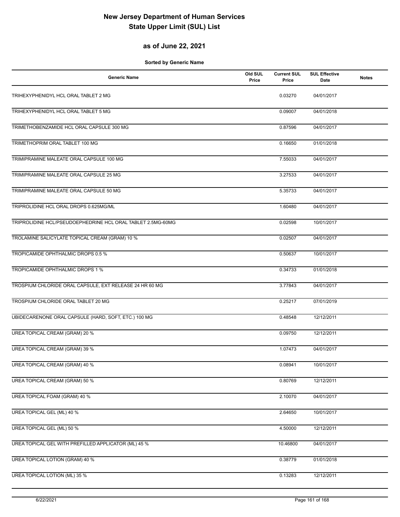#### **as of June 22, 2021**

| <b>Generic Name</b>                                         | Old SUL<br>Price | <b>Current SUL</b><br>Price | <b>SUL Effective</b><br><b>Date</b> | <b>Notes</b> |
|-------------------------------------------------------------|------------------|-----------------------------|-------------------------------------|--------------|
| TRIHEXYPHENIDYL HCL ORAL TABLET 2 MG                        |                  | 0.03270                     | 04/01/2017                          |              |
| TRIHEXYPHENIDYL HCL ORAL TABLET 5 MG                        |                  | 0.09007                     | 04/01/2018                          |              |
| TRIMETHOBENZAMIDE HCL ORAL CAPSULE 300 MG                   |                  | 0.87596                     | 04/01/2017                          |              |
| TRIMETHOPRIM ORAL TABLET 100 MG                             |                  | 0.16650                     | 01/01/2018                          |              |
| TRIMIPRAMINE MALEATE ORAL CAPSULE 100 MG                    |                  | 7.55033                     | 04/01/2017                          |              |
| TRIMIPRAMINE MALEATE ORAL CAPSULE 25 MG                     |                  | 3.27533                     | 04/01/2017                          |              |
| TRIMIPRAMINE MALEATE ORAL CAPSULE 50 MG                     |                  | 5.35733                     | 04/01/2017                          |              |
| TRIPROLIDINE HCL ORAL DROPS 0.625MG/ML                      |                  | 1.60480                     | 04/01/2017                          |              |
| TRIPROLIDINE HCL/PSEUDOEPHEDRINE HCL ORAL TABLET 2.5MG-60MG |                  | 0.02598                     | 10/01/2017                          |              |
| TROLAMINE SALICYLATE TOPICAL CREAM (GRAM) 10 %              |                  | 0.02507                     | 04/01/2017                          |              |
| TROPICAMIDE OPHTHALMIC DROPS 0.5 %                          |                  | 0.50637                     | 10/01/2017                          |              |
| TROPICAMIDE OPHTHALMIC DROPS 1 %                            |                  | 0.34733                     | 01/01/2018                          |              |
| TROSPIUM CHLORIDE ORAL CAPSULE, EXT RELEASE 24 HR 60 MG     |                  | 3.77843                     | 04/01/2017                          |              |
| TROSPIUM CHLORIDE ORAL TABLET 20 MG                         |                  | 0.25217                     | 07/01/2019                          |              |
| UBIDECARENONE ORAL CAPSULE (HARD, SOFT, ETC.) 100 MG        |                  | 0.48548                     | 12/12/2011                          |              |
| UREA TOPICAL CREAM (GRAM) 20 %                              |                  | 0.09750                     | 12/12/2011                          |              |
| UREA TOPICAL CREAM (GRAM) 39 %                              |                  | 1.07473                     | 04/01/2017                          |              |
| UREA TOPICAL CREAM (GRAM) 40 %                              |                  | 0.08941                     | 10/01/2017                          |              |
| UREA TOPICAL CREAM (GRAM) 50 %                              |                  | 0.80769                     | 12/12/2011                          |              |
| UREA TOPICAL FOAM (GRAM) 40 %                               |                  | 2.10070                     | 04/01/2017                          |              |
| <b>UREA TOPICAL GEL (ML) 40 %</b>                           |                  | 2.64650                     | 10/01/2017                          |              |
| UREA TOPICAL GEL (ML) 50 %                                  |                  | 4.50000                     | 12/12/2011                          |              |
| UREA TOPICAL GEL WITH PREFILLED APPLICATOR (ML) 45 %        |                  | 10.46800                    | 04/01/2017                          |              |
| UREA TOPICAL LOTION (GRAM) 40 %                             |                  | 0.38779                     | 01/01/2018                          |              |
| <b>UREA TOPICAL LOTION (ML) 35 %</b>                        |                  | 0.13283                     | 12/12/2011                          |              |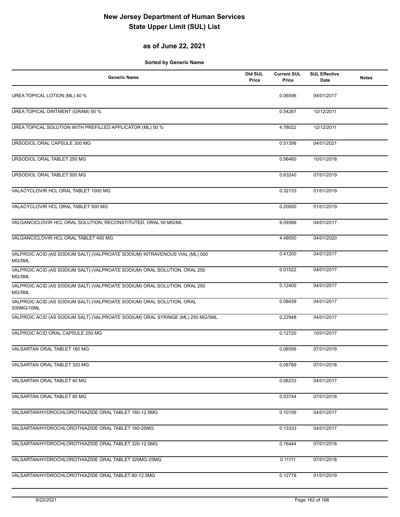#### **as of June 22, 2021**

| <b>Generic Name</b>                                                                   | Old SUL<br>Price | <b>Current SUL</b><br>Price | <b>SUL Effective</b><br><b>Date</b> | <b>Notes</b> |
|---------------------------------------------------------------------------------------|------------------|-----------------------------|-------------------------------------|--------------|
| UREA TOPICAL LOTION (ML) 40 %                                                         |                  | 0.06596                     | 04/01/2017                          |              |
| UREA TOPICAL OINTMENT (GRAM) 50 %                                                     |                  | 0.54267                     | 12/12/2011                          |              |
| UREA TOPICAL SOLUTION WITH PREFILLED APPLICATOR (ML) 50 %                             |                  | 4.78022                     | 12/12/2011                          |              |
| URSODIOL ORAL CAPSULE 300 MG                                                          |                  | 0.51356                     | 04/01/2021                          |              |
| URSODIOL ORAL TABLET 250 MG                                                           |                  | 0.56460                     | 10/01/2018                          |              |
| URSODIOL ORAL TABLET 500 MG                                                           |                  | 0.63240                     | 07/01/2019                          |              |
| VALACYCLOVIR HCL ORAL TABLET 1000 MG                                                  |                  | 0.32133                     | 01/01/2019                          |              |
| VALACYCLOVIR HCL ORAL TABLET 500 MG                                                   |                  | 0.20000                     | 01/01/2019                          |              |
| VALGANCICLOVIR HCL ORAL SOLUTION, RECONSTITUTED, ORAL 50 MG/ML                        |                  | 9.09386                     | 04/01/2017                          |              |
| VALGANCICLOVIR HCL ORAL TABLET 450 MG                                                 |                  | 4.48050                     | 04/01/2020                          |              |
| VALPROIC ACID (AS SODIUM SALT) (VALPROATE SODIUM) INTRAVENOUS VIAL (ML) 500<br>MG/5ML |                  | 0.41200                     | 04/01/2017                          |              |
| VALPROIC ACID (AS SODIUM SALT) (VALPROATE SODIUM) ORAL SOLUTION, ORAL 250<br>MG/5ML   |                  | 0.01522                     | 04/01/2017                          |              |
| VALPROIC ACID (AS SODIUM SALT) (VALPROATE SODIUM) ORAL SOLUTION, ORAL 250<br>MG/5ML   |                  | 0.12400                     | 04/01/2017                          |              |
| VALPROIC ACID (AS SODIUM SALT) (VALPROATE SODIUM) ORAL SOLUTION, ORAL<br>500MG/10ML   |                  | 0.08439                     | 04/01/2017                          |              |
| VALPROIC ACID (AS SODIUM SALT) (VALPROATE SODIUM) ORAL SYRINGE (ML) 250 MG/5ML        |                  | 0.22948                     | 04/01/2017                          |              |
| VALPROIC ACID ORAL CAPSULE 250 MG                                                     |                  | 0.12720                     | 10/01/2017                          |              |
| VALSARTAN ORAL TABLET 160 MG                                                          |                  | 0.06556                     | 07/01/2018                          |              |
| VALSARTAN ORAL TABLET 320 MG                                                          |                  | 0.08789                     | 07/01/2018                          |              |
| VALSARTAN ORAL TABLET 40 MG                                                           |                  | 0.06233                     | 04/01/2017                          |              |
| VALSARTAN ORAL TABLET 80 MG                                                           |                  | 0.03744                     | 07/01/2018                          |              |
| VALSARTAN/HYDROCHLOROTHIAZIDE ORAL TABLET 160-12.5MG                                  |                  | 0.10156                     | 04/01/2017                          |              |
| VALSARTAN/HYDROCHLOROTHIAZIDE ORAL TABLET 160-25MG                                    |                  | 0.13333                     | 04/01/2017                          |              |
| VALSARTAN/HYDROCHLOROTHIAZIDE ORAL TABLET 320-12.5MG                                  |                  | 0.16444                     | 07/01/2018                          |              |
| VALSARTAN/HYDROCHLOROTHIAZIDE ORAL TABLET 320MG-25MG                                  |                  | 0.11111                     | 07/01/2018                          |              |
| VALSARTAN/HYDROCHLOROTHIAZIDE ORAL TABLET 80-12.5MG                                   |                  | 0.12778                     | 01/01/2019                          |              |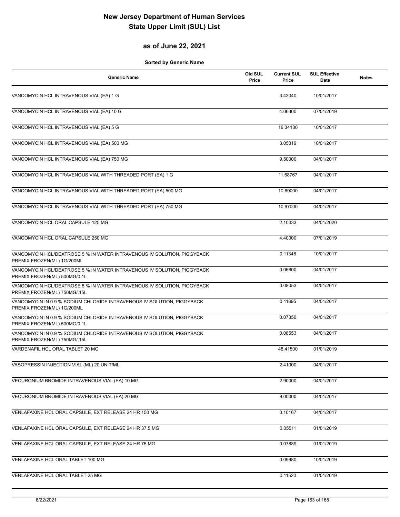### **as of June 22, 2021**

| <b>Generic Name</b>                                                                                     | Old SUL<br>Price | <b>Current SUL</b><br>Price | <b>SUL Effective</b><br>Date | <b>Notes</b> |
|---------------------------------------------------------------------------------------------------------|------------------|-----------------------------|------------------------------|--------------|
| VANCOMYCIN HCL INTRAVENOUS VIAL (EA) 1 G                                                                |                  | 3.43040                     | 10/01/2017                   |              |
| VANCOMYCIN HCL INTRAVENOUS VIAL (EA) 10 G                                                               |                  | 4.06300                     | 07/01/2019                   |              |
| VANCOMYCIN HCL INTRAVENOUS VIAL (EA) 5 G                                                                |                  | 16.34130                    | 10/01/2017                   |              |
| VANCOMYCIN HCL INTRAVENOUS VIAL (EA) 500 MG                                                             |                  | 3.05319                     | 10/01/2017                   |              |
| VANCOMYCIN HCL INTRAVENOUS VIAL (EA) 750 MG                                                             |                  | 9.50000                     | 04/01/2017                   |              |
| VANCOMYCIN HCL INTRAVENOUS VIAL WITH THREADED PORT (EA) 1 G                                             |                  | 11.68767                    | 04/01/2017                   |              |
| VANCOMYCIN HCL INTRAVENOUS VIAL WITH THREADED PORT (EA) 500 MG                                          |                  | 10.69000                    | 04/01/2017                   |              |
| VANCOMYCIN HCL INTRAVENOUS VIAL WITH THREADED PORT (EA) 750 MG                                          |                  | 10.97000                    | 04/01/2017                   |              |
| VANCOMYCIN HCL ORAL CAPSULE 125 MG                                                                      |                  | 2.10033                     | 04/01/2020                   |              |
| VANCOMYCIN HCL ORAL CAPSULE 250 MG                                                                      |                  | 4.40000                     | 07/01/2019                   |              |
| VANCOMYCIN HCL/DEXTROSE 5 % IN WATER INTRAVENOUS IV SOLUTION, PIGGYBACK<br>PREMIX FROZEN(ML) 1G/200ML   |                  | 0.11348                     | 10/01/2017                   |              |
| VANCOMYCIN HCL/DEXTROSE 5 % IN WATER INTRAVENOUS IV SOLUTION, PIGGYBACK<br>PREMIX FROZEN(ML) 500MG/0.1L |                  | 0.06600                     | 04/01/2017                   |              |
| VANCOMYCIN HCL/DEXTROSE 5 % IN WATER INTRAVENOUS IV SOLUTION, PIGGYBACK<br>PREMIX FROZEN(ML) 750MG/.15L |                  | 0.08053                     | 04/01/2017                   |              |
| VANCOMYCIN IN 0.9 % SODIUM CHLORIDE INTRAVENOUS IV SOLUTION, PIGGYBACK<br>PREMIX FROZEN(ML) 1G/200ML    |                  | 0.11895                     | 04/01/2017                   |              |
| VANCOMYCIN IN 0.9 % SODIUM CHLORIDE INTRAVENOUS IV SOLUTION, PIGGYBACK<br>PREMIX FROZEN(ML) 500MG/0.1L  |                  | 0.07350                     | 04/01/2017                   |              |
| VANCOMYCIN IN 0.9 % SODIUM CHLORIDE INTRAVENOUS IV SOLUTION, PIGGYBACK<br>PREMIX FROZEN(ML) 750MG/.15L  |                  | 0.08553                     | 04/01/2017                   |              |
| VARDENAFIL HCL ORAL TABLET 20 MG                                                                        |                  | 48.41500                    | 01/01/2019                   |              |
| VASOPRESSIN INJECTION VIAL (ML) 20 UNIT/ML                                                              |                  | 2.41000                     | 04/01/2017                   |              |
| VECURONIUM BROMIDE INTRAVENOUS VIAL (EA) 10 MG                                                          |                  | 2.90000                     | 04/01/2017                   |              |
| VECURONIUM BROMIDE INTRAVENOUS VIAL (EA) 20 MG                                                          |                  | 9.00000                     | 04/01/2017                   |              |
| VENLAFAXINE HCL ORAL CAPSULE, EXT RELEASE 24 HR 150 MG                                                  |                  | 0.10167                     | 04/01/2017                   |              |
| VENLAFAXINE HCL ORAL CAPSULE, EXT RELEASE 24 HR 37.5 MG                                                 |                  | 0.05511                     | 01/01/2019                   |              |
| VENLAFAXINE HCL ORAL CAPSULE, EXT RELEASE 24 HR 75 MG                                                   |                  | 0.07889                     | 01/01/2019                   |              |
| VENLAFAXINE HCL ORAL TABLET 100 MG                                                                      |                  | 0.09980                     | 10/01/2019                   |              |
| VENLAFAXINE HCL ORAL TABLET 25 MG                                                                       |                  | 0.11520                     | 01/01/2019                   |              |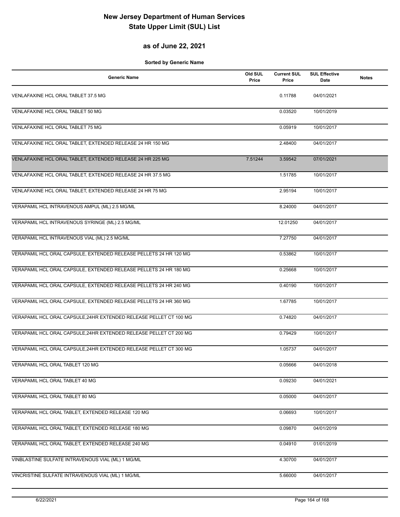#### **as of June 22, 2021**

| <b>Generic Name</b>                                                | Old SUL<br>Price | <b>Current SUL</b><br>Price | <b>SUL Effective</b><br>Date | <b>Notes</b> |
|--------------------------------------------------------------------|------------------|-----------------------------|------------------------------|--------------|
| VENLAFAXINE HCL ORAL TABLET 37.5 MG                                |                  | 0.11788                     | 04/01/2021                   |              |
| VENLAFAXINE HCL ORAL TABLET 50 MG                                  |                  | 0.03520                     | 10/01/2019                   |              |
| VENLAFAXINE HCL ORAL TABLET 75 MG                                  |                  | 0.05919                     | 10/01/2017                   |              |
| VENLAFAXINE HCL ORAL TABLET, EXTENDED RELEASE 24 HR 150 MG         |                  | 2.48400                     | 04/01/2017                   |              |
| VENLAFAXINE HCL ORAL TABLET, EXTENDED RELEASE 24 HR 225 MG         | 7.51244          | 3.59542                     | 07/01/2021                   |              |
| VENLAFAXINE HCL ORAL TABLET, EXTENDED RELEASE 24 HR 37.5 MG        |                  | 1.51785                     | 10/01/2017                   |              |
| VENLAFAXINE HCL ORAL TABLET, EXTENDED RELEASE 24 HR 75 MG          |                  | 2.95194                     | 10/01/2017                   |              |
| VERAPAMIL HCL INTRAVENOUS AMPUL (ML) 2.5 MG/ML                     |                  | 8.24000                     | 04/01/2017                   |              |
| VERAPAMIL HCL INTRAVENOUS SYRINGE (ML) 2.5 MG/ML                   |                  | 12.01250                    | 04/01/2017                   |              |
| VERAPAMIL HCL INTRAVENOUS VIAL (ML) 2.5 MG/ML                      |                  | 7.27750                     | 04/01/2017                   |              |
| VERAPAMIL HCL ORAL CAPSULE, EXTENDED RELEASE PELLETS 24 HR 120 MG  |                  | 0.53862                     | 10/01/2017                   |              |
| VERAPAMIL HCL ORAL CAPSULE, EXTENDED RELEASE PELLETS 24 HR 180 MG  |                  | 0.25668                     | 10/01/2017                   |              |
| VERAPAMIL HCL ORAL CAPSULE, EXTENDED RELEASE PELLETS 24 HR 240 MG  |                  | 0.40190                     | 10/01/2017                   |              |
| VERAPAMIL HCL ORAL CAPSULE, EXTENDED RELEASE PELLETS 24 HR 360 MG  |                  | 1.67785                     | 10/01/2017                   |              |
| VERAPAMIL HCL ORAL CAPSULE, 24HR EXTENDED RELEASE PELLET CT 100 MG |                  | 0.74820                     | 04/01/2017                   |              |
| VERAPAMIL HCL ORAL CAPSULE, 24HR EXTENDED RELEASE PELLET CT 200 MG |                  | 0.79429                     | 10/01/2017                   |              |
| VERAPAMIL HCL ORAL CAPSULE, 24HR EXTENDED RELEASE PELLET CT 300 MG |                  | 1.05737                     | 04/01/2017                   |              |
| VERAPAMIL HCL ORAL TABLET 120 MG                                   |                  | 0.05666                     | 04/01/2018                   |              |
| VERAPAMIL HCL ORAL TABLET 40 MG                                    |                  | 0.09230                     | 04/01/2021                   |              |
| VERAPAMIL HCL ORAL TABLET 80 MG                                    |                  | 0.05000                     | 04/01/2017                   |              |
| VERAPAMIL HCL ORAL TABLET, EXTENDED RELEASE 120 MG                 |                  | 0.06693                     | 10/01/2017                   |              |
| VERAPAMIL HCL ORAL TABLET, EXTENDED RELEASE 180 MG                 |                  | 0.09870                     | 04/01/2019                   |              |
| VERAPAMIL HCL ORAL TABLET, EXTENDED RELEASE 240 MG                 |                  | 0.04910                     | 01/01/2019                   |              |
| VINBLASTINE SULFATE INTRAVENOUS VIAL (ML) 1 MG/ML                  |                  | 4.30700                     | 04/01/2017                   |              |
| VINCRISTINE SULFATE INTRAVENOUS VIAL (ML) 1 MG/ML                  |                  | 5.66000                     | 04/01/2017                   |              |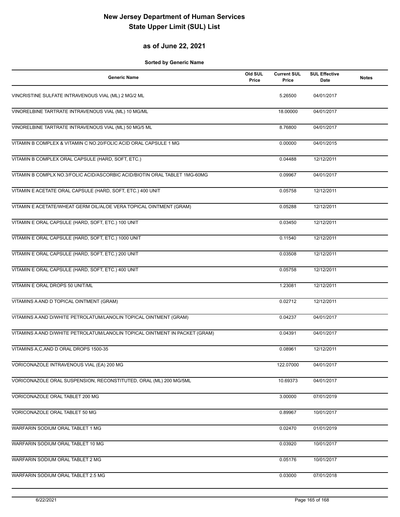#### **as of June 22, 2021**

| <b>Generic Name</b>                                                         | Old SUL<br>Price | <b>Current SUL</b><br>Price | <b>SUL Effective</b><br>Date | <b>Notes</b> |
|-----------------------------------------------------------------------------|------------------|-----------------------------|------------------------------|--------------|
| VINCRISTINE SULFATE INTRAVENOUS VIAL (ML) 2 MG/2 ML                         |                  | 5.26500                     | 04/01/2017                   |              |
| VINORELBINE TARTRATE INTRAVENOUS VIAL (ML) 10 MG/ML                         |                  | 18.00000                    | 04/01/2017                   |              |
| VINORELBINE TARTRATE INTRAVENOUS VIAL (ML) 50 MG/5 ML                       |                  | 8.76800                     | 04/01/2017                   |              |
| VITAMIN B COMPLEX & VITAMIN C NO.20/FOLIC ACID ORAL CAPSULE 1 MG            |                  | 0.00000                     | 04/01/2015                   |              |
| VITAMIN B COMPLEX ORAL CAPSULE (HARD, SOFT, ETC.)                           |                  | 0.04488                     | 12/12/2011                   |              |
| VITAMIN B COMPLX NO.3/FOLIC ACID/ASCORBIC ACID/BIOTIN ORAL TABLET 1MG-60MG  |                  | 0.09967                     | 04/01/2017                   |              |
| VITAMIN E ACETATE ORAL CAPSULE (HARD, SOFT, ETC.) 400 UNIT                  |                  | 0.05758                     | 12/12/2011                   |              |
| VITAMIN E ACETATE/WHEAT GERM OIL/ALOE VERA TOPICAL OINTMENT (GRAM)          |                  | 0.05288                     | 12/12/2011                   |              |
| VITAMIN E ORAL CAPSULE (HARD, SOFT, ETC.) 100 UNIT                          |                  | 0.03450                     | 12/12/2011                   |              |
| VITAMIN E ORAL CAPSULE (HARD, SOFT, ETC.) 1000 UNIT                         |                  | 0.11540                     | 12/12/2011                   |              |
| VITAMIN E ORAL CAPSULE (HARD, SOFT, ETC.) 200 UNIT                          |                  | 0.03508                     | 12/12/2011                   |              |
| VITAMIN E ORAL CAPSULE (HARD, SOFT, ETC.) 400 UNIT                          |                  | 0.05758                     | 12/12/2011                   |              |
| VITAMIN E ORAL DROPS 50 UNIT/ML                                             |                  | 1.23081                     | 12/12/2011                   |              |
| VITAMINS A AND D TOPICAL OINTMENT (GRAM)                                    |                  | 0.02712                     | 12/12/2011                   |              |
| VITAMINS A AND D/WHITE PETROLATUM/LANOLIN TOPICAL OINTMENT (GRAM)           |                  | 0.04237                     | 04/01/2017                   |              |
| VITAMINS A AND D/WHITE PETROLATUM/LANOLIN TOPICAL OINTMENT IN PACKET (GRAM) |                  | 0.04391                     | 04/01/2017                   |              |
| VITAMINS A,C, AND D ORAL DROPS 1500-35                                      |                  | 0.08961                     | 12/12/2011                   |              |
| VORICONAZOLE INTRAVENOUS VIAL (EA) 200 MG                                   |                  | 122.07000                   | 04/01/2017                   |              |
| VORICONAZOLE ORAL SUSPENSION, RECONSTITUTED, ORAL (ML) 200 MG/5ML           |                  | 10.69373                    | 04/01/2017                   |              |
| VORICONAZOLE ORAL TABLET 200 MG                                             |                  | 3.00000                     | 07/01/2019                   |              |
| VORICONAZOLE ORAL TABLET 50 MG                                              |                  | 0.89967                     | 10/01/2017                   |              |
| WARFARIN SODIUM ORAL TABLET 1 MG                                            |                  | 0.02470                     | 01/01/2019                   |              |
| WARFARIN SODIUM ORAL TABLET 10 MG                                           |                  | 0.03920                     | 10/01/2017                   |              |
| WARFARIN SODIUM ORAL TABLET 2 MG                                            |                  | 0.05176                     | 10/01/2017                   |              |
| WARFARIN SODIUM ORAL TABLET 2.5 MG                                          |                  | 0.03000                     | 07/01/2018                   |              |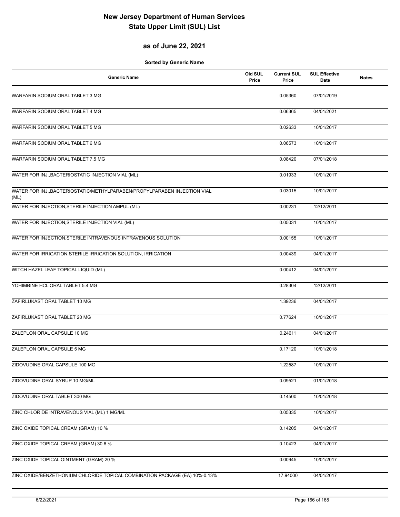### **as of June 22, 2021**

| <b>Generic Name</b>                                                               | Old SUL<br>Price | <b>Current SUL</b><br>Price | <b>SUL Effective</b><br>Date | <b>Notes</b> |
|-----------------------------------------------------------------------------------|------------------|-----------------------------|------------------------------|--------------|
| WARFARIN SODIUM ORAL TABLET 3 MG                                                  |                  | 0.05360                     | 07/01/2019                   |              |
| WARFARIN SODIUM ORAL TABLET 4 MG                                                  |                  | 0.06365                     | 04/01/2021                   |              |
| WARFARIN SODIUM ORAL TABLET 5 MG                                                  |                  | 0.02633                     | 10/01/2017                   |              |
| WARFARIN SODIUM ORAL TABLET 6 MG                                                  |                  | 0.06573                     | 10/01/2017                   |              |
| WARFARIN SODIUM ORAL TABLET 7.5 MG                                                |                  | 0.08420                     | 07/01/2018                   |              |
| WATER FOR INJ., BACTERIOSTATIC INJECTION VIAL (ML)                                |                  | 0.01933                     | 10/01/2017                   |              |
| WATER FOR INJ., BACTERIOSTATIC/METHYLPARABEN/PROPYLPARABEN INJECTION VIAL<br>(ML) |                  | 0.03015                     | 10/01/2017                   |              |
| WATER FOR INJECTION, STERILE INJECTION AMPUL (ML)                                 |                  | 0.00231                     | 12/12/2011                   |              |
| WATER FOR INJECTION, STERILE INJECTION VIAL (ML)                                  |                  | 0.05031                     | 10/01/2017                   |              |
| WATER FOR INJECTION, STERILE INTRAVENOUS INTRAVENOUS SOLUTION                     |                  | 0.00155                     | 10/01/2017                   |              |
| WATER FOR IRRIGATION, STERILE IRRIGATION SOLUTION, IRRIGATION                     |                  | 0.00439                     | 04/01/2017                   |              |
| WITCH HAZEL LEAF TOPICAL LIQUID (ML)                                              |                  | 0.00412                     | 04/01/2017                   |              |
| YOHIMBINE HCL ORAL TABLET 5.4 MG                                                  |                  | 0.28304                     | 12/12/2011                   |              |
| ZAFIRLUKAST ORAL TABLET 10 MG                                                     |                  | 1.39236                     | 04/01/2017                   |              |
| ZAFIRLUKAST ORAL TABLET 20 MG                                                     |                  | 0.77624                     | 10/01/2017                   |              |
| ZALEPLON ORAL CAPSULE 10 MG                                                       |                  | 0.24611                     | 04/01/2017                   |              |
| ZALEPLON ORAL CAPSULE 5 MG                                                        |                  | 0.17120                     | 10/01/2018                   |              |
| ZIDOVUDINE ORAL CAPSULE 100 MG                                                    |                  | 1.22587                     | 10/01/2017                   |              |
| ZIDOVUDINE ORAL SYRUP 10 MG/ML                                                    |                  | 0.09521                     | 01/01/2018                   |              |
| ZIDOVUDINE ORAL TABLET 300 MG                                                     |                  | 0.14500                     | 10/01/2018                   |              |
| ZINC CHLORIDE INTRAVENOUS VIAL (ML) 1 MG/ML                                       |                  | 0.05335                     | 10/01/2017                   |              |
| ZINC OXIDE TOPICAL CREAM (GRAM) 10 %                                              |                  | 0.14205                     | 04/01/2017                   |              |
| ZINC OXIDE TOPICAL CREAM (GRAM) 30.6 %                                            |                  | 0.10423                     | 04/01/2017                   |              |
| ZINC OXIDE TOPICAL OINTMENT (GRAM) 20 %                                           |                  | 0.00945                     | 10/01/2017                   |              |
| ZINC OXIDE/BENZETHONIUM CHLORIDE TOPICAL COMBINATION PACKAGE (EA) 10%-0.13%       |                  | 17.94000                    | 04/01/2017                   |              |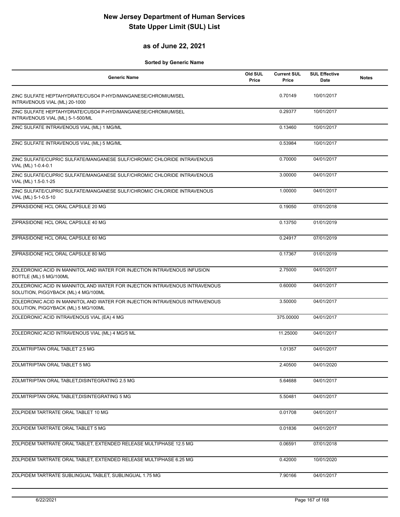#### **as of June 22, 2021**

| Generic Name                                                                                                       | Old SUL<br>Price | <b>Current SUL</b><br>Price | <b>SUL Effective</b><br>Date | <b>Notes</b> |
|--------------------------------------------------------------------------------------------------------------------|------------------|-----------------------------|------------------------------|--------------|
| ZINC SULFATE HEPTAHYDRATE/CUSO4 P-HYD/MANGANESE/CHROMIUM/SEL<br>INTRAVENOUS VIAL (ML) 20-1000                      |                  | 0.70149                     | 10/01/2017                   |              |
| ZINC SULFATE HEPTAHYDRATE/CUSO4 P-HYD/MANGANESE/CHROMIUM/SEL<br>INTRAVENOUS VIAL (ML) 5-1-500/ML                   |                  | 0.29377                     | 10/01/2017                   |              |
| ZINC SULFATE INTRAVENOUS VIAL (ML) 1 MG/ML                                                                         |                  | 0.13460                     | 10/01/2017                   |              |
| ZINC SULFATE INTRAVENOUS VIAL (ML) 5 MG/ML                                                                         |                  | 0.53984                     | 10/01/2017                   |              |
| ZINC SULFATE/CUPRIC SULFATE/MANGANESE SULF/CHROMIC CHLORIDE INTRAVENOUS<br>VIAL (ML) 1-0.4-0.1                     |                  | 0.70000                     | 04/01/2017                   |              |
| ZINC SULFATE/CUPRIC SULFATE/MANGANESE SULF/CHROMIC CHLORIDE INTRAVENOUS<br>VIAL (ML) 1.5-0.1-25                    |                  | 3.00000                     | 04/01/2017                   |              |
| ZINC SULFATE/CUPRIC SULFATE/MANGANESE SULF/CHROMIC CHLORIDE INTRAVENOUS<br>VIAL (ML) 5-1-0.5-10                    |                  | 1.00000                     | 04/01/2017                   |              |
| ZIPRASIDONE HCL ORAL CAPSULE 20 MG                                                                                 |                  | 0.19050                     | 07/01/2018                   |              |
| ZIPRASIDONE HCL ORAL CAPSULE 40 MG                                                                                 |                  | 0.13750                     | 01/01/2019                   |              |
| ZIPRASIDONE HCL ORAL CAPSULE 60 MG                                                                                 |                  | 0.24917                     | 07/01/2019                   |              |
| ZIPRASIDONE HCL ORAL CAPSULE 80 MG                                                                                 |                  | 0.17367                     | 01/01/2019                   |              |
| ZOLEDRONIC ACID IN MANNITOL AND WATER FOR INJECTION INTRAVENOUS INFUSION<br>BOTTLE (ML) 5 MG/100ML                 |                  | 2.75000                     | 04/01/2017                   |              |
| ZOLEDRONIC ACID IN MANNITOL AND WATER FOR INJECTION INTRAVENOUS INTRAVENOUS<br>SOLUTION, PIGGYBACK (ML) 4 MG/100ML |                  | 0.60000                     | 04/01/2017                   |              |
| ZOLEDRONIC ACID IN MANNITOL AND WATER FOR INJECTION INTRAVENOUS INTRAVENOUS<br>SOLUTION, PIGGYBACK (ML) 5 MG/100ML |                  | 3.50000                     | 04/01/2017                   |              |
| ZOLEDRONIC ACID INTRAVENOUS VIAL (EA) 4 MG                                                                         |                  | 375.00000                   | 04/01/2017                   |              |
| ZOLEDRONIC ACID INTRAVENOUS VIAL (ML) 4 MG/5 ML                                                                    |                  | 11.25000                    | 04/01/2017                   |              |
| ZOLMITRIPTAN ORAL TABLET 2.5 MG                                                                                    |                  | 1.01357                     | 04/01/2017                   |              |
| ZOLMITRIPTAN ORAL TABLET 5 MG                                                                                      |                  | 2.40500                     | 04/01/2020                   |              |
| ZOLMITRIPTAN ORAL TABLET, DISINTEGRATING 2.5 MG                                                                    |                  | 5.64688                     | 04/01/2017                   |              |
| ZOLMITRIPTAN ORAL TABLET, DISINTEGRATING 5 MG                                                                      |                  | 5.50481                     | 04/01/2017                   |              |
| ZOLPIDEM TARTRATE ORAL TABLET 10 MG                                                                                |                  | 0.01708                     | 04/01/2017                   |              |
| ZOLPIDEM TARTRATE ORAL TABLET 5 MG                                                                                 |                  | 0.01836                     | 04/01/2017                   |              |
| ZOLPIDEM TARTRATE ORAL TABLET, EXTENDED RELEASE MULTIPHASE 12.5 MG                                                 |                  | 0.06591                     | 07/01/2018                   |              |
| ZOLPIDEM TARTRATE ORAL TABLET, EXTENDED RELEASE MULTIPHASE 6.25 MG                                                 |                  | 0.42000                     | 10/01/2020                   |              |
| ZOLPIDEM TARTRATE SUBLINGUAL TABLET, SUBLINGUAL 1.75 MG                                                            |                  | 7.90166                     | 04/01/2017                   |              |